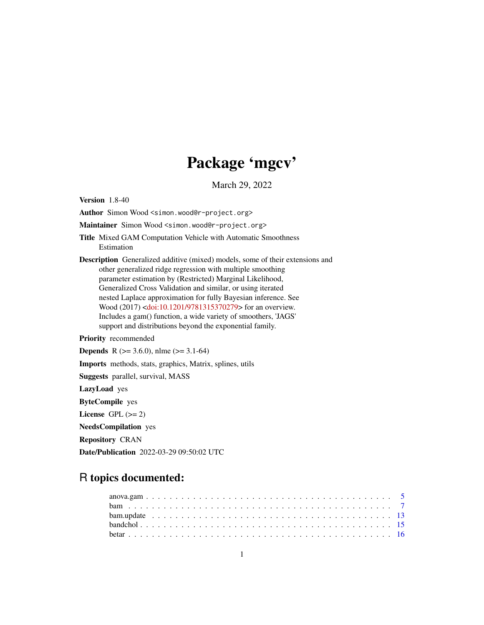# Package 'mgcv'

March 29, 2022

<span id="page-0-0"></span>Version 1.8-40

Author Simon Wood <simon.wood@r-project.org>

Maintainer Simon Wood <simon.wood@r-project.org>

Title Mixed GAM Computation Vehicle with Automatic Smoothness Estimation

Description Generalized additive (mixed) models, some of their extensions and other generalized ridge regression with multiple smoothing parameter estimation by (Restricted) Marginal Likelihood, Generalized Cross Validation and similar, or using iterated nested Laplace approximation for fully Bayesian inference. See Wood (2017) [<doi:10.1201/9781315370279>](https://doi.org/10.1201/9781315370279) for an overview. Includes a gam() function, a wide variety of smoothers, 'JAGS' support and distributions beyond the exponential family.

Priority recommended

**Depends** R ( $>= 3.6.0$ ), nlme ( $>= 3.1-64$ )

Imports methods, stats, graphics, Matrix, splines, utils

Suggests parallel, survival, MASS

LazyLoad yes

ByteCompile yes

License GPL  $(>= 2)$ 

NeedsCompilation yes

Repository CRAN

Date/Publication 2022-03-29 09:50:02 UTC

# R topics documented: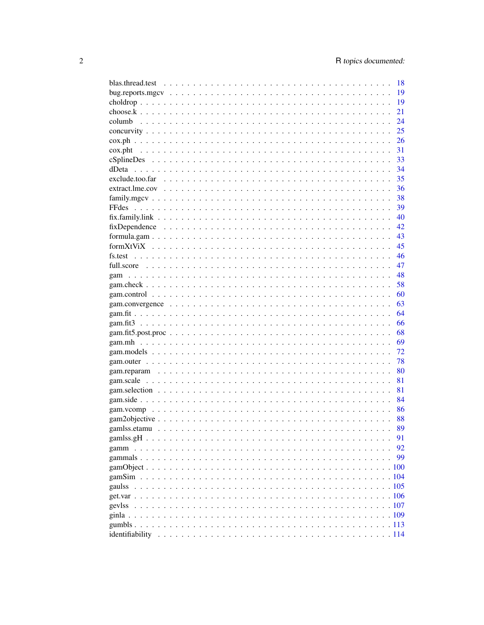|       | - 18 |
|-------|------|
|       | 19   |
|       | 19   |
|       | 21   |
|       | 24   |
|       | 25   |
|       | 26   |
|       | 31   |
|       | 33   |
| dDeta | 34   |
|       | 35   |
|       | 36   |
|       | 38   |
|       | 39   |
|       | 40   |
|       | 42   |
|       | 43   |
|       | 45   |
|       | 46   |
|       | 47   |
| gam   | 48   |
|       | 58   |
|       | 60   |
|       | 63   |
|       | 64   |
|       | 66   |
|       | 68   |
|       | 69   |
|       | 72   |
|       | 78   |
|       | 80   |
|       | 81   |
|       | 81   |
|       | 84   |
|       | 86   |
|       |      |
|       | 89   |
|       | 91   |
|       | 92   |
|       | 99   |
|       |      |
|       |      |
|       |      |
|       |      |
|       |      |
|       |      |
|       |      |
|       |      |
|       |      |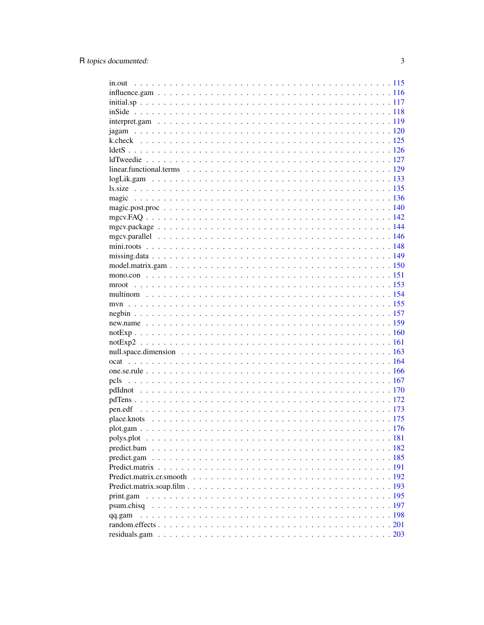| qq.gam |  |
|--------|--|
|        |  |
|        |  |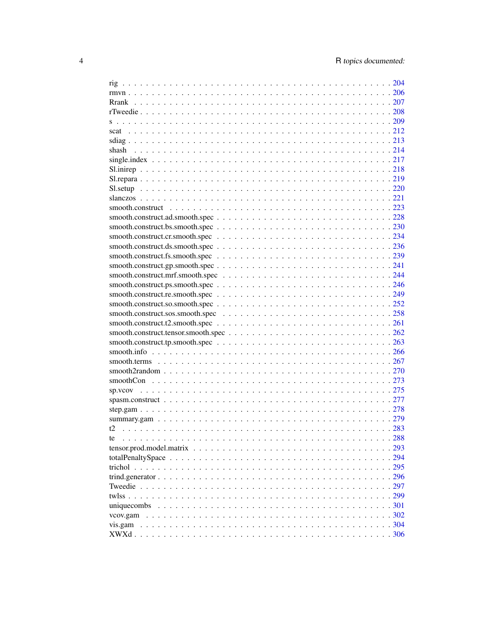| shash |        |
|-------|--------|
|       |        |
|       |        |
|       |        |
|       |        |
|       |        |
|       |        |
|       |        |
|       |        |
|       |        |
|       |        |
|       |        |
|       |        |
|       |        |
|       |        |
|       |        |
|       |        |
|       |        |
|       |        |
|       |        |
|       |        |
|       |        |
|       |        |
|       |        |
|       |        |
|       |        |
|       |        |
|       |        |
|       |        |
|       |        |
|       |        |
|       |        |
| te    |        |
|       |        |
|       |        |
|       |        |
|       |        |
|       |        |
|       |        |
|       |        |
|       |        |
|       |        |
|       | . .306 |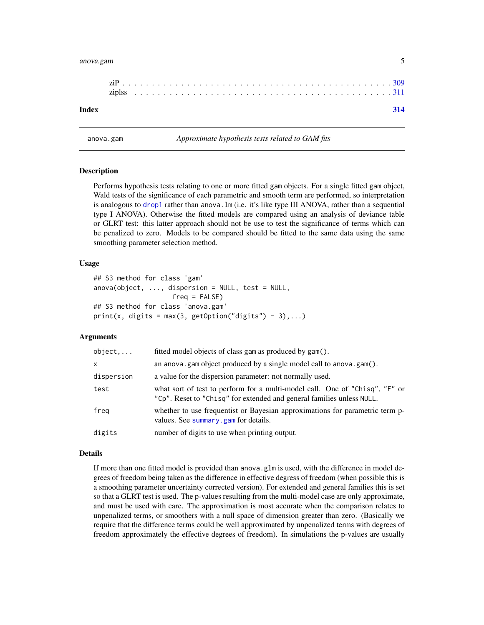#### <span id="page-4-0"></span>anova.gam 5

| Index |  |  |  |  |  |  |  |  |  |  |  |  |  |  |  |  |  |  |  |  |  |  |  |
|-------|--|--|--|--|--|--|--|--|--|--|--|--|--|--|--|--|--|--|--|--|--|--|--|

## **Description**

Performs hypothesis tests relating to one or more fitted gam objects. For a single fitted gam object, Wald tests of the significance of each parametric and smooth term are performed, so interpretation is analogous to [drop1](#page-0-0) rather than anova. Im (i.e. it's like type III ANOVA, rather than a sequential type I ANOVA). Otherwise the fitted models are compared using an analysis of deviance table or GLRT test: this latter approach should not be use to test the significance of terms which can be penalized to zero. Models to be compared should be fitted to the same data using the same smoothing parameter selection method.

#### Usage

```
## S3 method for class 'gam'
anova(object, ..., dispersion = NULL, test = NULL,freq = FALSE)
## S3 method for class 'anova.gam'
print(x, \text{ digits} = max(3, \text{ getOption("digits")} - 3), ...)
```
anova.gam *Approximate hypothesis tests related to GAM fits*

#### Arguments

| object     | fitted model objects of class gam as produced by gam().                                                                                              |
|------------|------------------------------------------------------------------------------------------------------------------------------------------------------|
| X          | an anova.gam object produced by a single model call to anova.gam().                                                                                  |
| dispersion | a value for the dispersion parameter: not normally used.                                                                                             |
| test       | what sort of test to perform for a multi-model call. One of "Chisq", "F" or<br>"Cp". Reset to "Chisq" for extended and general families unless NULL. |
| freg       | whether to use frequentist or Bayesian approximations for parametric term p-<br>values. See summary gam for details.                                 |
| digits     | number of digits to use when printing output.                                                                                                        |

#### Details

If more than one fitted model is provided than anova.glm is used, with the difference in model degrees of freedom being taken as the difference in effective degress of freedom (when possible this is a smoothing parameter uncertainty corrected version). For extended and general families this is set so that a GLRT test is used. The p-values resulting from the multi-model case are only approximate, and must be used with care. The approximation is most accurate when the comparison relates to unpenalized terms, or smoothers with a null space of dimension greater than zero. (Basically we require that the difference terms could be well approximated by unpenalized terms with degrees of freedom approximately the effective degrees of freedom). In simulations the p-values are usually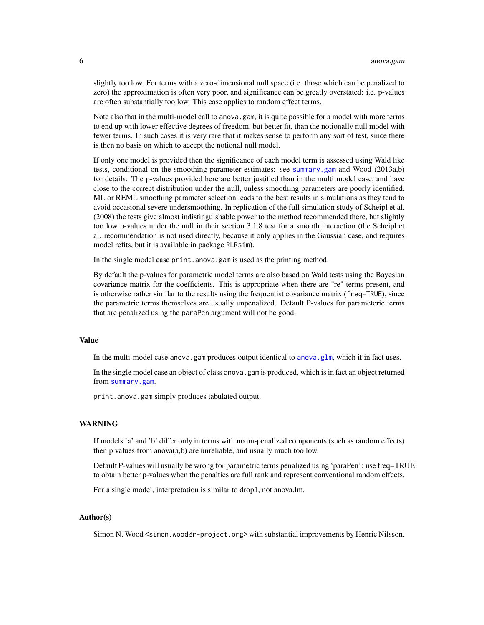slightly too low. For terms with a zero-dimensional null space (i.e. those which can be penalized to zero) the approximation is often very poor, and significance can be greatly overstated: i.e. p-values are often substantially too low. This case applies to random effect terms.

Note also that in the multi-model call to anova.gam, it is quite possible for a model with more terms to end up with lower effective degrees of freedom, but better fit, than the notionally null model with fewer terms. In such cases it is very rare that it makes sense to perform any sort of test, since there is then no basis on which to accept the notional null model.

If only one model is provided then the significance of each model term is assessed using Wald like tests, conditional on the smoothing parameter estimates: see [summary.gam](#page-278-1) and Wood (2013a,b) for details. The p-values provided here are better justified than in the multi model case, and have close to the correct distribution under the null, unless smoothing parameters are poorly identified. ML or REML smoothing parameter selection leads to the best results in simulations as they tend to avoid occasional severe undersmoothing. In replication of the full simulation study of Scheipl et al. (2008) the tests give almost indistinguishable power to the method recommended there, but slightly too low p-values under the null in their section 3.1.8 test for a smooth interaction (the Scheipl et al. recommendation is not used directly, because it only applies in the Gaussian case, and requires model refits, but it is available in package RLRsim).

In the single model case print. anova.gam is used as the printing method.

By default the p-values for parametric model terms are also based on Wald tests using the Bayesian covariance matrix for the coefficients. This is appropriate when there are "re" terms present, and is otherwise rather similar to the results using the frequentist covariance matrix (freq=TRUE), since the parametric terms themselves are usually unpenalized. Default P-values for parameteric terms that are penalized using the paraPen argument will not be good.

#### Value

In the multi-model case anova.gam produces output identical to [anova.glm](#page-0-0), which it in fact uses.

In the single model case an object of class anova.gam is produced, which is in fact an object returned from [summary.gam](#page-278-1).

print.anova.gam simply produces tabulated output.

#### WARNING

If models 'a' and 'b' differ only in terms with no un-penalized components (such as random effects) then p values from anova(a,b) are unreliable, and usually much too low.

Default P-values will usually be wrong for parametric terms penalized using 'paraPen': use freq=TRUE to obtain better p-values when the penalties are full rank and represent conventional random effects.

For a single model, interpretation is similar to drop1, not anova.lm.

#### Author(s)

Simon N. Wood <simon.wood@r-project.org> with substantial improvements by Henric Nilsson.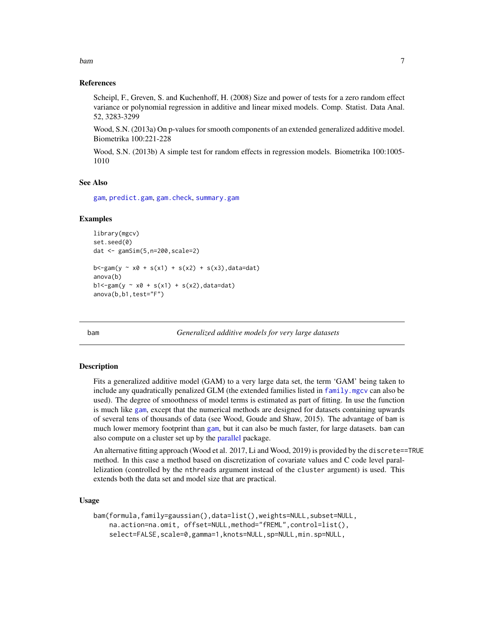#### <span id="page-6-0"></span>References

Scheipl, F., Greven, S. and Kuchenhoff, H. (2008) Size and power of tests for a zero random effect variance or polynomial regression in additive and linear mixed models. Comp. Statist. Data Anal. 52, 3283-3299

Wood, S.N. (2013a) On p-values for smooth components of an extended generalized additive model. Biometrika 100:221-228

Wood, S.N. (2013b) A simple test for random effects in regression models. Biometrika 100:1005- 1010

#### See Also

[gam](#page-47-1), [predict.gam](#page-184-1), [gam.check](#page-57-1), [summary.gam](#page-278-1)

#### Examples

```
library(mgcv)
set.seed(0)
dat <- gamSim(5,n=200,scale=2)
b < -gam(y \sim x0 + s(x1) + s(x2) + s(x3), data=dat)
anova(b)
b1 < -gamma(y \sim x0 + s(x1) + s(x2), data=dat)
anova(b,b1,test="F")
```
<span id="page-6-1"></span>bam *Generalized additive models for very large datasets*

#### **Description**

Fits a generalized additive model (GAM) to a very large data set, the term 'GAM' being taken to include any quadratically penalized GLM (the extended families listed in [family.mgcv](#page-37-1) can also be used). The degree of smoothness of model terms is estimated as part of fitting. In use the function is much like [gam](#page-47-1), except that the numerical methods are designed for datasets containing upwards of several tens of thousands of data (see Wood, Goude and Shaw, 2015). The advantage of bam is much lower memory footprint than [gam](#page-47-1), but it can also be much faster, for large datasets. bam can also compute on a cluster set up by the [parallel](#page-0-0) package.

An alternative fitting approach (Wood et al. 2017, Li and Wood, 2019) is provided by the discrete==TRUE method. In this case a method based on discretization of covariate values and C code level parallelization (controlled by the nthreads argument instead of the cluster argument) is used. This extends both the data set and model size that are practical.

#### Usage

```
bam(formula,family=gaussian(),data=list(),weights=NULL,subset=NULL,
    na.action=na.omit, offset=NULL,method="fREML",control=list(),
    select=FALSE,scale=0,gamma=1,knots=NULL,sp=NULL,min.sp=NULL,
```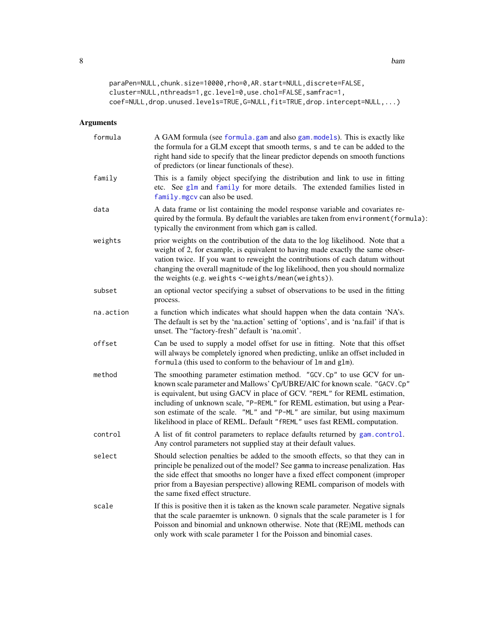8 bam banda a banda a banda a banda a banda a banda a banda a banda a banda a banda a banda a banda a banda a b

```
paraPen=NULL,chunk.size=10000,rho=0,AR.start=NULL,discrete=FALSE,
cluster=NULL,nthreads=1,gc.level=0,use.chol=FALSE,samfrac=1,
coef=NULL,drop.unused.levels=TRUE,G=NULL,fit=TRUE,drop.intercept=NULL,...)
```
### Arguments

| formula   | A GAM formula (see formula.gam and also gam.models). This is exactly like<br>the formula for a GLM except that smooth terms, s and te can be added to the<br>right hand side to specify that the linear predictor depends on smooth functions<br>of predictors (or linear functionals of these).                                                                                                                                                                           |
|-----------|----------------------------------------------------------------------------------------------------------------------------------------------------------------------------------------------------------------------------------------------------------------------------------------------------------------------------------------------------------------------------------------------------------------------------------------------------------------------------|
| family    | This is a family object specifying the distribution and link to use in fitting<br>etc. See glm and family for more details. The extended families listed in<br>family.mgcv can also be used.                                                                                                                                                                                                                                                                               |
| data      | A data frame or list containing the model response variable and covariates re-<br>quired by the formula. By default the variables are taken from environment (formula):<br>typically the environment from which gam is called.                                                                                                                                                                                                                                             |
| weights   | prior weights on the contribution of the data to the log likelihood. Note that a<br>weight of 2, for example, is equivalent to having made exactly the same obser-<br>vation twice. If you want to reweight the contributions of each datum without<br>changing the overall magnitude of the log likelihood, then you should normalize<br>the weights (e.g. weights <-weights/mean(weights)).                                                                              |
| subset    | an optional vector specifying a subset of observations to be used in the fitting<br>process.                                                                                                                                                                                                                                                                                                                                                                               |
| na.action | a function which indicates what should happen when the data contain 'NA's.<br>The default is set by the 'na.action' setting of 'options', and is 'na.fail' if that is<br>unset. The "factory-fresh" default is 'na.omit'.                                                                                                                                                                                                                                                  |
| offset    | Can be used to supply a model offset for use in fitting. Note that this offset<br>will always be completely ignored when predicting, unlike an offset included in<br>formula (this used to conform to the behaviour of $lm$ and $glm$ ).                                                                                                                                                                                                                                   |
| method    | The smoothing parameter estimation method. "GCV.Cp" to use GCV for un-<br>known scale parameter and Mallows' Cp/UBRE/AIC for known scale. "GACV. Cp"<br>is equivalent, but using GACV in place of GCV. "REML" for REML estimation,<br>including of unknown scale, "P-REML" for REML estimation, but using a Pear-<br>son estimate of the scale. "ML" and "P-ML" are similar, but using maximum<br>likelihood in place of REML. Default "fREML" uses fast REML computation. |
| control   | A list of fit control parameters to replace defaults returned by gam.control.<br>Any control parameters not supplied stay at their default values.                                                                                                                                                                                                                                                                                                                         |
| select    | Should selection penalties be added to the smooth effects, so that they can in<br>principle be penalized out of the model? See gamma to increase penalization. Has<br>the side effect that smooths no longer have a fixed effect component (improper<br>prior from a Bayesian perspective) allowing REML comparison of models with<br>the same fixed effect structure.                                                                                                     |
| scale     | If this is positive then it is taken as the known scale parameter. Negative signals<br>that the scale paraemter is unknown. 0 signals that the scale parameter is 1 for<br>Poisson and binomial and unknown otherwise. Note that (RE)ML methods can<br>only work with scale parameter 1 for the Poisson and binomial cases.                                                                                                                                                |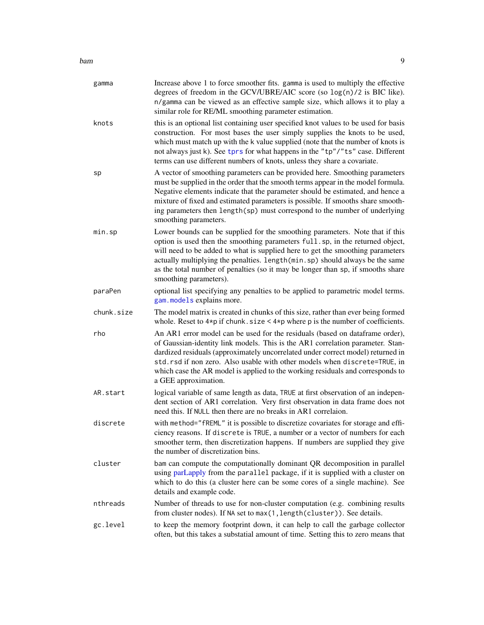bam **bam** 9

| gamma      | Increase above 1 to force smoother fits. gamma is used to multiply the effective<br>degrees of freedom in the GCV/UBRE/AIC score (so log(n)/2 is BIC like).<br>n/gamma can be viewed as an effective sample size, which allows it to play a<br>similar role for RE/ML smoothing parameter estimation.                                                                                                                                         |
|------------|-----------------------------------------------------------------------------------------------------------------------------------------------------------------------------------------------------------------------------------------------------------------------------------------------------------------------------------------------------------------------------------------------------------------------------------------------|
| knots      | this is an optional list containing user specified knot values to be used for basis<br>construction. For most bases the user simply supplies the knots to be used,<br>which must match up with the k value supplied (note that the number of knots is<br>not always just k). See tprs for what happens in the "tp"/"ts" case. Different<br>terms can use different numbers of knots, unless they share a covariate.                           |
| sp         | A vector of smoothing parameters can be provided here. Smoothing parameters<br>must be supplied in the order that the smooth terms appear in the model formula.<br>Negative elements indicate that the parameter should be estimated, and hence a<br>mixture of fixed and estimated parameters is possible. If smooths share smooth-<br>ing parameters then length(sp) must correspond to the number of underlying<br>smoothing parameters.   |
| min.sp     | Lower bounds can be supplied for the smoothing parameters. Note that if this<br>option is used then the smoothing parameters full. sp, in the returned object,<br>will need to be added to what is supplied here to get the smoothing parameters<br>actually multiplying the penalties. length(min.sp) should always be the same<br>as the total number of penalties (so it may be longer than sp, if smooths share<br>smoothing parameters). |
| paraPen    | optional list specifying any penalties to be applied to parametric model terms.<br>gam. models explains more.                                                                                                                                                                                                                                                                                                                                 |
| chunk.size | The model matrix is created in chunks of this size, rather than ever being formed<br>whole. Reset to $4*pi$ if chunk. size < $4*pi$ where p is the number of coefficients.                                                                                                                                                                                                                                                                    |
| rho        | An AR1 error model can be used for the residuals (based on dataframe order),<br>of Gaussian-identity link models. This is the AR1 correlation parameter. Stan-<br>dardized residuals (approximately uncorrelated under correct model) returned in<br>std. rsd if non zero. Also usable with other models when discrete=TRUE, in<br>which case the AR model is applied to the working residuals and corresponds to<br>a GEE approximation.     |
| AR.start   | logical variable of same length as data, TRUE at first observation of an indepen-<br>dent section of AR1 correlation. Very first observation in data frame does not<br>need this. If NULL then there are no breaks in AR1 correlaion.                                                                                                                                                                                                         |
| discrete   | with method="fREML" it is possible to discretize covariates for storage and effi-<br>ciency reasons. If discrete is TRUE, a number or a vector of numbers for each<br>smoother term, then discretization happens. If numbers are supplied they give<br>the number of discretization bins.                                                                                                                                                     |
| cluster    | bam can compute the computationally dominant QR decomposition in parallel<br>using parLapply from the parallel package, if it is supplied with a cluster on<br>which to do this (a cluster here can be some cores of a single machine). See<br>details and example code.                                                                                                                                                                      |
| nthreads   | Number of threads to use for non-cluster computation (e.g. combining results<br>from cluster nodes). If NA set to max(1, length(cluster)). See details.                                                                                                                                                                                                                                                                                       |
| gc.level   | to keep the memory footprint down, it can help to call the garbage collector<br>often, but this takes a substatial amount of time. Setting this to zero means that                                                                                                                                                                                                                                                                            |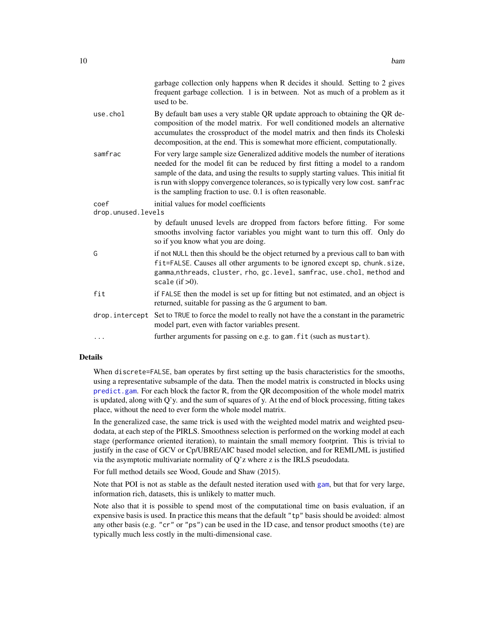|                    | garbage collection only happens when R decides it should. Setting to 2 gives<br>frequent garbage collection. 1 is in between. Not as much of a problem as it<br>used to be.                                                                                                                                                                                                                                |
|--------------------|------------------------------------------------------------------------------------------------------------------------------------------------------------------------------------------------------------------------------------------------------------------------------------------------------------------------------------------------------------------------------------------------------------|
| use.chol           | By default bam uses a very stable QR update approach to obtaining the QR de-<br>composition of the model matrix. For well conditioned models an alternative<br>accumulates the crossproduct of the model matrix and then finds its Choleski<br>decomposition, at the end. This is somewhat more efficient, computationally.                                                                                |
| samfrac            | For very large sample size Generalized additive models the number of iterations<br>needed for the model fit can be reduced by first fitting a model to a random<br>sample of the data, and using the results to supply starting values. This initial fit<br>is run with sloppy convergence tolerances, so is typically very low cost. samfrac<br>is the sampling fraction to use. 0.1 is often reasonable. |
| coef               | initial values for model coefficients                                                                                                                                                                                                                                                                                                                                                                      |
| drop.unused.levels |                                                                                                                                                                                                                                                                                                                                                                                                            |
|                    | by default unused levels are dropped from factors before fitting. For some<br>smooths involving factor variables you might want to turn this off. Only do<br>so if you know what you are doing.                                                                                                                                                                                                            |
| G                  | if not NULL then this should be the object returned by a previous call to bam with<br>fit=FALSE. Causes all other arguments to be ignored except sp, chunk.size,<br>gamma,nthreads, cluster, rho, gc.level, samfrac, use.chol, method and<br>scale $(if > 0)$ .                                                                                                                                            |
| fit                | if FALSE then the model is set up for fitting but not estimated, and an object is<br>returned, suitable for passing as the G argument to bam.                                                                                                                                                                                                                                                              |
| drop.intercept     | Set to TRUE to force the model to really not have the a constant in the parametric<br>model part, even with factor variables present.                                                                                                                                                                                                                                                                      |
| .                  | further arguments for passing on e.g. to gam. fit (such as mustart).                                                                                                                                                                                                                                                                                                                                       |
|                    |                                                                                                                                                                                                                                                                                                                                                                                                            |

#### Details

When discrete=FALSE, bam operates by first setting up the basis characteristics for the smooths, using a representative subsample of the data. Then the model matrix is constructed in blocks using [predict.gam](#page-184-1). For each block the factor R, from the QR decomposition of the whole model matrix is updated, along with Q'y. and the sum of squares of y. At the end of block processing, fitting takes place, without the need to ever form the whole model matrix.

In the generalized case, the same trick is used with the weighted model matrix and weighted pseudodata, at each step of the PIRLS. Smoothness selection is performed on the working model at each stage (performance oriented iteration), to maintain the small memory footprint. This is trivial to justify in the case of GCV or Cp/UBRE/AIC based model selection, and for REML/ML is justified via the asymptotic multivariate normality of Q'z where z is the IRLS pseudodata.

For full method details see Wood, Goude and Shaw (2015).

Note that POI is not as stable as the default nested iteration used with [gam](#page-47-1), but that for very large, information rich, datasets, this is unlikely to matter much.

Note also that it is possible to spend most of the computational time on basis evaluation, if an expensive basis is used. In practice this means that the default "tp" basis should be avoided: almost any other basis (e.g. "cr" or "ps") can be used in the 1D case, and tensor product smooths (te) are typically much less costly in the multi-dimensional case.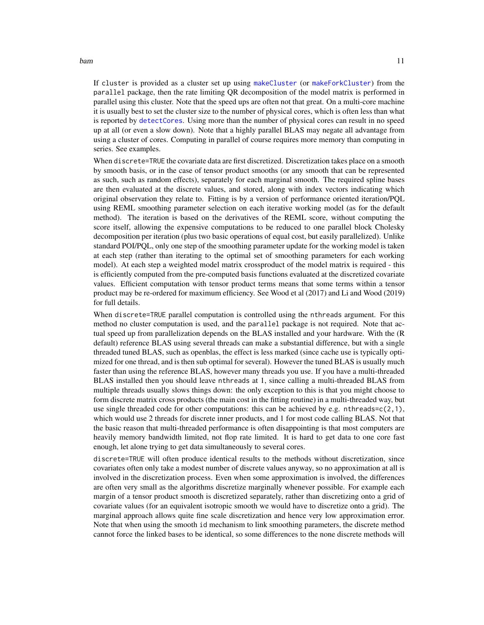If cluster is provided as a cluster set up using [makeCluster](#page-0-0) (or [makeForkCluster](#page-0-0)) from the parallel package, then the rate limiting QR decomposition of the model matrix is performed in parallel using this cluster. Note that the speed ups are often not that great. On a multi-core machine it is usually best to set the cluster size to the number of physical cores, which is often less than what is reported by [detectCores](#page-0-0). Using more than the number of physical cores can result in no speed up at all (or even a slow down). Note that a highly parallel BLAS may negate all advantage from using a cluster of cores. Computing in parallel of course requires more memory than computing in series. See examples.

When discrete=TRUE the covariate data are first discretized. Discretization takes place on a smooth by smooth basis, or in the case of tensor product smooths (or any smooth that can be represented as such, such as random effects), separately for each marginal smooth. The required spline bases are then evaluated at the discrete values, and stored, along with index vectors indicating which original observation they relate to. Fitting is by a version of performance oriented iteration/PQL using REML smoothing parameter selection on each iterative working model (as for the default method). The iteration is based on the derivatives of the REML score, without computing the score itself, allowing the expensive computations to be reduced to one parallel block Cholesky decomposition per iteration (plus two basic operations of equal cost, but easily parallelized). Unlike standard POI/PQL, only one step of the smoothing parameter update for the working model is taken at each step (rather than iterating to the optimal set of smoothing parameters for each working model). At each step a weighted model matrix crossproduct of the model matrix is required - this is efficiently computed from the pre-computed basis functions evaluated at the discretized covariate values. Efficient computation with tensor product terms means that some terms within a tensor product may be re-ordered for maximum efficiency. See Wood et al (2017) and Li and Wood (2019) for full details.

When discrete=TRUE parallel computation is controlled using the nthreads argument. For this method no cluster computation is used, and the parallel package is not required. Note that actual speed up from parallelization depends on the BLAS installed and your hardware. With the (R default) reference BLAS using several threads can make a substantial difference, but with a single threaded tuned BLAS, such as openblas, the effect is less marked (since cache use is typically optimized for one thread, and is then sub optimal for several). However the tuned BLAS is usually much faster than using the reference BLAS, however many threads you use. If you have a multi-threaded BLAS installed then you should leave nthreads at 1, since calling a multi-threaded BLAS from multiple threads usually slows things down: the only exception to this is that you might choose to form discrete matrix cross products (the main cost in the fitting routine) in a multi-threaded way, but use single threaded code for other computations: this can be achieved by e.g. nthreads=c( $2,1$ ), which would use 2 threads for discrete inner products, and 1 for most code calling BLAS. Not that the basic reason that multi-threaded performance is often disappointing is that most computers are heavily memory bandwidth limited, not flop rate limited. It is hard to get data to one core fast enough, let alone trying to get data simultaneously to several cores.

discrete=TRUE will often produce identical results to the methods without discretization, since covariates often only take a modest number of discrete values anyway, so no approximation at all is involved in the discretization process. Even when some approximation is involved, the differences are often very small as the algorithms discretize marginally whenever possible. For example each margin of a tensor product smooth is discretized separately, rather than discretizing onto a grid of covariate values (for an equivalent isotropic smooth we would have to discretize onto a grid). The marginal approach allows quite fine scale discretization and hence very low approximation error. Note that when using the smooth id mechanism to link smoothing parameters, the discrete method cannot force the linked bases to be identical, so some differences to the none discrete methods will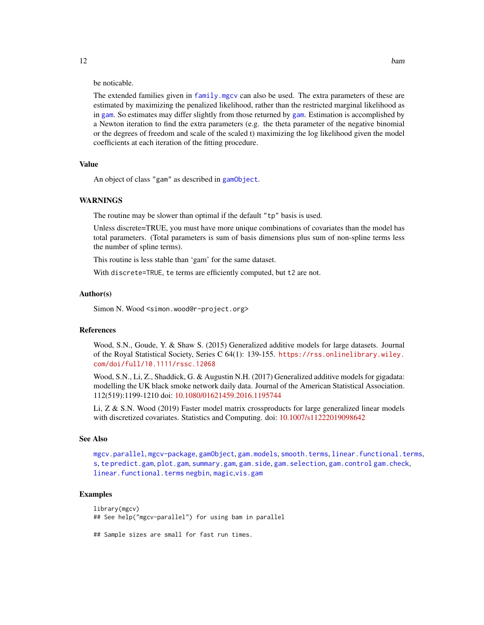be noticable.

The extended families given in [family.mgcv](#page-37-1) can also be used. The extra parameters of these are estimated by maximizing the penalized likelihood, rather than the restricted marginal likelihood as in [gam](#page-47-1). So estimates may differ slightly from those returned by [gam](#page-47-1). Estimation is accomplished by a Newton iteration to find the extra parameters (e.g. the theta parameter of the negative binomial or the degrees of freedom and scale of the scaled t) maximizing the log likelihood given the model coefficients at each iteration of the fitting procedure.

#### Value

An object of class "gam" as described in [gamObject](#page-99-1).

#### WARNINGS

The routine may be slower than optimal if the default "tp" basis is used.

Unless discrete=TRUE, you must have more unique combinations of covariates than the model has total parameters. (Total parameters is sum of basis dimensions plus sum of non-spline terms less the number of spline terms).

This routine is less stable than 'gam' for the same dataset.

With discrete=TRUE, te terms are efficiently computed, but t2 are not.

#### Author(s)

Simon N. Wood <simon.wood@r-project.org>

#### References

Wood, S.N., Goude, Y. & Shaw S. (2015) Generalized additive models for large datasets. Journal of the Royal Statistical Society, Series C 64(1): 139-155. [https://rss.onlinelibrary.wiley.](https://rss.onlinelibrary.wiley.com/doi/full/10.1111/rssc.12068) [com/doi/full/10.1111/rssc.12068](https://rss.onlinelibrary.wiley.com/doi/full/10.1111/rssc.12068)

Wood, S.N., Li, Z., Shaddick, G. & Augustin N.H. (2017) Generalized additive models for gigadata: modelling the UK black smoke network daily data. Journal of the American Statistical Association. 112(519):1199-1210 doi: [10.1080/01621459.2016.1195744](https://doi.org/10.1080/01621459.2016.1195744)

Li, Z & S.N. Wood (2019) Faster model matrix crossproducts for large generalized linear models with discretized covariates. Statistics and Computing. doi: [10.1007/s11222019098642](https://doi.org/10.1007/s11222-019-09864-2)

#### See Also

[mgcv.parallel](#page-145-1), [mgcv-package](#page-143-1), [gamObject](#page-99-1), [gam.models](#page-71-1), [smooth.terms](#page-266-1), [linear.functional.terms](#page-128-1), [s](#page-208-1), [te](#page-287-1) [predict.gam](#page-184-1), [plot.gam](#page-175-1), [summary.gam](#page-278-1), [gam.side](#page-83-1), [gam.selection](#page-80-1), [gam.control](#page-59-1) [gam.check](#page-57-1), [linear.functional.terms](#page-128-1) [negbin](#page-156-1), [magic](#page-135-1),[vis.gam](#page-303-1)

#### Examples

```
library(mgcv)
## See help("mgcv-parallel") for using bam in parallel
## Sample sizes are small for fast run times.
```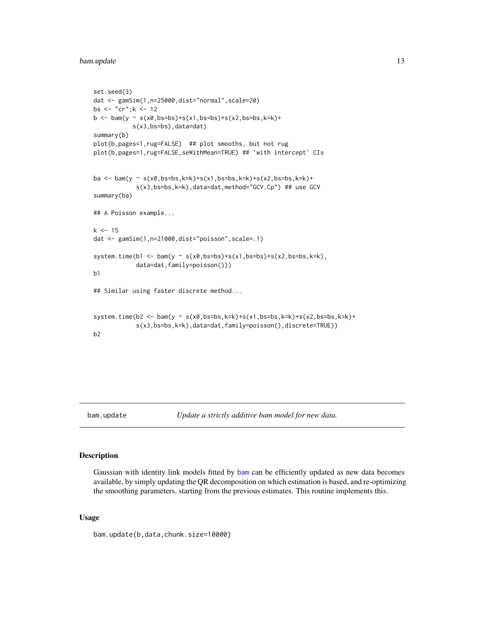#### <span id="page-12-0"></span>bam.update 13

```
set.seed(3)
dat <- gamSim(1,n=25000,dist="normal",scale=20)
bs <- "cr";k <- 12
b \le -\ bam(y \sim s(x0, bs=bs)+s(x1, bs=bs)+s(x2, bs=bs, k=k)+
           s(x3,bs=bs),data=dat)
summary(b)
plot(b,pages=1,rug=FALSE) ## plot smooths, but not rug
plot(b,pages=1,rug=FALSE,seWithMean=TRUE) ## `with intercept' CIs
ba <- bam(y ~ s(x0,bs=bs,k=k)+s(x1,bs=bs,k=k)+s(x2,bs=bs,k=k)+
            s(x3,bs=bs,k=k),data=dat,method="GCV.Cp") ## use GCV
summary(ba)
## A Poisson example...
k < -15dat <- gamSim(1,n=21000,dist="poisson",scale=.1)
system.time(b1 <- bam(y ~ s(x0,bs=bs)+s(x1,bs=bs)+s(x2,bs=bs,k=k),
            data=dat,family=poisson()))
b1
## Similar using faster discrete method...
system.time(b2 <- bam(y ~ s(x0,bs=bs,k=k)+s(x1,bs=bs,k=k)+s(x2,bs=bs,k=k)+
            s(x3,bs=bs,k=k),data=dat,family=poisson(),discrete=TRUE))
b2
```
#### bam.update *Update a strictly additive bam model for new data.*

#### Description

Gaussian with identity link models fitted by [bam](#page-6-1) can be efficiently updated as new data becomes available, by simply updating the QR decomposition on which estimation is based, and re-optimizing the smoothing parameters, starting from the previous estimates. This routine implements this.

#### Usage

bam.update(b,data,chunk.size=10000)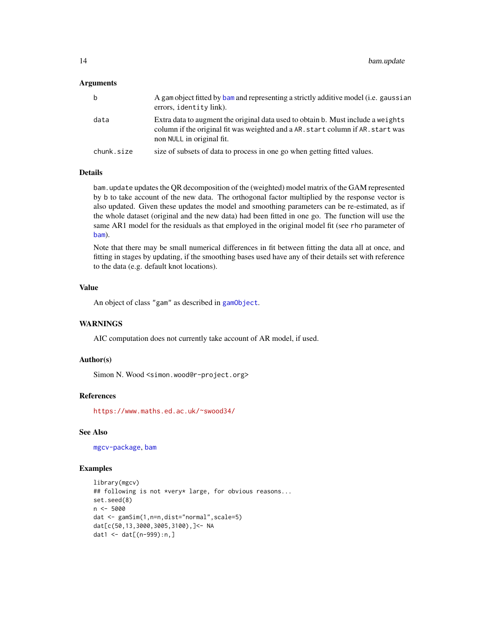#### Arguments

| b          | A gam object fitted by bam and representing a strictly additive model (i.e. gaussian<br>errors, identity link).                                                                                  |
|------------|--------------------------------------------------------------------------------------------------------------------------------------------------------------------------------------------------|
| data       | Extra data to augment the original data used to obtain b. Must include a weights<br>column if the original fit was weighted and a AR, start column if AR, start was<br>non NULL in original fit. |
| chunk.size | size of subsets of data to process in one go when getting fitted values.                                                                                                                         |

#### Details

bam.update updates the QR decomposition of the (weighted) model matrix of the GAM represented by b to take account of the new data. The orthogonal factor multiplied by the response vector is also updated. Given these updates the model and smoothing parameters can be re-estimated, as if the whole dataset (original and the new data) had been fitted in one go. The function will use the same AR1 model for the residuals as that employed in the original model fit (see rho parameter of [bam](#page-6-1)).

Note that there may be small numerical differences in fit between fitting the data all at once, and fitting in stages by updating, if the smoothing bases used have any of their details set with reference to the data (e.g. default knot locations).

#### Value

An object of class "gam" as described in [gamObject](#page-99-1).

#### **WARNINGS**

AIC computation does not currently take account of AR model, if used.

#### Author(s)

Simon N. Wood <simon.wood@r-project.org>

#### References

<https://www.maths.ed.ac.uk/~swood34/>

#### See Also

[mgcv-package](#page-143-1), [bam](#page-6-1)

#### Examples

```
library(mgcv)
## following is not *very* large, for obvious reasons...
set.seed(8)
n < -5000dat <- gamSim(1,n=n,dist="normal",scale=5)
dat[c(50,13,3000,3005,3100),]<- NA
dat1 <- dat[(n-999):n,]
```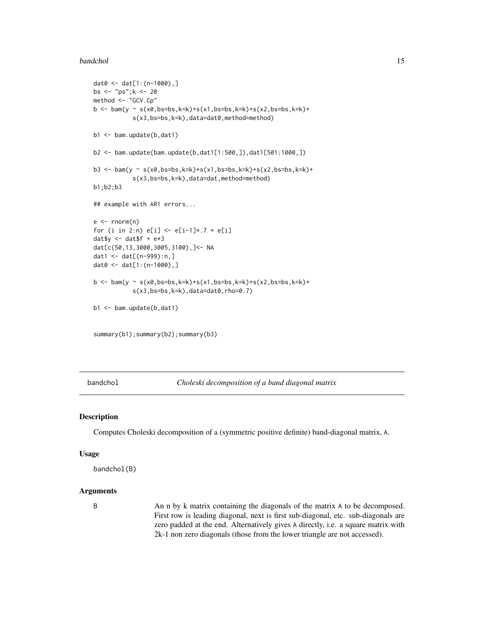#### <span id="page-14-0"></span>bandchol 15

```
dat0 <- dat[1:(n-1000),]
bs <- "ps";k <- 20
method <- "GCV.Cp"
b \le bam(y \sim s(x0,bs=bs,k=k)+s(x1,bs=bs,k=k)+s(x2,bs=bs,k=k)+
           s(x3,bs=bs,k=k),data=dat0,method=method)
b1 <- bam.update(b,dat1)
b2 <- bam.update(bam.update(b,dat1[1:500,]),dat1[501:1000,])
b3 <- bam(y ~ s(x0,bs=bs,k=k)+s(x1,bs=bs,k=k)+s(x2,bs=bs,k=k)+
           s(x3,bs=bs,k=k),data=dat,method=method)
b1;b2;b3
## example with AR1 errors...
e \leq -rnorm(n)for (i in 2:n) e[i] < -e[i-1]*.7 + e[i]daty \le - datf + e \times 3dat[c(50,13,3000,3005,3100),]<- NA
dat1 <- dat[(n-999):n,]
dat0 <- dat[1:(n-1000),]
b <- bam(y ~ s(x0,bs=bs,k=k)+s(x1,bs=bs,k=k)+s(x2,bs=bs,k=k)+
           s(x3,bs=bs,k=k),data=dat0,rho=0.7)
b1 <- bam.update(b,dat1)
summary(b1);summary(b2);summary(b3)
```
bandchol *Choleski decomposition of a band diagonal matrix*

#### Description

Computes Choleski decomposition of a (symmetric positive definite) band-diagonal matrix, A.

#### Usage

bandchol(B)

#### Arguments

B An n by k matrix containing the diagonals of the matrix A to be decomposed. First row is leading diagonal, next is first sub-diagonal, etc. sub-diagonals are zero padded at the end. Alternatively gives A directly, i.e. a square matrix with 2k-1 non zero diagonals (those from the lower triangle are not accessed).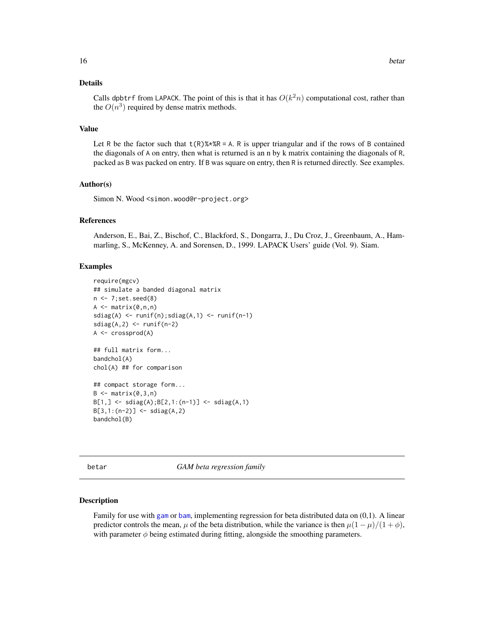#### <span id="page-15-0"></span>Details

Calls dpbtrf from LAPACK. The point of this is that it has  $O(k^2n)$  computational cost, rather than the  $O(n^3)$  required by dense matrix methods.

#### Value

Let R be the factor such that  $t(R)$ %\*%R = A. R is upper triangular and if the rows of B contained the diagonals of A on entry, then what is returned is an n by k matrix containing the diagonals of R, packed as B was packed on entry. If B was square on entry, then R is returned directly. See examples.

#### Author(s)

Simon N. Wood <simon.wood@r-project.org>

#### References

Anderson, E., Bai, Z., Bischof, C., Blackford, S., Dongarra, J., Du Croz, J., Greenbaum, A., Hammarling, S., McKenney, A. and Sorensen, D., 1999. LAPACK Users' guide (Vol. 9). Siam.

#### Examples

```
require(mgcv)
## simulate a banded diagonal matrix
n \leftarrow 7; set.seed(8)
A \leftarrow matrix(0, n, n)sdiag(A) <- runif(n);sdiag(A,1) <- runif(n-1)sdiag(A,2) \leftarrow runif(n-2)A <- crossprod(A)
## full matrix form...
bandchol(A)
chol(A) ## for comparison
## compact storage form...
B \leq - matrix(0, 3, n)B[1, ] \leftarrow sdiag(A);B[2, 1:(n-1)] \leftarrow sdiag(A,1)
B[3,1:(n-2)] \leftarrow sdiag(A,2)
bandchol(B)
```
betar *GAM beta regression family*

#### Description

Family for use with [gam](#page-47-1) or [bam](#page-6-1), implementing regression for beta distributed data on (0,1). A linear predictor controls the mean,  $\mu$  of the beta distribution, while the variance is then  $\mu(1 - \mu)/(1 + \phi)$ , with parameter  $\phi$  being estimated during fitting, alongside the smoothing parameters.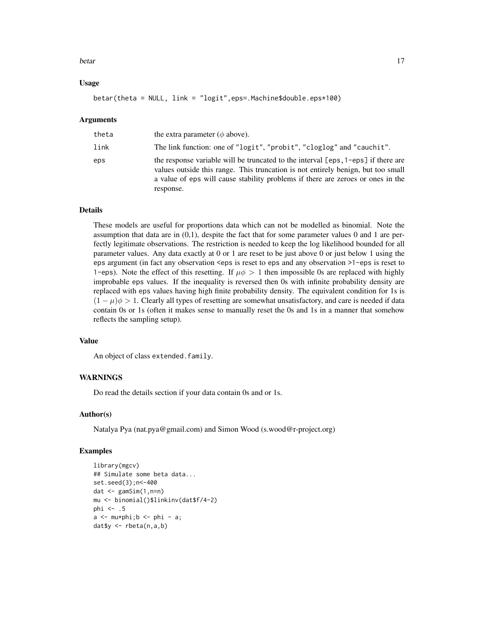#### betar 17

#### Usage

betar(theta = NULL, link = "logit",eps=.Machine\$double.eps\*100)

#### Arguments

| theta | the extra parameter ( $\phi$ above).                                                                                                                                                                                                                                  |
|-------|-----------------------------------------------------------------------------------------------------------------------------------------------------------------------------------------------------------------------------------------------------------------------|
| link  | The link function: one of "logit", "probit", "cloglog" and "cauchit".                                                                                                                                                                                                 |
| eps   | the response variable will be truncated to the interval [eps, 1-eps] if there are<br>values outside this range. This truncation is not entirely benign, but too small<br>a value of eps will cause stability problems if there are zeroes or ones in the<br>response. |

#### Details

These models are useful for proportions data which can not be modelled as binomial. Note the assumption that data are in (0,1), despite the fact that for some parameter values 0 and 1 are perfectly legitimate observations. The restriction is needed to keep the log likelihood bounded for all parameter values. Any data exactly at 0 or 1 are reset to be just above 0 or just below 1 using the eps argument (in fact any observation <eps is reset to eps and any observation >1-eps is reset to 1-eps). Note the effect of this resetting. If  $\mu \phi > 1$  then impossible 0s are replaced with highly improbable eps values. If the inequality is reversed then 0s with infinite probability density are replaced with eps values having high finite probability density. The equivalent condition for 1s is  $(1 - \mu)\phi > 1$ . Clearly all types of resetting are somewhat unsatisfactory, and care is needed if data contain 0s or 1s (often it makes sense to manually reset the 0s and 1s in a manner that somehow reflects the sampling setup).

#### Value

An object of class extended.family.

#### **WARNINGS**

Do read the details section if your data contain 0s and or 1s.

#### Author(s)

Natalya Pya (nat.pya@gmail.com) and Simon Wood (s.wood@r-project.org)

#### Examples

```
library(mgcv)
## Simulate some beta data...
set.seed(3);n<-400
dat <- gamSim(1,n=n)
mu <- binomial()$linkinv(dat$f/4-2)
phi <- .5
a \leq -mu*phi;b \leq -phi - a;
dat$y <- rbeta(n,a,b)
```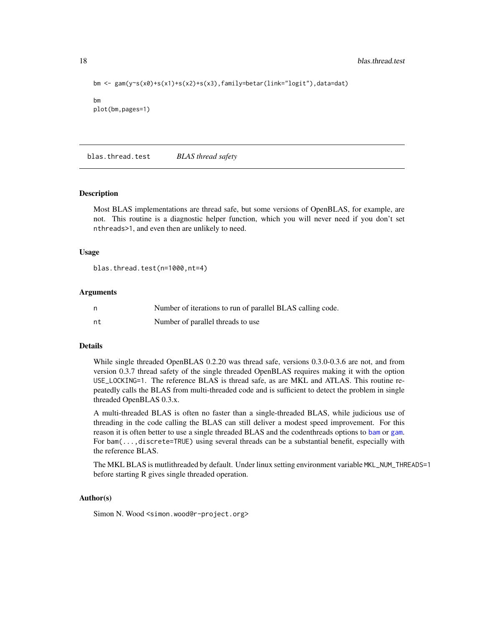<span id="page-17-0"></span>18 blas.thread.test

```
bm <- gam(y~s(x0)+s(x1)+s(x2)+s(x3),family=betar(link="logit"),data=dat)
bm
plot(bm,pages=1)
```
blas.thread.test *BLAS thread safety*

#### Description

Most BLAS implementations are thread safe, but some versions of OpenBLAS, for example, are not. This routine is a diagnostic helper function, which you will never need if you don't set nthreads>1, and even then are unlikely to need.

#### Usage

```
blas.thread.test(n=1000,nt=4)
```
#### **Arguments**

| - n | Number of iterations to run of parallel BLAS calling code. |
|-----|------------------------------------------------------------|
| nt  | Number of parallel threads to use                          |

#### Details

While single threaded OpenBLAS 0.2.20 was thread safe, versions 0.3.0-0.3.6 are not, and from version 0.3.7 thread safety of the single threaded OpenBLAS requires making it with the option USE\_LOCKING=1. The reference BLAS is thread safe, as are MKL and ATLAS. This routine repeatedly calls the BLAS from multi-threaded code and is sufficient to detect the problem in single threaded OpenBLAS 0.3.x.

A multi-threaded BLAS is often no faster than a single-threaded BLAS, while judicious use of threading in the code calling the BLAS can still deliver a modest speed improvement. For this reason it is often better to use a single threaded BLAS and the codenthreads options to [bam](#page-6-1) or [gam](#page-47-1). For bam(...,discrete=TRUE) using several threads can be a substantial benefit, especially with the reference BLAS.

The MKL BLAS is mutlithreaded by default. Under linux setting environment variable MKL\_NUM\_THREADS=1 before starting R gives single threaded operation.

#### Author(s)

Simon N. Wood <simon.wood@r-project.org>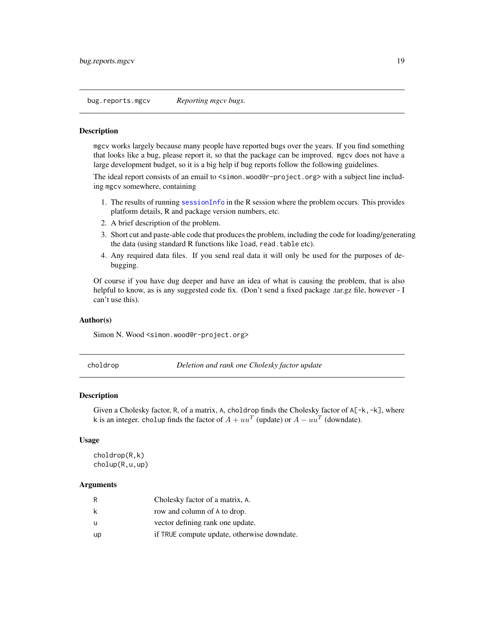<span id="page-18-0"></span>bug.reports.mgcv *Reporting mgcv bugs.*

#### **Description**

mgcv works largely because many people have reported bugs over the years. If you find something that looks like a bug, please report it, so that the package can be improved. mgcv does not have a large development budget, so it is a big help if bug reports follow the following guidelines.

The ideal report consists of an email to <simon.wood@r-project.org> with a subject line including mgcv somewhere, containing

- 1. The results of running [sessionInfo](#page-0-0) in the R session where the problem occurs. This provides platform details, R and package version numbers, etc.
- 2. A brief description of the problem.
- 3. Short cut and paste-able code that produces the problem, including the code for loading/generating the data (using standard R functions like load, read.table etc).
- 4. Any required data files. If you send real data it will only be used for the purposes of debugging.

Of course if you have dug deeper and have an idea of what is causing the problem, that is also helpful to know, as is any suggested code fix. (Don't send a fixed package .tar.gz file, however - I can't use this).

#### Author(s)

Simon N. Wood <simon.wood@r-project.org>

choldrop *Deletion and rank one Cholesky factor update*

#### Description

Given a Cholesky factor, R, of a matrix, A, choldrop finds the Cholesky factor of  $A[-k,-k]$ , where k is an integer. cholup finds the factor of  $A + uu^T$  (update) or  $A - uu^T$  (downdate).

#### Usage

```
choldrop(R,k)
cholup(R,u,up)
```
#### Arguments

| R  | Cholesky factor of a matrix, A.             |
|----|---------------------------------------------|
| k  | row and column of A to drop.                |
| u  | vector defining rank one update.            |
| up | if TRUE compute update, otherwise downdate. |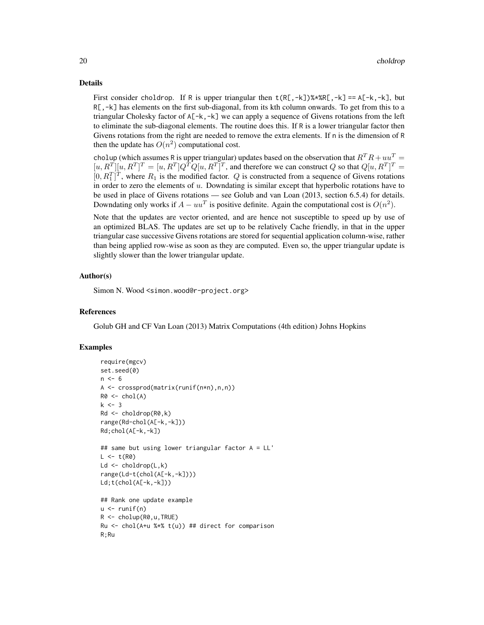#### Details

First consider choldrop. If R is upper triangular then  $t(R[, -k])$ %\* $R[, -k] == A[-k, -k]$ , but R[,-k] has elements on the first sub-diagonal, from its kth column onwards. To get from this to a triangular Cholesky factor of  $A[-k,-k]$  we can apply a sequence of Givens rotations from the left to eliminate the sub-diagonal elements. The routine does this. If R is a lower triangular factor then Givens rotations from the right are needed to remove the extra elements. If n is the dimension of R then the update has  $O(n^2)$  computational cost.

cholup (which assumes R is upper triangular) updates based on the observation that  $R^T R + u u^T =$  $[u, R^T][u, R^T]^T = [u, R^T]Q^TQ[u, R^T]^T$ , and therefore we can construct Q so that  $Q[u, R^T]^T =$  $[0, R_1^T]^T$ , where  $R_1$  is the modified factor. Q is constructed from a sequence of Givens rotations in order to zero the elements of  $u$ . Downdating is similar except that hyperbolic rotations have to be used in place of Givens rotations — see Golub and van Loan (2013, section 6.5.4) for details. Downdating only works if  $A - uu^T$  is positive definite. Again the computational cost is  $O(n^2)$ .

Note that the updates are vector oriented, and are hence not susceptible to speed up by use of an optimized BLAS. The updates are set up to be relatively Cache friendly, in that in the upper triangular case successive Givens rotations are stored for sequential application column-wise, rather than being applied row-wise as soon as they are computed. Even so, the upper triangular update is slightly slower than the lower triangular update.

#### Author(s)

Simon N. Wood <simon.wood@r-project.org>

#### References

Golub GH and CF Van Loan (2013) Matrix Computations (4th edition) Johns Hopkins

#### Examples

```
require(mgcv)
set.seed(0)
n < -6A <- crossprod(matrix(runif(n*n),n,n))
R0 \leq - \text{chol}(A)k < -3Rd <- choldrop(R0,k)
range(Rd-chol(A[-k,-k]))
Rd;chol(A[-k,-k])
## same but using lower triangular factor A = LL'
L < -t(R0)Ld \leq choldrop(L,k)
range(Ld-t(chol(A[-k,-k])))
Ld;t(chol(A[-k,-k]))
## Rank one update example
u \leftarrow runif(n)R \le - cholup(R\emptyset, u, TRUE)
Ru <- chol(A+u %*% t(u)) ## direct for comparison
R;Ru
```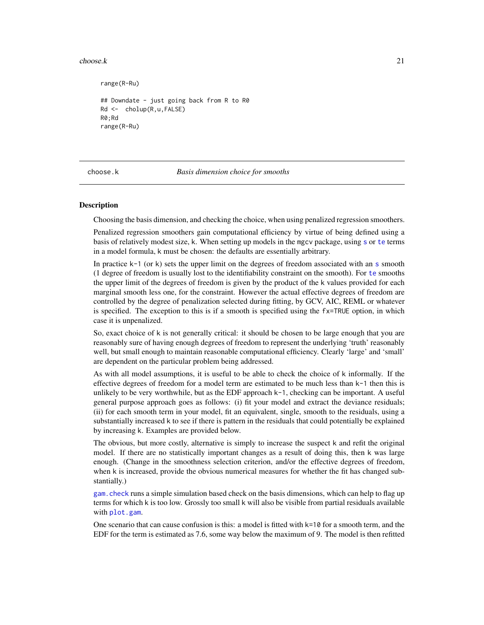#### <span id="page-20-0"></span> $choose k$  21

range(R-Ru) ## Downdate - just going back from R to R0 Rd <- cholup(R,u,FALSE) R0;Rd range(R-Ru)

choose.k *Basis dimension choice for smooths*

#### Description

Choosing the basis dimension, and checking the choice, when using penalized regression smoothers.

Penalized regression smoothers gain computational efficiency by virtue of being defined using a basis of relatively modest size, k. When setting up models in the mgcv package, using [s](#page-208-1) or [te](#page-287-1) terms in a model formula, k must be chosen: the defaults are essentially arbitrary.

In practice  $k-1$  (or k) [s](#page-208-1)ets the upper limit on the degrees of freedom associated with an  $s$  smooth (1 degree of freedom is usually lost to the identifiability constraint on the smooth). For [te](#page-287-1) smooths the upper limit of the degrees of freedom is given by the product of the k values provided for each marginal smooth less one, for the constraint. However the actual effective degrees of freedom are controlled by the degree of penalization selected during fitting, by GCV, AIC, REML or whatever is specified. The exception to this is if a smooth is specified using the fx=TRUE option, in which case it is unpenalized.

So, exact choice of k is not generally critical: it should be chosen to be large enough that you are reasonably sure of having enough degrees of freedom to represent the underlying 'truth' reasonably well, but small enough to maintain reasonable computational efficiency. Clearly 'large' and 'small' are dependent on the particular problem being addressed.

As with all model assumptions, it is useful to be able to check the choice of k informally. If the effective degrees of freedom for a model term are estimated to be much less than k-1 then this is unlikely to be very worthwhile, but as the EDF approach k-1, checking can be important. A useful general purpose approach goes as follows: (i) fit your model and extract the deviance residuals; (ii) for each smooth term in your model, fit an equivalent, single, smooth to the residuals, using a substantially increased k to see if there is pattern in the residuals that could potentially be explained by increasing k. Examples are provided below.

The obvious, but more costly, alternative is simply to increase the suspect k and refit the original model. If there are no statistically important changes as a result of doing this, then k was large enough. (Change in the smoothness selection criterion, and/or the effective degrees of freedom, when k is increased, provide the obvious numerical measures for whether the fit has changed substantially.)

[gam.check](#page-57-1) runs a simple simulation based check on the basis dimensions, which can help to flag up terms for which k is too low. Grossly too small k will also be visible from partial residuals available with [plot.gam](#page-175-1).

One scenario that can cause confusion is this: a model is fitted with  $k=10$  for a smooth term, and the EDF for the term is estimated as 7.6, some way below the maximum of 9. The model is then refitted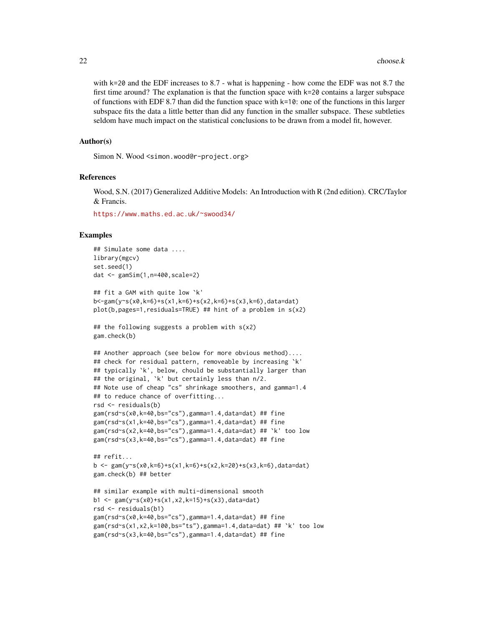with k=20 and the EDF increases to 8.7 - what is happening - how come the EDF was not 8.7 the first time around? The explanation is that the function space with  $k=20$  contains a larger subspace of functions with EDF 8.7 than did the function space with  $k=10$ : one of the functions in this larger subspace fits the data a little better than did any function in the smaller subspace. These subtleties seldom have much impact on the statistical conclusions to be drawn from a model fit, however.

#### Author(s)

Simon N. Wood <simon.wood@r-project.org>

#### References

Wood, S.N. (2017) Generalized Additive Models: An Introduction with R (2nd edition). CRC/Taylor & Francis.

<https://www.maths.ed.ac.uk/~swood34/>

#### Examples

```
## Simulate some data ....
library(mgcv)
set.seed(1)
dat <- gamSim(1,n=400,scale=2)
## fit a GAM with quite low `k'
b<-gam(y~s(x0,k=6)+s(x1,k=6)+s(x2,k=6)+s(x3,k=6),data=dat)
plot(b,pages=1,residuals=TRUE) ## hint of a problem in s(x2)
## the following suggests a problem with s(x2)
gam.check(b)
## Another approach (see below for more obvious method)....
## check for residual pattern, removeable by increasing `k'
## typically `k', below, chould be substantially larger than
## the original, `k' but certainly less than n/2.
## Note use of cheap "cs" shrinkage smoothers, and gamma=1.4
## to reduce chance of overfitting...
rsd <- residuals(b)
gam(rsd~s(x0,k=40,bs="cs"),gamma=1.4,data=dat) ## fine
gam(rsd~s(x1,k=40,bs="cs"),gamma=1.4,data=dat) ## fine
gam(rsd~s(x2,k=40,bs="cs"),gamma=1.4,data=dat) ## `k' too low
gam(rsd~s(x3,k=40,bs="cs"),gamma=1.4,data=dat) ## fine
## refit...
b <- gam(y~s(x0,k=6)+s(x1,k=6)+s(x2,k=20)+s(x3,k=6),data=dat)
gam.check(b) ## better
## similar example with multi-dimensional smooth
b1 <- gam(y~s(x0)+s(x1,x2,k=15)+s(x3),data=dat)
rsd <- residuals(b1)
gam(rsd~s(x0,k=40,bs="cs"),gamma=1.4,data=dat) ## fine
gam(rsd~s(x1,x2,k=100,bs="ts"),gamma=1.4,data=dat) ## `k' too low
gam(rsd~s(x3,k=40,bs="cs"),gamma=1.4,data=dat) ## fine
```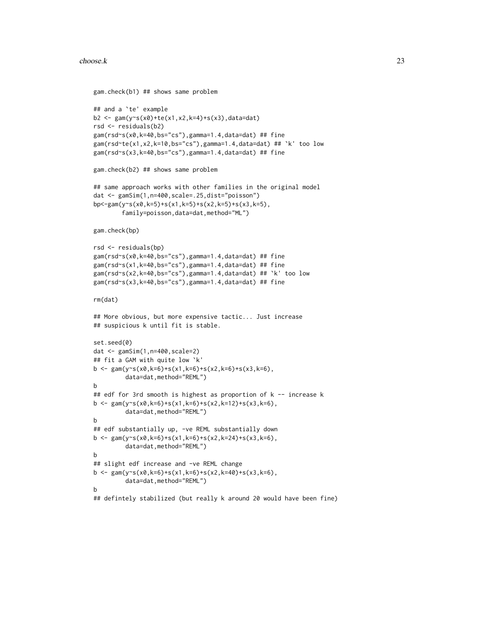#### $choose.k$  23

```
gam.check(b1) ## shows same problem
## and a `te' example
b2 <- gam(y~s(x0)+te(x1,x2,k=4)+s(x3),data=dat)
rsd <- residuals(b2)
gam(rsd~s(x0,k=40,bs="cs"),gamma=1.4,data=dat) ## fine
gam(rsd~te(x1,x2,k=10,bs="cs"),gamma=1.4,data=dat) ## `k' too low
gam(rsd~s(x3,k=40,bs="cs"),gamma=1.4,data=dat) ## fine
gam.check(b2) ## shows same problem
## same approach works with other families in the original model
dat <- gamSim(1,n=400,scale=.25,dist="poisson")
bp<-gam(y~s(x0,k=5)+s(x1,k=5)+s(x2,k=5)+s(x3,k=5),
        family=poisson,data=dat,method="ML")
gam.check(bp)
rsd <- residuals(bp)
gam(rsd~s(x0,k=40,bs="cs"),gamma=1.4,data=dat) ## fine
gam(rsd~s(x1,k=40,bs="cs"),gamma=1.4,data=dat) ## fine
gam(rsd~s(x2,k=40,bs="cs"),gamma=1.4,data=dat) ## `k' too low
gam(rsd~s(x3,k=40,bs="cs"),gamma=1.4,data=dat) ## fine
rm(dat)
## More obvious, but more expensive tactic... Just increase
## suspicious k until fit is stable.
set.seed(0)
dat <- gamSim(1,n=400,scale=2)
## fit a GAM with quite low `k'
b \leq gam(y~s(x0,k=6)+s(x1,k=6)+s(x2,k=6)+s(x3,k=6),
         data=dat,method="REML")
b
## edf for 3rd smooth is highest as proportion of k -- increase k
b <- gam(y~s(x0,k=6)+s(x1,k=6)+s(x2,k=12)+s(x3,k=6),
         data=dat,method="REML")
b
## edf substantially up, -ve REML substantially down
b <- gam(y~s(x0,k=6)+s(x1,k=6)+s(x2,k=24)+s(x3,k=6),
         data=dat,method="REML")
b
## slight edf increase and -ve REML change
b \leq gam(y~s(x0,k=6)+s(x1,k=6)+s(x2,k=40)+s(x3,k=6),
         data=dat,method="REML")
b
## defintely stabilized (but really k around 20 would have been fine)
```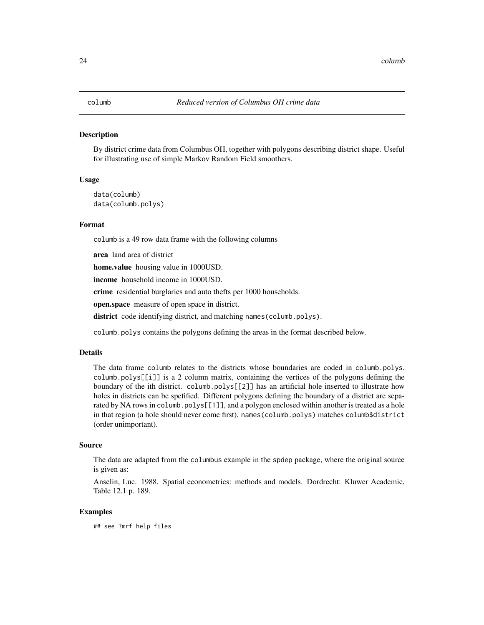#### <span id="page-23-0"></span>Description

By district crime data from Columbus OH, together with polygons describing district shape. Useful for illustrating use of simple Markov Random Field smoothers.

#### Usage

```
data(columb)
data(columb.polys)
```
#### Format

columb is a 49 row data frame with the following columns

area land area of district

home.value housing value in 1000USD.

income household income in 1000USD.

crime residential burglaries and auto thefts per 1000 households.

open.space measure of open space in district.

district code identifying district, and matching names (columb.polys).

columb.polys contains the polygons defining the areas in the format described below.

#### Details

The data frame columb relates to the districts whose boundaries are coded in columb.polys. columb.polys[[i]] is a 2 column matrix, containing the vertices of the polygons defining the boundary of the ith district. columb.polys[[2]] has an artificial hole inserted to illustrate how holes in districts can be spefified. Different polygons defining the boundary of a district are separated by NA rows in columb.polys[[1]], and a polygon enclosed within another is treated as a hole in that region (a hole should never come first). names(columb.polys) matches columb\$district (order unimportant).

#### Source

The data are adapted from the columbus example in the spdep package, where the original source is given as:

Anselin, Luc. 1988. Spatial econometrics: methods and models. Dordrecht: Kluwer Academic, Table 12.1 p. 189.

#### Examples

## see ?mrf help files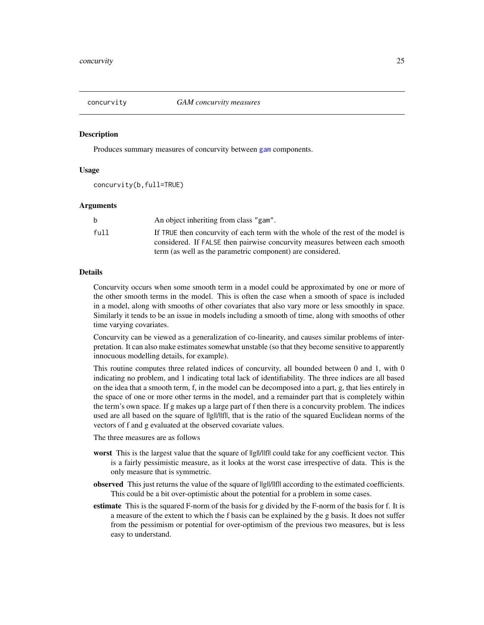<span id="page-24-0"></span>

#### Description

Produces summary measures of concurvity between [gam](#page-47-1) components.

#### Usage

concurvity(b,full=TRUE)

#### Arguments

|      | An object inheriting from class "gam".                                          |
|------|---------------------------------------------------------------------------------|
| full | If TRUE then concurvity of each term with the whole of the rest of the model is |
|      | considered. If FALSE then pairwise concurvity measures between each smooth      |
|      | term (as well as the parametric component) are considered.                      |

#### Details

Concurvity occurs when some smooth term in a model could be approximated by one or more of the other smooth terms in the model. This is often the case when a smooth of space is included in a model, along with smooths of other covariates that also vary more or less smoothly in space. Similarly it tends to be an issue in models including a smooth of time, along with smooths of other time varying covariates.

Concurvity can be viewed as a generalization of co-linearity, and causes similar problems of interpretation. It can also make estimates somewhat unstable (so that they become sensitive to apparently innocuous modelling details, for example).

This routine computes three related indices of concurvity, all bounded between 0 and 1, with 0 indicating no problem, and 1 indicating total lack of identifiability. The three indices are all based on the idea that a smooth term, f, in the model can be decomposed into a part, g, that lies entirely in the space of one or more other terms in the model, and a remainder part that is completely within the term's own space. If g makes up a large part of f then there is a concurvity problem. The indices used are all based on the square of ||g||/||f||, that is the ratio of the squared Euclidean norms of the vectors of f and g evaluated at the observed covariate values.

The three measures are as follows

- worst This is the largest value that the square of  $\frac{||g||}{||f||}$  could take for any coefficient vector. This is a fairly pessimistic measure, as it looks at the worst case irrespective of data. This is the only measure that is symmetric.
- observed This just returns the value of the square of ||g||/||f|| according to the estimated coefficients. This could be a bit over-optimistic about the potential for a problem in some cases.
- estimate This is the squared F-norm of the basis for g divided by the F-norm of the basis for f. It is a measure of the extent to which the f basis can be explained by the g basis. It does not suffer from the pessimism or potential for over-optimism of the previous two measures, but is less easy to understand.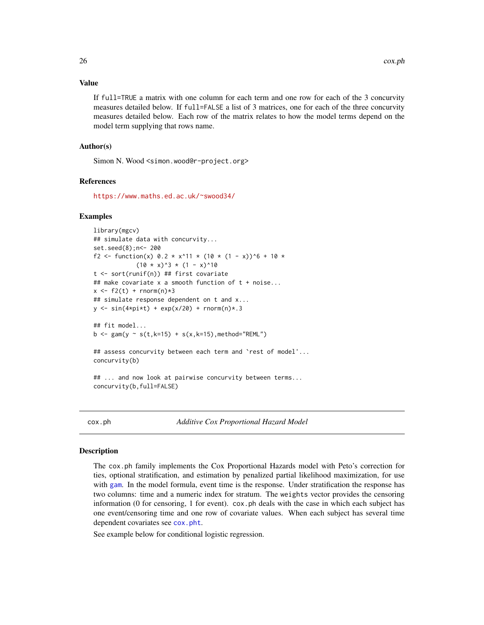#### <span id="page-25-0"></span>Value

If full=TRUE a matrix with one column for each term and one row for each of the 3 concurvity measures detailed below. If full=FALSE a list of 3 matrices, one for each of the three concurvity measures detailed below. Each row of the matrix relates to how the model terms depend on the model term supplying that rows name.

#### Author(s)

Simon N. Wood <simon.wood@r-project.org>

#### References

<https://www.maths.ed.ac.uk/~swood34/>

#### Examples

```
library(mgcv)
## simulate data with concurvity...
set.seed(8);n<- 200
f2 <- function(x) 0.2 \times x^11 \times (10 \times (1 - x))^6 + 10 \times(10 * x)^3 * (1 - x)^10t <- sort(runif(n)) ## first covariate
## make covariate x a smooth function of t + noise...
x \le f2(t) + \text{norm}(n) * 3## simulate response dependent on t and x...
y \le -\sin(4\pi i) + \exp(x/20) + \text{norm}(n) * .3## fit model...
b \leq gam(y \sim s(t,k=15) + s(x,k=15),method="REML")
## assess concurvity between each term and 'rest of model'...
concurvity(b)
## ... and now look at pairwise concurvity between terms...
concurvity(b,full=FALSE)
```
<span id="page-25-1"></span>cox.ph *Additive Cox Proportional Hazard Model*

#### Description

The cox.ph family implements the Cox Proportional Hazards model with Peto's correction for ties, optional stratification, and estimation by penalized partial likelihood maximization, for use with [gam](#page-47-1). In the model formula, event time is the response. Under stratification the response has two columns: time and a numeric index for stratum. The weights vector provides the censoring information (0 for censoring, 1 for event). cox.ph deals with the case in which each subject has one event/censoring time and one row of covariate values. When each subject has several time dependent covariates see [cox.pht](#page-30-1).

See example below for conditional logistic regression.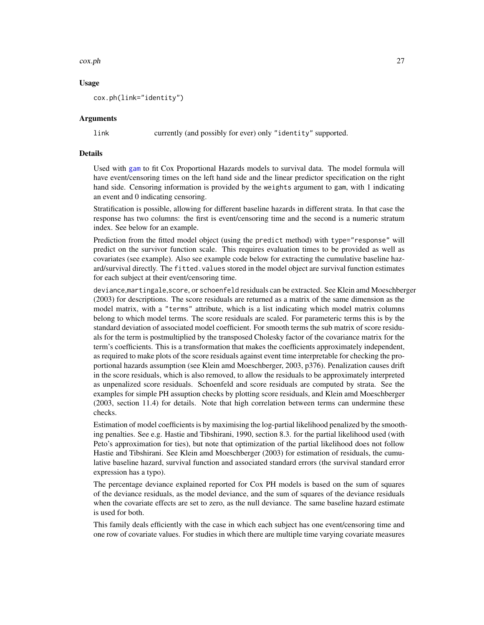#### cox.ph 27

#### Usage

cox.ph(link="identity")

#### Arguments

link currently (and possibly for ever) only "identity" supported.

#### Details

Used with [gam](#page-47-1) to fit Cox Proportional Hazards models to survival data. The model formula will have event/censoring times on the left hand side and the linear predictor specification on the right hand side. Censoring information is provided by the weights argument to gam, with 1 indicating an event and 0 indicating censoring.

Stratification is possible, allowing for different baseline hazards in different strata. In that case the response has two columns: the first is event/censoring time and the second is a numeric stratum index. See below for an example.

Prediction from the fitted model object (using the predict method) with type="response" will predict on the survivor function scale. This requires evaluation times to be provided as well as covariates (see example). Also see example code below for extracting the cumulative baseline hazard/survival directly. The fitted.values stored in the model object are survival function estimates for each subject at their event/censoring time.

deviance,martingale,score, or schoenfeld residuals can be extracted. See Klein amd Moeschberger (2003) for descriptions. The score residuals are returned as a matrix of the same dimension as the model matrix, with a "terms" attribute, which is a list indicating which model matrix columns belong to which model terms. The score residuals are scaled. For parameteric terms this is by the standard deviation of associated model coefficient. For smooth terms the sub matrix of score residuals for the term is postmultiplied by the transposed Cholesky factor of the covariance matrix for the term's coefficients. This is a transformation that makes the coefficients approximately independent, as required to make plots of the score residuals against event time interpretable for checking the proportional hazards assumption (see Klein amd Moeschberger, 2003, p376). Penalization causes drift in the score residuals, which is also removed, to allow the residuals to be approximately interpreted as unpenalized score residuals. Schoenfeld and score residuals are computed by strata. See the examples for simple PH assuption checks by plotting score residuals, and Klein amd Moeschberger (2003, section 11.4) for details. Note that high correlation between terms can undermine these checks.

Estimation of model coefficients is by maximising the log-partial likelihood penalized by the smoothing penalties. See e.g. Hastie and Tibshirani, 1990, section 8.3. for the partial likelihood used (with Peto's approximation for ties), but note that optimization of the partial likelihood does not follow Hastie and Tibshirani. See Klein amd Moeschberger (2003) for estimation of residuals, the cumulative baseline hazard, survival function and associated standard errors (the survival standard error expression has a typo).

The percentage deviance explained reported for Cox PH models is based on the sum of squares of the deviance residuals, as the model deviance, and the sum of squares of the deviance residuals when the covariate effects are set to zero, as the null deviance. The same baseline hazard estimate is used for both.

This family deals efficiently with the case in which each subject has one event/censoring time and one row of covariate values. For studies in which there are multiple time varying covariate measures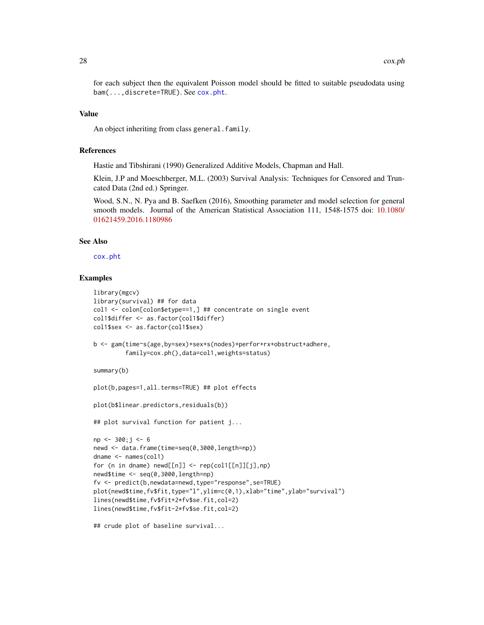for each subject then the equivalent Poisson model should be fitted to suitable pseudodata using bam(...,discrete=TRUE). See [cox.pht](#page-30-1).

#### Value

An object inheriting from class general.family.

#### References

Hastie and Tibshirani (1990) Generalized Additive Models, Chapman and Hall.

Klein, J.P and Moeschberger, M.L. (2003) Survival Analysis: Techniques for Censored and Truncated Data (2nd ed.) Springer.

Wood, S.N., N. Pya and B. Saefken (2016), Smoothing parameter and model selection for general smooth models. Journal of the American Statistical Association 111, 1548-1575 doi: [10.1080/](https://doi.org/10.1080/01621459.2016.1180986) [01621459.2016.1180986](https://doi.org/10.1080/01621459.2016.1180986)

#### See Also

[cox.pht](#page-30-1)

#### Examples

```
library(mgcv)
library(survival) ## for data
col1 <- colon[colon$etype==1,] ## concentrate on single event
col1$differ <- as.factor(col1$differ)
col1$sex <- as.factor(col1$sex)
b <- gam(time~s(age,by=sex)+sex+s(nodes)+perfor+rx+obstruct+adhere,
         family=cox.ph(),data=col1,weights=status)
summary(b)
plot(b,pages=1,all.terms=TRUE) ## plot effects
plot(b$linear.predictors,residuals(b))
## plot survival function for patient j...
np <- 300;j <- 6
newd <- data.frame(time=seq(0,3000,length=np))
dname <- names(col1)
for (n in dname) newd[[n]] \leftarrow rep(col1[[n]][j], np)newd$time <- seq(0,3000,length=np)
```
fv <- predict(b,newdata=newd,type="response",se=TRUE) plot(newd\$time,fv\$fit,type="l",ylim=c(0,1),xlab="time",ylab="survival") lines(newd\$time,fv\$fit+2\*fv\$se.fit,col=2) lines(newd\$time,fv\$fit-2\*fv\$se.fit,col=2)

```
## crude plot of baseline survival...
```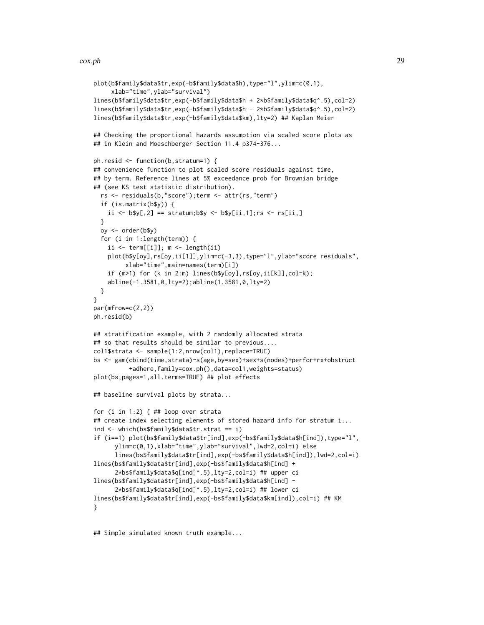#### cox.ph 29

```
plot(b$family$data$tr,exp(-b$family$data$h),type="l",ylim=c(0,1),
     xlab="time",ylab="survival")
lines(b$family$data$tr,exp(-b$family$data$h + 2*b$family$data$q^.5),col=2)
lines(b$family$data$tr,exp(-b$family$data$h - 2*b$family$data$q^.5),col=2)
lines(b$family$data$tr,exp(-b$family$data$km),lty=2) ## Kaplan Meier
## Checking the proportional hazards assumption via scaled score plots as
## in Klein and Moeschberger Section 11.4 p374-376...
ph.resid <- function(b,stratum=1) {
## convenience function to plot scaled score residuals against time,
## by term. Reference lines at 5% exceedance prob for Brownian bridge
## (see KS test statistic distribution).
 rs <- residuals(b,"score");term <- attr(rs,"term")
 if (is.matrix(b$y)) {
    ii \leq b$y[,2] == stratum;b$y \leq b$y[ii,1];rs \leq rs[ii,]
 }
 oy <- order(b$y)
 for (i in 1:length(term)) {
    ii \le term[[i]]; m \le length(ii)
   plot(b$y[oy],rs[oy,ii[1]],ylim=c(-3,3),type="l",ylab="score residuals",
         xlab="time",main=names(term)[i])
    if (m>1) for (k in 2:m) lines(b$y[oy],rs[oy,ii[k]],col=k);
    abline(-1.3581,0,lty=2);abline(1.3581,0,lty=2)
 }
}
par(mfrow=c(2,2))
ph.resid(b)
## stratification example, with 2 randomly allocated strata
## so that results should be similar to previous....
col1$strata <- sample(1:2,nrow(col1),replace=TRUE)
bs <- gam(cbind(time,strata)~s(age,by=sex)+sex+s(nodes)+perfor+rx+obstruct
          +adhere,family=cox.ph(),data=col1,weights=status)
plot(bs,pages=1,all.terms=TRUE) ## plot effects
## baseline survival plots by strata...
for (i in 1:2) \{ #H loop over strata
## create index selecting elements of stored hazard info for stratum i...
ind <- which(bs$family$data$tr.strat == i)
if (i==1) plot(bs$family$data$tr[ind],exp(-bs$family$data$h[ind]),type="l",
      ylim=c(0,1),xlab="time",ylab="survival",lwd=2,col=i) else
      lines(bs$family$data$tr[ind],exp(-bs$family$data$h[ind]),lwd=2,col=i)
lines(bs$family$data$tr[ind],exp(-bs$family$data$h[ind] +
      2*bs$family$data$q[ind]^.5),lty=2,col=i) ## upper ci
lines(bs$family$data$tr[ind],exp(-bs$family$data$h[ind] -
      2*bs$family$data$q[ind]^.5),lty=2,col=i) ## lower ci
lines(bs$family$data$tr[ind],exp(-bs$family$data$km[ind]),col=i) ## KM
}
```
## Simple simulated known truth example...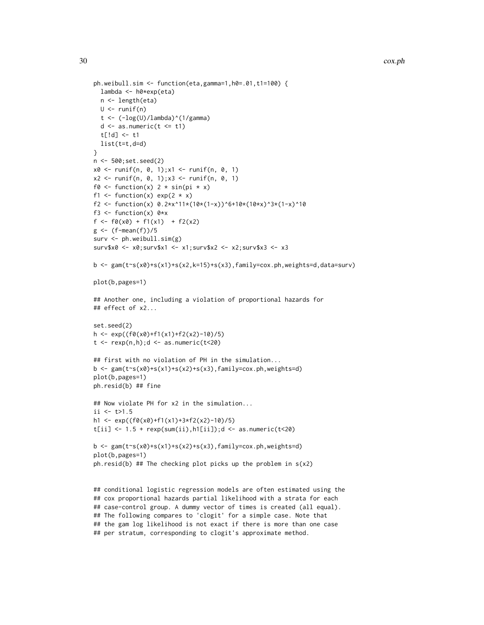```
ph.weibull.sim <- function(eta,gamma=1,h0=.01,t1=100) {
  lambda <- h0*exp(eta)
  n <- length(eta)
 U \leftarrow runif(n)t <- (-\log(U)/\lambda)ambda)^(1/gamma)
  d \leq -as.numeric(t \leq t1)t[!d] <- t1
  list(t=t,d=d)}
n <- 500;set.seed(2)
x0 <- runif(n, 0, 1);x1 <- runif(n, 0, 1)
x2 \le runif(n, 0, 1);x3 \le runif(n, 0, 1)
f0 <- function(x) 2 * sin(pi * x)f1 <- function(x) exp(2 \times x)f2 <- function(x) 0.2*x^11*(10*(1-x))^6+10*(10*x)^3*(1-x)^10f3 <- function(x) 0*xf \leftarrow f0(x0) + f1(x1) + f2(x2)g \leftarrow (f-mean(f))/5surv <- ph.weibull.sim(g)
surv$x0 <- x0;surv$x1 <- x1;surv$x2 <- x2;surv$x3 <- x3
b \leq gam(t\leq(x0)+s(x1)+s(x2,k=15)+s(x3),family=cox.ph,weights=d,data=surv)
plot(b,pages=1)
## Another one, including a violation of proportional hazards for
## effect of x2...
set.seed(2)
h <- exp((f0(x0)+f1(x1)+f2(x2)-10)/5)
t \leq -\text{rexp}(n,h); d \leq -\text{as.numeric}(t \leq 20)## first with no violation of PH in the simulation...
b <- gam(t~s(x0)+s(x1)+s(x2)+s(x3),family=cox.ph,weights=d)
plot(b,pages=1)
ph.resid(b) ## fine
## Now violate PH for x2 in the simulation...
ii <- t>1.5
h1 <- exp((f0(x0)+f1(x1)+3*f2(x2)-10)/5)
t[i] <- 1.5 + rexp(sum(ii), h1[ii]); d <- as.numeric(t<20)
b <- gam(t~s(x0)+s(x1)+s(x2)+s(x3),family=cox.ph,weights=d)
plot(b,pages=1)
ph.resid(b) ## The checking plot picks up the problem in s(x2)## conditional logistic regression models are often estimated using the
```

```
## cox proportional hazards partial likelihood with a strata for each
## case-control group. A dummy vector of times is created (all equal).
## The following compares to 'clogit' for a simple case. Note that
## the gam log likelihood is not exact if there is more than one case
## per stratum, corresponding to clogit's approximate method.
```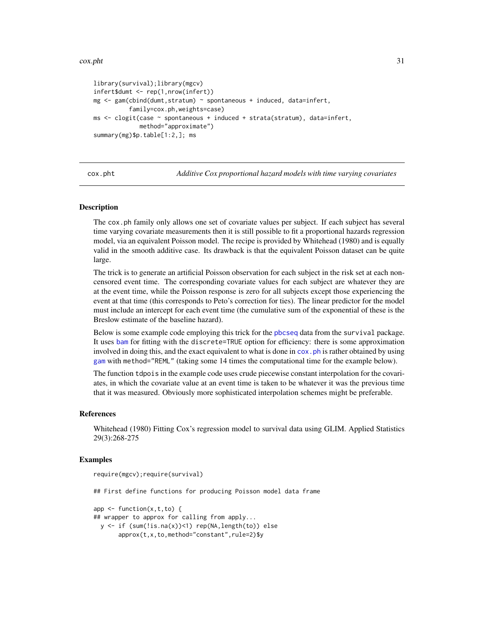#### <span id="page-30-0"></span>cox.pht 31

```
library(survival);library(mgcv)
infert$dumt <- rep(1,nrow(infert))
mg <- gam(cbind(dumt,stratum) ~ spontaneous + induced, data=infert,
          family=cox.ph,weights=case)
ms <- clogit(case ~ spontaneous + induced + strata(stratum), data=infert,
            method="approximate")
summary(mg)$p.table[1:2,]; ms
```
<span id="page-30-1"></span>cox.pht *Additive Cox proportional hazard models with time varying covariates*

#### Description

The cox.ph family only allows one set of covariate values per subject. If each subject has several time varying covariate measurements then it is still possible to fit a proportional hazards regression model, via an equivalent Poisson model. The recipe is provided by Whitehead (1980) and is equally valid in the smooth additive case. Its drawback is that the equivalent Poisson dataset can be quite large.

The trick is to generate an artificial Poisson observation for each subject in the risk set at each noncensored event time. The corresponding covariate values for each subject are whatever they are at the event time, while the Poisson response is zero for all subjects except those experiencing the event at that time (this corresponds to Peto's correction for ties). The linear predictor for the model must include an intercept for each event time (the cumulative sum of the exponential of these is the Breslow estimate of the baseline hazard).

Below is some example code employing this trick for the [pbcseq](#page-0-0) data from the survival package. It uses [bam](#page-6-1) for fitting with the discrete=TRUE option for efficiency: there is some approximation involved in doing this, and the exact equivalent to what is done in cox. ph is rather obtained by using [gam](#page-47-1) with method="REML" (taking some 14 times the computational time for the example below).

The function tdpois in the example code uses crude piecewise constant interpolation for the covariates, in which the covariate value at an event time is taken to be whatever it was the previous time that it was measured. Obviously more sophisticated interpolation schemes might be preferable.

#### References

Whitehead (1980) Fitting Cox's regression model to survival data using GLIM. Applied Statistics 29(3):268-275

#### Examples

```
require(mgcv);require(survival)
## First define functions for producing Poisson model data frame
app \leq function(x, t, to) {
## wrapper to approx for calling from apply...
 y <- if (sum(!is.na(x))<1) rep(NA,length(to)) else
```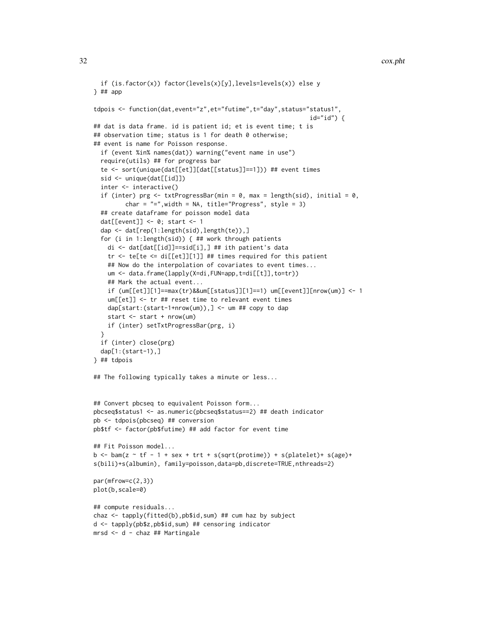```
if (is.factor(x)) factor(levels(x)[y],levels=levels(x)) else y
} ## app
tdpois <- function(dat,event="z",et="futime",t="day",status="status1",
                                                             id="id") {
## dat is data frame. id is patient id; et is event time; t is
## observation time; status is 1 for death 0 otherwise;
## event is name for Poisson response.
 if (event %in% names(dat)) warning("event name in use")
 require(utils) ## for progress bar
 te <- sort(unique(dat[[et]][dat[[status]]==1])) ## event times
 sid <- unique(dat[[id]])
  inter <- interactive()
 if (inter) prg \leq txtProgressBar(min = 0, max = length(sid), initial = 0,
         char = "="', width = NA, title=" Progress", style = 3)## create dataframe for poisson model data
 dat[[event]] <- 0; start <- 1
 dap <- dat[rep(1:length(sid),length(te)),]
 for (i in 1:length(sid)) { ## work through patients
   di <- dat[dat[[id]]==sid[i],] ## ith patient's data
   tr \le te[te \le di[[et]][1]] ## times required for this patient
    ## Now do the interpolation of covariates to event times...
   um <- data.frame(lapply(X=di,FUN=app,t=di[[t]],to=tr))
    ## Mark the actual event...
    if (um[[et]][1]==max(tr)&&um[[status]][1]==1) um[[event]][nrow(um)] <- 1
    um[[et]] <- tr ## reset time to relevant event times
    dap[start:(start-1+nrow(um)),] <- um ## copy to dap
   start <- start + nrow(um)
   if (inter) setTxtProgressBar(prg, i)
 }
 if (inter) close(prg)
 dap[1:(start-1),]
} ## tdpois
## The following typically takes a minute or less...
## Convert pbcseq to equivalent Poisson form...
pbcseq$status1 <- as.numeric(pbcseq$status==2) ## death indicator
pb <- tdpois(pbcseq) ## conversion
pb$tf <- factor(pb$futime) ## add factor for event time
## Fit Poisson model...
b \le bam(z \le tf - 1 + sex + trt + s(sqrt(protime)) + s(platelet)+ s(age)+
s(bili)+s(albumin), family=poisson,data=pb,discrete=TRUE,nthreads=2)
par(mfrow=c(2,3))
plot(b,scale=0)
## compute residuals...
chaz <- tapply(fitted(b),pb$id,sum) ## cum haz by subject
d <- tapply(pb$z,pb$id,sum) ## censoring indicator
```

```
mrsd <- d - chaz ## Martingale
```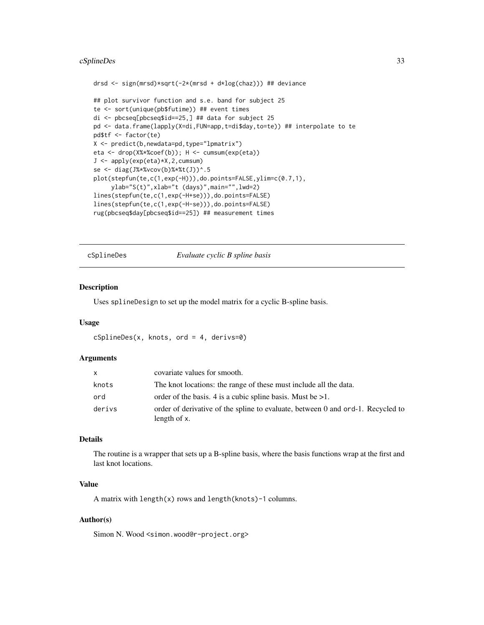#### <span id="page-32-0"></span>cSplineDes 33

```
drsd <- sign(mrsd)*sqrt(-2*(mrsd + d*log(chaz))) ## deviance
## plot survivor function and s.e. band for subject 25
te <- sort(unique(pb$futime)) ## event times
di <- pbcseq[pbcseq$id==25,] ## data for subject 25
pd <- data.frame(lapply(X=di,FUN=app,t=di$day,to=te)) ## interpolate to te
pd$tf <- factor(te)
X <- predict(b,newdata=pd,type="lpmatrix")
eta <- drop(X%*%coef(b)); H <- cumsum(exp(eta))
J <- apply(exp(eta)*X,2,cumsum)
se <- diag(J%*%vcov(b)%*%t(J))^.5
plot(stepfun(te,c(1,exp(-H))),do.points=FALSE,ylim=c(0.7,1),
     ylab="S(t)",xlab="t (days)",main="",lwd=2)
lines(stepfun(te,c(1,exp(-H+se))),do.points=FALSE)
lines(stepfun(te,c(1,exp(-H-se))),do.points=FALSE)
rug(pbcseq$day[pbcseq$id==25]) ## measurement times
```
cSplineDes *Evaluate cyclic B spline basis*

#### Description

Uses splineDesign to set up the model matrix for a cyclic B-spline basis.

#### Usage

```
cSplineDes(x, knots, ord = 4, derivs=0)
```
#### Arguments

| X      | covariate values for smooth.                                                                    |
|--------|-------------------------------------------------------------------------------------------------|
| knots  | The knot locations: the range of these must include all the data.                               |
| ord    | order of the basis. 4 is a cubic spline basis. Must be $>1$ .                                   |
| derivs | order of derivative of the spline to evaluate, between 0 and ord-1. Recycled to<br>length of x. |

#### Details

The routine is a wrapper that sets up a B-spline basis, where the basis functions wrap at the first and last knot locations.

#### Value

A matrix with length(x) rows and length(knots)-1 columns.

#### Author(s)

Simon N. Wood <simon.wood@r-project.org>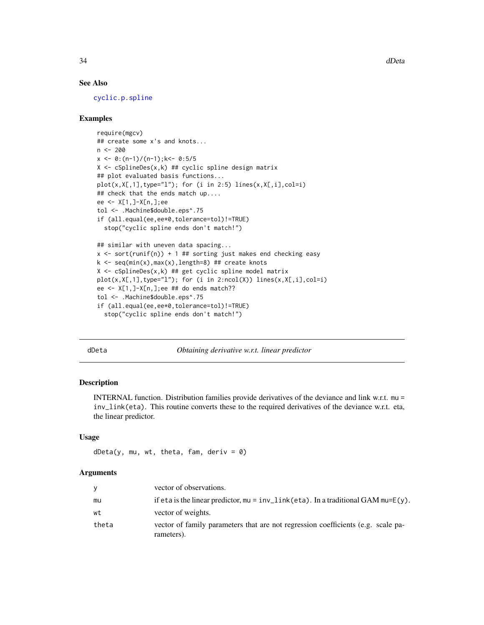34 dDeta

#### See Also

[cyclic.p.spline](#page-245-1)

#### Examples

```
require(mgcv)
## create some x's and knots...
n < -200x \leftarrow 0:(n-1)/(n-1);k<-\ 0:5/5X \leftarrow cSplitneDes(x, k) ## cyclic spline design matrix
## plot evaluated basis functions...
plot(x, X[, 1], type='1"); for (i in 2:5) lines(x, X[, i], col=i)## check that the ends match up....
ee <- X[1,]-X[n,];ee
tol <- .Machine$double.eps^.75
if (all.equal(ee,ee*0,tolerance=tol)!=TRUE)
  stop("cyclic spline ends don't match!")
## similar with uneven data spacing...
x \le sort(runif(n)) + 1 ## sorting just makes end checking easy
k \leq -\text{seq(min(x),max(x),length=8)} ## create knots
X \leftarrow cSplitneDes(x, k) ## get cyclic spline model matrix
plot(x,X[,1],type="l"); for (i in 2:ncol(X)) lines(x,X[,i],col=i)
ee <- X[1,]-X[n,];ee ## do ends match??
tol <- .Machine$double.eps^.75
if (all.equal(ee,ee*0,tolerance=tol)!=TRUE)
  stop("cyclic spline ends don't match!")
```
dDeta *Obtaining derivative w.r.t. linear predictor*

#### Description

INTERNAL function. Distribution families provide derivatives of the deviance and link w.r.t. mu = inv\_link(eta). This routine converts these to the required derivatives of the deviance w.r.t. eta, the linear predictor.

#### Usage

```
dbeta(y, mu, wt, theta, fam, deriv = 0)
```
#### Arguments

| y     | vector of observations.                                                                           |
|-------|---------------------------------------------------------------------------------------------------|
| mu    | if eta is the linear predictor, $mu = inv\_link(\text{eta})$ . In a traditional GAM $mu = E(y)$ . |
| wt    | vector of weights.                                                                                |
| theta | vector of family parameters that are not regression coefficients (e.g. scale pa-<br>rameters).    |

<span id="page-33-0"></span>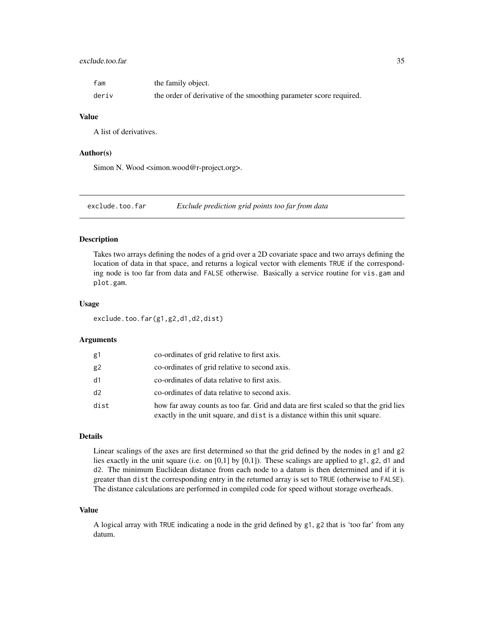#### <span id="page-34-0"></span>exclude.too.far 35

| fam   | the family object.                                                 |
|-------|--------------------------------------------------------------------|
| deriv | the order of derivative of the smoothing parameter score required. |

#### Value

A list of derivatives.

#### Author(s)

Simon N. Wood <simon.wood@r-project.org>.

exclude.too.far *Exclude prediction grid points too far from data*

#### Description

Takes two arrays defining the nodes of a grid over a 2D covariate space and two arrays defining the location of data in that space, and returns a logical vector with elements TRUE if the corresponding node is too far from data and FALSE otherwise. Basically a service routine for vis.gam and plot.gam.

#### Usage

exclude.too.far(g1,g2,d1,d2,dist)

#### Arguments

| g1   | co-ordinates of grid relative to first axis.                                                                                                                        |
|------|---------------------------------------------------------------------------------------------------------------------------------------------------------------------|
| g2   | co-ordinates of grid relative to second axis.                                                                                                                       |
| d1   | co-ordinates of data relative to first axis.                                                                                                                        |
| d2   | co-ordinates of data relative to second axis.                                                                                                                       |
| dist | how far away counts as too far. Grid and data are first scaled so that the grid lies<br>exactly in the unit square, and dist is a distance within this unit square. |

#### Details

Linear scalings of the axes are first determined so that the grid defined by the nodes in g1 and g2 lies exactly in the unit square (i.e. on [0,1] by [0,1]). These scalings are applied to g1, g2, d1 and d2. The minimum Euclidean distance from each node to a datum is then determined and if it is greater than dist the corresponding entry in the returned array is set to TRUE (otherwise to FALSE). The distance calculations are performed in compiled code for speed without storage overheads.

#### Value

A logical array with TRUE indicating a node in the grid defined by g1, g2 that is 'too far' from any datum.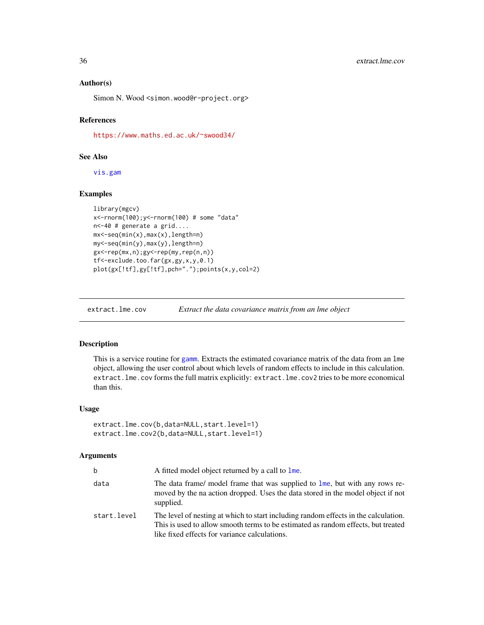#### Author(s)

Simon N. Wood <simon.wood@r-project.org>

#### References

<https://www.maths.ed.ac.uk/~swood34/>

#### See Also

[vis.gam](#page-303-1)

#### Examples

```
library(mgcv)
x<-rnorm(100);y<-rnorm(100) # some "data"
n<-40 # generate a grid....
mx<-seq(min(x),max(x),length=n)
my<-seq(min(y),max(y),length=n)
gx<-rep(mx,n);gy<-rep(my,rep(n,n))
tf<-exclude.too.far(gx,gy,x,y,0.1)
plot(gx[!tf],gy[!tf],pch=".");points(x,y,col=2)
```
extract.lme.cov *Extract the data covariance matrix from an lme object*

#### Description

This is a service routine for [gamm](#page-91-1). Extracts the estimated covariance matrix of the data from an lme object, allowing the user control about which levels of random effects to include in this calculation. extract.lme.cov forms the full matrix explicitly: extract.lme.cov2 tries to be more economical than this.

#### Usage

```
extract.lme.cov(b,data=NULL,start.level=1)
extract.lme.cov2(b,data=NULL,start.level=1)
```
#### Arguments

| b           | A fitted model object returned by a call to lme.                                                                                                                                                                          |
|-------------|---------------------------------------------------------------------------------------------------------------------------------------------------------------------------------------------------------------------------|
| data        | The data frame/ model frame that was supplied to lme, but with any rows re-<br>moved by the na action dropped. Uses the data stored in the model object if not<br>supplied.                                               |
| start.level | The level of nesting at which to start including random effects in the calculation.<br>This is used to allow smooth terms to be estimated as random effects, but treated<br>like fixed effects for variance calculations. |

<span id="page-35-0"></span>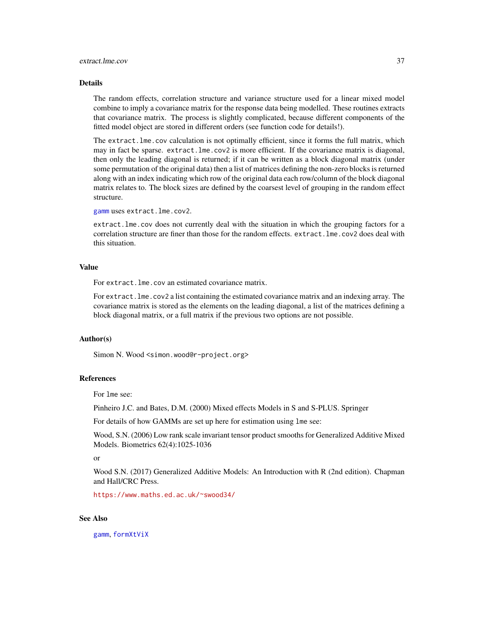#### extract.lme.cov 37

#### Details

The random effects, correlation structure and variance structure used for a linear mixed model combine to imply a covariance matrix for the response data being modelled. These routines extracts that covariance matrix. The process is slightly complicated, because different components of the fitted model object are stored in different orders (see function code for details!).

The extract.lme.cov calculation is not optimally efficient, since it forms the full matrix, which may in fact be sparse. extract.lme.cov2 is more efficient. If the covariance matrix is diagonal, then only the leading diagonal is returned; if it can be written as a block diagonal matrix (under some permutation of the original data) then a list of matrices defining the non-zero blocks is returned along with an index indicating which row of the original data each row/column of the block diagonal matrix relates to. The block sizes are defined by the coarsest level of grouping in the random effect structure.

[gamm](#page-91-0) uses extract.lme.cov2.

extract.lme.cov does not currently deal with the situation in which the grouping factors for a correlation structure are finer than those for the random effects. extract.lme.cov2 does deal with this situation.

#### Value

For extract.lme.cov an estimated covariance matrix.

For extract.lme.cov2 a list containing the estimated covariance matrix and an indexing array. The covariance matrix is stored as the elements on the leading diagonal, a list of the matrices defining a block diagonal matrix, or a full matrix if the previous two options are not possible.

#### Author(s)

Simon N. Wood <simon.wood@r-project.org>

### References

For lme see:

Pinheiro J.C. and Bates, D.M. (2000) Mixed effects Models in S and S-PLUS. Springer

For details of how GAMMs are set up here for estimation using lme see:

Wood, S.N. (2006) Low rank scale invariant tensor product smooths for Generalized Additive Mixed Models. Biometrics 62(4):1025-1036

or

Wood S.N. (2017) Generalized Additive Models: An Introduction with R (2nd edition). Chapman and Hall/CRC Press.

<https://www.maths.ed.ac.uk/~swood34/>

# See Also

[gamm](#page-91-0), [formXtViX](#page-44-0)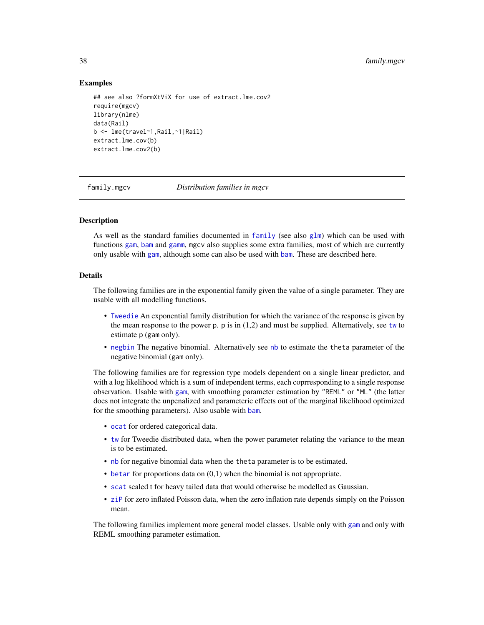# Examples

```
## see also ?formXtViX for use of extract.lme.cov2
require(mgcv)
library(nlme)
data(Rail)
b <- lme(travel~1,Rail,~1|Rail)
extract.lme.cov(b)
extract.lme.cov2(b)
```
<span id="page-37-0"></span>family.mgcv *Distribution families in mgcv*

### Description

As well as the standard families documented in [family](#page-0-0) (see also  $g1m$ ) which can be used with functions [gam](#page-47-0), [bam](#page-6-0) and [gamm](#page-91-0), mgcv also supplies some extra families, most of which are currently only usable with [gam](#page-47-0), although some can also be used with [bam](#page-6-0). These are described here.

#### Details

The following families are in the exponential family given the value of a single parameter. They are usable with all modelling functions.

- [Tweedie](#page-296-0) An exponential family distribution for which the variance of the response is given by the mean response to the power p.  $p$  is in  $(1,2)$  and must be supplied. Alternatively, see [tw](#page-296-1) to estimate p (gam only).
- [negbin](#page-156-0) The negative binomial. Alternatively see [nb](#page-156-1) to estimate the theta parameter of the negative binomial (gam only).

The following families are for regression type models dependent on a single linear predictor, and with a log likelihood which is a sum of independent terms, each coprresponding to a single response observation. Usable with [gam](#page-47-0), with smoothing parameter estimation by "REML" or "ML" (the latter does not integrate the unpenalized and parameteric effects out of the marginal likelihood optimized for the smoothing parameters). Also usable with [bam](#page-6-0).

- [ocat](#page-163-0) for ordered categorical data.
- [tw](#page-296-1) for Tweedie distributed data, when the power parameter relating the variance to the mean is to be estimated.
- [nb](#page-156-1) for negative binomial data when the theta parameter is to be estimated.
- $\bullet$  [betar](#page-15-0) for proportions data on  $(0,1)$  when the binomial is not appropriate.
- [scat](#page-211-0) scaled t for heavy tailed data that would otherwise be modelled as Gaussian.
- [ziP](#page-308-0) for zero inflated Poisson data, when the zero inflation rate depends simply on the Poisson mean.

The following families implement more general model classes. Usable only with [gam](#page-47-0) and only with REML smoothing parameter estimation.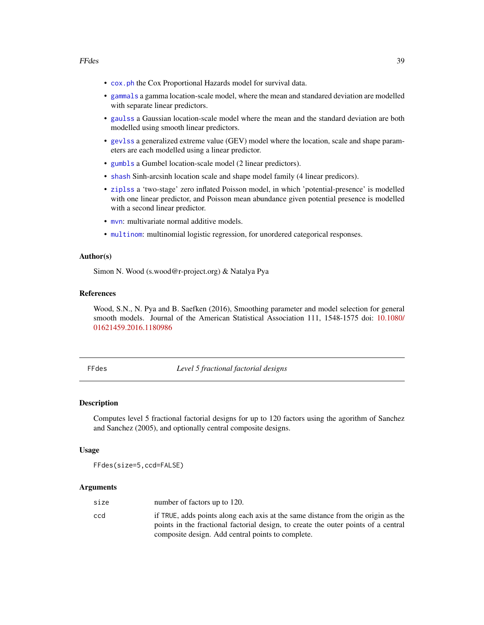- [cox.ph](#page-25-0) the Cox Proportional Hazards model for survival data.
- [gammals](#page-98-0) a gamma location-scale model, where the mean and standared deviation are modelled with separate linear predictors.
- [gaulss](#page-104-0) a Gaussian location-scale model where the mean and the standard deviation are both modelled using smooth linear predictors.
- [gevlss](#page-106-0) a generalized extreme value (GEV) model where the location, scale and shape parameters are each modelled using a linear predictor.
- [gumbls](#page-112-0) a Gumbel location-scale model (2 linear predictors).
- [shash](#page-213-0) Sinh-arcsinh location scale and shape model family (4 linear predicors).
- [ziplss](#page-310-0) a 'two-stage' zero inflated Poisson model, in which 'potential-presence' is modelled with one linear predictor, and Poisson mean abundance given potential presence is modelled with a second linear predictor.
- myn: multivariate normal additive models.
- [multinom](#page-153-0): multinomial logistic regression, for unordered categorical responses.

### Author(s)

Simon N. Wood (s.wood@r-project.org) & Natalya Pya

#### **References**

Wood, S.N., N. Pya and B. Saefken (2016), Smoothing parameter and model selection for general smooth models. Journal of the American Statistical Association 111, 1548-1575 doi: [10.1080/](https://doi.org/10.1080/01621459.2016.1180986) [01621459.2016.1180986](https://doi.org/10.1080/01621459.2016.1180986)

FFdes *Level 5 fractional factorial designs*

# **Description**

Computes level 5 fractional factorial designs for up to 120 factors using the agorithm of Sanchez and Sanchez (2005), and optionally central composite designs.

#### Usage

FFdes(size=5,ccd=FALSE)

#### Arguments

| size | number of factors up to 120.                                                                                                                                           |
|------|------------------------------------------------------------------------------------------------------------------------------------------------------------------------|
| ccd  | if TRUE, adds points along each axis at the same distance from the origin as the<br>points in the fractional factorial design, to create the outer points of a central |
|      | composite design. Add central points to complete.                                                                                                                      |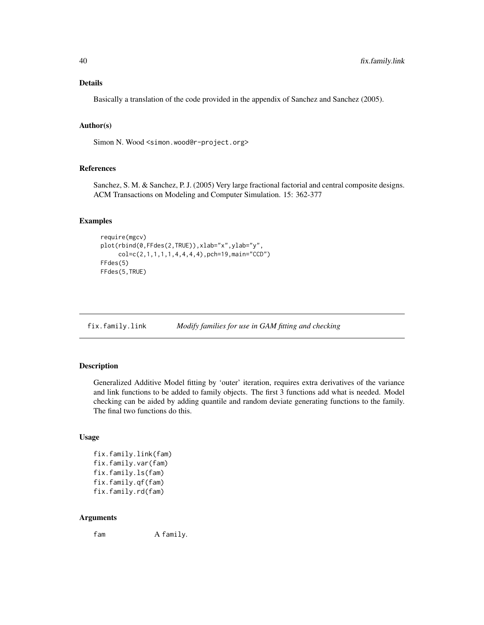## Details

Basically a translation of the code provided in the appendix of Sanchez and Sanchez (2005).

# Author(s)

Simon N. Wood <simon.wood@r-project.org>

#### References

Sanchez, S. M. & Sanchez, P. J. (2005) Very large fractional factorial and central composite designs. ACM Transactions on Modeling and Computer Simulation. 15: 362-377

# Examples

```
require(mgcv)
plot(rbind(0,FFdes(2,TRUE)),xlab="x",ylab="y",
     col=c(2,1,1,1,1,4,4,4,4),pch=19,main="CCD")
FFdes(5)
FFdes(5,TRUE)
```
<span id="page-39-0"></span>

fix.family.link *Modify families for use in GAM fitting and checking*

#### Description

Generalized Additive Model fitting by 'outer' iteration, requires extra derivatives of the variance and link functions to be added to family objects. The first 3 functions add what is needed. Model checking can be aided by adding quantile and random deviate generating functions to the family. The final two functions do this.

### Usage

```
fix.family.link(fam)
fix.family.var(fam)
fix.family.ls(fam)
fix.family.qf(fam)
fix.family.rd(fam)
```
### Arguments

fam A family.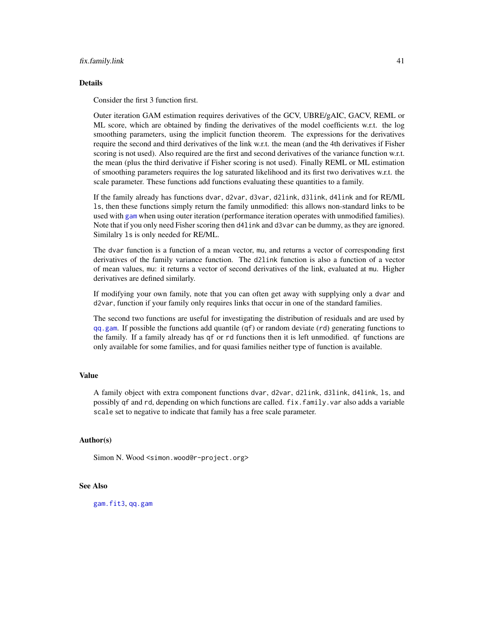#### fix.family.link 41

#### Details

Consider the first 3 function first.

Outer iteration GAM estimation requires derivatives of the GCV, UBRE/gAIC, GACV, REML or ML score, which are obtained by finding the derivatives of the model coefficients w.r.t. the log smoothing parameters, using the implicit function theorem. The expressions for the derivatives require the second and third derivatives of the link w.r.t. the mean (and the 4th derivatives if Fisher scoring is not used). Also required are the first and second derivatives of the variance function w.r.t. the mean (plus the third derivative if Fisher scoring is not used). Finally REML or ML estimation of smoothing parameters requires the log saturated likelihood and its first two derivatives w.r.t. the scale parameter. These functions add functions evaluating these quantities to a family.

If the family already has functions dvar, d2var, d3var, d2link, d3link, d4link and for RE/ML ls, then these functions simply return the family unmodified: this allows non-standard links to be used with [gam](#page-47-0) when using outer iteration (performance iteration operates with unmodified families). Note that if you only need Fisher scoring then d4link and d3var can be dummy, as they are ignored. Similalry ls is only needed for RE/ML.

The dvar function is a function of a mean vector, mu, and returns a vector of corresponding first derivatives of the family variance function. The d2link function is also a function of a vector of mean values, mu: it returns a vector of second derivatives of the link, evaluated at mu. Higher derivatives are defined similarly.

If modifying your own family, note that you can often get away with supplying only a dvar and d2var, function if your family only requires links that occur in one of the standard families.

The second two functions are useful for investigating the distribution of residuals and are used by  $qq,$  gam. If possible the functions add quantile  $(qf)$  or random deviate  $(rd)$  generating functions to the family. If a family already has qf or rd functions then it is left unmodified. qf functions are only available for some families, and for quasi families neither type of function is available.

### Value

A family object with extra component functions dvar, d2var, d2link, d3link, d4link, ls, and possibly qf and rd, depending on which functions are called. fix.family.var also adds a variable scale set to negative to indicate that family has a free scale parameter.

# Author(s)

Simon N. Wood <simon.wood@r-project.org>

# See Also

[gam.fit3](#page-65-0), [qq.gam](#page-197-0)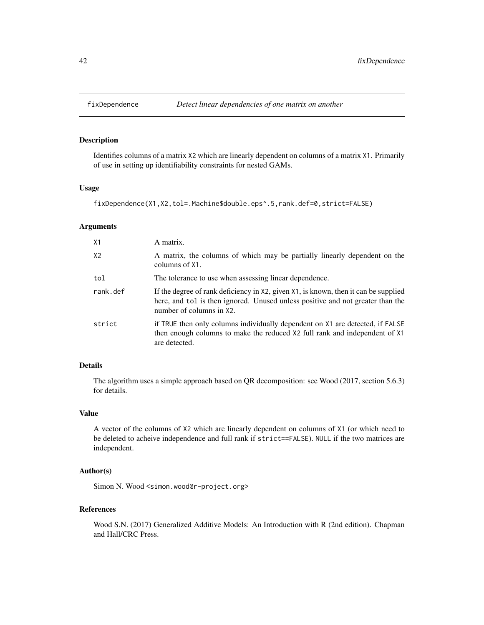# Description

Identifies columns of a matrix X2 which are linearly dependent on columns of a matrix X1. Primarily of use in setting up identifiability constraints for nested GAMs.

# Usage

```
fixDependence(X1,X2,tol=.Machine$double.eps^.5,rank.def=0,strict=FALSE)
```
# Arguments

| X1             | A matrix.                                                                                                                                                                                         |
|----------------|---------------------------------------------------------------------------------------------------------------------------------------------------------------------------------------------------|
| X <sub>2</sub> | A matrix, the columns of which may be partially linearly dependent on the<br>columns of X1.                                                                                                       |
| tol            | The tolerance to use when assessing linear dependence.                                                                                                                                            |
| rank.def       | If the degree of rank deficiency in X2, given X1, is known, then it can be supplied<br>here, and tol is then ignored. Unused unless positive and not greater than the<br>number of columns in X2. |
| strict         | if TRUE then only columns individually dependent on X1 are detected, if FALSE<br>then enough columns to make the reduced X2 full rank and independent of X1<br>are detected.                      |

# Details

The algorithm uses a simple approach based on QR decomposition: see Wood (2017, section 5.6.3) for details.

# Value

A vector of the columns of X2 which are linearly dependent on columns of X1 (or which need to be deleted to acheive independence and full rank if strict==FALSE). NULL if the two matrices are independent.

# Author(s)

Simon N. Wood <simon.wood@r-project.org>

# References

Wood S.N. (2017) Generalized Additive Models: An Introduction with R (2nd edition). Chapman and Hall/CRC Press.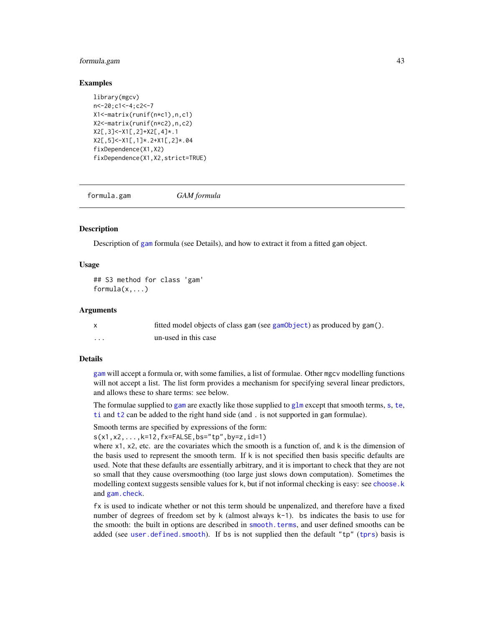# formula.gam 43

### Examples

```
library(mgcv)
n<-20;c1<-4;c2<-7
X1<-matrix(runif(n*c1),n,c1)
X2<-matrix(runif(n*c2),n,c2)
X2[,3]<-X1[,2]+X2[,4]*.1
X2[,5]<-X1[,1]*.2+X1[,2]*.04
fixDependence(X1,X2)
fixDependence(X1,X2,strict=TRUE)
```
<span id="page-42-0"></span>formula.gam *GAM formula*

## **Description**

Description of [gam](#page-47-0) formula (see Details), and how to extract it from a fitted gam object.

# Usage

```
## S3 method for class 'gam'
formula(x,...)
```
#### Arguments

|   | fitted model objects of class gam (see gamObject) as produced by gam(). |
|---|-------------------------------------------------------------------------|
| . | un-used in this case                                                    |

### Details

[gam](#page-47-0) will accept a formula or, with some families, a list of formulae. Other mgcv modelling functions will not accept a list. The list form provides a mechanism for specifying several linear predictors, and allows these to share terms: see below.

The formulae supplied to [gam](#page-47-0) are exactly like tho[s](#page-208-0)e supplied to  $g1m$  except that smooth [te](#page-287-0)rms, s, te, [ti](#page-287-1) and [t2](#page-282-0) can be added to the right hand side (and . is not supported in gam formulae).

```
Smooth terms are specified by expressions of the form:
s(x1,x2,...,k=12,fx=FALSE,bs="tp",by=z,id=1)
```
where  $x1$ ,  $x2$ , etc. are the covariates which the smooth is a function of, and k is the dimension of the basis used to represent the smooth term. If k is not specified then basis specific defaults are used. Note that these defaults are essentially arbitrary, and it is important to check that they are not so small that they cause oversmoothing (too large just slows down computation). Sometimes the modelling context suggests sensible values for k, but if not informal checking is easy: see [choose.k](#page-20-0) and [gam.check](#page-57-0).

fx is used to indicate whether or not this term should be unpenalized, and therefore have a fixed number of degrees of freedom set by  $k$  (almost always  $k-1$ ). bs indicates the basis to use for the smooth: the built in options are described in [smooth.terms](#page-266-0), and user defined smooths can be added (see [user.defined.smooth](#page-222-0)). If bs is not supplied then the default "tp" ([tprs](#page-262-0)) basis is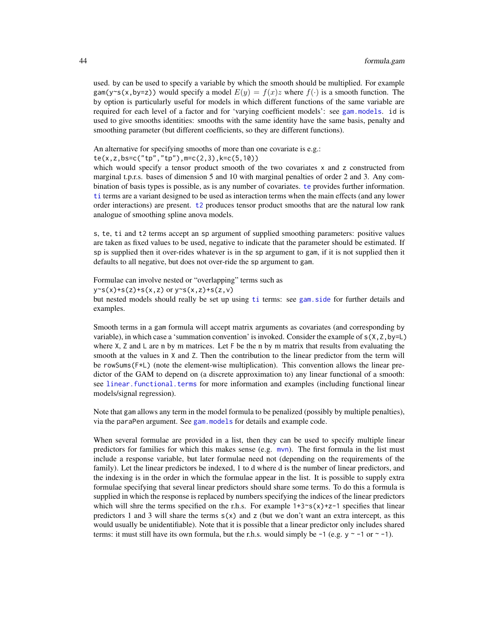used. by can be used to specify a variable by which the smooth should be multiplied. For example gam(y~s(x,by=z)) would specify a model  $E(y) = f(x)z$  where  $f(\cdot)$  is a smooth function. The by option is particularly useful for models in which different functions of the same variable are required for each level of a factor and for 'varying coefficient models': see [gam.models](#page-71-0). id is used to give smooths identities: smooths with the same identity have the same basis, penalty and smoothing parameter (but different coefficients, so they are different functions).

An alternative for specifying smooths of more than one covariate is e.g.:

te(x,z,bs=c("tp","tp"),m=c(2,3),k=c(5,10))

which would specify a tensor product smooth of the two covariates x and z constructed from marginal t.p.r.s. bases of dimension 5 and 10 with marginal penalties of order 2 and 3. Any combination of basis types is possible, as is any number of covariates. [te](#page-287-0) provides further information. [ti](#page-287-1) terms are a variant designed to be used as interaction terms when the main effects (and any lower order interactions) are present. [t2](#page-282-0) produces tensor product smooths that are the natural low rank analogue of smoothing spline anova models.

s, te, ti and t2 terms accept an sp argument of supplied smoothing parameters: positive values are taken as fixed values to be used, negative to indicate that the parameter should be estimated. If sp is supplied then it over-rides whatever is in the sp argument to gam, if it is not supplied then it defaults to all negative, but does not over-ride the sp argument to gam.

Formulae can involve nested or "overlapping" terms such as  $y \sim s(x) + s(z) + s(x, z)$  or  $y \sim s(x, z) + s(z, v)$ but nested models should really be set up using [ti](#page-287-1) terms: see [gam.side](#page-83-0) for further details and examples.

Smooth terms in a gam formula will accept matrix arguments as covariates (and corresponding by variable), in which case a 'summation convention' is invoked. Consider the example of  $s(X, Z, by=L)$ where  $X$ ,  $Z$  and  $L$  are n by m matrices. Let  $F$  be the n by m matrix that results from evaluating the smooth at the values in X and Z. Then the contribution to the linear predictor from the term will be rowSums(F\*L) (note the element-wise multiplication). This convention allows the linear predictor of the GAM to depend on (a discrete approximation to) any linear functional of a smooth: see [linear.functional.terms](#page-128-0) for more information and examples (including functional linear models/signal regression).

Note that gam allows any term in the model formula to be penalized (possibly by multiple penalties), via the paraPen argument. See [gam.models](#page-71-0) for details and example code.

When several formulae are provided in a list, then they can be used to specify multiple linear predictors for families for which this makes sense (e.g.  $mvn$ ). The first formula in the list must include a response variable, but later formulae need not (depending on the requirements of the family). Let the linear predictors be indexed, 1 to d where d is the number of linear predictors, and the indexing is in the order in which the formulae appear in the list. It is possible to supply extra formulae specifying that several linear predictors should share some terms. To do this a formula is supplied in which the response is replaced by numbers specifying the indices of the linear predictors which will shre the terms specified on the r.h.s. For example  $1+3\text{~s}(x)+z-1$  specifies that linear predictors 1 and 3 will share the terms  $s(x)$  and z (but we don't want an extra intercept, as this would usually be unidentifiable). Note that it is possible that a linear predictor only includes shared terms: it must still have its own formula, but the r.h.s. would simply be  $-1$  (e.g.  $y \sim -1$  or  $\sim -1$ ).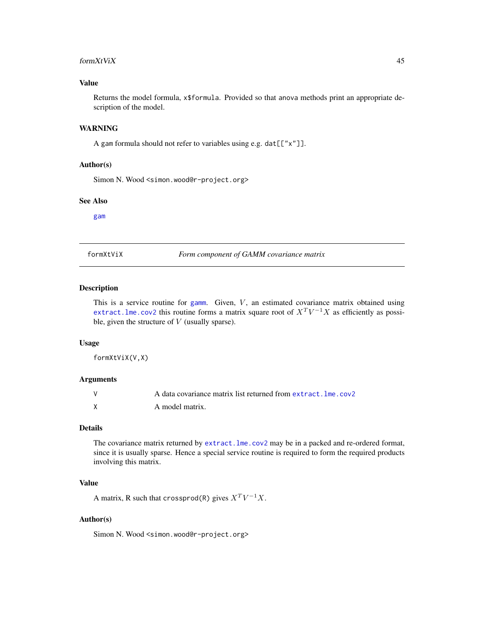#### form $XtV$ i $X$  45

# Value

Returns the model formula, x\$formula. Provided so that anova methods print an appropriate description of the model.

#### WARNING

A gam formula should not refer to variables using e.g. dat[["x"]].

# Author(s)

Simon N. Wood <simon.wood@r-project.org>

#### See Also

[gam](#page-47-0)

<span id="page-44-0"></span>formXtViX *Form component of GAMM covariance matrix*

## Description

This is a service routine for [gamm](#page-91-0). Given,  $V$ , an estimated covariance matrix obtained using extract. Ime.cov2 this routine forms a matrix square root of  $X^T V^{-1} X$  as efficiently as possible, given the structure of  $V$  (usually sparse).

#### Usage

formXtViX(V,X)

### Arguments

| A data covariance matrix list returned from extract, lme, cov2 |
|----------------------------------------------------------------|
| A model matrix.                                                |

## Details

The covariance matrix returned by [extract.lme.cov2](#page-35-0) may be in a packed and re-ordered format, since it is usually sparse. Hence a special service routine is required to form the required products involving this matrix.

### Value

A matrix, R such that crossprod(R) gives  $X^T V^{-1} X$ .

# Author(s)

Simon N. Wood <simon.wood@r-project.org>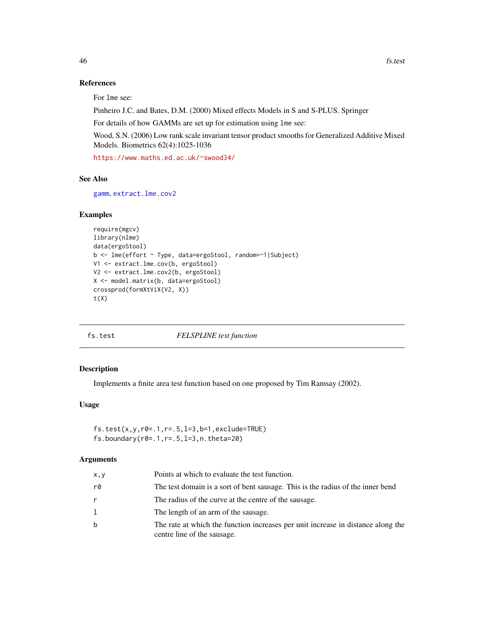# References

For lme see:

Pinheiro J.C. and Bates, D.M. (2000) Mixed effects Models in S and S-PLUS. Springer

For details of how GAMMs are set up for estimation using lme see:

Wood, S.N. (2006) Low rank scale invariant tensor product smooths for Generalized Additive Mixed Models. Biometrics 62(4):1025-1036

<https://www.maths.ed.ac.uk/~swood34/>

#### See Also

[gamm](#page-91-0), [extract.lme.cov2](#page-35-0)

### Examples

```
require(mgcv)
library(nlme)
data(ergoStool)
b <- lme(effort ~ Type, data=ergoStool, random=~1|Subject)
V1 <- extract.lme.cov(b, ergoStool)
V2 <- extract.lme.cov2(b, ergoStool)
X <- model.matrix(b, data=ergoStool)
crossprod(formXtViX(V2, X))
t(X)
```
#### fs.test *FELSPLINE test function*

# Description

Implements a finite area test function based on one proposed by Tim Ramsay (2002).

# Usage

```
fs.test(x,y,r0=.1,r=.5,l=3,b=1,exclude=TRUE)
fs.boundary(r0=.1,r=.5,l=3,n.theta=20)
```
# Arguments

| x, y | Points at which to evaluate the test function.                                                                  |
|------|-----------------------------------------------------------------------------------------------------------------|
| r0   | The test domain is a sort of bent sausage. This is the radius of the inner bend                                 |
| r    | The radius of the curve at the centre of the sausage.                                                           |
| 1    | The length of an arm of the sausage.                                                                            |
| b    | The rate at which the function increases per unit increase in distance along the<br>centre line of the sausage. |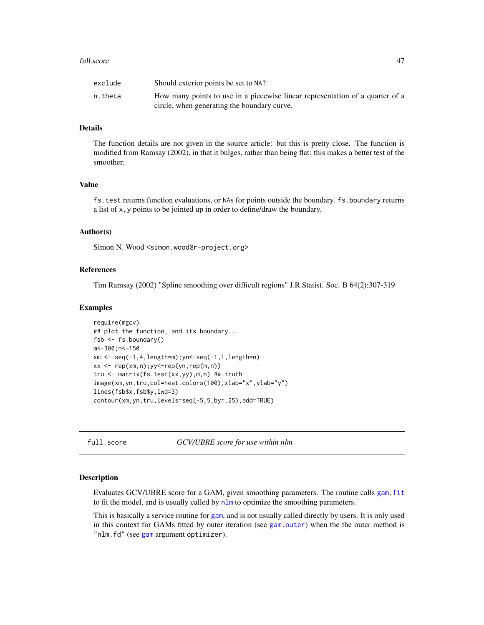#### full.score 47

| exclude | Should exterior points be set to NA?                                          |
|---------|-------------------------------------------------------------------------------|
| n.theta | How many points to use in a piecewise linear representation of a quarter of a |
|         | circle, when generating the boundary curve.                                   |

### Details

The function details are not given in the source article: but this is pretty close. The function is modified from Ramsay (2002), in that it bulges, rather than being flat: this makes a better test of the smoother.

# Value

fs.test returns function evaluations, or NAs for points outside the boundary. fs.boundary returns a list of x,y points to be jointed up in order to define/draw the boundary.

### Author(s)

Simon N. Wood <simon.wood@r-project.org>

# References

Tim Ramsay (2002) "Spline smoothing over difficult regions" J.R.Statist. Soc. B 64(2):307-319

#### Examples

```
require(mgcv)
## plot the function, and its boundary...
fsb \leq - fs.boundary()
m<-300;n<-150
xm <- seq(-1,4,length=m);yn<-seq(-1,1,length=n)
xx < - rep(xm,n);yy\leq rep(yn,rep(m,n))tru <- matrix(fs.test(xx,yy),m,n) ## truth
image(xm,yn,tru,col=heat.colors(100),xlab="x",ylab="y")
lines(fsb$x,fsb$y,lwd=3)
contour(xm,yn,tru,levels=seq(-5,5,by=.25),add=TRUE)
```
full.score *GCV/UBRE score for use within nlm*

#### Description

Evaluates GCV/UBRE score for a GAM, given smoothing parameters. The routine calls [gam.fit](#page-63-0) to fit the model, and is usually called by  $n \ln n$  to optimize the smoothing parameters.

This is basically a service routine for [gam](#page-47-0), and is not usually called directly by users. It is only used in this context for GAMs fitted by outer iteration (see [gam.outer](#page-77-0)) when the the outer method is "nlm.fd" (see [gam](#page-47-0) argument optimizer).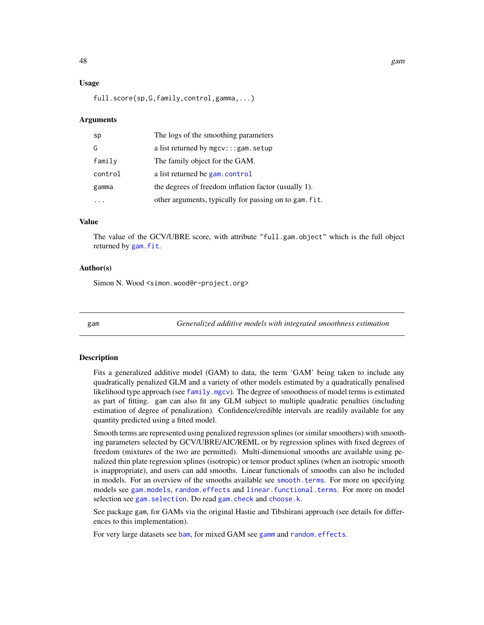# Usage

full.score(sp,G,family,control,gamma,...)

#### Arguments

| sp      | The logs of the smoothing parameters                   |
|---------|--------------------------------------------------------|
| G       | a list returned by $mgcv$ ::: gam. setup               |
| family  | The family object for the GAM.                         |
| control | a list returned be gam. control                        |
| gamma   | the degrees of freedom inflation factor (usually 1).   |
|         | other arguments, typically for passing on to gam. fit. |

# Value

The value of the GCV/UBRE score, with attribute "full.gam.object" which is the full object returned by [gam.fit](#page-63-0).

### Author(s)

Simon N. Wood <simon.wood@r-project.org>

<span id="page-47-0"></span>

gam *Generalized additive models with integrated smoothness estimation*

#### **Description**

Fits a generalized additive model (GAM) to data, the term 'GAM' being taken to include any quadratically penalized GLM and a variety of other models estimated by a quadratically penalised likelihood type approach (see  $f$ amily.mgcv). The degree of smoothness of model terms is estimated as part of fitting. gam can also fit any GLM subject to multiple quadratic penalties (including estimation of degree of penalization). Confidence/credible intervals are readily available for any quantity predicted using a fitted model.

Smooth terms are represented using penalized regression splines (or similar smoothers) with smoothing parameters selected by GCV/UBRE/AIC/REML or by regression splines with fixed degrees of freedom (mixtures of the two are permitted). Multi-dimensional smooths are available using penalized thin plate regression splines (isotropic) or tensor product splines (when an isotropic smooth is inappropriate), and users can add smooths. Linear functionals of smooths can also be included in models. For an overview of the smooths available see [smooth.terms](#page-266-0). For more on specifying models see [gam.models](#page-71-0), [random.effects](#page-200-0) and [linear.functional.terms](#page-128-0). For more on model selection see gam. selection. Do read gam. check and [choose.k](#page-20-0).

See package gam, for GAMs via the original Hastie and Tibshirani approach (see details for differences to this implementation).

For very large datasets see [bam](#page-6-0), for mixed GAM see [gamm](#page-91-0) and [random.effects](#page-200-0).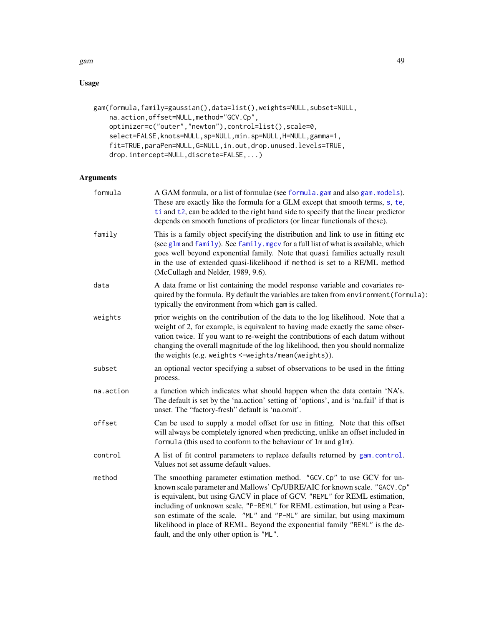# gam and the set of the set of the set of the set of the set of the set of the set of the set of the set of the

# Usage

```
gam(formula,family=gaussian(),data=list(),weights=NULL,subset=NULL,
    na.action,offset=NULL,method="GCV.Cp",
    optimizer=c("outer","newton"),control=list(),scale=0,
    select=FALSE,knots=NULL,sp=NULL,min.sp=NULL,H=NULL,gamma=1,
    fit=TRUE,paraPen=NULL,G=NULL,in.out,drop.unused.levels=TRUE,
    drop.intercept=NULL,discrete=FALSE,...)
```
# Arguments

| A GAM formula, or a list of formulae (see formula.gam and also gam.models).<br>These are exactly like the formula for a GLM except that smooth terms, s, te,<br>ti and t2, can be added to the right hand side to specify that the linear predictor<br>depends on smooth functions of predictors (or linear functionals of these).                                                                                                                                                                                          |
|-----------------------------------------------------------------------------------------------------------------------------------------------------------------------------------------------------------------------------------------------------------------------------------------------------------------------------------------------------------------------------------------------------------------------------------------------------------------------------------------------------------------------------|
| This is a family object specifying the distribution and link to use in fitting etc<br>(see glm and family). See family. mgcv for a full list of what is available, which<br>goes well beyond exponential family. Note that quasi families actually result<br>in the use of extended quasi-likelihood if method is set to a RE/ML method<br>(McCullagh and Nelder, 1989, 9.6).                                                                                                                                               |
| A data frame or list containing the model response variable and covariates re-<br>quired by the formula. By default the variables are taken from environment (formula):<br>typically the environment from which gam is called.                                                                                                                                                                                                                                                                                              |
| prior weights on the contribution of the data to the log likelihood. Note that a<br>weight of 2, for example, is equivalent to having made exactly the same obser-<br>vation twice. If you want to re-weight the contributions of each datum without<br>changing the overall magnitude of the log likelihood, then you should normalize<br>the weights (e.g. weights <-weights/mean(weights)).                                                                                                                              |
| an optional vector specifying a subset of observations to be used in the fitting<br>process.                                                                                                                                                                                                                                                                                                                                                                                                                                |
| a function which indicates what should happen when the data contain 'NA's.<br>The default is set by the 'na.action' setting of 'options', and is 'na.fail' if that is<br>unset. The "factory-fresh" default is 'na.omit'.                                                                                                                                                                                                                                                                                                   |
| Can be used to supply a model offset for use in fitting. Note that this offset<br>will always be completely ignored when predicting, unlike an offset included in<br>formula (this used to conform to the behaviour of lm and glm).                                                                                                                                                                                                                                                                                         |
| A list of fit control parameters to replace defaults returned by gam.control.<br>Values not set assume default values.                                                                                                                                                                                                                                                                                                                                                                                                      |
| The smoothing parameter estimation method. "GCV.Cp" to use GCV for un-<br>known scale parameter and Mallows' Cp/UBRE/AIC for known scale. "GACV. Cp"<br>is equivalent, but using GACV in place of GCV. "REML" for REML estimation,<br>including of unknown scale, "P-REML" for REML estimation, but using a Pear-<br>son estimate of the scale. "ML" and "P-ML" are similar, but using maximum<br>likelihood in place of REML. Beyond the exponential family "REML" is the de-<br>fault, and the only other option is "ML". |
|                                                                                                                                                                                                                                                                                                                                                                                                                                                                                                                             |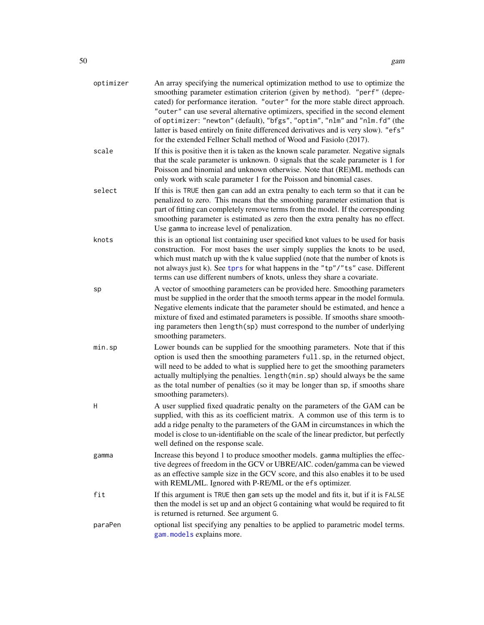| optimizer | An array specifying the numerical optimization method to use to optimize the<br>smoothing parameter estimation criterion (given by method). "perf" (depre-<br>cated) for performance iteration. "outer" for the more stable direct approach.<br>"outer" can use several alternative optimizers, specified in the second element<br>of optimizer: "newton" (default), "bfgs", "optim", "nlm" and "nlm.fd" (the<br>latter is based entirely on finite differenced derivatives and is very slow). "efs"<br>for the extended Fellner Schall method of Wood and Fasiolo (2017). |
|-----------|----------------------------------------------------------------------------------------------------------------------------------------------------------------------------------------------------------------------------------------------------------------------------------------------------------------------------------------------------------------------------------------------------------------------------------------------------------------------------------------------------------------------------------------------------------------------------|
| scale     | If this is positive then it is taken as the known scale parameter. Negative signals<br>that the scale parameter is unknown. 0 signals that the scale parameter is 1 for<br>Poisson and binomial and unknown otherwise. Note that (RE)ML methods can<br>only work with scale parameter 1 for the Poisson and binomial cases.                                                                                                                                                                                                                                                |
| select    | If this is TRUE then gam can add an extra penalty to each term so that it can be<br>penalized to zero. This means that the smoothing parameter estimation that is<br>part of fitting can completely remove terms from the model. If the corresponding<br>smoothing parameter is estimated as zero then the extra penalty has no effect.<br>Use gamma to increase level of penalization.                                                                                                                                                                                    |
| knots     | this is an optional list containing user specified knot values to be used for basis<br>construction. For most bases the user simply supplies the knots to be used,<br>which must match up with the k value supplied (note that the number of knots is<br>not always just k). See tprs for what happens in the "tp"/"ts" case. Different<br>terms can use different numbers of knots, unless they share a covariate.                                                                                                                                                        |
| sp        | A vector of smoothing parameters can be provided here. Smoothing parameters<br>must be supplied in the order that the smooth terms appear in the model formula.<br>Negative elements indicate that the parameter should be estimated, and hence a<br>mixture of fixed and estimated parameters is possible. If smooths share smooth-<br>ing parameters then length(sp) must correspond to the number of underlying<br>smoothing parameters.                                                                                                                                |
| min.sp    | Lower bounds can be supplied for the smoothing parameters. Note that if this<br>option is used then the smoothing parameters full.sp, in the returned object,<br>will need to be added to what is supplied here to get the smoothing parameters<br>actually multiplying the penalties. length (min.sp) should always be the same<br>as the total number of penalties (so it may be longer than sp, if smooths share<br>smoothing parameters).                                                                                                                              |
| H         | A user supplied fixed quadratic penalty on the parameters of the GAM can be<br>supplied, with this as its coefficient matrix. A common use of this term is to<br>add a ridge penalty to the parameters of the GAM in circumstances in which the<br>model is close to un-identifiable on the scale of the linear predictor, but perfectly<br>well defined on the response scale.                                                                                                                                                                                            |
| gamma     | Increase this beyond 1 to produce smoother models. gamma multiplies the effec-<br>tive degrees of freedom in the GCV or UBRE/AIC. coden/gamma can be viewed<br>as an effective sample size in the GCV score, and this also enables it to be used<br>with REML/ML. Ignored with P-RE/ML or the efs optimizer.                                                                                                                                                                                                                                                               |
| fit       | If this argument is TRUE then gam sets up the model and fits it, but if it is FALSE<br>then the model is set up and an object G containing what would be required to fit<br>is returned is returned. See argument G.                                                                                                                                                                                                                                                                                                                                                       |
| paraPen   | optional list specifying any penalties to be applied to parametric model terms.<br>gam. models explains more.                                                                                                                                                                                                                                                                                                                                                                                                                                                              |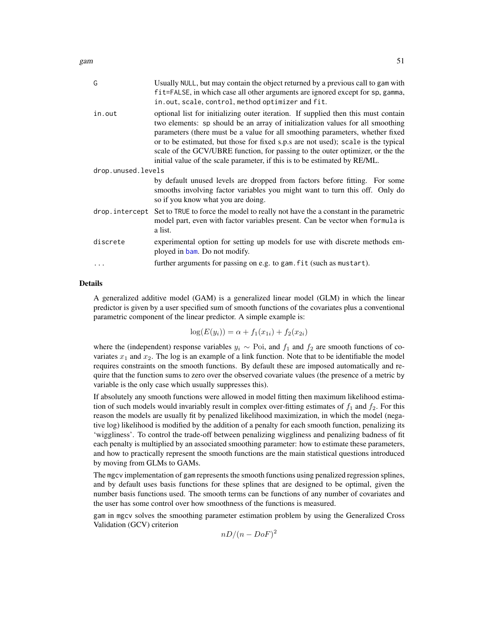| G                  | Usually NULL, but may contain the object returned by a previous call to gam with<br>fit=FALSE, in which case all other arguments are ignored except for sp, gamma,<br>in.out, scale, control, method optimizer and fit.                                                                                                                                                                                                                                                                                    |  |
|--------------------|------------------------------------------------------------------------------------------------------------------------------------------------------------------------------------------------------------------------------------------------------------------------------------------------------------------------------------------------------------------------------------------------------------------------------------------------------------------------------------------------------------|--|
| in.out             | optional list for initializing outer iteration. If supplied then this must contain<br>two elements: sp should be an array of initialization values for all smoothing<br>parameters (there must be a value for all smoothing parameters, whether fixed<br>or to be estimated, but those for fixed s.p.s are not used); scale is the typical<br>scale of the GCV/UBRE function, for passing to the outer optimizer, or the the<br>initial value of the scale parameter, if this is to be estimated by RE/ML. |  |
| drop.unused.levels |                                                                                                                                                                                                                                                                                                                                                                                                                                                                                                            |  |
|                    | by default unused levels are dropped from factors before fitting. For some<br>smooths involving factor variables you might want to turn this off. Only do<br>so if you know what you are doing.                                                                                                                                                                                                                                                                                                            |  |
|                    | drop. intercept Set to TRUE to force the model to really not have the a constant in the parametric<br>model part, even with factor variables present. Can be vector when formula is<br>a list.                                                                                                                                                                                                                                                                                                             |  |
| discrete           | experimental option for setting up models for use with discrete methods em-<br>ployed in bam. Do not modify.                                                                                                                                                                                                                                                                                                                                                                                               |  |
|                    | further arguments for passing on e.g. to gam. fit (such as mustart).                                                                                                                                                                                                                                                                                                                                                                                                                                       |  |
|                    |                                                                                                                                                                                                                                                                                                                                                                                                                                                                                                            |  |

#### Details

A generalized additive model (GAM) is a generalized linear model (GLM) in which the linear predictor is given by a user specified sum of smooth functions of the covariates plus a conventional parametric component of the linear predictor. A simple example is:

$$
\log(E(y_i)) = \alpha + f_1(x_{1i}) + f_2(x_{2i})
$$

where the (independent) response variables  $y_i \sim \text{Poi}$ , and  $f_1$  and  $f_2$  are smooth functions of covariates  $x_1$  and  $x_2$ . The log is an example of a link function. Note that to be identifiable the model requires constraints on the smooth functions. By default these are imposed automatically and require that the function sums to zero over the observed covariate values (the presence of a metric by variable is the only case which usually suppresses this).

If absolutely any smooth functions were allowed in model fitting then maximum likelihood estimation of such models would invariably result in complex over-fitting estimates of  $f_1$  and  $f_2$ . For this reason the models are usually fit by penalized likelihood maximization, in which the model (negative log) likelihood is modified by the addition of a penalty for each smooth function, penalizing its 'wiggliness'. To control the trade-off between penalizing wiggliness and penalizing badness of fit each penalty is multiplied by an associated smoothing parameter: how to estimate these parameters, and how to practically represent the smooth functions are the main statistical questions introduced by moving from GLMs to GAMs.

The mgcv implementation of gam represents the smooth functions using penalized regression splines, and by default uses basis functions for these splines that are designed to be optimal, given the number basis functions used. The smooth terms can be functions of any number of covariates and the user has some control over how smoothness of the functions is measured.

gam in mgcv solves the smoothing parameter estimation problem by using the Generalized Cross Validation (GCV) criterion

 $nD/(n-DoF)^2$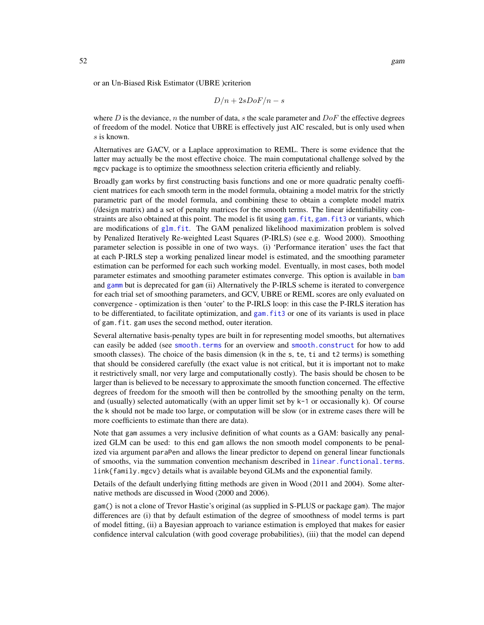or an Un-Biased Risk Estimator (UBRE )criterion

$$
D/n + 2sDoF/n - s
$$

where D is the deviance, n the number of data, s the scale parameter and  $DoF$  the effective degrees of freedom of the model. Notice that UBRE is effectively just AIC rescaled, but is only used when s is known.

Alternatives are GACV, or a Laplace approximation to REML. There is some evidence that the latter may actually be the most effective choice. The main computational challenge solved by the mgcv package is to optimize the smoothness selection criteria efficiently and reliably.

Broadly gam works by first constructing basis functions and one or more quadratic penalty coefficient matrices for each smooth term in the model formula, obtaining a model matrix for the strictly parametric part of the model formula, and combining these to obtain a complete model matrix (/design matrix) and a set of penalty matrices for the smooth terms. The linear identifiability constraints are also obtained at this point. The model is fit using gam. fit, gam. fit3 or variants, which are modifications of [glm.fit](#page-0-0). The GAM penalized likelihood maximization problem is solved by Penalized Iteratively Re-weighted Least Squares (P-IRLS) (see e.g. Wood 2000). Smoothing parameter selection is possible in one of two ways. (i) 'Performance iteration' uses the fact that at each P-IRLS step a working penalized linear model is estimated, and the smoothing parameter estimation can be performed for each such working model. Eventually, in most cases, both model parameter estimates and smoothing parameter estimates converge. This option is available in [bam](#page-6-0) and [gamm](#page-91-0) but is deprecated for gam (ii) Alternatively the P-IRLS scheme is iterated to convergence for each trial set of smoothing parameters, and GCV, UBRE or REML scores are only evaluated on convergence - optimization is then 'outer' to the P-IRLS loop: in this case the P-IRLS iteration has to be differentiated, to facilitate optimization, and [gam.fit3](#page-65-0) or one of its variants is used in place of gam.fit. gam uses the second method, outer iteration.

Several alternative basis-penalty types are built in for representing model smooths, but alternatives can easily be added (see [smooth.terms](#page-266-0) for an overview and [smooth.construct](#page-222-1) for how to add smooth classes). The choice of the basis dimension (k in the s, te, ti and t2 terms) is something that should be considered carefully (the exact value is not critical, but it is important not to make it restrictively small, nor very large and computationally costly). The basis should be chosen to be larger than is believed to be necessary to approximate the smooth function concerned. The effective degrees of freedom for the smooth will then be controlled by the smoothing penalty on the term, and (usually) selected automatically (with an upper limit set by k-1 or occasionally k). Of course the k should not be made too large, or computation will be slow (or in extreme cases there will be more coefficients to estimate than there are data).

Note that gam assumes a very inclusive definition of what counts as a GAM: basically any penalized GLM can be used: to this end gam allows the non smooth model components to be penalized via argument paraPen and allows the linear predictor to depend on general linear functionals of smooths, via the summation convention mechanism described in [linear.functional.terms](#page-128-0). link{family.mgcv} details what is available beyond GLMs and the exponential family.

Details of the default underlying fitting methods are given in Wood (2011 and 2004). Some alternative methods are discussed in Wood (2000 and 2006).

gam() is not a clone of Trevor Hastie's original (as supplied in S-PLUS or package gam). The major differences are (i) that by default estimation of the degree of smoothness of model terms is part of model fitting, (ii) a Bayesian approach to variance estimation is employed that makes for easier confidence interval calculation (with good coverage probabilities), (iii) that the model can depend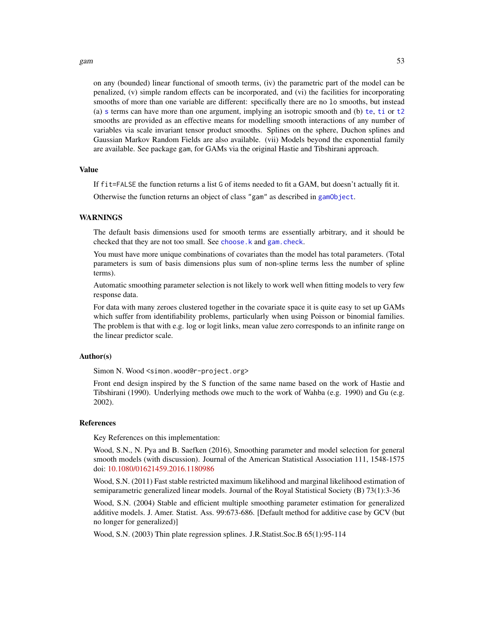#### gam  $53$

on any (bounded) linear functional of smooth terms, (iv) the parametric part of the model can be penalized, (v) simple random effects can be incorporated, and (vi) the facilities for incorporating smooths of more than one variable are different: specifically there are no lo smooths, but instead (a) [s](#page-208-0) [te](#page-287-0)rms can have more than one argument, implying an isotropic smooth and (b) te, [ti](#page-287-1) or [t2](#page-282-0) smooths are provided as an effective means for modelling smooth interactions of any number of variables via scale invariant tensor product smooths. Splines on the sphere, Duchon splines and Gaussian Markov Random Fields are also available. (vii) Models beyond the exponential family are available. See package gam, for GAMs via the original Hastie and Tibshirani approach.

### Value

If fit=FALSE the function returns a list G of items needed to fit a GAM, but doesn't actually fit it.

Otherwise the function returns an object of class "gam" as described in [gamObject](#page-99-0).

#### WARNINGS

The default basis dimensions used for smooth terms are essentially arbitrary, and it should be checked that they are not too small. See [choose.k](#page-20-0) and [gam.check](#page-57-0).

You must have more unique combinations of covariates than the model has total parameters. (Total parameters is sum of basis dimensions plus sum of non-spline terms less the number of spline terms).

Automatic smoothing parameter selection is not likely to work well when fitting models to very few response data.

For data with many zeroes clustered together in the covariate space it is quite easy to set up GAMs which suffer from identifiability problems, particularly when using Poisson or binomial families. The problem is that with e.g. log or logit links, mean value zero corresponds to an infinite range on the linear predictor scale.

### Author(s)

Simon N. Wood <simon.wood@r-project.org>

Front end design inspired by the S function of the same name based on the work of Hastie and Tibshirani (1990). Underlying methods owe much to the work of Wahba (e.g. 1990) and Gu (e.g. 2002).

### References

Key References on this implementation:

Wood, S.N., N. Pya and B. Saefken (2016), Smoothing parameter and model selection for general smooth models (with discussion). Journal of the American Statistical Association 111, 1548-1575 doi: [10.1080/01621459.2016.1180986](https://doi.org/10.1080/01621459.2016.1180986)

Wood, S.N. (2011) Fast stable restricted maximum likelihood and marginal likelihood estimation of semiparametric generalized linear models. Journal of the Royal Statistical Society (B) 73(1):3-36

Wood, S.N. (2004) Stable and efficient multiple smoothing parameter estimation for generalized additive models. J. Amer. Statist. Ass. 99:673-686. [Default method for additive case by GCV (but no longer for generalized)]

Wood, S.N. (2003) Thin plate regression splines. J.R.Statist.Soc.B 65(1):95-114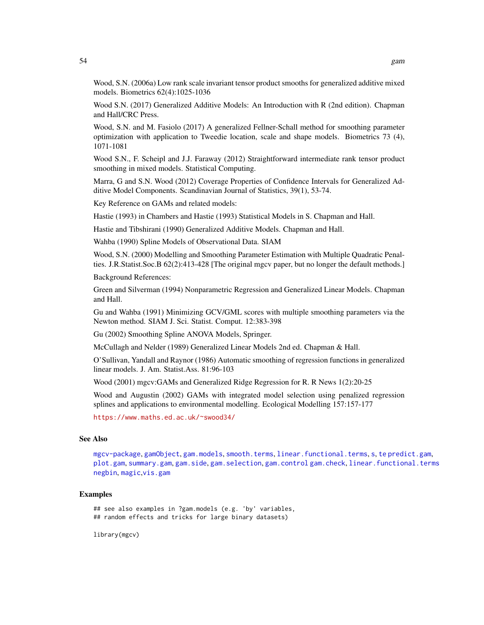Wood, S.N. (2006a) Low rank scale invariant tensor product smooths for generalized additive mixed models. Biometrics 62(4):1025-1036

Wood S.N. (2017) Generalized Additive Models: An Introduction with R (2nd edition). Chapman and Hall/CRC Press.

Wood, S.N. and M. Fasiolo (2017) A generalized Fellner-Schall method for smoothing parameter optimization with application to Tweedie location, scale and shape models. Biometrics 73 (4), 1071-1081

Wood S.N., F. Scheipl and J.J. Faraway (2012) Straightforward intermediate rank tensor product smoothing in mixed models. Statistical Computing.

Marra, G and S.N. Wood (2012) Coverage Properties of Confidence Intervals for Generalized Additive Model Components. Scandinavian Journal of Statistics, 39(1), 53-74.

Key Reference on GAMs and related models:

Hastie (1993) in Chambers and Hastie (1993) Statistical Models in S. Chapman and Hall.

Hastie and Tibshirani (1990) Generalized Additive Models. Chapman and Hall.

Wahba (1990) Spline Models of Observational Data. SIAM

Wood, S.N. (2000) Modelling and Smoothing Parameter Estimation with Multiple Quadratic Penalties. J.R.Statist.Soc.B 62(2):413-428 [The original mgcv paper, but no longer the default methods.]

Background References:

Green and Silverman (1994) Nonparametric Regression and Generalized Linear Models. Chapman and Hall.

Gu and Wahba (1991) Minimizing GCV/GML scores with multiple smoothing parameters via the Newton method. SIAM J. Sci. Statist. Comput. 12:383-398

Gu (2002) Smoothing Spline ANOVA Models, Springer.

McCullagh and Nelder (1989) Generalized Linear Models 2nd ed. Chapman & Hall.

O'Sullivan, Yandall and Raynor (1986) Automatic smoothing of regression functions in generalized linear models. J. Am. Statist.Ass. 81:96-103

Wood (2001) mgcv:GAMs and Generalized Ridge Regression for R. R News 1(2):20-25

Wood and Augustin (2002) GAMs with integrated model selection using penalized regression splines and applications to environmental modelling. Ecological Modelling 157:157-177

<https://www.maths.ed.ac.uk/~swood34/>

# See Also

[mgcv-package](#page-143-0), [gamObject](#page-99-0), [gam.models](#page-71-0), [smooth.terms](#page-266-0), [linear.functional.terms](#page-128-0), [s](#page-208-0), [te](#page-287-0) [predict.gam](#page-184-0), [plot.gam](#page-175-0), [summary.gam](#page-278-0), [gam.side](#page-83-0), [gam.selection](#page-80-0), [gam.control](#page-59-0) [gam.check](#page-57-0), [linear.functional.terms](#page-128-0) [negbin](#page-156-0), [magic](#page-135-0),[vis.gam](#page-303-0)

#### Examples

## see also examples in ?gam.models (e.g. 'by' variables, ## random effects and tricks for large binary datasets)

library(mgcv)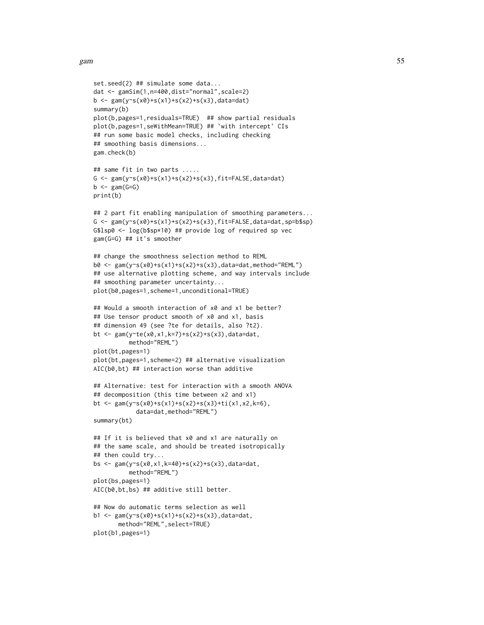```
set.seed(2) ## simulate some data...
dat <- gamSim(1,n=400,dist="normal",scale=2)
b <- gam(y~s(x0)+s(x1)+s(x2)+s(x3),data=dat)
summary(b)
plot(b,pages=1,residuals=TRUE) ## show partial residuals
plot(b,pages=1,seWithMean=TRUE) ## `with intercept' CIs
## run some basic model checks, including checking
## smoothing basis dimensions...
gam.check(b)
## same fit in two parts .....
G \leq gam(y~s(x0)+s(x1)+s(x2)+s(x3),fit=FALSE,data=dat)
b \leftarrow \text{gam}(G=G)print(b)
## 2 part fit enabling manipulation of smoothing parameters...
G <- gam(y~s(x0)+s(x1)+s(x2)+s(x3),fit=FALSE,data=dat,sp=b$sp)
G$lsp0 <- log(b$sp*10) ## provide log of required sp vec
gam(G=G) ## it's smoother
## change the smoothness selection method to REML
b0 <- gam(y~s(x0)+s(x1)+s(x2)+s(x3),data=dat,method="REML")
## use alternative plotting scheme, and way intervals include
## smoothing parameter uncertainty...
plot(b0,pages=1,scheme=1,unconditional=TRUE)
## Would a smooth interaction of x0 and x1 be better?
## Use tensor product smooth of x0 and x1, basis
## dimension 49 (see ?te for details, also ?t2).
bt <- gam(y~te(x0,x1,k=7)+s(x2)+s(x3),data=dat,
          method="REML")
plot(bt,pages=1)
plot(bt,pages=1,scheme=2) ## alternative visualization
AIC(b0,bt) ## interaction worse than additive
## Alternative: test for interaction with a smooth ANOVA
## decomposition (this time between x2 and x1)
bt <- gam(y~s(x0)+s(x1)+s(x2)+s(x3)+ti(x1,x2,k=6),
            data=dat,method="REML")
summary(bt)
## If it is believed that x0 and x1 are naturally on
## the same scale, and should be treated isotropically
## then could try...
bs \leq gam(y~s(x0,x1,k=40)+s(x2)+s(x3),data=dat,
          method="REML")
plot(bs,pages=1)
AIC(b0,bt,bs) ## additive still better.
## Now do automatic terms selection as well
b1 <- gam(y~s(x0)+s(x1)+s(x2)+s(x3),data=dat,
       method="REML",select=TRUE)
plot(b1,pages=1)
```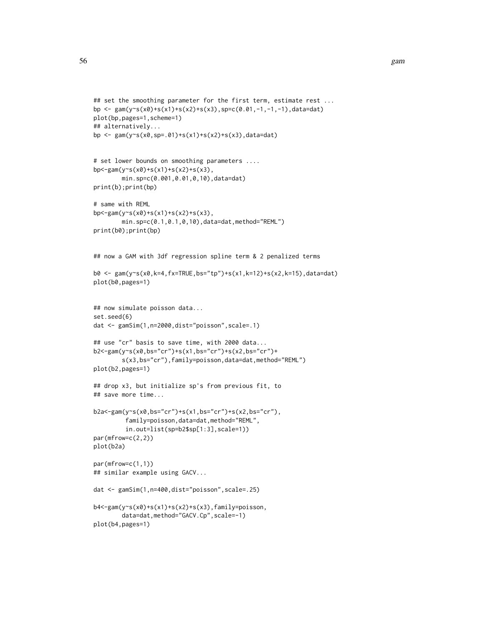```
## set the smoothing parameter for the first term, estimate rest ...
bp <- gam(y s(x0) + s(x1) + s(x2) + s(x3), sp=c(0.01, -1, -1, -1), data=dat)
plot(bp,pages=1,scheme=1)
## alternatively...
bp <- gam(y~s(x0,sp=.01)+s(x1)+s(x2)+s(x3),data=dat)
# set lower bounds on smoothing parameters ....
bp <-gam(y \text{S}(x0)+s(x1)+s(x2)+s(x3),
        min.sp=c(0.001,0.01,0,10),data=dat)
print(b);print(bp)
# same with REML
bp<-gam(y~s(x0)+s(x1)+s(x2)+s(x3),
        min.sp=c(0.1,0.1,0,10),data=dat,method="REML")
print(b0);print(bp)
## now a GAM with 3df regression spline term & 2 penalized terms
b0 <- gam(y~s(x0,k=4,fx=TRUE,bs="tp")+s(x1,k=12)+s(x2,k=15),data=dat)
plot(b0,pages=1)
## now simulate poisson data...
set.seed(6)
dat <- gamSim(1,n=2000,dist="poisson",scale=.1)
## use "cr" basis to save time, with 2000 data...
b2<-gam(y~s(x0,bs="cr")+s(x1,bs="cr")+s(x2,bs="cr")+
        s(x3,bs="cr"),family=poisson,data=dat,method="REML")
plot(b2,pages=1)
## drop x3, but initialize sp's from previous fit, to
## save more time...
b2a<-gam(y~s(x0,bs="cr")+s(x1,bs="cr")+s(x2,bs="cr"),
         family=poisson,data=dat,method="REML",
         in.out=list(sp=b2$sp[1:3],scale=1))
par(mfrow=c(2,2))
plot(b2a)
par(mfrow=c(1,1))
## similar example using GACV...
dat <- gamSim(1,n=400,dist="poisson",scale=.25)
b4<-gam(y~s(x0)+s(x1)+s(x2)+s(x3),family=poisson,
        data=dat,method="GACV.Cp",scale=-1)
plot(b4,pages=1)
```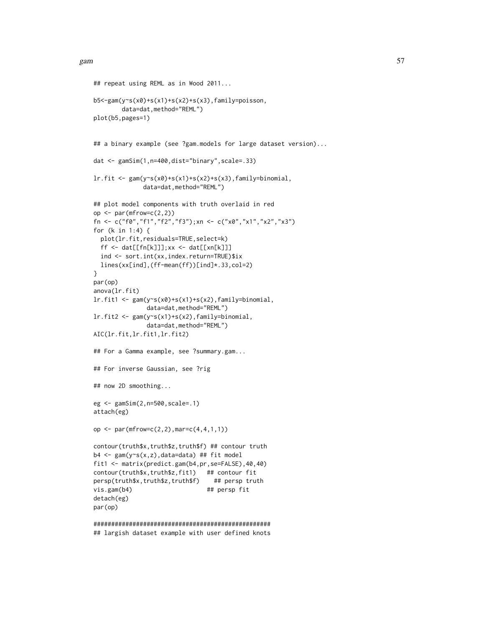```
## repeat using REML as in Wood 2011...
b5<-gam(y~s(x0)+s(x1)+s(x2)+s(x3),family=poisson,
        data=dat,method="REML")
plot(b5,pages=1)
## a binary example (see ?gam.models for large dataset version)...
dat <- gamSim(1,n=400,dist="binary",scale=.33)
lr.fit <- gam(y~s(x0)+s(x1)+s(x2)+s(x3),family=binomial,
              data=dat,method="REML")
## plot model components with truth overlaid in red
op \leq par(mfrow=c(2,2))
fn <- c("f0","f1","f2","f3");xn <- c("x0","x1","x2","x3")
for (k in 1:4) {
  plot(lr.fit,residuals=TRUE,select=k)
  ff <- dat[[fn[k]]];xx <- dat[[xn[k]]]
  ind <- sort.int(xx,index.return=TRUE)$ix
  lines(xx[ind],(ff-mean(ff))[ind]*.33,col=2)
}
par(op)
anova(lr.fit)
lr.fit1 <- gam(y~s(x0)+s(x1)+s(x2),family=binomial,
               data=dat,method="REML")
lr.fit2 <- gam(y~s(x1)+s(x2),family=binomial,
               data=dat,method="REML")
AIC(lr.fit,lr.fit1,lr.fit2)
## For a Gamma example, see ?summary.gam...
## For inverse Gaussian, see ?rig
## now 2D smoothing...
eg <- gamSim(2,n=500,scale=.1)
attach(eg)
op <- par(mfrow=c(2,2),mar=c(4,4,1,1))
contour(truth$x,truth$z,truth$f) ## contour truth
b4 <- gam(y~s(x,z),data=data) ## fit model
fit1 <- matrix(predict.gam(b4,pr,se=FALSE),40,40)
contour(truth$x,truth$z,fit1) ## contour fit
persp(truth$x,truth$z,truth$f) ## persp truth
vis.gam(b4) ## persp fit
detach(eg)
par(op)
##################################################
```
## largish dataset example with user defined knots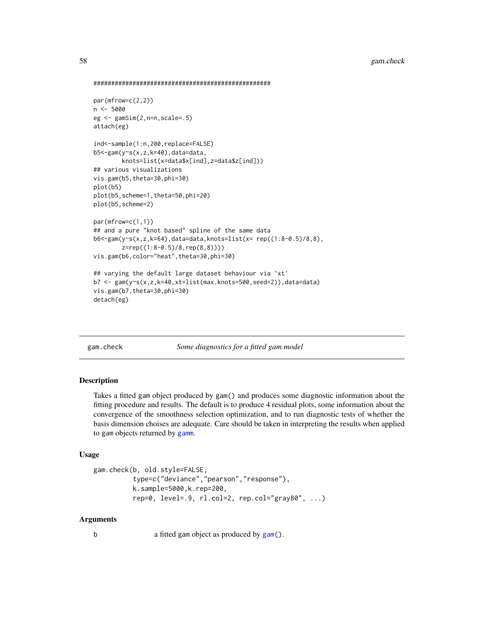```
##################################################
```

```
par(mfrow=c(2,2))
n <- 5000
eg <- gamSim(2,n=n,scale=.5)
attach(eg)
ind<-sample(1:n,200,replace=FALSE)
b5<-gam(y~s(x,z,k=40),data=data,
        knots=list(x=data$x[ind],z=data$z[ind]))
## various visualizations
vis.gam(b5,theta=30,phi=30)
plot(b5)
plot(b5,scheme=1,theta=50,phi=20)
plot(b5,scheme=2)
par(mfrow=c(1,1))
## and a pure "knot based" spline of the same data
b6<-gam(y~s(x,z,k=64),data=data,knots=list(x= rep((1:8-0.5)/8,8),
        z=rep((1:8-0.5)/8,rep(8,8))))
vis.gam(b6,color="heat",theta=30,phi=30)
## varying the default large dataset behaviour via `xt'
b7 <- gam(y~s(x,z,k=40,xt=list(max.knots=500,seed=2)),data=data)
vis.gam(b7,theta=30,phi=30)
detach(eg)
```
<span id="page-57-0"></span>gam.check *Some diagnostics for a fitted gam model*

# Description

Takes a fitted gam object produced by gam() and produces some diagnostic information about the fitting procedure and results. The default is to produce 4 residual plots, some information about the convergence of the smoothness selection optimization, and to run diagnostic tests of whether the basis dimension choises are adequate. Care should be taken in interpreting the results when applied to gam objects returned by [gamm](#page-91-0).

### Usage

```
gam.check(b, old.style=FALSE,
          type=c("deviance","pearson","response"),
          k.sample=5000,k.rep=200,
          rep=0, level=.9, rl.col=2, rep.col="gray80", ...)
```
### Arguments

b a fitted gam object as produced by [gam\(](#page-47-0)).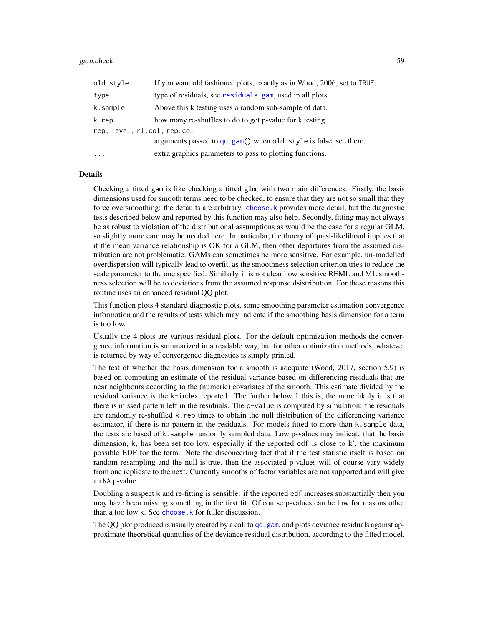#### gam.check 59

| old.style                   | If you want old fashioned plots, exactly as in Wood, 2006, set to TRUE. |  |
|-----------------------------|-------------------------------------------------------------------------|--|
| type                        | type of residuals, see residuals. gam, used in all plots.               |  |
| k.sample                    | Above this k testing uses a random sub-sample of data.                  |  |
| k.rep                       | how many re-shuffles to do to get p-value for k testing.                |  |
| rep, level, rl.col, rep.col |                                                                         |  |
|                             | arguments passed to qq.gam() when old.style is false, see there.        |  |
| $\ddotsc$                   | extra graphics parameters to pass to plotting functions.                |  |

### Details

Checking a fitted gam is like checking a fitted glm, with two main differences. Firstly, the basis dimensions used for smooth terms need to be checked, to ensure that they are not so small that they force oversmoothing: the defaults are arbitrary. [choose.k](#page-20-0) provides more detail, but the diagnostic tests described below and reported by this function may also help. Secondly, fitting may not always be as robust to violation of the distributional assumptions as would be the case for a regular GLM, so slightly more care may be needed here. In particular, the thoery of quasi-likelihood implies that if the mean variance relationship is OK for a GLM, then other departures from the assumed distribution are not problematic: GAMs can sometimes be more sensitive. For example, un-modelled overdispersion will typically lead to overfit, as the smoothness selection criterion tries to reduce the scale parameter to the one specified. Similarly, it is not clear how sensitive REML and ML smoothness selection will be to deviations from the assumed response dsistribution. For these reasons this routine uses an enhanced residual QQ plot.

This function plots 4 standard diagnostic plots, some smoothing parameter estimation convergence information and the results of tests which may indicate if the smoothing basis dimension for a term is too low.

Usually the 4 plots are various residual plots. For the default optimization methods the convergence information is summarized in a readable way, but for other optimization methods, whatever is returned by way of convergence diagnostics is simply printed.

The test of whether the basis dimension for a smooth is adequate (Wood, 2017, section 5.9) is based on computing an estimate of the residual variance based on differencing residuals that are near neighbours according to the (numeric) covariates of the smooth. This estimate divided by the residual variance is the k-index reported. The further below 1 this is, the more likely it is that there is missed pattern left in the residuals. The p-value is computed by simulation: the residuals are randomly re-shuffled k.rep times to obtain the null distribution of the differencing variance estimator, if there is no pattern in the residuals. For models fitted to more than k.sample data, the tests are based of k.sample randomly sampled data. Low p-values may indicate that the basis dimension, k, has been set too low, especially if the reported edf is close to k', the maximum possible EDF for the term. Note the disconcerting fact that if the test statistic itself is based on random resampling and the null is true, then the associated p-values will of course vary widely from one replicate to the next. Currently smooths of factor variables are not supported and will give an NA p-value.

Doubling a suspect k and re-fitting is sensible: if the reported edf increases substantially then you may have been missing something in the first fit. Of course p-values can be low for reasons other than a too low k. See [choose.k](#page-20-0) for fuller discussion.

The QQ plot produced is usually created by a call to [qq.gam](#page-197-0), and plots deviance residuals against approximate theoretical quantilies of the deviance residual distribution, according to the fitted model.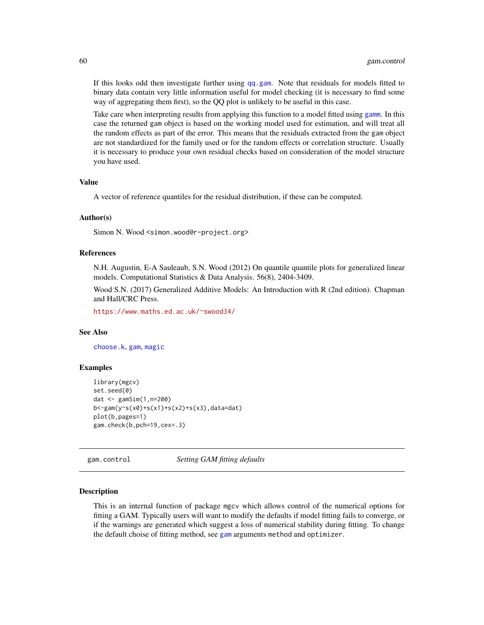If this looks odd then investigate further using [qq.gam](#page-197-0). Note that residuals for models fitted to binary data contain very little information useful for model checking (it is necessary to find some way of aggregating them first), so the QQ plot is unlikely to be useful in this case.

Take care when interpreting results from applying this function to a model fitted using [gamm](#page-91-0). In this case the returned gam object is based on the working model used for estimation, and will treat all the random effects as part of the error. This means that the residuals extracted from the gam object are not standardized for the family used or for the random effects or correlation structure. Usually it is necessary to produce your own residual checks based on consideration of the model structure you have used.

# Value

A vector of reference quantiles for the residual distribution, if these can be computed.

#### Author(s)

Simon N. Wood <simon.wood@r-project.org>

## References

N.H. Augustin, E-A Sauleaub, S.N. Wood (2012) On quantile quantile plots for generalized linear models. Computational Statistics & Data Analysis. 56(8), 2404-3409.

Wood S.N. (2017) Generalized Additive Models: An Introduction with R (2nd edition). Chapman and Hall/CRC Press.

<https://www.maths.ed.ac.uk/~swood34/>

#### See Also

[choose.k](#page-20-0), [gam](#page-47-0), [magic](#page-135-0)

### Examples

```
library(mgcv)
set.seed(0)
dat <- gamSim(1,n=200)
b<-gam(y~s(x0)+s(x1)+s(x2)+s(x3),data=dat)
plot(b,pages=1)
gam.check(b,pch=19,cex=.3)
```
<span id="page-59-0"></span>gam.control *Setting GAM fitting defaults*

#### Description

This is an internal function of package mgcv which allows control of the numerical options for fitting a GAM. Typically users will want to modify the defaults if model fitting fails to converge, or if the warnings are generated which suggest a loss of numerical stability during fitting. To change the default choise of fitting method, see [gam](#page-47-0) arguments method and optimizer.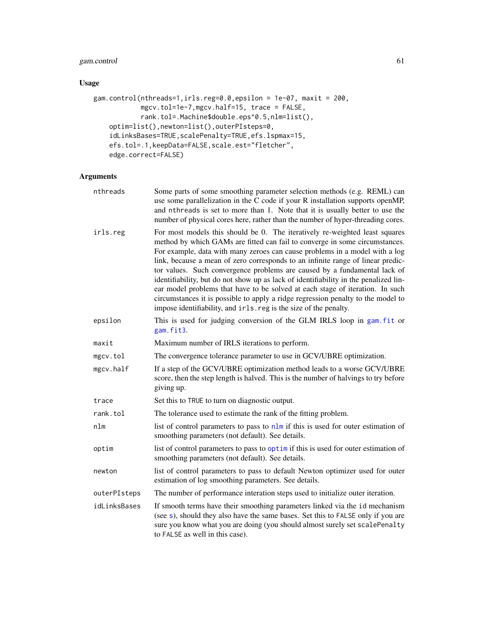# gam.control 61

# Usage

```
gam.control(nthreads=1,irls.reg=0.0,epsilon = 1e-07, maxit = 200,
            mgcv.tol=1e-7,mgcv.half=15, trace = FALSE,
            rank.tol=.Machine$double.eps^0.5,nlm=list(),
    optim=list(),newton=list(),outerPIsteps=0,
    idLinksBases=TRUE,scalePenalty=TRUE,efs.lspmax=15,
    efs.tol=.1,keepData=FALSE,scale.est="fletcher",
    edge.correct=FALSE)
```
# Arguments

| nthreads     | Some parts of some smoothing parameter selection methods (e.g. REML) can<br>use some parallelization in the C code if your R installation supports openMP,<br>and nthreads is set to more than 1. Note that it is usually better to use the<br>number of physical cores here, rather than the number of hyper-threading cores.                                                                                                                                                                                                                                                                                                                                                                                                              |
|--------------|---------------------------------------------------------------------------------------------------------------------------------------------------------------------------------------------------------------------------------------------------------------------------------------------------------------------------------------------------------------------------------------------------------------------------------------------------------------------------------------------------------------------------------------------------------------------------------------------------------------------------------------------------------------------------------------------------------------------------------------------|
| irls.reg     | For most models this should be 0. The iteratively re-weighted least squares<br>method by which GAMs are fitted can fail to converge in some circumstances.<br>For example, data with many zeroes can cause problems in a model with a log<br>link, because a mean of zero corresponds to an infinite range of linear predic-<br>tor values. Such convergence problems are caused by a fundamental lack of<br>identifiability, but do not show up as lack of identifiability in the penalized lin-<br>ear model problems that have to be solved at each stage of iteration. In such<br>circumstances it is possible to apply a ridge regression penalty to the model to<br>impose identifiability, and irls. reg is the size of the penalty. |
| epsilon      | This is used for judging conversion of the GLM IRLS loop in gam. fit or<br>gam.fit3.                                                                                                                                                                                                                                                                                                                                                                                                                                                                                                                                                                                                                                                        |
| maxit        | Maximum number of IRLS iterations to perform.                                                                                                                                                                                                                                                                                                                                                                                                                                                                                                                                                                                                                                                                                               |
| mgcv.tol     | The convergence tolerance parameter to use in GCV/UBRE optimization.                                                                                                                                                                                                                                                                                                                                                                                                                                                                                                                                                                                                                                                                        |
| mgcv.half    | If a step of the GCV/UBRE optimization method leads to a worse GCV/UBRE<br>score, then the step length is halved. This is the number of halvings to try before<br>giving up.                                                                                                                                                                                                                                                                                                                                                                                                                                                                                                                                                                |
| trace        | Set this to TRUE to turn on diagnostic output.                                                                                                                                                                                                                                                                                                                                                                                                                                                                                                                                                                                                                                                                                              |
| rank.tol     | The tolerance used to estimate the rank of the fitting problem.                                                                                                                                                                                                                                                                                                                                                                                                                                                                                                                                                                                                                                                                             |
| nlm          | list of control parameters to pass to $n \ln n$ if this is used for outer estimation of<br>smoothing parameters (not default). See details.                                                                                                                                                                                                                                                                                                                                                                                                                                                                                                                                                                                                 |
| optim        | list of control parameters to pass to optimit this is used for outer estimation of<br>smoothing parameters (not default). See details.                                                                                                                                                                                                                                                                                                                                                                                                                                                                                                                                                                                                      |
| newton       | list of control parameters to pass to default Newton optimizer used for outer<br>estimation of log smoothing parameters. See details.                                                                                                                                                                                                                                                                                                                                                                                                                                                                                                                                                                                                       |
| outerPIsteps | The number of performance interation steps used to initialize outer iteration.                                                                                                                                                                                                                                                                                                                                                                                                                                                                                                                                                                                                                                                              |
| idLinksBases | If smooth terms have their smoothing parameters linked via the id mechanism<br>(see s), should they also have the same bases. Set this to FALSE only if you are<br>sure you know what you are doing (you should almost surely set scalePenalty<br>to FALSE as well in this case).                                                                                                                                                                                                                                                                                                                                                                                                                                                           |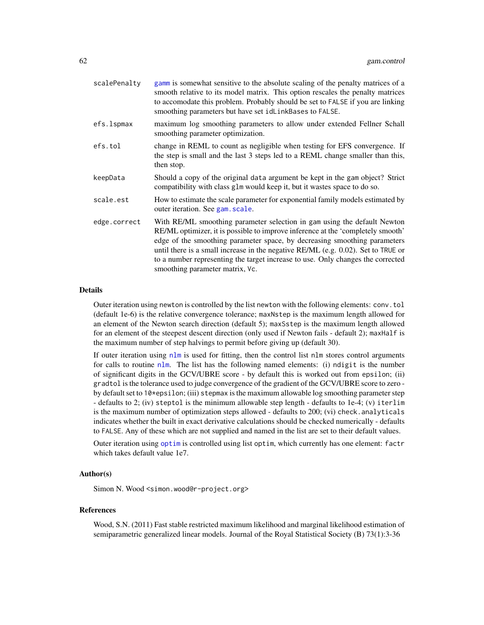| scalePenalty | gamm is somewhat sensitive to the absolute scaling of the penalty matrices of a<br>smooth relative to its model matrix. This option rescales the penalty matrices<br>to accomodate this problem. Probably should be set to FALSE if you are linking<br>smoothing parameters but have set idLinkBases to FALSE.                                                                                                                                         |
|--------------|--------------------------------------------------------------------------------------------------------------------------------------------------------------------------------------------------------------------------------------------------------------------------------------------------------------------------------------------------------------------------------------------------------------------------------------------------------|
| efs.lspmax   | maximum log smoothing parameters to allow under extended Fellner Schall<br>smoothing parameter optimization.                                                                                                                                                                                                                                                                                                                                           |
| efs.tol      | change in REML to count as negligible when testing for EFS convergence. If<br>the step is small and the last 3 steps led to a REML change smaller than this,<br>then stop.                                                                                                                                                                                                                                                                             |
| keepData     | Should a copy of the original data argument be kept in the gam object? Strict<br>compatibility with class glm would keep it, but it wastes space to do so.                                                                                                                                                                                                                                                                                             |
| scale.est    | How to estimate the scale parameter for exponential family models estimated by<br>outer iteration. See gam. scale.                                                                                                                                                                                                                                                                                                                                     |
| edge.correct | With RE/ML smoothing parameter selection in gam using the default Newton<br>RE/ML optimizer, it is possible to improve inference at the 'completely smooth'<br>edge of the smoothing parameter space, by decreasing smoothing parameters<br>until there is a small increase in the negative RE/ML (e.g. $0.02$ ). Set to TRUE or<br>to a number representing the target increase to use. Only changes the corrected<br>smoothing parameter matrix, Vc. |

#### Details

Outer iteration using newton is controlled by the list newton with the following elements: conv.tol (default 1e-6) is the relative convergence tolerance; maxNstep is the maximum length allowed for an element of the Newton search direction (default 5); maxSstep is the maximum length allowed for an element of the steepest descent direction (only used if Newton fails - default 2); maxHalf is the maximum number of step halvings to permit before giving up (default 30).

If outer iteration using [nlm](#page-0-0) is used for fitting, then the control list nlm stores control arguments for calls to routine [nlm](#page-0-0). The list has the following named elements: (i) ndigit is the number of significant digits in the GCV/UBRE score - by default this is worked out from epsilon; (ii) gradtol is the tolerance used to judge convergence of the gradient of the GCV/UBRE score to zero by default set to 10\*epsilon; (iii) stepmax is the maximum allowable log smoothing parameter step - defaults to 2; (iv) steptol is the minimum allowable step length - defaults to 1e-4; (v) iterlim is the maximum number of optimization steps allowed - defaults to 200; (vi) check.analyticals indicates whether the built in exact derivative calculations should be checked numerically - defaults to FALSE. Any of these which are not supplied and named in the list are set to their default values.

Outer iteration using [optim](#page-0-0) is controlled using list optim, which currently has one element: factr which takes default value 1e7.

# Author(s)

Simon N. Wood <simon.wood@r-project.org>

#### References

Wood, S.N. (2011) Fast stable restricted maximum likelihood and marginal likelihood estimation of semiparametric generalized linear models. Journal of the Royal Statistical Society (B) 73(1):3-36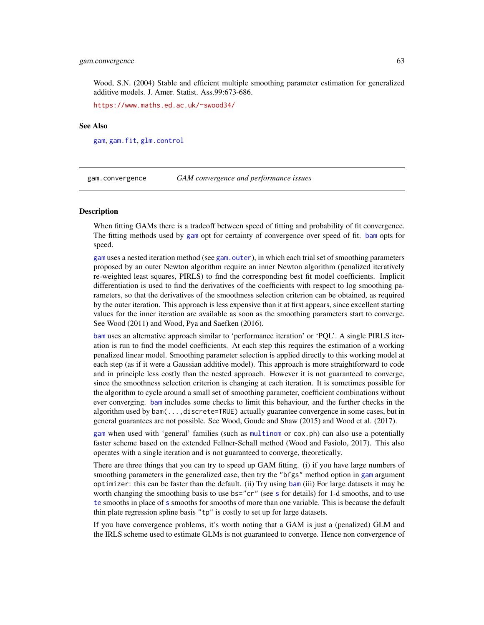### gam.convergence 63

Wood, S.N. (2004) Stable and efficient multiple smoothing parameter estimation for generalized additive models. J. Amer. Statist. Ass.99:673-686.

<https://www.maths.ed.ac.uk/~swood34/>

# See Also

[gam](#page-47-0), [gam.fit](#page-63-0), [glm.control](#page-0-0)

gam.convergence *GAM convergence and performance issues*

# **Description**

When fitting GAMs there is a tradeoff between speed of fitting and probability of fit convergence. The fitting methods used by [gam](#page-47-0) opt for certainty of convergence over speed of fit. [bam](#page-6-0) opts for speed.

[gam](#page-47-0) uses a nested iteration method (see [gam.outer](#page-77-0)), in which each trial set of smoothing parameters proposed by an outer Newton algorithm require an inner Newton algorithm (penalized iteratively re-weighted least squares, PIRLS) to find the corresponding best fit model coefficients. Implicit differentiation is used to find the derivatives of the coefficients with respect to log smoothing parameters, so that the derivatives of the smoothness selection criterion can be obtained, as required by the outer iteration. This approach is less expensive than it at first appears, since excellent starting values for the inner iteration are available as soon as the smoothing parameters start to converge. See Wood (2011) and Wood, Pya and Saefken (2016).

[bam](#page-6-0) uses an alternative approach similar to 'performance iteration' or 'PQL'. A single PIRLS iteration is run to find the model coefficients. At each step this requires the estimation of a working penalized linear model. Smoothing parameter selection is applied directly to this working model at each step (as if it were a Gaussian additive model). This approach is more straightforward to code and in principle less costly than the nested approach. However it is not guaranteed to converge, since the smoothness selection criterion is changing at each iteration. It is sometimes possible for the algorithm to cycle around a small set of smoothing parameter, coefficient combinations without ever converging. [bam](#page-6-0) includes some checks to limit this behaviour, and the further checks in the algorithm used by bam(...,discrete=TRUE) actually guarantee convergence in some cases, but in general guarantees are not possible. See Wood, Goude and Shaw (2015) and Wood et al. (2017).

[gam](#page-47-0) when used with 'general' families (such as [multinom](#page-153-0) or cox.ph) can also use a potentially faster scheme based on the extended Fellner-Schall method (Wood and Fasiolo, 2017). This also operates with a single iteration and is not guaranteed to converge, theoretically.

There are three things that you can try to speed up GAM fitting. (i) if you have large numbers of smoothing parameters in the generalized case, then try the "bfgs" method option in [gam](#page-47-0) argument optimizer: this can be faster than the default. (ii) Try using [bam](#page-6-0) (iii) For large datasets it may be worth changing the [s](#page-208-0)moothing basis to use bs="cr" (see s for details) for 1-d smooths, and to use [te](#page-287-0) smooths in place of [s](#page-208-0) smooths for smooths of more than one variable. This is because the default thin plate regression spline basis "tp" is costly to set up for large datasets.

If you have convergence problems, it's worth noting that a GAM is just a (penalized) GLM and the IRLS scheme used to estimate GLMs is not guaranteed to converge. Hence non convergence of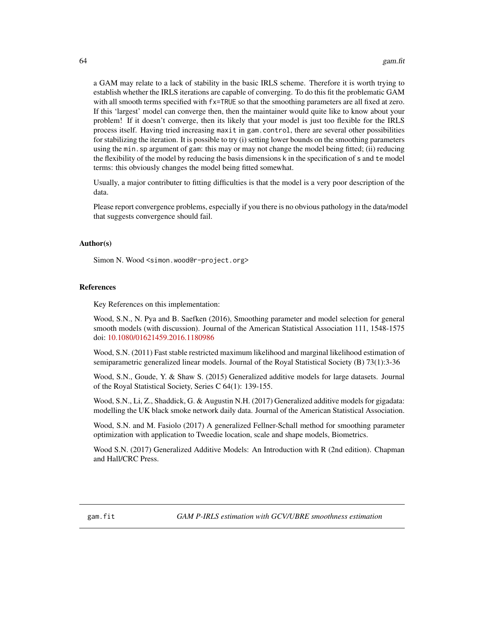a GAM may relate to a lack of stability in the basic IRLS scheme. Therefore it is worth trying to establish whether the IRLS iterations are capable of converging. To do this fit the problematic GAM with all smooth terms specified with fx=TRUE so that the smoothing parameters are all fixed at zero. If this 'largest' model can converge then, then the maintainer would quite like to know about your problem! If it doesn't converge, then its likely that your model is just too flexible for the IRLS process itself. Having tried increasing maxit in gam.control, there are several other possibilities for stabilizing the iteration. It is possible to try (i) setting lower bounds on the smoothing parameters using the min.sp argument of gam: this may or may not change the model being fitted; (ii) reducing the flexibility of the model by reducing the basis dimensions k in the specification of s and te model terms: this obviously changes the model being fitted somewhat.

Usually, a major contributer to fitting difficulties is that the model is a very poor description of the data.

Please report convergence problems, especially if you there is no obvious pathology in the data/model that suggests convergence should fail.

### Author(s)

Simon N. Wood <simon.wood@r-project.org>

#### References

Key References on this implementation:

Wood, S.N., N. Pya and B. Saefken (2016), Smoothing parameter and model selection for general smooth models (with discussion). Journal of the American Statistical Association 111, 1548-1575 doi: [10.1080/01621459.2016.1180986](https://doi.org/10.1080/01621459.2016.1180986)

Wood, S.N. (2011) Fast stable restricted maximum likelihood and marginal likelihood estimation of semiparametric generalized linear models. Journal of the Royal Statistical Society (B) 73(1):3-36

Wood, S.N., Goude, Y. & Shaw S. (2015) Generalized additive models for large datasets. Journal of the Royal Statistical Society, Series C 64(1): 139-155.

Wood, S.N., Li, Z., Shaddick, G. & Augustin N.H. (2017) Generalized additive models for gigadata: modelling the UK black smoke network daily data. Journal of the American Statistical Association.

Wood, S.N. and M. Fasiolo (2017) A generalized Fellner-Schall method for smoothing parameter optimization with application to Tweedie location, scale and shape models, Biometrics.

<span id="page-63-0"></span>Wood S.N. (2017) Generalized Additive Models: An Introduction with R (2nd edition). Chapman and Hall/CRC Press.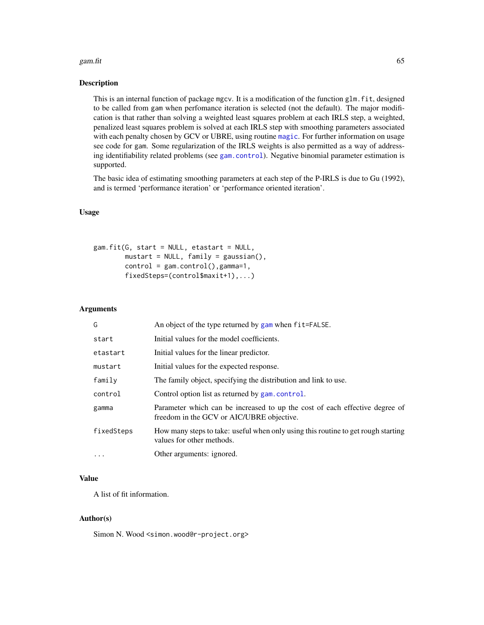#### gam.fit 65

### **Description**

This is an internal function of package mgcv. It is a modification of the function glm.fit, designed to be called from gam when perfomance iteration is selected (not the default). The major modification is that rather than solving a weighted least squares problem at each IRLS step, a weighted, penalized least squares problem is solved at each IRLS step with smoothing parameters associated with each penalty chosen by GCV or UBRE, using routine [magic](#page-135-0). For further information on usage see code for gam. Some regularization of the IRLS weights is also permitted as a way of addressing identifiability related problems (see [gam.control](#page-59-0)). Negative binomial parameter estimation is supported.

The basic idea of estimating smoothing parameters at each step of the P-IRLS is due to Gu (1992), and is termed 'performance iteration' or 'performance oriented iteration'.

# Usage

```
gam.fit(G, start = NULL, etastart = NULL,
       mustart = NULL, family = gaussian(),
       control = gam.control(), gamma=1,fixedSteps=(control$maxit+1),...)
```
# Arguments

| G          | An object of the type returned by gam when fit=FALSE.                                                                    |
|------------|--------------------------------------------------------------------------------------------------------------------------|
| start      | Initial values for the model coefficients.                                                                               |
| etastart   | Initial values for the linear predictor.                                                                                 |
| mustart    | Initial values for the expected response.                                                                                |
| family     | The family object, specifying the distribution and link to use.                                                          |
| control    | Control option list as returned by gam.control.                                                                          |
| gamma      | Parameter which can be increased to up the cost of each effective degree of<br>freedom in the GCV or AIC/UBRE objective. |
| fixedSteps | How many steps to take: useful when only using this routine to get rough starting<br>values for other methods.           |
| $\ddotsc$  | Other arguments: ignored.                                                                                                |

# Value

A list of fit information.

### Author(s)

Simon N. Wood <simon.wood@r-project.org>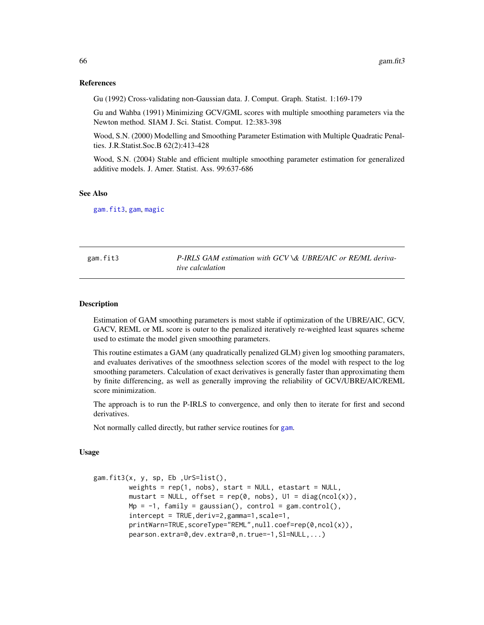### References

Gu (1992) Cross-validating non-Gaussian data. J. Comput. Graph. Statist. 1:169-179

Gu and Wahba (1991) Minimizing GCV/GML scores with multiple smoothing parameters via the Newton method. SIAM J. Sci. Statist. Comput. 12:383-398

Wood, S.N. (2000) Modelling and Smoothing Parameter Estimation with Multiple Quadratic Penalties. J.R.Statist.Soc.B 62(2):413-428

Wood, S.N. (2004) Stable and efficient multiple smoothing parameter estimation for generalized additive models. J. Amer. Statist. Ass. 99:637-686

#### See Also

[gam.fit3](#page-65-0), [gam](#page-47-0), [magic](#page-135-0)

<span id="page-65-0"></span>gam.fit3 *P-IRLS GAM estimation with GCV \& UBRE/AIC or RE/ML derivative calculation*

#### Description

Estimation of GAM smoothing parameters is most stable if optimization of the UBRE/AIC, GCV, GACV, REML or ML score is outer to the penalized iteratively re-weighted least squares scheme used to estimate the model given smoothing parameters.

This routine estimates a GAM (any quadratically penalized GLM) given log smoothing paramaters, and evaluates derivatives of the smoothness selection scores of the model with respect to the log smoothing parameters. Calculation of exact derivatives is generally faster than approximating them by finite differencing, as well as generally improving the reliability of GCV/UBRE/AIC/REML score minimization.

The approach is to run the P-IRLS to convergence, and only then to iterate for first and second derivatives.

Not normally called directly, but rather service routines for [gam](#page-47-0).

# Usage

```
gam.fit3(x, y, sp, Eb ,UrS=list(),
        weights = rep(1, nobs), start = NULL, etastart = NULL,
        mustart = NULL, offset = rep(0, nobs), U1 = diag(ncol(x)),
        Mp = -1, family = gaussian(), control = gam.control(),
        intercept = TRUE,deriv=2,gamma=1,scale=1,
        printWarn=TRUE,scoreType="REML",null.coef=rep(0,ncol(x)),
        pearson.extra=0,dev.extra=0,n.true=-1,Sl=NULL,...)
```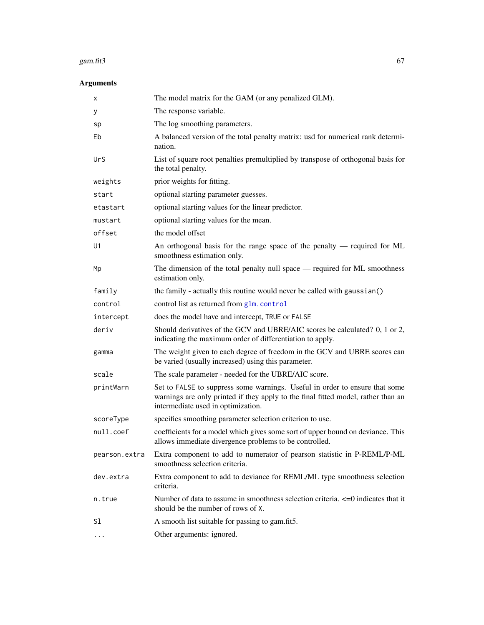#### gam.fit $3\,$  67

# Arguments

| х             | The model matrix for the GAM (or any penalized GLM).                                                                                                                                                   |
|---------------|--------------------------------------------------------------------------------------------------------------------------------------------------------------------------------------------------------|
| у             | The response variable.                                                                                                                                                                                 |
| sp            | The log smoothing parameters.                                                                                                                                                                          |
| Eb            | A balanced version of the total penalty matrix: usd for numerical rank determi-<br>nation.                                                                                                             |
| UrS           | List of square root penalties premultiplied by transpose of orthogonal basis for<br>the total penalty.                                                                                                 |
| weights       | prior weights for fitting.                                                                                                                                                                             |
| start         | optional starting parameter guesses.                                                                                                                                                                   |
| etastart      | optional starting values for the linear predictor.                                                                                                                                                     |
| mustart       | optional starting values for the mean.                                                                                                                                                                 |
| offset        | the model offset                                                                                                                                                                                       |
| U1            | An orthogonal basis for the range space of the penalty — required for ML<br>smoothness estimation only.                                                                                                |
| Mp            | The dimension of the total penalty null space — required for ML smoothness<br>estimation only.                                                                                                         |
| family        | the family - actually this routine would never be called with gaussian()                                                                                                                               |
| control       | control list as returned from glm. control                                                                                                                                                             |
| intercept     | does the model have and intercept, TRUE or FALSE                                                                                                                                                       |
| deriv         | Should derivatives of the GCV and UBRE/AIC scores be calculated? 0, 1 or 2,<br>indicating the maximum order of differentiation to apply.                                                               |
| gamma         | The weight given to each degree of freedom in the GCV and UBRE scores can<br>be varied (usually increased) using this parameter.                                                                       |
| scale         | The scale parameter - needed for the UBRE/AIC score.                                                                                                                                                   |
| printWarn     | Set to FALSE to suppress some warnings. Useful in order to ensure that some<br>warnings are only printed if they apply to the final fitted model, rather than an<br>intermediate used in optimization. |
| scoreType     | specifies smoothing parameter selection criterion to use.                                                                                                                                              |
| null.coef     | coefficients for a model which gives some sort of upper bound on deviance. This<br>allows immediate divergence problems to be controlled.                                                              |
| pearson.extra | Extra component to add to numerator of pearson statistic in P-REML/P-ML<br>smoothness selection criteria.                                                                                              |
| dev.extra     | Extra component to add to deviance for REML/ML type smoothness selection<br>criteria.                                                                                                                  |
| n.true        | Number of data to assume in smoothness selection criteria. <= 0 indicates that it<br>should be the number of rows of X.                                                                                |
| S1            | A smooth list suitable for passing to gam.fit5.                                                                                                                                                        |
| $\cdots$      | Other arguments: ignored.                                                                                                                                                                              |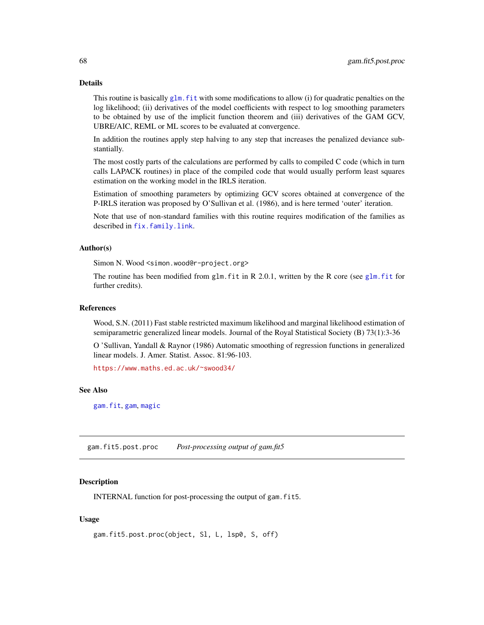# Details

This routine is basically  $g/m$ . fit with some modifications to allow (i) for quadratic penalties on the log likelihood; (ii) derivatives of the model coefficients with respect to log smoothing parameters to be obtained by use of the implicit function theorem and (iii) derivatives of the GAM GCV, UBRE/AIC, REML or ML scores to be evaluated at convergence.

In addition the routines apply step halving to any step that increases the penalized deviance substantially.

The most costly parts of the calculations are performed by calls to compiled C code (which in turn calls LAPACK routines) in place of the compiled code that would usually perform least squares estimation on the working model in the IRLS iteration.

Estimation of smoothing parameters by optimizing GCV scores obtained at convergence of the P-IRLS iteration was proposed by O'Sullivan et al. (1986), and is here termed 'outer' iteration.

Note that use of non-standard families with this routine requires modification of the families as described in [fix.family.link](#page-39-0).

### Author(s)

Simon N. Wood <simon.wood@r-project.org>

The routine has been modified from glm. fit in R 2.0.1, written by the R core (see glm. fit for further credits).

#### References

Wood, S.N. (2011) Fast stable restricted maximum likelihood and marginal likelihood estimation of semiparametric generalized linear models. Journal of the Royal Statistical Society (B) 73(1):3-36

O 'Sullivan, Yandall & Raynor (1986) Automatic smoothing of regression functions in generalized linear models. J. Amer. Statist. Assoc. 81:96-103.

<https://www.maths.ed.ac.uk/~swood34/>

## See Also

[gam.fit](#page-63-0), [gam](#page-47-0), [magic](#page-135-0)

gam.fit5.post.proc *Post-processing output of gam.fit5*

#### Description

INTERNAL function for post-processing the output of gam.fit5.

### Usage

```
gam.fit5.post.proc(object, Sl, L, lsp0, S, off)
```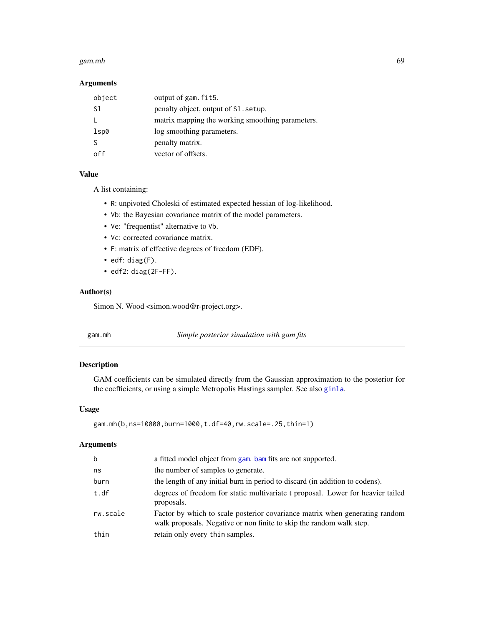#### gam.mh 69

# Arguments

| object | output of gam. fit5.                             |
|--------|--------------------------------------------------|
| S1     | penalty object, output of S1 setup.              |
|        | matrix mapping the working smoothing parameters. |
| 1sp0   | log smoothing parameters.                        |
|        | penalty matrix.                                  |
| ∩ff    | vector of offsets.                               |

# Value

A list containing:

- R: unpivoted Choleski of estimated expected hessian of log-likelihood.
- Vb: the Bayesian covariance matrix of the model parameters.
- Ve: "frequentist" alternative to Vb.
- Vc: corrected covariance matrix.
- F: matrix of effective degrees of freedom (EDF).
- edf: diag(F).
- edf2: diag(2F-FF).

# Author(s)

Simon N. Wood <simon.wood@r-project.org>.

| gam.mh |  |
|--------|--|
|        |  |

gam.mh *Simple posterior simulation with gam fits*

# Description

GAM coefficients can be simulated directly from the Gaussian approximation to the posterior for the coefficients, or using a simple Metropolis Hastings sampler. See also [ginla](#page-108-0).

# Usage

```
gam.mh(b,ns=10000,burn=1000,t.df=40,rw.scale=.25,thin=1)
```
### Arguments

| $\mathbf b$ | a fitted model object from gam, bam fits are not supported.                                                                                         |
|-------------|-----------------------------------------------------------------------------------------------------------------------------------------------------|
| ns          | the number of samples to generate.                                                                                                                  |
| burn        | the length of any initial burn in period to discard (in addition to codens).                                                                        |
| t.df        | degrees of freedom for static multivariate t proposal. Lower for heavier tailed<br>proposals.                                                       |
| rw.scale    | Factor by which to scale posterior covariance matrix when generating random<br>walk proposals. Negative or non finite to skip the random walk step. |
| thin        | retain only every thin samples.                                                                                                                     |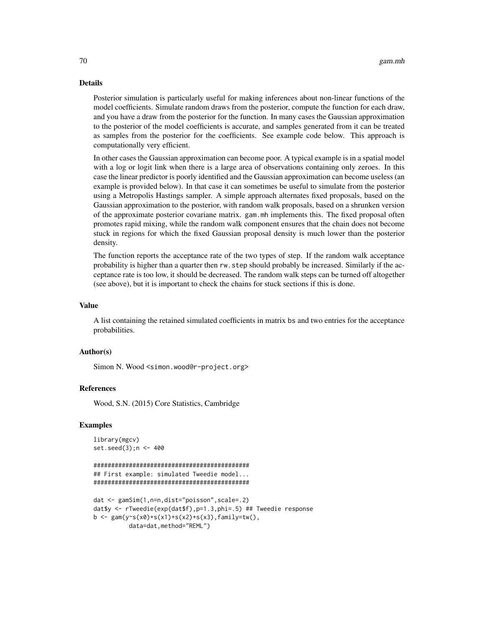### Details

Posterior simulation is particularly useful for making inferences about non-linear functions of the model coefficients. Simulate random draws from the posterior, compute the function for each draw, and you have a draw from the posterior for the function. In many cases the Gaussian approximation to the posterior of the model coefficients is accurate, and samples generated from it can be treated as samples from the posterior for the coefficients. See example code below. This approach is computationally very efficient.

In other cases the Gaussian approximation can become poor. A typical example is in a spatial model with a log or logit link when there is a large area of observations containing only zeroes. In this case the linear predictor is poorly identified and the Gaussian approximation can become useless (an example is provided below). In that case it can sometimes be useful to simulate from the posterior using a Metropolis Hastings sampler. A simple approach alternates fixed proposals, based on the Gaussian approximation to the posterior, with random walk proposals, based on a shrunken version of the approximate posterior covariane matrix. gam.mh implements this. The fixed proposal often promotes rapid mixing, while the random walk component ensures that the chain does not become stuck in regions for which the fixed Gaussian proposal density is much lower than the posterior density.

The function reports the acceptance rate of the two types of step. If the random walk acceptance probability is higher than a quarter then rw.step should probably be increased. Similarly if the acceptance rate is too low, it should be decreased. The random walk steps can be turned off altogether (see above), but it is important to check the chains for stuck sections if this is done.

### Value

A list containing the retained simulated coefficients in matrix bs and two entries for the acceptance probabilities.

### Author(s)

Simon N. Wood <simon.wood@r-project.org>

# References

Wood, S.N. (2015) Core Statistics, Cambridge

#### Examples

```
library(mgcv)
set.seed(3);n <- 400
```

```
############################################
## First example: simulated Tweedie model...
############################################
```

```
dat <- gamSim(1,n=n,dist="poisson",scale=.2)
dat$y <- rTweedie(exp(dat$f),p=1.3,phi=.5) ## Tweedie response
b <- gam(y~s(x0)+s(x1)+s(x2)+s(x3),family=tw(),
         data=dat,method="REML")
```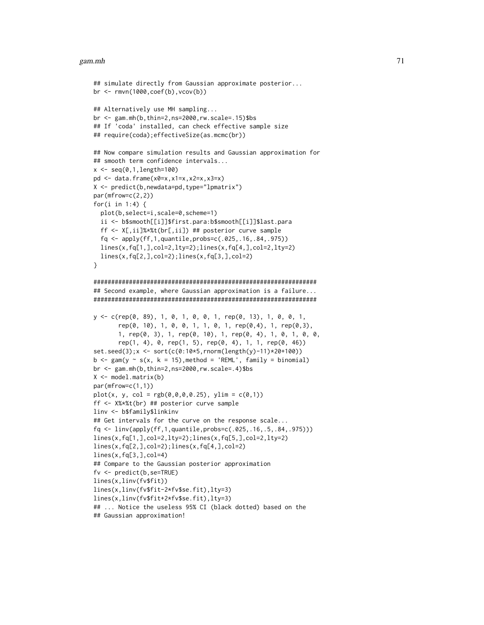#### gam.mh 71

```
## simulate directly from Gaussian approximate posterior...
br \leq rmvn(1000, coef(b), vcov(b))
## Alternatively use MH sampling...
br <- gam.mh(b,thin=2,ns=2000,rw.scale=.15)$bs
## If 'coda' installed, can check effective sample size
## require(coda);effectiveSize(as.mcmc(br))
## Now compare simulation results and Gaussian approximation for
## smooth term confidence intervals...
x < - seq(0,1,length=100)
pd \leq data.frame(x0=x,x1=x,x2=x,x3=x)
X <- predict(b,newdata=pd,type="lpmatrix")
par(mfrow=c(2,2))
for(i in 1:4) \{plot(b,select=i,scale=0,scheme=1)
 ii <- b$smooth[[i]]$first.para:b$smooth[[i]]$last.para
 ff <- X[,ii]%*%t(br[,ii]) ## posterior curve sample
 fq <- apply(ff,1,quantile,probs=c(.025,.16,.84,.975))
 lines(x,fq[1,],col=2,lty=2);lines(x,fq[4,],col=2,lty=2)
 lines(x,fq[2,],col=2);lines(x,fq[3,],col=2)
}
###############################################################
## Second example, where Gaussian approximation is a failure...
###############################################################
y <- c(rep(0, 89), 1, 0, 1, 0, 0, 1, rep(0, 13), 1, 0, 0, 1,
       rep(0, 10), 1, 0, 0, 1, 1, 0, 1, rep(0,4), 1, rep(0,3),
       1, rep(0, 3), 1, rep(0, 10), 1, rep(0, 4), 1, 0, 1, 0, 0,
       rep(1, 4), 0, rep(1, 5), rep(0, 4), 1, 1, rep(0, 46))set.seed(3);x <- sort(c(0:10*5,rnorm(length(y)-11)*20+100))
b \leq gam(y \sim s(x, k = 15), method = 'REML', family = binomial)
br \leq gam.mh(b, thin=2, ns=2000, rw.scale=.4)$bs
X \leq model.matrix(b)
par(mfrow=c(1,1))
plot(x, y, col = rgb(0, 0, 0, 0.25), ylim = c(0, 1))ff <- X%*%t(br) ## posterior curve sample
linv <- b$family$linkinv
## Get intervals for the curve on the response scale...
fq <- linv(apply(ff,1,quantile,probs=c(.025,.16,.5,.84,.975)))
lines(x,fq[1,],col=2,lty=2);lines(x,fq[5,],col=2,lty=2)
lines(x,fq[2,],col=2);lines(x,fq[4,],col=2)
lines(x, fq[3,], col=4)## Compare to the Gaussian posterior approximation
fv <- predict(b,se=TRUE)
lines(x,linv(fv$fit))
lines(x,linv(fv$fit-2*fv$se.fit),lty=3)
lines(x,linv(fv$fit+2*fv$se.fit),lty=3)
## ... Notice the useless 95% CI (black dotted) based on the
## Gaussian approximation!
```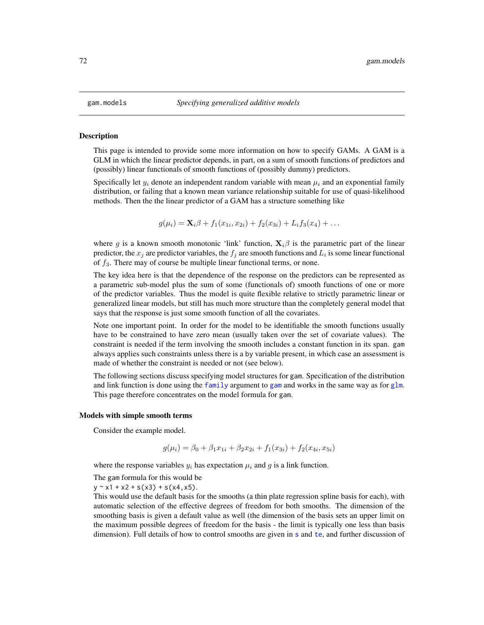#### <span id="page-71-0"></span>**Description**

This page is intended to provide some more information on how to specify GAMs. A GAM is a GLM in which the linear predictor depends, in part, on a sum of smooth functions of predictors and (possibly) linear functionals of smooth functions of (possibly dummy) predictors.

Specifically let  $y_i$  denote an independent random variable with mean  $\mu_i$  and an exponential family distribution, or failing that a known mean variance relationship suitable for use of quasi-likelihood methods. Then the the linear predictor of a GAM has a structure something like

$$
g(\mu_i) = \mathbf{X}_i \beta + f_1(x_{1i}, x_{2i}) + f_2(x_{3i}) + L_i f_3(x_4) + \dots
$$

where g is a known smooth monotonic 'link' function,  $X_i\beta$  is the parametric part of the linear predictor, the  $x_j$  are predictor variables, the  $f_j$  are smooth functions and  $L_i$  is some linear functional of  $f_3$ . There may of course be multiple linear functional terms, or none.

The key idea here is that the dependence of the response on the predictors can be represented as a parametric sub-model plus the sum of some (functionals of) smooth functions of one or more of the predictor variables. Thus the model is quite flexible relative to strictly parametric linear or generalized linear models, but still has much more structure than the completely general model that says that the response is just some smooth function of all the covariates.

Note one important point. In order for the model to be identifiable the smooth functions usually have to be constrained to have zero mean (usually taken over the set of covariate values). The constraint is needed if the term involving the smooth includes a constant function in its span. gam always applies such constraints unless there is a by variable present, in which case an assessment is made of whether the constraint is needed or not (see below).

The following sections discuss specifying model structures for gam. Specification of the distribution and link function is done using the [family](#page-0-0) argument to [gam](#page-47-0) and works in the same way as for [glm](#page-0-0). This page therefore concentrates on the model formula for gam.

#### Models with simple smooth terms

Consider the example model.

$$
g(\mu_i) = \beta_0 + \beta_1 x_{1i} + \beta_2 x_{2i} + f_1(x_{3i}) + f_2(x_{4i}, x_{5i})
$$

where the response variables  $y_i$  has expectation  $\mu_i$  and g is a link function.

The gam formula for this would be

 $y \sim x1 + x2 + s(x3) + s(x4, x5)$ .

This would use the default basis for the smooths (a thin plate regression spline basis for each), with automatic selection of the effective degrees of freedom for both smooths. The dimension of the smoothing basis is given a default value as well (the dimension of the basis sets an upper limit on the maximum possible degrees of freedom for the basis - the limit is typically one less than basis dimen[s](#page-208-0)ion). Full details of how to control smooths are given in s and [te](#page-287-0), and further discussion of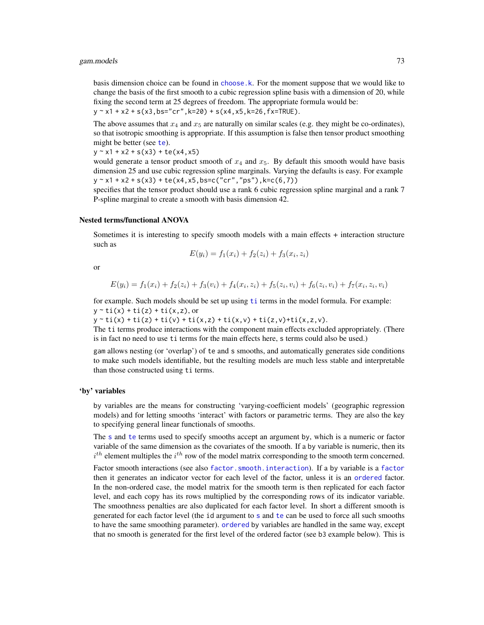basis dimension choice can be found in [choose.k](#page-20-0). For the moment suppose that we would like to change the basis of the first smooth to a cubic regression spline basis with a dimension of 20, while fixing the second term at 25 degrees of freedom. The appropriate formula would be:  $y \sim x1 + x2 + s(x3,bs="cr",k=20) + s(x4, x5, k=26, fx=TRUE).$ 

The above assumes that  $x_4$  and  $x_5$  are naturally on similar scales (e.g. they might be co-ordinates), so that isotropic smoothing is appropriate. If this assumption is false then tensor product smoothing might be bet[te](#page-287-0)r (see te).

 $y \sim x1 + x2 + s(x3) + te(x4, x5)$ 

would generate a tensor product smooth of  $x_4$  and  $x_5$ . By default this smooth would have basis dimension 25 and use cubic regression spline marginals. Varying the defaults is easy. For example  $y \sim x1 + x2 + s(x3) + te(x4, x5, bs = c("cr", "ps"), k = c(6, 7))$ 

specifies that the tensor product should use a rank 6 cubic regression spline marginal and a rank 7 P-spline marginal to create a smooth with basis dimension 42.

#### Nested terms/functional ANOVA

Sometimes it is interesting to specify smooth models with a main effects + interaction structure such as

$$
E(y_i) = f_1(x_i) + f_2(z_i) + f_3(x_i, z_i)
$$

or

$$
E(y_i) = f_1(x_i) + f_2(z_i) + f_3(v_i) + f_4(x_i, z_i) + f_5(z_i, v_i) + f_6(z_i, v_i) + f_7(x_i, z_i, v_i)
$$

for example. Such models should be set up using [ti](#page-287-1) terms in the model formula. For example:  $y \sim ti(x) + ti(z) + ti(x, z)$ , or

 $y " ti(x) + ti(z) + ti(v) + ti(x, z) + ti(x, v) + ti(z, v) + ti(x, z, v).$ 

The ti terms produce interactions with the component main effects excluded appropriately. (There is in fact no need to use ti terms for the main effects here, s terms could also be used.)

gam allows nesting (or 'overlap') of te and s smooths, and automatically generates side conditions to make such models identifiable, but the resulting models are much less stable and interpretable than those constructed using ti terms.

## 'by' variables

by variables are the means for constructing 'varying-coefficient models' (geographic regression models) and for letting smooths 'interact' with factors or parametric terms. They are also the key to specifying general linear functionals of smooths.

The [s](#page-208-0) and [te](#page-287-0) terms used to specify smooths accept an argument by, which is a numeric or factor variable of the same dimension as the covariates of the smooth. If a by variable is numeric, then its  $i^{th}$  element multiples the  $i^{th}$  row of the model matrix corresponding to the smooth term concerned.

Factor smooth interactions (see also [factor.smooth.interaction](#page-238-0)). If a by variable is a [factor](#page-0-0) then it generates an indicator vector for each level of the factor, unless it is an [ordered](#page-0-0) factor. In the non-ordered case, the model matrix for the smooth term is then replicated for each factor level, and each copy has its rows multiplied by the corresponding rows of its indicator variable. The smoothness penalties are also duplicated for each factor level. In short a different smooth is generated for each factor level (the id argument to [s](#page-208-0) and [te](#page-287-0) can be used to force all such smooths to have the same smoothing parameter). [ordered](#page-0-0) by variables are handled in the same way, except that no smooth is generated for the first level of the ordered factor (see b3 example below). This is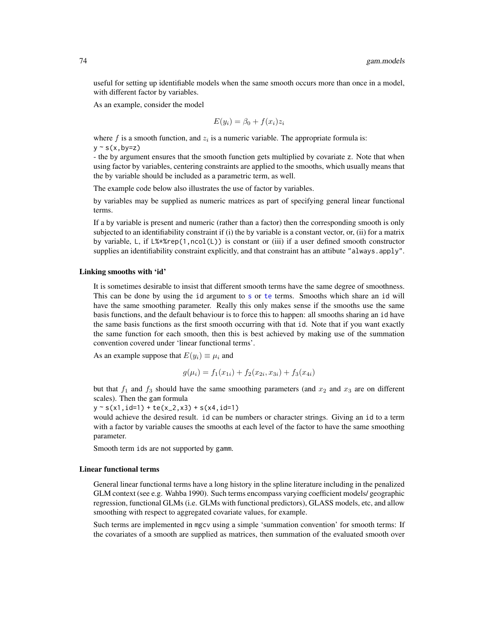useful for setting up identifiable models when the same smooth occurs more than once in a model, with different factor by variables.

As an example, consider the model

$$
E(y_i) = \beta_0 + f(x_i)z_i
$$

where  $f$  is a smooth function, and  $z_i$  is a numeric variable. The appropriate formula is:  $y \sim s(x, by=z)$ 

- the by argument ensures that the smooth function gets multiplied by covariate z. Note that when using factor by variables, centering constraints are applied to the smooths, which usually means that the by variable should be included as a parametric term, as well.

The example code below also illustrates the use of factor by variables.

by variables may be supplied as numeric matrices as part of specifying general linear functional terms.

If a by variable is present and numeric (rather than a factor) then the corresponding smooth is only subjected to an identifiability constraint if (i) the by variable is a constant vector, or, (ii) for a matrix by variable, L, if L%\*%rep(1,ncol(L)) is constant or (iii) if a user defined smooth constructor supplies an identifiability constraint explicitly, and that constraint has an attibute "always.apply".

#### Linking smooths with 'id'

It is sometimes desirable to insist that different smooth terms have the same degree of smoothness. This can be done by using the id argument to [s](#page-208-0) or [te](#page-287-0) terms. Smooths which share an id will have the same smoothing parameter. Really this only makes sense if the smooths use the same basis functions, and the default behaviour is to force this to happen: all smooths sharing an id have the same basis functions as the first smooth occurring with that id. Note that if you want exactly the same function for each smooth, then this is best achieved by making use of the summation convention covered under 'linear functional terms'.

As an example suppose that  $E(y_i) \equiv \mu_i$  and

$$
g(\mu_i) = f_1(x_{1i}) + f_2(x_{2i}, x_{3i}) + f_3(x_{4i})
$$

but that  $f_1$  and  $f_3$  should have the same smoothing parameters (and  $x_2$  and  $x_3$  are on different scales). Then the gam formula

 $y \sim s(x1, id=1) + te(x_2, x3) + s(x4, id=1)$ 

would achieve the desired result. id can be numbers or character strings. Giving an id to a term with a factor by variable causes the smooths at each level of the factor to have the same smoothing parameter.

Smooth term ids are not supported by gamm.

# Linear functional terms

General linear functional terms have a long history in the spline literature including in the penalized GLM context (see e.g. Wahba 1990). Such terms encompass varying coefficient models/ geographic regression, functional GLMs (i.e. GLMs with functional predictors), GLASS models, etc, and allow smoothing with respect to aggregated covariate values, for example.

Such terms are implemented in mgcv using a simple 'summation convention' for smooth terms: If the covariates of a smooth are supplied as matrices, then summation of the evaluated smooth over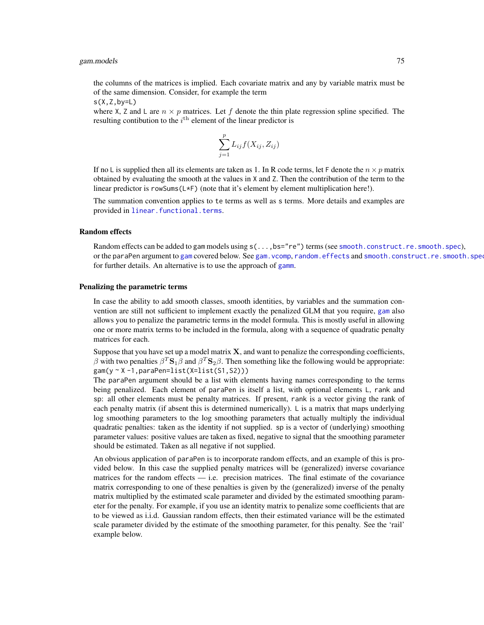the columns of the matrices is implied. Each covariate matrix and any by variable matrix must be of the same dimension. Consider, for example the term

 $s(X,Z,by=L)$ 

where X, Z and L are  $n \times p$  matrices. Let f denote the thin plate regression spline specified. The resulting contibution to the  $i<sup>th</sup>$  element of the linear predictor is

$$
\sum_{j=1}^{p} L_{ij} f(X_{ij}, Z_{ij})
$$

If no L is supplied then all its elements are taken as 1. In R code terms, let F denote the  $n \times p$  matrix obtained by evaluating the smooth at the values in X and Z. Then the contribution of the term to the linear predictor is rowSums(L\*F) (note that it's element by element multiplication here!).

The summation convention applies to te terms as well as s terms. More details and examples are provided in [linear.functional.terms](#page-128-0).

## Random effects

Random effects can be added to gam models using  $s(\ldots,bs="re")$  terms (see [smooth.construct.re.smooth.spec](#page-248-0)), or the paraPen argument to [gam](#page-47-0) covered below. See gam. vcomp, random. effects and smooth.construct.re.smooth.spee for further details. An alternative is to use the approach of [gamm](#page-91-0).

#### Penalizing the parametric terms

In case the ability to add smooth classes, smooth identities, by variables and the summation convention are still not sufficient to implement exactly the penalized GLM that you require, [gam](#page-47-0) also allows you to penalize the parametric terms in the model formula. This is mostly useful in allowing one or more matrix terms to be included in the formula, along with a sequence of quadratic penalty matrices for each.

Suppose that you have set up a model matrix  $X$ , and want to penalize the corresponding coefficients, β with two penalties  $βT$ **S**<sub>1</sub> $β$  and  $βT$ **S**<sub>2</sub> $β$ . Then something like the following would be appropriate: gam(y ~ X -1,paraPen=list(X=list(S1,S2)))

The paraPen argument should be a list with elements having names corresponding to the terms being penalized. Each element of paraPen is itself a list, with optional elements L, rank and sp: all other elements must be penalty matrices. If present, rank is a vector giving the rank of each penalty matrix (if absent this is determined numerically). L is a matrix that maps underlying log smoothing parameters to the log smoothing parameters that actually multiply the individual quadratic penalties: taken as the identity if not supplied. sp is a vector of (underlying) smoothing parameter values: positive values are taken as fixed, negative to signal that the smoothing parameter should be estimated. Taken as all negative if not supplied.

An obvious application of paraPen is to incorporate random effects, and an example of this is provided below. In this case the supplied penalty matrices will be (generalized) inverse covariance matrices for the random effects — i.e. precision matrices. The final estimate of the covariance matrix corresponding to one of these penalties is given by the (generalized) inverse of the penalty matrix multiplied by the estimated scale parameter and divided by the estimated smoothing parameter for the penalty. For example, if you use an identity matrix to penalize some coefficients that are to be viewed as i.i.d. Gaussian random effects, then their estimated variance will be the estimated scale parameter divided by the estimate of the smoothing parameter, for this penalty. See the 'rail' example below.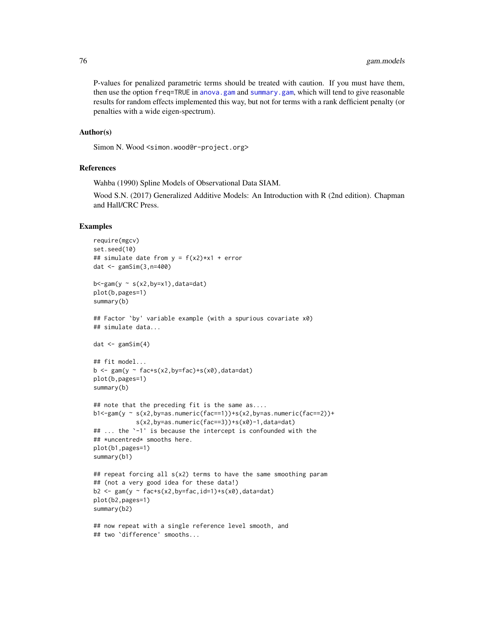P-values for penalized parametric terms should be treated with caution. If you must have them, then use the option freq=TRUE in [anova.gam](#page-4-0) and [summary.gam](#page-278-0), which will tend to give reasonable results for random effects implemented this way, but not for terms with a rank defficient penalty (or penalties with a wide eigen-spectrum).

## Author(s)

Simon N. Wood <simon.wood@r-project.org>

## References

Wahba (1990) Spline Models of Observational Data SIAM.

Wood S.N. (2017) Generalized Additive Models: An Introduction with R (2nd edition). Chapman and Hall/CRC Press.

## Examples

```
require(mgcv)
set.seed(10)
## simulate date from y = f(x2) * x1 + errordat <- gamSim(3,n=400)
b < -gamma(y \sim s(x2,by=x1),data=dat)plot(b,pages=1)
summary(b)
## Factor `by' variable example (with a spurious covariate x0)
## simulate data...
dat \leftarrow gamSim(4)## fit model...
b \leq gam(y \sim fac+s(x2,by=fac)+s(x0),data=dat)
plot(b,pages=1)
summary(b)
## note that the preceding fit is the same as....
b1 < -gamma(y \sim s(x2,by=as.numeric(fac==1))+s(x2,by=as.numeric(fac==2))+s(x2,by=as.numeric(fac==3))+s(x0)-1,data=dat)
## ... the `-1' is because the intercept is confounded with the
## *uncentred* smooths here.
plot(b1,pages=1)
summary(b1)
## repeat forcing all s(x2) terms to have the same smoothing param
## (not a very good idea for these data!)
b2 \leq gam(y \sim fac+s(x2,by=fac,id=1)+s(x0),data=dat)
plot(b2,pages=1)
summary(b2)
## now repeat with a single reference level smooth, and
## two `difference' smooths...
```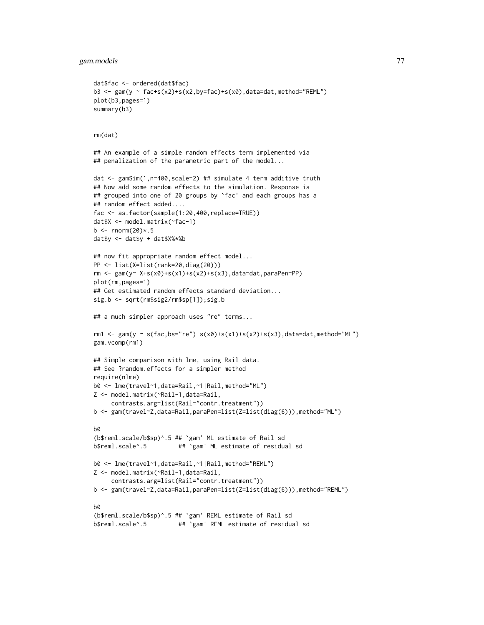```
dat$fac <- ordered(dat$fac)
b3 <- gam(y ~ fac+s(x2)+s(x2,by=fac)+s(x0),data=dat,method="REML")
plot(b3,pages=1)
summary(b3)
rm(dat)
## An example of a simple random effects term implemented via
## penalization of the parametric part of the model...
dat <- gamSim(1,n=400,scale=2) ## simulate 4 term additive truth
## Now add some random effects to the simulation. Response is
## grouped into one of 20 groups by `fac' and each groups has a
## random effect added....
fac <- as.factor(sample(1:20,400,replace=TRUE))
dat$X <- model.matrix(~fac-1)
b \le rnorm(20)* . 5dat$y <- dat$y + dat$X%*%b
## now fit appropriate random effect model...
PP <- list(X=list(rank=20,diag(20)))
rm <- gam(y~ X+s(x0)+s(x1)+s(x2)+s(x3),data=dat,paraPen=PP)
plot(rm,pages=1)
## Get estimated random effects standard deviation...
sig.b <- sqrt(rm$sig2/rm$sp[1]);sig.b
## a much simpler approach uses "re" terms...
rm1 <- gam(y ~ s(fac,bs="re")+s(x0)+s(x1)+s(x2)+s(x3),data=dat,method="ML")
gam.vcomp(rm1)
## Simple comparison with lme, using Rail data.
## See ?random.effects for a simpler method
require(nlme)
b0 <- lme(travel~1,data=Rail,~1|Rail,method="ML")
Z <- model.matrix(~Rail-1,data=Rail,
     contrasts.arg=list(Rail="contr.treatment"))
b <- gam(travel~Z,data=Rail,paraPen=list(Z=list(diag(6))),method="ML")
b0
(b$reml.scale/b$sp)^.5 ## `gam' ML estimate of Rail sd
b$reml.scale^.5 ## `gam' ML estimate of residual sd
b0 <- lme(travel~1,data=Rail,~1|Rail,method="REML")
Z <- model.matrix(~Rail-1,data=Rail,
     contrasts.arg=list(Rail="contr.treatment"))
b <- gam(travel~Z,data=Rail,paraPen=list(Z=list(diag(6))),method="REML")
b0
(b$reml.scale/b$sp)^.5 ## `gam' REML estimate of Rail sd
b$reml.scale^.5 ## `gam' REML estimate of residual sd
```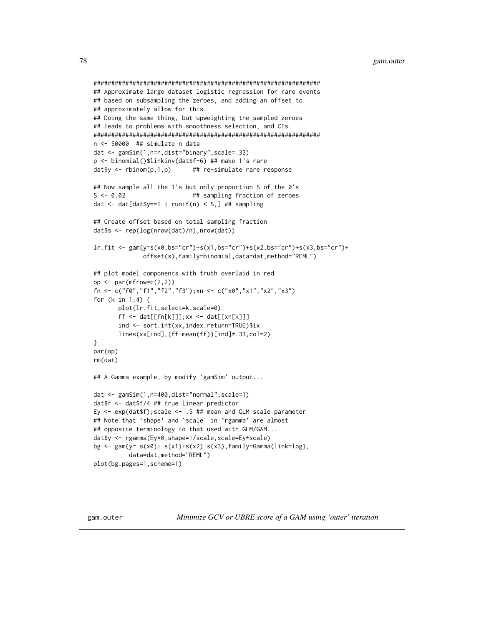```
################################################################
## Approximate large dataset logistic regression for rare events
## based on subsampling the zeroes, and adding an offset to
## approximately allow for this.
## Doing the same thing, but upweighting the sampled zeroes
## leads to problems with smoothness selection, and CIs.
################################################################
n <- 50000 ## simulate n data
dat <- gamSim(1,n=n,dist="binary",scale=.33)
p <- binomial()$linkinv(dat$f-6) ## make 1's rare
dat$y \le rbinom(p,1,p) ## re-simulate rare response
## Now sample all the 1's but only proportion S of the 0's
S <- 0.02 ## sampling fraction of zeroes
dat \le dat[dat$y==1 | runif(n) \le S,] ## sampling
## Create offset based on total sampling fraction
dat$s <- rep(log(nrow(dat)/n),nrow(dat))
lr.fit <- gam(y~s(x0,bs="cr")+s(x1,bs="cr")+s(x2,bs="cr")+s(x3,bs="cr")+
             offset(s),family=binomial,data=dat,method="REML")
## plot model components with truth overlaid in red
op \leq par(mfrow=c(2,2))
fn <- c("f0","f1","f2","f3");xn <- c("x0","x1","x2","x3")
for (k in 1:4) {
      plot(lr.fit,select=k,scale=0)
      ff <- dat[[fn[k]]];xx <- dat[[xn[k]]]
      ind <- sort.int(xx,index.return=TRUE)$ix
      lines(xx[ind],(ff-mean(ff))[ind]*.33,col=2)
}
par(op)
rm(dat)
## A Gamma example, by modify `gamSim' output...
dat <- gamSim(1,n=400,dist="normal",scale=1)
dat$f <- dat$f/4 ## true linear predictor
Ey \leq exp(dat$f); scale \leq .5 ## mean and GLM scale parameter
## Note that `shape' and `scale' in `rgamma' are almost
## opposite terminology to that used with GLM/GAM...
dat$y <- rgamma(Ey*0,shape=1/scale,scale=Ey*scale)
bg <- gam(y~ s(x0)+ s(x1)+s(x2)+s(x3),family=Gamma(link=log),
          data=dat,method="REML")
plot(bg,pages=1,scheme=1)
```
<span id="page-77-0"></span>gam.outer *Minimize GCV or UBRE score of a GAM using 'outer' iteration*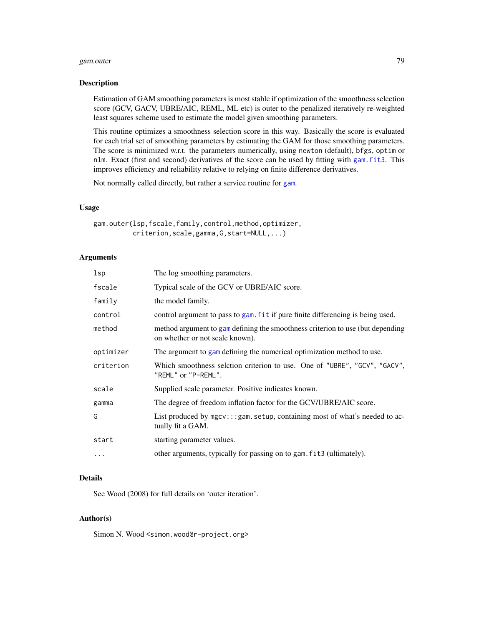#### gam.outer 79

#### Description

Estimation of GAM smoothing parameters is most stable if optimization of the smoothness selection score (GCV, GACV, UBRE/AIC, REML, ML etc) is outer to the penalized iteratively re-weighted least squares scheme used to estimate the model given smoothing parameters.

This routine optimizes a smoothness selection score in this way. Basically the score is evaluated for each trial set of smoothing parameters by estimating the GAM for those smoothing parameters. The score is minimized w.r.t. the parameters numerically, using newton (default), bfgs, optim or nlm. Exact (first and second) derivatives of the score can be used by fitting with [gam.fit3](#page-65-0). This improves efficiency and reliability relative to relying on finite difference derivatives.

Not normally called directly, but rather a service routine for [gam](#page-47-0).

# Usage

gam.outer(lsp,fscale,family,control,method,optimizer, criterion,scale,gamma,G,start=NULL,...)

## Arguments

| lsp       | The log smoothing parameters.                                                                                     |
|-----------|-------------------------------------------------------------------------------------------------------------------|
| fscale    | Typical scale of the GCV or UBRE/AIC score.                                                                       |
| family    | the model family.                                                                                                 |
| control   | control argument to pass to gam. fit if pure finite differencing is being used.                                   |
| method    | method argument to gam defining the smoothness criterion to use (but depending<br>on whether or not scale known). |
| optimizer | The argument to gam defining the numerical optimization method to use.                                            |
| criterion | Which smoothness selction criterion to use. One of "UBRE", "GCV", "GACV",<br>"REML" or "P-REML".                  |
| scale     | Supplied scale parameter. Positive indicates known.                                                               |
| gamma     | The degree of freedom inflation factor for the GCV/UBRE/AIC score.                                                |
| G         | List produced by mgcv:::gam.setup, containing most of what's needed to ac-<br>tually fit a GAM.                   |
| start     | starting parameter values.                                                                                        |
| $\cdots$  | other arguments, typically for passing on to gam. fit3 (ultimately).                                              |

# Details

See Wood (2008) for full details on 'outer iteration'.

## Author(s)

Simon N. Wood <simon.wood@r-project.org>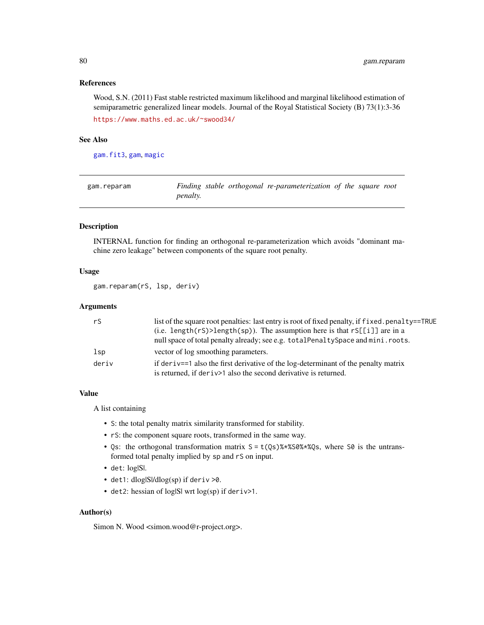# References

Wood, S.N. (2011) Fast stable restricted maximum likelihood and marginal likelihood estimation of semiparametric generalized linear models. Journal of the Royal Statistical Society (B) 73(1):3-36 <https://www.maths.ed.ac.uk/~swood34/>

## See Also

[gam.fit3](#page-65-0), [gam](#page-47-0), [magic](#page-135-0)

| gam.reparam |                 | Finding stable orthogonal re-parameterization of the square root |  |  |
|-------------|-----------------|------------------------------------------------------------------|--|--|
|             | <i>penalty.</i> |                                                                  |  |  |

# Description

INTERNAL function for finding an orthogonal re-parameterization which avoids "dominant machine zero leakage" between components of the square root penalty.

## Usage

gam.reparam(rS, lsp, deriv)

## **Arguments**

| rS    | list of the square root penalties: last entry is root of fixed penalty, if f i xed. penalty==TRUE |
|-------|---------------------------------------------------------------------------------------------------|
|       | (i.e. length( $rs$ )>length( $sp$ )). The assumption here is that $rs[[i]]$ are in a              |
|       | null space of total penalty already; see e.g. total Penalty Space and mini. roots.                |
| 1sp   | vector of log smoothing parameters.                                                               |
| deriv | if deriv==1 also the first derivative of the log-determinant of the penalty matrix                |
|       | is returned, if deriv>1 also the second derivative is returned.                                   |

## Value

A list containing

- S: the total penalty matrix similarity transformed for stability.
- rS: the component square roots, transformed in the same way.
- Qs: the orthogonal transformation matrix  $S = t(Qs)$ %\*%S0%\*%Qs, where S0 is the untransformed total penalty implied by sp and rS on input.
- det: log|S|.
- det1: dlog|S|/dlog(sp) if deriv >0.
- det2: hessian of log|S| wrt log(sp) if deriv>1.

#### Author(s)

Simon N. Wood <simon.wood@r-project.org>.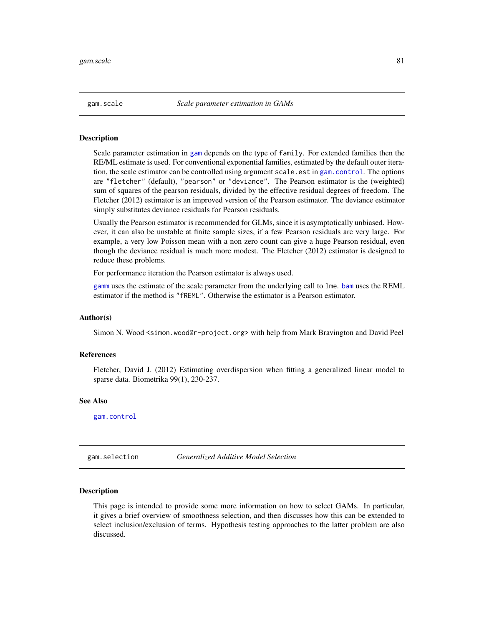## Description

Scale parameter estimation in [gam](#page-47-0) depends on the type of family. For extended families then the RE/ML estimate is used. For conventional exponential families, estimated by the default outer iteration, the scale estimator can be controlled using argument scale.est in [gam.control](#page-59-0). The options are "fletcher" (default), "pearson" or "deviance". The Pearson estimator is the (weighted) sum of squares of the pearson residuals, divided by the effective residual degrees of freedom. The Fletcher (2012) estimator is an improved version of the Pearson estimator. The deviance estimator simply substitutes deviance residuals for Pearson residuals.

Usually the Pearson estimator is recommended for GLMs, since it is asymptotically unbiased. However, it can also be unstable at finite sample sizes, if a few Pearson residuals are very large. For example, a very low Poisson mean with a non zero count can give a huge Pearson residual, even though the deviance residual is much more modest. The Fletcher (2012) estimator is designed to reduce these problems.

For performance iteration the Pearson estimator is always used.

[gamm](#page-91-0) uses the estimate of the scale parameter from the underlying call to lme. [bam](#page-6-0) uses the REML estimator if the method is "fREML". Otherwise the estimator is a Pearson estimator.

## Author(s)

Simon N. Wood <simon.wood@r-project.org> with help from Mark Bravington and David Peel

#### References

Fletcher, David J. (2012) Estimating overdispersion when fitting a generalized linear model to sparse data. Biometrika 99(1), 230-237.

## See Also

[gam.control](#page-59-0)

gam.selection *Generalized Additive Model Selection*

#### Description

This page is intended to provide some more information on how to select GAMs. In particular, it gives a brief overview of smoothness selection, and then discusses how this can be extended to select inclusion/exclusion of terms. Hypothesis testing approaches to the latter problem are also discussed.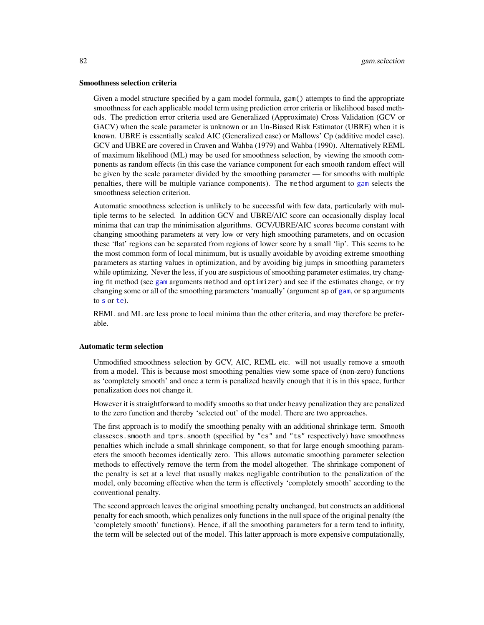#### Smoothness selection criteria

Given a model structure specified by a gam model formula, gam() attempts to find the appropriate smoothness for each applicable model term using prediction error criteria or likelihood based methods. The prediction error criteria used are Generalized (Approximate) Cross Validation (GCV or GACV) when the scale parameter is unknown or an Un-Biased Risk Estimator (UBRE) when it is known. UBRE is essentially scaled AIC (Generalized case) or Mallows' Cp (additive model case). GCV and UBRE are covered in Craven and Wahba (1979) and Wahba (1990). Alternatively REML of maximum likelihood (ML) may be used for smoothness selection, by viewing the smooth components as random effects (in this case the variance component for each smooth random effect will be given by the scale parameter divided by the smoothing parameter — for smooths with multiple penalties, there will be multiple variance components). The method argument to [gam](#page-47-0) selects the smoothness selection criterion.

Automatic smoothness selection is unlikely to be successful with few data, particularly with multiple terms to be selected. In addition GCV and UBRE/AIC score can occasionally display local minima that can trap the minimisation algorithms. GCV/UBRE/AIC scores become constant with changing smoothing parameters at very low or very high smoothing parameters, and on occasion these 'flat' regions can be separated from regions of lower score by a small 'lip'. This seems to be the most common form of local minimum, but is usually avoidable by avoiding extreme smoothing parameters as starting values in optimization, and by avoiding big jumps in smoothing parameters while optimizing. Never the less, if you are suspicious of smoothing parameter estimates, try changing fit method (see [gam](#page-47-0) arguments method and optimizer) and see if the estimates change, or try changing some or all of the smoothing parameters 'manually' (argument sp of [gam](#page-47-0), or sp arguments to [s](#page-208-0) or [te](#page-287-0)).

REML and ML are less prone to local minima than the other criteria, and may therefore be preferable.

## Automatic term selection

Unmodified smoothness selection by GCV, AIC, REML etc. will not usually remove a smooth from a model. This is because most smoothing penalties view some space of (non-zero) functions as 'completely smooth' and once a term is penalized heavily enough that it is in this space, further penalization does not change it.

However it is straightforward to modify smooths so that under heavy penalization they are penalized to the zero function and thereby 'selected out' of the model. There are two approaches.

The first approach is to modify the smoothing penalty with an additional shrinkage term. Smooth classescs.smooth and tprs.smooth (specified by "cs" and "ts" respectively) have smoothness penalties which include a small shrinkage component, so that for large enough smoothing parameters the smooth becomes identically zero. This allows automatic smoothing parameter selection methods to effectively remove the term from the model altogether. The shrinkage component of the penalty is set at a level that usually makes negligable contribution to the penalization of the model, only becoming effective when the term is effectively 'completely smooth' according to the conventional penalty.

The second approach leaves the original smoothing penalty unchanged, but constructs an additional penalty for each smooth, which penalizes only functions in the null space of the original penalty (the 'completely smooth' functions). Hence, if all the smoothing parameters for a term tend to infinity, the term will be selected out of the model. This latter approach is more expensive computationally,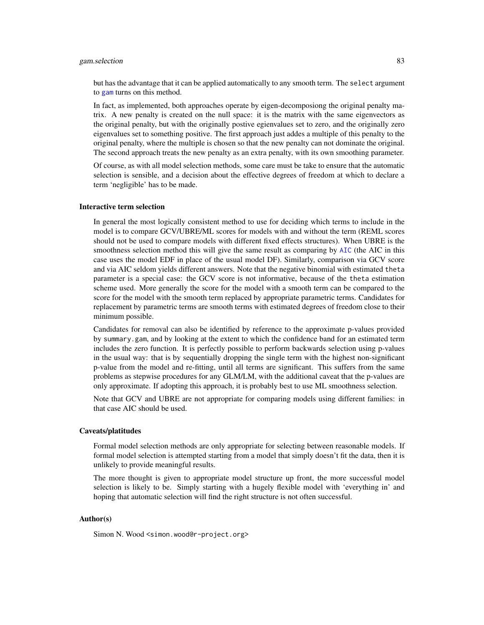## gam.selection 83

but has the advantage that it can be applied automatically to any smooth term. The select argument to [gam](#page-47-0) turns on this method.

In fact, as implemented, both approaches operate by eigen-decomposiong the original penalty matrix. A new penalty is created on the null space: it is the matrix with the same eigenvectors as the original penalty, but with the originally postive egienvalues set to zero, and the originally zero eigenvalues set to something positive. The first approach just addes a multiple of this penalty to the original penalty, where the multiple is chosen so that the new penalty can not dominate the original. The second approach treats the new penalty as an extra penalty, with its own smoothing parameter.

Of course, as with all model selection methods, some care must be take to ensure that the automatic selection is sensible, and a decision about the effective degrees of freedom at which to declare a term 'negligible' has to be made.

## Interactive term selection

In general the most logically consistent method to use for deciding which terms to include in the model is to compare GCV/UBRE/ML scores for models with and without the term (REML scores should not be used to compare models with different fixed effects structures). When UBRE is the smoothness selection method this will give the same result as comparing by [AIC](#page-0-0) (the AIC in this case uses the model EDF in place of the usual model DF). Similarly, comparison via GCV score and via AIC seldom yields different answers. Note that the negative binomial with estimated theta parameter is a special case: the GCV score is not informative, because of the theta estimation scheme used. More generally the score for the model with a smooth term can be compared to the score for the model with the smooth term replaced by appropriate parametric terms. Candidates for replacement by parametric terms are smooth terms with estimated degrees of freedom close to their minimum possible.

Candidates for removal can also be identified by reference to the approximate p-values provided by summary.gam, and by looking at the extent to which the confidence band for an estimated term includes the zero function. It is perfectly possible to perform backwards selection using p-values in the usual way: that is by sequentially dropping the single term with the highest non-significant p-value from the model and re-fitting, until all terms are significant. This suffers from the same problems as stepwise procedures for any GLM/LM, with the additional caveat that the p-values are only approximate. If adopting this approach, it is probably best to use ML smoothness selection.

Note that GCV and UBRE are not appropriate for comparing models using different families: in that case AIC should be used.

## Caveats/platitudes

Formal model selection methods are only appropriate for selecting between reasonable models. If formal model selection is attempted starting from a model that simply doesn't fit the data, then it is unlikely to provide meaningful results.

The more thought is given to appropriate model structure up front, the more successful model selection is likely to be. Simply starting with a hugely flexible model with 'everything in' and hoping that automatic selection will find the right structure is not often successful.

## Author(s)

Simon N. Wood <simon.wood@r-project.org>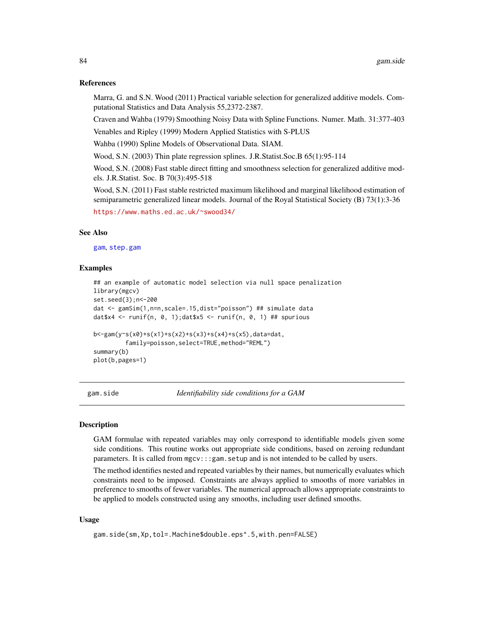## References

Marra, G. and S.N. Wood (2011) Practical variable selection for generalized additive models. Computational Statistics and Data Analysis 55,2372-2387.

Craven and Wahba (1979) Smoothing Noisy Data with Spline Functions. Numer. Math. 31:377-403

Venables and Ripley (1999) Modern Applied Statistics with S-PLUS

Wahba (1990) Spline Models of Observational Data. SIAM.

Wood, S.N. (2003) Thin plate regression splines. J.R.Statist.Soc.B 65(1):95-114

Wood, S.N. (2008) Fast stable direct fitting and smoothness selection for generalized additive models. J.R.Statist. Soc. B 70(3):495-518

Wood, S.N. (2011) Fast stable restricted maximum likelihood and marginal likelihood estimation of semiparametric generalized linear models. Journal of the Royal Statistical Society (B) 73(1):3-36

<https://www.maths.ed.ac.uk/~swood34/>

#### See Also

[gam](#page-47-0), [step.gam](#page-277-0)

## Examples

```
## an example of automatic model selection via null space penalization
library(mgcv)
set.seed(3);n<-200
dat <- gamSim(1,n=n,scale=.15,dist="poisson") ## simulate data
dat$x4 <- runif(n, 0, 1);dat$x5 <- runif(n, 0, 1) ## spurious
b<-gam(y~s(x0)+s(x1)+s(x2)+s(x3)+s(x4)+s(x5),data=dat,
         family=poisson,select=TRUE,method="REML")
summary(b)
plot(b,pages=1)
```
gam.side *Identifiability side conditions for a GAM*

#### **Description**

GAM formulae with repeated variables may only correspond to identifiable models given some side conditions. This routine works out appropriate side conditions, based on zeroing redundant parameters. It is called from mgcv:::gam.setup and is not intended to be called by users.

The method identifies nested and repeated variables by their names, but numerically evaluates which constraints need to be imposed. Constraints are always applied to smooths of more variables in preference to smooths of fewer variables. The numerical approach allows appropriate constraints to be applied to models constructed using any smooths, including user defined smooths.

#### Usage

```
gam.side(sm,Xp,tol=.Machine$double.eps^.5,with.pen=FALSE)
```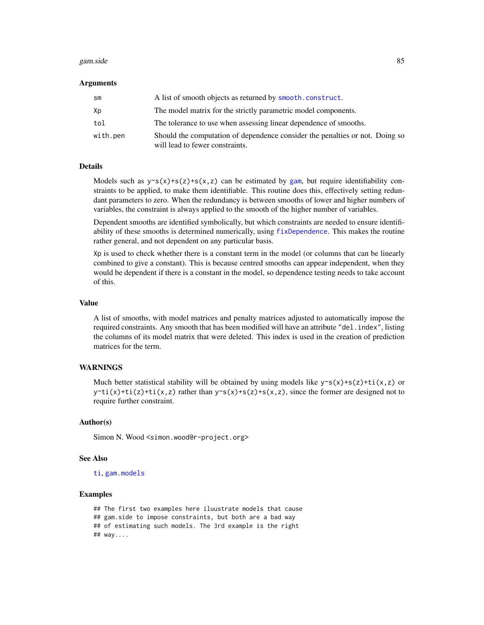#### gam.side 85

#### Arguments

| sm       | A list of smooth objects as returned by smooth.construct.                                                       |
|----------|-----------------------------------------------------------------------------------------------------------------|
| Хp       | The model matrix for the strictly parametric model components.                                                  |
| tol      | The tolerance to use when assessing linear dependence of smooths.                                               |
| with.pen | Should the computation of dependence consider the penalties or not. Doing so<br>will lead to fewer constraints. |

## Details

Models such as  $y \sim s(x) + s(z) + s(x, z)$  can be estimated by [gam](#page-47-0), but require identifiability constraints to be applied, to make them identifiable. This routine does this, effectively setting redundant parameters to zero. When the redundancy is between smooths of lower and higher numbers of variables, the constraint is always applied to the smooth of the higher number of variables.

Dependent smooths are identified symbolically, but which constraints are needed to ensure identifiability of these smooths is determined numerically, using [fixDependence](#page-41-0). This makes the routine rather general, and not dependent on any particular basis.

Xp is used to check whether there is a constant term in the model (or columns that can be linearly combined to give a constant). This is because centred smooths can appear independent, when they would be dependent if there is a constant in the model, so dependence testing needs to take account of this.

## Value

A list of smooths, with model matrices and penalty matrices adjusted to automatically impose the required constraints. Any smooth that has been modified will have an attribute "del.index", listing the columns of its model matrix that were deleted. This index is used in the creation of prediction matrices for the term.

## **WARNINGS**

Much better statistical stability will be obtained by using models like  $y \sim s(x) + s(z) + t(x, z)$  or  $y$ <sup>-t</sup>i(x)+ti(z)+ti(x,z) rather than  $y$ <sup>-s</sup>(x)+s(z)+s(x,z), since the former are designed not to require further constraint.

#### Author(s)

Simon N. Wood <simon.wood@r-project.org>

#### See Also

[ti](#page-287-1), [gam.models](#page-71-0)

## Examples

```
## The first two examples here iluustrate models that cause
## gam.side to impose constraints, but both are a bad way
## of estimating such models. The 3rd example is the right
## way....
```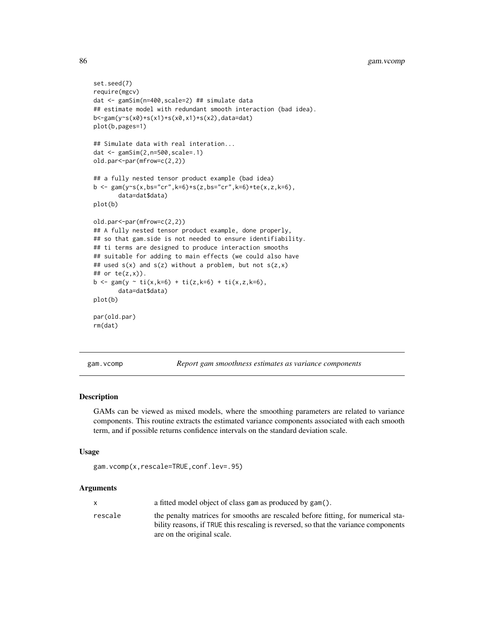```
set.seed(7)
require(mgcv)
dat <- gamSim(n=400,scale=2) ## simulate data
## estimate model with redundant smooth interaction (bad idea).
b<-gam(y~s(x0)+s(x1)+s(x0,x1)+s(x2),data=dat)
plot(b,pages=1)
## Simulate data with real interation...
dat <- gamSim(2,n=500,scale=.1)
old.par<-par(mfrow=c(2,2))
## a fully nested tensor product example (bad idea)
b \leq-gam(y\text{``}s(x,bs="cr",k=6)+s(z,bs="cr",k=6)+te(x,z,k=6),data=dat$data)
plot(b)
old.par<-par(mfrow=c(2,2))
## A fully nested tensor product example, done properly,
## so that gam.side is not needed to ensure identifiability.
## ti terms are designed to produce interaction smooths
## suitable for adding to main effects (we could also have
## used s(x) and s(z) without a problem, but not s(z,x)## or te(z,x)).
b \leq gam(y \sim ti(x,k=6) + ti(z,k=6) + ti(x,z,k=6),
       data=dat$data)
plot(b)
par(old.par)
rm(dat)
```
<span id="page-85-0"></span>gam.vcomp *Report gam smoothness estimates as variance components*

## Description

GAMs can be viewed as mixed models, where the smoothing parameters are related to variance components. This routine extracts the estimated variance components associated with each smooth term, and if possible returns confidence intervals on the standard deviation scale.

#### Usage

```
gam.vcomp(x,rescale=TRUE,conf.lev=.95)
```
## Arguments

|         | a fitted model object of class gam as produced by gam().                                                                                                                |
|---------|-------------------------------------------------------------------------------------------------------------------------------------------------------------------------|
| rescale | the penalty matrices for smooths are rescaled before fitting, for numerical sta-<br>bility reasons, if TRUE this rescaling is reversed, so that the variance components |
|         | are on the original scale.                                                                                                                                              |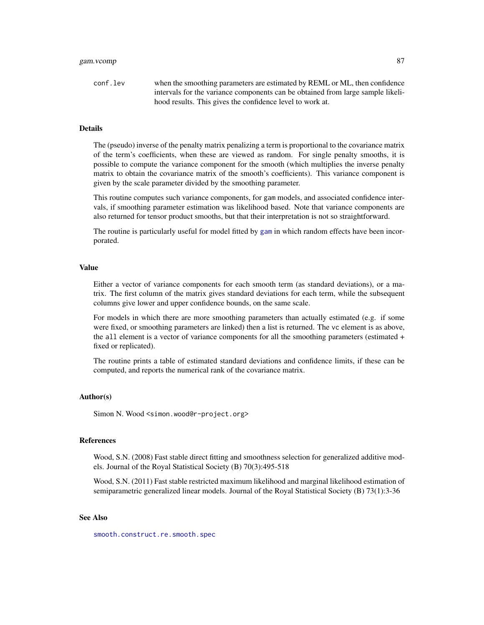conf.lev when the smoothing parameters are estimated by REML or ML, then confidence intervals for the variance components can be obtained from large sample likelihood results. This gives the confidence level to work at.

## Details

The (pseudo) inverse of the penalty matrix penalizing a term is proportional to the covariance matrix of the term's coefficients, when these are viewed as random. For single penalty smooths, it is possible to compute the variance component for the smooth (which multiplies the inverse penalty matrix to obtain the covariance matrix of the smooth's coefficients). This variance component is given by the scale parameter divided by the smoothing parameter.

This routine computes such variance components, for gam models, and associated confidence intervals, if smoothing parameter estimation was likelihood based. Note that variance components are also returned for tensor product smooths, but that their interpretation is not so straightforward.

The routine is particularly useful for model fitted by [gam](#page-47-0) in which random effects have been incorporated.

#### Value

Either a vector of variance components for each smooth term (as standard deviations), or a matrix. The first column of the matrix gives standard deviations for each term, while the subsequent columns give lower and upper confidence bounds, on the same scale.

For models in which there are more smoothing parameters than actually estimated (e.g. if some were fixed, or smoothing parameters are linked) then a list is returned. The vc element is as above, the all element is a vector of variance components for all the smoothing parameters (estimated + fixed or replicated).

The routine prints a table of estimated standard deviations and confidence limits, if these can be computed, and reports the numerical rank of the covariance matrix.

## Author(s)

Simon N. Wood <simon.wood@r-project.org>

#### References

Wood, S.N. (2008) Fast stable direct fitting and smoothness selection for generalized additive models. Journal of the Royal Statistical Society (B) 70(3):495-518

Wood, S.N. (2011) Fast stable restricted maximum likelihood and marginal likelihood estimation of semiparametric generalized linear models. Journal of the Royal Statistical Society (B) 73(1):3-36

## See Also

[smooth.construct.re.smooth.spec](#page-248-0)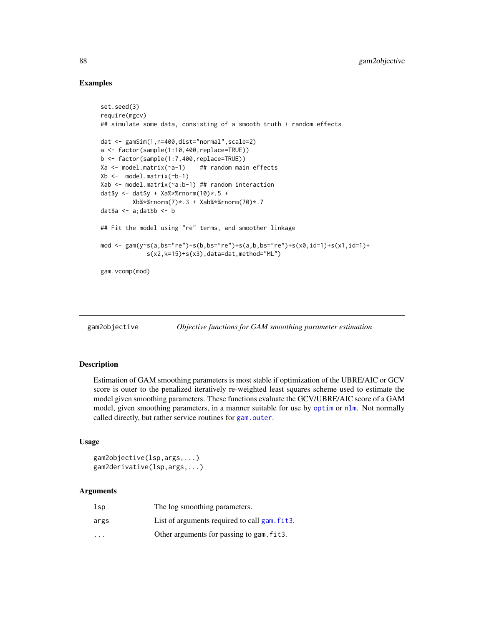## Examples

```
set.seed(3)
require(mgcv)
## simulate some data, consisting of a smooth truth + random effects
dat <- gamSim(1,n=400,dist="normal",scale=2)
a <- factor(sample(1:10,400,replace=TRUE))
b <- factor(sample(1:7,400,replace=TRUE))
Xa <- model.matrix(~a-1) ## random main effects
Xb <- model.matrix(~b-1)
Xab <- model.matrix(~a:b-1) ## random interaction
dat$y <- dat$y + Xa%*%rnorm(10) *.5 +
         Xb%*%rnorm(7)*.3 + Xab%*%rnorm(70)*.7
data \leftarrow a; datb \leftarrow b## Fit the model using "re" terms, and smoother linkage
mod <- gam(y~s(a,bs="re")+s(b,bs="re")+s(a,b,bs="re")+s(x0,id=1)+s(x1,id=1)+
             s(x2,k=15)+s(x3), data=dat, method="ML")
gam.vcomp(mod)
```

```
gam2objective Objective functions for GAM smoothing parameter estimation
```
## Description

Estimation of GAM smoothing parameters is most stable if optimization of the UBRE/AIC or GCV score is outer to the penalized iteratively re-weighted least squares scheme used to estimate the model given smoothing parameters. These functions evaluate the GCV/UBRE/AIC score of a GAM model, given smoothing parameters, in a manner suitable for use by [optim](#page-0-0) or [nlm](#page-0-0). Not normally called directly, but rather service routines for [gam.outer](#page-77-0).

# Usage

```
gam2objective(lsp,args,...)
gam2derivative(lsp,args,...)
```
## Arguments

| lsp                     | The log smoothing parameters.                              |
|-------------------------|------------------------------------------------------------|
| args                    | List of arguments required to call gam, fit <sub>3</sub> . |
| $\cdot$ $\cdot$ $\cdot$ | Other arguments for passing to gam. fit3.                  |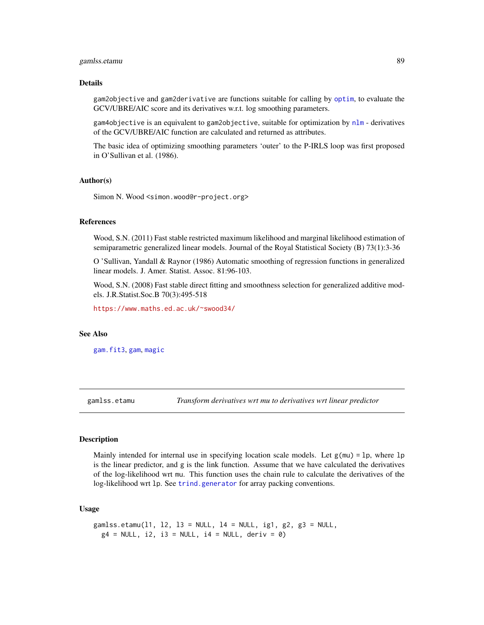# gamlss.etamu 89

#### Details

gam2objective and gam2derivative are functions suitable for calling by [optim](#page-0-0), to evaluate the GCV/UBRE/AIC score and its derivatives w.r.t. log smoothing parameters.

gam4objective is an equivalent to gam2objective, suitable for optimization by [nlm](#page-0-0) - derivatives of the GCV/UBRE/AIC function are calculated and returned as attributes.

The basic idea of optimizing smoothing parameters 'outer' to the P-IRLS loop was first proposed in O'Sullivan et al. (1986).

## Author(s)

Simon N. Wood <simon.wood@r-project.org>

## References

Wood, S.N. (2011) Fast stable restricted maximum likelihood and marginal likelihood estimation of semiparametric generalized linear models. Journal of the Royal Statistical Society (B) 73(1):3-36

O 'Sullivan, Yandall & Raynor (1986) Automatic smoothing of regression functions in generalized linear models. J. Amer. Statist. Assoc. 81:96-103.

Wood, S.N. (2008) Fast stable direct fitting and smoothness selection for generalized additive models. J.R.Statist.Soc.B 70(3):495-518

<https://www.maths.ed.ac.uk/~swood34/>

## See Also

[gam.fit3](#page-65-0), [gam](#page-47-0), [magic](#page-135-0)

gamlss.etamu *Transform derivatives wrt mu to derivatives wrt linear predictor*

## Description

Mainly intended for internal use in specifying location scale models. Let  $g(mu) = lp$ , where lp is the linear predictor, and g is the link function. Assume that we have calculated the derivatives of the log-likelihood wrt mu. This function uses the chain rule to calculate the derivatives of the log-likelihood wrt lp. See [trind.generator](#page-295-0) for array packing conventions.

## Usage

```
gamlss.etamu(11, 12, 13 = NULL, 14 = NULL, ig1, g2, g3 = NULL,
 g4 = NULL, i2, i3 = NULL, i4 = NULL, deriv = 0)
```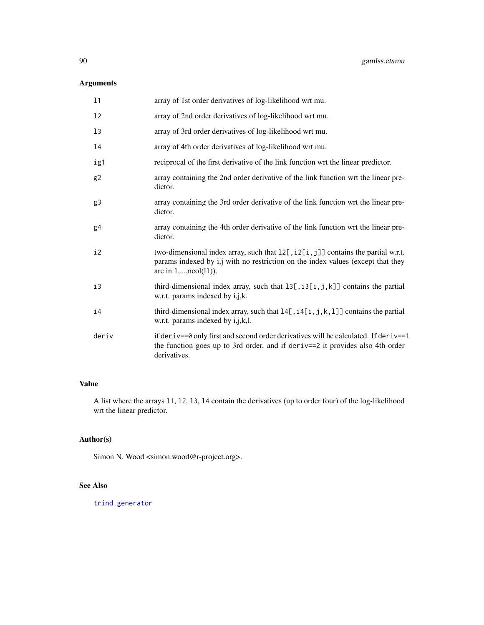# Arguments

| 11             | array of 1st order derivatives of log-likelihood wrt mu.                                                                                                                                              |
|----------------|-------------------------------------------------------------------------------------------------------------------------------------------------------------------------------------------------------|
| 12             | array of 2nd order derivatives of log-likelihood wrt mu.                                                                                                                                              |
| 13             | array of 3rd order derivatives of log-likelihood wrt mu.                                                                                                                                              |
| 14             | array of 4th order derivatives of log-likelihood wrt mu.                                                                                                                                              |
| ig1            | reciprocal of the first derivative of the link function wrt the linear predictor.                                                                                                                     |
| g <sub>2</sub> | array containing the 2nd order derivative of the link function wrt the linear pre-<br>dictor.                                                                                                         |
| g3             | array containing the 3rd order derivative of the link function wrt the linear pre-<br>dictor.                                                                                                         |
| g <sub>4</sub> | array containing the 4th order derivative of the link function wrt the linear pre-<br>dictor.                                                                                                         |
| i2             | two-dimensional index array, such that $12$ [, $i2$ [i, j]] contains the partial w.r.t.<br>params indexed by i,j with no restriction on the index values (except that they<br>are in $1,,ncol(11)$ ). |
| i3             | third-dimensional index array, such that $13[, 13[, 1, j, k]$ contains the partial<br>w.r.t. params indexed by i,j,k.                                                                                 |
| i4             | third-dimensional index array, such that $14$ [, i $4$ [i, j, k, 1]] contains the partial<br>w.r.t. params indexed by i,j,k,l.                                                                        |
| deriv          | if deriv==0 only first and second order derivatives will be calculated. If deriv==1<br>the function goes up to 3rd order, and if deriv==2 it provides also 4th order<br>derivatives.                  |

# Value

A list where the arrays l1, l2, l3, l4 contain the derivatives (up to order four) of the log-likelihood wrt the linear predictor.

# Author(s)

Simon N. Wood <simon.wood@r-project.org>.

# See Also

[trind.generator](#page-295-0)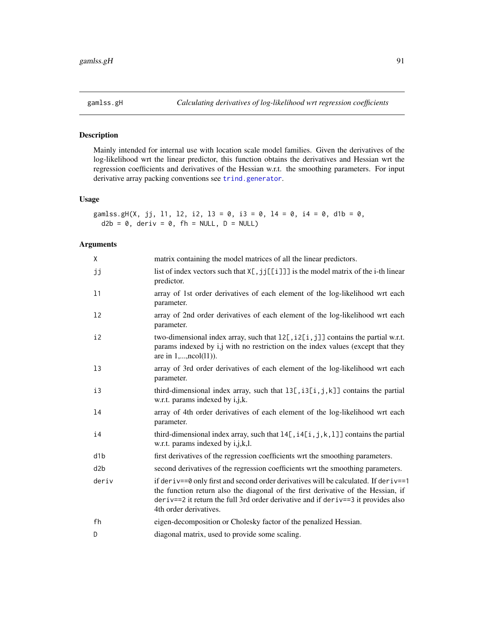# Description

Mainly intended for internal use with location scale model families. Given the derivatives of the log-likelihood wrt the linear predictor, this function obtains the derivatives and Hessian wrt the regression coefficients and derivatives of the Hessian w.r.t. the smoothing parameters. For input derivative array packing conventions see [trind.generator](#page-295-0).

# Usage

```
gamlss.gH(X, jj, 11, 12, i2, 13 = 0, i3 = 0, 14 = 0, i4 = 0, d1b = 0,
 d2b = 0, deriv = 0, fh = NULL, D = NULL
```
## Arguments

| Χ     | matrix containing the model matrices of all the linear predictors.                                                                                                                                                                                                                          |
|-------|---------------------------------------------------------------------------------------------------------------------------------------------------------------------------------------------------------------------------------------------------------------------------------------------|
| jj    | list of index vectors such that $X[\, , jj[[i\, ]]]$ is the model matrix of the i-th linear<br>predictor.                                                                                                                                                                                   |
| 11    | array of 1st order derivatives of each element of the log-likelihood wrt each<br>parameter.                                                                                                                                                                                                 |
| 12    | array of 2nd order derivatives of each element of the log-likelihood wrt each<br>parameter.                                                                                                                                                                                                 |
| i2    | two-dimensional index array, such that $12$ [, $i2$ [ $i$ , $j$ ]] contains the partial w.r.t.<br>params indexed by i,j with no restriction on the index values (except that they<br>are in $1,,ncol(11)$ ).                                                                                |
| 13    | array of 3rd order derivatives of each element of the log-likelihood wrt each<br>parameter.                                                                                                                                                                                                 |
| i3    | third-dimensional index array, such that $13[, i3[i,j,k]]$ contains the partial<br>w.r.t. params indexed by i,j,k.                                                                                                                                                                          |
| 14    | array of 4th order derivatives of each element of the log-likelihood wrt each<br>parameter.                                                                                                                                                                                                 |
| i4    | third-dimensional index array, such that $14$ [, $i$ 4[i, j, k, 1]] contains the partial<br>w.r.t. params indexed by i, j, k, l.                                                                                                                                                            |
| d1b   | first derivatives of the regression coefficients wrt the smoothing parameters.                                                                                                                                                                                                              |
| d2b   | second derivatives of the regression coefficients wrt the smoothing parameters.                                                                                                                                                                                                             |
| deriv | if deriv==0 only first and second order derivatives will be calculated. If deriv==1<br>the function return also the diagonal of the first derivative of the Hessian, if<br>$deriv==2$ it return the full 3rd order derivative and if de $riv==3$ it provides also<br>4th order derivatives. |
| fh    | eigen-decomposition or Cholesky factor of the penalized Hessian.                                                                                                                                                                                                                            |
| D     | diagonal matrix, used to provide some scaling.                                                                                                                                                                                                                                              |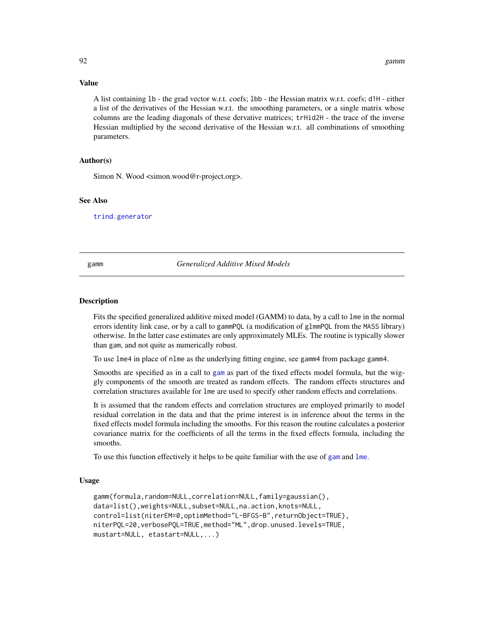#### Value

A list containing lb - the grad vector w.r.t. coefs; lbb - the Hessian matrix w.r.t. coefs; d1H - either a list of the derivatives of the Hessian w.r.t. the smoothing parameters, or a single matrix whose columns are the leading diagonals of these dervative matrices; trHid2H - the trace of the inverse Hessian multiplied by the second derivative of the Hessian w.r.t. all combinations of smoothing parameters.

## Author(s)

Simon N. Wood <simon.wood@r-project.org>.

## See Also

[trind.generator](#page-295-0)

#### <span id="page-91-0"></span>gamm *Generalized Additive Mixed Models*

#### Description

Fits the specified generalized additive mixed model (GAMM) to data, by a call to lme in the normal errors identity link case, or by a call to gammPQL (a modification of glmmPQL from the MASS library) otherwise. In the latter case estimates are only approximately MLEs. The routine is typically slower than gam, and not quite as numerically robust.

To use lme4 in place of nlme as the underlying fitting engine, see gamm4 from package gamm4.

Smooths are specified as in a call to [gam](#page-47-0) as part of the fixed effects model formula, but the wiggly components of the smooth are treated as random effects. The random effects structures and correlation structures available for lme are used to specify other random effects and correlations.

It is assumed that the random effects and correlation structures are employed primarily to model residual correlation in the data and that the prime interest is in inference about the terms in the fixed effects model formula including the smooths. For this reason the routine calculates a posterior covariance matrix for the coefficients of all the terms in the fixed effects formula, including the smooths.

To use this function effectively it helps to be quite familiar with the use of [gam](#page-47-0) and [lme](#page-0-0).

## Usage

```
gamm(formula,random=NULL,correlation=NULL,family=gaussian(),
data=list(),weights=NULL,subset=NULL,na.action,knots=NULL,
control=list(niterEM=0,optimMethod="L-BFGS-B",returnObject=TRUE),
niterPQL=20,verbosePQL=TRUE,method="ML",drop.unused.levels=TRUE,
mustart=NULL, etastart=NULL,...)
```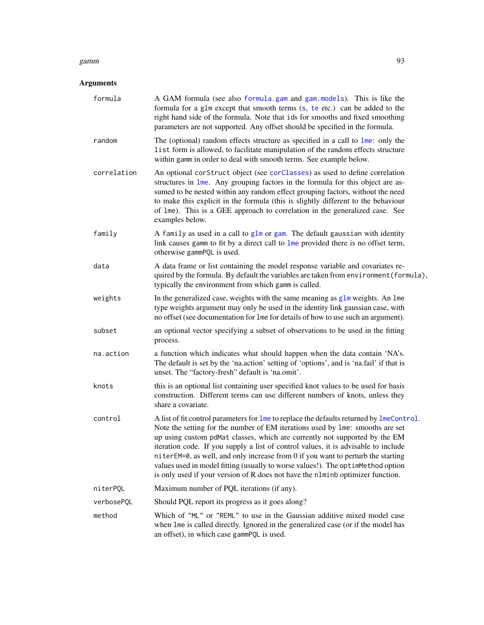#### gamm 93

# Arguments

| formula     | A GAM formula (see also formula.gam and gam.models). This is like the<br>formula for a glm except that smooth terms (s, te etc.) can be added to the<br>right hand side of the formula. Note that ids for smooths and fixed smoothing<br>parameters are not supported. Any offset should be specified in the formula.                                                                                                                                                                                                                                                                                  |
|-------------|--------------------------------------------------------------------------------------------------------------------------------------------------------------------------------------------------------------------------------------------------------------------------------------------------------------------------------------------------------------------------------------------------------------------------------------------------------------------------------------------------------------------------------------------------------------------------------------------------------|
| random      | The (optional) random effects structure as specified in a call to lme: only the<br>list form is allowed, to facilitate manipulation of the random effects structure<br>within gamm in order to deal with smooth terms. See example below.                                                                                                                                                                                                                                                                                                                                                              |
| correlation | An optional corStruct object (see corClasses) as used to define correlation<br>structures in lme. Any grouping factors in the formula for this object are as-<br>sumed to be nested within any random effect grouping factors, without the need<br>to make this explicit in the formula (this is slightly different to the behaviour<br>of 1me). This is a GEE approach to correlation in the generalized case. See<br>examples below.                                                                                                                                                                 |
| family      | A family as used in a call to glm or gam. The default gaussian with identity<br>link causes gamm to fit by a direct call to lme provided there is no offset term,<br>otherwise gammPQL is used.                                                                                                                                                                                                                                                                                                                                                                                                        |
| data        | A data frame or list containing the model response variable and covariates re-<br>quired by the formula. By default the variables are taken from environment (formula),<br>typically the environment from which gamm is called.                                                                                                                                                                                                                                                                                                                                                                        |
| weights     | In the generalized case, weights with the same meaning as glm weights. An lme<br>type weights argument may only be used in the identity link gaussian case, with<br>no offset (see documentation for lme for details of how to use such an argument).                                                                                                                                                                                                                                                                                                                                                  |
| subset      | an optional vector specifying a subset of observations to be used in the fitting<br>process.                                                                                                                                                                                                                                                                                                                                                                                                                                                                                                           |
| na.action   | a function which indicates what should happen when the data contain 'NA's.<br>The default is set by the 'na.action' setting of 'options', and is 'na.fail' if that is<br>unset. The "factory-fresh" default is 'na.omit'.                                                                                                                                                                                                                                                                                                                                                                              |
| knots       | this is an optional list containing user specified knot values to be used for basis<br>construction. Different terms can use different numbers of knots, unless they<br>share a covariate.                                                                                                                                                                                                                                                                                                                                                                                                             |
| control     | A list of fit control parameters for lme to replace the defaults returned by lmeControl.<br>Note the setting for the number of EM iterations used by 1me: smooths are set<br>up using custom pdMat classes, which are currently not supported by the EM<br>iteration code. If you supply a list of control values, it is advisable to include<br>niterEM=0, as well, and only increase from 0 if you want to perturb the starting<br>values used in model fitting (usually to worse values!). The optimMethod option<br>is only used if your version of R does not have the nlminb optimizer function. |
| niterPQL    | Maximum number of PQL iterations (if any).                                                                                                                                                                                                                                                                                                                                                                                                                                                                                                                                                             |
| verbosePQL  | Should PQL report its progress as it goes along?                                                                                                                                                                                                                                                                                                                                                                                                                                                                                                                                                       |
| method      | Which of "ML" or "REML" to use in the Gaussian additive mixed model case<br>when lme is called directly. Ignored in the generalized case (or if the model has<br>an offset), in which case gammPQL is used.                                                                                                                                                                                                                                                                                                                                                                                            |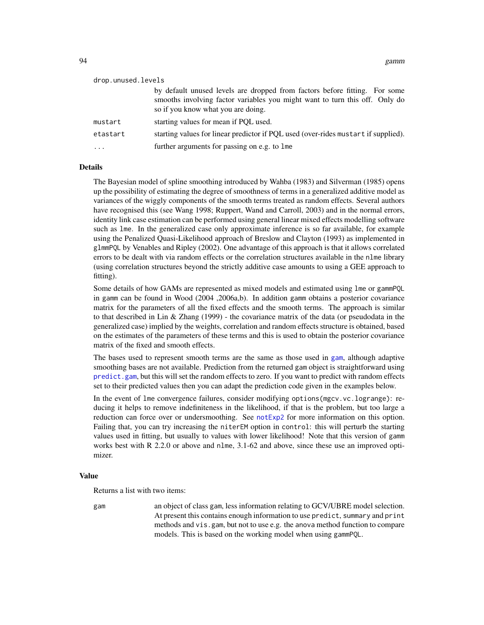| drop.unused.levels |                                                                                                                                                                                                 |  |
|--------------------|-------------------------------------------------------------------------------------------------------------------------------------------------------------------------------------------------|--|
|                    | by default unused levels are dropped from factors before fitting. For some<br>smooths involving factor variables you might want to turn this off. Only do<br>so if you know what you are doing. |  |
| mustart            | starting values for mean if PQL used.                                                                                                                                                           |  |
| etastart           | starting values for linear predictor if PQL used (over-rides mustart if supplied).                                                                                                              |  |
|                    | further arguments for passing on e.g. to lme                                                                                                                                                    |  |

#### Details

The Bayesian model of spline smoothing introduced by Wahba (1983) and Silverman (1985) opens up the possibility of estimating the degree of smoothness of terms in a generalized additive model as variances of the wiggly components of the smooth terms treated as random effects. Several authors have recognised this (see Wang 1998; Ruppert, Wand and Carroll, 2003) and in the normal errors, identity link case estimation can be performed using general linear mixed effects modelling software such as lme. In the generalized case only approximate inference is so far available, for example using the Penalized Quasi-Likelihood approach of Breslow and Clayton (1993) as implemented in glmmPQL by Venables and Ripley (2002). One advantage of this approach is that it allows correlated errors to be dealt with via random effects or the correlation structures available in the nlme library (using correlation structures beyond the strictly additive case amounts to using a GEE approach to fitting).

Some details of how GAMs are represented as mixed models and estimated using lme or gammPQL in gamm can be found in Wood (2004 ,2006a,b). In addition gamm obtains a posterior covariance matrix for the parameters of all the fixed effects and the smooth terms. The approach is similar to that described in Lin & Zhang (1999) - the covariance matrix of the data (or pseudodata in the generalized case) implied by the weights, correlation and random effects structure is obtained, based on the estimates of the parameters of these terms and this is used to obtain the posterior covariance matrix of the fixed and smooth effects.

The bases used to represent smooth terms are the same as those used in [gam](#page-47-0), although adaptive smoothing bases are not available. Prediction from the returned gam object is straightforward using [predict.gam](#page-184-0), but this will set the random effects to zero. If you want to predict with random effects set to their predicted values then you can adapt the prediction code given in the examples below.

In the event of lme convergence failures, consider modifying options(mgcv.vc.logrange): reducing it helps to remove indefiniteness in the likelihood, if that is the problem, but too large a reduction can force over or undersmoothing. See [notExp2](#page-160-0) for more information on this option. Failing that, you can try increasing the niterEM option in control: this will perturb the starting values used in fitting, but usually to values with lower likelihood! Note that this version of gamm works best with R 2.2.0 or above and nlme, 3.1-62 and above, since these use an improved optimizer.

#### Value

Returns a list with two items:

gam an object of class gam, less information relating to GCV/UBRE model selection. At present this contains enough information to use predict, summary and print methods and vis.gam, but not to use e.g. the anova method function to compare models. This is based on the working model when using gammPQL.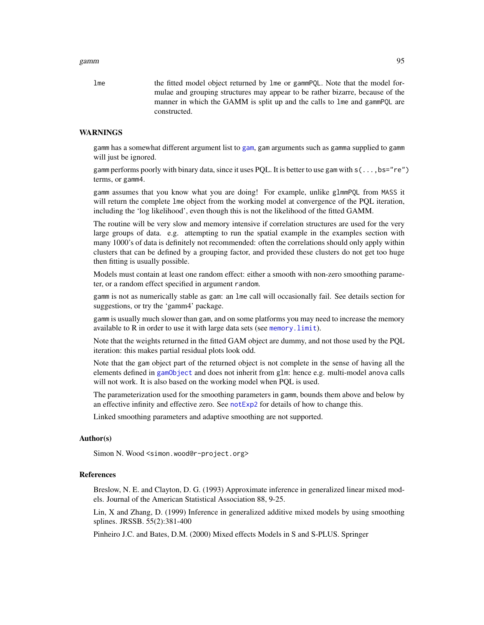#### gamm 95

lme the fitted model object returned by lme or gammPQL. Note that the model formulae and grouping structures may appear to be rather bizarre, because of the manner in which the GAMM is split up and the calls to lme and gammPQL are constructed.

#### WARNINGS

gamm has a somewhat different argument list to [gam](#page-47-0), gam arguments such as gamma supplied to gamm will just be ignored.

gamm performs poorly with binary data, since it uses PQL. It is better to use gam with s(...,bs="re") terms, or gamm4.

gamm assumes that you know what you are doing! For example, unlike glmmPQL from MASS it will return the complete lme object from the working model at convergence of the PQL iteration, including the 'log likelihood', even though this is not the likelihood of the fitted GAMM.

The routine will be very slow and memory intensive if correlation structures are used for the very large groups of data. e.g. attempting to run the spatial example in the examples section with many 1000's of data is definitely not recommended: often the correlations should only apply within clusters that can be defined by a grouping factor, and provided these clusters do not get too huge then fitting is usually possible.

Models must contain at least one random effect: either a smooth with non-zero smoothing parameter, or a random effect specified in argument random.

gamm is not as numerically stable as gam: an lme call will occasionally fail. See details section for suggestions, or try the 'gamm4' package.

gamm is usually much slower than gam, and on some platforms you may need to increase the memory available to  $R$  in order to use it with large data sets (see memory.  $limit$ ).

Note that the weights returned in the fitted GAM object are dummy, and not those used by the PQL iteration: this makes partial residual plots look odd.

Note that the gam object part of the returned object is not complete in the sense of having all the elements defined in [gamObject](#page-99-0) and does not inherit from glm: hence e.g. multi-model anova calls will not work. It is also based on the working model when PQL is used.

The parameterization used for the smoothing parameters in gamm, bounds them above and below by an effective infinity and effective zero. See not Exp2 for details of how to change this.

Linked smoothing parameters and adaptive smoothing are not supported.

## Author(s)

Simon N. Wood <simon.wood@r-project.org>

## References

Breslow, N. E. and Clayton, D. G. (1993) Approximate inference in generalized linear mixed models. Journal of the American Statistical Association 88, 9-25.

Lin, X and Zhang, D. (1999) Inference in generalized additive mixed models by using smoothing splines. JRSSB. 55(2):381-400

Pinheiro J.C. and Bates, D.M. (2000) Mixed effects Models in S and S-PLUS. Springer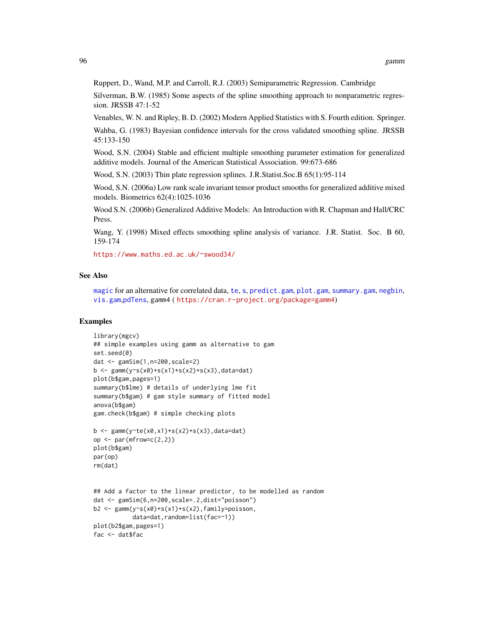Ruppert, D., Wand, M.P. and Carroll, R.J. (2003) Semiparametric Regression. Cambridge

Silverman, B.W. (1985) Some aspects of the spline smoothing approach to nonparametric regression. JRSSB 47:1-52

Venables, W. N. and Ripley, B. D. (2002) Modern Applied Statistics with S. Fourth edition. Springer.

Wahba, G. (1983) Bayesian confidence intervals for the cross validated smoothing spline. JRSSB 45:133-150

Wood, S.N. (2004) Stable and efficient multiple smoothing parameter estimation for generalized additive models. Journal of the American Statistical Association. 99:673-686

Wood, S.N. (2003) Thin plate regression splines. J.R.Statist.Soc.B 65(1):95-114

Wood, S.N. (2006a) Low rank scale invariant tensor product smooths for generalized additive mixed models. Biometrics 62(4):1025-1036

Wood S.N. (2006b) Generalized Additive Models: An Introduction with R. Chapman and Hall/CRC Press.

Wang, Y. (1998) Mixed effects smoothing spline analysis of variance. J.R. Statist. Soc. B 60, 159-174

<https://www.maths.ed.ac.uk/~swood34/>

## See Also

[magic](#page-135-0) for an alternative for correlated data, [te](#page-287-0), [s](#page-208-0), [predict.gam](#page-184-0), [plot.gam](#page-175-0), [summary.gam](#page-278-0), [negbin](#page-156-0), [vis.gam](#page-303-0),[pdTens](#page-171-0), gamm4 ( <https://cran.r-project.org/package=gamm4>)

## Examples

```
library(mgcv)
## simple examples using gamm as alternative to gam
set.seed(0)
dat <- gamSim(1,n=200,scale=2)
b \leq gamm(y~s(x0)+s(x1)+s(x2)+s(x3),data=dat)
plot(b$gam,pages=1)
summary(b$lme) # details of underlying lme fit
summary(b$gam) # gam style summary of fitted model
anova(b$gam)
gam.check(b$gam) # simple checking plots
b \leq gamm(y te(x0, x1)+s(x2)+s(x3), data=dat)
op \leq par(mfrow=c(2,2))
plot(b$gam)
par(op)
rm(dat)
## Add a factor to the linear predictor, to be modelled as random
dat <- gamSim(6,n=200,scale=.2,dist="poisson")
b2 <- gamm(y~s(x0)+s(x1)+s(x2),family=poisson,
          data=dat,random=list(fac=~1))
plot(b2$gam,pages=1)
fac <- dat$fac
```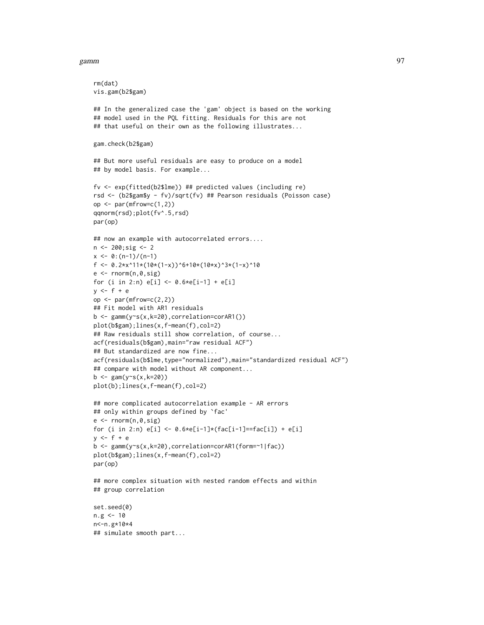## gamm 97 (1992) and the set of the set of the set of the set of the set of the set of the set of the set of the set of the set of the set of the set of the set of the set of the set of the set of the set of the set of the s

rm(dat)

```
vis.gam(b2$gam)
## In the generalized case the 'gam' object is based on the working
## model used in the PQL fitting. Residuals for this are not
## that useful on their own as the following illustrates...
gam.check(b2$gam)
## But more useful residuals are easy to produce on a model
## by model basis. For example...
fv <- exp(fitted(b2$lme)) ## predicted values (including re)
rsd <- (b2$gam$y - fv)/sqrt(fv) ## Pearson residuals (Poisson case)
op \leq par(mfrow=c(1,2))
qqnorm(rsd);plot(fv^.5,rsd)
par(op)
## now an example with autocorrelated errors....
n <- 200;sig <- 2
x \le -0: (n-1)/(n-1)f <- 0.2*x^11*(10*(1-x))^6+10*(10*x)^3*(1-x)^10
e <- rnorm(n,0,sig)
for (i in 2:n) e[i] < -0.6 \times e[i-1] + e[i]y \leq-f+eop \leq par(mfrow=c(2,2))
## Fit model with AR1 residuals
b <- gamm(y~s(x,k=20),correlation=corAR1())
plot(b$gam);lines(x,f-mean(f),col=2)
## Raw residuals still show correlation, of course...
acf(residuals(b$gam),main="raw residual ACF")
## But standardized are now fine...
acf(residuals(b$lme,type="normalized"),main="standardized residual ACF")
## compare with model without AR component...
b \leq -\text{gam}(y \sim s(x, k=20))plot(b);lines(x,f-mean(f),col=2)
## more complicated autocorrelation example - AR errors
## only within groups defined by `fac'
e \leftarrow \text{norm}(n, \emptyset, \text{sig})for (i in 2:n) e[i] \leftarrow 0.6 \star e[i-1] \star (fac[i-1] == fac[i]) + e[i]y \leq -f + eb <- gamm(y~s(x,k=20),correlation=corAR1(form=~1|fac))
plot(b$gam);lines(x,f-mean(f),col=2)
par(op)
## more complex situation with nested random effects and within
## group correlation
set.seed(0)
n.g < -10n<-n.g*10*4
## simulate smooth part...
```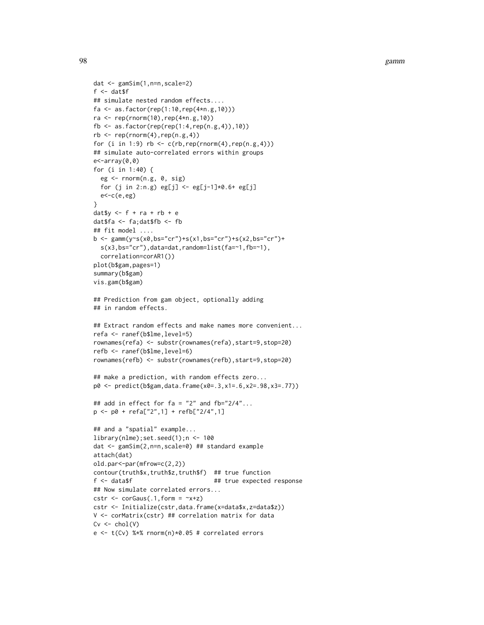98 gamm

```
dat <- gamSim(1,n=n,scale=2)
f <- dat$f## simulate nested random effects....
fa <- as.factor(rep(1:10,rep(4*n.g,10)))
ra < -\text{rep}(rnorm(10), rep(4*n.g, 10))fb <- as.factor(rep(rep(1:4,rep(n.g,4)),10))
rb \leq rep(rnorm(4),rep(n.g,4))for (i in 1:9) rb \leq c(rb, rep(rnorm(4), rep(n.g, 4)))## simulate auto-correlated errors within groups
e<-array(0,0)
for (i in 1:40) {
  eg <- rnorm(n.g, 0, sig)
  for (j in 2:n.g) eg[j] < - eg[j-1]*0.6+ eg[j]e < -c(e, eg)}
daty \leftarrow f + ra + rb + edat$fa <- fa;dat$fb <- fb
## fit model ....
b <- gamm(y~s(x0,bs="cr")+s(x1,bs="cr")+s(x2,bs="cr")+
  s(x3,bs="cr"),data=dat,random=list(fa=~1,fb=~1),
  correlation=corAR1())
plot(b$gam,pages=1)
summary(b$gam)
vis.gam(b$gam)
## Prediction from gam object, optionally adding
## in random effects.
## Extract random effects and make names more convenient...
refa <- ranef(b$lme,level=5)
rownames(refa) <- substr(rownames(refa),start=9,stop=20)
refb <- ranef(b$lme,level=6)
rownames(refb) <- substr(rownames(refb),start=9,stop=20)
## make a prediction, with random effects zero...
p0 <- predict(b$gam,data.frame(x0=.3,x1=.6,x2=.98,x3=.77))
## add in effect for fa = "2" and fb="2/4"...p <- p0 + refa["2",1] + refb["2/4",1]
## and a "spatial" example...
library(nlme);set.seed(1);n <- 100
dat <- gamSim(2,n=n,scale=0) ## standard example
attach(dat)
old.par<-par(mfrow=c(2,2))
contour(truth$x,truth$z,truth$f) ## true function
f <- data$f ## true expected response
## Now simulate correlated errors...
cstr \leq corGaus(.1, form = \simx+z)
cstr <- Initialize(cstr,data.frame(x=data$x,z=data$z))
V <- corMatrix(cstr) ## correlation matrix for data
Cv \leftarrow \text{chol}(V)e <- t(Cv) %*% rnorm(n)*0.05 # correlated errors
```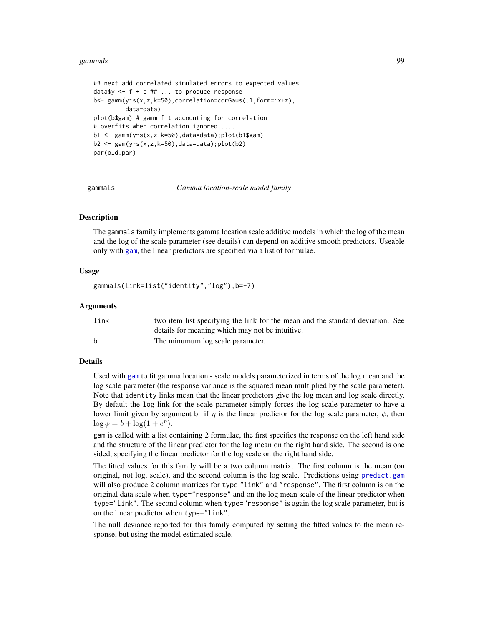#### gammals 99

```
## next add correlated simulated errors to expected values
data$y \leq -f + e ## ... to produce response
b<- gamm(y~s(x,z,k=50),correlation=corGaus(.1,form=~x+z),
         data=data)
plot(b$gam) # gamm fit accounting for correlation
# overfits when correlation ignored.....
b1 <- gamm(y~s(x,z,k=50),data=data);plot(b1$gam)
b2 \leq gam(y~s(x,z,k=50),data=data);plot(b2)
par(old.par)
```
gammals *Gamma location-scale model family*

## Description

The gammals family implements gamma location scale additive models in which the log of the mean and the log of the scale parameter (see details) can depend on additive smooth predictors. Useable only with [gam](#page-47-0), the linear predictors are specified via a list of formulae.

## Usage

```
gammals(link=list("identity","log"),b=-7)
```
#### Arguments

| link | two item list specifying the link for the mean and the standard deviation. See |
|------|--------------------------------------------------------------------------------|
|      | details for meaning which may not be intuitive.                                |
| h,   | The minumum log scale parameter.                                               |

## Details

Used with [gam](#page-47-0) to fit gamma location - scale models parameterized in terms of the log mean and the log scale parameter (the response variance is the squared mean multiplied by the scale parameter). Note that identity links mean that the linear predictors give the log mean and log scale directly. By default the log link for the scale parameter simply forces the log scale parameter to have a lower limit given by argument b: if  $\eta$  is the linear predictor for the log scale parameter,  $\phi$ , then  $\log \phi = b + \log(1 + e^{\eta}).$ 

gam is called with a list containing 2 formulae, the first specifies the response on the left hand side and the structure of the linear predictor for the log mean on the right hand side. The second is one sided, specifying the linear predictor for the log scale on the right hand side.

The fitted values for this family will be a two column matrix. The first column is the mean (on original, not log, scale), and the second column is the log scale. Predictions using [predict.gam](#page-184-0) will also produce 2 column matrices for type "link" and "response". The first column is on the original data scale when type="response" and on the log mean scale of the linear predictor when type="link". The second column when type="response" is again the log scale parameter, but is on the linear predictor when type="link".

The null deviance reported for this family computed by setting the fitted values to the mean response, but using the model estimated scale.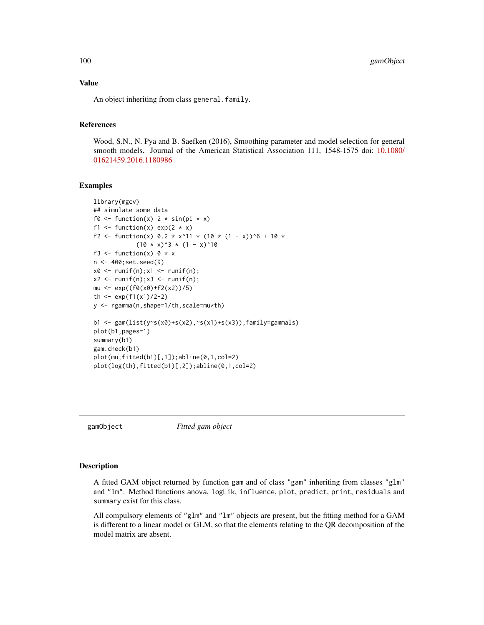# Value

An object inheriting from class general.family.

## References

Wood, S.N., N. Pya and B. Saefken (2016), Smoothing parameter and model selection for general smooth models. Journal of the American Statistical Association 111, 1548-1575 doi: [10.1080/](https://doi.org/10.1080/01621459.2016.1180986) [01621459.2016.1180986](https://doi.org/10.1080/01621459.2016.1180986)

## Examples

```
library(mgcv)
## simulate some data
f0 <- function(x) 2 * sin(pi * x)f1 <- function(x) exp(2 \times x)f2 <- function(x) 0.2 \times x^11 \times (10 \times (1 - x))^6 + 10 \times(10 \times x)^3 * (1 - x)^10f3 <- function(x) 0 * xn <- 400;set.seed(9)
x0 \leq -\text{runif}(n); x1 \leq -\text{runif}(n);x2 \le runif(n);x3 \le runif(n);
mu \leftarrow exp((f\theta(x\theta) + f2(x2))/5)th \leq -\exp(f(1(x))/2-2)y <- rgamma(n,shape=1/th,scale=mu*th)
b1 <- gam(list(y~s(x0)+s(x2),~s(x1)+s(x3)),family=gammals)
plot(b1,pages=1)
summary(b1)
gam.check(b1)
plot(mu,fitted(b1)[,1]);abline(0,1,col=2)
plot(log(th),fitted(b1)[,2]);abline(0,1,col=2)
```
<span id="page-99-0"></span>

gamObject *Fitted gam object*

#### Description

A fitted GAM object returned by function gam and of class "gam" inheriting from classes "glm" and "lm". Method functions anova, logLik, influence, plot, predict, print, residuals and summary exist for this class.

All compulsory elements of "glm" and "lm" objects are present, but the fitting method for a GAM is different to a linear model or GLM, so that the elements relating to the QR decomposition of the model matrix are absent.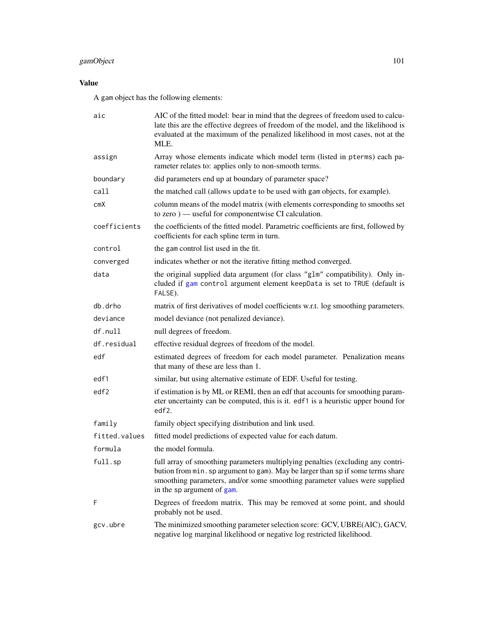# gamObject 101

# Value

A gam object has the following elements:

| aic           | AIC of the fitted model: bear in mind that the degrees of freedom used to calcu-<br>late this are the effective degrees of freedom of the model, and the likelihood is<br>evaluated at the maximum of the penalized likelihood in most cases, not at the<br>MLE.               |
|---------------|--------------------------------------------------------------------------------------------------------------------------------------------------------------------------------------------------------------------------------------------------------------------------------|
| assign        | Array whose elements indicate which model term (listed in pterms) each pa-<br>rameter relates to: applies only to non-smooth terms.                                                                                                                                            |
| boundary      | did parameters end up at boundary of parameter space?                                                                                                                                                                                                                          |
| call          | the matched call (allows update to be used with gam objects, for example).                                                                                                                                                                                                     |
| cmX           | column means of the model matrix (with elements corresponding to smooths set<br>to zero) — useful for componentwise CI calculation.                                                                                                                                            |
| coefficients  | the coefficients of the fitted model. Parametric coefficients are first, followed by<br>coefficients for each spline term in turn.                                                                                                                                             |
| control       | the gam control list used in the fit.                                                                                                                                                                                                                                          |
| converged     | indicates whether or not the iterative fitting method converged.                                                                                                                                                                                                               |
| data          | the original supplied data argument (for class "glm" compatibility). Only in-<br>cluded if gam control argument element keepData is set to TRUE (default is<br>FALSE).                                                                                                         |
| db.drho       | matrix of first derivatives of model coefficients w.r.t. log smoothing parameters.                                                                                                                                                                                             |
| deviance      | model deviance (not penalized deviance).                                                                                                                                                                                                                                       |
| $df$ . null   | null degrees of freedom.                                                                                                                                                                                                                                                       |
| df.residual   | effective residual degrees of freedom of the model.                                                                                                                                                                                                                            |
| edf           | estimated degrees of freedom for each model parameter. Penalization means<br>that many of these are less than 1.                                                                                                                                                               |
| edf1          | similar, but using alternative estimate of EDF. Useful for testing.                                                                                                                                                                                                            |
| edf2          | if estimation is by ML or REML then an edf that accounts for smoothing param-<br>eter uncertainty can be computed, this is it. edf1 is a heuristic upper bound for<br>edf2.                                                                                                    |
| family        | family object specifying distribution and link used.                                                                                                                                                                                                                           |
| fitted.values | fitted model predictions of expected value for each datum.                                                                                                                                                                                                                     |
| formula       | the model formula.                                                                                                                                                                                                                                                             |
| full.sp       | full array of smoothing parameters multiplying penalties (excluding any contri-<br>bution from min. sp argument to gam). May be larger than sp if some terms share<br>smoothing parameters, and/or some smoothing parameter values were supplied<br>in the sp argument of gam. |
| F             | Degrees of freedom matrix. This may be removed at some point, and should<br>probably not be used.                                                                                                                                                                              |
| gcv.ubre      | The minimized smoothing parameter selection score: GCV, UBRE(AIC), GACV,<br>negative log marginal likelihood or negative log restricted likelihood.                                                                                                                            |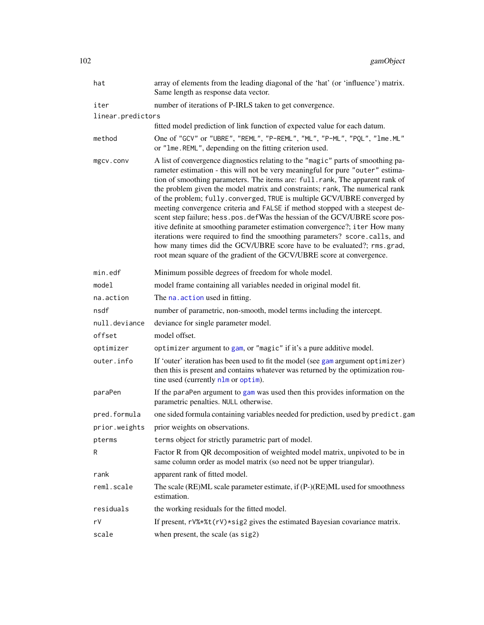| hat               | array of elements from the leading diagonal of the 'hat' (or 'influence') matrix.<br>Same length as response data vector.                                                                                                                                                                                                                                                                                                                                                                                                                                                                                                                                                                                                                                                                                                                                                                      |
|-------------------|------------------------------------------------------------------------------------------------------------------------------------------------------------------------------------------------------------------------------------------------------------------------------------------------------------------------------------------------------------------------------------------------------------------------------------------------------------------------------------------------------------------------------------------------------------------------------------------------------------------------------------------------------------------------------------------------------------------------------------------------------------------------------------------------------------------------------------------------------------------------------------------------|
| iter              | number of iterations of P-IRLS taken to get convergence.                                                                                                                                                                                                                                                                                                                                                                                                                                                                                                                                                                                                                                                                                                                                                                                                                                       |
| linear.predictors |                                                                                                                                                                                                                                                                                                                                                                                                                                                                                                                                                                                                                                                                                                                                                                                                                                                                                                |
|                   | fitted model prediction of link function of expected value for each datum.                                                                                                                                                                                                                                                                                                                                                                                                                                                                                                                                                                                                                                                                                                                                                                                                                     |
| method            | One of "GCV" or "UBRE", "REML", "P-REML", "ML", "P-ML", "PQL", "1me. ML"<br>or "1me.REML", depending on the fitting criterion used.                                                                                                                                                                                                                                                                                                                                                                                                                                                                                                                                                                                                                                                                                                                                                            |
| mgcv.conv         | A list of convergence diagnostics relating to the "magic" parts of smoothing pa-<br>rameter estimation - this will not be very meaningful for pure "outer" estima-<br>tion of smoothing parameters. The items are: full.rank, The apparent rank of<br>the problem given the model matrix and constraints; rank, The numerical rank<br>of the problem; fully.converged, TRUE is multiple GCV/UBRE converged by<br>meeting convergence criteria and FALSE if method stopped with a steepest de-<br>scent step failure; hess.pos.defWas the hessian of the GCV/UBRE score pos-<br>itive definite at smoothing parameter estimation convergence?; iter How many<br>iterations were required to find the smoothing parameters? score.calls, and<br>how many times did the GCV/UBRE score have to be evaluated?; rms.grad,<br>root mean square of the gradient of the GCV/UBRE score at convergence. |
| min.edf           | Minimum possible degrees of freedom for whole model.                                                                                                                                                                                                                                                                                                                                                                                                                                                                                                                                                                                                                                                                                                                                                                                                                                           |
| model             | model frame containing all variables needed in original model fit.                                                                                                                                                                                                                                                                                                                                                                                                                                                                                                                                                                                                                                                                                                                                                                                                                             |
| na.action         | The na. action used in fitting.                                                                                                                                                                                                                                                                                                                                                                                                                                                                                                                                                                                                                                                                                                                                                                                                                                                                |
| nsdf              | number of parametric, non-smooth, model terms including the intercept.                                                                                                                                                                                                                                                                                                                                                                                                                                                                                                                                                                                                                                                                                                                                                                                                                         |
| null.deviance     | deviance for single parameter model.                                                                                                                                                                                                                                                                                                                                                                                                                                                                                                                                                                                                                                                                                                                                                                                                                                                           |
| offset            | model offset.                                                                                                                                                                                                                                                                                                                                                                                                                                                                                                                                                                                                                                                                                                                                                                                                                                                                                  |
| optimizer         | optimizer argument to gam, or "magic" if it's a pure additive model.                                                                                                                                                                                                                                                                                                                                                                                                                                                                                                                                                                                                                                                                                                                                                                                                                           |
| outer.info        | If 'outer' iteration has been used to fit the model (see gam argument optimizer)<br>then this is present and contains whatever was returned by the optimization rou-<br>tine used (currently nlm or optim).                                                                                                                                                                                                                                                                                                                                                                                                                                                                                                                                                                                                                                                                                    |
| paraPen           | If the paraPen argument to gam was used then this provides information on the<br>parametric penalties. NULL otherwise.                                                                                                                                                                                                                                                                                                                                                                                                                                                                                                                                                                                                                                                                                                                                                                         |
| pred.formula      | one sided formula containing variables needed for prediction, used by predict.gam                                                                                                                                                                                                                                                                                                                                                                                                                                                                                                                                                                                                                                                                                                                                                                                                              |
| prior.weights     | prior weights on observations.                                                                                                                                                                                                                                                                                                                                                                                                                                                                                                                                                                                                                                                                                                                                                                                                                                                                 |
| pterms            | terms object for strictly parametric part of model.                                                                                                                                                                                                                                                                                                                                                                                                                                                                                                                                                                                                                                                                                                                                                                                                                                            |
| R                 | Factor R from QR decomposition of weighted model matrix, unpivoted to be in<br>same column order as model matrix (so need not be upper triangular).                                                                                                                                                                                                                                                                                                                                                                                                                                                                                                                                                                                                                                                                                                                                            |
| rank              | apparent rank of fitted model.                                                                                                                                                                                                                                                                                                                                                                                                                                                                                                                                                                                                                                                                                                                                                                                                                                                                 |
| reml.scale        | The scale (RE)ML scale parameter estimate, if (P-)(RE)ML used for smoothness<br>estimation.                                                                                                                                                                                                                                                                                                                                                                                                                                                                                                                                                                                                                                                                                                                                                                                                    |
| residuals         | the working residuals for the fitted model.                                                                                                                                                                                                                                                                                                                                                                                                                                                                                                                                                                                                                                                                                                                                                                                                                                                    |
| rV                | If present, rV%*%t(rV)*sig2 gives the estimated Bayesian covariance matrix.                                                                                                                                                                                                                                                                                                                                                                                                                                                                                                                                                                                                                                                                                                                                                                                                                    |
| scale             | when present, the scale (as sig2)                                                                                                                                                                                                                                                                                                                                                                                                                                                                                                                                                                                                                                                                                                                                                                                                                                                              |
|                   |                                                                                                                                                                                                                                                                                                                                                                                                                                                                                                                                                                                                                                                                                                                                                                                                                                                                                                |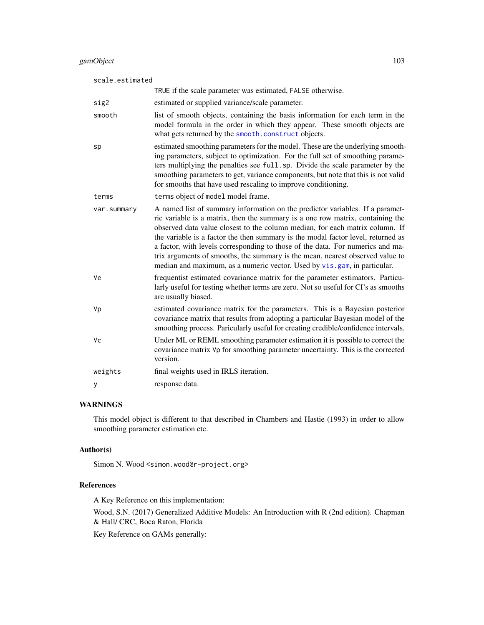| scale.estimated |                                                                                                                                                                                                                                                                                                                                                                                                                                                                                                                                                                                    |  |
|-----------------|------------------------------------------------------------------------------------------------------------------------------------------------------------------------------------------------------------------------------------------------------------------------------------------------------------------------------------------------------------------------------------------------------------------------------------------------------------------------------------------------------------------------------------------------------------------------------------|--|
|                 | TRUE if the scale parameter was estimated, FALSE otherwise.                                                                                                                                                                                                                                                                                                                                                                                                                                                                                                                        |  |
| sig2            | estimated or supplied variance/scale parameter.                                                                                                                                                                                                                                                                                                                                                                                                                                                                                                                                    |  |
| smooth          | list of smooth objects, containing the basis information for each term in the<br>model formula in the order in which they appear. These smooth objects are<br>what gets returned by the smooth.construct objects.                                                                                                                                                                                                                                                                                                                                                                  |  |
| sp              | estimated smoothing parameters for the model. These are the underlying smooth-<br>ing parameters, subject to optimization. For the full set of smoothing parame-<br>ters multiplying the penalties see full.sp. Divide the scale parameter by the<br>smoothing parameters to get, variance components, but note that this is not valid<br>for smooths that have used rescaling to improve conditioning.                                                                                                                                                                            |  |
| terms           | terms object of model model frame.                                                                                                                                                                                                                                                                                                                                                                                                                                                                                                                                                 |  |
| var.summary     | A named list of summary information on the predictor variables. If a paramet-<br>ric variable is a matrix, then the summary is a one row matrix, containing the<br>observed data value closest to the column median, for each matrix column. If<br>the variable is a factor the then summary is the modal factor level, returned as<br>a factor, with levels corresponding to those of the data. For numerics and ma-<br>trix arguments of smooths, the summary is the mean, nearest observed value to<br>median and maximum, as a numeric vector. Used by vis.gam, in particular. |  |
| Ve              | frequentist estimated covariance matrix for the parameter estimators. Particu-<br>larly useful for testing whether terms are zero. Not so useful for CI's as smooths<br>are usually biased.                                                                                                                                                                                                                                                                                                                                                                                        |  |
| Vp              | estimated covariance matrix for the parameters. This is a Bayesian posterior<br>covariance matrix that results from adopting a particular Bayesian model of the<br>smoothing process. Paricularly useful for creating credible/confidence intervals.                                                                                                                                                                                                                                                                                                                               |  |
| Vc              | Under ML or REML smoothing parameter estimation it is possible to correct the<br>covariance matrix Vp for smoothing parameter uncertainty. This is the corrected<br>version.                                                                                                                                                                                                                                                                                                                                                                                                       |  |
| weights         | final weights used in IRLS iteration.                                                                                                                                                                                                                                                                                                                                                                                                                                                                                                                                              |  |
| У               | response data.                                                                                                                                                                                                                                                                                                                                                                                                                                                                                                                                                                     |  |

# WARNINGS

This model object is different to that described in Chambers and Hastie (1993) in order to allow smoothing parameter estimation etc.

## Author(s)

Simon N. Wood <simon.wood@r-project.org>

## References

A Key Reference on this implementation:

Wood, S.N. (2017) Generalized Additive Models: An Introduction with R (2nd edition). Chapman & Hall/ CRC, Boca Raton, Florida

Key Reference on GAMs generally: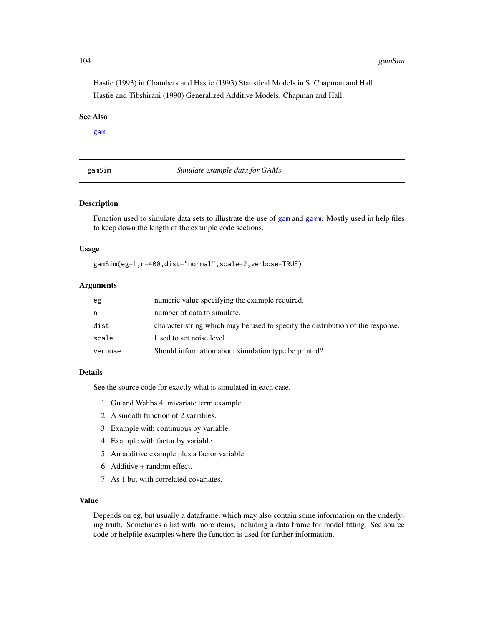104 gamSim

Hastie (1993) in Chambers and Hastie (1993) Statistical Models in S. Chapman and Hall. Hastie and Tibshirani (1990) Generalized Additive Models. Chapman and Hall.

# See Also

[gam](#page-47-0)

gamSim *Simulate example data for GAMs*

## Description

Function used to simulate data sets to illustrate the use of [gam](#page-47-0) and [gamm](#page-91-0). Mostly used in help files to keep down the length of the example code sections.

## Usage

gamSim(eg=1,n=400,dist="normal",scale=2,verbose=TRUE)

## Arguments

| eg      | numeric value specifying the example required.                                  |
|---------|---------------------------------------------------------------------------------|
| n       | number of data to simulate.                                                     |
| dist    | character string which may be used to specify the distribution of the response. |
| scale   | Used to set noise level.                                                        |
| verbose | Should information about simulation type be printed?                            |

## Details

See the source code for exactly what is simulated in each case.

- 1. Gu and Wahba 4 univariate term example.
- 2. A smooth function of 2 variables.
- 3. Example with continuous by variable.
- 4. Example with factor by variable.
- 5. An additive example plus a factor variable.
- 6. Additive + random effect.
- 7. As 1 but with correlated covariates.

## Value

Depends on eg, but usually a dataframe, which may also contain some information on the underlying truth. Sometimes a list with more items, including a data frame for model fitting. See source code or helpfile examples where the function is used for further information.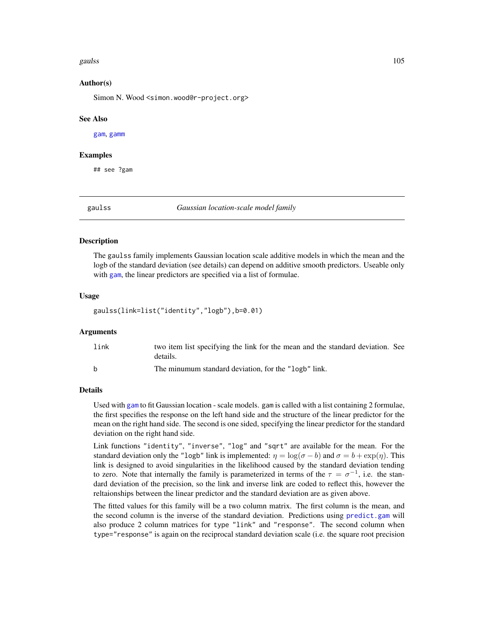#### gaulss and the contract of the contract of the contract of the contract of the contract of the contract of the contract of the contract of the contract of the contract of the contract of the contract of the contract of the

#### Author(s)

Simon N. Wood <simon.wood@r-project.org>

#### See Also

[gam](#page-47-0), [gamm](#page-91-0)

## Examples

## see ?gam

gaulss *Gaussian location-scale model family*

## Description

The gaulss family implements Gaussian location scale additive models in which the mean and the logb of the standard deviation (see details) can depend on additive smooth predictors. Useable only with [gam](#page-47-0), the linear predictors are specified via a list of formulae.

#### Usage

gaulss(link=list("identity","logb"),b=0.01)

## **Arguments**

| link | two item list specifying the link for the mean and the standard deviation. See |
|------|--------------------------------------------------------------------------------|
|      | details.                                                                       |
| h    | The minumum standard deviation, for the "logb" link.                           |

# Details

Used with [gam](#page-47-0) to fit Gaussian location - scale models. gam is called with a list containing 2 formulae, the first specifies the response on the left hand side and the structure of the linear predictor for the mean on the right hand side. The second is one sided, specifying the linear predictor for the standard deviation on the right hand side.

Link functions "identity", "inverse", "log" and "sqrt" are available for the mean. For the standard deviation only the "logb" link is implemented:  $\eta = \log(\sigma - b)$  and  $\sigma = b + \exp(\eta)$ . This link is designed to avoid singularities in the likelihood caused by the standard deviation tending to zero. Note that internally the family is parameterized in terms of the  $\tau = \sigma^{-1}$ , i.e. the standard deviation of the precision, so the link and inverse link are coded to reflect this, however the reltaionships between the linear predictor and the standard deviation are as given above.

The fitted values for this family will be a two column matrix. The first column is the mean, and the second column is the inverse of the standard deviation. Predictions using [predict.gam](#page-184-0) will also produce 2 column matrices for type "link" and "response". The second column when type="response" is again on the reciprocal standard deviation scale (i.e. the square root precision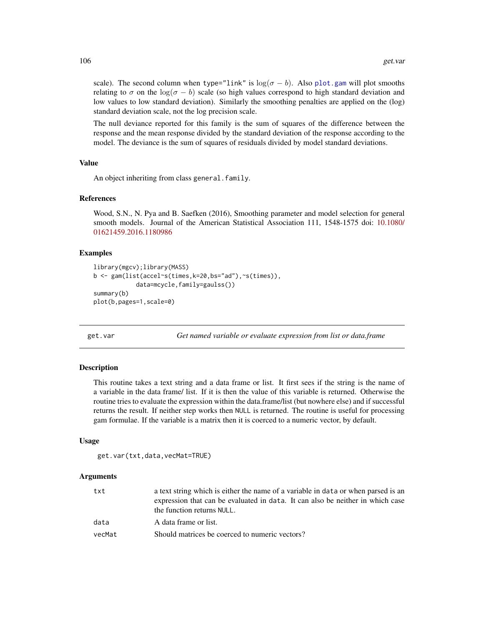scale). The second column when type="link" is  $\log(\sigma - b)$ . Also [plot.gam](#page-175-0) will plot smooths relating to  $\sigma$  on the log( $\sigma - b$ ) scale (so high values correspond to high standard deviation and low values to low standard deviation). Similarly the smoothing penalties are applied on the (log) standard deviation scale, not the log precision scale.

The null deviance reported for this family is the sum of squares of the difference between the response and the mean response divided by the standard deviation of the response according to the model. The deviance is the sum of squares of residuals divided by model standard deviations.

## Value

An object inheriting from class general.family.

## References

Wood, S.N., N. Pya and B. Saefken (2016), Smoothing parameter and model selection for general smooth models. Journal of the American Statistical Association 111, 1548-1575 doi: [10.1080/](https://doi.org/10.1080/01621459.2016.1180986) [01621459.2016.1180986](https://doi.org/10.1080/01621459.2016.1180986)

## Examples

```
library(mgcv);library(MASS)
b <- gam(list(accel~s(times,k=20,bs="ad"),~s(times)),
            data=mcycle,family=gaulss())
summary(b)
plot(b,pages=1,scale=0)
```
get.var *Get named variable or evaluate expression from list or data.frame*

## Description

This routine takes a text string and a data frame or list. It first sees if the string is the name of a variable in the data frame/ list. If it is then the value of this variable is returned. Otherwise the routine tries to evaluate the expression within the data.frame/list (but nowhere else) and if successful returns the result. If neither step works then NULL is returned. The routine is useful for processing gam formulae. If the variable is a matrix then it is coerced to a numeric vector, by default.

## Usage

```
get.var(txt,data,vecMat=TRUE)
```
#### Arguments

| txt    | a text string which is either the name of a variable in data or when parsed is an<br>expression that can be evaluated in data. It can also be neither in which case<br>the function returns NULL. |
|--------|---------------------------------------------------------------------------------------------------------------------------------------------------------------------------------------------------|
| data   | A data frame or list.                                                                                                                                                                             |
| vecMat | Should matrices be coerced to numeric vectors?                                                                                                                                                    |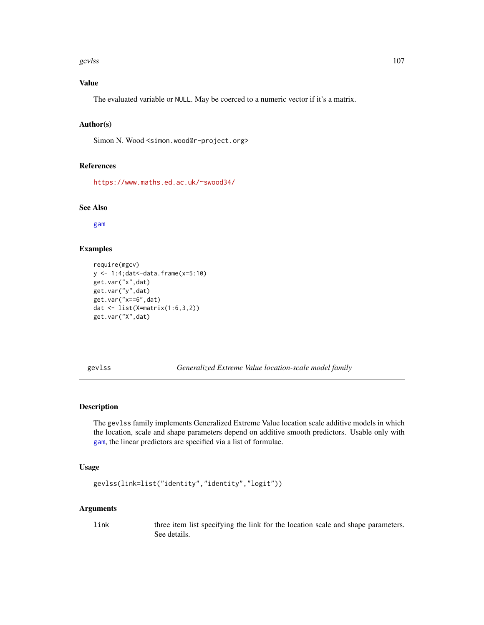#### gevlss and the set of the set of the set of the set of the set of the set of the set of the set of the set of the set of the set of the set of the set of the set of the set of the set of the set of the set of the set of th

# Value

The evaluated variable or NULL. May be coerced to a numeric vector if it's a matrix.

## Author(s)

Simon N. Wood <simon.wood@r-project.org>

#### References

<https://www.maths.ed.ac.uk/~swood34/>

# See Also

[gam](#page-47-0)

# Examples

```
require(mgcv)
y <- 1:4;dat<-data.frame(x=5:10)
get.var("x",dat)
get.var("y",dat)
get.var("x==6",dat)
dat <- list(X=matrix(1:6,3,2))
get.var("X",dat)
```
gevlss *Generalized Extreme Value location-scale model family*

## Description

The gevlss family implements Generalized Extreme Value location scale additive models in which the location, scale and shape parameters depend on additive smooth predictors. Usable only with [gam](#page-47-0), the linear predictors are specified via a list of formulae.

## Usage

```
gevlss(link=list("identity","identity","logit"))
```
# Arguments

link three item list specifying the link for the location scale and shape parameters. See details.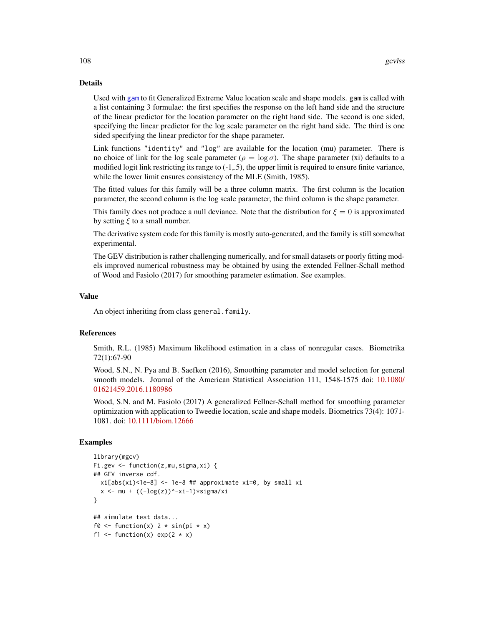## Details

Used with [gam](#page-47-0) to fit Generalized Extreme Value location scale and shape models. gam is called with a list containing 3 formulae: the first specifies the response on the left hand side and the structure of the linear predictor for the location parameter on the right hand side. The second is one sided, specifying the linear predictor for the log scale parameter on the right hand side. The third is one sided specifying the linear predictor for the shape parameter.

Link functions "identity" and "log" are available for the location (mu) parameter. There is no choice of link for the log scale parameter ( $\rho = \log \sigma$ ). The shape parameter (xi) defaults to a modified logit link restricting its range to (-1,.5), the upper limit is required to ensure finite variance, while the lower limit ensures consistency of the MLE (Smith, 1985).

The fitted values for this family will be a three column matrix. The first column is the location parameter, the second column is the log scale parameter, the third column is the shape parameter.

This family does not produce a null deviance. Note that the distribution for  $\xi = 0$  is approximated by setting  $\xi$  to a small number.

The derivative system code for this family is mostly auto-generated, and the family is still somewhat experimental.

The GEV distribution is rather challenging numerically, and for small datasets or poorly fitting models improved numerical robustness may be obtained by using the extended Fellner-Schall method of Wood and Fasiolo (2017) for smoothing parameter estimation. See examples.

#### Value

An object inheriting from class general.family.

## References

Smith, R.L. (1985) Maximum likelihood estimation in a class of nonregular cases. Biometrika 72(1):67-90

Wood, S.N., N. Pya and B. Saefken (2016), Smoothing parameter and model selection for general smooth models. Journal of the American Statistical Association 111, 1548-1575 doi: [10.1080/](https://doi.org/10.1080/01621459.2016.1180986) [01621459.2016.1180986](https://doi.org/10.1080/01621459.2016.1180986)

Wood, S.N. and M. Fasiolo (2017) A generalized Fellner-Schall method for smoothing parameter optimization with application to Tweedie location, scale and shape models. Biometrics 73(4): 1071- 1081. doi: [10.1111/biom.12666](https://doi.org/10.1111/biom.12666)

## Examples

```
library(mgcv)
Fi.gev <- function(z,mu,sigma,xi) {
## GEV inverse cdf.
  xi[abs(xi)<1e-8] <- 1e-8 ## approximate xi=0, by small xi
  x \leftarrow mu + ((-\log(z))^* - xi-1) \cdot \sigma xigma/xi
}
## simulate test data...
f0 <- function(x) 2 * sin(pi * x)f1 <- function(x) exp(2 \times x)
```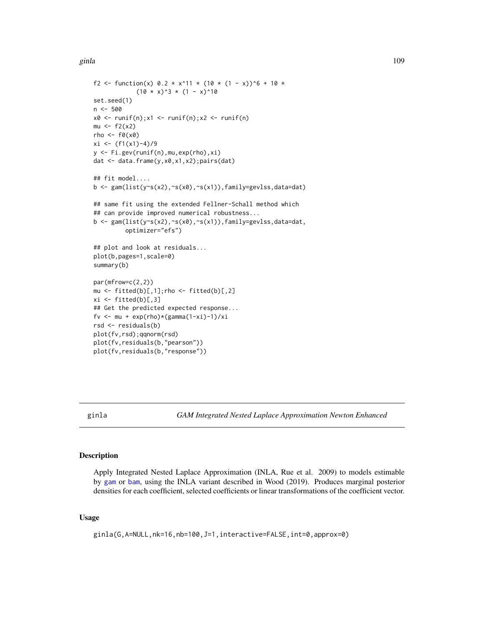ginla 109

```
f2 <- function(x) 0.2 * x^11 * (10 * (1 - x))^6 + 10 *
            (10 \times x)^3 * (1 - x)^10set.seed(1)
n < -500x0 \leq -\text{runif}(n); x1 \leq -\text{runif}(n); x2 \leq -\text{runif}(n)mu < - f2(x2)rho <-f0(x0)xi \leftarrow (f1(x1)-4)/9y <- Fi.gev(runif(n),mu,exp(rho),xi)
dat <- data.frame(y,x0,x1,x2);pairs(dat)
## fit model....
b <- gam(list(y~s(x2),~s(x0),~s(x1)),family=gevlss,data=dat)
## same fit using the extended Fellner-Schall method which
## can provide improved numerical robustness...
b <- gam(list(y~s(x2),~s(x0),~s(x1)),family=gevlss,data=dat,
         optimizer="efs")
## plot and look at residuals...
plot(b,pages=1,scale=0)
summary(b)
par(mfrow=c(2,2))
mu \le fitted(b)[,1]; rho \le fitted(b)[,2]
xi \leftarrow fitted(b)[,3]## Get the predicted expected response...
fv <- mu + exp(rho)*(gamma(1-xi)-1)/xi
rsd <- residuals(b)
plot(fv,rsd);qqnorm(rsd)
plot(fv,residuals(b,"pearson"))
plot(fv,residuals(b,"response"))
```
<span id="page-108-0"></span>ginla *GAM Integrated Nested Laplace Approximation Newton Enhanced*

# Description

Apply Integrated Nested Laplace Approximation (INLA, Rue et al. 2009) to models estimable by [gam](#page-47-0) or [bam](#page-6-0), using the INLA variant described in Wood (2019). Produces marginal posterior densities for each coefficient, selected coefficients or linear transformations of the coefficient vector.

#### Usage

```
ginla(G,A=NULL,nk=16,nb=100,J=1,interactive=FALSE,int=0,approx=0)
```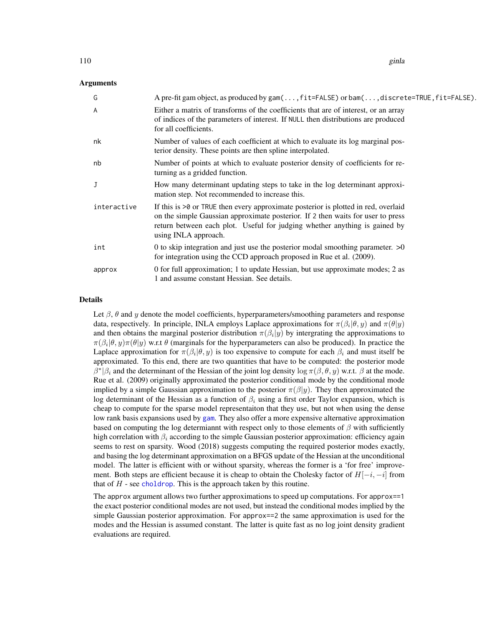# Arguments

| G           | A pre-fit gam object, as produced by gam $(\ldots, \text{fit}=\text{FALSE})$ or bam $(\ldots, \text{discrete}=\text{TRUE}, \text{fit}=\text{FALSE})$ .                                                                                                                        |
|-------------|-------------------------------------------------------------------------------------------------------------------------------------------------------------------------------------------------------------------------------------------------------------------------------|
| A           | Either a matrix of transforms of the coefficients that are of interest, or an array<br>of indices of the parameters of interest. If NULL then distributions are produced<br>for all coefficients.                                                                             |
| nk          | Number of values of each coefficient at which to evaluate its log marginal pos-<br>terior density. These points are then spline interpolated.                                                                                                                                 |
| nb          | Number of points at which to evaluate posterior density of coefficients for re-<br>turning as a gridded function.                                                                                                                                                             |
| J           | How many determinant updating steps to take in the log determinant approxi-<br>mation step. Not recommended to increase this.                                                                                                                                                 |
| interactive | If this is $>0$ or TRUE then every approximate posterior is plotted in red, overlaid<br>on the simple Gaussian approximate posterior. If 2 then waits for user to press<br>return between each plot. Useful for judging whether anything is gained by<br>using INLA approach. |
| int         | 0 to skip integration and just use the posterior modal smoothing parameter. $>0$<br>for integration using the CCD approach proposed in Rue et al. (2009).                                                                                                                     |
| approx      | 0 for full approximation; 1 to update Hessian, but use approximate modes; 2 as<br>1 and assume constant Hessian. See details.                                                                                                                                                 |

#### Details

Let  $\beta$ ,  $\theta$  and  $\gamma$  denote the model coefficients, hyperparameters/smoothing parameters and response data, respectively. In principle, INLA employs Laplace approximations for  $\pi(\beta_i|\theta, y)$  and  $\pi(\theta|y)$ and then obtains the marginal posterior distribution  $\pi(\beta_i|y)$  by intergrating the approximations to  $\pi(\beta_i|\theta, y)\pi(\theta|y)$  w.r.t  $\theta$  (marginals for the hyperparameters can also be produced). In practice the Laplace approximation for  $\pi(\beta_i|\theta, y)$  is too expensive to compute for each  $\beta_i$  and must itself be approximated. To this end, there are two quantities that have to be computed: the posterior mode  $\beta^*|\beta_i$  and the determinant of the Hessian of the joint log density log  $\pi(\beta, \theta, y)$  w.r.t.  $\beta$  at the mode. Rue et al. (2009) originally approximated the posterior conditional mode by the conditional mode implied by a simple Gaussian approximation to the posterior  $\pi(\beta|y)$ . They then approximated the log determinant of the Hessian as a function of  $\beta_i$  using a first order Taylor expansion, which is cheap to compute for the sparse model representaiton that they use, but not when using the dense low rank basis expansions used by [gam](#page-47-0). They also offer a more expensive alternative approximation based on computing the log determiannt with respect only to those elements of  $\beta$  with sufficiently high correlation with  $\beta_i$  according to the simple Gaussian posterior approximation: efficiency again seems to rest on sparsity. Wood (2018) suggests computing the required posterior modes exactly, and basing the log determinant approximation on a BFGS update of the Hessian at the unconditional model. The latter is efficient with or without sparsity, whereas the former is a 'for free' improvement. Both steps are efficient because it is cheap to obtain the Cholesky factor of  $H[-i, -i]$  from that of  $H$  - see [choldrop](#page-18-0). This is the approach taken by this routine.

The approx argument allows two further approximations to speed up computations. For approx==1 the exact posterior conditional modes are not used, but instead the conditional modes implied by the simple Gaussian posterior approximation. For approx==2 the same approximation is used for the modes and the Hessian is assumed constant. The latter is quite fast as no log joint density gradient evaluations are required.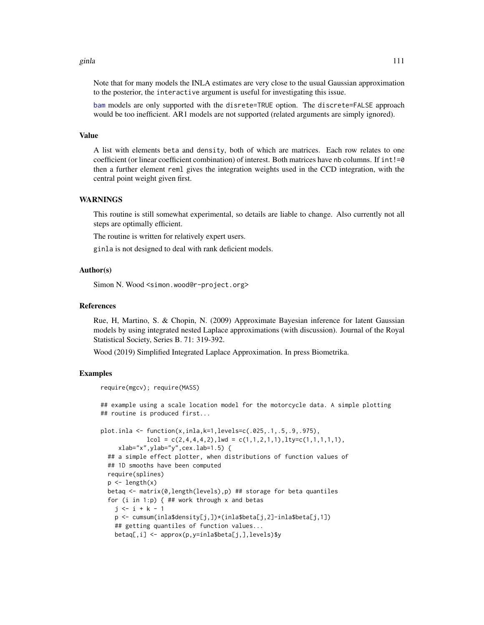#### ginla 111

Note that for many models the INLA estimates are very close to the usual Gaussian approximation to the posterior, the interactive argument is useful for investigating this issue.

[bam](#page-6-0) models are only supported with the disrete=TRUE option. The discrete=FALSE approach would be too inefficient. AR1 models are not supported (related arguments are simply ignored).

#### Value

A list with elements beta and density, both of which are matrices. Each row relates to one coefficient (or linear coefficient combination) of interest. Both matrices have nb columns. If  $int!=0$ then a further element reml gives the integration weights used in the CCD integration, with the central point weight given first.

#### WARNINGS

This routine is still somewhat experimental, so details are liable to change. Also currently not all steps are optimally efficient.

The routine is written for relatively expert users.

ginla is not designed to deal with rank deficient models.

#### Author(s)

Simon N. Wood <simon.wood@r-project.org>

#### References

Rue, H, Martino, S. & Chopin, N. (2009) Approximate Bayesian inference for latent Gaussian models by using integrated nested Laplace approximations (with discussion). Journal of the Royal Statistical Society, Series B. 71: 319-392.

Wood (2019) Simplified Integrated Laplace Approximation. In press Biometrika.

### Examples

```
require(mgcv); require(MASS)
## example using a scale location model for the motorcycle data. A simple plotting
## routine is produced first...
plot.inla <- function(x,inla,k=1,levels=c(.025,.1,.5,.9,.975),
             lcol = c(2, 4, 4, 4, 2), lwd = c(1, 1, 2, 1, 1), lty=c(1, 1, 1, 1, 1),xlabel''x'', ylabel''y'', cex. lab=1.5) {
  ## a simple effect plotter, when distributions of function values of
  ## 1D smooths have been computed
  require(splines)
  p \leftarrow length(x)betaq <- matrix(0,length(levels),p) ## storage for beta quantiles
  for (i in 1:p) { \# work through x and betas
    j \leftarrow i + k - 1p <- cumsum(inla$density[j,])*(inla$beta[j,2]-inla$beta[j,1])
    ## getting quantiles of function values...
    betaq[,i] <- approx(p,y=inla$beta[j,],levels)$y
```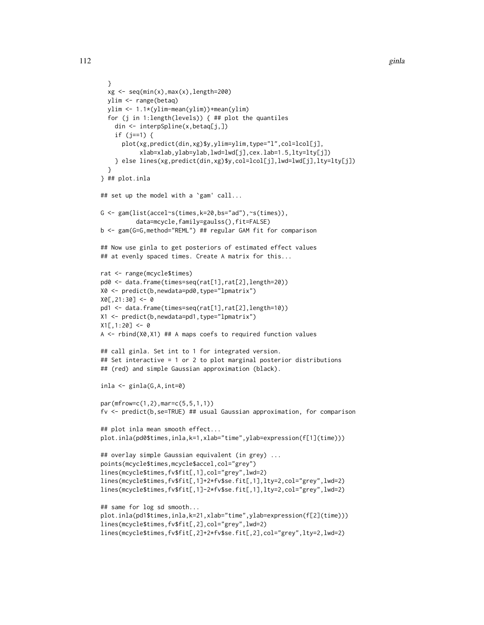```
}
  xg \leftarrow seq(min(x),max(x),length=200)ylim <- range(betaq)
  ylim <- 1.1*(ylim-mean(ylim))+mean(ylim)
  for (j in 1:length(levels)) { ## plot the quantiles
    din <- interpSpline(x,betaq[j,])
    if (j==1) {
      plot(xg,predict(din,xg)$y,ylim=ylim,type="l",col=lcol[j],
           xlab=xlab,ylab=ylab,lwd=lwd[j],cex.lab=1.5,lty=lty[j])
    } else lines(xg,predict(din,xg)$y,col=lcol[j],lwd=lwd[j],lty=lty[j])
  }
} ## plot.inla
## set up the model with a `gam' call...
G \leq gam(list(accel~s(times,k=20,bs="ad"),~s(times)),
          data=mcycle,family=gaulss(),fit=FALSE)
b <- gam(G=G,method="REML") ## regular GAM fit for comparison
## Now use ginla to get posteriors of estimated effect values
## at evenly spaced times. Create A matrix for this...
rat <- range(mcycle$times)
pd0 <- data.frame(times=seq(rat[1],rat[2],length=20))
X0 <- predict(b,newdata=pd0,type="lpmatrix")
X0[,21:30] < -0pd1 <- data.frame(times=seq(rat[1],rat[2],length=10))
X1 <- predict(b,newdata=pd1,type="lpmatrix")
X1[,1:20] <- 0
A <- rbind(X0,X1) ## A maps coefs to required function values
## call ginla. Set int to 1 for integrated version.
## Set interactive = 1 or 2 to plot marginal posterior distributions
## (red) and simple Gaussian approximation (black).
inla <- ginla(G,A,int=0)
par(mfrow=c(1,2),mar=c(5,5,1,1))
fv <- predict(b,se=TRUE) ## usual Gaussian approximation, for comparison
## plot inla mean smooth effect...
plot.inla(pd0$times,inla,k=1,xlab="time",ylab=expression(f[1](time)))
## overlay simple Gaussian equivalent (in grey) ...
points(mcycle$times,mcycle$accel,col="grey")
lines(mcycle$times,fv$fit[,1],col="grey",lwd=2)
lines(mcycle$times,fv$fit[,1]+2*fv$se.fit[,1],lty=2,col="grey",lwd=2)
lines(mcycle$times,fv$fit[,1]-2*fv$se.fit[,1],lty=2,col="grey",lwd=2)
## same for log sd smooth...
plot.inla(pd1$times,inla,k=21,xlab="time",ylab=expression(f[2](time)))
lines(mcycle$times,fv$fit[,2],col="grey",lwd=2)
lines(mcycle$times,fv$fit[,2]+2*fv$se.fit[,2],col="grey",lty=2,lwd=2)
```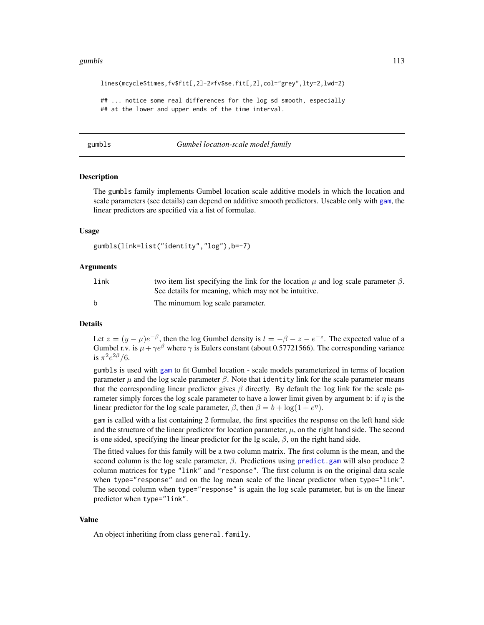#### gumbls that the contract of the contract of the contract of the contract of the contract of the contract of the contract of the contract of the contract of the contract of the contract of the contract of the contract of th

lines(mcycle\$times,fv\$fit[,2]-2\*fv\$se.fit[,2],col="grey",lty=2,lwd=2)

## ... notice some real differences for the log sd smooth, especially ## at the lower and upper ends of the time interval.

gumbls *Gumbel location-scale model family*

#### Description

The gumbls family implements Gumbel location scale additive models in which the location and scale parameters (see details) can depend on additive smooth predictors. Useable only with [gam](#page-47-0), the linear predictors are specified via a list of formulae.

#### Usage

```
gumbls(link=list("identity","log"),b=-7)
```
#### Arguments

| link | two item list specifying the link for the location $\mu$ and log scale parameter $\beta$ .<br>See details for meaning, which may not be intuitive. |
|------|----------------------------------------------------------------------------------------------------------------------------------------------------|
| h    | The minumum log scale parameter.                                                                                                                   |

### Details

Let  $z = (y - \mu)e^{-\beta}$ , then the log Gumbel density is  $l = -\beta - z - e^{-z}$ . The expected value of a Gumbel r.v. is  $\mu + \gamma e^{\beta}$  where  $\gamma$  is Eulers constant (about 0.57721566). The corresponding variance is  $\pi^2 e^{2\beta}/6$ .

gumbls is used with [gam](#page-47-0) to fit Gumbel location - scale models parameterized in terms of location parameter  $\mu$  and the log scale parameter  $\beta$ . Note that identity link for the scale parameter means that the corresponding linear predictor gives  $\beta$  directly. By default the log link for the scale parameter simply forces the log scale parameter to have a lower limit given by argument b: if  $\eta$  is the linear predictor for the log scale parameter,  $\beta$ , then  $\beta = b + \log(1 + e^{\eta})$ .

gam is called with a list containing 2 formulae, the first specifies the response on the left hand side and the structure of the linear predictor for location parameter,  $\mu$ , on the right hand side. The second is one sided, specifying the linear predictor for the lg scale,  $\beta$ , on the right hand side.

The fitted values for this family will be a two column matrix. The first column is the mean, and the second column is the log scale parameter,  $\beta$ . Predictions using [predict.gam](#page-184-0) will also produce 2 column matrices for type "link" and "response". The first column is on the original data scale when type="response" and on the log mean scale of the linear predictor when type="link". The second column when type="response" is again the log scale parameter, but is on the linear predictor when type="link".

### Value

An object inheriting from class general.family.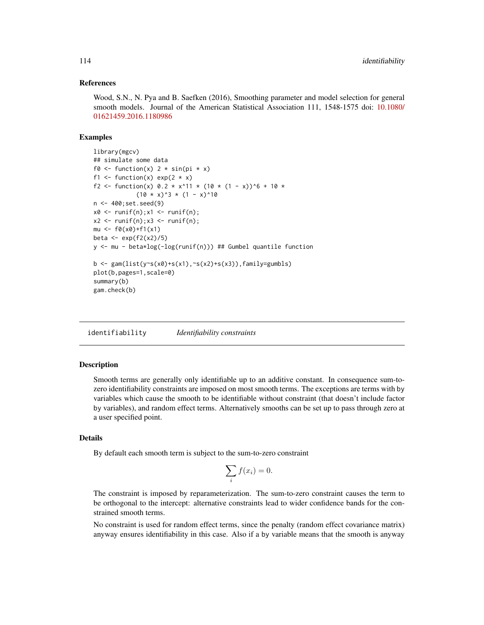# References

Wood, S.N., N. Pya and B. Saefken (2016), Smoothing parameter and model selection for general smooth models. Journal of the American Statistical Association 111, 1548-1575 doi: [10.1080/](https://doi.org/10.1080/01621459.2016.1180986) [01621459.2016.1180986](https://doi.org/10.1080/01621459.2016.1180986)

#### Examples

```
library(mgcv)
## simulate some data
f0 <- function(x) 2 * sin(pi * x)f1 <- function(x) exp(2 \times x)f2 <- function(x) 0.2 * x^11 * (10 * (1 - x))^6 + 10 *
            (10 \times x)^3 * (1 - x)^10n <- 400;set.seed(9)
x0 \leq runif(n);x1 \leq runif(n);x2 \le runif(n);x3 \le runif(n);
mu <- f0(x0)+f1(x1)
beta \leftarrow exp(f2(x2)/5)
y <- mu - beta*log(-log(runif(n))) ## Gumbel quantile function
b \leq gam(list(y~s(x0)+s(x1),~s(x2)+s(x3)),family=gumbls)
plot(b,pages=1,scale=0)
summary(b)
gam.check(b)
```
identifiability *Identifiability constraints*

# Description

Smooth terms are generally only identifiable up to an additive constant. In consequence sum-tozero identifiability constraints are imposed on most smooth terms. The exceptions are terms with by variables which cause the smooth to be identifiable without constraint (that doesn't include factor by variables), and random effect terms. Alternatively smooths can be set up to pass through zero at a user specified point.

# Details

By default each smooth term is subject to the sum-to-zero constraint

$$
\sum_{i} f(x_i) = 0.
$$

The constraint is imposed by reparameterization. The sum-to-zero constraint causes the term to be orthogonal to the intercept: alternative constraints lead to wider confidence bands for the constrained smooth terms.

No constraint is used for random effect terms, since the penalty (random effect covariance matrix) anyway ensures identifiability in this case. Also if a by variable means that the smooth is anyway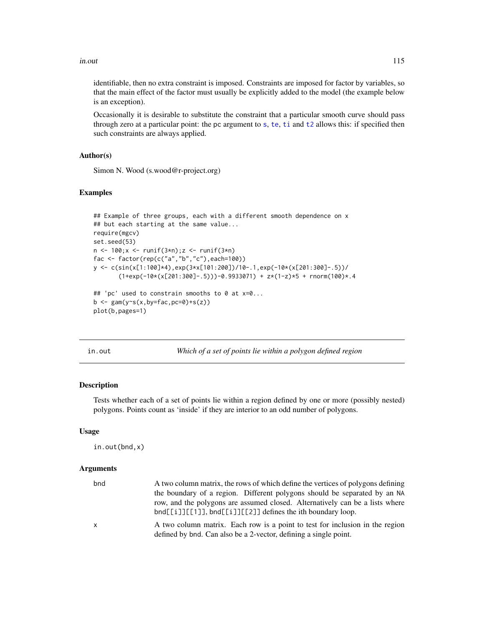#### in.out 115

identifiable, then no extra constraint is imposed. Constraints are imposed for factor by variables, so that the main effect of the factor must usually be explicitly added to the model (the example below is an exception).

Occasionally it is desirable to substitute the constraint that a particular smooth curve should pass through zero at a particular point: the pc argument to [s](#page-208-0), [te](#page-287-0), [ti](#page-287-1) and [t2](#page-282-0) allows this: if specified then such constraints are always applied.

## Author(s)

Simon N. Wood (s.wood@r-project.org)

#### Examples

```
## Example of three groups, each with a different smooth dependence on x
## but each starting at the same value...
require(mgcv)
set.seed(53)
n <- 100;x <- runif(3*n);z <- runif(3*n)
fac <- factor(rep(c("a","b","c"),each=100))
y <- c(sin(x[1:100]*4),exp(3*x[101:200])/10-.1,exp(-10*(x[201:300]-.5))/
       (1+exp(-10*(x[201:300]-.5))) - 0.9933071) + z*(1-z)*5 + rnorm(100)*.4## 'pc' used to constrain smooths to 0 at x=0...
b \leftarrow \text{gam}(y \sim s(x, by = fac, pc = 0) + s(z))plot(b,pages=1)
```
in.out *Which of a set of points lie within a polygon defined region*

## Description

Tests whether each of a set of points lie within a region defined by one or more (possibly nested) polygons. Points count as 'inside' if they are interior to an odd number of polygons.

#### Usage

```
in.out(bnd,x)
```
#### Arguments

| bnd | A two column matrix, the rows of which define the vertices of polygons defining<br>the boundary of a region. Different polygons should be separated by an NA<br>row, and the polygons are assumed closed. Alternatively can be a lists where<br>$bnd[[i]][[1]], bnd[[i]][[2]] defines the ith boundary loop.$ |
|-----|---------------------------------------------------------------------------------------------------------------------------------------------------------------------------------------------------------------------------------------------------------------------------------------------------------------|
| X   | A two column matrix. Each row is a point to test for inclusion in the region<br>defined by bnd. Can also be a 2-vector, defining a single point.                                                                                                                                                              |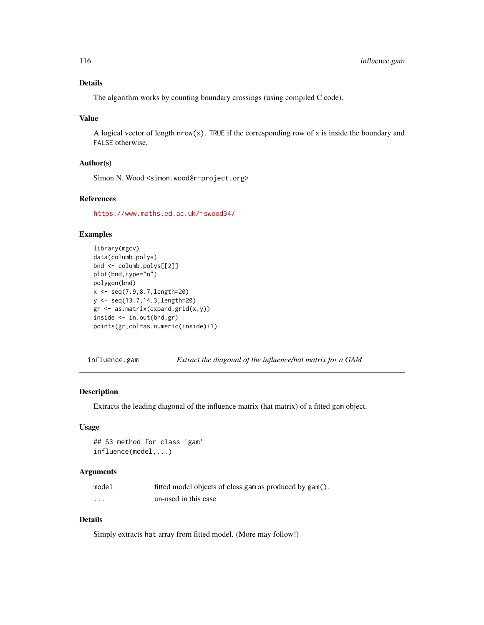# Details

The algorithm works by counting boundary crossings (using compiled C code).

#### Value

A logical vector of length  $nrow(x)$ . TRUE if the corresponding row of x is inside the boundary and FALSE otherwise.

# Author(s)

Simon N. Wood <simon.wood@r-project.org>

# References

<https://www.maths.ed.ac.uk/~swood34/>

# Examples

```
library(mgcv)
data(columb.polys)
bnd <- columb.polys[[2]]
plot(bnd,type="n")
polygon(bnd)
x \leq -\text{seq}(7.9, 8.7, \text{length}=20)y <- seq(13.7,14.3,length=20)
gr <- as.matrix(expand.grid(x,y))
inside <- in.out(bnd,gr)
points(gr,col=as.numeric(inside)+1)
```
influence.gam *Extract the diagonal of the influence/hat matrix for a GAM*

#### Description

Extracts the leading diagonal of the influence matrix (hat matrix) of a fitted gam object.

# Usage

```
## S3 method for class 'gam'
influence(model,...)
```
# Arguments

| model    | fitted model objects of class gam as produced by gam(). |
|----------|---------------------------------------------------------|
| $\cdots$ | un-used in this case                                    |

# Details

Simply extracts hat array from fitted model. (More may follow!)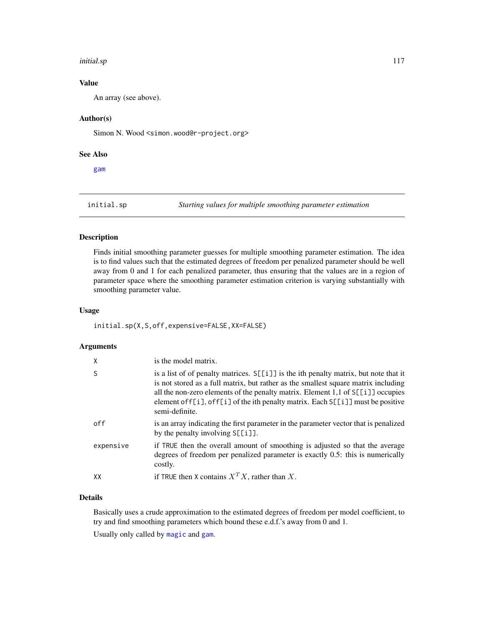#### initial.sp 117

# Value

An array (see above).

# Author(s)

Simon N. Wood <simon.wood@r-project.org>

### See Also

[gam](#page-47-0)

initial.sp *Starting values for multiple smoothing parameter estimation*

# Description

Finds initial smoothing parameter guesses for multiple smoothing parameter estimation. The idea is to find values such that the estimated degrees of freedom per penalized parameter should be well away from 0 and 1 for each penalized parameter, thus ensuring that the values are in a region of parameter space where the smoothing parameter estimation criterion is varying substantially with smoothing parameter value.

# Usage

initial.sp(X,S,off,expensive=FALSE,XX=FALSE)

# Arguments

| $\mathsf{X}$ | is the model matrix.                                                                                                                                                                                                                                                                                                                                                |
|--------------|---------------------------------------------------------------------------------------------------------------------------------------------------------------------------------------------------------------------------------------------------------------------------------------------------------------------------------------------------------------------|
| <sub>S</sub> | is a list of of penalty matrices. S[[i]] is the ith penalty matrix, but note that it<br>is not stored as a full matrix, but rather as the smallest square matrix including<br>all the non-zero elements of the penalty matrix. Element 1,1 of S[[i]] occupies<br>element of f[i], of f[i] of the ith penalty matrix. Each S[[i]] must be positive<br>semi-definite. |
| off          | is an array indicating the first parameter in the parameter vector that is penalized<br>by the penalty involving $S[[i]]$ .                                                                                                                                                                                                                                         |
| expensive    | if TRUE then the overall amount of smoothing is adjusted so that the average<br>degrees of freedom per penalized parameter is exactly 0.5: this is numerically<br>costly.                                                                                                                                                                                           |
| XX           | if TRUE then X contains $X^T X$ , rather than X.                                                                                                                                                                                                                                                                                                                    |

#### Details

Basically uses a crude approximation to the estimated degrees of freedom per model coefficient, to try and find smoothing parameters which bound these e.d.f.'s away from 0 and 1.

Usually only called by [magic](#page-135-0) and [gam](#page-47-0).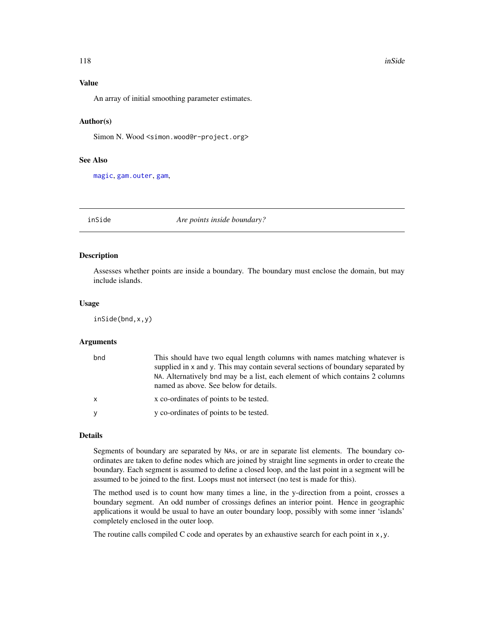# Value

An array of initial smoothing parameter estimates.

# Author(s)

Simon N. Wood <simon.wood@r-project.org>

#### See Also

[magic](#page-135-0), [gam.outer](#page-77-0), [gam](#page-47-0),

inSide *Are points inside boundary?*

# Description

Assesses whether points are inside a boundary. The boundary must enclose the domain, but may include islands.

#### Usage

inSide(bnd,x,y)

#### Arguments

| bnd          | This should have two equal length columns with names matching whatever is<br>supplied in x and y. This may contain several sections of boundary separated by<br>NA. Alternatively bnd may be a list, each element of which contains 2 columns<br>named as above. See below for details. |
|--------------|-----------------------------------------------------------------------------------------------------------------------------------------------------------------------------------------------------------------------------------------------------------------------------------------|
| $\mathsf{x}$ | x co-ordinates of points to be tested.                                                                                                                                                                                                                                                  |
|              | y co-ordinates of points to be tested.                                                                                                                                                                                                                                                  |

#### Details

Segments of boundary are separated by NAs, or are in separate list elements. The boundary coordinates are taken to define nodes which are joined by straight line segments in order to create the boundary. Each segment is assumed to define a closed loop, and the last point in a segment will be assumed to be joined to the first. Loops must not intersect (no test is made for this).

The method used is to count how many times a line, in the y-direction from a point, crosses a boundary segment. An odd number of crossings defines an interior point. Hence in geographic applications it would be usual to have an outer boundary loop, possibly with some inner 'islands' completely enclosed in the outer loop.

The routine calls compiled C code and operates by an exhaustive search for each point in  $x, y$ .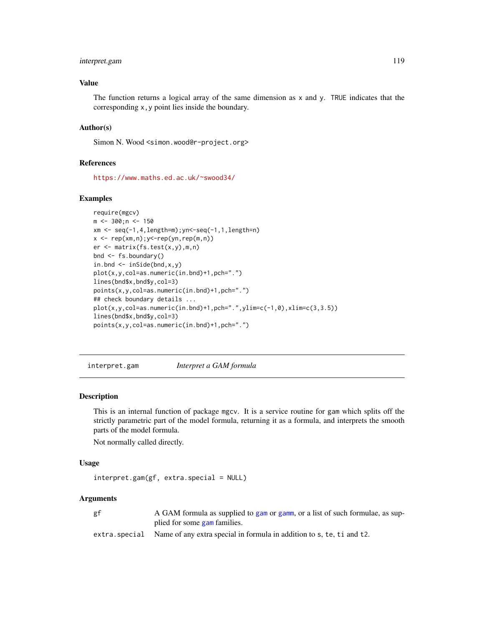# interpret.gam 119

# Value

The function returns a logical array of the same dimension as  $x$  and  $y$ . TRUE indicates that the corresponding x,y point lies inside the boundary.

# Author(s)

Simon N. Wood <simon.wood@r-project.org>

# References

<https://www.maths.ed.ac.uk/~swood34/>

# Examples

```
require(mgcv)
m <- 300;n <- 150
xm <- seq(-1,4,length=m);yn<-seq(-1,1,length=n)
x \leq -\operatorname{rep}(xm,n); y\leq -\operatorname{rep}(yn, rep(m,n))er <- matrix(fs.test(x,y),m,n)
bnd <- fs.boundary()
in.bnd \leq inSide(bnd, x, y)
plot(x,y,col=as.numeric(in.bnd)+1,pch=".")
lines(bnd$x,bnd$y,col=3)
points(x,y,col=as.numeric(in.bnd)+1,pch=".")
## check boundary details ...
plot(x,y,col=as.numeric(in.bnd)+1,pch=".",ylim=c(-1,0),xlim=c(3,3.5))
lines(bnd$x,bnd$y,col=3)
points(x,y,col=as.numeric(in.bnd)+1,pch=".")
```
interpret.gam *Interpret a GAM formula*

# Description

This is an internal function of package mgcv. It is a service routine for gam which splits off the strictly parametric part of the model formula, returning it as a formula, and interprets the smooth parts of the model formula.

Not normally called directly.

#### Usage

```
interpret.gam(gf, extra.special = NULL)
```
#### Arguments

| gf | A GAM formula as supplied to gam or gamm, or a list of such formulae, as sup-       |
|----|-------------------------------------------------------------------------------------|
|    | plied for some gam families.                                                        |
|    | extra special Name of any extra special in formula in addition to s, te, ti and t2. |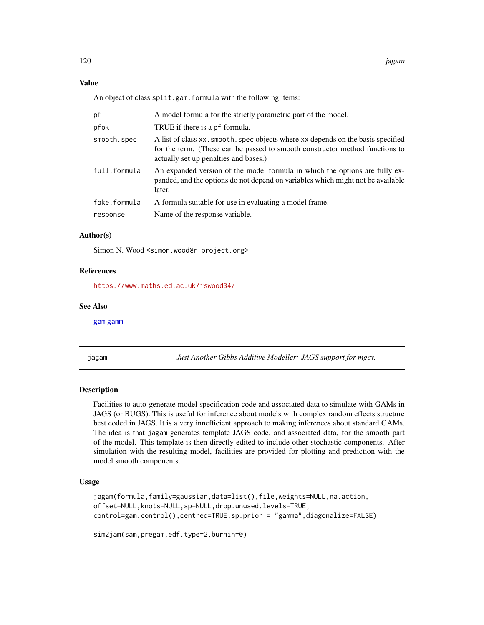# Value

An object of class split.gam.formula with the following items:

| рf           | A model formula for the strictly parametric part of the model.                                                                                                                                            |
|--------------|-----------------------------------------------------------------------------------------------------------------------------------------------------------------------------------------------------------|
| pfok         | TRUE if there is a pf formula.                                                                                                                                                                            |
| smooth.spec  | A list of class xx. smooth. spec objects where xx depends on the basis specified<br>for the term. (These can be passed to smooth constructor method functions to<br>actually set up penalties and bases.) |
| full.formula | An expanded version of the model formula in which the options are fully ex-<br>panded, and the options do not depend on variables which might not be available<br>later.                                  |
| fake.formula | A formula suitable for use in evaluating a model frame.                                                                                                                                                   |
| response     | Name of the response variable.                                                                                                                                                                            |
|              |                                                                                                                                                                                                           |

# Author(s)

Simon N. Wood <simon.wood@r-project.org>

#### References

<https://www.maths.ed.ac.uk/~swood34/>

#### See Also

[gam](#page-47-0) [gamm](#page-91-0)

<span id="page-119-0"></span>jagam *Just Another Gibbs Additive Modeller: JAGS support for mgcv.*

# Description

Facilities to auto-generate model specification code and associated data to simulate with GAMs in JAGS (or BUGS). This is useful for inference about models with complex random effects structure best coded in JAGS. It is a very innefficient approach to making inferences about standard GAMs. The idea is that jagam generates template JAGS code, and associated data, for the smooth part of the model. This template is then directly edited to include other stochastic components. After simulation with the resulting model, facilities are provided for plotting and prediction with the model smooth components.

# Usage

```
jagam(formula,family=gaussian,data=list(),file,weights=NULL,na.action,
offset=NULL,knots=NULL,sp=NULL,drop.unused.levels=TRUE,
control=gam.control(),centred=TRUE,sp.prior = "gamma",diagonalize=FALSE)
```

```
sim2jam(sam,pregam,edf.type=2,burnin=0)
```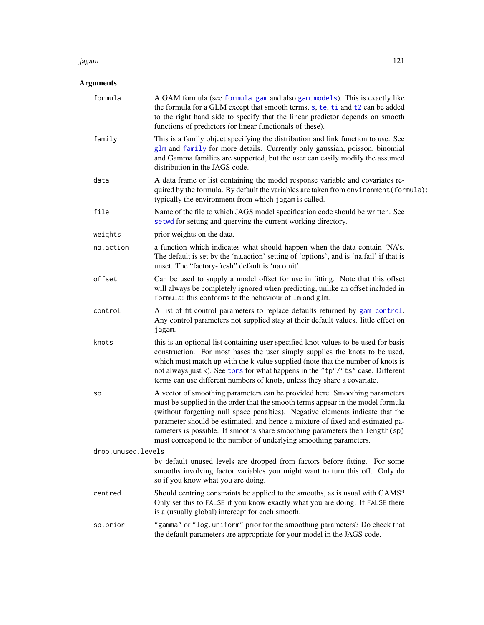#### jagam 121

# Arguments

| formula            | A GAM formula (see formula.gam and also gam.models). This is exactly like<br>the formula for a GLM except that smooth terms, s, te, ti and t2 can be added<br>to the right hand side to specify that the linear predictor depends on smooth<br>functions of predictors (or linear functionals of these).                                                                                                                                                                              |
|--------------------|---------------------------------------------------------------------------------------------------------------------------------------------------------------------------------------------------------------------------------------------------------------------------------------------------------------------------------------------------------------------------------------------------------------------------------------------------------------------------------------|
| family             | This is a family object specifying the distribution and link function to use. See<br>glm and family for more details. Currently only gaussian, poisson, binomial<br>and Gamma families are supported, but the user can easily modify the assumed<br>distribution in the JAGS code.                                                                                                                                                                                                    |
| data               | A data frame or list containing the model response variable and covariates re-<br>quired by the formula. By default the variables are taken from environment (formula):<br>typically the environment from which jagam is called.                                                                                                                                                                                                                                                      |
| file               | Name of the file to which JAGS model specification code should be written. See<br>setwd for setting and querying the current working directory.                                                                                                                                                                                                                                                                                                                                       |
| weights            | prior weights on the data.                                                                                                                                                                                                                                                                                                                                                                                                                                                            |
| na.action          | a function which indicates what should happen when the data contain 'NA's.<br>The default is set by the 'na.action' setting of 'options', and is 'na.fail' if that is<br>unset. The "factory-fresh" default is 'na.omit'.                                                                                                                                                                                                                                                             |
| offset             | Can be used to supply a model offset for use in fitting. Note that this offset<br>will always be completely ignored when predicting, unlike an offset included in<br>formula: this conforms to the behaviour of $lm$ and $glm$ .                                                                                                                                                                                                                                                      |
| control            | A list of fit control parameters to replace defaults returned by gam.control.<br>Any control parameters not supplied stay at their default values. little effect on<br>jagam.                                                                                                                                                                                                                                                                                                         |
| knots              | this is an optional list containing user specified knot values to be used for basis<br>construction. For most bases the user simply supplies the knots to be used,<br>which must match up with the k value supplied (note that the number of knots is<br>not always just k). See tprs for what happens in the "tp"/"ts" case. Different<br>terms can use different numbers of knots, unless they share a covariate.                                                                   |
| sp                 | A vector of smoothing parameters can be provided here. Smoothing parameters<br>must be supplied in the order that the smooth terms appear in the model formula<br>(without forgetting null space penalties). Negative elements indicate that the<br>parameter should be estimated, and hence a mixture of fixed and estimated pa-<br>rameters is possible. If smooths share smoothing parameters then length(sp)<br>must correspond to the number of underlying smoothing parameters. |
| drop.unused.levels |                                                                                                                                                                                                                                                                                                                                                                                                                                                                                       |
|                    | by default unused levels are dropped from factors before fitting. For some<br>smooths involving factor variables you might want to turn this off. Only do<br>so if you know what you are doing.                                                                                                                                                                                                                                                                                       |
| centred            | Should centring constraints be applied to the smooths, as is usual with GAMS?<br>Only set this to FALSE if you know exactly what you are doing. If FALSE there<br>is a (usually global) intercept for each smooth.                                                                                                                                                                                                                                                                    |
| sp.prior           | "gamma" or "log. uniform" prior for the smoothing parameters? Do check that<br>the default parameters are appropriate for your model in the JAGS code.                                                                                                                                                                                                                                                                                                                                |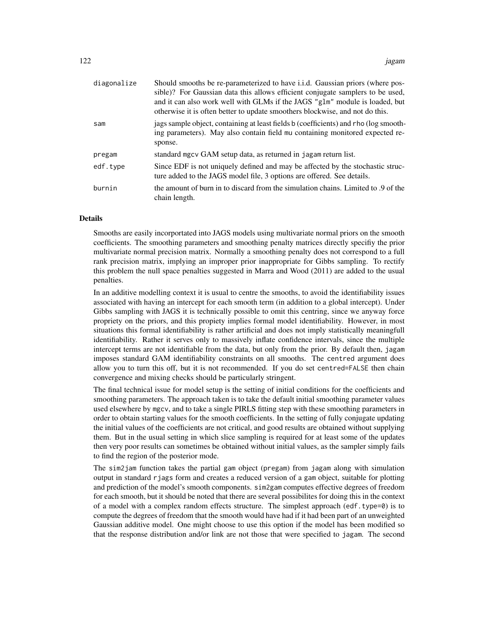| diagonalize | Should smooths be re-parameterized to have i.i.d. Gaussian priors (where pos-<br>sible)? For Gaussian data this allows efficient conjugate samplers to be used,<br>and it can also work well with GLMs if the JAGS "glm" module is loaded, but<br>otherwise it is often better to update smoothers blockwise, and not do this. |
|-------------|--------------------------------------------------------------------------------------------------------------------------------------------------------------------------------------------------------------------------------------------------------------------------------------------------------------------------------|
| sam         | jags sample object, containing at least fields b (coefficients) and rho (log smooth-<br>ing parameters). May also contain field mu containing monitored expected re-<br>sponse.                                                                                                                                                |
| pregam      | standard mgcv GAM setup data, as returned in jagam return list.                                                                                                                                                                                                                                                                |
| edf.type    | Since EDF is not uniquely defined and may be affected by the stochastic struc-<br>ture added to the JAGS model file, 3 options are offered. See details.                                                                                                                                                                       |
| burnin      | the amount of burn in to discard from the simulation chains. Limited to .9 of the<br>chain length.                                                                                                                                                                                                                             |

#### Details

Smooths are easily incorportated into JAGS models using multivariate normal priors on the smooth coefficients. The smoothing parameters and smoothing penalty matrices directly specifiy the prior multivariate normal precision matrix. Normally a smoothing penalty does not correspond to a full rank precision matrix, implying an improper prior inappropriate for Gibbs sampling. To rectify this problem the null space penalties suggested in Marra and Wood (2011) are added to the usual penalties.

In an additive modelling context it is usual to centre the smooths, to avoid the identifiability issues associated with having an intercept for each smooth term (in addition to a global intercept). Under Gibbs sampling with JAGS it is technically possible to omit this centring, since we anyway force propriety on the priors, and this propiety implies formal model identifiability. However, in most situations this formal identifiability is rather artificial and does not imply statistically meaningfull identifiability. Rather it serves only to massively inflate confidence intervals, since the multiple intercept terms are not identifiable from the data, but only from the prior. By default then, jagam imposes standard GAM identifiability constraints on all smooths. The centred argument does allow you to turn this off, but it is not recommended. If you do set centred=FALSE then chain convergence and mixing checks should be particularly stringent.

The final technical issue for model setup is the setting of initial conditions for the coefficients and smoothing parameters. The approach taken is to take the default initial smoothing parameter values used elsewhere by mgcv, and to take a single PIRLS fitting step with these smoothing parameters in order to obtain starting values for the smooth coefficients. In the setting of fully conjugate updating the initial values of the coefficients are not critical, and good results are obtained without supplying them. But in the usual setting in which slice sampling is required for at least some of the updates then very poor results can sometimes be obtained without initial values, as the sampler simply fails to find the region of the posterior mode.

The sim2jam function takes the partial gam object (pregam) from jagam along with simulation output in standard rjags form and creates a reduced version of a gam object, suitable for plotting and prediction of the model's smooth components. sim2gam computes effective degrees of freedom for each smooth, but it should be noted that there are several possibilites for doing this in the context of a model with a complex random effects structure. The simplest approach (edf.type= $\theta$ ) is to compute the degrees of freedom that the smooth would have had if it had been part of an unweighted Gaussian additive model. One might choose to use this option if the model has been modified so that the response distribution and/or link are not those that were specified to jagam. The second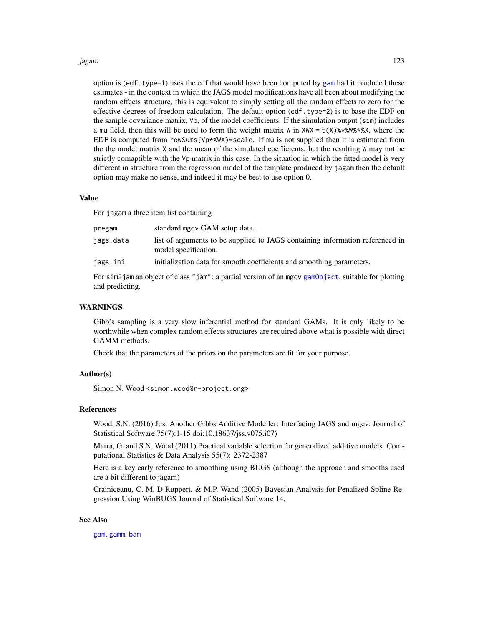#### jagam 123

option is (edf.type=1) uses the edf that would have been computed by [gam](#page-47-0) had it produced these estimates - in the context in which the JAGS model modifications have all been about modifying the random effects structure, this is equivalent to simply setting all the random effects to zero for the effective degrees of freedom calculation. The default option (edf.type=2) is to base the EDF on the sample covariance matrix, Vp, of the model coefficients. If the simulation output (sim) includes a mu field, then this will be used to form the weight matrix W in  $XWX = t(X)$ %\*%W%\*%X, where the EDF is computed from rowSums( $Vp*XWX$ )\*scale. If mu is not supplied then it is estimated from the the model matrix X and the mean of the simulated coefficients, but the resulting W may not be strictly comaptible with the Vp matrix in this case. In the situation in which the fitted model is very different in structure from the regression model of the template produced by jagam then the default option may make no sense, and indeed it may be best to use option 0.

#### Value

For jagam a three item list containing

| pregam    | standard mgcv GAM setup data.                                                                         |
|-----------|-------------------------------------------------------------------------------------------------------|
| jags.data | list of arguments to be supplied to JAGS containing information referenced in<br>model specification. |
| jags.ini  | initialization data for smooth coefficients and smoothing parameters.                                 |

For sim2jam an object of class "jam": a partial version of an mgcv [gamObject](#page-99-0), suitable for plotting and predicting.

#### **WARNINGS**

Gibb's sampling is a very slow inferential method for standard GAMs. It is only likely to be worthwhile when complex random effects structures are required above what is possible with direct GAMM methods.

Check that the parameters of the priors on the parameters are fit for your purpose.

### Author(s)

Simon N. Wood <simon.wood@r-project.org>

#### References

Wood, S.N. (2016) Just Another Gibbs Additive Modeller: Interfacing JAGS and mgcv. Journal of Statistical Software 75(7):1-15 doi:10.18637/jss.v075.i07)

Marra, G. and S.N. Wood (2011) Practical variable selection for generalized additive models. Computational Statistics & Data Analysis 55(7): 2372-2387

Here is a key early reference to smoothing using BUGS (although the approach and smooths used are a bit different to jagam)

Crainiceanu, C. M. D Ruppert, & M.P. Wand (2005) Bayesian Analysis for Penalized Spline Regression Using WinBUGS Journal of Statistical Software 14.

### See Also

[gam](#page-47-0), [gamm](#page-91-0), [bam](#page-6-0)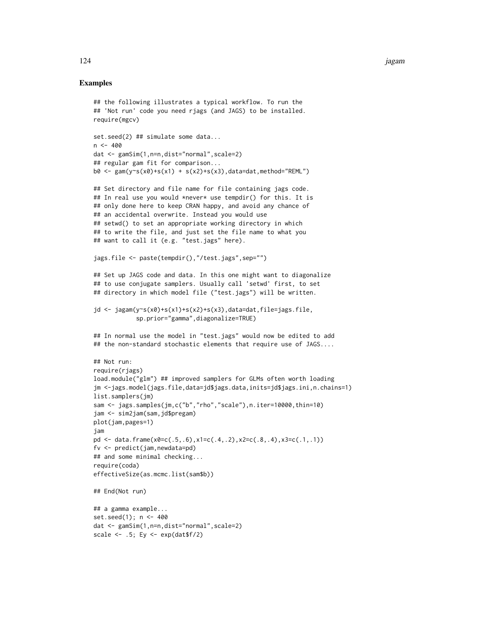# Examples

```
## the following illustrates a typical workflow. To run the
## 'Not run' code you need rjags (and JAGS) to be installed.
require(mgcv)
set.seed(2) ## simulate some data...
n < -400dat <- gamSim(1,n=n,dist="normal",scale=2)
## regular gam fit for comparison...
b0 \leq -\text{gam}(y \sim s(x0) + s(x1) + s(x2) + s(x3), data=dat, method="REML")
```

```
## Set directory and file name for file containing jags code.
## In real use you would *never* use tempdir() for this. It is
## only done here to keep CRAN happy, and avoid any chance of
## an accidental overwrite. Instead you would use
## setwd() to set an appropriate working directory in which
## to write the file, and just set the file name to what you
## want to call it (e.g. "test.jags" here).
```

```
jags.file <- paste(tempdir(),"/test.jags",sep="")
```

```
## Set up JAGS code and data. In this one might want to diagonalize
## to use conjugate samplers. Usually call 'setwd' first, to set
## directory in which model file ("test.jags") will be written.
```

```
jd <- jagam(y~s(x0)+s(x1)+s(x2)+s(x3),data=dat,file=jags.file,
            sp.prior="gamma",diagonalize=TRUE)
```

```
## In normal use the model in "test.jags" would now be edited to add
## the non-standard stochastic elements that require use of JAGS....
```

```
## Not run:
require(rjags)
load.module("glm") ## improved samplers for GLMs often worth loading
jm <-jags.model(jags.file,data=jd$jags.data,inits=jd$jags.ini,n.chains=1)
list.samplers(jm)
sam <- jags.samples(jm,c("b","rho","scale"),n.iter=10000,thin=10)
jam <- sim2jam(sam,jd$pregam)
plot(jam,pages=1)
jam
pd <- data.frame(x0=c(.5,.6),x1=c(.4,.2),x2=c(.8,.4),x3=c(.1,.1))
fv <- predict(jam,newdata=pd)
## and some minimal checking...
require(coda)
effectiveSize(as.mcmc.list(sam$b))
## End(Not run)
## a gamma example...
```

```
set.seed(1); n <- 400
dat <- gamSim(1,n=n,dist="normal",scale=2)
scale \leftarrow .5; Ey \leftarrow exp(dat$f/2)
```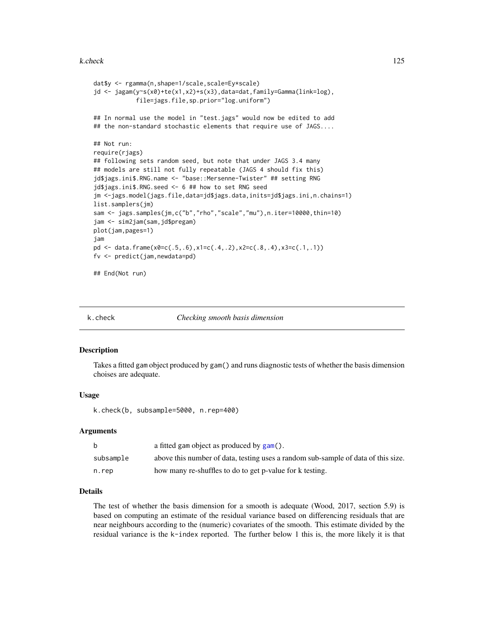#### k.check 125

```
dat$y <- rgamma(n,shape=1/scale,scale=Ey*scale)
jd <- jagam(y~s(x0)+te(x1,x2)+s(x3),data=dat,family=Gamma(link=log),
            file=jags.file,sp.prior="log.uniform")
## In normal use the model in "test.jags" would now be edited to add
## the non-standard stochastic elements that require use of JAGS....
## Not run:
require(rjags)
## following sets random seed, but note that under JAGS 3.4 many
## models are still not fully repeatable (JAGS 4 should fix this)
jd$jags.ini$.RNG.name <- "base::Mersenne-Twister" ## setting RNG
jd$jags.ini$.RNG.seed <- 6 ## how to set RNG seed
jm <-jags.model(jags.file,data=jd$jags.data,inits=jd$jags.ini,n.chains=1)
list.samplers(jm)
sam <- jags.samples(jm,c("b","rho","scale","mu"),n.iter=10000,thin=10)
jam <- sim2jam(sam,jd$pregam)
plot(jam,pages=1)
jam
pd <- data.frame(x0=c(.5,.6),x1=c(.4,.2),x2=c(.8,.4),x3=c(.1,.1))
fv <- predict(jam,newdata=pd)
## End(Not run)
```
k.check *Checking smooth basis dimension*

#### Description

Takes a fitted gam object produced by gam() and runs diagnostic tests of whether the basis dimension choises are adequate.

#### Usage

k.check(b, subsample=5000, n.rep=400)

#### Arguments

| <sub>b</sub> | a fitted gam object as produced by gam().                                         |
|--------------|-----------------------------------------------------------------------------------|
| subsample    | above this number of data, testing uses a random sub-sample of data of this size. |
| n.rep        | how many re-shuffles to do to get p-value for k testing.                          |

# Details

The test of whether the basis dimension for a smooth is adequate (Wood, 2017, section 5.9) is based on computing an estimate of the residual variance based on differencing residuals that are near neighbours according to the (numeric) covariates of the smooth. This estimate divided by the residual variance is the k-index reported. The further below 1 this is, the more likely it is that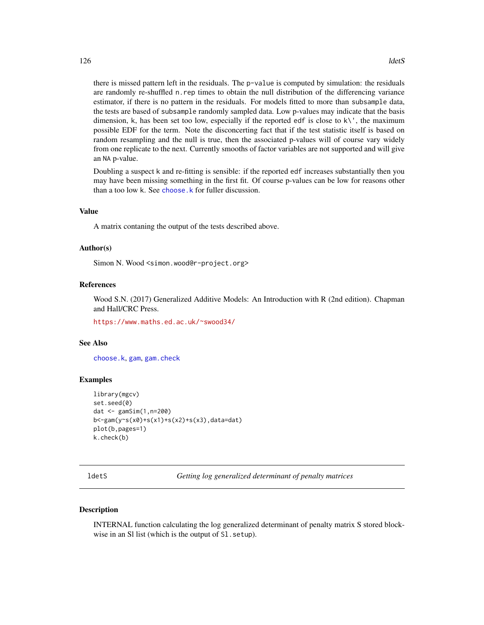there is missed pattern left in the residuals. The p-value is computed by simulation: the residuals are randomly re-shuffled n.rep times to obtain the null distribution of the differencing variance estimator, if there is no pattern in the residuals. For models fitted to more than subsample data, the tests are based of subsample randomly sampled data. Low p-values may indicate that the basis dimension, k, has been set too low, especially if the reported edf is close to  $k\backslash \cdot$ , the maximum possible EDF for the term. Note the disconcerting fact that if the test statistic itself is based on random resampling and the null is true, then the associated p-values will of course vary widely from one replicate to the next. Currently smooths of factor variables are not supported and will give an NA p-value.

Doubling a suspect k and re-fitting is sensible: if the reported edf increases substantially then you may have been missing something in the first fit. Of course p-values can be low for reasons other than a too low k. See [choose.k](#page-20-0) for fuller discussion.

#### Value

A matrix contaning the output of the tests described above.

## Author(s)

Simon N. Wood <simon.wood@r-project.org>

#### References

Wood S.N. (2017) Generalized Additive Models: An Introduction with R (2nd edition). Chapman and Hall/CRC Press.

<https://www.maths.ed.ac.uk/~swood34/>

#### See Also

[choose.k](#page-20-0), [gam](#page-47-0), [gam.check](#page-57-0)

#### Examples

```
library(mgcv)
set.seed(0)
dat <- gamSim(1,n=200)
b<-gam(y~s(x0)+s(x1)+s(x2)+s(x3),data=dat)
plot(b,pages=1)
k.check(b)
```
ldetS *Getting log generalized determinant of penalty matrices*

#### Description

INTERNAL function calculating the log generalized determinant of penalty matrix S stored blockwise in an Sl list (which is the output of Sl.setup).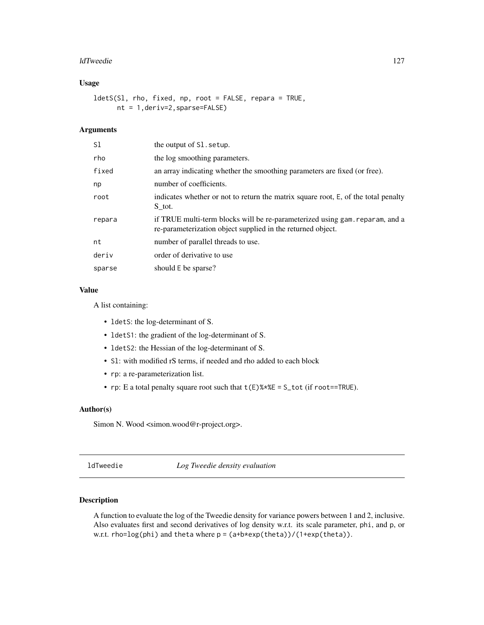#### ldTweedie 127

# Usage

ldetS(Sl, rho, fixed, np, root = FALSE, repara = TRUE, nt = 1,deriv=2,sparse=FALSE)

# Arguments

| S1     | the output of S1. setup.                                                                                                                    |
|--------|---------------------------------------------------------------------------------------------------------------------------------------------|
| rho    | the log smoothing parameters.                                                                                                               |
| fixed  | an array indicating whether the smoothing parameters are fixed (or free).                                                                   |
| np     | number of coefficients.                                                                                                                     |
| root   | indicates whether or not to return the matrix square root, E, of the total penalty<br>S tot.                                                |
| repara | if TRUE multi-term blocks will be re-parameterized using gam. reparam, and a<br>re-parameterization object supplied in the returned object. |
| nt     | number of parallel threads to use.                                                                                                          |
| deriv  | order of derivative to use                                                                                                                  |
| sparse | should E be sparse?                                                                                                                         |

# Value

A list containing:

- ldetS: the log-determinant of S.
- ldetS1: the gradient of the log-determinant of S.
- ldetS2: the Hessian of the log-determinant of S.
- Sl: with modified rS terms, if needed and rho added to each block
- rp: a re-parameterization list.
- rp: E a total penalty square root such that  $t(E)$ %  $E = S_t tot$  (if root==TRUE).

# Author(s)

Simon N. Wood <simon.wood@r-project.org>.

ldTweedie *Log Tweedie density evaluation*

# Description

A function to evaluate the log of the Tweedie density for variance powers between 1 and 2, inclusive. Also evaluates first and second derivatives of log density w.r.t. its scale parameter, phi, and p, or w.r.t. rho=log(phi) and theta where p = (a+b\*exp(theta))/(1+exp(theta)).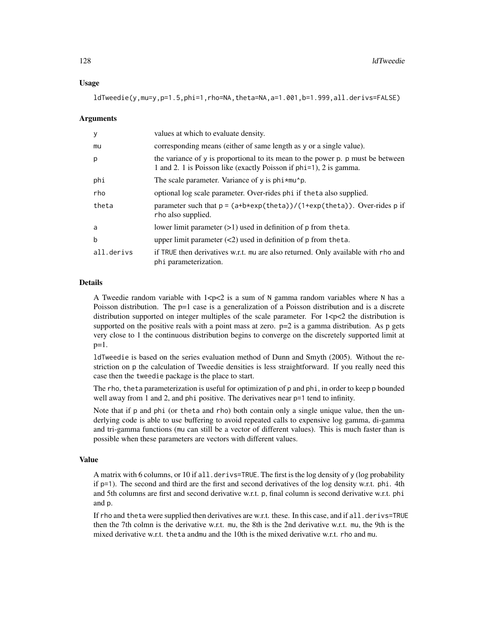#### Usage

ldTweedie(y,mu=y,p=1.5,phi=1,rho=NA,theta=NA,a=1.001,b=1.999,all.derivs=FALSE)

#### Arguments

| y          | values at which to evaluate density.                                                                                                                  |
|------------|-------------------------------------------------------------------------------------------------------------------------------------------------------|
| mu         | corresponding means (either of same length as y or a single value).                                                                                   |
| p          | the variance of y is proportional to its mean to the power p. p must be between<br>1 and 2. 1 is Poisson like (exactly Poisson if phi=1), 2 is gamma. |
| phi        | The scale parameter. Variance of y is $\pi$ <sup>*</sup> mu'p.                                                                                        |
| rho        | optional log scale parameter. Over-rides phi if the ta also supplied.                                                                                 |
| theta      | parameter such that $p = (a+b*exp(theta))/(1+exp(theta))$ . Over-rides p if<br>rho also supplied.                                                     |
| a          | lower limit parameter $(>1)$ used in definition of $p$ from theta.                                                                                    |
| b          | upper limit parameter $(\leq 2)$ used in definition of p from theta.                                                                                  |
| all.derivs | if TRUE then derivatives w.r.t. mu are also returned. Only available with rho and<br>phi parameterization.                                            |

# Details

A Tweedie random variable with  $1 < p < 2$  is a sum of N gamma random variables where N has a Poisson distribution. The p=1 case is a generalization of a Poisson distribution and is a discrete distribution supported on integer multiples of the scale parameter. For  $1 < p < 2$  the distribution is supported on the positive reals with a point mass at zero.  $p=2$  is a gamma distribution. As p gets very close to 1 the continuous distribution begins to converge on the discretely supported limit at  $p=1$ .

ldTweedie is based on the series evaluation method of Dunn and Smyth (2005). Without the restriction on p the calculation of Tweedie densities is less straightforward. If you really need this case then the tweedie package is the place to start.

The rho, theta parameterization is useful for optimization of p and phi, in order to keep p bounded well away from 1 and 2, and phi positive. The derivatives near  $p=1$  tend to infinity.

Note that if p and phi (or theta and rho) both contain only a single unique value, then the underlying code is able to use buffering to avoid repeated calls to expensive log gamma, di-gamma and tri-gamma functions (mu can still be a vector of different values). This is much faster than is possible when these parameters are vectors with different values.

#### Value

A matrix with 6 columns, or 10 if all.derivs=TRUE. The first is the log density of y (log probability if p=1). The second and third are the first and second derivatives of the log density w.r.t. phi. 4th and 5th columns are first and second derivative w.r.t. p, final column is second derivative w.r.t. phi and p.

If rho and theta were supplied then derivatives are w.r.t. these. In this case, and if all.derivs=TRUE then the 7th colmn is the derivative w.r.t. mu, the 8th is the 2nd derivative w.r.t. mu, the 9th is the mixed derivative w.r.t. theta andmu and the 10th is the mixed derivative w.r.t. rho and mu.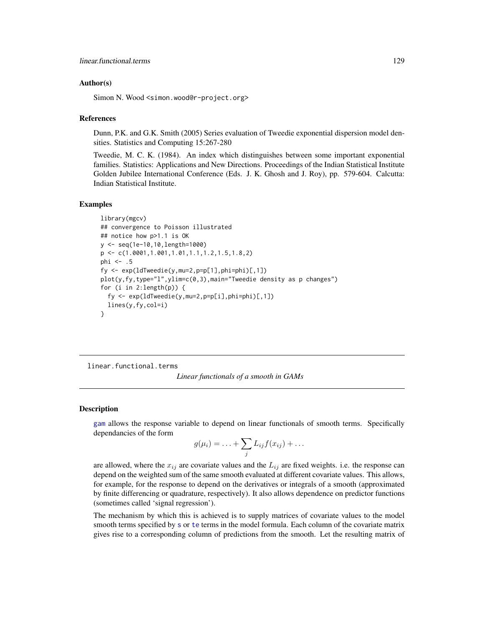### Author(s)

Simon N. Wood <simon.wood@r-project.org>

### References

Dunn, P.K. and G.K. Smith (2005) Series evaluation of Tweedie exponential dispersion model densities. Statistics and Computing 15:267-280

Tweedie, M. C. K. (1984). An index which distinguishes between some important exponential families. Statistics: Applications and New Directions. Proceedings of the Indian Statistical Institute Golden Jubilee International Conference (Eds. J. K. Ghosh and J. Roy), pp. 579-604. Calcutta: Indian Statistical Institute.

#### Examples

```
library(mgcv)
## convergence to Poisson illustrated
## notice how p>1.1 is OK
y <- seq(1e-10,10,length=1000)
p <- c(1.0001,1.001,1.01,1.1,1.2,1.5,1.8,2)
phi <- .5
fy \leq exp(ldTweedie(y, mu=2, p=p[1], phi=phi)[, 1])
plot(y, fy, type="1", ylim=c(0,3), main="Weedie density as p changes")for (i in 2:length(p)) {
  fy <- exp(ldTweedie(y,mu=2,p=p[i],phi=phi)[,1])
  lines(y,fy,col=i)
}
```
<span id="page-128-0"></span>linear.functional.terms

# *Linear functionals of a smooth in GAMs*

#### **Description**

[gam](#page-47-0) allows the response variable to depend on linear functionals of smooth terms. Specifically dependancies of the form

$$
g(\mu_i) = \ldots + \sum_j L_{ij} f(x_{ij}) + \ldots
$$

are allowed, where the  $x_{ij}$  are covariate values and the  $L_{ij}$  are fixed weights. i.e. the response can depend on the weighted sum of the same smooth evaluated at different covariate values. This allows, for example, for the response to depend on the derivatives or integrals of a smooth (approximated by finite differencing or quadrature, respectively). It also allows dependence on predictor functions (sometimes called 'signal regression').

The mechanism by which this is achieved is to supply matrices of covariate values to the model smooth terms specified by [s](#page-208-0) or [te](#page-287-0) terms in the model formula. Each column of the covariate matrix gives rise to a corresponding column of predictions from the smooth. Let the resulting matrix of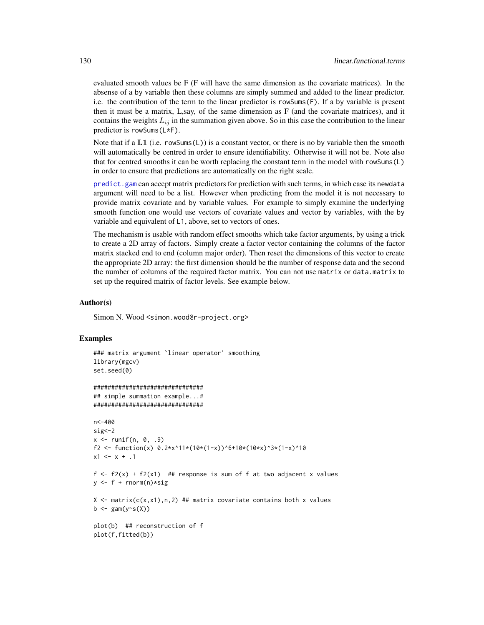evaluated smooth values be F (F will have the same dimension as the covariate matrices). In the absense of a by variable then these columns are simply summed and added to the linear predictor. i.e. the contribution of the term to the linear predictor is rowSums(F). If a by variable is present then it must be a matrix, L,say, of the same dimension as F (and the covariate matrices), and it contains the weights  $L_{ij}$  in the summation given above. So in this case the contribution to the linear predictor is rowSums(L\*F).

Note that if a L1 (i.e. rowSums(L)) is a constant vector, or there is no by variable then the smooth will automatically be centred in order to ensure identifiability. Otherwise it will not be. Note also that for centred smooths it can be worth replacing the constant term in the model with rowSums(L) in order to ensure that predictions are automatically on the right scale.

[predict.gam](#page-184-0) can accept matrix predictors for prediction with such terms, in which case its newdata argument will need to be a list. However when predicting from the model it is not necessary to provide matrix covariate and by variable values. For example to simply examine the underlying smooth function one would use vectors of covariate values and vector by variables, with the by variable and equivalent of L1, above, set to vectors of ones.

The mechanism is usable with random effect smooths which take factor arguments, by using a trick to create a 2D array of factors. Simply create a factor vector containing the columns of the factor matrix stacked end to end (column major order). Then reset the dimensions of this vector to create the appropriate 2D array: the first dimension should be the number of response data and the second the number of columns of the required factor matrix. You can not use matrix or data.matrix to set up the required matrix of factor levels. See example below.

#### Author(s)

Simon N. Wood <simon.wood@r-project.org>

#### Examples

```
### matrix argument `linear operator' smoothing
library(mgcv)
set.seed(0)
```

```
###############################
## simple summation example...#
###############################
```

```
n<-400
sig <- 2
x \le runif(n, 0, .9)
f2 <- function(x) 0.2*x^11*(10*(1-x))^6+10*(10*x)^3*(1-x)^10x1 \leq x + .1
```

```
f \leftarrow f2(x) + f2(x1) ## response is sum of f at two adjacent x values
y \leftarrow f + \text{norm}(n) * sig
```

```
X \le - matrix(c(x,x1),n,2) ## matrix covariate contains both x values
b \leftarrow \text{gam}(y \sim s(X))
```
plot(b) ## reconstruction of f plot(f,fitted(b))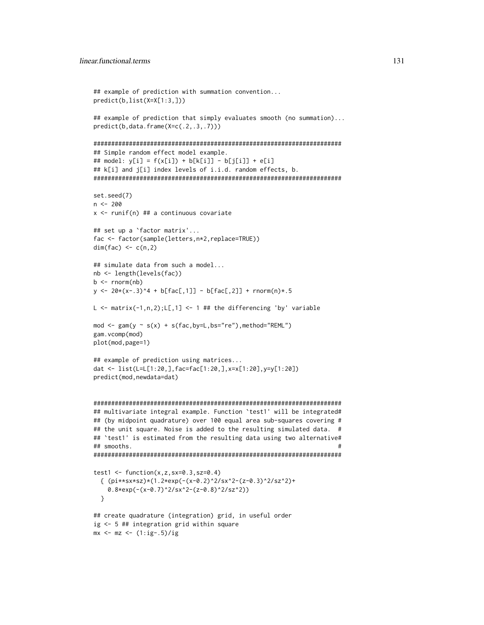```
## example of prediction with summation convention...
predict(b,list(X=X[1:3,]))
## example of prediction that simply evaluates smooth (no summation)...
predict(b,data.frame(X=c(.2,.3,.7)))
######################################################################
## Simple random effect model example.
## model: y[i] = f(x[i]) + b[k[i]] - b[j[i]] + e[i]
## k[i] and j[i] index levels of i.i.d. random effects, b.
######################################################################
set.seed(7)
n < -200x <- runif(n) ## a continuous covariate
## set up a `factor matrix'...
fac <- factor(sample(letters,n*2,replace=TRUE))
dim(fac) \leq c(n,2)
## simulate data from such a model...
nb <- length(levels(fac))
b \leq -rnorm(nb)y \le -20*(x-.3)^4 + b[fac[, 1]] - b[fac[, 2]] + rnorm(n)*.5L \le matrix(-1,n,2); L[,1] \le 1 ## the differencing 'by' variable
mod <- gam(y \sim s(x) + s(fac,by=L,bs="re"), method="REML")
gam.vcomp(mod)
plot(mod,page=1)
## example of prediction using matrices...
dat <- list(L=L[1:20,],fac=fac[1:20,],x=x[1:20],y=y[1:20])
predict(mod,newdata=dat)
######################################################################
## multivariate integral example. Function `test1' will be integrated#
## (by midpoint quadrature) over 100 equal area sub-squares covering #
## the unit square. Noise is added to the resulting simulated data. #
## `test1' is estimated from the resulting data using two alternative#
## smooths. #
######################################################################
test1 \leftarrow function(x,z,sx=0.3,sz=0.4)
  { (pi***sx*sz)*(1.2*exp(-(x-0.2)^22/sx^2-(z-0.3)^22/sz^2)+0.8*exp(-(x-0.7)^2/sx^2-(z-0.8)^2/sz^2))
  }
## create quadrature (integration) grid, in useful order
ig <- 5 ## integration grid within square
mx \leftarrow mz \leftarrow (1:ig-.5)/ig
```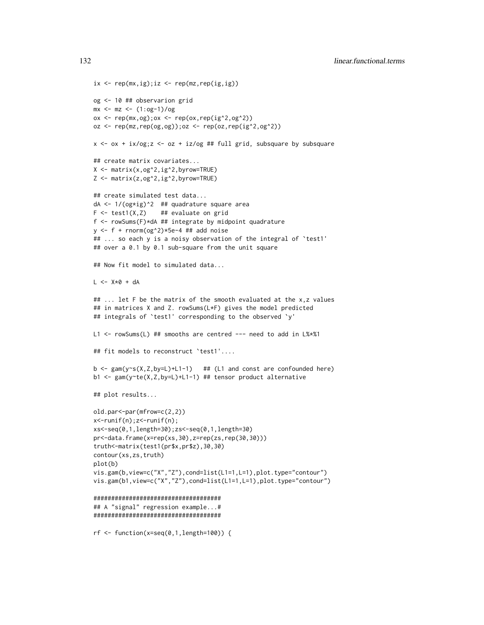```
ix \leftarrow rep(mx, ig); iz \leftarrow rep(mx, rep(ig, ig))og <- 10 ## observarion grid
mx \le - mz \le - (1:og-1)/ogox \leq rep(mx, og); ox \leq rep(ox, rep(ig^2, og^2))
oz \leq rep(mz,rep(og,og));oz \leq rep(oz,rep(ig^2,og^2))
x \le -\alpha x + i x / \log z \le -\alpha z + i z / \log # \ full grid, subsquare by subsquare
## create matrix covariates...
X \leftarrow \text{matrix}(x, og^2, ig^2, byrow=True)Z <- matrix(z,og^2,ig^2,byrow=TRUE)
## create simulated test data...
dA <- 1/(og*ig)^2 ## quadrature square area
F \leftarrow \text{test1}(X, Z) ## evaluate on grid
f <- rowSums(F)*dA ## integrate by midpoint quadrature
y \leq-f + \text{norm}(og^2) \times 5e-4 ## add noise
## ... so each y is a noisy observation of the integral of 'test1'
## over a 0.1 by 0.1 sub-square from the unit square
## Now fit model to simulated data...
L < -X*0 + dA## ... let F be the matrix of the smooth evaluated at the x,z values
## in matrices X and Z. rowSums(L*F) gives the model predicted
## integrals of `test1' corresponding to the observed `y'
L1 <- rowSums(L) ## smooths are centred --- need to add in L%*%1
## fit models to reconstruct `test1'....
b \leq gam(y\sim s(X,Z,by=L)+L1-1) ## (L1 and const are confounded here)
b1 <- gam(y~te(X,Z,by=L)+L1-1) ## tensor product alternative
## plot results...
old.par<-par(mfrow=c(2,2))
x<-runif(n);z<-runif(n);
xs<-seq(0,1,length=30);zs<-seq(0,1,length=30)
pr<-data.frame(x=rep(xs,30),z=rep(zs,rep(30,30)))
truth<-matrix(test1(pr$x,pr$z),30,30)
contour(xs,zs,truth)
plot(b)
vis.gam(b,view=c("X","Z"),cond=list(L1=1,L=1),plot.type="contour")
vis.gam(b1,view=c("X","Z"),cond=list(L1=1,L=1),plot.type="contour")
####################################
## A "signal" regression example...#
####################################
rf <- function(x=seq(0,1,length=100)) {
```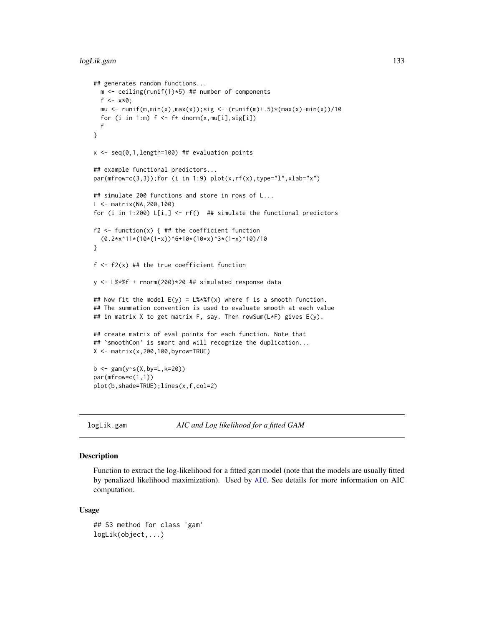```
## generates random functions...
  m \le ceiling(runif(1)*5) ## number of components
  f \le -x * 0;
  mu \le runif(m,min(x),max(x));sig \le (runif(m)+.5)*(max(x)-min(x))/10
  for (i in 1:m) f \leftarrow f + \text{dnorm}(x, \text{mul}[i], \text{sig}[i])f
}
x \leq -\text{seq}(0,1,\text{length}=100) ## evaluation points
## example functional predictors...
par(mfrow=c(3,3)); for (i in 1:9) plot(x, rf(x), type='l", xlabel"x")## simulate 200 functions and store in rows of L...
L <- matrix(NA,200,100)
for (i in 1:200) L[i, ] \leftarrow rf() ## simulate the functional predictors
f2 \leq function(x) { ## the coefficient function
  (0.2*x^11*(10*(1-x))^6+10*(10*x)^3*(1-x)^10)/10
}
f \leftarrow f2(x) ## the true coefficient function
y <- L%*%f + rnorm(200)*20 ## simulated response data
## Now fit the model E(y) = L%*%f(x) where f is a smooth function.
## The summation convention is used to evaluate smooth at each value
## in matrix X to get matrix F, say. Then rowSum(L*F) gives E(y).
## create matrix of eval points for each function. Note that
## 'smoothCon' is smart and will recognize the duplication...
X \leftarrow \text{matrix}(x, 200, 100, \text{byrow=True})b <- gam(y~s(X,by=L,k=20))
par(mfrow=c(1,1))
plot(b,shade=TRUE);lines(x,f,col=2)
```
logLik.gam *AIC and Log likelihood for a fitted GAM*

# Description

Function to extract the log-likelihood for a fitted gam model (note that the models are usually fitted by penalized likelihood maximization). Used by [AIC](#page-0-0). See details for more information on AIC computation.

#### Usage

```
## S3 method for class 'gam'
logLik(object,...)
```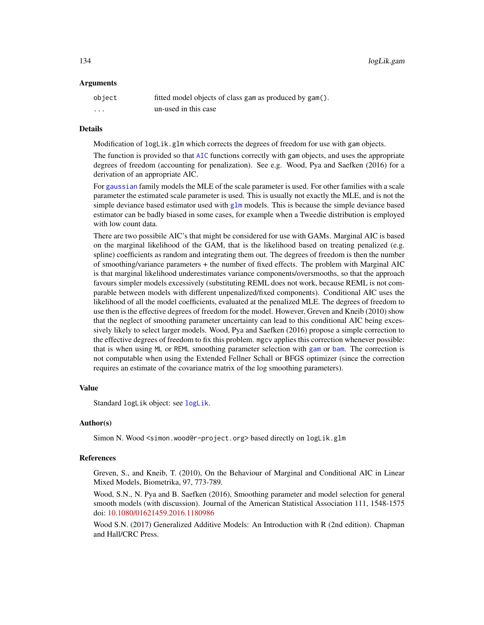#### Arguments

| object   | fitted model objects of class gam as produced by gam(). |
|----------|---------------------------------------------------------|
| $\cdots$ | un-used in this case                                    |

#### Details

Modification of logLik.glm which corrects the degrees of freedom for use with gam objects.

The function is provided so that [AIC](#page-0-0) functions correctly with gam objects, and uses the appropriate degrees of freedom (accounting for penalization). See e.g. Wood, Pya and Saefken (2016) for a derivation of an appropriate AIC.

For [gaussian](#page-0-0) family models the MLE of the scale parameter is used. For other families with a scale parameter the estimated scale parameter is used. This is usually not exactly the MLE, and is not the simple deviance based estimator used with [glm](#page-0-0) models. This is because the simple deviance based estimator can be badly biased in some cases, for example when a Tweedie distribution is employed with low count data.

There are two possibile AIC's that might be considered for use with GAMs. Marginal AIC is based on the marginal likelihood of the GAM, that is the likelihood based on treating penalized (e.g. spline) coefficients as random and integrating them out. The degrees of freedom is then the number of smoothing/variance parameters + the number of fixed effects. The problem with Marginal AIC is that marginal likelihood underestimates variance components/oversmooths, so that the approach favours simpler models excessively (substituting REML does not work, because REML is not comparable between models with different unpenalized/fixed components). Conditional AIC uses the likelihood of all the model coefficients, evaluated at the penalized MLE. The degrees of freedom to use then is the effective degrees of freedom for the model. However, Greven and Kneib (2010) show that the neglect of smoothing parameter uncertainty can lead to this conditional AIC being excessively likely to select larger models. Wood, Pya and Saefken (2016) propose a simple correction to the effective degrees of freedom to fix this problem. mgcv applies this correction whenever possible: that is when using ML or REML smoothing parameter selection with [gam](#page-47-0) or [bam](#page-6-0). The correction is not computable when using the Extended Fellner Schall or BFGS optimizer (since the correction requires an estimate of the covariance matrix of the log smoothing parameters).

# Value

Standard logLik object: see [logLik](#page-0-0).

#### Author(s)

Simon N. Wood <simon.wood@r-project.org> based directly on logLik.glm

#### References

Greven, S., and Kneib, T. (2010), On the Behaviour of Marginal and Conditional AIC in Linear Mixed Models, Biometrika, 97, 773-789.

Wood, S.N., N. Pya and B. Saefken (2016), Smoothing parameter and model selection for general smooth models (with discussion). Journal of the American Statistical Association 111, 1548-1575 doi: [10.1080/01621459.2016.1180986](https://doi.org/10.1080/01621459.2016.1180986)

Wood S.N. (2017) Generalized Additive Models: An Introduction with R (2nd edition). Chapman and Hall/CRC Press.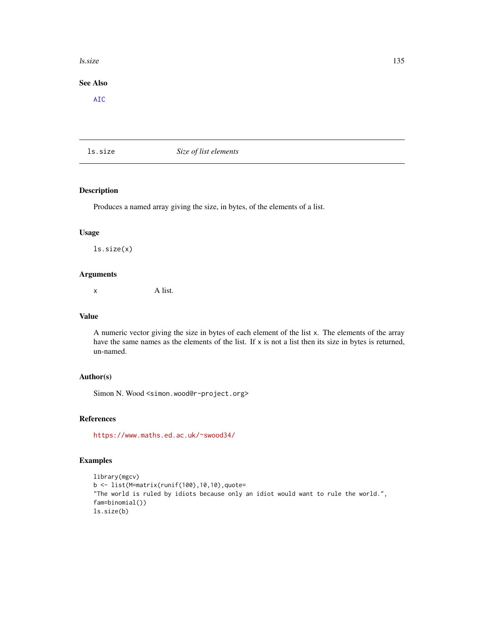#### $\frac{135}{2}$  ls.size

# See Also

[AIC](#page-0-0)

# ls.size *Size of list elements*

# Description

Produces a named array giving the size, in bytes, of the elements of a list.

# Usage

ls.size(x)

# Arguments

x A list.

## Value

A numeric vector giving the size in bytes of each element of the list x. The elements of the array have the same names as the elements of the list. If  $x$  is not a list then its size in bytes is returned, un-named.

# Author(s)

Simon N. Wood <simon.wood@r-project.org>

# References

<https://www.maths.ed.ac.uk/~swood34/>

# Examples

```
library(mgcv)
b <- list(M=matrix(runif(100),10,10),quote=
"The world is ruled by idiots because only an idiot would want to rule the world.",
fam=binomial())
ls.size(b)
```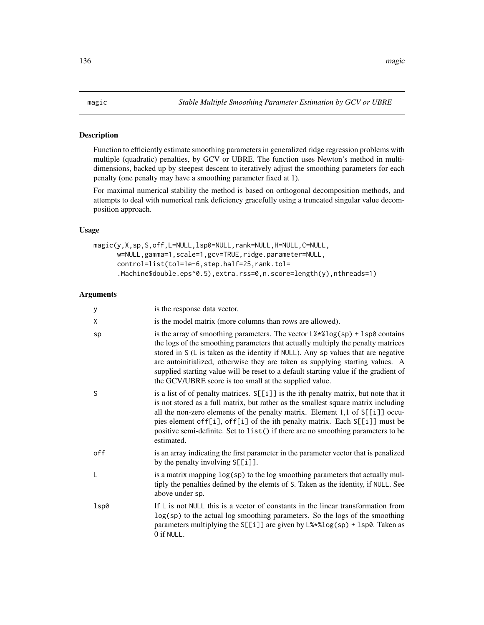# <span id="page-135-0"></span>Description

Function to efficiently estimate smoothing parameters in generalized ridge regression problems with multiple (quadratic) penalties, by GCV or UBRE. The function uses Newton's method in multidimensions, backed up by steepest descent to iteratively adjust the smoothing parameters for each penalty (one penalty may have a smoothing parameter fixed at 1).

For maximal numerical stability the method is based on orthogonal decomposition methods, and attempts to deal with numerical rank deficiency gracefully using a truncated singular value decomposition approach.

# Usage

```
magic(y,X,sp,S,off,L=NULL,lsp0=NULL,rank=NULL,H=NULL,C=NULL,
     w=NULL,gamma=1,scale=1,gcv=TRUE,ridge.parameter=NULL,
     control=list(tol=1e-6,step.half=25,rank.tol=
      .Machine$double.eps^0.5),extra.rss=0,n.score=length(y),nthreads=1)
```
#### Arguments

| y    | is the response data vector.                                                                                                                                                                                                                                                                                                                                                                                                                                                                                             |
|------|--------------------------------------------------------------------------------------------------------------------------------------------------------------------------------------------------------------------------------------------------------------------------------------------------------------------------------------------------------------------------------------------------------------------------------------------------------------------------------------------------------------------------|
| χ    | is the model matrix (more columns than rows are allowed).                                                                                                                                                                                                                                                                                                                                                                                                                                                                |
| sp   | is the array of smoothing parameters. The vector $L\frac{8*}{2\log(\text{sp})}$ + $\frac{1}{5}$ sp0 contains<br>the logs of the smoothing parameters that actually multiply the penalty matrices<br>stored in S (L is taken as the identity if NULL). Any sp values that are negative<br>are autoinitialized, otherwise they are taken as supplying starting values. A<br>supplied starting value will be reset to a default starting value if the gradient of<br>the GCV/UBRE score is too small at the supplied value. |
| S    | is a list of of penalty matrices. $S[[i]]$ is the ith penalty matrix, but note that it<br>is not stored as a full matrix, but rather as the smallest square matrix including<br>all the non-zero elements of the penalty matrix. Element 1,1 of S[[i]] occu-<br>pies element off[i], off[i] of the ith penalty matrix. Each S[[i]] must be<br>positive semi-definite. Set to list() if there are no smoothing parameters to be<br>estimated.                                                                             |
| off  | is an array indicating the first parameter in the parameter vector that is penalized<br>by the penalty involving $S[[i]]$ .                                                                                                                                                                                                                                                                                                                                                                                              |
| L    | is a matrix mapping $log(sp)$ to the log smoothing parameters that actually mul-<br>tiply the penalties defined by the elemts of S. Taken as the identity, if NULL. See<br>above under sp.                                                                                                                                                                                                                                                                                                                               |
| lsp0 | If $\mathsf{L}$ is not NULL this is a vector of constants in the linear transformation from<br>$log(sp)$ to the actual log smoothing parameters. So the logs of the smoothing<br>parameters multiplying the S[[i]] are given by $L$ % * % log(sp) + lsp0. Taken as<br>0 if NULL.                                                                                                                                                                                                                                         |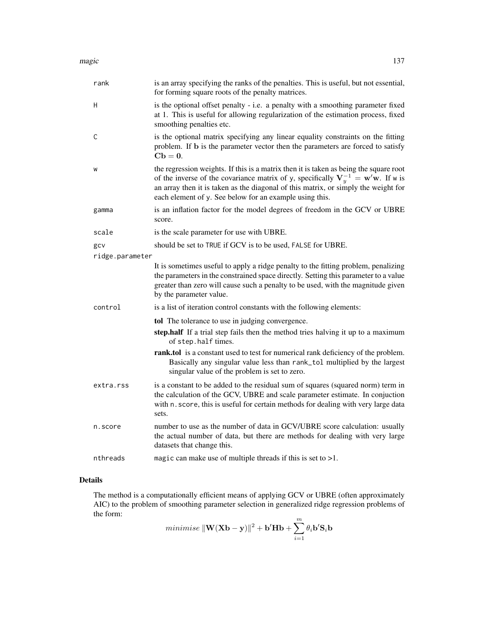| rank            | is an array specifying the ranks of the penalties. This is useful, but not essential,<br>for forming square roots of the penalty matrices.                                                                                                                                                                                      |
|-----------------|---------------------------------------------------------------------------------------------------------------------------------------------------------------------------------------------------------------------------------------------------------------------------------------------------------------------------------|
| Н               | is the optional offset penalty - i.e. a penalty with a smoothing parameter fixed<br>at 1. This is useful for allowing regularization of the estimation process, fixed<br>smoothing penalties etc.                                                                                                                               |
| С               | is the optional matrix specifying any linear equality constraints on the fitting<br>problem. If b is the parameter vector then the parameters are forced to satisfy<br>$Cb=0.$                                                                                                                                                  |
| W               | the regression weights. If this is a matrix then it is taken as being the square root<br>of the inverse of the covariance matrix of y, specifically $V_y^{-1} = w'w$ . If w is<br>an array then it is taken as the diagonal of this matrix, or simply the weight for<br>each element of y. See below for an example using this. |
| gamma           | is an inflation factor for the model degrees of freedom in the GCV or UBRE<br>score.                                                                                                                                                                                                                                            |
| scale           | is the scale parameter for use with UBRE.                                                                                                                                                                                                                                                                                       |
| gcv             | should be set to TRUE if GCV is to be used, FALSE for UBRE.                                                                                                                                                                                                                                                                     |
| ridge.parameter |                                                                                                                                                                                                                                                                                                                                 |
|                 | It is sometimes useful to apply a ridge penalty to the fitting problem, penalizing<br>the parameters in the constrained space directly. Setting this parameter to a value<br>greater than zero will cause such a penalty to be used, with the magnitude given<br>by the parameter value.                                        |
| control         | is a list of iteration control constants with the following elements:                                                                                                                                                                                                                                                           |
|                 | tol The tolerance to use in judging convergence.                                                                                                                                                                                                                                                                                |
|                 | step.half If a trial step fails then the method tries halving it up to a maximum<br>of step.half times.                                                                                                                                                                                                                         |
|                 | rank.tol is a constant used to test for numerical rank deficiency of the problem.<br>Basically any singular value less than rank_to1 multiplied by the largest<br>singular value of the problem is set to zero.                                                                                                                 |
| extra.rss       | is a constant to be added to the residual sum of squares (squared norm) term in<br>the calculation of the GCV, UBRE and scale parameter estimate. In conjuction<br>with n. score, this is useful for certain methods for dealing with very large data<br>sets.                                                                  |
| n.score         | number to use as the number of data in GCV/UBRE score calculation: usually<br>the actual number of data, but there are methods for dealing with very large<br>datasets that change this.                                                                                                                                        |
| nthreads        | magic can make use of multiple threads if this is set to $>1$ .                                                                                                                                                                                                                                                                 |

# Details

The method is a computationally efficient means of applying GCV or UBRE (often approximately AIC) to the problem of smoothing parameter selection in generalized ridge regression problems of the form:

$$
minimise \|\mathbf{W}(\mathbf{X}\mathbf{b} - \mathbf{y})\|^2 + \mathbf{b}'\mathbf{H}\mathbf{b} + \sum_{i=1}^{m} \theta_i \mathbf{b}'\mathbf{S}_i \mathbf{b}
$$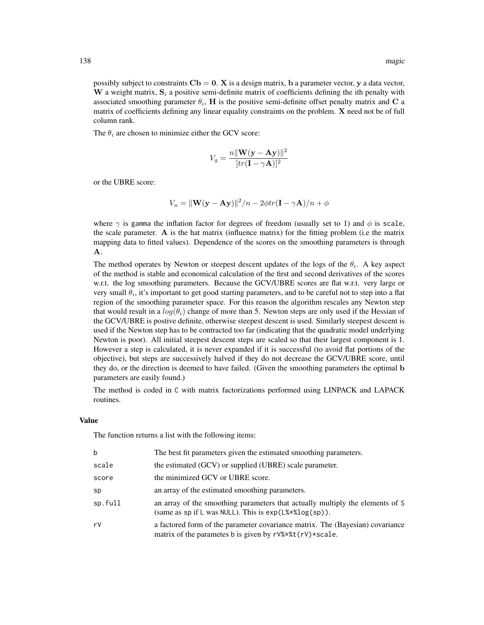possibly subject to constraints  $Cb = 0$ . X is a design matrix, b a parameter vector, y a data vector, W a weight matrix,  $S_i$  a positive semi-definite matrix of coefficients defining the ith penalty with associated smoothing parameter  $\theta_i$ , H is the positive semi-definite offset penalty matrix and C a matrix of coefficients defining any linear equality constraints on the problem. X need not be of full column rank.

The  $\theta_i$  are chosen to minimize either the GCV score:

$$
V_g = \frac{n||\mathbf{W}(\mathbf{y} - \mathbf{A}\mathbf{y})||^2}{[tr(\mathbf{I} - \gamma \mathbf{A})]^2}
$$

or the UBRE score:

$$
V_u = ||\mathbf{W}(\mathbf{y} - \mathbf{A}\mathbf{y})||^2/n - 2\phi tr(\mathbf{I} - \gamma \mathbf{A})/n + \phi
$$

where  $\gamma$  is gamma the inflation factor for degrees of freedom (usually set to 1) and  $\phi$  is scale, the scale parameter. A is the hat matrix (influence matrix) for the fitting problem (i.e the matrix mapping data to fitted values). Dependence of the scores on the smoothing parameters is through A.

The method operates by Newton or steepest descent updates of the logs of the  $\theta_i$ . A key aspect of the method is stable and economical calculation of the first and second derivatives of the scores w.r.t. the log smoothing parameters. Because the GCV/UBRE scores are flat w.r.t. very large or very small  $\theta_i$ , it's important to get good starting parameters, and to be careful not to step into a flat region of the smoothing parameter space. For this reason the algorithm rescales any Newton step that would result in a  $log(\theta_i)$  change of more than 5. Newton steps are only used if the Hessian of the GCV/UBRE is postive definite, otherwise steepest descent is used. Similarly steepest descent is used if the Newton step has to be contracted too far (indicating that the quadratic model underlying Newton is poor). All initial steepest descent steps are scaled so that their largest component is 1. However a step is calculated, it is never expanded if it is successful (to avoid flat portions of the objective), but steps are successively halved if they do not decrease the GCV/UBRE score, until they do, or the direction is deemed to have failed. (Given the smoothing parameters the optimal b parameters are easily found.)

The method is coded in C with matrix factorizations performed using LINPACK and LAPACK routines.

#### Value

The function returns a list with the following items:

| b       | The best fit parameters given the estimated smoothing parameters.                                                                           |
|---------|---------------------------------------------------------------------------------------------------------------------------------------------|
| scale   | the estimated (GCV) or supplied (UBRE) scale parameter.                                                                                     |
| score   | the minimized GCV or UBRE score.                                                                                                            |
| sp      | an array of the estimated smoothing parameters.                                                                                             |
| sp.full | an array of the smoothing parameters that actually multiply the elements of S<br>(same as sp if L was NULL). This is $exp(L\%*\%log(sp))$ . |
| r٧      | a factored form of the parameter covariance matrix. The (Bayesian) covariance<br>matrix of the parametes b is given by rV%*%t(rV)*scale.    |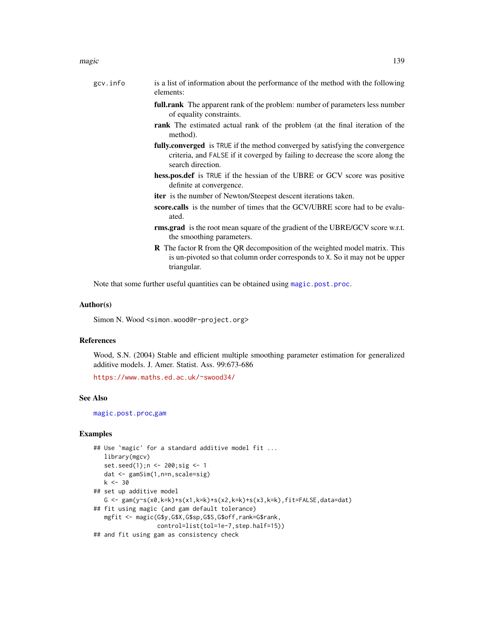- full.rank The apparent rank of the problem: number of parameters less number of equality constraints.
- rank The estimated actual rank of the problem (at the final iteration of the method).
- fully.converged is TRUE if the method converged by satisfying the convergence criteria, and FALSE if it coverged by failing to decrease the score along the search direction.
- hess.pos.def is TRUE if the hessian of the UBRE or GCV score was positive definite at convergence.
- iter is the number of Newton/Steepest descent iterations taken.
- score.calls is the number of times that the GCV/UBRE score had to be evaluated.
- rms.grad is the root mean square of the gradient of the UBRE/GCV score w.r.t. the smoothing parameters.
- R The factor R from the QR decomposition of the weighted model matrix. This is un-pivoted so that column order corresponds to X. So it may not be upper triangular.

Note that some further useful quantities can be obtained using [magic.post.proc](#page-139-0).

### Author(s)

Simon N. Wood <simon.wood@r-project.org>

# References

Wood, S.N. (2004) Stable and efficient multiple smoothing parameter estimation for generalized additive models. J. Amer. Statist. Ass. 99:673-686

<https://www.maths.ed.ac.uk/~swood34/>

#### See Also

[magic.post.proc](#page-139-0),[gam](#page-47-0)

## Examples

```
## Use `magic' for a standard additive model fit ...
  library(mgcv)
   set.seed(1);n <- 200;sig <- 1
  dat <- gamSim(1,n=n,scale=sig)
  k < -30## set up additive model
  G <- gam(y~s(x0,k=k)+s(x1,k=k)+s(x2,k=k)+s(x3,k=k),fit=FALSE,data=dat)
## fit using magic (and gam default tolerance)
  mgfit <- magic(G$y,G$X,G$sp,G$S,G$off,rank=G$rank,
                 control=list(tol=1e-7,step.half=15))
## and fit using gam as consistency check
```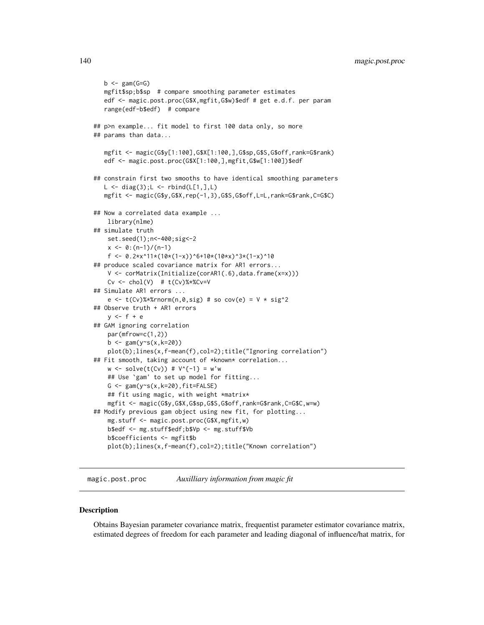```
b \leftarrow \text{gam}(G=G)mgfit$sp;b$sp # compare smoothing parameter estimates
  edf <- magic.post.proc(G$X,mgfit,G$w)$edf # get e.d.f. per param
  range(edf-b$edf) # compare
## p>n example... fit model to first 100 data only, so more
## params than data...
  mgfit <- magic(G$y[1:100],G$X[1:100,],G$sp,G$S,G$off,rank=G$rank)
  edf <- magic.post.proc(G$X[1:100,],mgfit,G$w[1:100])$edf
## constrain first two smooths to have identical smoothing parameters
  L \leftarrow diag(3); L \leftarrow rbind(L[1,], L)mgfit <- magic(G$y,G$X,rep(-1,3),G$S,G$off,L=L,rank=G$rank,C=G$C)
## Now a correlated data example ...
   library(nlme)
## simulate truth
   set.seed(1);n<-400;sig<-2
   x \le -0: (n-1)/(n-1)
    f <- 0.2*x^11*(10*(1-x))^6+10*(10*x)^3*(1-x)^10
## produce scaled covariance matrix for AR1 errors...
   V <- corMatrix(Initialize(corAR1(.6),data.frame(x=x)))
    Cv \le -\text{chol}(V) # t(Cv)%*%Cv=V
## Simulate AR1 errors ...
    e lt- t(Cv)%*%rnorm(n,0,sig) # so cov(e) = V * sig^2## Observe truth + AR1 errors
   y \leq -f + e## GAM ignoring correlation
   par(mfrow=c(1,2))
   b \leq gam(y\text{~s}(x, k=20))plot(b);lines(x,f-mean(f),col=2);title("Ignoring correlation")
## Fit smooth, taking account of *known* correlation...
   w \le -\text{solve}(t(Cv)) # V^{(n-1)} = w'w## Use `gam' to set up model for fitting...
   G \leq gam(y\leq(x,k=20),fit=FALSE)
    ## fit using magic, with weight *matrix*
    mgfit <- magic(G$y,G$X,G$sp,G$S,G$off,rank=G$rank,C=G$C,w=w)
## Modify previous gam object using new fit, for plotting...
   mg.stuff <- magic.post.proc(G$X,mgfit,w)
   b$edf <- mg.stuff$edf;b$Vp <- mg.stuff$Vb
   b$coefficients <- mgfit$b
   plot(b);lines(x,f-mean(f),col=2);title("Known correlation")
```
<span id="page-139-0"></span>magic.post.proc *Auxilliary information from magic fit*

#### **Description**

Obtains Bayesian parameter covariance matrix, frequentist parameter estimator covariance matrix, estimated degrees of freedom for each parameter and leading diagonal of influence/hat matrix, for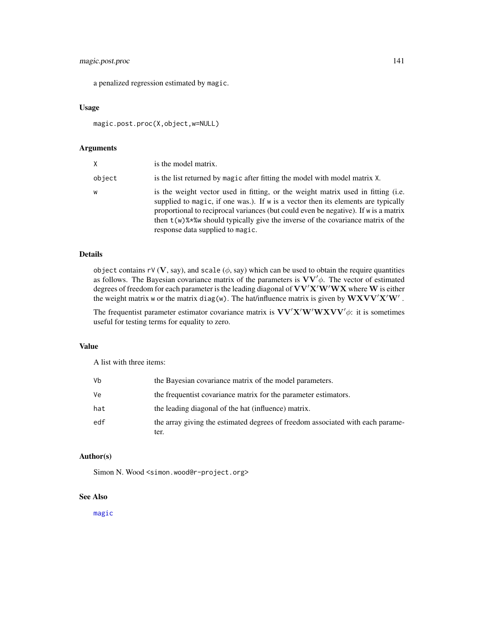# magic.post.proc 141

a penalized regression estimated by magic.

# Usage

magic.post.proc(X,object,w=NULL)

# Arguments

| X      | is the model matrix.                                                                                                                                                                                                                                                                                                                                                                  |
|--------|---------------------------------------------------------------------------------------------------------------------------------------------------------------------------------------------------------------------------------------------------------------------------------------------------------------------------------------------------------------------------------------|
| object | is the list returned by magic after fitting the model with model matrix X.                                                                                                                                                                                                                                                                                                            |
| w      | is the weight vector used in fitting, or the weight matrix used in fitting (i.e.<br>supplied to magic, if one was.). If w is a vector then its elements are typically<br>proportional to reciprocal variances (but could even be negative). If w is a matrix<br>then $t(w)$ % w should typically give the inverse of the covariance matrix of the<br>response data supplied to magic. |

#### Details

object contains rV (V, say), and scale  $(\phi, say)$  which can be used to obtain the require quantities as follows. The Bayesian covariance matrix of the parameters is  $VV'\phi$ . The vector of estimated degrees of freedom for each parameter is the leading diagonal of  $VV'X'W'WX$  where W is either the weight matrix w or the matrix diag(w). The hat/influence matrix is given by  $\mathbf{W} \mathbf{X} \mathbf{V} \mathbf{V}' \mathbf{X}' \mathbf{W}'$ .

The frequentist parameter estimator covariance matrix is  $VV'X'W'WXVV' \phi$ : it is sometimes useful for testing terms for equality to zero.

#### Value

A list with three items:

| ٧b  | the Bayesian covariance matrix of the model parameters.                                |
|-----|----------------------------------------------------------------------------------------|
| ٧e  | the frequentist covariance matrix for the parameter estimators.                        |
| hat | the leading diagonal of the hat (influence) matrix.                                    |
| edf | the array giving the estimated degrees of freedom associated with each parame-<br>ter. |

# Author(s)

Simon N. Wood <simon.wood@r-project.org>

# See Also

[magic](#page-135-0)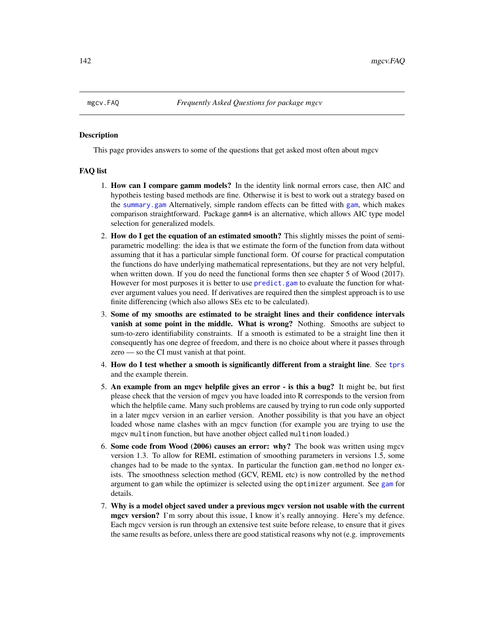#### **Description**

This page provides answers to some of the questions that get asked most often about mgcv

#### FAQ list

- 1. How can I compare gamm models? In the identity link normal errors case, then AIC and hypotheis testing based methods are fine. Otherwise it is best to work out a strategy based on the [summary.gam](#page-278-0) Alternatively, simple random effects can be fitted with [gam](#page-47-0), which makes comparison straightforward. Package gamm4 is an alternative, which allows AIC type model selection for generalized models.
- 2. How do I get the equation of an estimated smooth? This slightly misses the point of semiparametric modelling: the idea is that we estimate the form of the function from data without assuming that it has a particular simple functional form. Of course for practical computation the functions do have underlying mathematical representations, but they are not very helpful, when written down. If you do need the functional forms then see chapter 5 of Wood (2017). However for most purposes it is better to use predict. gam to evaluate the function for whatever argument values you need. If derivatives are required then the simplest approach is to use finite differencing (which also allows SEs etc to be calculated).
- 3. Some of my smooths are estimated to be straight lines and their confidence intervals vanish at some point in the middle. What is wrong? Nothing. Smooths are subject to sum-to-zero identifiability constraints. If a smooth is estimated to be a straight line then it consequently has one degree of freedom, and there is no choice about where it passes through zero — so the CI must vanish at that point.
- 4. How do I test whether a smooth is significantly different from a straight line. See [tprs](#page-262-0) and the example therein.
- 5. An example from an mgcv helpfile gives an error is this a bug? It might be, but first please check that the version of mgcv you have loaded into R corresponds to the version from which the helpfile came. Many such problems are caused by trying to run code only supported in a later mgcv version in an earlier version. Another possibility is that you have an object loaded whose name clashes with an mgcv function (for example you are trying to use the mgcv multinom function, but have another object called multinom loaded.)
- 6. Some code from Wood (2006) causes an error: why? The book was written using mgcv version 1.3. To allow for REML estimation of smoothing parameters in versions 1.5, some changes had to be made to the syntax. In particular the function gam.method no longer exists. The smoothness selection method (GCV, REML etc) is now controlled by the method argument to gam while the optimizer is selected using the optimizer argument. See [gam](#page-47-0) for details.
- 7. Why is a model object saved under a previous mgcv version not usable with the current mgcv version? I'm sorry about this issue, I know it's really annoying. Here's my defence. Each mgcv version is run through an extensive test suite before release, to ensure that it gives the same results as before, unless there are good statistical reasons why not (e.g. improvements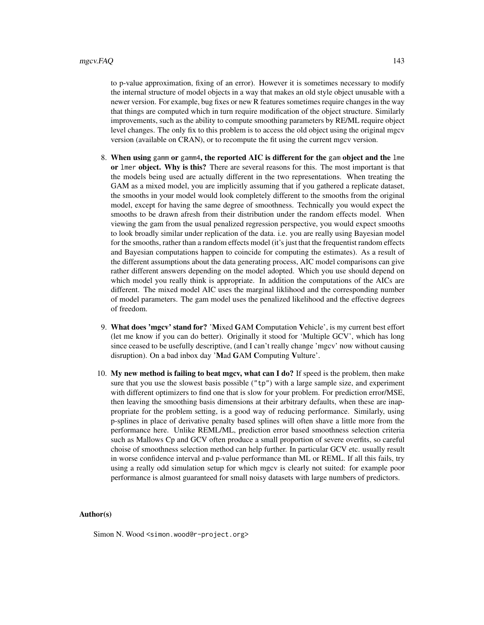to p-value approximation, fixing of an error). However it is sometimes necessary to modify the internal structure of model objects in a way that makes an old style object unusable with a newer version. For example, bug fixes or new R features sometimes require changes in the way that things are computed which in turn require modification of the object structure. Similarly improvements, such as the ability to compute smoothing parameters by RE/ML require object level changes. The only fix to this problem is to access the old object using the original mgcv version (available on CRAN), or to recompute the fit using the current mgcv version.

- 8. When using gamm or gamm4, the reported AIC is different for the gam object and the lme or lmer object. Why is this? There are several reasons for this. The most important is that the models being used are actually different in the two representations. When treating the GAM as a mixed model, you are implicitly assuming that if you gathered a replicate dataset, the smooths in your model would look completely different to the smooths from the original model, except for having the same degree of smoothness. Technically you would expect the smooths to be drawn afresh from their distribution under the random effects model. When viewing the gam from the usual penalized regression perspective, you would expect smooths to look broadly similar under replication of the data. i.e. you are really using Bayesian model for the smooths, rather than a random effects model (it's just that the frequentist random effects and Bayesian computations happen to coincide for computing the estimates). As a result of the different assumptions about the data generating process, AIC model comparisons can give rather different answers depending on the model adopted. Which you use should depend on which model you really think is appropriate. In addition the computations of the AICs are different. The mixed model AIC uses the marginal liklihood and the corresponding number of model parameters. The gam model uses the penalized likelihood and the effective degrees of freedom.
- 9. What does 'mgcv' stand for? 'Mixed GAM Computation Vehicle', is my current best effort (let me know if you can do better). Originally it stood for 'Multiple GCV', which has long since ceased to be usefully descriptive, (and I can't really change 'mgcv' now without causing disruption). On a bad inbox day 'Mad GAM Computing Vulture'.
- 10. My new method is failing to beat mgcv, what can I do? If speed is the problem, then make sure that you use the slowest basis possible  $("tp")$  with a large sample size, and experiment with different optimizers to find one that is slow for your problem. For prediction error/MSE, then leaving the smoothing basis dimensions at their arbitrary defaults, when these are inappropriate for the problem setting, is a good way of reducing performance. Similarly, using p-splines in place of derivative penalty based splines will often shave a little more from the performance here. Unlike REML/ML, prediction error based smoothness selection criteria such as Mallows Cp and GCV often produce a small proportion of severe overfits, so careful choise of smoothness selection method can help further. In particular GCV etc. usually result in worse confidence interval and p-value performance than ML or REML. If all this fails, try using a really odd simulation setup for which mgcv is clearly not suited: for example poor performance is almost guaranteed for small noisy datasets with large numbers of predictors.

#### Author(s)

Simon N. Wood <simon.wood@r-project.org>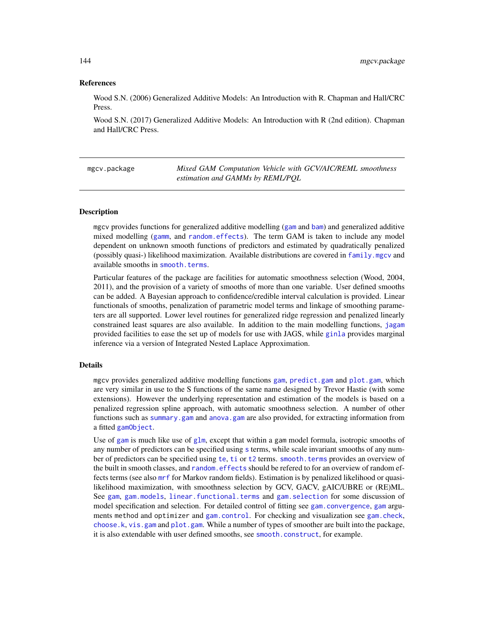# References

Wood S.N. (2006) Generalized Additive Models: An Introduction with R. Chapman and Hall/CRC Press.

Wood S.N. (2017) Generalized Additive Models: An Introduction with R (2nd edition). Chapman and Hall/CRC Press.

mgcv.package *Mixed GAM Computation Vehicle with GCV/AIC/REML smoothness estimation and GAMMs by REML/PQL*

#### Description

mgcv provides functions for generalized additive modelling ([gam](#page-47-0) and [bam](#page-6-0)) and generalized additive mixed modelling ([gamm](#page-91-0), and [random.effects](#page-200-0)). The term GAM is taken to include any model dependent on unknown smooth functions of predictors and estimated by quadratically penalized (possibly quasi-) likelihood maximization. Available distributions are covered in [family.mgcv](#page-37-0) and available smooths in [smooth.terms](#page-266-0).

Particular features of the package are facilities for automatic smoothness selection (Wood, 2004, 2011), and the provision of a variety of smooths of more than one variable. User defined smooths can be added. A Bayesian approach to confidence/credible interval calculation is provided. Linear functionals of smooths, penalization of parametric model terms and linkage of smoothing parameters are all supported. Lower level routines for generalized ridge regression and penalized linearly constrained least squares are also available. In addition to the main modelling functions, [jagam](#page-119-0) provided facilities to ease the set up of models for use with JAGS, while [ginla](#page-108-0) provides marginal inference via a version of Integrated Nested Laplace Approximation.

# Details

mgcv provides generalized additive modelling functions [gam](#page-47-0), [predict.gam](#page-184-0) and [plot.gam](#page-175-0), which are very similar in use to the S functions of the same name designed by Trevor Hastie (with some extensions). However the underlying representation and estimation of the models is based on a penalized regression spline approach, with automatic smoothness selection. A number of other functions such as [summary.gam](#page-278-0) and [anova.gam](#page-4-0) are also provided, for extracting information from a fitted [gamObject](#page-99-0).

Use of [gam](#page-47-0) is much like use of g $lm$ , except that within a gam model formula, isotropic smooths of any number of predictors can be specified using [s](#page-208-0) terms, while scale invariant smooths of any number of predictors can be specified using [te](#page-287-0), [ti](#page-287-1) or [t2](#page-282-0) terms. [smooth.terms](#page-266-0) provides an overview of the built in smooth classes, and [random.effects](#page-200-0) should be refered to for an overview of random effects terms (see also [mrf](#page-243-0) for Markov random fields). Estimation is by penalized likelihood or quasilikelihood maximization, with smoothness selection by GCV, GACV, gAIC/UBRE or (RE)ML. See [gam](#page-47-0), [gam.models](#page-71-0), [linear.functional.terms](#page-128-0) and [gam.selection](#page-80-0) for some discussion of model specification and selection. For detailed control of fitting see [gam.convergence](#page-62-0), [gam](#page-47-0) arguments method and optimizer and [gam.control](#page-59-0). For checking and visualization see [gam.check](#page-57-0), [choose.k](#page-20-0), [vis.gam](#page-303-0) and [plot.gam](#page-175-0). While a number of types of smoother are built into the package, it is also extendable with user defined smooths, see [smooth.construct](#page-222-0), for example.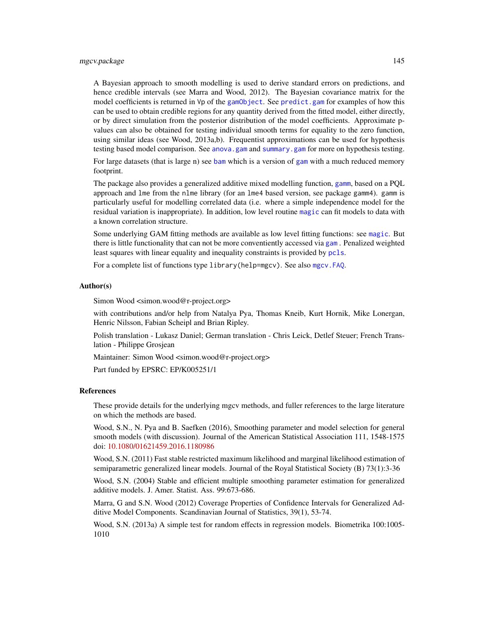A Bayesian approach to smooth modelling is used to derive standard errors on predictions, and hence credible intervals (see Marra and Wood, 2012). The Bayesian covariance matrix for the model coefficients is returned in Vp of the [gamObject](#page-99-0). See predict, gam for examples of how this can be used to obtain credible regions for any quantity derived from the fitted model, either directly, or by direct simulation from the posterior distribution of the model coefficients. Approximate pvalues can also be obtained for testing individual smooth terms for equality to the zero function, using similar ideas (see Wood, 2013a,b). Frequentist approximations can be used for hypothesis testing based model comparison. See [anova.gam](#page-4-0) and [summary.gam](#page-278-0) for more on hypothesis testing.

For large datasets (that is large n) see [bam](#page-6-0) which is a version of [gam](#page-47-0) with a much reduced memory footprint.

The package also provides a generalized additive mixed modelling function, [gamm](#page-91-0), based on a POL approach and lme from the nlme library (for an lme4 based version, see package gamm4). gamm is particularly useful for modelling correlated data (i.e. where a simple independence model for the residual variation is inappropriate). In addition, low level routine [magic](#page-135-0) can fit models to data with a known correlation structure.

Some underlying GAM fitting methods are available as low level fitting functions: see [magic](#page-135-0). But there is little functionality that can not be more conventiently accessed via [gam](#page-47-0) . Penalized weighted least squares with linear equality and inequality constraints is provided by [pcls](#page-166-0).

For a complete list of functions type library(help=mgcv). See also mgcv. FAQ.

## Author(s)

Simon Wood <simon.wood@r-project.org>

with contributions and/or help from Natalya Pya, Thomas Kneib, Kurt Hornik, Mike Lonergan, Henric Nilsson, Fabian Scheipl and Brian Ripley.

Polish translation - Lukasz Daniel; German translation - Chris Leick, Detlef Steuer; French Translation - Philippe Grosjean

Maintainer: Simon Wood <simon.wood@r-project.org>

Part funded by EPSRC: EP/K005251/1

#### References

These provide details for the underlying mgcv methods, and fuller references to the large literature on which the methods are based.

Wood, S.N., N. Pya and B. Saefken (2016), Smoothing parameter and model selection for general smooth models (with discussion). Journal of the American Statistical Association 111, 1548-1575 doi: [10.1080/01621459.2016.1180986](https://doi.org/10.1080/01621459.2016.1180986)

Wood, S.N. (2011) Fast stable restricted maximum likelihood and marginal likelihood estimation of semiparametric generalized linear models. Journal of the Royal Statistical Society (B) 73(1):3-36

Wood, S.N. (2004) Stable and efficient multiple smoothing parameter estimation for generalized additive models. J. Amer. Statist. Ass. 99:673-686.

Marra, G and S.N. Wood (2012) Coverage Properties of Confidence Intervals for Generalized Additive Model Components. Scandinavian Journal of Statistics, 39(1), 53-74.

Wood, S.N. (2013a) A simple test for random effects in regression models. Biometrika 100:1005- 1010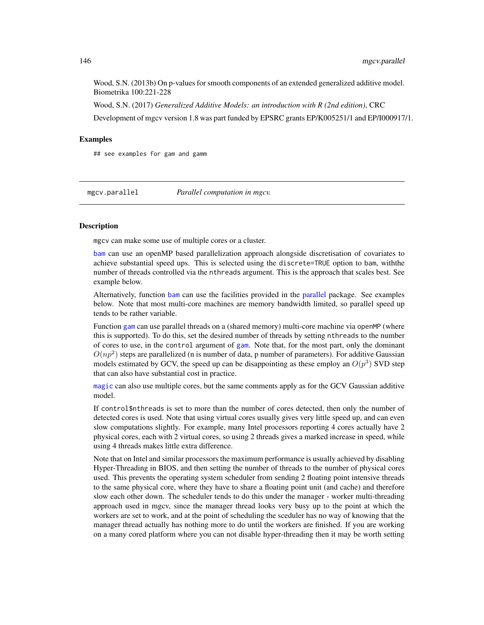Wood, S.N. (2013b) On p-values for smooth components of an extended generalized additive model. Biometrika 100:221-228

Wood, S.N. (2017) *Generalized Additive Models: an introduction with R (2nd edition)*, CRC Development of mgcv version 1.8 was part funded by EPSRC grants EP/K005251/1 and EP/I000917/1.

# Examples

## see examples for gam and gamm

mgcv.parallel *Parallel computation in mgcv.*

# Description

mgcv can make some use of multiple cores or a cluster.

[bam](#page-6-0) can use an openMP based parallelization approach alongside discretisation of covariates to achieve substantial speed ups. This is selected using the discrete=TRUE option to bam, withthe number of threads controlled via the nthreads argument. This is the approach that scales best. See example below.

Alternatively, function [bam](#page-6-0) can use the facilities provided in the [parallel](#page-0-0) package. See examples below. Note that most multi-core machines are memory bandwidth limited, so parallel speed up tends to be rather variable.

Function [gam](#page-47-0) can use parallel threads on a (shared memory) multi-core machine via openMP (where this is supported). To do this, set the desired number of threads by setting nthreads to the number of cores to use, in the control argument of [gam](#page-47-0). Note that, for the most part, only the dominant  $O(np^2)$  steps are parallelized (n is number of data, p number of parameters). For additive Gaussian models estimated by GCV, the speed up can be disappointing as these employ an  $O(p^3)$  SVD step that can also have substantial cost in practice.

[magic](#page-135-0) can also use multiple cores, but the same comments apply as for the GCV Gaussian additive model.

If control\$nthreads is set to more than the number of cores detected, then only the number of detected cores is used. Note that using virtual cores usually gives very little speed up, and can even slow computations slightly. For example, many Intel processors reporting 4 cores actually have 2 physical cores, each with 2 virtual cores, so using 2 threads gives a marked increase in speed, while using 4 threads makes little extra difference.

Note that on Intel and similar processors the maximum performance is usually achieved by disabling Hyper-Threading in BIOS, and then setting the number of threads to the number of physical cores used. This prevents the operating system scheduler from sending 2 floating point intensive threads to the same physical core, where they have to share a floating point unit (and cache) and therefore slow each other down. The scheduler tends to do this under the manager - worker multi-threading approach used in mgcv, since the manager thread looks very busy up to the point at which the workers are set to work, and at the point of scheduling the sceduler has no way of knowing that the manager thread actually has nothing more to do until the workers are finished. If you are working on a many cored platform where you can not disable hyper-threading then it may be worth setting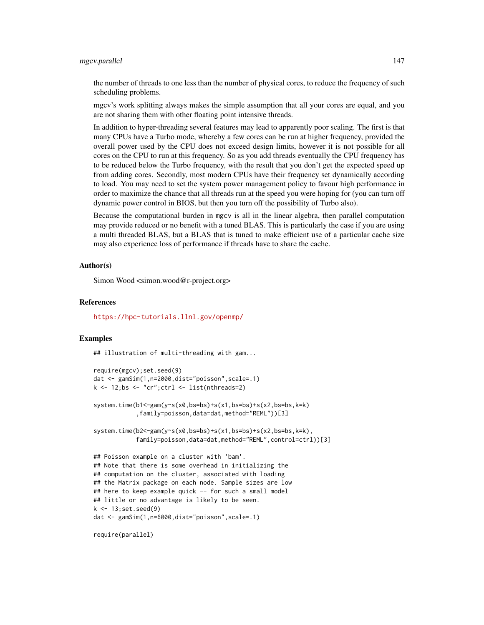# mgcv.parallel 147

the number of threads to one less than the number of physical cores, to reduce the frequency of such scheduling problems.

mgcv's work splitting always makes the simple assumption that all your cores are equal, and you are not sharing them with other floating point intensive threads.

In addition to hyper-threading several features may lead to apparently poor scaling. The first is that many CPUs have a Turbo mode, whereby a few cores can be run at higher frequency, provided the overall power used by the CPU does not exceed design limits, however it is not possible for all cores on the CPU to run at this frequency. So as you add threads eventually the CPU frequency has to be reduced below the Turbo frequency, with the result that you don't get the expected speed up from adding cores. Secondly, most modern CPUs have their frequency set dynamically according to load. You may need to set the system power management policy to favour high performance in order to maximize the chance that all threads run at the speed you were hoping for (you can turn off dynamic power control in BIOS, but then you turn off the possibility of Turbo also).

Because the computational burden in mgcv is all in the linear algebra, then parallel computation may provide reduced or no benefit with a tuned BLAS. This is particularly the case if you are using a multi threaded BLAS, but a BLAS that is tuned to make efficient use of a particular cache size may also experience loss of performance if threads have to share the cache.

# Author(s)

Simon Wood <simon.wood@r-project.org>

#### References

<https://hpc-tutorials.llnl.gov/openmp/>

# Examples

## illustration of multi-threading with gam...

```
require(mgcv);set.seed(9)
dat <- gamSim(1,n=2000,dist="poisson",scale=.1)
k \le -12; bs \le -1 "cr"; ctrl \le -1 ist(nthreads=2)
system.time(b1<-gam(y~s(x0,bs=bs)+s(x1,bs=bs)+s(x2,bs=bs,k=k)
            ,family=poisson,data=dat,method="REML"))[3]
system.time(b2<-gam(y~s(x0,bs=bs)+s(x1,bs=bs)+s(x2,bs=bs,k=k),
            family=poisson,data=dat,method="REML",control=ctrl))[3]
## Poisson example on a cluster with 'bam'.
## Note that there is some overhead in initializing the
## computation on the cluster, associated with loading
## the Matrix package on each node. Sample sizes are low
## here to keep example quick -- for such a small model
## little or no advantage is likely to be seen.
k <- 13;set.seed(9)
dat <- gamSim(1,n=6000,dist="poisson",scale=.1)
```
require(parallel)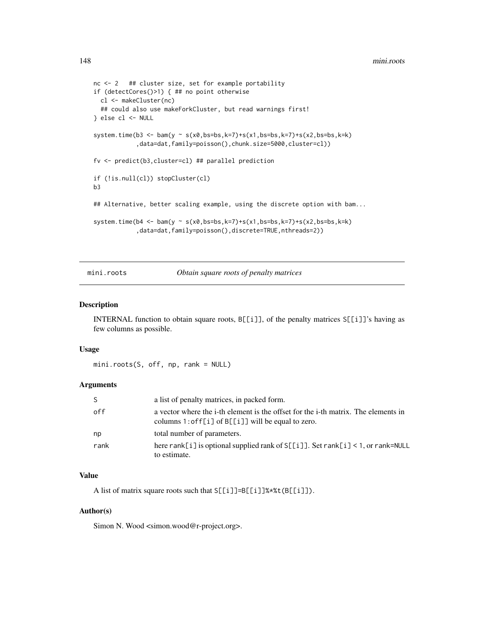```
nc <- 2 ## cluster size, set for example portability
if (detectCores()>1) { ## no point otherwise
  cl <- makeCluster(nc)
  ## could also use makeForkCluster, but read warnings first!
} else cl <- NULL
system.time(b3 <- bam(y ~ s(x0,bs=bs,k=7)+s(x1,bs=bs,k=7)+s(x2,bs=bs,k=k)
            ,data=dat,family=poisson(),chunk.size=5000,cluster=cl))
fv <- predict(b3,cluster=cl) ## parallel prediction
if (!is.null(cl)) stopCluster(cl)
b3
## Alternative, better scaling example, using the discrete option with bam...
system.time(b4 <- bam(y ~ s(x0,bs=bs,k=7)+s(x1,bs=bs,k=7)+s(x2,bs=bs,k=k)
            ,data=dat,family=poisson(),discrete=TRUE,nthreads=2))
```
mini.roots *Obtain square roots of penalty matrices*

# Description

INTERNAL function to obtain square roots, B[[i]], of the penalty matrices S[[i]]'s having as few columns as possible.

#### Usage

mini.roots(S, off, np, rank = NULL)

# Arguments

| S.   | a list of penalty matrices, in packed form.                                                                                                     |
|------|-------------------------------------------------------------------------------------------------------------------------------------------------|
| off  | a vector where the i-th element is the offset for the i-th matrix. The elements in<br>columns $1:$ of $F[i]$ of $B[[i]]$ will be equal to zero. |
| np   | total number of parameters.                                                                                                                     |
| rank | here rank [i] is optional supplied rank of $S[[i]]$ . Set rank [i] < 1, or rank=NULL<br>to estimate.                                            |

# Value

A list of matrix square roots such that S[[i]]=B[[i]]%\*%t(B[[i]]).

# Author(s)

Simon N. Wood <simon.wood@r-project.org>.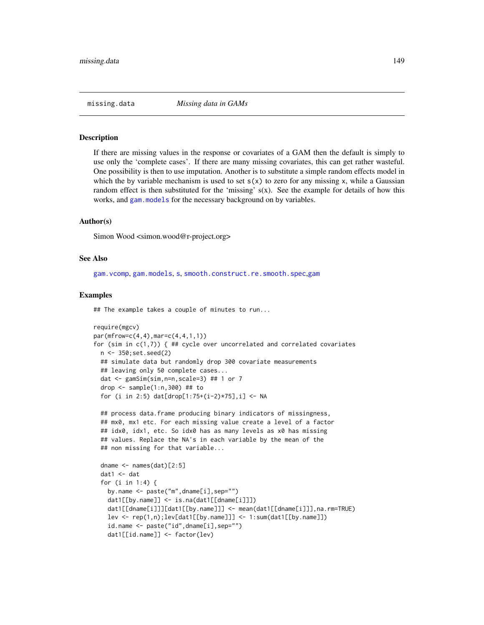## Description

If there are missing values in the response or covariates of a GAM then the default is simply to use only the 'complete cases'. If there are many missing covariates, this can get rather wasteful. One possibility is then to use imputation. Another is to substitute a simple random effects model in which the by variable mechanism is used to set  $s(x)$  to zero for any missing x, while a Gaussian random effect is then substituted for the 'missing' s(x). See the example for details of how this works, and [gam.models](#page-71-0) for the necessary background on by variables.

# Author(s)

Simon Wood <simon.wood@r-project.org>

# See Also

[gam.vcomp](#page-85-0), [gam.models](#page-71-0), [s](#page-208-0), [smooth.construct.re.smooth.spec](#page-248-0),[gam](#page-47-0)

### Examples

## The example takes a couple of minutes to run...

```
require(mgcv)
par(mfrow=c(4,4),mar=c(4,4,1,1))for (sim in c(1,7)) { ## cycle over uncorrelated and correlated covariates
 n <- 350;set.seed(2)
 ## simulate data but randomly drop 300 covariate measurements
 ## leaving only 50 complete cases...
 dat \leq gamSim(sim, n=n, scale=3) ## 1 or 7
 drop \le sample(1:n,300) ## to
 for (i in 2:5) dat[drop[1:75+(i-2)*75],i] <- NA
```

```
## process data.frame producing binary indicators of missingness,
## mx0, mx1 etc. For each missing value create a level of a factor
## idx0, idx1, etc. So idx0 has as many levels as x0 has missing
## values. Replace the NA's in each variable by the mean of the
## non missing for that variable...
```

```
dname <- names(dat)[2:5]
dat1 <- dat
for (i in 1:4) {
  by.name <- paste("m",dname[i],sep="")
  dat1[[by.name]] <- is.na(dat1[[dname[i]]])
  dat1[[dname[i]]][dat1[[by.name]]] <- mean(dat1[[dname[i]]],na.rm=TRUE)
  lev <- rep(1,n);lev[dat1[[by.name]]] <- 1:sum(dat1[[by.name]])
  id.name <- paste("id",dname[i],sep="")
  dat1[[id.name]] <- factor(lev)
```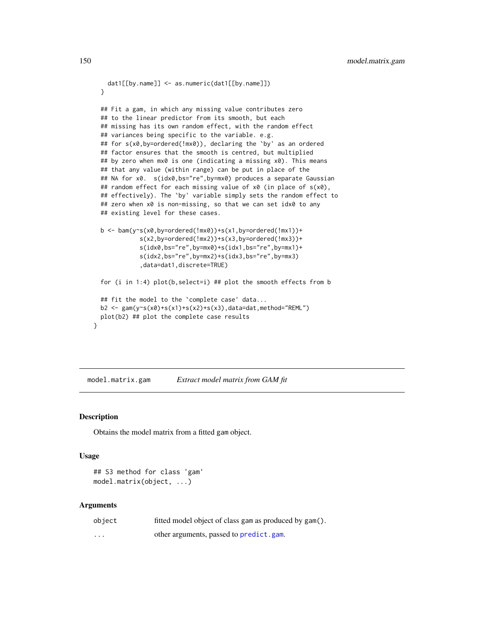```
dat1[[by.name]] <- as.numeric(dat1[[by.name]])
 }
 ## Fit a gam, in which any missing value contributes zero
 ## to the linear predictor from its smooth, but each
 ## missing has its own random effect, with the random effect
 ## variances being specific to the variable. e.g.
 ## for s(x0,by=ordered(!mx0)), declaring the `by' as an ordered
 ## factor ensures that the smooth is centred, but multiplied
 ## by zero when mx0 is one (indicating a missing x0). This means
 ## that any value (within range) can be put in place of the
 ## NA for x0. s(idx0,bs="re",by=mx0) produces a separate Gaussian
 ## random effect for each missing value of x0 (in place of s(x0),
 ## effectively). The `by' variable simply sets the random effect to
 ## zero when x0 is non-missing, so that we can set idx0 to any
 ## existing level for these cases.
 b <- bam(y~s(x0,by=ordered(!mx0))+s(x1,by=ordered(!mx1))+
            s(x2,by=ordered(!mx2))+s(x3,by=ordered(!mx3))+
            s(idx0,bs="re",by=mx0)+s(idx1,bs="re",by=mx1)+
            s(idx2,bs="re",by=mx2)+s(idx3,bs="re",by=mx3)
             ,data=dat1,discrete=TRUE)
 for (i in 1:4) plot(b,select=i) ## plot the smooth effects from b
 ## fit the model to the `complete case' data...
 b2 \leq \gamma gam(y~s(x0)+s(x1)+s(x2)+s(x3),data=dat,method="REML")
 plot(b2) ## plot the complete case results
}
```
model.matrix.gam *Extract model matrix from GAM fit*

# Description

Obtains the model matrix from a fitted gam object.

# Usage

```
## S3 method for class 'gam'
model.matrix(object, ...)
```
#### Arguments

| object  | fitted model object of class gam as produced by gam(). |
|---------|--------------------------------------------------------|
| $\cdot$ | other arguments, passed to predict.gam.                |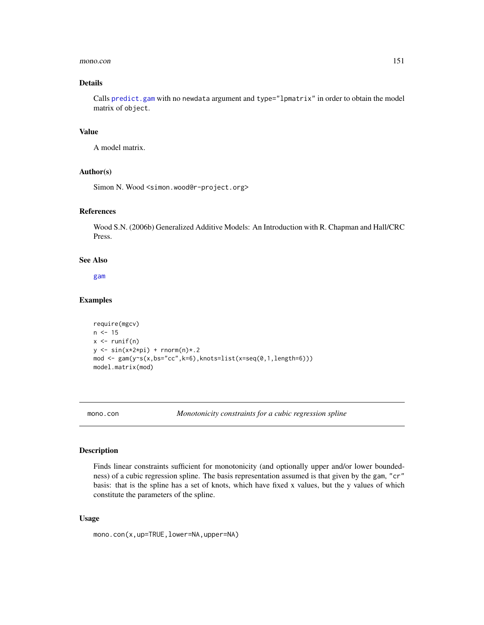### mono.con 151

# Details

Calls [predict.gam](#page-184-0) with no newdata argument and type="lpmatrix" in order to obtain the model matrix of object.

# Value

A model matrix.

# Author(s)

Simon N. Wood <simon.wood@r-project.org>

# References

Wood S.N. (2006b) Generalized Additive Models: An Introduction with R. Chapman and Hall/CRC Press.

# See Also

[gam](#page-47-0)

## Examples

```
require(mgcv)
n < -15x \leftarrow runif(n)y \leftarrow \sin(x \times 2 \times pi) + \text{rnorm}(n) \times .2mod <- gam(y~s(x,bs="cc",k=6),knots=list(x=seq(0,1,length=6)))
model.matrix(mod)
```
<span id="page-150-0"></span>

mono.con *Monotonicity constraints for a cubic regression spline*

# Description

Finds linear constraints sufficient for monotonicity (and optionally upper and/or lower boundedness) of a cubic regression spline. The basis representation assumed is that given by the gam, "cr" basis: that is the spline has a set of knots, which have fixed x values, but the y values of which constitute the parameters of the spline.

#### Usage

mono.con(x,up=TRUE,lower=NA,upper=NA)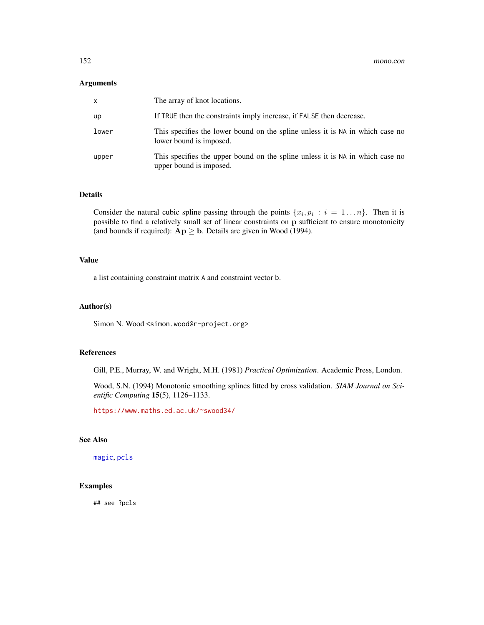## Arguments

| X     | The array of knot locations.                                                                             |
|-------|----------------------------------------------------------------------------------------------------------|
| up    | If TRUE then the constraints imply increase, if FALSE then decrease.                                     |
| lower | This specifies the lower bound on the spline unless it is NA in which case no<br>lower bound is imposed. |
| upper | This specifies the upper bound on the spline unless it is NA in which case no<br>upper bound is imposed. |

# Details

Consider the natural cubic spline passing through the points  $\{x_i, p_i : i = 1...n\}$ . Then it is possible to find a relatively small set of linear constraints on p sufficient to ensure monotonicity (and bounds if required):  $Ap \geq b$ . Details are given in Wood (1994).

# Value

a list containing constraint matrix A and constraint vector b.

#### Author(s)

Simon N. Wood <simon.wood@r-project.org>

# References

Gill, P.E., Murray, W. and Wright, M.H. (1981) *Practical Optimization*. Academic Press, London.

Wood, S.N. (1994) Monotonic smoothing splines fitted by cross validation. *SIAM Journal on Scientific Computing* 15(5), 1126–1133.

<https://www.maths.ed.ac.uk/~swood34/>

# See Also

[magic](#page-135-0), [pcls](#page-166-0)

# Examples

## see ?pcls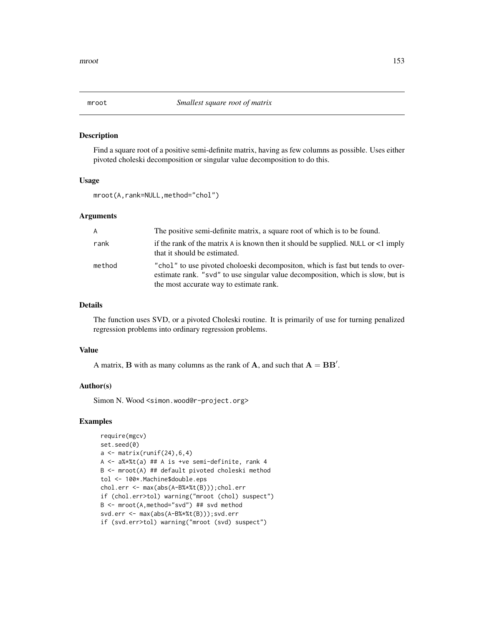## Description

Find a square root of a positive semi-definite matrix, having as few columns as possible. Uses either pivoted choleski decomposition or singular value decomposition to do this.

#### Usage

mroot(A,rank=NULL,method="chol")

# Arguments

| A      | The positive semi-definite matrix, a square root of which is to be found.                                                                                                                                    |
|--------|--------------------------------------------------------------------------------------------------------------------------------------------------------------------------------------------------------------|
| rank   | if the rank of the matrix A is known then it should be supplied. NULL or $\lt 1$ imply<br>that it should be estimated.                                                                                       |
| method | "chol" to use pivoted choloeski decompositon, which is fast but tends to over-<br>estimate rank. "svd" to use singular value decomposition, which is slow, but is<br>the most accurate way to estimate rank. |

# Details

The function uses SVD, or a pivoted Choleski routine. It is primarily of use for turning penalized regression problems into ordinary regression problems.

## Value

A matrix, **B** with as many columns as the rank of **A**, and such that  $A = BB'$ .

# Author(s)

Simon N. Wood <simon.wood@r-project.org>

# Examples

```
require(mgcv)
set.seed(0)
a \leftarrow \text{matrix}(\text{runif}(24), 6, 4)A <- a%*%t(a) ## A is +ve semi-definite, rank 4
B <- mroot(A) ## default pivoted choleski method
tol <- 100*.Machine$double.eps
chol.err <- max(abs(A-B%*%t(B)));chol.err
if (chol.err>tol) warning("mroot (chol) suspect")
B <- mroot(A,method="svd") ## svd method
svd.err <- max(abs(A-B%*%t(B)));svd.err
if (svd.err>tol) warning("mroot (svd) suspect")
```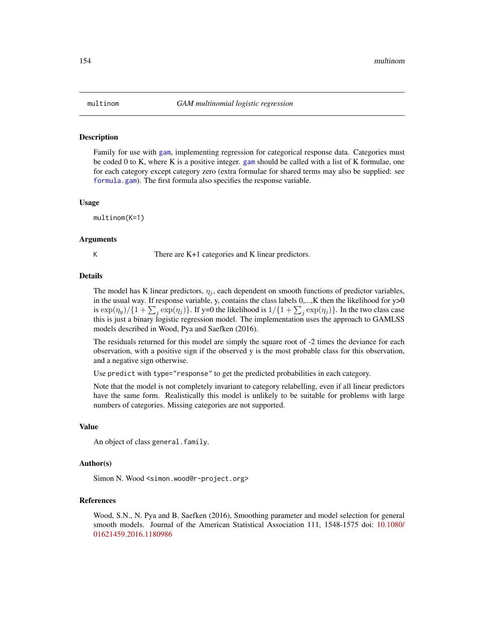#### Description

Family for use with [gam](#page-47-0), implementing regression for categorical response data. Categories must be coded 0 to K, where K is a positive integer. [gam](#page-47-0) should be called with a list of K formulae, one for each category except category zero (extra formulae for shared terms may also be supplied: see [formula.gam](#page-42-0)). The first formula also specifies the response variable.

#### Usage

multinom(K=1)

## Arguments

K There are K+1 categories and K linear predictors.

#### Details

The model has K linear predictors,  $\eta_i$ , each dependent on smooth functions of predictor variables, in the usual way. If response variable, y, contains the class labels  $0, \ldots, K$  then the likelihood for  $y > 0$ is  $\exp(\eta_y)/\{1+\sum_j \exp(\eta_j)\}\$ . If y=0 the likelihood is  $1/\{1+\sum_j \exp(\eta_j)\}\$ . In the two class case this is just a binary logistic regression model. The implementation uses the approach to GAMLSS models described in Wood, Pya and Saefken (2016).

The residuals returned for this model are simply the square root of -2 times the deviance for each observation, with a positive sign if the observed y is the most probable class for this observation, and a negative sign otherwise.

Use predict with type="response" to get the predicted probabilities in each category.

Note that the model is not completely invariant to category relabelling, even if all linear predictors have the same form. Realistically this model is unlikely to be suitable for problems with large numbers of categories. Missing categories are not supported.

## Value

An object of class general.family.

## Author(s)

Simon N. Wood <simon.wood@r-project.org>

## References

Wood, S.N., N. Pya and B. Saefken (2016), Smoothing parameter and model selection for general smooth models. Journal of the American Statistical Association 111, 1548-1575 doi: [10.1080/](https://doi.org/10.1080/01621459.2016.1180986) [01621459.2016.1180986](https://doi.org/10.1080/01621459.2016.1180986)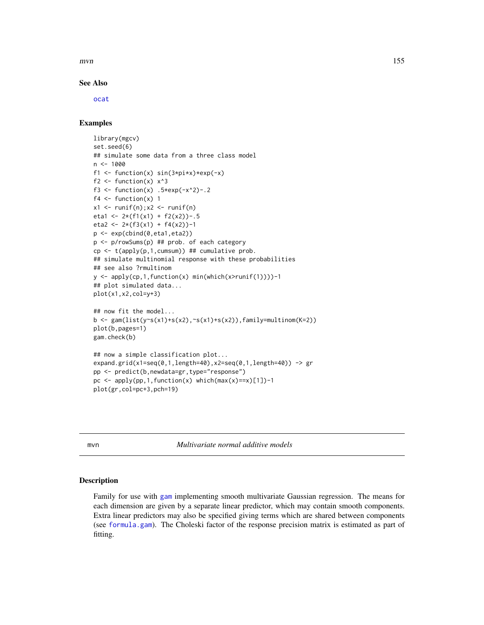$mvn$  155

# See Also

[ocat](#page-163-0)

# Examples

```
library(mgcv)
set.seed(6)
## simulate some data from a three class model
n <- 1000
f1 <- function(x) sin(3*pi*x)*exp(-x)f2 \leftarrow function(x) x^3f3 <- function(x) .5*exp(-x^2)-.2f4 \leftarrow function(x) 1x1 \leftarrow runif(n); x2 \leftarrow runif(n)eta1 <- 2*(f1(x1) + f2(x2))-.5
eta2 <- 2*(f3(x1) + f4(x2))-1
p <- exp(cbind(0,eta1,eta2))
p <- p/rowSums(p) ## prob. of each category
cp <- t(apply(p,1,cumsum)) ## cumulative prob.
## simulate multinomial response with these probabilities
## see also ?rmultinom
y \le apply(cp, 1, function(x) min(which(x>runif(1))))-1
## plot simulated data...
plot(x1,x2,col=y+3)
## now fit the model...
b <- gam(list(y~s(x1)+s(x2),~s(x1)+s(x2)),family=multinom(K=2))
plot(b,pages=1)
gam.check(b)
## now a simple classification plot...
expand.grid(x1=seq(0,1,length=40),x2=seq(0,1,length=40)) -> gr
pp <- predict(b,newdata=gr,type="response")
pc \leq - apply(pp, 1, function(x) which(max(x)==x)[1])-1
plot(gr,col=pc+3,pch=19)
```
mvn *Multivariate normal additive models*

#### Description

Family for use with [gam](#page-47-0) implementing smooth multivariate Gaussian regression. The means for each dimension are given by a separate linear predictor, which may contain smooth components. Extra linear predictors may also be specified giving terms which are shared between components (see [formula.gam](#page-42-0)). The Choleski factor of the response precision matrix is estimated as part of fitting.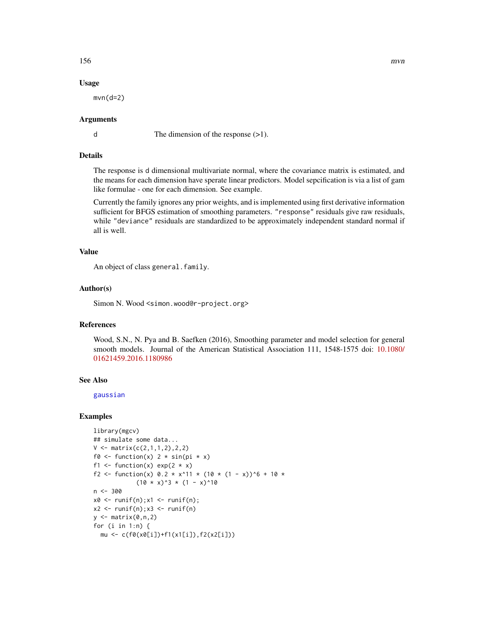# 156 mvn

# Usage

 $mvn(d=2)$ 

# Arguments

d The dimension of the response (>1).

# Details

The response is d dimensional multivariate normal, where the covariance matrix is estimated, and the means for each dimension have sperate linear predictors. Model sepcification is via a list of gam like formulae - one for each dimension. See example.

Currently the family ignores any prior weights, and is implemented using first derivative information sufficient for BFGS estimation of smoothing parameters. "response" residuals give raw residuals, while "deviance" residuals are standardized to be approximately independent standard normal if all is well.

## Value

An object of class general.family.

## Author(s)

Simon N. Wood <simon.wood@r-project.org>

## References

Wood, S.N., N. Pya and B. Saefken (2016), Smoothing parameter and model selection for general smooth models. Journal of the American Statistical Association 111, 1548-1575 doi: [10.1080/](https://doi.org/10.1080/01621459.2016.1180986) [01621459.2016.1180986](https://doi.org/10.1080/01621459.2016.1180986)

# See Also

[gaussian](#page-0-0)

## Examples

```
library(mgcv)
## simulate some data...
V \leq - matrix(c(2,1,1,2),2,2)
f0 <- function(x) 2 * sin(pi * x)f1 <- function(x) exp(2 \times x)f2 <- function(x) 0.2 * x^11 * (10 * (1 - x))^6 + 10 *
             (10 \times x)^3 * (1 - x)^10n < -300x0 \leq -\text{runif}(n);x1 \leq -\text{runif}(n);x2 \le runif(n);x3 \le runif(n)
y \leftarrow \text{matrix}(0, n, 2)for (i in 1:n) {
  mu <- c(f0(x0[i])+f1(x1[i]),f2(x2[i]))
```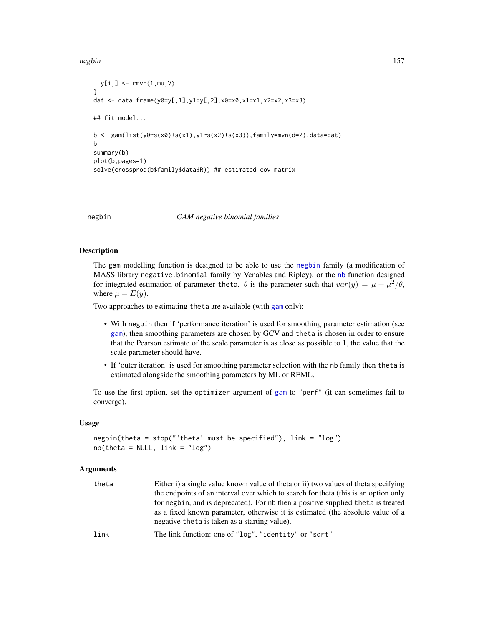### negbin 157

```
y[i, ] \leq -\text{rmvn}(1, mu, V)}
dat <- data.frame(y0=y[,1],y1=y[,2],x0=x0,x1=x1,x2=x2,x3=x3)
## fit model...
b <- gam(list(y0~s(x0)+s(x1),y1~s(x2)+s(x3)),family=mvn(d=2),data=dat)
b
summary(b)
plot(b,pages=1)
solve(crossprod(b$family$data$R)) ## estimated cov matrix
```
<span id="page-156-0"></span>

negbin *GAM negative binomial families*

# <span id="page-156-1"></span>Description

The gam modelling function is designed to be able to use the [negbin](#page-156-0) family (a modification of MASS library negative.binomial family by Venables and Ripley), or the [nb](#page-156-1) function designed for integrated estimation of parameter theta.  $\theta$  is the parameter such that  $var(y) = \mu + \mu^2/\theta$ , where  $\mu = E(y)$ .

Two approaches to estimating theta are available (with [gam](#page-47-0) only):

- With negbin then if 'performance iteration' is used for smoothing parameter estimation (see [gam](#page-47-0)), then smoothing parameters are chosen by GCV and theta is chosen in order to ensure that the Pearson estimate of the scale parameter is as close as possible to 1, the value that the scale parameter should have.
- If 'outer iteration' is used for smoothing parameter selection with the nb family then theta is estimated alongside the smoothing parameters by ML or REML.

To use the first option, set the optimizer argument of [gam](#page-47-0) to "perf" (it can sometimes fail to converge).

## Usage

```
negbin(theta = stop("'theta' must be specified"), link = "log")
nb(theta = NULL, link = "log")
```
# Arguments

| theta | Either i) a single value known value of theta or ii) two values of theta specifying |
|-------|-------------------------------------------------------------------------------------|
|       | the endpoints of an interval over which to search for theta (this is an option only |
|       | for negbin, and is deprecated). For nb then a positive supplied theta is treated    |
|       | as a fixed known parameter, otherwise it is estimated (the absolute value of a      |
|       | negative theta is taken as a starting value).                                       |
| link  | The link function: one of "log", "identity" or "sqrt"                               |
|       |                                                                                     |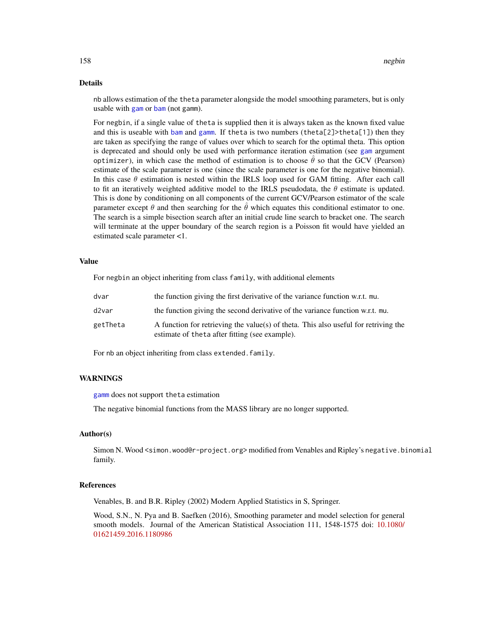## Details

nb allows estimation of the theta parameter alongside the model smoothing parameters, but is only usable with [gam](#page-47-0) or [bam](#page-6-0) (not gamm).

For negbin, if a single value of theta is supplied then it is always taken as the known fixed value and this is useable with [bam](#page-6-0) and [gamm](#page-91-0). If theta is two numbers (theta[2]>theta[1]) then they are taken as specifying the range of values over which to search for the optimal theta. This option is deprecated and should only be used with performance iteration estimation (see [gam](#page-47-0) argument optimizer), in which case the method of estimation is to choose  $\hat{\theta}$  so that the GCV (Pearson) estimate of the scale parameter is one (since the scale parameter is one for the negative binomial). In this case  $\theta$  estimation is nested within the IRLS loop used for GAM fitting. After each call to fit an iteratively weighted additive model to the IRLS pseudodata, the  $\theta$  estimate is updated. This is done by conditioning on all components of the current GCV/Pearson estimator of the scale parameter except  $\theta$  and then searching for the  $\hat{\theta}$  which equates this conditional estimator to one. The search is a simple bisection search after an initial crude line search to bracket one. The search will terminate at the upper boundary of the search region is a Poisson fit would have yielded an estimated scale parameter <1.

# Value

For negbin an object inheriting from class family, with additional elements

| dvar     | the function giving the first derivative of the variance function w.r.t. mu.                                                           |
|----------|----------------------------------------------------------------------------------------------------------------------------------------|
| d2var    | the function giving the second derivative of the variance function w.r.t. mu.                                                          |
| getTheta | A function for retrieving the value(s) of theta. This also useful for retriving the<br>estimate of the ta after fitting (see example). |

For nb an object inheriting from class extended.family.

# WARNINGS

[gamm](#page-91-0) does not support theta estimation

The negative binomial functions from the MASS library are no longer supported.

# Author(s)

Simon N. Wood <simon.wood@r-project.org> modified from Venables and Ripley's negative.binomial family.

# References

Venables, B. and B.R. Ripley (2002) Modern Applied Statistics in S, Springer.

Wood, S.N., N. Pya and B. Saefken (2016), Smoothing parameter and model selection for general smooth models. Journal of the American Statistical Association 111, 1548-1575 doi: [10.1080/](https://doi.org/10.1080/01621459.2016.1180986) [01621459.2016.1180986](https://doi.org/10.1080/01621459.2016.1180986)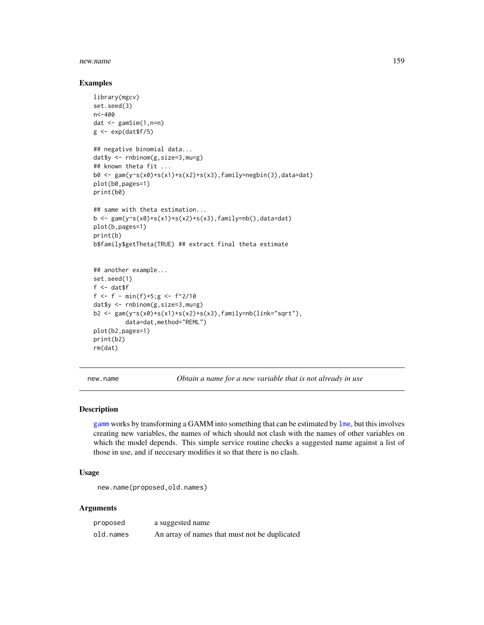### new.name 159

## Examples

```
library(mgcv)
set.seed(3)
n<-400
dat \leq gamSim(1, n=n)g \leftarrow \exp(dat\f/5)
## negative binomial data...
dat$y <- rnbinom(g,size=3,mu=g)
## known theta fit ...
b0 <- gam(y~s(x0)+s(x1)+s(x2)+s(x3),family=negbin(3),data=dat)
plot(b0,pages=1)
print(b0)
## same with theta estimation...
b <- gam(y~s(x0)+s(x1)+s(x2)+s(x3),family=nb(),data=dat)
plot(b,pages=1)
print(b)
b$family$getTheta(TRUE) ## extract final theta estimate
## another example...
set.seed(1)
f <- dat$ff <- f - min(f)+5;g <- f^2/10
dat$y <- rnbinom(g,size=3,mu=g)
b2 \leq \text{gam}(y \leq (x0) + s(x1) + s(x2) + s(x3), \text{family} = nb(\text{link} = 'sqrt''),data=dat,method="REML")
plot(b2,pages=1)
print(b2)
rm(dat)
```
new.name *Obtain a name for a new variable that is not already in use*

# Description

[gamm](#page-91-0) works by transforming a GAMM into something that can be estimated by [lme](#page-0-0), but this involves creating new variables, the names of which should not clash with the names of other variables on which the model depends. This simple service routine checks a suggested name against a list of those in use, and if neccesary modifies it so that there is no clash.

# Usage

```
new.name(proposed,old.names)
```
# Arguments

| proposed  | a suggested name                              |
|-----------|-----------------------------------------------|
| old.names | An array of names that must not be duplicated |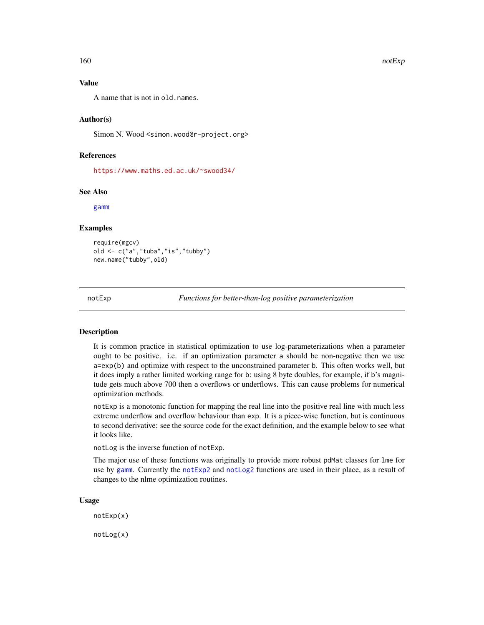## Value

A name that is not in old.names.

# Author(s)

Simon N. Wood <simon.wood@r-project.org>

# References

<https://www.maths.ed.ac.uk/~swood34/>

## See Also

[gamm](#page-91-0)

#### Examples

require(mgcv) old <- c("a","tuba","is","tubby") new.name("tubby",old)

<span id="page-159-1"></span>notExp *Functions for better-than-log positive parameterization*

## <span id="page-159-0"></span>Description

It is common practice in statistical optimization to use log-parameterizations when a parameter ought to be positive. i.e. if an optimization parameter a should be non-negative then we use a=exp(b) and optimize with respect to the unconstrained parameter b. This often works well, but it does imply a rather limited working range for b: using 8 byte doubles, for example, if b's magnitude gets much above 700 then a overflows or underflows. This can cause problems for numerical optimization methods.

notExp is a monotonic function for mapping the real line into the positive real line with much less extreme underflow and overflow behaviour than exp. It is a piece-wise function, but is continuous to second derivative: see the source code for the exact definition, and the example below to see what it looks like.

notLog is the inverse function of notExp.

The major use of these functions was originally to provide more robust pdMat classes for lme for use by [gamm](#page-91-0). Currently the [notExp2](#page-160-0) and [notLog2](#page-160-1) functions are used in their place, as a result of changes to the nlme optimization routines.

#### Usage

notExp(x)

notLog(x)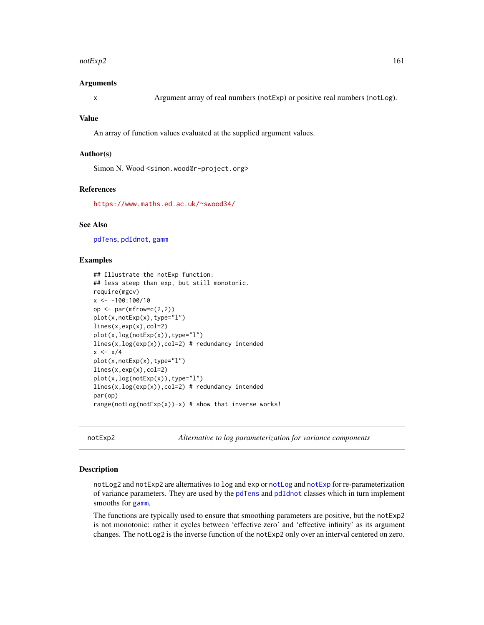### $\mu$ notExp2 161

## Arguments

x Argument array of real numbers (notExp) or positive real numbers (notLog).

#### Value

An array of function values evaluated at the supplied argument values.

#### Author(s)

Simon N. Wood <simon.wood@r-project.org>

#### References

<https://www.maths.ed.ac.uk/~swood34/>

# See Also

[pdTens](#page-171-0), [pdIdnot](#page-169-0), [gamm](#page-91-0)

## Examples

```
## Illustrate the notExp function:
## less steep than exp, but still monotonic.
require(mgcv)
x \le -100:100/10op \leq par(mfrow=c(2,2))
plot(x,notExp(x),type="l")
lines(x,exp(x),col=2)
plot(x,log(notExp(x)),type="l")
lines(x, log(exp(x)), col=2) # redundancy intended
x \leftarrow x/4plot(x,notExp(x),type="l")
lines(x,exp(x),col=2)
plot(x,log(notExp(x)),type="l")
lines(x, log(exp(x)), col=2) # redundancy intended
par(op)
range(notLog(notExp(x))-x) # show that inverse works!
```
<span id="page-160-0"></span>notExp2 *Alternative to log parameterization for variance components*

#### <span id="page-160-1"></span>Description

notLog2 and notExp2 are alternatives to log and exp or [notLog](#page-159-0) and [notExp](#page-159-1) for re-parameterization of variance parameters. They are used by the [pdTens](#page-171-0) and [pdIdnot](#page-169-0) classes which in turn implement smooths for [gamm](#page-91-0).

The functions are typically used to ensure that smoothing parameters are positive, but the notExp2 is not monotonic: rather it cycles between 'effective zero' and 'effective infinity' as its argument changes. The notLog2 is the inverse function of the notExp2 only over an interval centered on zero.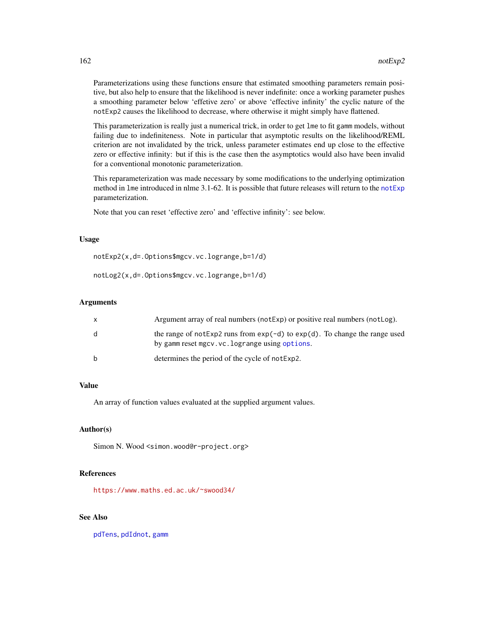Parameterizations using these functions ensure that estimated smoothing parameters remain positive, but also help to ensure that the likelihood is never indefinite: once a working parameter pushes a smoothing parameter below 'effetive zero' or above 'effective infinity' the cyclic nature of the notExp2 causes the likelihood to decrease, where otherwise it might simply have flattened.

This parameterization is really just a numerical trick, in order to get lme to fit gamm models, without failing due to indefiniteness. Note in particular that asymptotic results on the likelihood/REML criterion are not invalidated by the trick, unless parameter estimates end up close to the effective zero or effective infinity: but if this is the case then the asymptotics would also have been invalid for a conventional monotonic parameterization.

This reparameterization was made necessary by some modifications to the underlying optimization method in lme introduced in nlme 3.1-62. It is possible that future releases will return to the [notExp](#page-159-1) parameterization.

Note that you can reset 'effective zero' and 'effective infinity': see below.

## Usage

notExp2(x,d=.Options\$mgcv.vc.logrange,b=1/d)

notLog2(x,d=.Options\$mgcv.vc.logrange,b=1/d)

## Arguments

| X | Argument array of real numbers (not Exp) or positive real numbers (not Log).                                                      |
|---|-----------------------------------------------------------------------------------------------------------------------------------|
| d | the range of not Exp2 runs from $exp(-d)$ to $exp(d)$ . To change the range used<br>by gamm reset mgcv.vc.logrange using options. |
| b | determines the period of the cycle of not Exp2.                                                                                   |

# Value

An array of function values evaluated at the supplied argument values.

# Author(s)

Simon N. Wood <simon.wood@r-project.org>

# References

<https://www.maths.ed.ac.uk/~swood34/>

# See Also

[pdTens](#page-171-0), [pdIdnot](#page-169-0), [gamm](#page-91-0)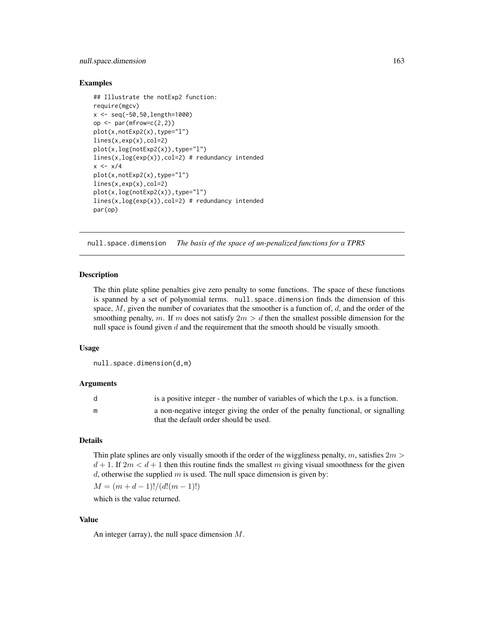# null.space.dimension 163

# Examples

```
## Illustrate the notExp2 function:
require(mgcv)
x <- seq(-50,50,length=1000)
op \leq par(mfrow=c(2,2))
plot(x,notExp2(x),type="l")
lines(x,exp(x),col=2)
plot(x,log(notExp2(x)),type="l")
lines(x,log(exp(x)),col=2) # redundancy intended
x \leftarrow x/4plot(x,notExp2(x),type="l")
lines(x,exp(x),col=2)
plot(x,log(notExp2(x)),type="l")
lines(x, log(exp(x)), col=2) # redundancy intended
par(op)
```
null.space.dimension *The basis of the space of un-penalized functions for a TPRS*

# **Description**

The thin plate spline penalties give zero penalty to some functions. The space of these functions is spanned by a set of polynomial terms. null.space.dimension finds the dimension of this space,  $M$ , given the number of covariates that the smoother is a function of,  $d$ , and the order of the smoothing penalty, m. If m does not satisfy  $2m > d$  then the smallest possible dimension for the null space is found given  $d$  and the requirement that the smooth should be visually smooth.

## Usage

null.space.dimension(d,m)

## Arguments

| d | is a positive integer - the number of variables of which the t.p.s. is a function.                                         |
|---|----------------------------------------------------------------------------------------------------------------------------|
| m | a non-negative integer giving the order of the penalty functional, or signalling<br>that the default order should be used. |

# Details

Thin plate splines are only visually smooth if the order of the wiggliness penalty, m, satisfies  $2m >$  $d+1$ . If  $2m < d+1$  then this routine finds the smallest m giving visual smoothness for the given d, otherwise the supplied  $m$  is used. The null space dimension is given by:

 $M = (m + d - 1)!/(d!(m - 1)!)$ 

which is the value returned.

# Value

An integer (array), the null space dimension M.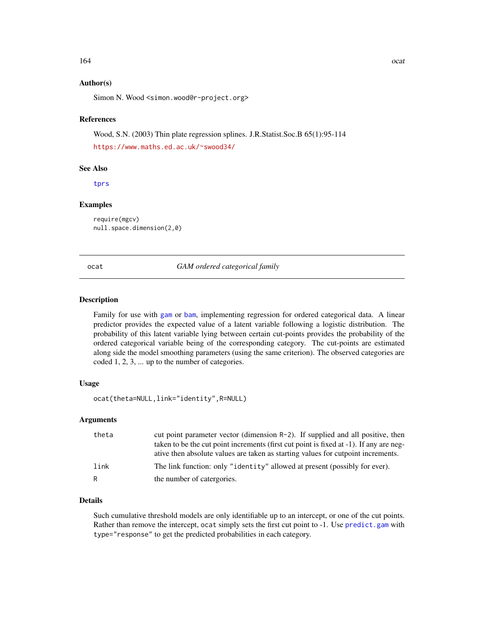# Author(s)

Simon N. Wood <simon.wood@r-project.org>

## References

Wood, S.N. (2003) Thin plate regression splines. J.R.Statist.Soc.B 65(1):95-114

<https://www.maths.ed.ac.uk/~swood34/>

## See Also

[tprs](#page-262-0)

# Examples

require(mgcv) null.space.dimension(2,0)

<span id="page-163-0"></span>ocat *GAM ordered categorical family*

## Description

Family for use with [gam](#page-47-0) or [bam](#page-6-0), implementing regression for ordered categorical data. A linear predictor provides the expected value of a latent variable following a logistic distribution. The probability of this latent variable lying between certain cut-points provides the probability of the ordered categorical variable being of the corresponding category. The cut-points are estimated along side the model smoothing parameters (using the same criterion). The observed categories are coded 1, 2, 3, ... up to the number of categories.

# Usage

```
ocat(theta=NULL,link="identity",R=NULL)
```
## Arguments

| theta | cut point parameter vector (dimension $R-2$ ). If supplied and all positive, then<br>taken to be the cut point increments (first cut point is fixed at -1). If any are neg- |
|-------|-----------------------------------------------------------------------------------------------------------------------------------------------------------------------------|
|       | ative then absolute values are taken as starting values for cutpoint increments.                                                                                            |
| link  | The link function: only "identity" allowed at present (possibly for ever).                                                                                                  |
| R     | the number of catergories.                                                                                                                                                  |

# Details

Such cumulative threshold models are only identifiable up to an intercept, or one of the cut points. Rather than remove the intercept, ocat simply sets the first cut point to -1. Use [predict.gam](#page-184-0) with type="response" to get the predicted probabilities in each category.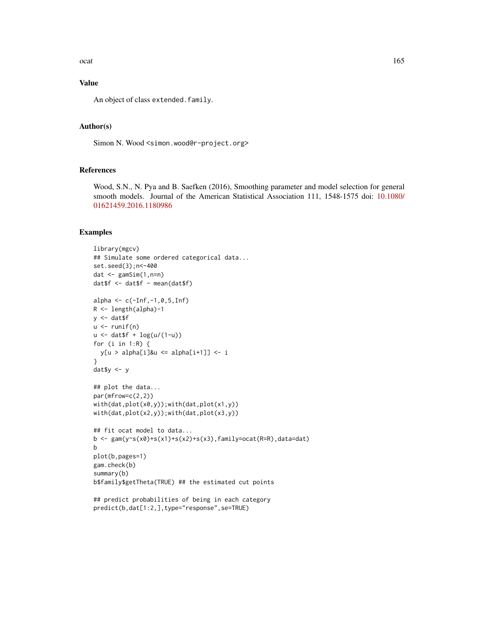ocat and the contract of the contract of the contract of the contract of the contract of the contract of the contract of the contract of the contract of the contract of the contract of the contract of the contract of the c

# Value

An object of class extended.family.

# Author(s)

Simon N. Wood <simon.wood@r-project.org>

# References

Wood, S.N., N. Pya and B. Saefken (2016), Smoothing parameter and model selection for general smooth models. Journal of the American Statistical Association 111, 1548-1575 doi: [10.1080/](https://doi.org/10.1080/01621459.2016.1180986) [01621459.2016.1180986](https://doi.org/10.1080/01621459.2016.1180986)

## Examples

```
library(mgcv)
## Simulate some ordered categorical data...
set.seed(3);n<-400
dat \leq gamSim(1, n=n)dat$f <- dat$f - mean(dat$f)
alpha <- c(-Inf,-1,0,5,Inf)
R <- length(alpha)-1
y \le - dat$f
u \leftarrow runif(n)u \le - dat$f + \log(u/(1-u))for (i in 1:R) {
  y[u > alpha[i]\&u \le alpha[i+1]] <- i
}
dat$y <- y
## plot the data...
par(mfrow=c(2,2))
with(dat,plot(x0,y));with(dat,plot(x1,y))
with(dat,plot(x2,y));with(dat,plot(x3,y))
## fit ocat model to data...
b <- gam(y~s(x0)+s(x1)+s(x2)+s(x3),family=ocat(R=R),data=dat)
b
plot(b,pages=1)
gam.check(b)
summary(b)
b$family$getTheta(TRUE) ## the estimated cut points
## predict probabilities of being in each category
```
predict(b,dat[1:2,],type="response",se=TRUE)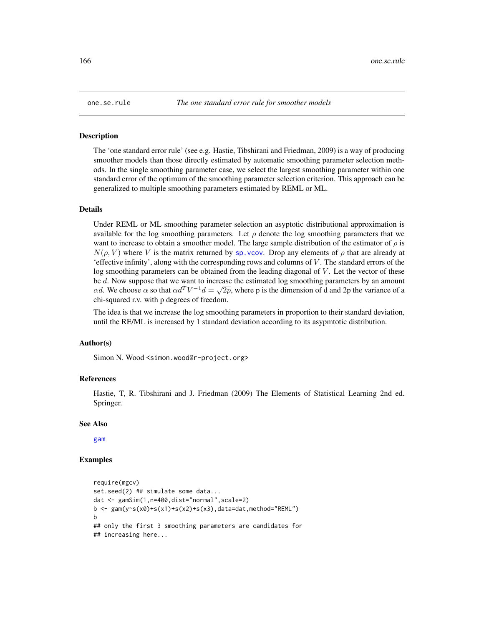## Description

The 'one standard error rule' (see e.g. Hastie, Tibshirani and Friedman, 2009) is a way of producing smoother models than those directly estimated by automatic smoothing parameter selection methods. In the single smoothing parameter case, we select the largest smoothing parameter within one standard error of the optimum of the smoothing parameter selection criterion. This approach can be generalized to multiple smoothing parameters estimated by REML or ML.

#### Details

Under REML or ML smoothing parameter selection an asyptotic distributional approximation is available for the log smoothing parameters. Let  $\rho$  denote the log smoothing parameters that we want to increase to obtain a smoother model. The large sample distribution of the estimator of  $\rho$  is  $N(\rho, V)$  where V is the matrix returned by sp. vcov. Drop any elements of  $\rho$  that are already at 'effective infinity', along with the corresponding rows and columns of  $V$ . The standard errors of the log smoothing parameters can be obtained from the leading diagonal of V. Let the vector of these be d. Now suppose that we want to increase the estimated log smoothing parameters by an amount αd. We choose α so that  $\alpha d^T V^{-1} d = \sqrt{2p}$ , where p is the dimension of d and 2p the variance of a chi-squared r.v. with p degrees of freedom.

The idea is that we increase the log smoothing parameters in proportion to their standard deviation, until the RE/ML is increased by 1 standard deviation according to its asypmtotic distribution.

## Author(s)

Simon N. Wood <simon.wood@r-project.org>

#### References

Hastie, T, R. Tibshirani and J. Friedman (2009) The Elements of Statistical Learning 2nd ed. Springer.

#### See Also

[gam](#page-47-0)

# Examples

```
require(mgcv)
set.seed(2) ## simulate some data...
dat <- gamSim(1,n=400,dist="normal",scale=2)
b \leq gam(y~s(x0)+s(x1)+s(x2)+s(x3),data=dat,method="REML")
b
## only the first 3 smoothing parameters are candidates for
## increasing here...
```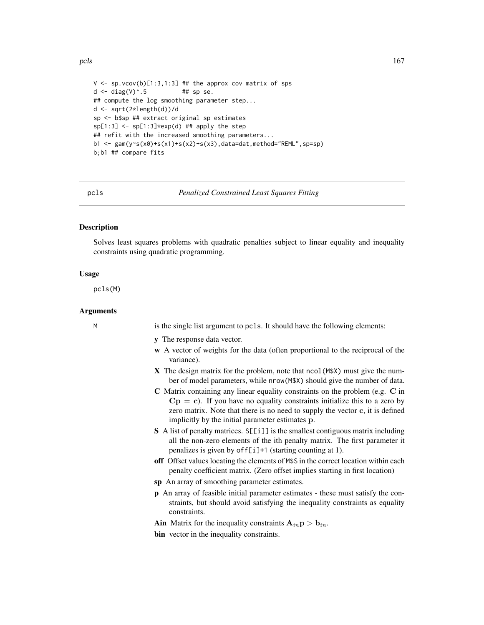pcls and the set of the set of the set of the set of the set of the set of the set of the set of the set of the set of the set of the set of the set of the set of the set of the set of the set of the set of the set of the

```
V \leq -sp.vcov(b)[1:3,1:3] ## the approx cov matrix of sps
d \le diag(V)\triangle.5 ## sp se.
## compute the log smoothing parameter step...
d <- sqrt(2*length(d))/d
sp <- b$sp ## extract original sp estimates
sp[1:3] \leftarrow sp[1:3] \times exp(d) \## apply the step## refit with the increased smoothing parameters...
b1 <- gam(y~s(x0)+s(x1)+s(x2)+s(x3),data=dat,method="REML",sp=sp)
b;b1 ## compare fits
```
<span id="page-166-0"></span>

pcls *Penalized Constrained Least Squares Fitting*

# **Description**

Solves least squares problems with quadratic penalties subject to linear equality and inequality constraints using quadratic programming.

## Usage

pcls(M)

# Arguments

M is the single list argument to pcls. It should have the following elements:

- y The response data vector.
- w A vector of weights for the data (often proportional to the reciprocal of the variance).
- X The design matrix for the problem, note that ncol(M\$X) must give the number of model parameters, while nrow(M\$X) should give the number of data.
- C Matrix containing any linear equality constraints on the problem (e.g. C in  $Cp = c$ ). If you have no equality constraints initialize this to a zero by zero matrix. Note that there is no need to supply the vector c, it is defined implicitly by the initial parameter estimates p.
- S A list of penalty matrices. S[[i]] is the smallest contiguous matrix including all the non-zero elements of the ith penalty matrix. The first parameter it penalizes is given by off[i]+1 (starting counting at 1).
- off Offset values locating the elements of M\$S in the correct location within each penalty coefficient matrix. (Zero offset implies starting in first location)
- sp An array of smoothing parameter estimates.
- p An array of feasible initial parameter estimates these must satisfy the constraints, but should avoid satisfying the inequality constraints as equality constraints.
- Ain Matrix for the inequality constraints  $A_{in}p > b_{in}$ .
- bin vector in the inequality constraints.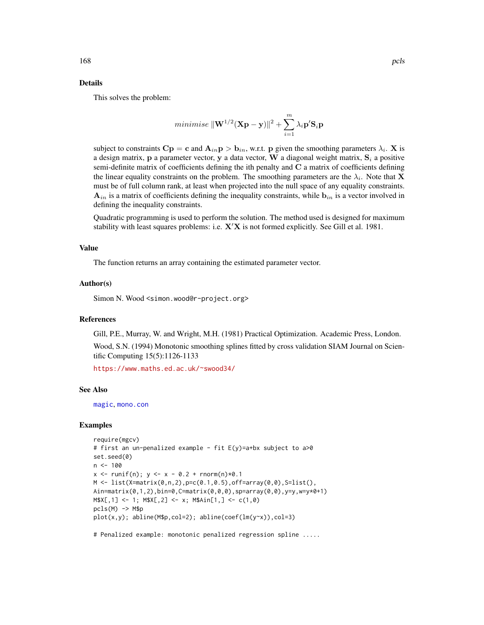## Details

This solves the problem:

$$
\textit{minimise } \|\mathbf{W}^{1/2}(\mathbf{X}\mathbf{p}-\mathbf{y})\|^2 + \sum_{i=1}^{m} \lambda_i \mathbf{p}' \mathbf{S}_i \mathbf{p}
$$

subject to constraints  $\mathbf{Cp} = \mathbf{c}$  and  $\mathbf{A}_{in} \mathbf{p} > \mathbf{b}_{in}$ , w.r.t. p given the smoothing parameters  $\lambda_i$ . X is a design matrix, p a parameter vector, y a data vector, W a diagonal weight matrix,  $S_i$  a positive semi-definite matrix of coefficients defining the ith penalty and  $C$  a matrix of coefficients defining the linear equality constraints on the problem. The smoothing parameters are the  $\lambda_i$ . Note that **X** must be of full column rank, at least when projected into the null space of any equality constraints.  $A_{in}$  is a matrix of coefficients defining the inequality constraints, while  $b_{in}$  is a vector involved in defining the inequality constraints.

Quadratic programming is used to perform the solution. The method used is designed for maximum stability with least squares problems: i.e.  $X'X$  is not formed explicitly. See Gill et al. 1981.

## Value

The function returns an array containing the estimated parameter vector.

# Author(s)

Simon N. Wood <simon.wood@r-project.org>

# **References**

Gill, P.E., Murray, W. and Wright, M.H. (1981) Practical Optimization. Academic Press, London.

Wood, S.N. (1994) Monotonic smoothing splines fitted by cross validation SIAM Journal on Scientific Computing 15(5):1126-1133

<https://www.maths.ed.ac.uk/~swood34/>

## See Also

[magic](#page-135-0), [mono.con](#page-150-0)

## Examples

```
require(mgcv)
# first an un-penalized example - fit E(y)=a+bx subject to a>0
set.seed(0)
n < -100x \le - runif(n); y \le -x - 0.2 + rnorm(n) *0.1M \leftarrow list(X=matrix(0, n, 2), p=c(0.1, 0.5), off=array(0, 0), S=list(),Ain=matrix(0,1,2),bin=0,C=matrix(0,0,0),sp=array(0,0),y=y,w=y*0+1)
M$X[,1] < -1; M$X[,2] < -x; M$Ain[1,] < -c(1,0)pcls(M) \rightarrow M$pplot(x,y); abline(M$p,col=2); abline(coef(lm(y~x)),col=3)
```
# Penalized example: monotonic penalized regression spline .....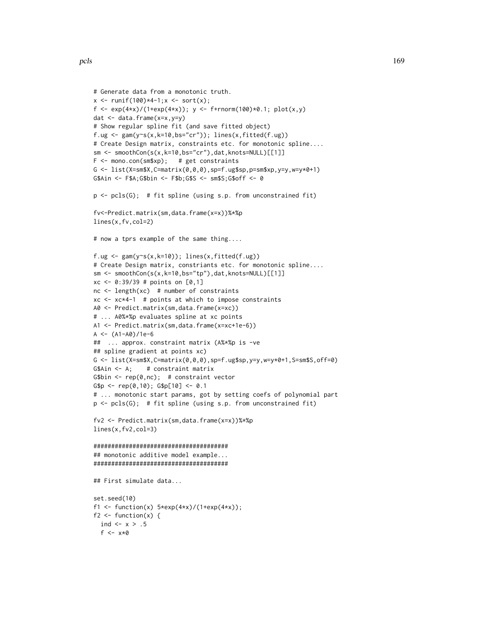```
# Generate data from a monotonic truth.
x \le runif(100)*4-1;x \le sort(x);
f <- exp(4*x)/(1+exp(4*x)); y <- f+rnorm(100)*0.1; plot(x,y)
dat <- data.frame(x=x,y=y)
# Show regular spline fit (and save fitted object)
f.ug \leq gam(y\leq(x,k=10,bs="cr")); lines(x,fitted(f.ug))
# Create Design matrix, constraints etc. for monotonic spline....
sm <- smoothCon(s(x,k=10,bs="cr"),dat,knots=NULL)[[1]]
F \leq - mono.con(sm$xp); # get constraints
G \leq list(X=sm$X,C=matrix(0,0,0),sp=f.ug$sp,p=sm$xp,y=y,w=y*0+1)
G$Ain <- F$A;G$bin <- F$b;G$S <- sm$S;G$off <- 0
p \leftarrow \text{pcls}(G); # fit spline (using s.p. from unconstrained fit)
fv<-Predict.matrix(sm,data.frame(x=x))%*%p
lines(x,fv,col=2)
# now a tprs example of the same thing....
f.ug \leq gam(y~s(x,k=10)); lines(x,fitted(f.ug))
# Create Design matrix, constriants etc. for monotonic spline....
sm \leftarrow smoothCon(s(x, k=10, bs="tp"), dat, knots=NULL)[[1]]
xc \le 0:39/39 # points on [0,1]nc < - length(xc) # number of constraints
xc <- xc*4-1 # points at which to impose constraints
A0 <- Predict.matrix(sm,data.frame(x=xc))
# ... A0%*%p evaluates spline at xc points
A1 <- Predict.matrix(sm,data.frame(x=xc+1e-6))
A < - (A1 - A0)/1e-6## ... approx. constraint matrix (A%*%p is -ve
## spline gradient at points xc)
G \le list(X=sm$X,C=matrix(0,0,0),sp=f.ug$sp,y=y,w=y*0+1,S=sm$S,off=0)
G$Ain <- A; # constraint matrix
G$bin \leq rep(0,nc); # constraint vector
G$p <- rep(0,10); G$p[10] <- 0.1
# ... monotonic start params, got by setting coefs of polynomial part
p \leftarrow \text{pcls}(G); # fit spline (using s.p. from unconstrained fit)
fv2 <- Predict.matrix(sm,data.frame(x=x))%*%p
lines(x,fv2,col=3)
######################################
## monotonic additive model example...
######################################
## First simulate data...
set.seed(10)
f1 <- function(x) 5*exp(4*x)/(1+exp(4*x));
f2 \leftarrow function(x) {
  ind \leftarrow x > .5
  f <-x*0
```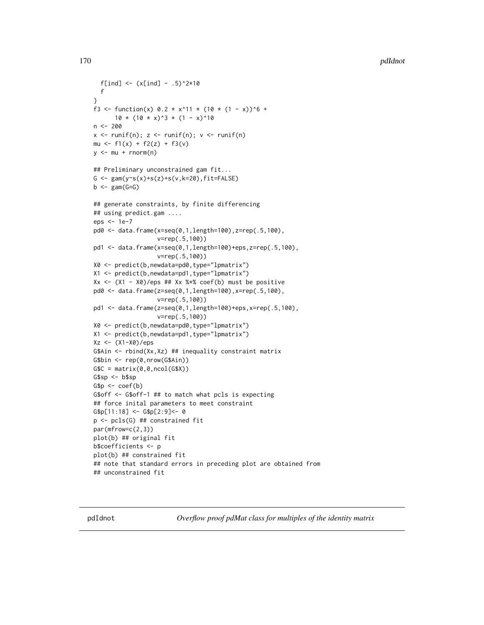```
f[ind] <- (x[ind] - .5)^2*10
  f
}
f3 <- function(x) 0.2 \times x^11 \times (10 \times (1 - x))^6 +10 \times (10 \times x)^3 \times (1 - x)^10n < -200x \leftarrow runif(n); z \leftarrow runif(n); v \leftarrow runif(n)mu <- f1(x) + f2(z) + f3(v)
y \le -mu + rnorm(n)## Preliminary unconstrained gam fit...
G \le gam(y\les(x)+s(z)+s(v,k=20),fit=FALSE)
b \leq - gam(G=G)## generate constraints, by finite differencing
## using predict.gam ....
eps <- 1e-7
pd0 <- data.frame(x=seq(0,1,length=100),z=rep(.5,100),
                   v=rep(.5,100))
pd1 <- data.frame(x=seq(0,1,length=100)+eps,z=rep(.5,100),
                   v=rep(.5,100))
X0 <- predict(b,newdata=pd0,type="lpmatrix")
X1 <- predict(b,newdata=pd1,type="lpmatrix")
Xx \leftarrow (X1 - X0)/eps ## Xx %* coef(b) must be positive
pd0 <- data.frame(z=seq(0,1,length=100),x=rep(.5,100),
                   v=rep(.5,100))
pd1 <- data.frame(z=seq(0,1,length=100)+eps,x=rep(.5,100),
                   v=rep(.5,100))
X0 <- predict(b,newdata=pd0,type="lpmatrix")
X1 <- predict(b,newdata=pd1,type="lpmatrix")
Xz <- (X1-X0)/eps
G$Ain <- rbind(Xx,Xz) ## inequality constraint matrix
G$bin <- rep(0,nrow(G$Ain))
GSC = matrix(0, 0, ncol(G$X))G$sp <- b$sp
Gsp \leftarrow coef(b)G$off <- G$off-1 ## to match what pcls is expecting
## force inital parameters to meet constraint
G$p[11:18] <- G$p[2:9]<- 0
p <- pcls(G) ## constrained fit
par(mfrow=c(2,3))
plot(b) ## original fit
b$coefficients <- p
plot(b) ## constrained fit
## note that standard errors in preceding plot are obtained from
## unconstrained fit
```
<span id="page-169-0"></span>pdIdnot *Overflow proof pdMat class for multiples of the identity matrix*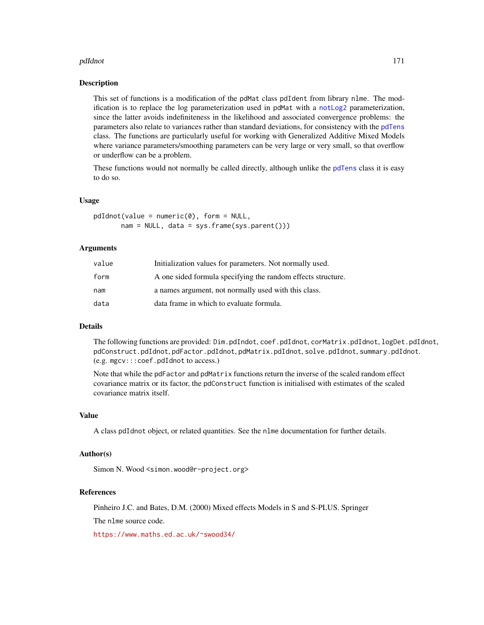## pdIdnot 171

## **Description**

This set of functions is a modification of the pdMat class pdIdent from library nlme. The modification is to replace the log parameterization used in pdMat with a [notLog2](#page-160-1) parameterization, since the latter avoids indefiniteness in the likelihood and associated convergence problems: the parameters also relate to variances rather than standard deviations, for consistency with the [pdTens](#page-171-0) class. The functions are particularly useful for working with Generalized Additive Mixed Models where variance parameters/smoothing parameters can be very large or very small, so that overflow or underflow can be a problem.

These functions would not normally be called directly, although unlike the [pdTens](#page-171-0) class it is easy to do so.

## Usage

 $pdfednot(value = numeric(0), form = NULL,$ nam = NULL, data = sys.frame(sys.parent()))

# Arguments

| value | Initialization values for parameters. Not normally used.     |
|-------|--------------------------------------------------------------|
| form  | A one sided formula specifying the random effects structure. |
| nam   | a names argument, not normally used with this class.         |
| data  | data frame in which to evaluate formula.                     |

## Details

The following functions are provided: Dim.pdIndot, coef.pdIdnot, corMatrix.pdIdnot, logDet.pdIdnot, pdConstruct.pdIdnot, pdFactor.pdIdnot, pdMatrix.pdIdnot, solve.pdIdnot, summary.pdIdnot. (e.g. mgcv:::coef.pdIdnot to access.)

Note that while the pdFactor and pdMatrix functions return the inverse of the scaled random effect covariance matrix or its factor, the pdConstruct function is initialised with estimates of the scaled covariance matrix itself.

# Value

A class pdIdnot object, or related quantities. See the nlme documentation for further details.

#### Author(s)

Simon N. Wood <simon.wood@r-project.org>

## References

Pinheiro J.C. and Bates, D.M. (2000) Mixed effects Models in S and S-PLUS. Springer

The nlme source code.

<https://www.maths.ed.ac.uk/~swood34/>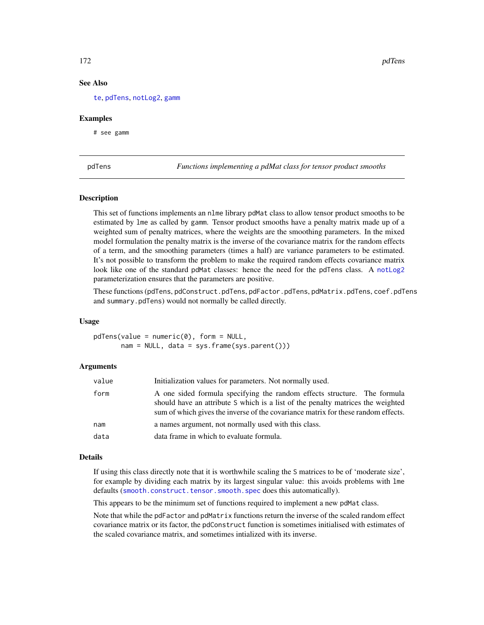# See Also

[te](#page-287-0), [pdTens](#page-171-0), [notLog2](#page-160-1), [gamm](#page-91-0)

## Examples

# see gamm

<span id="page-171-0"></span>pdTens *Functions implementing a pdMat class for tensor product smooths*

## **Description**

This set of functions implements an nlme library pdMat class to allow tensor product smooths to be estimated by lme as called by gamm. Tensor product smooths have a penalty matrix made up of a weighted sum of penalty matrices, where the weights are the smoothing parameters. In the mixed model formulation the penalty matrix is the inverse of the covariance matrix for the random effects of a term, and the smoothing parameters (times a half) are variance parameters to be estimated. It's not possible to transform the problem to make the required random effects covariance matrix look like one of the standard pdMat classes: hence the need for the pdTens class. A [notLog2](#page-160-1) parameterization ensures that the parameters are positive.

These functions (pdTens, pdConstruct.pdTens, pdFactor.pdTens, pdMatrix.pdTens, coef.pdTens and summary.pdTens) would not normally be called directly.

# Usage

 $pdfens(value = numeric(0), form = NULL,$  $nam = NULL$ , data = sys.frame(sys.parent()))

#### Arguments

| value | Initialization values for parameters. Not normally used.                                                                                                                                                                                         |
|-------|--------------------------------------------------------------------------------------------------------------------------------------------------------------------------------------------------------------------------------------------------|
| form  | A one sided formula specifying the random effects structure. The formula<br>should have an attribute S which is a list of the penalty matrices the weighted<br>sum of which gives the inverse of the covariance matrix for these random effects. |
| nam   | a names argument, not normally used with this class.                                                                                                                                                                                             |
| data  | data frame in which to evaluate formula.                                                                                                                                                                                                         |

# Details

If using this class directly note that it is worthwhile scaling the S matrices to be of 'moderate size', for example by dividing each matrix by its largest singular value: this avoids problems with lme defaults ([smooth.construct.tensor.smooth.spec](#page-261-0) does this automatically).

This appears to be the minimum set of functions required to implement a new pdMat class.

Note that while the pdFactor and pdMatrix functions return the inverse of the scaled random effect covariance matrix or its factor, the pdConstruct function is sometimes initialised with estimates of the scaled covariance matrix, and sometimes intialized with its inverse.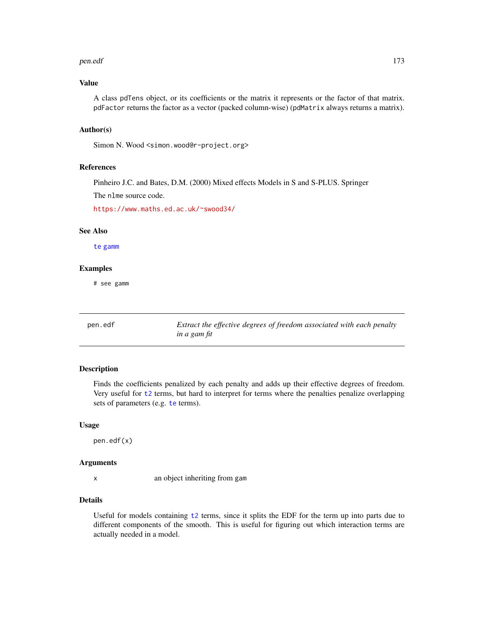### pen.edf 173

# Value

A class pdTens object, or its coefficients or the matrix it represents or the factor of that matrix. pdFactor returns the factor as a vector (packed column-wise) (pdMatrix always returns a matrix).

# Author(s)

Simon N. Wood <simon.wood@r-project.org>

# References

Pinheiro J.C. and Bates, D.M. (2000) Mixed effects Models in S and S-PLUS. Springer

The nlme source code.

<https://www.maths.ed.ac.uk/~swood34/>

## See Also

[te](#page-287-0) [gamm](#page-91-0)

## Examples

# see gamm

pen.edf *Extract the effective degrees of freedom associated with each penalty in a gam fit*

# Description

Finds the coefficients penalized by each penalty and adds up their effective degrees of freedom. Very useful for [t2](#page-282-0) terms, but hard to interpret for terms where the penalties penalize overlapping sets of parameters (e.g. [te](#page-287-0) terms).

#### Usage

pen.edf(x)

## Arguments

x an object inheriting from gam

# Details

Useful for models containing [t2](#page-282-0) terms, since it splits the EDF for the term up into parts due to different components of the smooth. This is useful for figuring out which interaction terms are actually needed in a model.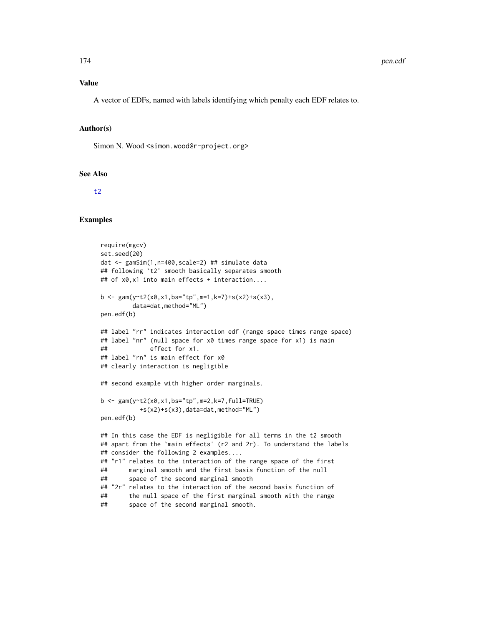#### Value

A vector of EDFs, named with labels identifying which penalty each EDF relates to.

# Author(s)

Simon N. Wood <simon.wood@r-project.org>

# See Also

[t2](#page-282-0)

# Examples

```
require(mgcv)
set.seed(20)
dat <- gamSim(1,n=400,scale=2) ## simulate data
## following `t2' smooth basically separates smooth
## of x0,x1 into main effects + interaction....
b <- gam(y~t2(x0,x1,bs="tp",m=1,k=7)+s(x2)+s(x3),
         data=dat,method="ML")
pen.edf(b)
## label "rr" indicates interaction edf (range space times range space)
## label "nr" (null space for x0 times range space for x1) is main
## effect for x1.
## label "rn" is main effect for x0
## clearly interaction is negligible
## second example with higher order marginals.
b \leq gam(y~t2(x0,x1,bs="tp",m=2,k=7,full=TRUE)
          +s(x2)+s(x3),data=dat,method="ML")
pen.edf(b)
## In this case the EDF is negligible for all terms in the t2 smooth
## apart from the `main effects' (r2 and 2r). To understand the labels
## consider the following 2 examples....
## "r1" relates to the interaction of the range space of the first
## marginal smooth and the first basis function of the null
## space of the second marginal smooth
## "2r" relates to the interaction of the second basis function of
## the null space of the first marginal smooth with the range
## space of the second marginal smooth.
```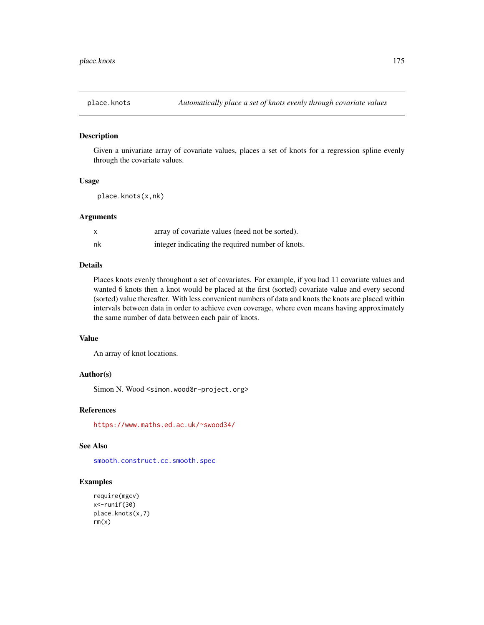## Description

Given a univariate array of covariate values, places a set of knots for a regression spline evenly through the covariate values.

## Usage

place.knots(x,nk)

# Arguments

|    | array of covariate values (need not be sorted).  |
|----|--------------------------------------------------|
| nk | integer indicating the required number of knots. |

# Details

Places knots evenly throughout a set of covariates. For example, if you had 11 covariate values and wanted 6 knots then a knot would be placed at the first (sorted) covariate value and every second (sorted) value thereafter. With less convenient numbers of data and knots the knots are placed within intervals between data in order to achieve even coverage, where even means having approximately the same number of data between each pair of knots.

# Value

An array of knot locations.

## Author(s)

Simon N. Wood <simon.wood@r-project.org>

## References

<https://www.maths.ed.ac.uk/~swood34/>

## See Also

[smooth.construct.cc.smooth.spec](#page-233-0)

# Examples

```
require(mgcv)
x<-runif(30)
place.knots(x,7)
rm(x)
```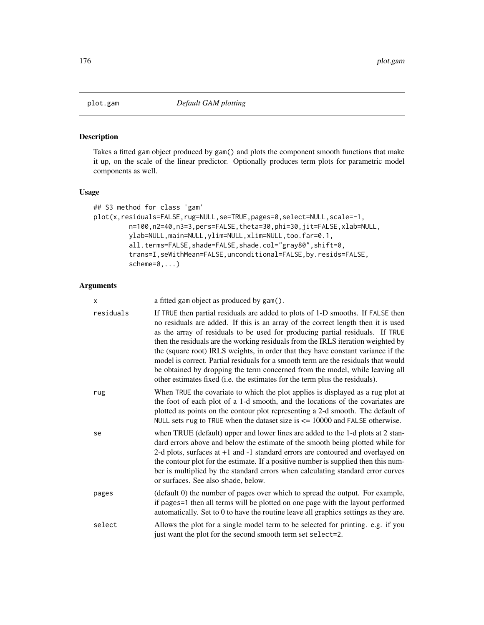# Description

Takes a fitted gam object produced by gam() and plots the component smooth functions that make it up, on the scale of the linear predictor. Optionally produces term plots for parametric model components as well.

# Usage

```
## S3 method for class 'gam'
plot(x,residuals=FALSE,rug=NULL,se=TRUE,pages=0,select=NULL,scale=-1,
         n=100,n2=40,n3=3,pers=FALSE,theta=30,phi=30,jit=FALSE,xlab=NULL,
         ylab=NULL,main=NULL,ylim=NULL,xlim=NULL,too.far=0.1,
         all.terms=FALSE,shade=FALSE,shade.col="gray80",shift=0,
         trans=I,seWithMean=FALSE,unconditional=FALSE,by.resids=FALSE,
         scheme=0,...)
```
# Arguments

| X         | a fitted gam object as produced by gam().                                                                                                                                                                                                                                                                                                                                                                                                                                                                                                                                                                                                                                          |
|-----------|------------------------------------------------------------------------------------------------------------------------------------------------------------------------------------------------------------------------------------------------------------------------------------------------------------------------------------------------------------------------------------------------------------------------------------------------------------------------------------------------------------------------------------------------------------------------------------------------------------------------------------------------------------------------------------|
| residuals | If TRUE then partial residuals are added to plots of 1-D smooths. If FALSE then<br>no residuals are added. If this is an array of the correct length then it is used<br>as the array of residuals to be used for producing partial residuals. If TRUE<br>then the residuals are the working residuals from the IRLS iteration weighted by<br>the (square root) IRLS weights, in order that they have constant variance if the<br>model is correct. Partial residuals for a smooth term are the residuals that would<br>be obtained by dropping the term concerned from the model, while leaving all<br>other estimates fixed (i.e. the estimates for the term plus the residuals). |
| rug       | When TRUE the covariate to which the plot applies is displayed as a rug plot at<br>the foot of each plot of a 1-d smooth, and the locations of the covariates are<br>plotted as points on the contour plot representing a 2-d smooth. The default of<br>NULL sets rug to TRUE when the dataset size is $\leq$ 10000 and FALSE otherwise.                                                                                                                                                                                                                                                                                                                                           |
| se        | when TRUE (default) upper and lower lines are added to the 1-d plots at 2 stan-<br>dard errors above and below the estimate of the smooth being plotted while for<br>2-d plots, surfaces at +1 and -1 standard errors are contoured and overlayed on<br>the contour plot for the estimate. If a positive number is supplied then this num-<br>ber is multiplied by the standard errors when calculating standard error curves<br>or surfaces. See also shade, below.                                                                                                                                                                                                               |
| pages     | (default 0) the number of pages over which to spread the output. For example,<br>if pages=1 then all terms will be plotted on one page with the layout performed<br>automatically. Set to 0 to have the routine leave all graphics settings as they are.                                                                                                                                                                                                                                                                                                                                                                                                                           |
| select    | Allows the plot for a single model term to be selected for printing. e.g. if you<br>just want the plot for the second smooth term set select=2.                                                                                                                                                                                                                                                                                                                                                                                                                                                                                                                                    |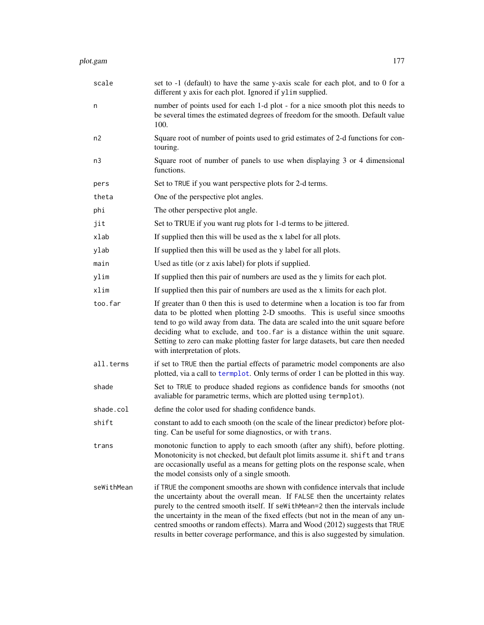| scale      | set to -1 (default) to have the same y-axis scale for each plot, and to 0 for a<br>different y axis for each plot. Ignored if ylim supplied.                                                                                                                                                                                                                                                                                                                                                                |
|------------|-------------------------------------------------------------------------------------------------------------------------------------------------------------------------------------------------------------------------------------------------------------------------------------------------------------------------------------------------------------------------------------------------------------------------------------------------------------------------------------------------------------|
| n          | number of points used for each 1-d plot - for a nice smooth plot this needs to<br>be several times the estimated degrees of freedom for the smooth. Default value<br>100.                                                                                                                                                                                                                                                                                                                                   |
| n2         | Square root of number of points used to grid estimates of 2-d functions for con-<br>touring.                                                                                                                                                                                                                                                                                                                                                                                                                |
| n3         | Square root of number of panels to use when displaying 3 or 4 dimensional<br>functions.                                                                                                                                                                                                                                                                                                                                                                                                                     |
| pers       | Set to TRUE if you want perspective plots for 2-d terms.                                                                                                                                                                                                                                                                                                                                                                                                                                                    |
| theta      | One of the perspective plot angles.                                                                                                                                                                                                                                                                                                                                                                                                                                                                         |
| phi        | The other perspective plot angle.                                                                                                                                                                                                                                                                                                                                                                                                                                                                           |
| jit        | Set to TRUE if you want rug plots for 1-d terms to be jittered.                                                                                                                                                                                                                                                                                                                                                                                                                                             |
| xlab       | If supplied then this will be used as the x label for all plots.                                                                                                                                                                                                                                                                                                                                                                                                                                            |
| ylab       | If supplied then this will be used as the y label for all plots.                                                                                                                                                                                                                                                                                                                                                                                                                                            |
| main       | Used as title (or z axis label) for plots if supplied.                                                                                                                                                                                                                                                                                                                                                                                                                                                      |
| ylim       | If supplied then this pair of numbers are used as the y limits for each plot.                                                                                                                                                                                                                                                                                                                                                                                                                               |
| xlim       | If supplied then this pair of numbers are used as the x limits for each plot.                                                                                                                                                                                                                                                                                                                                                                                                                               |
| too.far    | If greater than 0 then this is used to determine when a location is too far from<br>data to be plotted when plotting 2-D smooths. This is useful since smooths<br>tend to go wild away from data. The data are scaled into the unit square before<br>deciding what to exclude, and too. far is a distance within the unit square.<br>Setting to zero can make plotting faster for large datasets, but care then needed<br>with interpretation of plots.                                                     |
| all.terms  | if set to TRUE then the partial effects of parametric model components are also<br>plotted, via a call to termplot. Only terms of order 1 can be plotted in this way.                                                                                                                                                                                                                                                                                                                                       |
| shade      | Set to TRUE to produce shaded regions as confidence bands for smooths (not<br>avaliable for parametric terms, which are plotted using termplot).                                                                                                                                                                                                                                                                                                                                                            |
| shade.col  | define the color used for shading confidence bands.                                                                                                                                                                                                                                                                                                                                                                                                                                                         |
| shift      | constant to add to each smooth (on the scale of the linear predictor) before plot-<br>ting. Can be useful for some diagnostics, or with trans.                                                                                                                                                                                                                                                                                                                                                              |
| trans      | monotonic function to apply to each smooth (after any shift), before plotting.<br>Monotonicity is not checked, but default plot limits assume it. shift and trans<br>are occasionally useful as a means for getting plots on the response scale, when<br>the model consists only of a single smooth.                                                                                                                                                                                                        |
| seWithMean | if TRUE the component smooths are shown with confidence intervals that include<br>the uncertainty about the overall mean. If FALSE then the uncertainty relates<br>purely to the centred smooth itself. If seWithMean=2 then the intervals include<br>the uncertainty in the mean of the fixed effects (but not in the mean of any un-<br>centred smooths or random effects). Marra and Wood (2012) suggests that TRUE<br>results in better coverage performance, and this is also suggested by simulation. |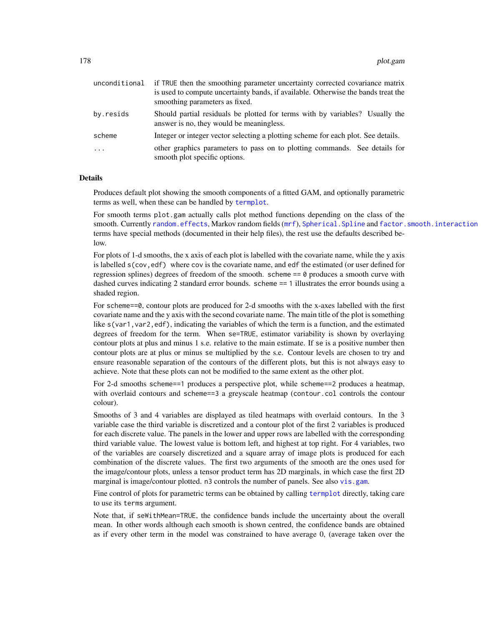| unconditional           | if TRUE then the smoothing parameter uncertainty corrected covariance matrix<br>is used to compute uncertainty bands, if available. Otherwise the bands treat the<br>smoothing parameters as fixed. |  |
|-------------------------|-----------------------------------------------------------------------------------------------------------------------------------------------------------------------------------------------------|--|
| by.resids               | Should partial residuals be plotted for terms with by variables? Usually the<br>answer is no, they would be meaningless.                                                                            |  |
| scheme                  | Integer or integer vector selecting a plotting scheme for each plot. See details.                                                                                                                   |  |
| $\cdot$ $\cdot$ $\cdot$ | other graphics parameters to pass on to plotting commands. See details for<br>smooth plot specific options.                                                                                         |  |

# Details

Produces default plot showing the smooth components of a fitted GAM, and optionally parametric terms as well, when these can be handled by [termplot](#page-0-0).

For smooth terms plot.gam actually calls plot method functions depending on the class of the smooth. Currently [random.effects](#page-200-0), Markov random fields ([mrf](#page-243-0)), Spherical. Spline and [factor.smooth.interaction](#page-238-0) terms have special methods (documented in their help files), the rest use the defaults described below.

For plots of 1-d smooths, the x axis of each plot is labelled with the covariate name, while the y axis is labelled  $s$  (cov, edf) where cov is the covariate name, and edf the estimated (or user defined for regression splines) degrees of freedom of the smooth. scheme == 0 produces a smooth curve with dashed curves indicating 2 standard error bounds. scheme == 1 illustrates the error bounds using a shaded region.

For scheme==0, contour plots are produced for 2-d smooths with the x-axes labelled with the first covariate name and the y axis with the second covariate name. The main title of the plot is something like  $s(\text{var1}, \text{var2}, \text{edf})$ , indicating the variables of which the term is a function, and the estimated degrees of freedom for the term. When se=TRUE, estimator variability is shown by overlaying contour plots at plus and minus 1 s.e. relative to the main estimate. If se is a positive number then contour plots are at plus or minus se multiplied by the s.e. Contour levels are chosen to try and ensure reasonable separation of the contours of the different plots, but this is not always easy to achieve. Note that these plots can not be modified to the same extent as the other plot.

For 2-d smooths scheme==1 produces a perspective plot, while scheme==2 produces a heatmap, with overlaid contours and scheme==3 a greyscale heatmap (contour.col controls the contour colour).

Smooths of 3 and 4 variables are displayed as tiled heatmaps with overlaid contours. In the 3 variable case the third variable is discretized and a contour plot of the first 2 variables is produced for each discrete value. The panels in the lower and upper rows are labelled with the corresponding third variable value. The lowest value is bottom left, and highest at top right. For 4 variables, two of the variables are coarsely discretized and a square array of image plots is produced for each combination of the discrete values. The first two arguments of the smooth are the ones used for the image/contour plots, unless a tensor product term has 2D marginals, in which case the first 2D marginal is image/contour plotted. n3 controls the number of panels. See also [vis.gam](#page-303-0).

Fine control of plots for parametric terms can be obtained by calling [termplot](#page-0-0) directly, taking care to use its terms argument.

Note that, if seWithMean=TRUE, the confidence bands include the uncertainty about the overall mean. In other words although each smooth is shown centred, the confidence bands are obtained as if every other term in the model was constrained to have average 0, (average taken over the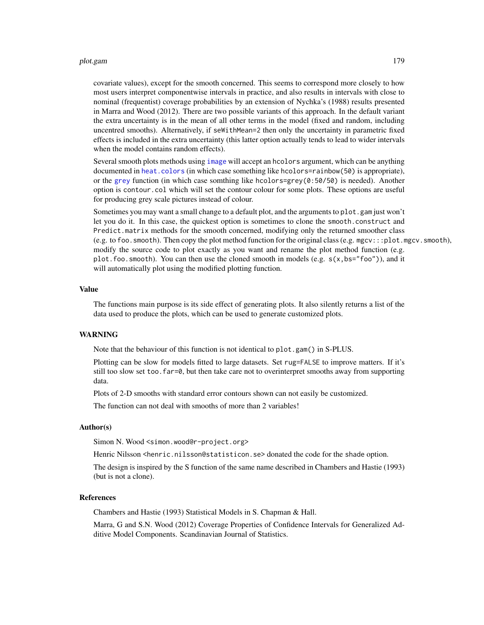### plot.gam 179

covariate values), except for the smooth concerned. This seems to correspond more closely to how most users interpret componentwise intervals in practice, and also results in intervals with close to nominal (frequentist) coverage probabilities by an extension of Nychka's (1988) results presented in Marra and Wood (2012). There are two possible variants of this approach. In the default variant the extra uncertainty is in the mean of all other terms in the model (fixed and random, including uncentred smooths). Alternatively, if seWithMean=2 then only the uncertainty in parametric fixed effects is included in the extra uncertainty (this latter option actually tends to lead to wider intervals when the model contains random effects).

Several smooth plots methods using [image](#page-0-0) will accept an hcolors argument, which can be anything documented in [heat.colors](#page-0-0) (in which case something like hcolors=rainbow(50) is appropriate), or the [grey](#page-0-0) function (in which case somthing like hcolors=grey $(0:50/50)$  is needed). Another option is contour.col which will set the contour colour for some plots. These options are useful for producing grey scale pictures instead of colour.

Sometimes you may want a small change to a default plot, and the arguments to plot.gam just won't let you do it. In this case, the quickest option is sometimes to clone the smooth.construct and Predict.matrix methods for the smooth concerned, modifying only the returned smoother class (e.g. to foo. smooth). Then copy the plot method function for the original class (e.g. mgcv:::plot.mgcv.smooth), modify the source code to plot exactly as you want and rename the plot method function (e.g. plot. foo. smooth). You can then use the cloned smooth in models (e.g.  $s(x,bs="foo'')$ ), and it will automatically plot using the modified plotting function.

#### Value

The functions main purpose is its side effect of generating plots. It also silently returns a list of the data used to produce the plots, which can be used to generate customized plots.

## WARNING

Note that the behaviour of this function is not identical to plot.gam() in S-PLUS.

Plotting can be slow for models fitted to large datasets. Set rug=FALSE to improve matters. If it's still too slow set too. far=0, but then take care not to overinterpret smooths away from supporting data.

Plots of 2-D smooths with standard error contours shown can not easily be customized.

The function can not deal with smooths of more than 2 variables!

#### Author(s)

Simon N. Wood <simon.wood@r-project.org>

Henric Nilsson <henric.nilsson@statisticon.se> donated the code for the shade option.

The design is inspired by the S function of the same name described in Chambers and Hastie (1993) (but is not a clone).

#### References

Chambers and Hastie (1993) Statistical Models in S. Chapman & Hall.

Marra, G and S.N. Wood (2012) Coverage Properties of Confidence Intervals for Generalized Additive Model Components. Scandinavian Journal of Statistics.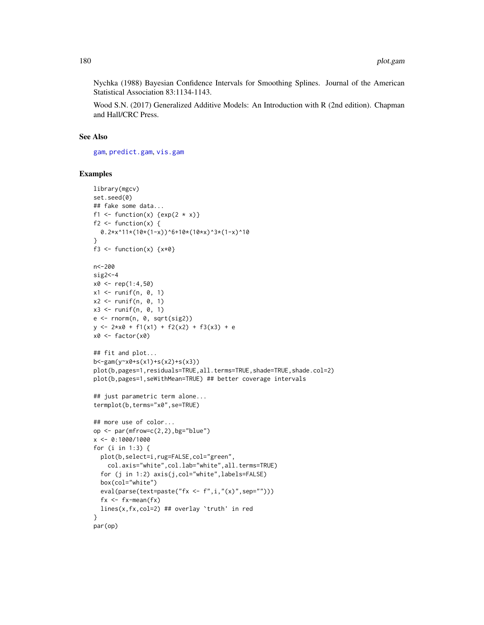Nychka (1988) Bayesian Confidence Intervals for Smoothing Splines. Journal of the American Statistical Association 83:1134-1143.

Wood S.N. (2017) Generalized Additive Models: An Introduction with R (2nd edition). Chapman and Hall/CRC Press.

## See Also

[gam](#page-47-0), [predict.gam](#page-184-0), [vis.gam](#page-303-0)

# Examples

```
library(mgcv)
set.seed(0)
## fake some data...
f1 <- function(x) \{exp(2 * x)\}f2 \leftarrow function(x) {
  0.2*x^11*(10*(1-x))^6+10*(10*x)^3*(1-x)^10
}
f3 <- function(x) \{x*0\}n<-200
sig2<-4x0 \leq -rep(1:4,50)x1 \leftarrow runif(n, 0, 1)x2 \le runif(n, 0, 1)
x3 \le runif(n, 0, 1)
e \leftarrow \text{norm}(n, \theta, \text{sqrt}(sig2))y \le -2 \times x0 + f1(x1) + f2(x2) + f3(x3) + ex0 \leftarrow factor(x0)
## fit and plot...
b<-gam(y~x0+s(x1)+s(x2)+s(x3))
plot(b,pages=1,residuals=TRUE,all.terms=TRUE,shade=TRUE,shade.col=2)
plot(b,pages=1,seWithMean=TRUE) ## better coverage intervals
## just parametric term alone...
termplot(b,terms="x0",se=TRUE)
## more use of color...
op \leq par(mfrow=c(2,2),bg="blue")
x <- 0:1000/1000
for (i in 1:3) {
  plot(b,select=i,rug=FALSE,col="green",
    col.axis="white",col.lab="white",all.terms=TRUE)
  for (j in 1:2) axis(j,col="white",labels=FALSE)
  box(col="white")
  eval(parse(text=paste("fx <- f", i, "(x)", sep="")))
  fx < -fx - mean(fx)lines(x,fx,col=2) ## overlay `truth' in red
}
par(op)
```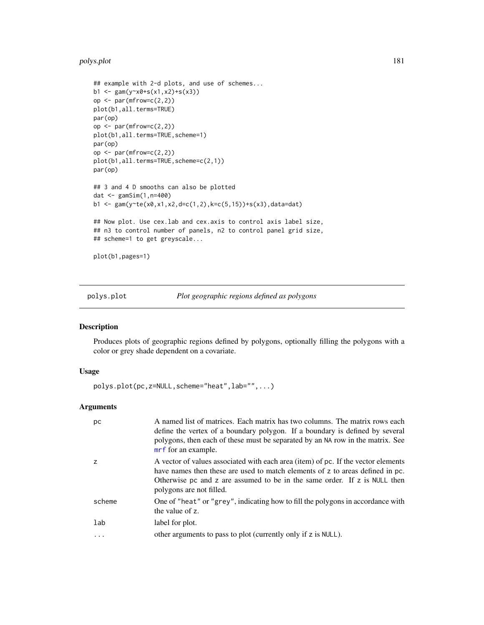#### polys.plot 181

```
## example with 2-d plots, and use of schemes...
b1 <- gam(y~x0+s(x1,x2)+s(x3))
op <- par(mfrow=c(2,2))
plot(b1,all.terms=TRUE)
par(op)
op \leq par(mfrow=c(2,2))
plot(b1,all.terms=TRUE,scheme=1)
par(op)
op \leq par(mfrow=c(2,2))
plot(b1,all.terms=TRUE,scheme=c(2,1))
par(op)
## 3 and 4 D smooths can also be plotted
dat <- gamSim(1,n=400)
b1 <- gam(y~te(x0,x1,x2,d=c(1,2),k=c(5,15))+s(x3),data=dat)
## Now plot. Use cex.lab and cex.axis to control axis label size,
## n3 to control number of panels, n2 to control panel grid size,
## scheme=1 to get greyscale...
plot(b1,pages=1)
```
## polys.plot *Plot geographic regions defined as polygons*

# Description

Produces plots of geographic regions defined by polygons, optionally filling the polygons with a color or grey shade dependent on a covariate.

## Usage

polys.plot(pc,z=NULL,scheme="heat",lab="",...)

# Arguments

| рc       | A named list of matrices. Each matrix has two columns. The matrix rows each<br>define the vertex of a boundary polygon. If a boundary is defined by several<br>polygons, then each of these must be separated by an NA row in the matrix. See<br>mrf for an example.        |
|----------|-----------------------------------------------------------------------------------------------------------------------------------------------------------------------------------------------------------------------------------------------------------------------------|
| z        | A vector of values associated with each area (item) of pc. If the vector elements<br>have names then these are used to match elements of z to areas defined in pc.<br>Otherwise pc and z are assumed to be in the same order. If z is NULL then<br>polygons are not filled. |
| scheme   | One of "heat" or "grey", indicating how to fill the polygons in accordance with<br>the value of z.                                                                                                                                                                          |
| lab      | label for plot.                                                                                                                                                                                                                                                             |
| $\ddots$ | other arguments to pass to plot (currently only if z is NULL).                                                                                                                                                                                                              |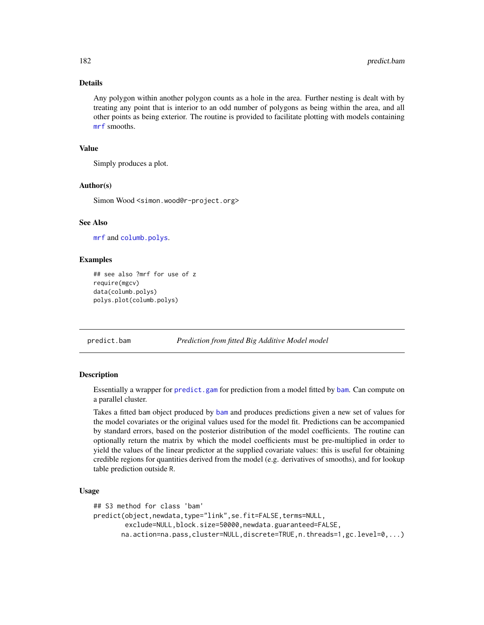# Details

Any polygon within another polygon counts as a hole in the area. Further nesting is dealt with by treating any point that is interior to an odd number of polygons as being within the area, and all other points as being exterior. The routine is provided to facilitate plotting with models containing [mrf](#page-243-0) smooths.

# Value

Simply produces a plot.

# Author(s)

Simon Wood <simon.wood@r-project.org>

## See Also

[mrf](#page-243-0) and [columb.polys](#page-23-0).

## Examples

```
## see also ?mrf for use of z
require(mgcv)
data(columb.polys)
polys.plot(columb.polys)
```
predict.bam *Prediction from fitted Big Additive Model model*

## Description

Essentially a wrapper for [predict.gam](#page-184-0) for prediction from a model fitted by [bam](#page-6-0). Can compute on a parallel cluster.

Takes a fitted bam object produced by [bam](#page-6-0) and produces predictions given a new set of values for the model covariates or the original values used for the model fit. Predictions can be accompanied by standard errors, based on the posterior distribution of the model coefficients. The routine can optionally return the matrix by which the model coefficients must be pre-multiplied in order to yield the values of the linear predictor at the supplied covariate values: this is useful for obtaining credible regions for quantities derived from the model (e.g. derivatives of smooths), and for lookup table prediction outside R.

## Usage

```
## S3 method for class 'bam'
predict(object,newdata,type="link",se.fit=FALSE,terms=NULL,
        exclude=NULL,block.size=50000,newdata.guaranteed=FALSE,
       na.action=na.pass,cluster=NULL,discrete=TRUE,n.threads=1,gc.level=0,...)
```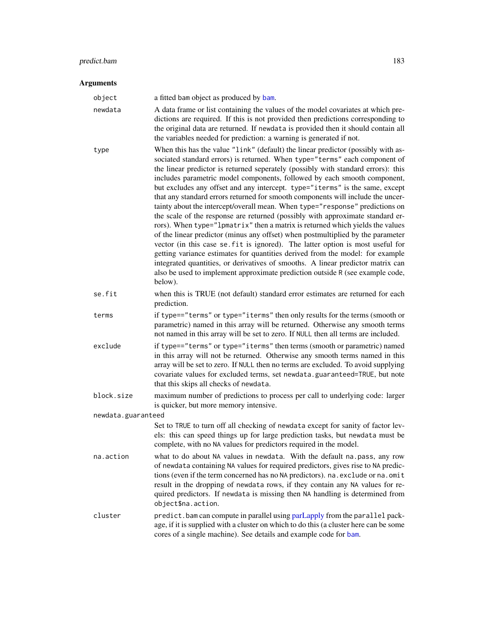# Arguments

| инисниз            |                                                                                                                                                                                                                                                                                                                                                                                                                                                                                                                                                                                                                                                                                                                                                                                                                                                                                                                                                                                                                                                                                                                                                                                            |
|--------------------|--------------------------------------------------------------------------------------------------------------------------------------------------------------------------------------------------------------------------------------------------------------------------------------------------------------------------------------------------------------------------------------------------------------------------------------------------------------------------------------------------------------------------------------------------------------------------------------------------------------------------------------------------------------------------------------------------------------------------------------------------------------------------------------------------------------------------------------------------------------------------------------------------------------------------------------------------------------------------------------------------------------------------------------------------------------------------------------------------------------------------------------------------------------------------------------------|
| object             | a fitted bam object as produced by bam.                                                                                                                                                                                                                                                                                                                                                                                                                                                                                                                                                                                                                                                                                                                                                                                                                                                                                                                                                                                                                                                                                                                                                    |
| newdata            | A data frame or list containing the values of the model covariates at which pre-<br>dictions are required. If this is not provided then predictions corresponding to<br>the original data are returned. If newdata is provided then it should contain all<br>the variables needed for prediction: a warning is generated if not.                                                                                                                                                                                                                                                                                                                                                                                                                                                                                                                                                                                                                                                                                                                                                                                                                                                           |
| type               | When this has the value "link" (default) the linear predictor (possibly with as-<br>sociated standard errors) is returned. When type="terms" each component of<br>the linear predictor is returned seperately (possibly with standard errors): this<br>includes parametric model components, followed by each smooth component,<br>but excludes any offset and any intercept. type="iterms" is the same, except<br>that any standard errors returned for smooth components will include the uncer-<br>tainty about the intercept/overall mean. When type="response" predictions on<br>the scale of the response are returned (possibly with approximate standard er-<br>rors). When type="lpmatrix" then a matrix is returned which yields the values<br>of the linear predictor (minus any offset) when postmultiplied by the parameter<br>vector (in this case se. fit is ignored). The latter option is most useful for<br>getting variance estimates for quantities derived from the model: for example<br>integrated quantities, or derivatives of smooths. A linear predictor matrix can<br>also be used to implement approximate prediction outside R (see example code,<br>below). |
| se.fit             | when this is TRUE (not default) standard error estimates are returned for each<br>prediction.                                                                                                                                                                                                                                                                                                                                                                                                                                                                                                                                                                                                                                                                                                                                                                                                                                                                                                                                                                                                                                                                                              |
| terms              | if type=="terms" or type="iterms" then only results for the terms (smooth or<br>parametric) named in this array will be returned. Otherwise any smooth terms<br>not named in this array will be set to zero. If NULL then all terms are included.                                                                                                                                                                                                                                                                                                                                                                                                                                                                                                                                                                                                                                                                                                                                                                                                                                                                                                                                          |
| exclude            | if type=="terms" or type="iterms" then terms (smooth or parametric) named<br>in this array will not be returned. Otherwise any smooth terms named in this<br>array will be set to zero. If NULL then no terms are excluded. To avoid supplying<br>covariate values for excluded terms, set newdata.guaranteed=TRUE, but note<br>that this skips all checks of newdata.                                                                                                                                                                                                                                                                                                                                                                                                                                                                                                                                                                                                                                                                                                                                                                                                                     |
| block.size         | maximum number of predictions to process per call to underlying code: larger<br>is quicker, but more memory intensive.                                                                                                                                                                                                                                                                                                                                                                                                                                                                                                                                                                                                                                                                                                                                                                                                                                                                                                                                                                                                                                                                     |
| newdata.guaranteed | Set to TRUE to turn off all checking of newdata except for sanity of factor lev-<br>els: this can speed things up for large prediction tasks, but newdata must be                                                                                                                                                                                                                                                                                                                                                                                                                                                                                                                                                                                                                                                                                                                                                                                                                                                                                                                                                                                                                          |

na.action what to do about NA values in newdata. With the default na.pass, any row of newdata containing NA values for required predictors, gives rise to NA predictions (even if the term concerned has no NA predictors). na.exclude or na.omit result in the dropping of newdata rows, if they contain any NA values for required predictors. If newdata is missing then NA handling is determined from object\$na.action.

complete, with no NA values for predictors required in the model.

cluster predict.bam can compute in parallel using [parLapply](#page-0-0) from the parallel package, if it is supplied with a cluster on which to do this (a cluster here can be some cores of a single machine). See details and example code for [bam](#page-6-0).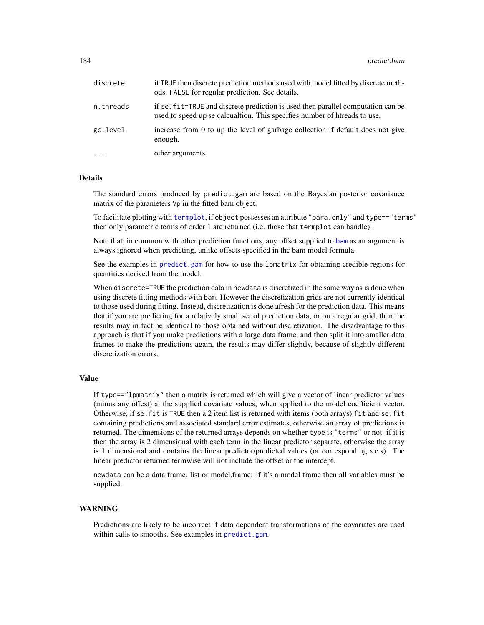| discrete  | if TRUE then discrete prediction methods used with model fitted by discrete meth-<br>ods. FALSE for regular prediction. See details.                          |
|-----------|---------------------------------------------------------------------------------------------------------------------------------------------------------------|
| n.threads | if se, fit=TRUE and discrete prediction is used then parallel computation can be<br>used to speed up se calcualtion. This specifies number of htreads to use. |
| gc.level  | increase from 0 to up the level of garbage collection if default does not give<br>enough.                                                                     |
| $\cdots$  | other arguments.                                                                                                                                              |

# Details

The standard errors produced by predict.gam are based on the Bayesian posterior covariance matrix of the parameters Vp in the fitted bam object.

To facilitate plotting with [termplot](#page-0-0), if object possesses an attribute "para.only" and type=="terms" then only parametric terms of order 1 are returned (i.e. those that termplot can handle).

Note that, in common with other prediction functions, any offset supplied to [bam](#page-6-0) as an argument is always ignored when predicting, unlike offsets specified in the bam model formula.

See the examples in [predict.gam](#page-184-0) for how to use the lpmatrix for obtaining credible regions for quantities derived from the model.

When discrete=TRUE the prediction data in newdata is discretized in the same way as is done when using discrete fitting methods with bam. However the discretization grids are not currently identical to those used during fitting. Instead, discretization is done afresh for the prediction data. This means that if you are predicting for a relatively small set of prediction data, or on a regular grid, then the results may in fact be identical to those obtained without discretization. The disadvantage to this approach is that if you make predictions with a large data frame, and then split it into smaller data frames to make the predictions again, the results may differ slightly, because of slightly different discretization errors.

## Value

If type=="lpmatrix" then a matrix is returned which will give a vector of linear predictor values (minus any offest) at the supplied covariate values, when applied to the model coefficient vector. Otherwise, if se.fit is TRUE then a 2 item list is returned with items (both arrays) fit and se.fit containing predictions and associated standard error estimates, otherwise an array of predictions is returned. The dimensions of the returned arrays depends on whether type is "terms" or not: if it is then the array is 2 dimensional with each term in the linear predictor separate, otherwise the array is 1 dimensional and contains the linear predictor/predicted values (or corresponding s.e.s). The linear predictor returned termwise will not include the offset or the intercept.

newdata can be a data frame, list or model.frame: if it's a model frame then all variables must be supplied.

#### WARNING

Predictions are likely to be incorrect if data dependent transformations of the covariates are used within calls to smooths. See examples in [predict.gam](#page-184-0).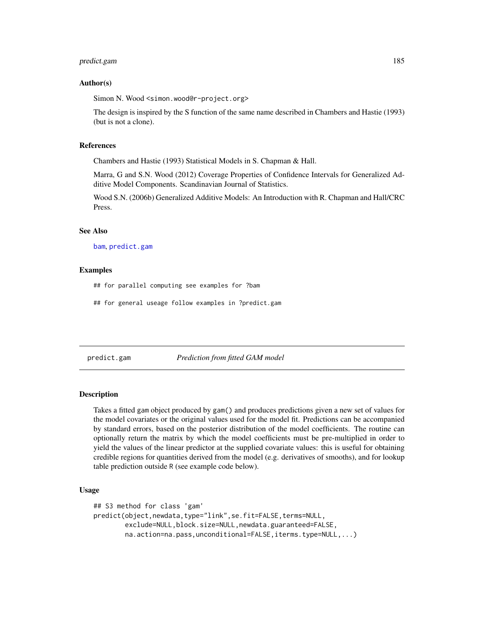## predict.gam 185

## Author(s)

Simon N. Wood <simon.wood@r-project.org>

The design is inspired by the S function of the same name described in Chambers and Hastie (1993) (but is not a clone).

#### References

Chambers and Hastie (1993) Statistical Models in S. Chapman & Hall.

Marra, G and S.N. Wood (2012) Coverage Properties of Confidence Intervals for Generalized Additive Model Components. Scandinavian Journal of Statistics.

Wood S.N. (2006b) Generalized Additive Models: An Introduction with R. Chapman and Hall/CRC Press.

# See Also

[bam](#page-6-0), [predict.gam](#page-184-0)

#### Examples

## for parallel computing see examples for ?bam

## for general useage follow examples in ?predict.gam

<span id="page-184-0"></span>predict.gam *Prediction from fitted GAM model*

#### Description

Takes a fitted gam object produced by gam() and produces predictions given a new set of values for the model covariates or the original values used for the model fit. Predictions can be accompanied by standard errors, based on the posterior distribution of the model coefficients. The routine can optionally return the matrix by which the model coefficients must be pre-multiplied in order to yield the values of the linear predictor at the supplied covariate values: this is useful for obtaining credible regions for quantities derived from the model (e.g. derivatives of smooths), and for lookup table prediction outside R (see example code below).

# Usage

```
## S3 method for class 'gam'
predict(object,newdata,type="link",se.fit=FALSE,terms=NULL,
        exclude=NULL,block.size=NULL,newdata.guaranteed=FALSE,
       na.action=na.pass,unconditional=FALSE,iterms.type=NULL,...)
```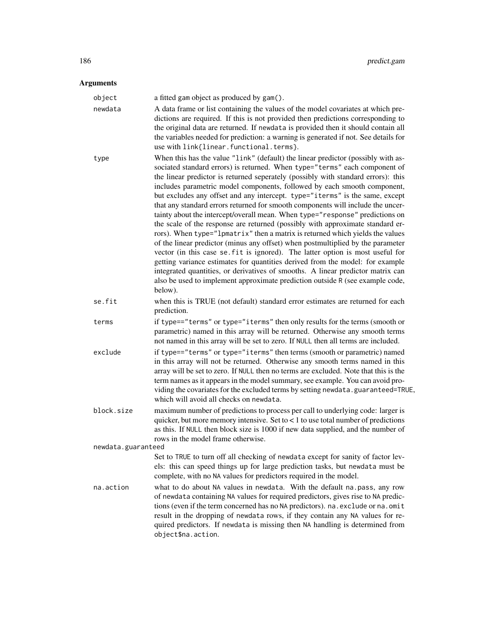# Arguments

| object             | a fitted gam object as produced by gam().                                                                                                                                                                                                                                                                                                                                                                                                                                                                                                                                                                                                                                                                                                                                                                                                                                                                                                                                                                                                                                                                                                                                                  |
|--------------------|--------------------------------------------------------------------------------------------------------------------------------------------------------------------------------------------------------------------------------------------------------------------------------------------------------------------------------------------------------------------------------------------------------------------------------------------------------------------------------------------------------------------------------------------------------------------------------------------------------------------------------------------------------------------------------------------------------------------------------------------------------------------------------------------------------------------------------------------------------------------------------------------------------------------------------------------------------------------------------------------------------------------------------------------------------------------------------------------------------------------------------------------------------------------------------------------|
| newdata            | A data frame or list containing the values of the model covariates at which pre-<br>dictions are required. If this is not provided then predictions corresponding to<br>the original data are returned. If newdata is provided then it should contain all<br>the variables needed for prediction: a warning is generated if not. See details for<br>use with link{linear.functional.terms}.                                                                                                                                                                                                                                                                                                                                                                                                                                                                                                                                                                                                                                                                                                                                                                                                |
| type               | When this has the value "link" (default) the linear predictor (possibly with as-<br>sociated standard errors) is returned. When type="terms" each component of<br>the linear predictor is returned seperately (possibly with standard errors): this<br>includes parametric model components, followed by each smooth component,<br>but excludes any offset and any intercept. type="iterms" is the same, except<br>that any standard errors returned for smooth components will include the uncer-<br>tainty about the intercept/overall mean. When type="response" predictions on<br>the scale of the response are returned (possibly with approximate standard er-<br>rors). When type="lpmatrix" then a matrix is returned which yields the values<br>of the linear predictor (minus any offset) when postmultiplied by the parameter<br>vector (in this case se. fit is ignored). The latter option is most useful for<br>getting variance estimates for quantities derived from the model: for example<br>integrated quantities, or derivatives of smooths. A linear predictor matrix can<br>also be used to implement approximate prediction outside R (see example code,<br>below). |
| se.fit             | when this is TRUE (not default) standard error estimates are returned for each<br>prediction.                                                                                                                                                                                                                                                                                                                                                                                                                                                                                                                                                                                                                                                                                                                                                                                                                                                                                                                                                                                                                                                                                              |
| terms              | if type=="terms" or type="iterms" then only results for the terms (smooth or<br>parametric) named in this array will be returned. Otherwise any smooth terms<br>not named in this array will be set to zero. If NULL then all terms are included.                                                                                                                                                                                                                                                                                                                                                                                                                                                                                                                                                                                                                                                                                                                                                                                                                                                                                                                                          |
| exclude            | if type=="terms" or type="iterms" then terms (smooth or parametric) named<br>in this array will not be returned. Otherwise any smooth terms named in this<br>array will be set to zero. If NULL then no terms are excluded. Note that this is the<br>term names as it appears in the model summary, see example. You can avoid pro-<br>viding the covariates for the excluded terms by setting newdata.guaranteed=TRUE,<br>which will avoid all checks on newdata.                                                                                                                                                                                                                                                                                                                                                                                                                                                                                                                                                                                                                                                                                                                         |
| block.size         | maximum number of predictions to process per call to underlying code: larger is<br>quicker, but more memory intensive. Set to $< 1$ to use total number of predictions<br>as this. If NULL then block size is 1000 if new data supplied, and the number of<br>rows in the model frame otherwise.                                                                                                                                                                                                                                                                                                                                                                                                                                                                                                                                                                                                                                                                                                                                                                                                                                                                                           |
| newdata.guaranteed |                                                                                                                                                                                                                                                                                                                                                                                                                                                                                                                                                                                                                                                                                                                                                                                                                                                                                                                                                                                                                                                                                                                                                                                            |
|                    | Set to TRUE to turn off all checking of newdata except for sanity of factor lev-<br>els: this can speed things up for large prediction tasks, but newdata must be<br>complete, with no NA values for predictors required in the model.                                                                                                                                                                                                                                                                                                                                                                                                                                                                                                                                                                                                                                                                                                                                                                                                                                                                                                                                                     |
| na.action          | what to do about NA values in newdata. With the default na.pass, any row<br>of newdata containing NA values for required predictors, gives rise to NA predic-<br>tions (even if the term concerned has no NA predictors). na. exclude or na. omit<br>result in the dropping of newdata rows, if they contain any NA values for re-<br>quired predictors. If newdata is missing then NA handling is determined from<br>object\$na.action.                                                                                                                                                                                                                                                                                                                                                                                                                                                                                                                                                                                                                                                                                                                                                   |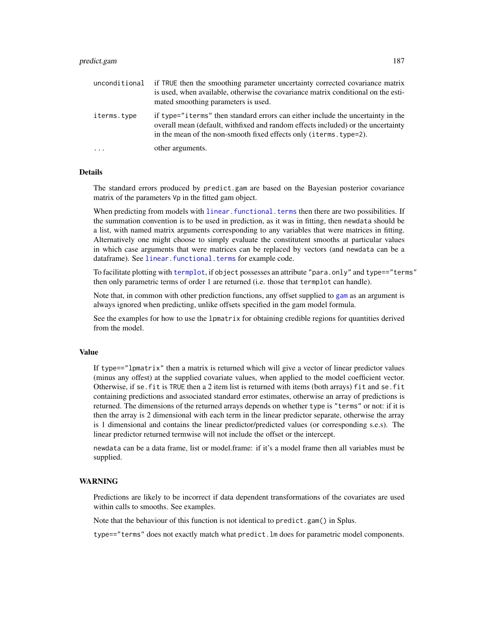## predict.gam 187

| unconditional | if TRUE then the smoothing parameter uncertainty corrected covariance matrix<br>is used, when available, otherwise the covariance matrix conditional on the esti-<br>mated smoothing parameters is used.                                           |
|---------------|----------------------------------------------------------------------------------------------------------------------------------------------------------------------------------------------------------------------------------------------------|
| iterms.type   | if type="iterms" then standard errors can either include the uncertainty in the<br>overall mean (default, with fixed and random effects included) or the uncertainty<br>in the mean of the non-smooth fixed effects only ( <i>iterms.type=2</i> ). |
|               | other arguments.                                                                                                                                                                                                                                   |

## **Details**

The standard errors produced by predict.gam are based on the Bayesian posterior covariance matrix of the parameters Vp in the fitted gam object.

When predicting from models with linear. functional. terms then there are two possibilities. If the summation convention is to be used in prediction, as it was in fitting, then newdata should be a list, with named matrix arguments corresponding to any variables that were matrices in fitting. Alternatively one might choose to simply evaluate the constitutent smooths at particular values in which case arguments that were matrices can be replaced by vectors (and newdata can be a dataframe). See [linear.functional.terms](#page-128-0) for example code.

To facilitate plotting with [termplot](#page-0-0), if object possesses an attribute "para.only" and type=="terms" then only parametric terms of order 1 are returned (i.e. those that termplot can handle).

Note that, in common with other prediction functions, any offset supplied to [gam](#page-47-0) as an argument is always ignored when predicting, unlike offsets specified in the gam model formula.

See the examples for how to use the lpmatrix for obtaining credible regions for quantities derived from the model.

# Value

If type=="lpmatrix" then a matrix is returned which will give a vector of linear predictor values (minus any offest) at the supplied covariate values, when applied to the model coefficient vector. Otherwise, if se.fit is TRUE then a 2 item list is returned with items (both arrays) fit and se.fit containing predictions and associated standard error estimates, otherwise an array of predictions is returned. The dimensions of the returned arrays depends on whether type is "terms" or not: if it is then the array is 2 dimensional with each term in the linear predictor separate, otherwise the array is 1 dimensional and contains the linear predictor/predicted values (or corresponding s.e.s). The linear predictor returned termwise will not include the offset or the intercept.

newdata can be a data frame, list or model.frame: if it's a model frame then all variables must be supplied.

# WARNING

Predictions are likely to be incorrect if data dependent transformations of the covariates are used within calls to smooths. See examples.

Note that the behaviour of this function is not identical to predict.gam() in Splus.

type=="terms" does not exactly match what predict.lm does for parametric model components.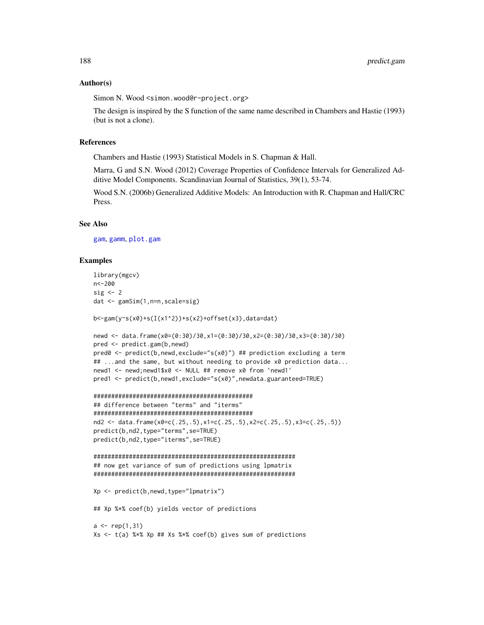## Author(s)

Simon N. Wood <simon.wood@r-project.org>

The design is inspired by the S function of the same name described in Chambers and Hastie (1993) (but is not a clone).

# References

Chambers and Hastie (1993) Statistical Models in S. Chapman & Hall.

Marra, G and S.N. Wood (2012) Coverage Properties of Confidence Intervals for Generalized Additive Model Components. Scandinavian Journal of Statistics, 39(1), 53-74.

Wood S.N. (2006b) Generalized Additive Models: An Introduction with R. Chapman and Hall/CRC Press.

## See Also

[gam](#page-47-0), [gamm](#page-91-0), [plot.gam](#page-175-0)

#### Examples

```
library(mgcv)
n<-200
sig \leftarrow 2dat <- gamSim(1,n=n,scale=sig)
b<-gam(y~s(x0)+s(I(x1^2))+s(x2)+offset(x3),data=dat)
newd <- data.frame(x0=(0:30)/30,x1=(0:30)/30,x2=(0:30)/30,x3=(0:30)/30)
pred <- predict.gam(b,newd)
pred0 <- predict(b,newd,exclude="s(x0)") ## prediction excluding a term
## ...and the same, but without needing to provide x0 prediction data...
newd1 <- newd;newd1$x0 <- NULL ## remove x0 from `newd1'
pred1 <- predict(b,newd1,exclude="s(x0)",newdata.guaranteed=TRUE)
#############################################
## difference between "terms" and "iterms"
#############################################
nd2 <- data.frame(x0=c(.25,.5),x1=c(.25,.5),x2=c(.25,.5),x3=c(.25,.5))
predict(b,nd2,type="terms",se=TRUE)
predict(b,nd2,type="iterms",se=TRUE)
#########################################################
## now get variance of sum of predictions using lpmatrix
#########################################################
Xp <- predict(b,newd,type="lpmatrix")
## Xp %*% coef(b) yields vector of predictions
a \leftarrow rep(1,31)Xs <- t(a) %*% Xp ## Xs %*% coef(b) gives sum of predictions
```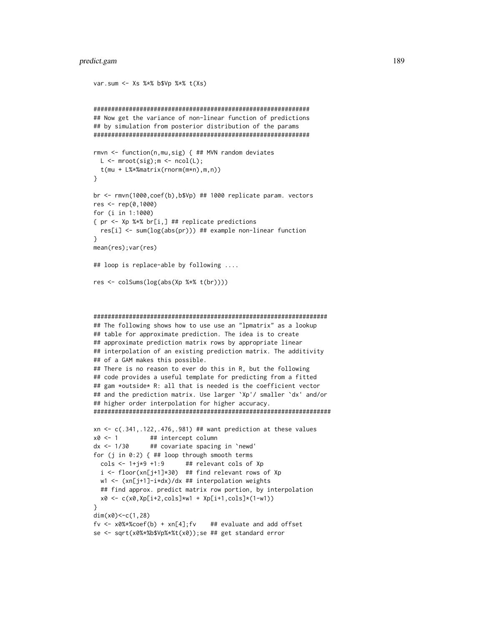## predict.gam 189

```
var.sum <- Xs %*% b$Vp %*% t(Xs)
#############################################################
## Now get the variance of non-linear function of predictions
## by simulation from posterior distribution of the params
#############################################################
rmvn <- function(n,mu,sig) { ## MVN random deviates
 L \leq - \text{mroot}(\text{sig}); m \leq - \text{ncol}(L);t(mu + L%*%matrix(rnorm(m*n),m,n))
}
br <- rmvn(1000,coef(b),b$Vp) ## 1000 replicate param. vectors
res <- rep(0,1000)
for (i in 1:1000)
{ pr <- Xp %*% br[i,] ## replicate predictions
 res[i] <- sum(log(abs(pr))) ## example non-linear function
}
mean(res);var(res)
## loop is replace-able by following ....
res <- colSums(log(abs(Xp %*% t(br))))
##################################################################
## The following shows how to use use an "lpmatrix" as a lookup
## table for approximate prediction. The idea is to create
## approximate prediction matrix rows by appropriate linear
## interpolation of an existing prediction matrix. The additivity
## of a GAM makes this possible.
## There is no reason to ever do this in R, but the following
## code provides a useful template for predicting from a fitted
## gam *outside* R: all that is needed is the coefficient vector
## and the prediction matrix. Use larger `Xp'/ smaller `dx' and/or
## higher order interpolation for higher accuracy.
###################################################################
xn \leq c(.341,.122,.476,.981) ## want prediction at these values
x0 \le -1 ## intercept column
dx <- 1/30 ## covariate spacing in `newd'
for (j in 0:2) { ## loop through smooth terms
 \text{cols} \leq 1 + j \times 9 + 1:9 ## relevant cols of Xp
 i \leq floor(xn[j+1]*30) ## find relevant rows of Xp
 w1 <- (xn[j+1]-i*dx)/dx ## interpolation weights
 ## find approx. predict matrix row portion, by interpolation
```

```
x0 <- c(x0,Xp[i+2,cols]*w1 + Xp[i+1,cols]*(1-w1))
```
}

```
dim(x0)<-c(1,28)
f_v \leq x0\ *%coef(b) + xn[4]; f_v ## evaluate and add offset
```

```
se <- sqrt(x0%*%b$Vp%*%t(x0));se ## get standard error
```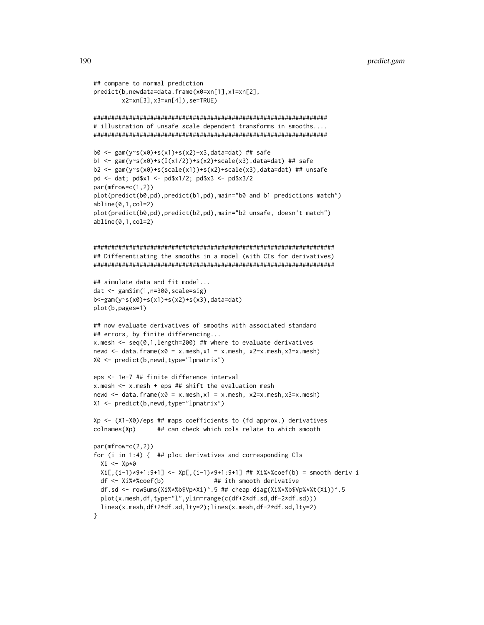```
## compare to normal prediction
predict(b,newdata=data.frame(x0=xn[1],x1=xn[2],
        x2=xn[3],x3=xn[4]),se=TRUE)
##################################################################
# illustration of unsafe scale dependent transforms in smooths....
##################################################################
b0 <- gam(y~s(x0)+s(x1)+s(x2)+x3,data=dat) ## safe
b1 <- gam(y~s(x0)+s(I(x1/2))+s(x2)+scale(x3),data=dat) ## safe
b2 <- gam(y~s(x0)+s(scale(x1))+s(x2)+scale(x3),data=dat) ## unsafe
pd <- dat; pd$x1 <- pd$x1/2; pd$x3 <- pd$x3/2
par(mfrow=c(1,2))
plot(predict(b0,pd),predict(b1,pd),main="b0 and b1 predictions match")
abline(0,1,col=2)
plot(predict(b0,pd),predict(b2,pd),main="b2 unsafe, doesn't match")
abline(0,1,col=2)
####################################################################
## Differentiating the smooths in a model (with CIs for derivatives)
####################################################################
## simulate data and fit model...
dat <- gamSim(1,n=300,scale=sig)
b<-gam(y~s(x0)+s(x1)+s(x2)+s(x3),data=dat)
plot(b,pages=1)
## now evaluate derivatives of smooths with associated standard
## errors, by finite differencing...
x.mesh \leq seq(0,1,length=200) ## where to evaluate derivatives
newd \leq data.frame(x0 = x.mesh, x1 = x.mesh, x2=x.mesh, x3=x.mesh)
X0 <- predict(b,newd,type="lpmatrix")
eps <- 1e-7 ## finite difference interval
x.mesh <- x.mesh + eps ## shift the evaluation mesh
newd \leq data.frame(x0 = x.mesh,x1 = x.mesh, x2=x.mesh,x3=x.mesh)
X1 <- predict(b,newd,type="lpmatrix")
Xp <- (X1-X0)/eps ## maps coefficients to (fd approx.) derivatives
colnames(Xp) ## can check which cols relate to which smooth
par(mfrow=c(2,2))
for (i in 1:4) { ## plot derivatives and corresponding CIs
  Xi \leftarrow Xp * 0Xi[,(i-1)*9+1:9+1] <- Xp[,(i-1)*9+1:9+1] ## Xi%*%coef(b) = smooth deriv i
  df <- Xi%*%coef(b) ## ith smooth derivative
  df.sd <- rowSums(Xi%*%b$Vp*Xi)^.5 ## cheap diag(Xi%*%b$Vp%*%t(Xi))^.5
  plot(x.mesh,df,type="l",ylim=range(c(df+2*df.sd,df-2*df.sd)))
  lines(x.mesh,df+2*df.sd,lty=2);lines(x.mesh,df-2*df.sd,lty=2)
}
```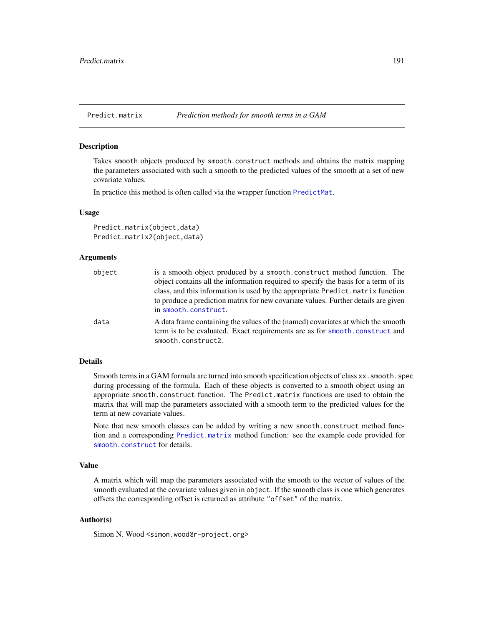<span id="page-190-0"></span>

# **Description**

Takes smooth objects produced by smooth.construct methods and obtains the matrix mapping the parameters associated with such a smooth to the predicted values of the smooth at a set of new covariate values.

In practice this method is often called via the wrapper function [PredictMat](#page-272-0).

## Usage

```
Predict.matrix(object,data)
Predict.matrix2(object,data)
```
### **Arguments**

| object | is a smooth object produced by a smooth construct method function. The<br>object contains all the information required to specify the basis for a term of its<br>class, and this information is used by the appropriate Predict. matrix function<br>to produce a prediction matrix for new covariate values. Further details are given<br>in smooth.construct. |
|--------|----------------------------------------------------------------------------------------------------------------------------------------------------------------------------------------------------------------------------------------------------------------------------------------------------------------------------------------------------------------|
| data   | A data frame containing the values of the (named) covariates at which the smooth<br>term is to be evaluated. Exact requirements are as for smooth.construct and<br>smooth.construct2.                                                                                                                                                                          |

# Details

Smooth terms in a GAM formula are turned into smooth specification objects of class xx. smooth. spec during processing of the formula. Each of these objects is converted to a smooth object using an appropriate smooth.construct function. The Predict.matrix functions are used to obtain the matrix that will map the parameters associated with a smooth term to the predicted values for the term at new covariate values.

Note that new smooth classes can be added by writing a new smooth.construct method function and a corresponding [Predict.matrix](#page-190-0) method function: see the example code provided for [smooth.construct](#page-222-0) for details.

# Value

A matrix which will map the parameters associated with the smooth to the vector of values of the smooth evaluated at the covariate values given in object. If the smooth class is one which generates offsets the corresponding offset is returned as attribute "offset" of the matrix.

# Author(s)

Simon N. Wood <simon.wood@r-project.org>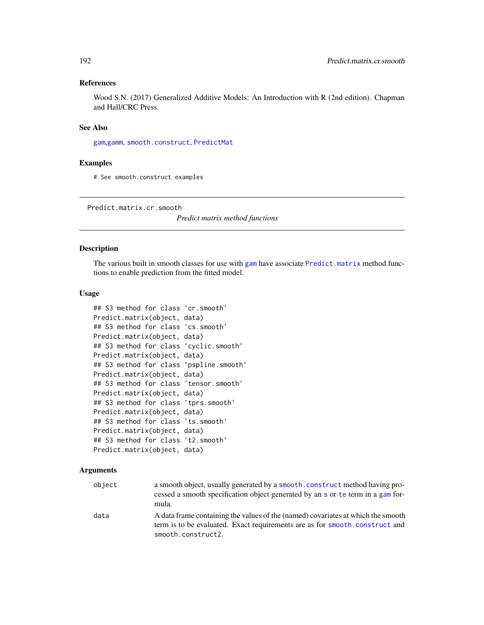# References

Wood S.N. (2017) Generalized Additive Models: An Introduction with R (2nd edition). Chapman and Hall/CRC Press.

# See Also

[gam](#page-47-0),[gamm](#page-91-0), [smooth.construct](#page-222-0), [PredictMat](#page-272-0)

## Examples

# See smooth.construct examples

Predict.matrix.cr.smooth

*Predict matrix method functions*

# Description

The various built in smooth classes for use with [gam](#page-47-0) have associate [Predict.matrix](#page-190-0) method functions to enable prediction from the fitted model.

## Usage

```
## S3 method for class 'cr.smooth'
Predict.matrix(object, data)
## S3 method for class 'cs.smooth'
Predict.matrix(object, data)
## S3 method for class 'cyclic.smooth'
Predict.matrix(object, data)
## S3 method for class 'pspline.smooth'
Predict.matrix(object, data)
## S3 method for class 'tensor.smooth'
Predict.matrix(object, data)
## S3 method for class 'tprs.smooth'
Predict.matrix(object, data)
## S3 method for class 'ts.smooth'
Predict.matrix(object, data)
## S3 method for class 't2.smooth'
Predict.matrix(object, data)
```
# Arguments

| object | a smooth object, usually generated by a smooth, construct method having pro-<br>cessed a smooth specification object generated by an s or te term in a gam for-<br>mula.               |
|--------|----------------------------------------------------------------------------------------------------------------------------------------------------------------------------------------|
| data   | A data frame containing the values of the (named) covariates at which the smooth<br>term is to be evaluated. Exact requirements are as for smooth, construct and<br>smooth.construct2. |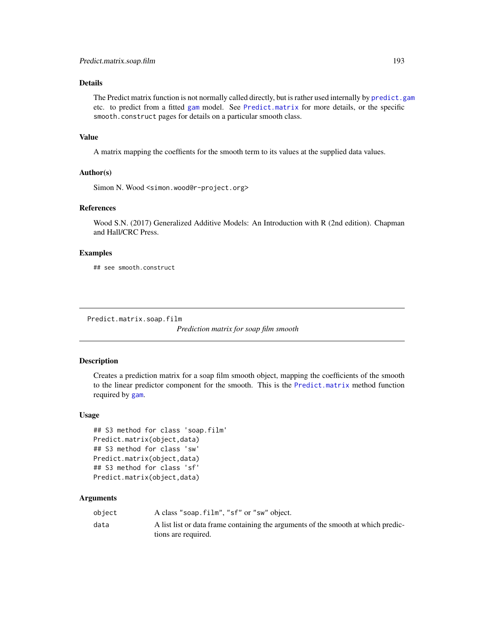# Details

The Predict matrix function is not normally called directly, but is rather used internally by [predict.gam](#page-184-0) etc. to predict from a fitted [gam](#page-47-0) model. See [Predict.matrix](#page-190-0) for more details, or the specific smooth.construct pages for details on a particular smooth class.

## Value

A matrix mapping the coeffients for the smooth term to its values at the supplied data values.

## Author(s)

Simon N. Wood <simon.wood@r-project.org>

# References

Wood S.N. (2017) Generalized Additive Models: An Introduction with R (2nd edition). Chapman and Hall/CRC Press.

# Examples

## see smooth.construct

Predict.matrix.soap.film

*Prediction matrix for soap film smooth*

# Description

Creates a prediction matrix for a soap film smooth object, mapping the coefficients of the smooth to the linear predictor component for the smooth. This is the [Predict.matrix](#page-190-0) method function required by [gam](#page-47-0).

## Usage

```
## S3 method for class 'soap.film'
Predict.matrix(object,data)
## S3 method for class 'sw'
Predict.matrix(object,data)
## S3 method for class 'sf'
Predict.matrix(object,data)
```
## Arguments

| obiect | A class "soap.film", "sf" or "sw" object.                                         |
|--------|-----------------------------------------------------------------------------------|
| data   | A list list or data frame containing the arguments of the smooth at which predic- |
|        | tions are required.                                                               |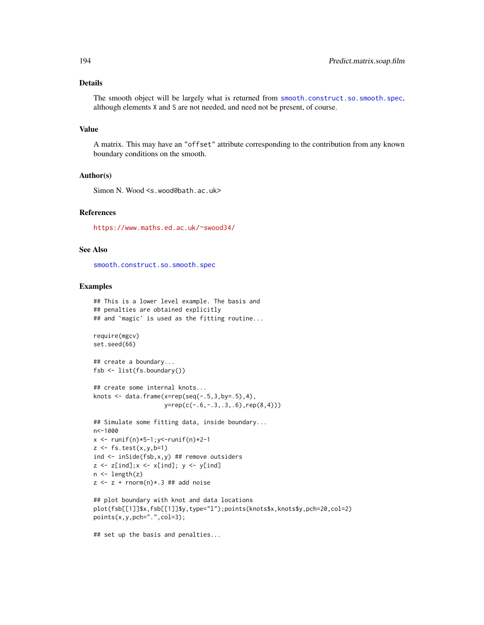# Details

The smooth object will be largely what is returned from [smooth.construct.so.smooth.spec](#page-251-0), although elements X and S are not needed, and need not be present, of course.

# Value

A matrix. This may have an "offset" attribute corresponding to the contribution from any known boundary conditions on the smooth.

## Author(s)

Simon N. Wood <s.wood@bath.ac.uk>

# References

<https://www.maths.ed.ac.uk/~swood34/>

#### See Also

[smooth.construct.so.smooth.spec](#page-251-0)

# Examples

```
## This is a lower level example. The basis and
## penalties are obtained explicitly
## and `magic' is used as the fitting routine...
require(mgcv)
set.seed(66)
## create a boundary...
fsb <- list(fs.boundary())
## create some internal knots...
knots \leq data.frame(x=rep(seq(-.5,3,by=.5),4),
                     y=rep(c(-.6,-.3,.3,.6),rep(8,4)))
## Simulate some fitting data, inside boundary...
n<-1000
x <- runif(n)*5-1;y<-runif(n)*2-1
z \leftarrow fs.test(x,y,b=1)ind <- inSide(fsb,x,y) ## remove outsiders
z \le z [ind]; x \le x [ind]; y \le y [ind]
n \leftarrow length(z)
z \leq z + \text{rnorm}(n) \times 3 ## add noise
## plot boundary with knot and data locations
plot(fsb[[1]]$x,fsb[[1]]$y,type="l");points(knots$x,knots$y,pch=20,col=2)
```

```
points(x,y,pch=".",col=3);
```

```
## set up the basis and penalties...
```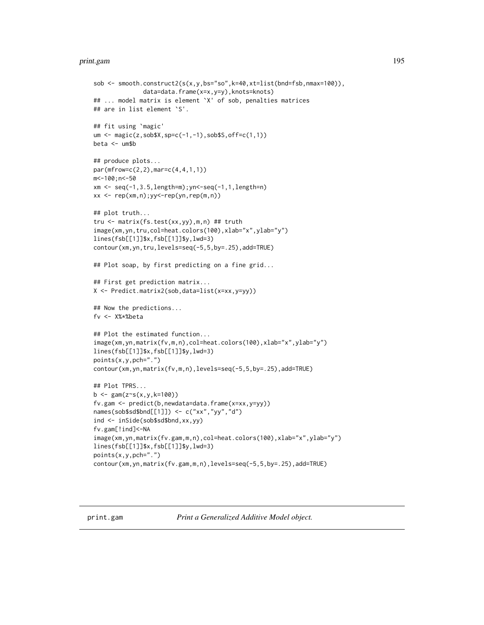#### print.gam 195

```
sob \leq smooth.construct2(s(x,y,bs="so",k=40,xt=list(bnd=fsb,nmax=100)),
              data=data.frame(x=x,y=y),knots=knots)
## ... model matrix is element `X' of sob, penalties matrices
## are in list element `S'.
## fit using `magic'
um <- magic(z,sob$X,sp=c(-1,-1),sob$S,off=c(1,1))
beta <- um$b
## produce plots...
par(mfrow=c(2,2),mar=c(4,4,1,1))
m<-100;n<-50
xm <- seq(-1,3.5,length=m);yn<-seq(-1,1,length=n)
xx \leq -\text{rep}(xm,n);yy\leq -\text{rep}(yn,\text{rep}(m,n))## plot truth...
tru <- matrix(fs.test(xx,yy),m,n) ## truth
image(xm,yn,tru,col=heat.colors(100),xlab="x",ylab="y")
lines(fsb[[1]]$x,fsb[[1]]$y,lwd=3)
contour(xm,yn,tru,levels=seq(-5,5,by=.25),add=TRUE)
## Plot soap, by first predicting on a fine grid...
## First get prediction matrix...
X <- Predict.matrix2(sob,data=list(x=xx,y=yy))
## Now the predictions...
fv <- X%*%beta
## Plot the estimated function...
image(xm,yn,matrix(fv,m,n),col=heat.colors(100),xlab="x",ylab="y")
lines(fsb[[1]]$x,fsb[[1]]$y,lwd=3)
points(x,y,pch=".")
contour(xm,yn,matrix(fv,m,n),levels=seq(-5,5,by=.25),add=TRUE)
## Plot TPRS...
b \leq gam(z~s(x,y,k=100))
fv.gam <- predict(b,newdata=data.frame(x=xx,y=yy))
names(sob$sd$bnd[[1]]) <- c("xx","yy","d")
ind <- inSide(sob$sd$bnd,xx,yy)
fv.gam[!ind]<-NA
image(xm,yn,matrix(fv.gam,m,n),col=heat.colors(100),xlab="x",ylab="y")
lines(fsb[[1]]$x,fsb[[1]]$y,lwd=3)
points(x,y,pch=".")
contour(xm,yn,matrix(fv.gam,m,n),levels=seq(-5,5,by=.25),add=TRUE)
```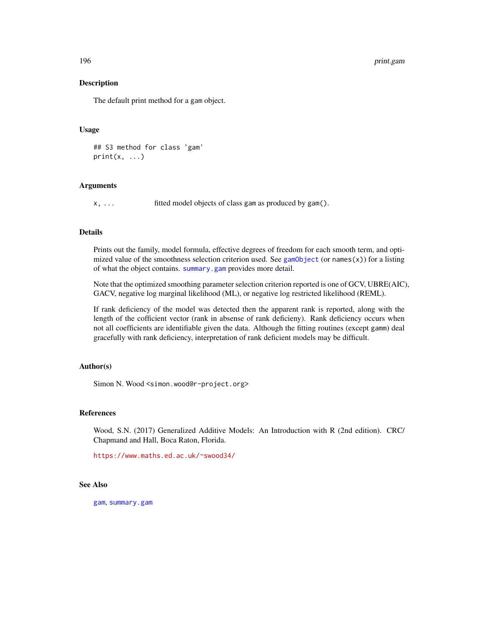196 print.gam

## Description

The default print method for a gam object.

# Usage

## S3 method for class 'gam'  $print(x, \ldots)$ 

# Arguments

x, ... fitted model objects of class gam as produced by gam().

# Details

Prints out the family, model formula, effective degrees of freedom for each smooth term, and optimized value of the smoothness selection criterion used. See [gamObject](#page-99-0) (or names $(x)$ ) for a listing of what the object contains. [summary.gam](#page-278-0) provides more detail.

Note that the optimized smoothing parameter selection criterion reported is one of GCV, UBRE(AIC), GACV, negative log marginal likelihood (ML), or negative log restricted likelihood (REML).

If rank deficiency of the model was detected then the apparent rank is reported, along with the length of the cofficient vector (rank in absense of rank deficieny). Rank deficiency occurs when not all coefficients are identifiable given the data. Although the fitting routines (except gamm) deal gracefully with rank deficiency, interpretation of rank deficient models may be difficult.

# Author(s)

Simon N. Wood <simon.wood@r-project.org>

# References

Wood, S.N. (2017) Generalized Additive Models: An Introduction with R (2nd edition). CRC/ Chapmand and Hall, Boca Raton, Florida.

<https://www.maths.ed.ac.uk/~swood34/>

## See Also

[gam](#page-47-0), [summary.gam](#page-278-0)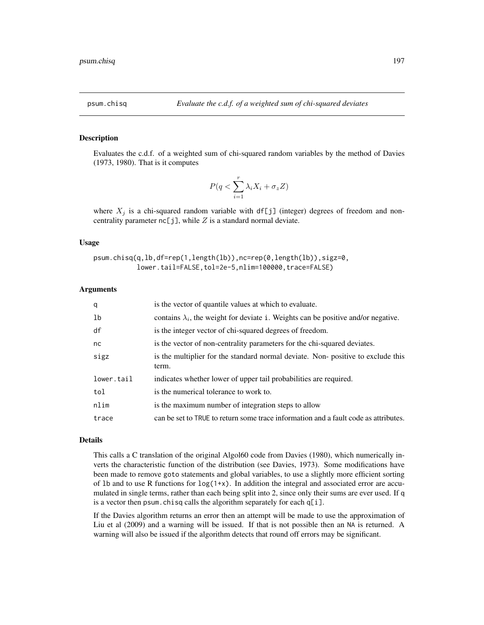# **Description**

Evaluates the c.d.f. of a weighted sum of chi-squared random variables by the method of Davies (1973, 1980). That is it computes

$$
P(q < \sum_{i=1}^{r} \lambda_i X_i + \sigma_z Z)
$$

where  $X_j$  is a chi-squared random variable with df[j] (integer) degrees of freedom and noncentrality parameter  $nc[j]$ , while  $Z$  is a standard normal deviate.

## Usage

```
psum.chisq(q,lb,df=rep(1,length(lb)),nc=rep(0,length(lb)),sigz=0,
           lower.tail=FALSE,tol=2e-5,nlim=100000,trace=FALSE)
```
#### Arguments

| q          | is the vector of quantile values at which to evaluate.                                    |
|------------|-------------------------------------------------------------------------------------------|
| lb         | contains $\lambda_i$ , the weight for deviate i. Weights can be positive and/or negative. |
| df         | is the integer vector of chi-squared degrees of freedom.                                  |
| nc         | is the vector of non-centrality parameters for the chi-squared deviates.                  |
| sigz       | is the multiplier for the standard normal deviate. Non-positive to exclude this<br>term.  |
| lower.tail | indicates whether lower of upper tail probabilities are required.                         |
| tol        | is the numerical tolerance to work to.                                                    |
| nlim       | is the maximum number of integration steps to allow                                       |
| trace      | can be set to TRUE to return some trace information and a fault code as attributes.       |

# Details

This calls a C translation of the original Algol60 code from Davies (1980), which numerically inverts the characteristic function of the distribution (see Davies, 1973). Some modifications have been made to remove goto statements and global variables, to use a slightly more efficient sorting of 1b and to use R functions for  $log(1+x)$ . In addition the integral and associated error are accumulated in single terms, rather than each being split into 2, since only their sums are ever used. If q is a vector then psum.chisq calls the algorithm separately for each q[i].

If the Davies algorithm returns an error then an attempt will be made to use the approximation of Liu et al (2009) and a warning will be issued. If that is not possible then an NA is returned. A warning will also be issued if the algorithm detects that round off errors may be significant.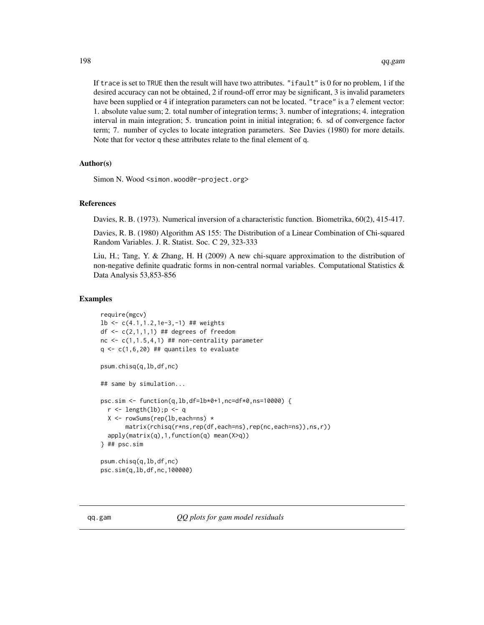If trace is set to TRUE then the result will have two attributes. "ifault" is 0 for no problem, 1 if the desired accuracy can not be obtained, 2 if round-off error may be significant, 3 is invalid parameters have been supplied or 4 if integration parameters can not be located. "trace" is a 7 element vector: 1. absolute value sum; 2. total number of integration terms; 3. number of integrations; 4. integration interval in main integration; 5. truncation point in initial integration; 6. sd of convergence factor term; 7. number of cycles to locate integration parameters. See Davies (1980) for more details. Note that for vector q these attributes relate to the final element of q.

# Author(s)

Simon N. Wood <simon.wood@r-project.org>

### References

Davies, R. B. (1973). Numerical inversion of a characteristic function. Biometrika, 60(2), 415-417.

Davies, R. B. (1980) Algorithm AS 155: The Distribution of a Linear Combination of Chi-squared Random Variables. J. R. Statist. Soc. C 29, 323-333

Liu, H.; Tang, Y. & Zhang, H. H (2009) A new chi-square approximation to the distribution of non-negative definite quadratic forms in non-central normal variables. Computational Statistics  $\&$ Data Analysis 53,853-856

## Examples

```
require(mgcv)
lb <- c(4.1,1.2,1e-3,-1) ## weights
df \leq c(2,1,1,1) ## degrees of freedom
nc \leq c(1,1.5,4,1) ## non-centrality parameter
q \leftarrow c(1,6,20) ## quantiles to evaluate
psum.chisq(q,lb,df,nc)
## same by simulation...
psc.sim <- function(q,lb,df=lb*0+1,nc=df*0,ns=10000) {
  r <- length(lb); p <- q
  X <- rowSums(rep(lb,each=ns) *
       matrix(rchisq(r*ns,rep(df,each=ns),rep(nc,each=ns)),ns,r))
  apply(matrix(q),1,function(q) mean(X>q))
} ## psc.sim
psum.chisq(q,lb,df,nc)
psc.sim(q,lb,df,nc,100000)
```
qq.gam *QQ plots for gam model residuals*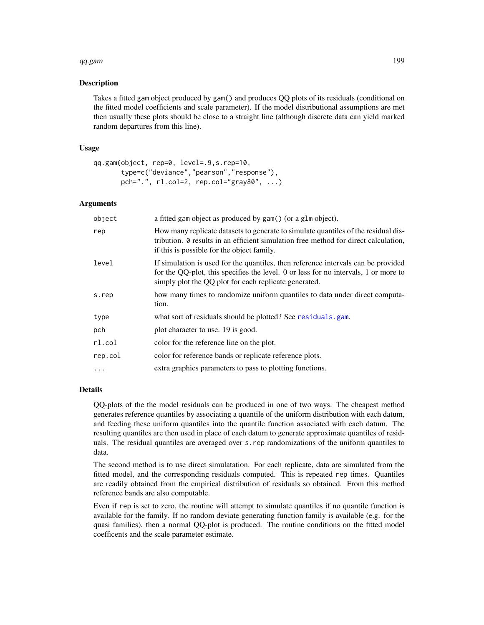## qq.gam 199

## Description

Takes a fitted gam object produced by gam() and produces QQ plots of its residuals (conditional on the fitted model coefficients and scale parameter). If the model distributional assumptions are met then usually these plots should be close to a straight line (although discrete data can yield marked random departures from this line).

# Usage

```
qq.gam(object, rep=0, level=.9,s.rep=10,
       type=c("deviance","pearson","response"),
      pch=".", rl.col=2, rep.col="gray80", ...)
```
# Arguments

| object  | a fitted gam object as produced by gam() (or a glm object).                                                                                                                                                                       |
|---------|-----------------------------------------------------------------------------------------------------------------------------------------------------------------------------------------------------------------------------------|
| rep     | How many replicate datasets to generate to simulate quantiles of the residual dis-<br>tribution. 0 results in an efficient simulation free method for direct calculation,<br>if this is possible for the object family.           |
| level   | If simulation is used for the quantiles, then reference intervals can be provided<br>for the QQ-plot, this specifies the level. 0 or less for no intervals, 1 or more to<br>simply plot the QQ plot for each replicate generated. |
| s.rep   | how many times to randomize uniform quantiles to data under direct computa-<br>tion.                                                                                                                                              |
| type    | what sort of residuals should be plotted? See residuals.gam.                                                                                                                                                                      |
| pch     | plot character to use. 19 is good.                                                                                                                                                                                                |
| r1.col  | color for the reference line on the plot.                                                                                                                                                                                         |
| rep.col | color for reference bands or replicate reference plots.                                                                                                                                                                           |
| $\cdot$ | extra graphics parameters to pass to plotting functions.                                                                                                                                                                          |

# Details

QQ-plots of the the model residuals can be produced in one of two ways. The cheapest method generates reference quantiles by associating a quantile of the uniform distribution with each datum, and feeding these uniform quantiles into the quantile function associated with each datum. The resulting quantiles are then used in place of each datum to generate approximate quantiles of residuals. The residual quantiles are averaged over s.rep randomizations of the uniform quantiles to data.

The second method is to use direct simulatation. For each replicate, data are simulated from the fitted model, and the corresponding residuals computed. This is repeated rep times. Quantiles are readily obtained from the empirical distribution of residuals so obtained. From this method reference bands are also computable.

Even if rep is set to zero, the routine will attempt to simulate quantiles if no quantile function is available for the family. If no random deviate generating function family is available (e.g. for the quasi families), then a normal QQ-plot is produced. The routine conditions on the fitted model coefficents and the scale parameter estimate.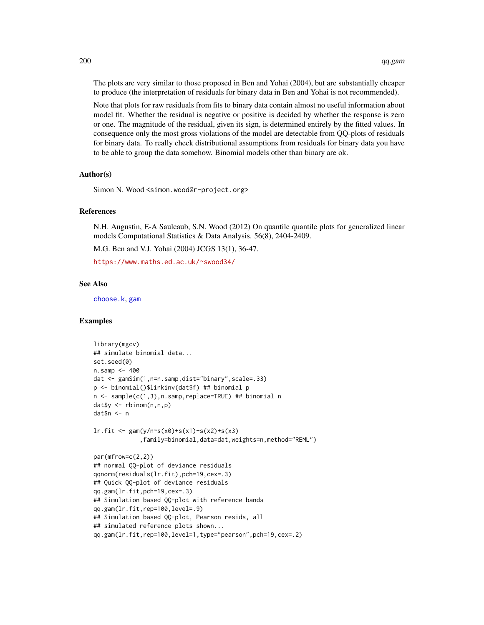The plots are very similar to those proposed in Ben and Yohai (2004), but are substantially cheaper to produce (the interpretation of residuals for binary data in Ben and Yohai is not recommended).

Note that plots for raw residuals from fits to binary data contain almost no useful information about model fit. Whether the residual is negative or positive is decided by whether the response is zero or one. The magnitude of the residual, given its sign, is determined entirely by the fitted values. In consequence only the most gross violations of the model are detectable from QQ-plots of residuals for binary data. To really check distributional assumptions from residuals for binary data you have to be able to group the data somehow. Binomial models other than binary are ok.

## Author(s)

Simon N. Wood <simon.wood@r-project.org>

## References

N.H. Augustin, E-A Sauleaub, S.N. Wood (2012) On quantile quantile plots for generalized linear models Computational Statistics & Data Analysis. 56(8), 2404-2409.

M.G. Ben and V.J. Yohai (2004) JCGS 13(1), 36-47.

<https://www.maths.ed.ac.uk/~swood34/>

## See Also

[choose.k](#page-20-0), [gam](#page-47-0)

# Examples

```
library(mgcv)
## simulate binomial data...
set.seed(0)
n.samp < -400dat <- gamSim(1,n=n.samp,dist="binary",scale=.33)
p <- binomial()$linkinv(dat$f) ## binomial p
n <- sample(c(1,3),n.samp,replace=TRUE) ## binomial n
dat$y <- rbinom(n,n,p)
dat$n <- n
lr.fit \leq-gam(y/n\text{~s}(x0)+s(x1)+s(x2)+s(x3)),family=binomial,data=dat,weights=n,method="REML")
par(mfrow=c(2,2))
## normal QQ-plot of deviance residuals
qqnorm(residuals(lr.fit),pch=19,cex=.3)
## Quick QQ-plot of deviance residuals
qq.gam(lr.fit,pch=19,cex=.3)
## Simulation based QQ-plot with reference bands
qq.gam(lr.fit,rep=100,level=.9)
## Simulation based QQ-plot, Pearson resids, all
## simulated reference plots shown...
qq.gam(lr.fit,rep=100,level=1,type="pearson",pch=19,cex=.2)
```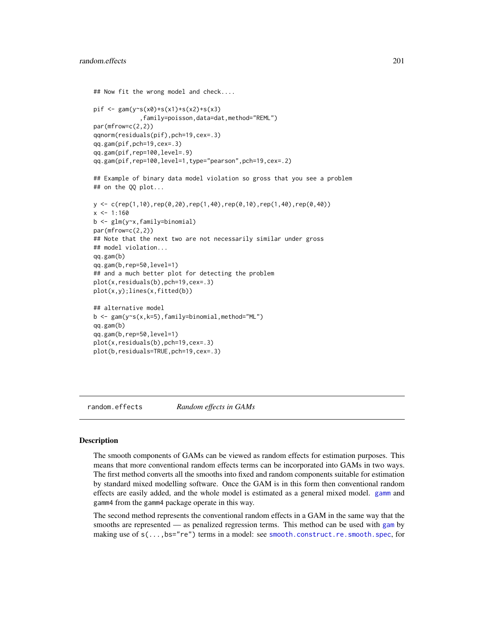```
## Now fit the wrong model and check....
pif \leq gam(y\leq(x0)+s(x1)+s(x2)+s(x3)
             ,family=poisson,data=dat,method="REML")
par(mfrow=c(2,2))
qqnorm(residuals(pif),pch=19,cex=.3)
qq.gam(pif,pch=19,cex=.3)
qq.gam(pif,rep=100,level=.9)
qq.gam(pif,rep=100,level=1,type="pearson",pch=19,cex=.2)
## Example of binary data model violation so gross that you see a problem
## on the QQ plot...
y \leq c (rep(1,10),rep(0,20),rep(1,40),rep(0,10),rep(1,40),rep(0,40))
x < -1:160b <- glm(y~x,family=binomial)
par(mfrow=c(2,2))
## Note that the next two are not necessarily similar under gross
## model violation...
qq.gam(b)
qq.gam(b,rep=50,level=1)
## and a much better plot for detecting the problem
plot(x,residuals(b),pch=19,cex=.3)
plot(x,y);lines(x,fitted(b))
## alternative model
b <- gam(y~s(x,k=5),family=binomial,method="ML")
qq.gam(b)
qq.gam(b,rep=50,level=1)
plot(x,residuals(b),pch=19,cex=.3)
plot(b,residuals=TRUE,pch=19,cex=.3)
```
random.effects *Random effects in GAMs*

## Description

The smooth components of GAMs can be viewed as random effects for estimation purposes. This means that more conventional random effects terms can be incorporated into GAMs in two ways. The first method converts all the smooths into fixed and random components suitable for estimation by standard mixed modelling software. Once the GAM is in this form then conventional random effects are easily added, and the whole model is estimated as a general mixed model. [gamm](#page-91-0) and gamm4 from the gamm4 package operate in this way.

The second method represents the conventional random effects in a GAM in the same way that the smooths are represented — as penalized regression terms. This method can be used with [gam](#page-47-0) by making use of  $s(\ldots,bs="re")$  terms in a model: see [smooth.construct.re.smooth.spec](#page-248-0), for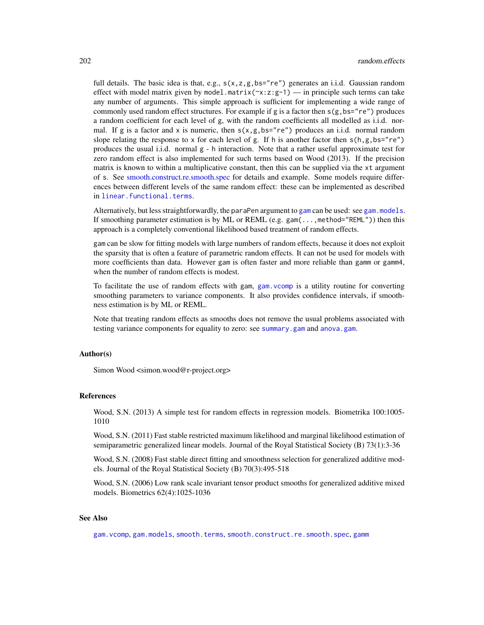full details. The basic idea is that, e.g.,  $s(x, z, g, bs="re")$  generates an i.i.d. Gaussian random effect with model matrix given by model.matrix( $\gamma x:z:g-1$ ) — in principle such terms can take any number of arguments. This simple approach is sufficient for implementing a wide range of commonly used random effect structures. For example if g is a factor then  $s(g,bs="re")$  produces a random coefficient for each level of g, with the random coefficients all modelled as i.i.d. normal. If g is a factor and x is numeric, then  $s(x, g, bs="re")$  produces an i.i.d. normal random slope relating the response to x for each level of g. If h is another factor then  $s(h,g,bs="re")$ produces the usual i.i.d. normal g - h interaction. Note that a rather useful approximate test for zero random effect is also implemented for such terms based on Wood (2013). If the precision matrix is known to within a multiplicative constant, then this can be supplied via the xt argument of s. See [smooth.construct.re.smooth.spec](#page-248-0) for details and example. Some models require differences between different levels of the same random effect: these can be implemented as described in [linear.functional.terms](#page-128-0).

Alternatively, but less straightforwardly, the paraPen argument to [gam](#page-47-0) can be used: see gam. models. If smoothing parameter estimation is by ML or REML (e.g. gam(...,method="REML")) then this approach is a completely conventional likelihood based treatment of random effects.

gam can be slow for fitting models with large numbers of random effects, because it does not exploit the sparsity that is often a feature of parametric random effects. It can not be used for models with more coefficients than data. However gam is often faster and more reliable than gamm or gamm4, when the number of random effects is modest.

To facilitate the use of random effects with gam, [gam.vcomp](#page-85-0) is a utility routine for converting smoothing parameters to variance components. It also provides confidence intervals, if smoothness estimation is by ML or REML.

Note that treating random effects as smooths does not remove the usual problems associated with testing variance components for equality to zero: see [summary.gam](#page-278-0) and [anova.gam](#page-4-0).

#### Author(s)

Simon Wood <simon.wood@r-project.org>

## References

Wood, S.N. (2013) A simple test for random effects in regression models. Biometrika 100:1005- 1010

Wood, S.N. (2011) Fast stable restricted maximum likelihood and marginal likelihood estimation of semiparametric generalized linear models. Journal of the Royal Statistical Society (B) 73(1):3-36

Wood, S.N. (2008) Fast stable direct fitting and smoothness selection for generalized additive models. Journal of the Royal Statistical Society (B) 70(3):495-518

Wood, S.N. (2006) Low rank scale invariant tensor product smooths for generalized additive mixed models. Biometrics 62(4):1025-1036

#### See Also

[gam.vcomp](#page-85-0), [gam.models](#page-71-0), [smooth.terms](#page-266-0), [smooth.construct.re.smooth.spec](#page-248-0), [gamm](#page-91-0)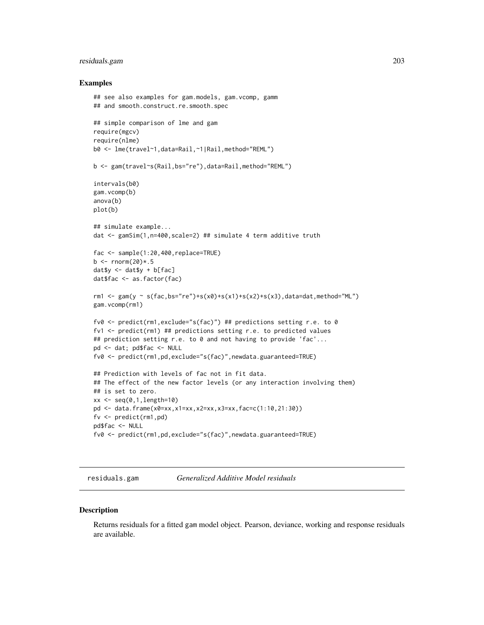# residuals.gam 203

#### Examples

```
## see also examples for gam.models, gam.vcomp, gamm
## and smooth.construct.re.smooth.spec
## simple comparison of lme and gam
require(mgcv)
require(nlme)
b0 <- lme(travel~1,data=Rail,~1|Rail,method="REML")
b <- gam(travel~s(Rail,bs="re"),data=Rail,method="REML")
intervals(b0)
gam.vcomp(b)
anova(b)
plot(b)
## simulate example...
dat <- gamSim(1,n=400,scale=2) ## simulate 4 term additive truth
fac <- sample(1:20,400,replace=TRUE)
b \le rnorm(20)* . 5dat$y <- dat$y + b[fac]
dat$fac <- as.factor(fac)
rm1 <- gam(y ~ s(fac,bs="re")+s(x0)+s(x1)+s(x2)+s(x3),data=dat,method="ML")
gam.vcomp(rm1)
fv0 <- predict(rm1,exclude="s(fac)") ## predictions setting r.e. to 0
fv1 <- predict(rm1) ## predictions setting r.e. to predicted values
## prediction setting r.e. to 0 and not having to provide 'fac'...
pd <- dat; pd$fac <- NULL
fv0 <- predict(rm1,pd,exclude="s(fac)",newdata.guaranteed=TRUE)
## Prediction with levels of fac not in fit data.
## The effect of the new factor levels (or any interaction involving them)
## is set to zero.
xx < - seq(0,1,length=10)
pd <- data.frame(x0=xx,x1=xx,x2=xx,x3=xx,fac=c(1:10,21:30))
fv <- predict(rm1,pd)
pd$fac <- NULL
fv0 <- predict(rm1,pd,exclude="s(fac)",newdata.guaranteed=TRUE)
```
<span id="page-202-0"></span>residuals.gam *Generalized Additive Model residuals*

#### **Description**

Returns residuals for a fitted gam model object. Pearson, deviance, working and response residuals are available.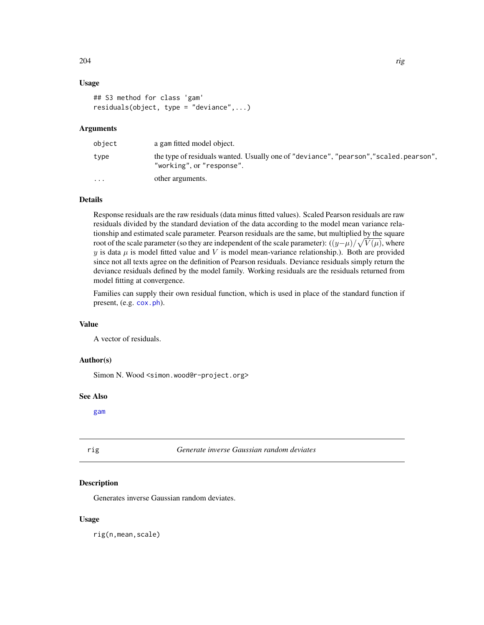# Usage

```
## S3 method for class 'gam'
residuals(object, type = "deviance",...)
```
# Arguments

| object                  | a gam fitted model object.                                                                                          |
|-------------------------|---------------------------------------------------------------------------------------------------------------------|
| type                    | the type of residuals wanted. Usually one of "deviance", "pearson", "scaled. pearson",<br>"working", or "response". |
| $\cdot$ $\cdot$ $\cdot$ | other arguments.                                                                                                    |

# Details

Response residuals are the raw residuals (data minus fitted values). Scaled Pearson residuals are raw residuals divided by the standard deviation of the data according to the model mean variance relationship and estimated scale parameter. Pearson residuals are the same, but multiplied by the square root of the scale parameter (so they are independent of the scale parameter):  $((y-\mu)/\sqrt{V(\mu)})$ , where y is data  $\mu$  is model fitted value and V is model mean-variance relationship.). Both are provided since not all texts agree on the definition of Pearson residuals. Deviance residuals simply return the deviance residuals defined by the model family. Working residuals are the residuals returned from model fitting at convergence.

Families can supply their own residual function, which is used in place of the standard function if present, (e.g. [cox.ph](#page-25-0)).

## Value

A vector of residuals.

# Author(s)

Simon N. Wood <simon.wood@r-project.org>

#### See Also

[gam](#page-47-0)

rig *Generate inverse Gaussian random deviates*

## Description

Generates inverse Gaussian random deviates.

## Usage

rig(n,mean,scale)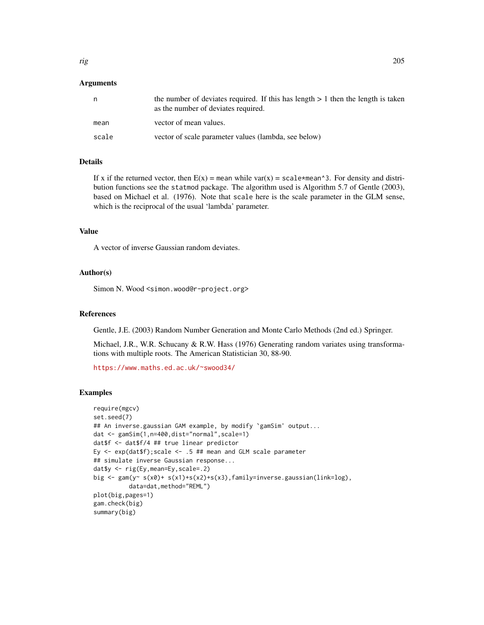# Arguments

| n     | the number of deviates required. If this has length $> 1$ then the length is taken<br>as the number of deviates required. |
|-------|---------------------------------------------------------------------------------------------------------------------------|
| mean  | vector of mean values.                                                                                                    |
| scale | vector of scale parameter values (lambda, see below)                                                                      |

## Details

If x if the returned vector, then  $E(x)$  = mean while var(x) = scale\*mean^3. For density and distribution functions see the statmod package. The algorithm used is Algorithm 5.7 of Gentle (2003), based on Michael et al. (1976). Note that scale here is the scale parameter in the GLM sense, which is the reciprocal of the usual 'lambda' parameter.

## Value

A vector of inverse Gaussian random deviates.

## Author(s)

Simon N. Wood <simon.wood@r-project.org>

## References

Gentle, J.E. (2003) Random Number Generation and Monte Carlo Methods (2nd ed.) Springer.

Michael, J.R., W.R. Schucany & R.W. Hass (1976) Generating random variates using transformations with multiple roots. The American Statistician 30, 88-90.

<https://www.maths.ed.ac.uk/~swood34/>

#### Examples

```
require(mgcv)
set.seed(7)
## An inverse.gaussian GAM example, by modify `gamSim' output...
dat <- gamSim(1,n=400,dist="normal",scale=1)
dat$f <- dat$f/4 ## true linear predictor
Ey \leq exp(dat$f); scale \leq .5 ## mean and GLM scale parameter
## simulate inverse Gaussian response...
dat$y <- rig(Ey,mean=Ey,scale=.2)
big <- gam(y~ s(x0)+ s(x1)+s(x2)+s(x3),family=inverse.gaussian(link=log),
         data=dat,method="REML")
plot(big,pages=1)
gam.check(big)
summary(big)
```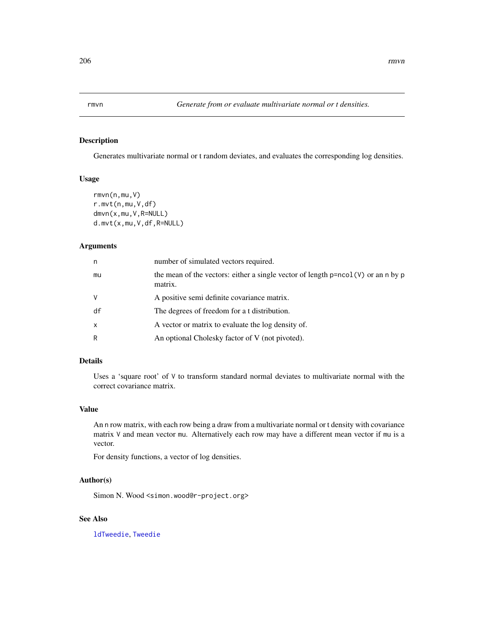# Description

Generates multivariate normal or t random deviates, and evaluates the corresponding log densities.

## Usage

```
rmvn(n,mu,V)
r.mvt(n,mu,V,df)
dmvn(x,mu,V,R=NULL)
d.mvt(x,mu,V,df,R=NULL)
```
## Arguments

| n  | number of simulated vectors required.                                                                   |
|----|---------------------------------------------------------------------------------------------------------|
| mu | the mean of the vectors: either a single vector of length $p = n \text{col}(V)$ or an n by p<br>matrix. |
| V  | A positive semi definite covariance matrix.                                                             |
| df | The degrees of freedom for a t distribution.                                                            |
| x  | A vector or matrix to evaluate the log density of.                                                      |
| R  | An optional Cholesky factor of V (not pivoted).                                                         |
|    |                                                                                                         |

# Details

Uses a 'square root' of V to transform standard normal deviates to multivariate normal with the correct covariance matrix.

# Value

An n row matrix, with each row being a draw from a multivariate normal or t density with covariance matrix V and mean vector mu. Alternatively each row may have a different mean vector if mu is a vector.

For density functions, a vector of log densities.

## Author(s)

Simon N. Wood <simon.wood@r-project.org>

# See Also

[ldTweedie](#page-126-0), [Tweedie](#page-296-0)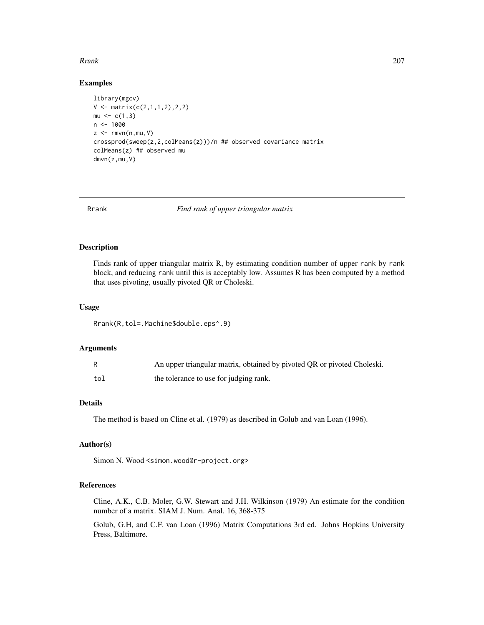## Rrank 207

# Examples

```
library(mgcv)
V \leftarrow matrix(c(2,1,1,2),2,2)mu < -c(1,3)n < -1000z \leq -\text{rmvn}(n,mu, V)crossprod(sweep(z,2,colMeans(z)))/n ## observed covariance matrix
colMeans(z) ## observed mu
dmvn(z,mu,V)
```
Rrank *Find rank of upper triangular matrix*

# Description

Finds rank of upper triangular matrix R, by estimating condition number of upper rank by rank block, and reducing rank until this is acceptably low. Assumes R has been computed by a method that uses pivoting, usually pivoted QR or Choleski.

## Usage

Rrank(R,tol=.Machine\$double.eps^.9)

# Arguments

|     | An upper triangular matrix, obtained by pivoted QR or pivoted Choleski. |
|-----|-------------------------------------------------------------------------|
| tol | the tolerance to use for judging rank.                                  |

# Details

The method is based on Cline et al. (1979) as described in Golub and van Loan (1996).

## Author(s)

Simon N. Wood <simon.wood@r-project.org>

## References

Cline, A.K., C.B. Moler, G.W. Stewart and J.H. Wilkinson (1979) An estimate for the condition number of a matrix. SIAM J. Num. Anal. 16, 368-375

Golub, G.H, and C.F. van Loan (1996) Matrix Computations 3rd ed. Johns Hopkins University Press, Baltimore.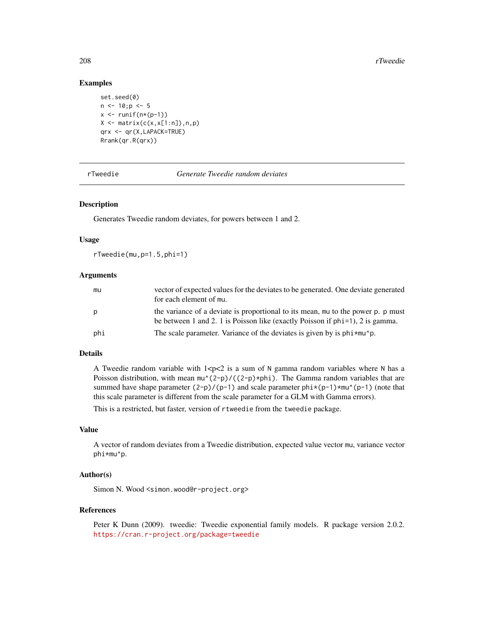# Examples

```
set.seed(0)
n \le -10; p \le -5x \leftarrow runif(n*(p-1))X \leftarrow matrix(c(x, x[1:n]), n, p)qrx <- qr(X,LAPACK=TRUE)
Rrank(qr.R(qrx))
```
rTweedie *Generate Tweedie random deviates*

# Description

Generates Tweedie random deviates, for powers between 1 and 2.

## Usage

rTweedie(mu,p=1.5,phi=1)

# **Arguments**

| mu  | vector of expected values for the deviates to be generated. One deviate generated<br>for each element of mu.                                                         |
|-----|----------------------------------------------------------------------------------------------------------------------------------------------------------------------|
| p   | the variance of a deviate is proportional to its mean, mu to the power p. p must<br>be between 1 and 2. 1 is Poisson like (exactly Poisson if $phi=1$ ), 2 is gamma. |
| phi | The scale parameter. Variance of the deviates is given by is $\pi$ hi $\star$ mu $\sim$ p.                                                                           |

#### Details

A Tweedie random variable with  $1 < p < 2$  is a sum of N gamma random variables where N has a Poisson distribution, with mean  $\text{mu}^{\wedge}(2-p)/(2-p)*phi)$ . The Gamma random variables that are summed have shape parameter  $(2-p)/(p-1)$  and scale parameter  $phi*(p-1)*mu^(p-1)$  (note that this scale parameter is different from the scale parameter for a GLM with Gamma errors).

This is a restricted, but faster, version of rtweedie from the tweedie package.

# Value

A vector of random deviates from a Tweedie distribution, expected value vector mu, variance vector phi\*mu^p.

# Author(s)

Simon N. Wood <simon.wood@r-project.org>

#### References

Peter K Dunn (2009). tweedie: Tweedie exponential family models. R package version 2.0.2. <https://cran.r-project.org/package=tweedie>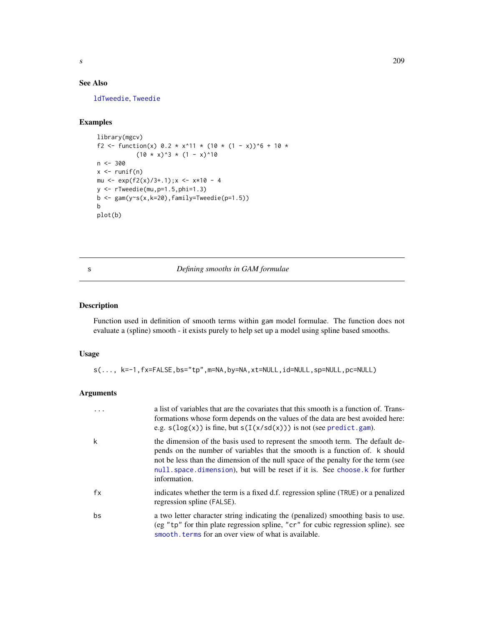# See Also

[ldTweedie](#page-126-0), [Tweedie](#page-296-0)

# Examples

```
library(mgcv)
f2 <- function(x) 0.2 * x^11 * (10 * (1 - x))^6 + 10 *
             (10 \times x)^3 * (1 - x)^10n <- 300
x \leftarrow runif(n)mu <- exp(f2(x)/3+.1); x < - x*10 - 4y \leftarrow rTweedie(mu, p=1.5, phi=1.3)
b \leq -\text{gam}(y \sim s(x, k=20), \text{family} = \text{Twedie}(p=1.5))b
plot(b)
```
# <span id="page-208-0"></span>s *Defining smooths in GAM formulae*

# Description

Function used in definition of smooth terms within gam model formulae. The function does not evaluate a (spline) smooth - it exists purely to help set up a model using spline based smooths.

# Usage

s(..., k=-1,fx=FALSE,bs="tp",m=NA,by=NA,xt=NULL,id=NULL,sp=NULL,pc=NULL)

## Arguments

|    | a list of variables that are the covariates that this smooth is a function of. Trans-<br>formations whose form depends on the values of the data are best avoided here:<br>e.g. $s(log(x))$ is fine, but $s(I(x/sd(x)))$ is not (see predict.gam).                                                                                               |
|----|--------------------------------------------------------------------------------------------------------------------------------------------------------------------------------------------------------------------------------------------------------------------------------------------------------------------------------------------------|
| k  | the dimension of the basis used to represent the smooth term. The default de-<br>pends on the number of variables that the smooth is a function of. k should<br>not be less than the dimension of the null space of the penalty for the term (see<br>null space dimension), but will be reset if it is. See choose k for further<br>information. |
| fx | indicates whether the term is a fixed d.f. regression spline (TRUE) or a penalized<br>regression spline (FALSE).                                                                                                                                                                                                                                 |
| bs | a two letter character string indicating the (penalized) smoothing basis to use.<br>(eg "tp" for thin plate regression spline, "cr" for cubic regression spline). see<br>smooth, terms for an over view of what is available.                                                                                                                    |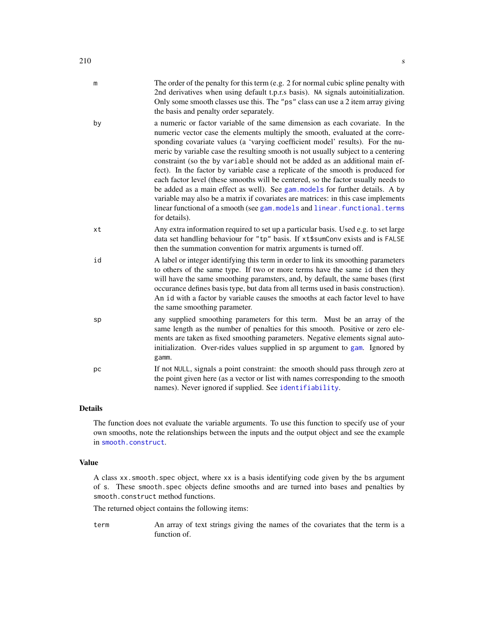- by a numeric or factor variable of the same dimension as each covariate. In the numeric vector case the elements multiply the smooth, evaluated at the corresponding covariate values (a 'varying coefficient model' results). For the numeric by variable case the resulting smooth is not usually subject to a centering constraint (so the by variable should not be added as an additional main effect). In the factor by variable case a replicate of the smooth is produced for each factor level (these smooths will be centered, so the factor usually needs to be added as a main effect as well). See [gam.models](#page-71-0) for further details. A by variable may also be a matrix if covariates are matrices: in this case implements linear functional of a smooth (see gam. models and linear. functional.terms for details).
- xt Any extra information required to set up a particular basis. Used e.g. to set large data set handling behaviour for "tp" basis. If xt\$sumConv exists and is FALSE then the summation convention for matrix arguments is turned off.
- id A label or integer identifying this term in order to link its smoothing parameters to others of the same type. If two or more terms have the same id then they will have the same smoothing paramsters, and, by default, the same bases (first occurance defines basis type, but data from all terms used in basis construction). An id with a factor by variable causes the smooths at each factor level to have the same smoothing parameter.
- sp any supplied smoothing parameters for this term. Must be an array of the same length as the number of penalties for this smooth. Positive or zero elements are taken as fixed smoothing parameters. Negative elements signal autoinitialization. Over-rides values supplied in sp argument to [gam](#page-47-0). Ignored by gamm.
- pc If not NULL, signals a point constraint: the smooth should pass through zero at the point given here (as a vector or list with names corresponding to the smooth names). Never ignored if supplied. See [identifiability](#page-113-0).

## Details

The function does not evaluate the variable arguments. To use this function to specify use of your own smooths, note the relationships between the inputs and the output object and see the example in [smooth.construct](#page-222-0).

## Value

A class xx.smooth.spec object, where xx is a basis identifying code given by the bs argument of s. These smooth.spec objects define smooths and are turned into bases and penalties by smooth.construct method functions.

The returned object contains the following items:

term An array of text strings giving the names of the covariates that the term is a function of.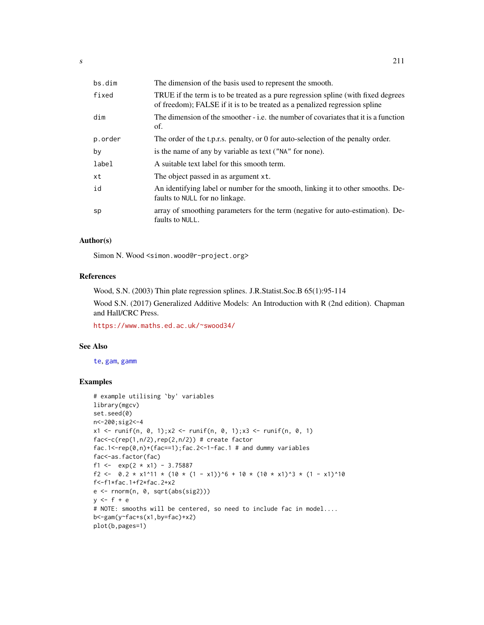| bs.dim  | The dimension of the basis used to represent the smooth.                                                                                                        |
|---------|-----------------------------------------------------------------------------------------------------------------------------------------------------------------|
| fixed   | TRUE if the term is to be treated as a pure regression spline (with fixed degrees<br>of freedom); FALSE if it is to be treated as a penalized regression spline |
| dim     | The dimension of the smoother - i.e. the number of covariates that it is a function<br>of.                                                                      |
| p.order | The order of the t.p.r.s. penalty, or 0 for auto-selection of the penalty order.                                                                                |
| bν      | is the name of any by variable as text ("NA" for none).                                                                                                         |
| label   | A suitable text label for this smooth term.                                                                                                                     |
| хt      | The object passed in as argument xt.                                                                                                                            |
| id      | An identifying label or number for the smooth, linking it to other smooths. De-<br>faults to NULL for no linkage.                                               |
| sp      | array of smoothing parameters for the term (negative for auto-estimation). De-<br>faults to NULL.                                                               |
|         |                                                                                                                                                                 |

# Author(s)

Simon N. Wood <simon.wood@r-project.org>

# References

Wood, S.N. (2003) Thin plate regression splines. J.R.Statist.Soc.B 65(1):95-114

Wood S.N. (2017) Generalized Additive Models: An Introduction with R (2nd edition). Chapman and Hall/CRC Press.

<https://www.maths.ed.ac.uk/~swood34/>

# See Also

[te](#page-287-0), [gam](#page-47-0), [gamm](#page-91-0)

# Examples

```
# example utilising `by' variables
library(mgcv)
set.seed(0)
n<-200;sig2<-4
x1 <- runif(n, 0, 1);x2 <- runif(n, 0, 1);x3 <- runif(n, 0, 1)
fac < -c(rep(1,n/2),rep(2,n/2)) # create factor
fac.1<-rep(\emptyset,n)+(fac==1);fac.2<-1-fac.1 # and dummy variables
fac<-as.factor(fac)
f1 <- exp(2 \times x1) - 3.75887f2 <- 0.2 \times x1^11 \times (10 \times (1 - x1))^6 + 10 \times (10 \times x1)^3 + (1 - x1)^10f<-f1*fac.1+f2*fac.2+x2
e <- rnorm(n, 0, sqrt(abs(sig2)))
y \leftarrow f + e# NOTE: smooths will be centered, so need to include fac in model....
b<-gam(y~fac+s(x1,by=fac)+x2)
plot(b,pages=1)
```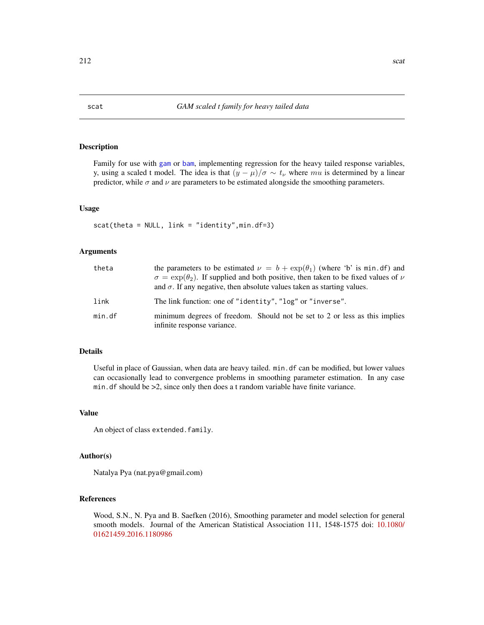# Description

Family for use with [gam](#page-47-0) or [bam](#page-6-0), implementing regression for the heavy tailed response variables, y, using a scaled t model. The idea is that  $(y - \mu)/\sigma \sim t_{\nu}$  where mu is determined by a linear predictor, while  $\sigma$  and  $\nu$  are parameters to be estimated alongside the smoothing parameters.

# Usage

scat(theta = NULL, link = "identity",min.df=3)

## Arguments

| theta  | the parameters to be estimated $\nu = b + \exp(\theta_1)$ (where 'b' is min. df) and<br>$\sigma = \exp(\theta_2)$ . If supplied and both positive, then taken to be fixed values of $\nu$<br>and $\sigma$ . If any negative, then absolute values taken as starting values. |
|--------|-----------------------------------------------------------------------------------------------------------------------------------------------------------------------------------------------------------------------------------------------------------------------------|
| link   | The link function: one of "identity", "log" or "inverse".                                                                                                                                                                                                                   |
| min.df | minimum degrees of freedom. Should not be set to 2 or less as this implies<br>infinite response variance.                                                                                                                                                                   |

# Details

Useful in place of Gaussian, when data are heavy tailed. min.df can be modified, but lower values can occasionally lead to convergence problems in smoothing parameter estimation. In any case min.df should be >2, since only then does a t random variable have finite variance.

# Value

An object of class extended.family.

# Author(s)

Natalya Pya (nat.pya@gmail.com)

# References

Wood, S.N., N. Pya and B. Saefken (2016), Smoothing parameter and model selection for general smooth models. Journal of the American Statistical Association 111, 1548-1575 doi: [10.1080/](https://doi.org/10.1080/01621459.2016.1180986) [01621459.2016.1180986](https://doi.org/10.1080/01621459.2016.1180986)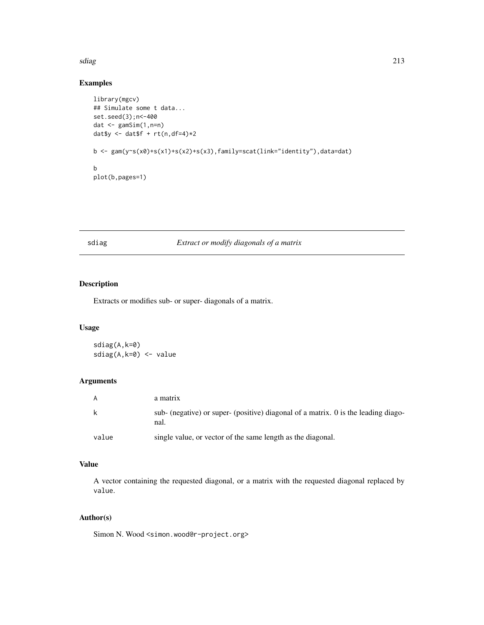#### sdiag 213

# Examples

```
library(mgcv)
## Simulate some t data...
set.seed(3);n<-400
dat <- gamSim(1,n=n)
dat$y <- dat$f + rt(n,df=4)*2b <- gam(y~s(x0)+s(x1)+s(x2)+s(x3),family=scat(link="identity"),data=dat)
b
plot(b,pages=1)
```
# sdiag *Extract or modify diagonals of a matrix*

# Description

Extracts or modifies sub- or super- diagonals of a matrix.

# Usage

sdiag(A,k=0) sdiag(A,k=0) <- value

# Arguments

|       | a matrix                                                                                   |
|-------|--------------------------------------------------------------------------------------------|
| -k    | sub- (negative) or super- (positive) diagonal of a matrix. 0 is the leading diago-<br>nal. |
| value | single value, or vector of the same length as the diagonal.                                |

# Value

A vector containing the requested diagonal, or a matrix with the requested diagonal replaced by value.

# Author(s)

Simon N. Wood <simon.wood@r-project.org>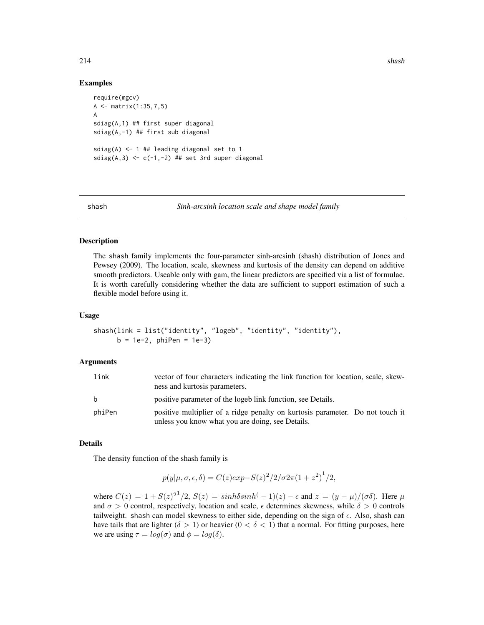## Examples

```
require(mgcv)
A <- matrix(1:35,7,5)
A
sdiag(A,1) ## first super diagonal
sdiag(A,-1) ## first sub diagonal
sdiag(A) <- 1 ## leading diagonal set to 1
sdiag(A,3) \leq c(-1,-2) ## set 3rd super diagonal
```
shash *Sinh-arcsinh location scale and shape model family*

## **Description**

The shash family implements the four-parameter sinh-arcsinh (shash) distribution of Jones and Pewsey (2009). The location, scale, skewness and kurtosis of the density can depend on additive smooth predictors. Useable only with gam, the linear predictors are specified via a list of formulae. It is worth carefully considering whether the data are sufficient to support estimation of such a flexible model before using it.

## Usage

```
shash(link = list("identity", "logeb", "identity", "identity"),
     b = 1e-2, phiPen = 1e-3)
```
#### Arguments

| link   | vector of four characters indicating the link function for location, scale, skew-<br>ness and kurtosis parameters.                |
|--------|-----------------------------------------------------------------------------------------------------------------------------------|
| b.     | positive parameter of the logeb link function, see Details.                                                                       |
| phiPen | positive multiplier of a ridge penalty on kurtosis parameter. Do not touch it<br>unless you know what you are doing, see Details. |

## Details

The density function of the shash family is

$$
p(y|\mu, \sigma, \epsilon, \delta) = C(z)exp-S(z)^{2}/2/\sigma 2\pi (1+z^{2})^{1}/2,
$$

where  $C(z) = 1 + S(z)^{2} / 2$ ,  $S(z) = sinh\delta sinh(-1)(z) - \epsilon$  and  $z = (y - \mu) / (\sigma \delta)$ . Here  $\mu$ and  $\sigma > 0$  control, respectively, location and scale,  $\epsilon$  determines skewness, while  $\delta > 0$  controls tailweight. shash can model skewness to either side, depending on the sign of  $\epsilon$ . Also, shash can have tails that are lighter ( $\delta > 1$ ) or heavier ( $0 < \delta < 1$ ) that a normal. For fitting purposes, here we are using  $\tau = \log(\sigma)$  and  $\phi = \log(\delta)$ .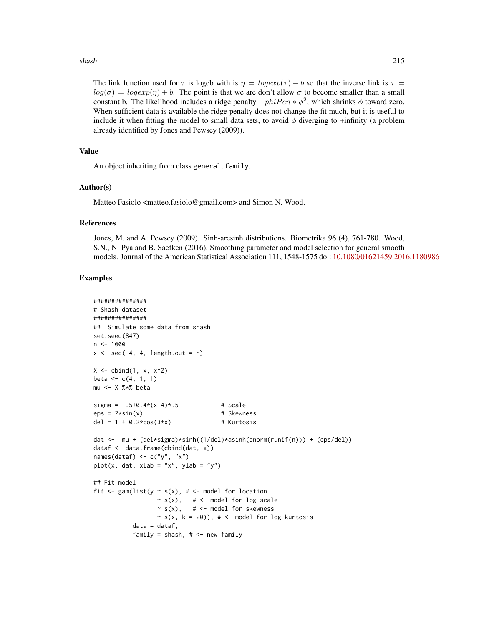#### shash 215

The link function used for  $\tau$  is logeb with is  $\eta = logexp(\tau) - b$  so that the inverse link is  $\tau =$  $log(\sigma) = logexp(\eta) + b$ . The point is that we are don't allow  $\sigma$  to become smaller than a small constant b. The likelihood includes a ridge penalty  $-phiPen * \phi^2$ , which shrinks  $\phi$  toward zero. When sufficient data is available the ridge penalty does not change the fit much, but it is useful to include it when fitting the model to small data sets, to avoid  $\phi$  diverging to +infinity (a problem already identified by Jones and Pewsey (2009)).

# Value

An object inheriting from class general.family.

# Author(s)

Matteo Fasiolo <matteo.fasiolo@gmail.com> and Simon N. Wood.

## References

Jones, M. and A. Pewsey (2009). Sinh-arcsinh distributions. Biometrika 96 (4), 761-780. Wood, S.N., N. Pya and B. Saefken (2016), Smoothing parameter and model selection for general smooth models. Journal of the American Statistical Association 111, 1548-1575 doi: [10.1080/01621459.2016.1180986](https://doi.org/10.1080/01621459.2016.1180986)

# Examples

```
###############
# Shash dataset
###############
## Simulate some data from shash
set.seed(847)
n < -1000x \leftarrow \text{seq}(-4, 4, \text{length.out} = n)X \le - cbind(1, x, x^2)
beta \leq -c(4, 1, 1)mu <- X %*% beta
sigma = .5+0.4*(x+4)*(5) # Scale
eps = 2*sin(x) # Skewness
del = 1 + 0.2 \times \cos(3 \times x) # Kurtosis
dat <- mu + (del*sigma)*sinh((1/del)*asinh(qnorm(runif(n))) + (eps/del))
dataf <- data.frame(cbind(dat, x))
names(dataf) <- c("y", "x")
plot(x, dat, xlab = "x", ylab = "y")
## Fit model
fit \leq gam(list(y \leq s(x), # \leq model for location
                  \sim s(x), \# <- model for log-scale
                  ~ s(x), # <- model for skewness
                  ~ s(x, k = 20), # <- model for log-kurtosis
           data = dataf,
           family = shash, # < - new family
```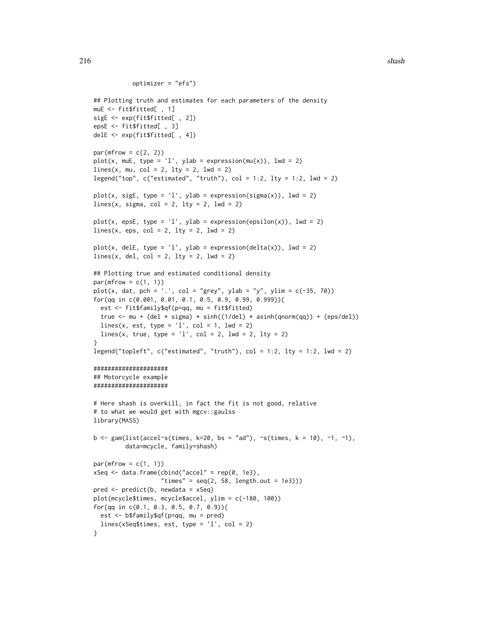```
optimizer = "efs")
```

```
## Plotting truth and estimates for each parameters of the density
muE <- fit$fitted[ , 1]
sigE <- exp(fit$fitted[ , 2])
epsE <- fit$fitted[ , 3]
delE <- exp(fit$fitted[ , 4])
par(mfrow = c(2, 2))plot(x, \text{mUE}, \text{type} = 'l', \text{ylab} = \text{expression}(\text{mu}(x)), \text{lwd} = 2)lines(x, mu, col = 2, lty = 2, lwd = 2)
legend("top", c("estimated", "truth"), col = 1:2, lty = 1:2, lwd = 2)
plot(x, sigE, type = 'l', ylab = expression(sigma(x)), lwd = 2)lines(x, sigma, col = 2, lty = 2, lwd = 2)
plot(x, epsE, type = 'l', ylab = expression(epsilon(x)), lwd = 2)lines(x, eps, col = 2, lty = 2, lwd = 2)
plot(x, delE, type = 'l', ylab = expression(delta(x)), lwd = 2)lines(x, del, col = 2, lty = 2, lwd = 2)
## Plotting true and estimated conditional density
par(mfrow = c(1, 1))plot(x, dat, pch = '.', col = "grey", ylab = "y", ylim = c(-35, 70))
for(qq in c(0.001, 0.01, 0.1, 0.5, 0.9, 0.99, 0.999)){
  est <- fit$family$qf(p=qq, mu = fit$fitted)
  true <- mu + (del * sigma) * sinh((1/del) * asinh(qnorm(qq)) + (eps/del))
  lines(x, est, type = '1', col = 1, lwd = 2)
  lines(x, true, type = 'l', col = 2, lwd = 2, lty = 2)
}
legend("topleft", c("estimated", "truth"), col = 1:2, lty = 1:2, lwd = 2)#####################
## Motorcycle example
#####################
# Here shash is overkill, in fact the fit is not good, relative
# to what we would get with mgcv::gaulss
library(MASS)
b \leq gam(list(accel~s(times, k=20, bs = "ad"), ~s(times, k = 10), ~1, ~1),
         data=mcycle, family=shash)
par(mfrow = c(1, 1))xSeq \leq data.frame(cbind("accel" = rep(0, 1e3),
                    "times" = seq(2, 58, length.out = 1e3)))
pred <- predict(b, newdata = xSeq)
plot(mcycle$times, mcycle$accel, ylim = c(-180, 100))
for(qq in c(0.1, 0.3, 0.5, 0.7, 0.9)){
  est <- b$family$qf(p=qq, mu = pred)
  lines(xSeq$times, est, type = 'l', col = 2)
}
```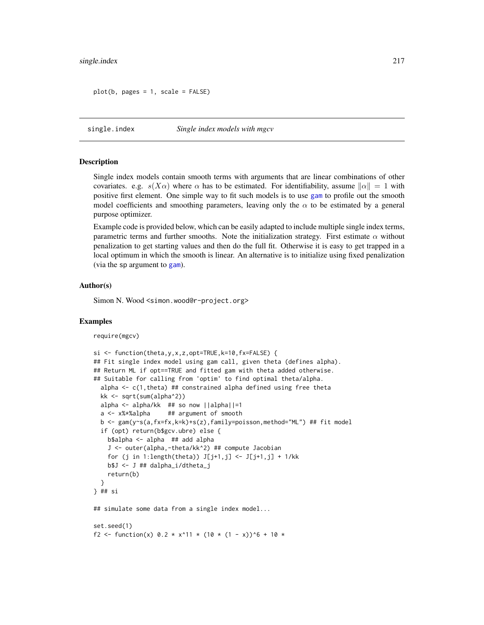```
plot(b, pages = 1, scale = FALSE)
```
single.index *Single index models with mgcv*

#### **Description**

Single index models contain smooth terms with arguments that are linear combinations of other covariates. e.g.  $s(X\alpha)$  where  $\alpha$  has to be estimated. For identifiability, assume  $\|\alpha\| = 1$  with positive first element. One simple way to fit such models is to use [gam](#page-47-0) to profile out the smooth model coefficients and smoothing parameters, leaving only the  $\alpha$  to be estimated by a general purpose optimizer.

Example code is provided below, which can be easily adapted to include multiple single index terms, parametric terms and further smooths. Note the initialization strategy. First estimate  $\alpha$  without penalization to get starting values and then do the full fit. Otherwise it is easy to get trapped in a local optimum in which the smooth is linear. An alternative is to initialize using fixed penalization (via the sp argument to [gam](#page-47-0)).

### Author(s)

Simon N. Wood <simon.wood@r-project.org>

### Examples

require(mgcv)

```
si <- function(theta,y,x,z,opt=TRUE,k=10,fx=FALSE) {
## Fit single index model using gam call, given theta (defines alpha).
## Return ML if opt==TRUE and fitted gam with theta added otherwise.
## Suitable for calling from 'optim' to find optimal theta/alpha.
 alpha \leq c(1, theta) ## constrained alpha defined using free theta
 kk <- sqrt(sum(alpha^2))
 alpha <- alpha/kk ## so now ||alpha||=1
 a <- x%*%alpha ## argument of smooth
 b <- gam(y~s(a,fx=fx,k=k)+s(z),family=poisson,method="ML") ## fit model
 if (opt) return(b$gcv.ubre) else {
    b$alpha <- alpha ## add alpha
    J <- outer(alpha,-theta/kk^2) ## compute Jacobian
    for (j in 1:length(theta)) J[j+1,j] \leftarrow J[j+1,j] + 1/kkb$J <- J ## dalpha_i/dtheta_j
    return(b)
 }
} ## si
## simulate some data from a single index model...
set.seed(1)
f2 <- function(x) 0.2 \times x^11 \times (10 \times (1 - x))^6 + 10 \times
```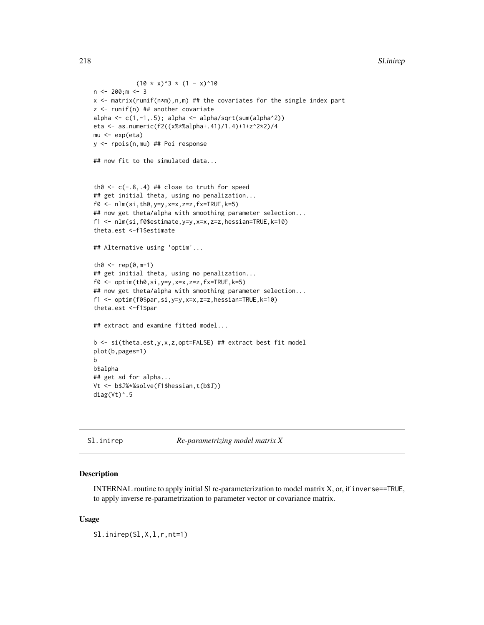```
(10 \times x)^3 * (1 - x)^10n < -200; m < -3x <- matrix(runif(n*m),n,m) ## the covariates for the single index part
z <- runif(n) ## another covariate
alpha \leq c(1,-1,.5); alpha \leq alpha/sqrt(sum(alpha^2))
eta <- as.numeric(f2((x%*%alpha+.41)/1.4)+1+z^2*2)/4
mu <- exp(eta)
y <- rpois(n,mu) ## Poi response
## now fit to the simulated data...
th0 \leq c(-.8,.4) ## close to truth for speed
## get initial theta, using no penalization...
f0 \leftarrow \text{nlm}(si, th0, y=y, x=x, z=z, fx=True, k=5)## now get theta/alpha with smoothing parameter selection...
f1 <- nlm(si,f0$estimate,y=y,x=x,z=z,hessian=TRUE,k=10)
theta.est <-f1$estimate
## Alternative using 'optim'...
th0 < - rep(0, m-1)
## get initial theta, using no penalization...
f0 \leftarrow optim(th0,si,y=y,x=x,z=z,fx=TRUE,k=5)
## now get theta/alpha with smoothing parameter selection...
f1 <- optim(f0$par,si,y=y,x=x,z=z,hessian=TRUE,k=10)
theta.est <-f1$par
## extract and examine fitted model...
b <- si(theta.est,y,x,z,opt=FALSE) ## extract best fit model
plot(b,pages=1)
b
b$alpha
## get sd for alpha...
Vt <- b$J%*%solve(f1$hessian,t(b$J))
diag(Vt)^*.5
```
Sl.inirep *Re-parametrizing model matrix X*

## Description

INTERNAL routine to apply initial Sl re-parameterization to model matrix X, or, if inverse==TRUE, to apply inverse re-parametrization to parameter vector or covariance matrix.

### Usage

Sl.inirep(Sl,X,l,r,nt=1)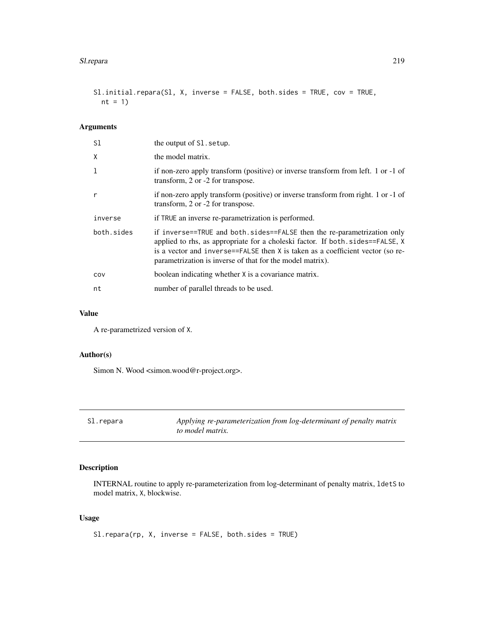```
Sl.initial.repara(Sl, X, inverse = FALSE, both.sides = TRUE, cov = TRUE,
 nt = 1)
```
## Arguments

| S1         | the output of S1. setup.                                                                                                                                                                                                                                                                                |
|------------|---------------------------------------------------------------------------------------------------------------------------------------------------------------------------------------------------------------------------------------------------------------------------------------------------------|
| X          | the model matrix.                                                                                                                                                                                                                                                                                       |
| 1          | if non-zero apply transform (positive) or inverse transform from left. 1 or -1 of<br>transform, 2 or -2 for transpose.                                                                                                                                                                                  |
| r          | if non-zero apply transform (positive) or inverse transform from right. 1 or -1 of<br>transform, 2 or -2 for transpose.                                                                                                                                                                                 |
| inverse    | if TRUE an inverse re-parametrization is performed.                                                                                                                                                                                                                                                     |
| both.sides | if inverse==TRUE and both.sides==FALSE then the re-parametrization only<br>applied to rhs, as appropriate for a choleski factor. If both sides==FALSE, X<br>is a vector and inverse==FALSE then X is taken as a coefficient vector (so re-<br>parametrization is inverse of that for the model matrix). |
| COV        | boolean indicating whether X is a covariance matrix.                                                                                                                                                                                                                                                    |
| nt         | number of parallel threads to be used.                                                                                                                                                                                                                                                                  |

# Value

A re-parametrized version of X.

# Author(s)

Simon N. Wood <simon.wood@r-project.org>.

| Sl.repara | Applying re-parameterization from log-determinant of penalty matrix |
|-----------|---------------------------------------------------------------------|
|           | to model matrix.                                                    |

# Description

INTERNAL routine to apply re-parameterization from log-determinant of penalty matrix, ldetS to model matrix, X, blockwise.

# Usage

Sl.repara(rp, X, inverse = FALSE, both.sides = TRUE)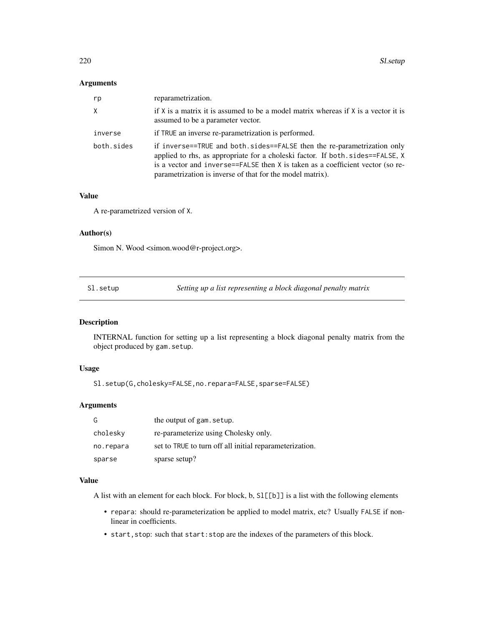## Arguments

| rp         | reparametrization.                                                                                                                                                                                                                                                                                      |
|------------|---------------------------------------------------------------------------------------------------------------------------------------------------------------------------------------------------------------------------------------------------------------------------------------------------------|
| X          | if $X$ is a matrix it is assumed to be a model matrix whereas if $X$ is a vector it is<br>assumed to be a parameter vector.                                                                                                                                                                             |
| inverse    | if TRUE an inverse re-parametrization is performed.                                                                                                                                                                                                                                                     |
| both.sides | if inverse==TRUE and both.sides==FALSE then the re-parametrization only<br>applied to rhs, as appropriate for a choleski factor. If both sides==FALSE, X<br>is a vector and inverse==FALSE then X is taken as a coefficient vector (so re-<br>parametrization is inverse of that for the model matrix). |

## Value

A re-parametrized version of X.

### Author(s)

Simon N. Wood <simon.wood@r-project.org>.

Sl.setup *Setting up a list representing a block diagonal penalty matrix*

# Description

INTERNAL function for setting up a list representing a block diagonal penalty matrix from the object produced by gam.setup.

# Usage

```
Sl.setup(G,cholesky=FALSE,no.repara=FALSE,sparse=FALSE)
```
## Arguments

| G         | the output of gam. setup.                               |
|-----------|---------------------------------------------------------|
| cholesky  | re-parameterize using Cholesky only.                    |
| no.repara | set to TRUE to turn off all initial reparameterization. |
| sparse    | sparse setup?                                           |

## Value

A list with an element for each block. For block, b, Sl[[b]] is a list with the following elements

- repara: should re-parameterization be applied to model matrix, etc? Usually FALSE if nonlinear in coefficients.
- start, stop: such that start: stop are the indexes of the parameters of this block.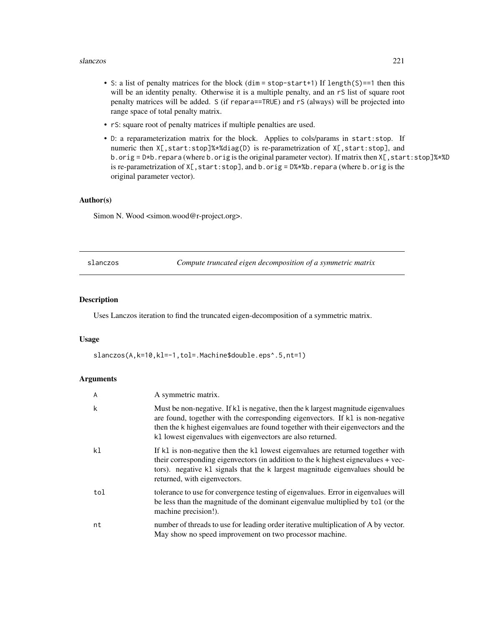#### slanczos 221

- S: a list of penalty matrices for the block (dim = stop-start+1) If length(S)==1 then this will be an identity penalty. Otherwise it is a multiple penalty, and an rS list of square root penalty matrices will be added. S (if repara==TRUE) and rS (always) will be projected into range space of total penalty matrix.
- rS: square root of penalty matrices if multiple penalties are used.
- D: a reparameterization matrix for the block. Applies to cols/params in start:stop. If numeric then X[,start:stop]%\*%diag(D) is re-parametrization of X[,start:stop], and b.orig =  $D*b$ . repara (where b.orig is the original parameter vector). If matrix then  $X[\,$ , start:stop]%\*%D is re-parametrization of  $X$ [, start:stop], and b.orig = D%\*%b.repara (where b.orig is the original parameter vector).

# Author(s)

Simon N. Wood <simon.wood@r-project.org>.

slanczos *Compute truncated eigen decomposition of a symmetric matrix*

## Description

Uses Lanczos iteration to find the truncated eigen-decomposition of a symmetric matrix.

#### Usage

slanczos(A,k=10,kl=-1,tol=.Machine\$double.eps^.5,nt=1)

### Arguments

| A   | A symmetric matrix.                                                                                                                                                                                                                                                                                                    |
|-----|------------------------------------------------------------------------------------------------------------------------------------------------------------------------------------------------------------------------------------------------------------------------------------------------------------------------|
| k   | Must be non-negative. If k1 is negative, then the k largest magnitude eigenvalues<br>are found, together with the corresponding eigenvectors. If kl is non-negative<br>then the k highest eigenvalues are found together with their eigenvectors and the<br>k1 lowest eigenvalues with eigenvectors are also returned. |
| k1  | If k1 is non-negative then the k1 lowest eigenvalues are returned together with<br>their corresponding eigenvectors (in addition to the k highest eignevalues + vec-<br>tors). negative k1 signals that the k largest magnitude eigenvalues should be<br>returned, with eigenvectors.                                  |
| tol | tolerance to use for convergence testing of eigenvalues. Error in eigenvalues will<br>be less than the magnitude of the dominant eigenvalue multiplied by tol (or the<br>machine precision!).                                                                                                                          |
| nt  | number of threads to use for leading order iterative multiplication of A by vector.<br>May show no speed improvement on two processor machine.                                                                                                                                                                         |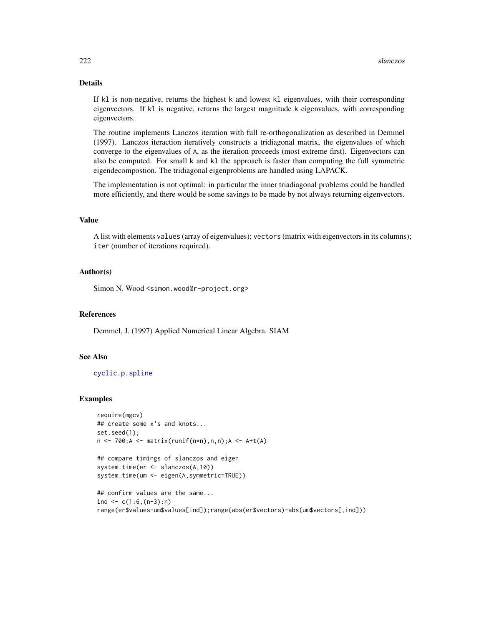## Details

If kl is non-negative, returns the highest k and lowest kl eigenvalues, with their corresponding eigenvectors. If kl is negative, returns the largest magnitude k eigenvalues, with corresponding eigenvectors.

The routine implements Lanczos iteration with full re-orthogonalization as described in Demmel (1997). Lanczos iteraction iteratively constructs a tridiagonal matrix, the eigenvalues of which converge to the eigenvalues of A, as the iteration proceeds (most extreme first). Eigenvectors can also be computed. For small k and kl the approach is faster than computing the full symmetric eigendecompostion. The tridiagonal eigenproblems are handled using LAPACK.

The implementation is not optimal: in particular the inner triadiagonal problems could be handled more efficiently, and there would be some savings to be made by not always returning eigenvectors.

### Value

A list with elements values (array of eigenvalues); vectors (matrix with eigenvectors in its columns); iter (number of iterations required).

### Author(s)

Simon N. Wood <simon.wood@r-project.org>

### References

Demmel, J. (1997) Applied Numerical Linear Algebra. SIAM

# See Also

[cyclic.p.spline](#page-245-0)

```
require(mgcv)
## create some x's and knots...
set.seed(1);
n <- 700;A <- matrix(runif(n*n),n,n);A <- A+t(A)
```

```
## compare timings of slanczos and eigen
system.time(er <- slanczos(A,10))
system.time(um <- eigen(A,symmetric=TRUE))
```

```
## confirm values are the same...
ind \leq c(1:6, (n-3):n)
range(er$values-um$values[ind]);range(abs(er$vectors)-abs(um$vectors[,ind]))
```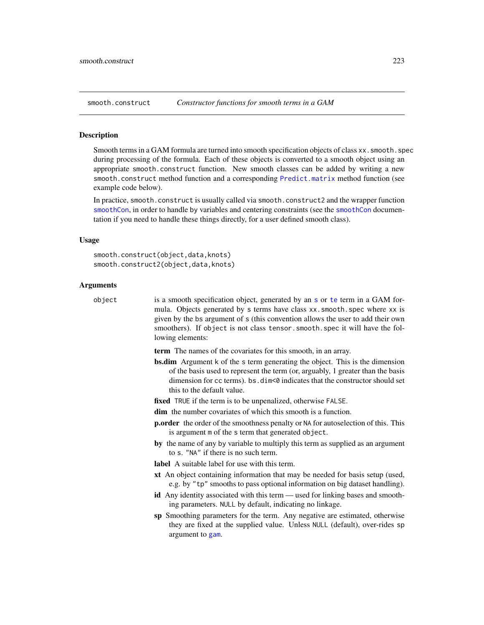<span id="page-222-1"></span>

### <span id="page-222-0"></span>**Description**

Smooth terms in a GAM formula are turned into smooth specification objects of class xx. smooth. spec during processing of the formula. Each of these objects is converted to a smooth object using an appropriate smooth.construct function. New smooth classes can be added by writing a new smooth.construct method function and a corresponding [Predict.matrix](#page-190-0) method function (see example code below).

In practice, smooth.construct is usually called via smooth.construct2 and the wrapper function [smoothCon](#page-272-0), in order to handle by variables and centering constraints (see the [smoothCon](#page-272-0) documentation if you need to handle these things directly, for a user defined smooth class).

### Usage

smooth.construct(object,data,knots) smooth.construct2(object,data,knots)

### Arguments

object is a smooth specification object, generated by an [s](#page-208-0) or [te](#page-287-0) term in a GAM formula. Objects generated by s terms have class xx. smooth. spec where xx is given by the bs argument of s (this convention allows the user to add their own smoothers). If object is not class tensor.smooth.spec it will have the following elements:

term The names of the covariates for this smooth, in an array.

bs.dim Argument k of the s term generating the object. This is the dimension of the basis used to represent the term (or, arguably, 1 greater than the basis dimension for cc terms). bs.dim<0 indicates that the constructor should set this to the default value.

fixed TRUE if the term is to be unpenalized, otherwise FALSE.

dim the number covariates of which this smooth is a function.

- p.order the order of the smoothness penalty or NA for autoselection of this. This is argument m of the s term that generated object.
- by the name of any by variable to multiply this term as supplied as an argument to s. "NA" if there is no such term.

label A suitable label for use with this term.

- xt An object containing information that may be needed for basis setup (used, e.g. by "tp" smooths to pass optional information on big dataset handling).
- id Any identity associated with this term used for linking bases and smoothing parameters. NULL by default, indicating no linkage.
- sp Smoothing parameters for the term. Any negative are estimated, otherwise they are fixed at the supplied value. Unless NULL (default), over-rides sp argument to [gam](#page-47-0).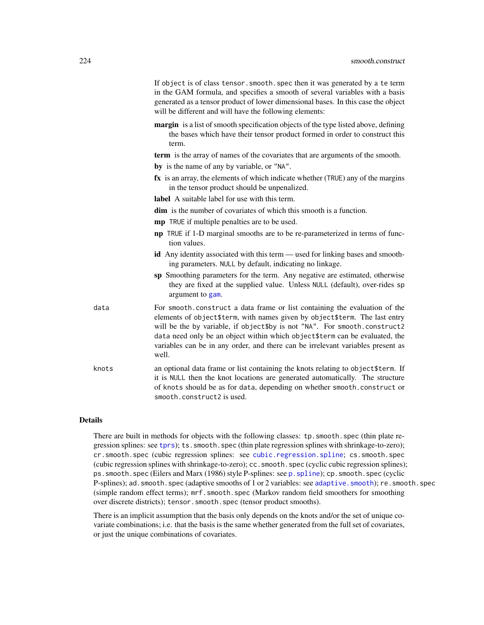|       | If object is of class tensor. smooth. spec then it was generated by a te term<br>in the GAM formula, and specifies a smooth of several variables with a basis<br>generated as a tensor product of lower dimensional bases. In this case the object<br>will be different and will have the following elements:                                                                                                     |
|-------|-------------------------------------------------------------------------------------------------------------------------------------------------------------------------------------------------------------------------------------------------------------------------------------------------------------------------------------------------------------------------------------------------------------------|
|       | margin is a list of smooth specification objects of the type listed above, defining<br>the bases which have their tensor product formed in order to construct this<br>term.                                                                                                                                                                                                                                       |
|       | term is the array of names of the covariates that are arguments of the smooth.                                                                                                                                                                                                                                                                                                                                    |
|       | by is the name of any by variable, or "NA".                                                                                                                                                                                                                                                                                                                                                                       |
|       | fx is an array, the elements of which indicate whether (TRUE) any of the margins<br>in the tensor product should be unpenalized.                                                                                                                                                                                                                                                                                  |
|       | <b>label</b> A suitable label for use with this term.                                                                                                                                                                                                                                                                                                                                                             |
|       | <b>dim</b> is the number of covariates of which this smooth is a function.                                                                                                                                                                                                                                                                                                                                        |
|       | mp TRUE if multiple penalties are to be used.                                                                                                                                                                                                                                                                                                                                                                     |
|       | <b>np</b> TRUE if 1-D marginal smooths are to be re-parameterized in terms of func-<br>tion values.                                                                                                                                                                                                                                                                                                               |
|       | <b>id</b> Any identity associated with this term — used for linking bases and smooth-<br>ing parameters. NULL by default, indicating no linkage.                                                                                                                                                                                                                                                                  |
|       | sp Smoothing parameters for the term. Any negative are estimated, otherwise<br>they are fixed at the supplied value. Unless NULL (default), over-rides sp<br>argument to gam.                                                                                                                                                                                                                                     |
| data  | For smooth.construct a data frame or list containing the evaluation of the<br>elements of object\$term, with names given by object\$term. The last entry<br>will be the by variable, if object\$by is not "NA". For smooth.construct2<br>data need only be an object within which object \$term can be evaluated, the<br>variables can be in any order, and there can be irrelevant variables present as<br>well. |
| knots | an optional data frame or list containing the knots relating to object \$term. If<br>it is NULL then the knot locations are generated automatically. The structure<br>of knots should be as for data, depending on whether smooth. construct or<br>smooth.construct2 is used.                                                                                                                                     |

## Details

There are built in methods for objects with the following classes: tp. smooth. spec (thin plate regression splines: see [tprs](#page-262-0)); ts.smooth.spec (thin plate regression splines with shrinkage-to-zero); cr.smooth.spec (cubic regression splines: see [cubic.regression.spline](#page-233-0); cs.smooth.spec (cubic regression splines with shrinkage-to-zero); cc.smooth.spec (cyclic cubic regression splines); ps. smooth. spec (Eilers and Marx (1986) style P-splines: see p. spline); cp. smooth. spec (cyclic P-splines); ad.smooth.spec (adaptive smooths of 1 or 2 variables: see [adaptive.smooth](#page-227-0)); re.smooth.spec (simple random effect terms); mrf.smooth.spec (Markov random field smoothers for smoothing over discrete districts); tensor.smooth.spec (tensor product smooths).

There is an implicit assumption that the basis only depends on the knots and/or the set of unique covariate combinations; i.e. that the basis is the same whether generated from the full set of covariates, or just the unique combinations of covariates.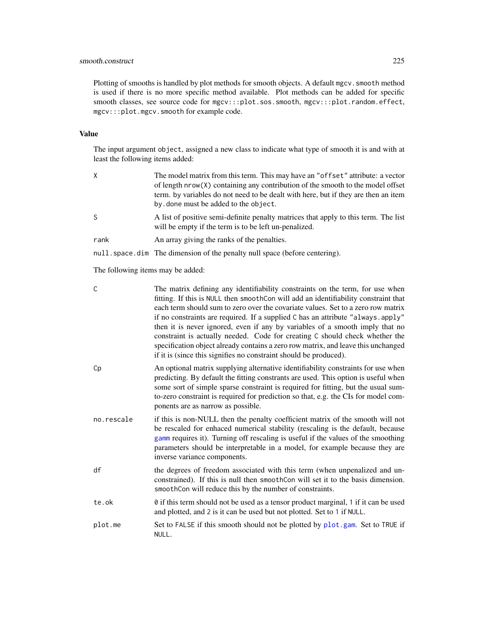# smooth.construct 225

Plotting of smooths is handled by plot methods for smooth objects. A default mgcv. smooth method is used if there is no more specific method available. Plot methods can be added for specific smooth classes, see source code for mgcv:::plot.sos.smooth, mgcv:::plot.random.effect, mgcv:::plot.mgcv.smooth for example code.

## Value

The input argument object, assigned a new class to indicate what type of smooth it is and with at least the following items added:

| χ                                 | The model matrix from this term. This may have an "offset" attribute: a vector<br>of length nrow(X) containing any contribution of the smooth to the model offset<br>term, by variables do not need to be dealt with here, but if they are then an item<br>by done must be added to the object. |  |
|-----------------------------------|-------------------------------------------------------------------------------------------------------------------------------------------------------------------------------------------------------------------------------------------------------------------------------------------------|--|
| S                                 | A list of positive semi-definite penalty matrices that apply to this term. The list<br>will be empty if the term is to be left un-penalized.                                                                                                                                                    |  |
| rank                              | An array giving the ranks of the penalties.                                                                                                                                                                                                                                                     |  |
|                                   | null. space. dim The dimension of the penalty null space (before centering).                                                                                                                                                                                                                    |  |
| The following items may be added: |                                                                                                                                                                                                                                                                                                 |  |

The following items may be added:

| C          | The matrix defining any identifiability constraints on the term, for use when<br>fitting. If this is NULL then smoothCon will add an identifiability constraint that<br>each term should sum to zero over the covariate values. Set to a zero row matrix<br>if no constraints are required. If a supplied C has an attribute "always.apply"<br>then it is never ignored, even if any by variables of a smooth imply that no<br>constraint is actually needed. Code for creating C should check whether the<br>specification object already contains a zero row matrix, and leave this unchanged<br>if it is (since this signifies no constraint should be produced). |
|------------|----------------------------------------------------------------------------------------------------------------------------------------------------------------------------------------------------------------------------------------------------------------------------------------------------------------------------------------------------------------------------------------------------------------------------------------------------------------------------------------------------------------------------------------------------------------------------------------------------------------------------------------------------------------------|
| Cp         | An optional matrix supplying alternative identifiability constraints for use when<br>predicting. By default the fitting constrants are used. This option is useful when<br>some sort of simple sparse constraint is required for fitting, but the usual sum-<br>to-zero constraint is required for prediction so that, e.g. the CIs for model com-<br>ponents are as narrow as possible.                                                                                                                                                                                                                                                                             |
| no.rescale | if this is non-NULL then the penalty coefficient matrix of the smooth will not<br>be rescaled for enhaced numerical stability (rescaling is the default, because<br>gamm requires it). Turning off rescaling is useful if the values of the smoothing<br>parameters should be interpretable in a model, for example because they are<br>inverse variance components.                                                                                                                                                                                                                                                                                                 |
| df         | the degrees of freedom associated with this term (when unpenalized and un-<br>constrained). If this is null then smoothCon will set it to the basis dimension.<br>smoothCon will reduce this by the number of constraints.                                                                                                                                                                                                                                                                                                                                                                                                                                           |
| te.ok      | 0 if this term should not be used as a tensor product marginal, 1 if it can be used<br>and plotted, and 2 is it can be used but not plotted. Set to 1 if NULL.                                                                                                                                                                                                                                                                                                                                                                                                                                                                                                       |
| plot.me    | Set to FALSE if this smooth should not be plotted by plot.gam. Set to TRUE if<br>NULL.                                                                                                                                                                                                                                                                                                                                                                                                                                                                                                                                                                               |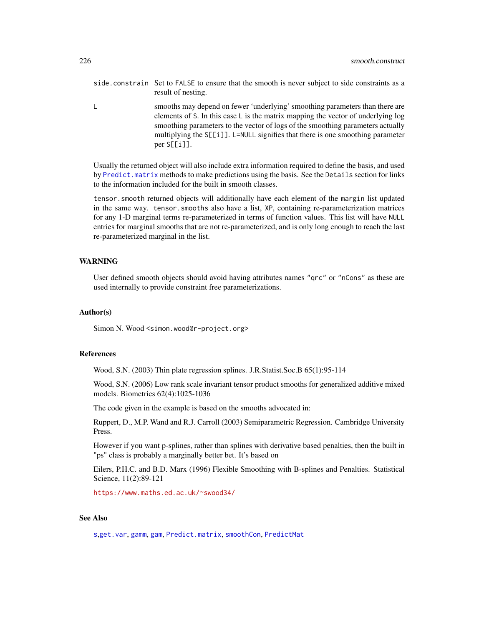- side.constrain Set to FALSE to ensure that the smooth is never subject to side constraints as a result of nesting.
- L smooths may depend on fewer 'underlying' smoothing parameters than there are elements of S. In this case L is the matrix mapping the vector of underlying log smoothing parameters to the vector of logs of the smoothing parameters actually multiplying the S[[i]]. L=NULL signifies that there is one smoothing parameter per S[[i]].

Usually the returned object will also include extra information required to define the basis, and used by [Predict.matrix](#page-190-0) methods to make predictions using the basis. See the Details section for links to the information included for the built in smooth classes.

tensor.smooth returned objects will additionally have each element of the margin list updated in the same way. tensor.smooths also have a list, XP, containing re-parameterization matrices for any 1-D marginal terms re-parameterized in terms of function values. This list will have NULL entries for marginal smooths that are not re-parameterized, and is only long enough to reach the last re-parameterized marginal in the list.

## WARNING

User defined smooth objects should avoid having attributes names "qrc" or "nCons" as these are used internally to provide constraint free parameterizations.

## Author(s)

Simon N. Wood <simon.wood@r-project.org>

### References

Wood, S.N. (2003) Thin plate regression splines. J.R.Statist.Soc.B 65(1):95-114

Wood, S.N. (2006) Low rank scale invariant tensor product smooths for generalized additive mixed models. Biometrics 62(4):1025-1036

The code given in the example is based on the smooths advocated in:

Ruppert, D., M.P. Wand and R.J. Carroll (2003) Semiparametric Regression. Cambridge University Press.

However if you want p-splines, rather than splines with derivative based penalties, then the built in "ps" class is probably a marginally better bet. It's based on

Eilers, P.H.C. and B.D. Marx (1996) Flexible Smoothing with B-splines and Penalties. Statistical Science, 11(2):89-121

<https://www.maths.ed.ac.uk/~swood34/>

## See Also

[s](#page-208-0),[get.var](#page-105-0), [gamm](#page-91-0), [gam](#page-47-0), [Predict.matrix](#page-190-0), [smoothCon](#page-272-0), [PredictMat](#page-272-1)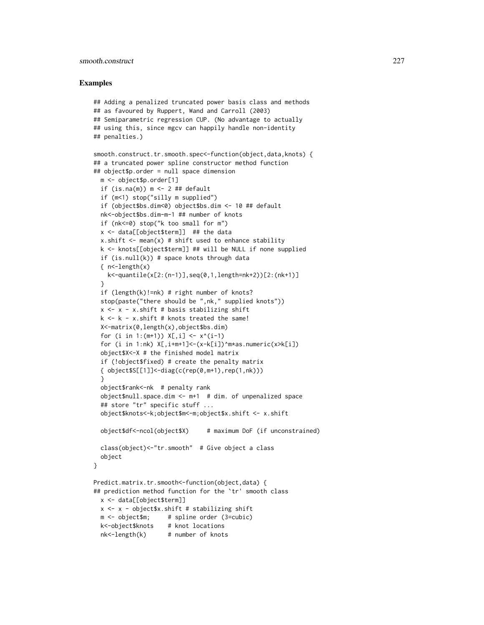## smooth.construct 227

```
## Adding a penalized truncated power basis class and methods
## as favoured by Ruppert, Wand and Carroll (2003)
## Semiparametric regression CUP. (No advantage to actually
## using this, since mgcv can happily handle non-identity
## penalties.)
smooth.construct.tr.smooth.spec<-function(object,data,knots) {
## a truncated power spline constructor method function
## object$p.order = null space dimension
 m <- object$p.order[1]
 if (is.na(m)) m <- 2 ## default
 if (m<1) stop("silly m supplied")
 if (object$bs.dim<0) object$bs.dim <- 10 ## default
 nk<-object$bs.dim-m-1 ## number of knots
 if (nk<=0) stop("k too small for m")
 x <- data[[object$term]] ## the data
 x.shift \leq mean(x) # shift used to enhance stability
 k <- knots[[object$term]] ## will be NULL if none supplied
 if (is.null(k)) # space knots through data
 \{ n<-\nleq\n  \, \text{length}(x) \}k<-quantile(x[2:(n-1)],seq(0,1,length=nk+2))[2:(nk+1)]
 }
 if (length(k)!=nk) # right number of knots?
 stop(paste("there should be ",nk," supplied knots"))
 x \leq x - x.shift # basis stabilizing shift
 k \leq k - x. shift # knots treated the same!
 X<-matrix(0,length(x),object$bs.dim)
 for (i in 1:(m+1)) X[, i] < -x^(i-1)for (i in 1:nk) X[,i+m+1]<-(x-k[i])^m*as.numeric(x>k[i])
 object$X<-X # the finished model matrix
 if (!object$fixed) # create the penalty matrix
 { object$S[[1]]<-diag(c(rep(0,m+1),rep(1,nk)))
 }
 object$rank<-nk # penalty rank
 object$null.space.dim <- m+1 # dim. of unpenalized space
 ## store "tr" specific stuff ...
 object$knots<-k;object$m<-m;object$x.shift <- x.shift
 object$df<-ncol(object$X) # maximum DoF (if unconstrained)
 class(object)<-"tr.smooth" # Give object a class
 object
}
Predict.matrix.tr.smooth<-function(object,data) {
## prediction method function for the `tr' smooth class
 x <- data[[object$term]]
 x \leq x - object$x.shift # stabilizing shift
 m <- object$m; # spline order (3=cubic)
 k<-object$knots # knot locations
 nk<-length(k) # number of knots
```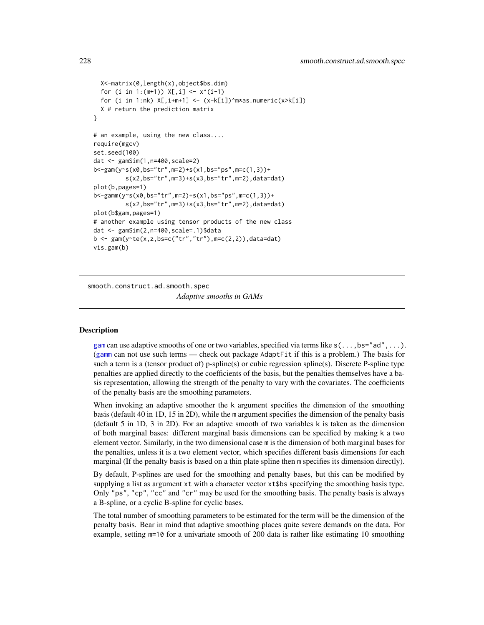```
X<-matrix(0,length(x),object$bs.dim)
  for (i in 1:(m+1)) X[,i] < -x^(i-1)for (i in 1:nk) X[, i+m+1] <- (x-k[i])^m*as.numeric(x>k[i])
 X # return the prediction matrix
}
# an example, using the new class....
require(mgcv)
set.seed(100)
dat <- gamSim(1,n=400,scale=2)
b<-gam(y~s(x0,bs="tr",m=2)+s(x1,bs="ps",m=c(1,3))+
         s(x2,bs="tr",m=3)+s(x3,bs="tr",m=2),data=dat)
plot(b,pages=1)
b<-gamm(y~s(x0,bs="tr",m=2)+s(x1,bs="ps",m=c(1,3))+
         s(x2,bs="tr",m=3)+s(x3,bs="tr",m=2),data=dat)plot(b$gam,pages=1)
# another example using tensor products of the new class
dat <- gamSim(2,n=400,scale=.1)$data
b \leq gam(y~te(x,z,bs=c("tr","tr"),m=c(2,2)),data=dat)
vis.gam(b)
```
smooth.construct.ad.smooth.spec *Adaptive smooths in GAMs*

## <span id="page-227-0"></span>Description

[gam](#page-47-0) can use adaptive smooths of one or two variables, specified via terms like  $s(\ldots,bs="ad",\ldots)$ . ([gamm](#page-91-0) can not use such terms — check out package AdaptFit if this is a problem.) The basis for such a term is a (tensor product of) p-spline(s) or cubic regression spline(s). Discrete P-spline type penalties are applied directly to the coefficients of the basis, but the penalties themselves have a basis representation, allowing the strength of the penalty to vary with the covariates. The coefficients of the penalty basis are the smoothing parameters.

When invoking an adaptive smoother the k argument specifies the dimension of the smoothing basis (default 40 in 1D, 15 in 2D), while the m argument specifies the dimension of the penalty basis (default 5 in 1D, 3 in 2D). For an adaptive smooth of two variables k is taken as the dimension of both marginal bases: different marginal basis dimensions can be specified by making k a two element vector. Similarly, in the two dimensional case m is the dimension of both marginal bases for the penalties, unless it is a two element vector, which specifies different basis dimensions for each marginal (If the penalty basis is based on a thin plate spline then m specifies its dimension directly).

By default, P-splines are used for the smoothing and penalty bases, but this can be modified by supplying a list as argument xt with a character vector xt\$bs specifying the smoothing basis type. Only "ps", "cp", "cc" and "cr" may be used for the smoothing basis. The penalty basis is always a B-spline, or a cyclic B-spline for cyclic bases.

The total number of smoothing parameters to be estimated for the term will be the dimension of the penalty basis. Bear in mind that adaptive smoothing places quite severe demands on the data. For example, setting m=10 for a univariate smooth of 200 data is rather like estimating 10 smoothing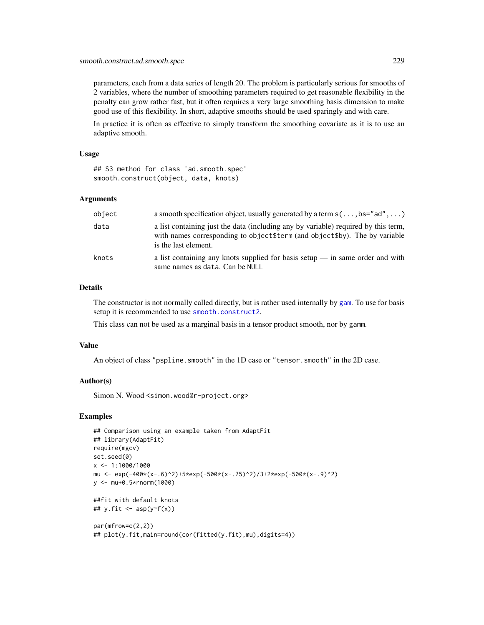parameters, each from a data series of length 20. The problem is particularly serious for smooths of 2 variables, where the number of smoothing parameters required to get reasonable flexibility in the penalty can grow rather fast, but it often requires a very large smoothing basis dimension to make good use of this flexibility. In short, adaptive smooths should be used sparingly and with care.

In practice it is often as effective to simply transform the smoothing covariate as it is to use an adaptive smooth.

## Usage

## S3 method for class 'ad.smooth.spec' smooth.construct(object, data, knots)

### Arguments

| object | a smooth specification object, usually generated by a term $s(\ldots, bs="ad", \ldots)$                                                                                                    |
|--------|--------------------------------------------------------------------------------------------------------------------------------------------------------------------------------------------|
| data   | a list containing just the data (including any by variable) required by this term,<br>with names corresponding to object \$term (and object \$by). The by variable<br>is the last element. |
| knots  | a list containing any knots supplied for basis setup $\frac{1}{2}$ in same order and with<br>same names as data. Can be NULL                                                               |

## Details

The constructor is not normally called directly, but is rather used internally by [gam](#page-47-0). To use for basis setup it is recommended to use [smooth.construct2](#page-222-0).

This class can not be used as a marginal basis in a tensor product smooth, nor by gamm.

#### Value

An object of class "pspline.smooth" in the 1D case or "tensor.smooth" in the 2D case.

## Author(s)

Simon N. Wood <simon.wood@r-project.org>

```
## Comparison using an example taken from AdaptFit
## library(AdaptFit)
require(mgcv)
set.seed(0)
x <- 1:1000/1000
mu <- exp(-400*(x-.6)^2)+5*exp(-500*(x-.75)^2)/3+2*exp(-500*(x-.9)^2)
y <- mu+0.5*rnorm(1000)
##fit with default knots
## y.fit \leftarrow asp(y \sim f(x))par(mfrow=c(2,2))
## plot(y.fit,main=round(cor(fitted(y.fit),mu),digits=4))
```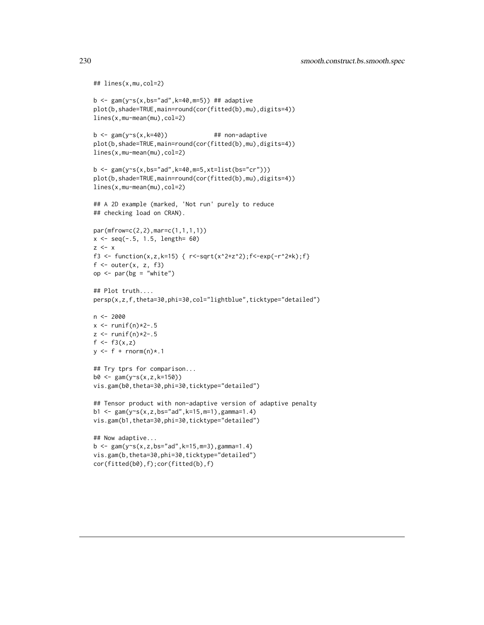```
## lines(x,mu,col=2)
b \leq gam(y~s(x,bs="ad",k=40,m=5)) ## adaptive
plot(b,shade=TRUE,main=round(cor(fitted(b),mu),digits=4))
lines(x,mu-mean(mu),col=2)
b \leq gam(y~s(x,k=40)) ## non-adaptive
plot(b,shade=TRUE,main=round(cor(fitted(b),mu),digits=4))
lines(x,mu-mean(mu),col=2)
b \leq gam(y~s(x,bs="ad",k=40,m=5,xt=list(bs="cr")))
plot(b,shade=TRUE,main=round(cor(fitted(b),mu),digits=4))
lines(x,mu-mean(mu),col=2)
## A 2D example (marked, 'Not run' purely to reduce
## checking load on CRAN).
par(mfrow=c(2,2),mar=c(1,1,1,1))
x \leq -\text{seq}(-.5, 1.5, \text{length} = 60)z \le -xf3 <- function(x,z,k=15) { r < -sqrt(x^2+z^2);f < -exp(-r^2*k);f}
f \leftarrow outer(x, z, f3)op \leq par(bg = "white")
## Plot truth....
persp(x,z,f,theta=30,phi=30,col="lightblue",ticktype="detailed")
n <- 2000
x \leftarrow runif(n)*2-.5z <- runif(n) *2-.5f \leftarrow f3(x, z)y \leq-f + \text{rnorm}(n) \times .1## Try tprs for comparison...
b0 \leq gam(y\text{m}(x, z, k=150))vis.gam(b0,theta=30,phi=30,ticktype="detailed")
## Tensor product with non-adaptive version of adaptive penalty
b1 <- gam(y~s(x,z,bs="ad",k=15,m=1),gamma=1.4)
vis.gam(b1,theta=30,phi=30,ticktype="detailed")
## Now adaptive...
b \leq gam(y~s(x,z,bs="ad",k=15,m=3),gamma=1.4)
vis.gam(b,theta=30,phi=30,ticktype="detailed")
cor(fitted(b0),f);cor(fitted(b),f)
```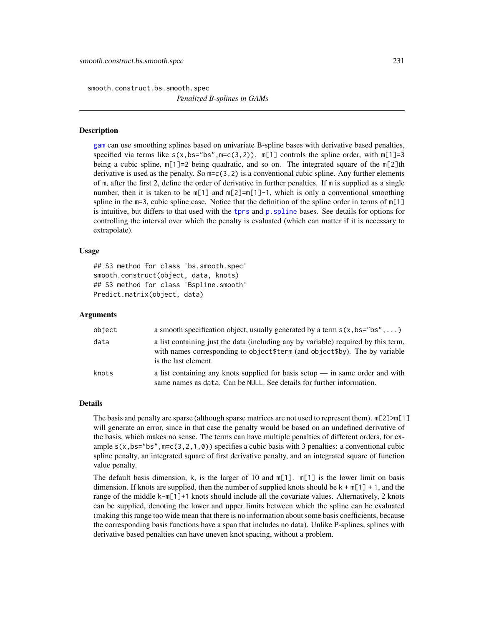smooth.construct.bs.smooth.spec

*Penalized B-splines in GAMs*

### <span id="page-230-0"></span>Description

[gam](#page-47-0) can use smoothing splines based on univariate B-spline bases with derivative based penalties, specified via terms like  $s(x,bs="bs",m=c(3,2))$ .  $m[1]$  controls the spline order, with  $m[1]=3$ being a cubic spline,  $m[1]=2$  being quadratic, and so on. The integrated square of the  $m[2]$ th derivative is used as the penalty. So  $m = c(3, 2)$  is a conventional cubic spline. Any further elements of m, after the first 2, define the order of derivative in further penalties. If m is supplied as a single number, then it is taken to be  $m[1]$  and  $m[2] = m[1]-1$ , which is only a conventional smoothing spline in the m=3, cubic spline case. Notice that the definition of the spline order in terms of  $m[1]$ is intuitive, but differs to that used with the [tprs](#page-262-0) and [p.spline](#page-245-0) bases. See details for options for controlling the interval over which the penalty is evaluated (which can matter if it is necessary to extrapolate).

## Usage

```
## S3 method for class 'bs.smooth.spec'
smooth.construct(object, data, knots)
## S3 method for class 'Bspline.smooth'
Predict.matrix(object, data)
```
## Arguments

| object | a smooth specification object, usually generated by a term $s(x, bs="bs", \dots)$                                                                                                        |
|--------|------------------------------------------------------------------------------------------------------------------------------------------------------------------------------------------|
| data   | a list containing just the data (including any by variable) required by this term,<br>with names corresponding to object\$term (and object\$by). The by variable<br>is the last element. |
| knots  | a list containing any knots supplied for basis setup $\frac{1}{2}$ in same order and with<br>same names as data. Can be NULL. See details for further information.                       |

### Details

The basis and penalty are sparse (although sparse matrices are not used to represent them). m[2]>m[1] will generate an error, since in that case the penalty would be based on an undefined derivative of the basis, which makes no sense. The terms can have multiple penalties of different orders, for example  $s(x,bs="bs",m=c(3,2,1,0))$  specifies a cubic basis with 3 penalties: a conventional cubic spline penalty, an integrated square of first derivative penalty, and an integrated square of function value penalty.

The default basis dimension, k, is the larger of 10 and  $m[1]$ .  $m[1]$  is the lower limit on basis dimension. If knots are supplied, then the number of supplied knots should be  $k + m[1] + 1$ , and the range of the middle k-m[1]+1 knots should include all the covariate values. Alternatively, 2 knots can be supplied, denoting the lower and upper limits between which the spline can be evaluated (making this range too wide mean that there is no information about some basis coefficients, because the corresponding basis functions have a span that includes no data). Unlike P-splines, splines with derivative based penalties can have uneven knot spacing, without a problem.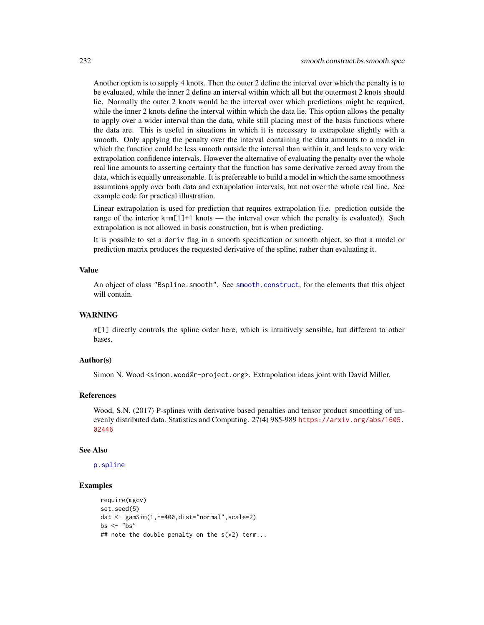Another option is to supply 4 knots. Then the outer 2 define the interval over which the penalty is to be evaluated, while the inner 2 define an interval within which all but the outermost 2 knots should lie. Normally the outer 2 knots would be the interval over which predictions might be required, while the inner 2 knots define the interval within which the data lie. This option allows the penalty to apply over a wider interval than the data, while still placing most of the basis functions where the data are. This is useful in situations in which it is necessary to extrapolate slightly with a smooth. Only applying the penalty over the interval containing the data amounts to a model in which the function could be less smooth outside the interval than within it, and leads to very wide extrapolation confidence intervals. However the alternative of evaluating the penalty over the whole real line amounts to asserting certainty that the function has some derivative zeroed away from the data, which is equally unreasonable. It is prefereable to build a model in which the same smoothness assumtions apply over both data and extrapolation intervals, but not over the whole real line. See example code for practical illustration.

Linear extrapolation is used for prediction that requires extrapolation (i.e. prediction outside the range of the interior k-m[1]+1 knots — the interval over which the penalty is evaluated). Such extrapolation is not allowed in basis construction, but is when predicting.

It is possible to set a deriv flag in a smooth specification or smooth object, so that a model or prediction matrix produces the requested derivative of the spline, rather than evaluating it.

### Value

An object of class "Bspline.smooth". See [smooth.construct](#page-222-1), for the elements that this object will contain.

### WARNING

m[1] directly controls the spline order here, which is intuitively sensible, but different to other bases.

## Author(s)

Simon N. Wood <simon.wood@r-project.org>. Extrapolation ideas joint with David Miller.

## References

Wood, S.N. (2017) P-splines with derivative based penalties and tensor product smoothing of unevenly distributed data. Statistics and Computing. 27(4) 985-989 [https://arxiv.org/abs/1605.](https://arxiv.org/abs/1605.02446) [02446](https://arxiv.org/abs/1605.02446)

#### See Also

[p.spline](#page-245-0)

```
require(mgcv)
set.seed(5)
dat <- gamSim(1,n=400,dist="normal",scale=2)
bs \leq - "bs"
## note the double penalty on the s(x2) term...
```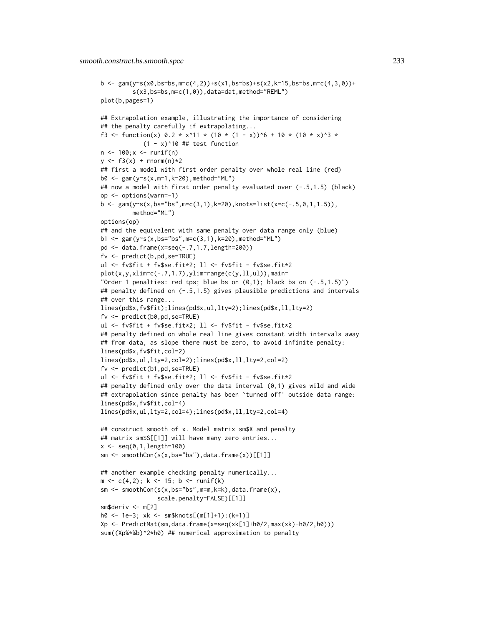```
b \leq gam(y\leq(x0,bs=bs,m=c(4,2))+s(x1,bs=bs)+s(x2,k=15,bs=bs,m=c(4,3,0))+
         s(x3,bs=bs,m=c(1,0)),data=dat,method="REML")
plot(b,pages=1)
## Extrapolation example, illustrating the importance of considering
## the penalty carefully if extrapolating...
f3 <- function(x) 0.2 * x^11 * (10 * (1 - x))^6 + 10 * (10 * x)^3 *
             (1 - x)^{10} ## test function
n \le -100; x \le -runif(n)
y \le - f3(x) + \text{norm}(n) *2## first a model with first order penalty over whole real line (red)
b0 <- gam(y~s(x,m=1,k=20),method="ML")
## now a model with first order penalty evaluated over (-.5,1.5) (black)
op <- options(warn=-1)
b <- gam(y~s(x,bs="bs",m=c(3,1),k=20),knots=list(x=c(-.5,0,1,1.5)),
         method="ML")
options(op)
## and the equivalent with same penalty over data range only (blue)
b1 <- gam(y~s(x,bs="bs",m=c(3,1),k=20),method="ML")
pd <- data.frame(x=seq(-.7,1.7,length=200))
f_v \leftarrow \text{predict}(b, pd, \text{se} = \text{TRUE})ul <- fv$fit + fv$se.fit*2; ll <- fv$fit - fv$se.fit*2
plot(x,y,xlim=c(-.7,1.7),ylim=range(c(y,ll,ul)),main=
"Order 1 penalties: red tps; blue bs on (0,1); black bs on (-.5,1.5)")
## penalty defined on (-.5,1.5) gives plausible predictions and intervals
## over this range...
lines(pd$x,fv$fit);lines(pd$x,ul,lty=2);lines(pd$x,ll,lty=2)
f_v \leftarrow \text{predict}(b0, pd, se=True)ul <- fv$fit + fv$se.fit*2; ll <- fv$fit - fv$se.fit*2
## penalty defined on whole real line gives constant width intervals away
## from data, as slope there must be zero, to avoid infinite penalty:
lines(pd$x,fv$fit,col=2)
lines(pd$x,ul,lty=2,col=2);lines(pd$x,ll,lty=2,col=2)
f_v \leftarrow \text{predict}(b1, pd, se=True)ul <- fv$fit + fv$se.fit*2; ll <- fv$fit - fv$se.fit*2
## penalty defined only over the data interval (0,1) gives wild and wide
## extrapolation since penalty has been 'turned off' outside data range:
lines(pd$x,fv$fit,col=4)
lines(pd$x,ul,lty=2,col=4);lines(pd$x,ll,lty=2,col=4)
## construct smooth of x. Model matrix sm$X and penalty
## matrix sm$S[[1]] will have many zero entries...
x \leq -\text{seq}(0, 1, \text{length}=100)sm \leftarrow smoothCon(s(x,bs="bs"), data.frame(x))[[1]]
## another example checking penalty numerically...
m \leftarrow c(4,2); k \leftarrow 15; b \leftarrow runif(k)sm \leftarrow smoothCon(s(x,bs="bs",m=m,k=k),data-frame(x),scale.penalty=FALSE)[[1]]
sm$deriv <- m[2]
h0 <- 1e-3; xk <- sm$knots[(m[1]+1):(k+1)]
Xp <- PredictMat(sm,data.frame(x=seq(xk[1]+h0/2,max(xk)-h0/2,h0)))
sum((Xp%*%b)^2*h0) ## numerical approximation to penalty
```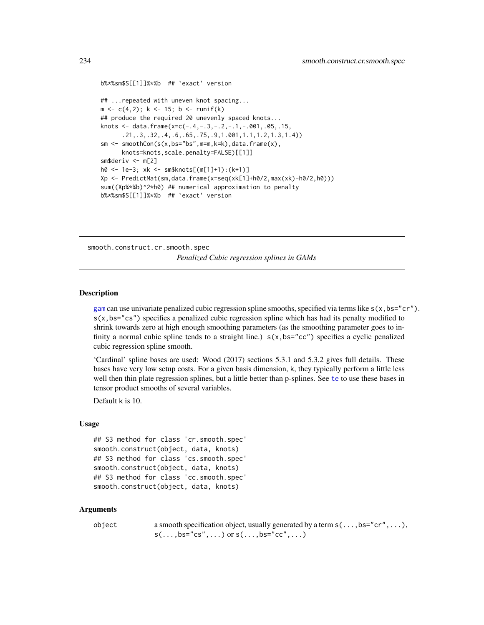```
b%*%sm$S[[1]]%*%b ## `exact' version
## ...repeated with uneven knot spacing...
m \leftarrow c(4,2); k \leftarrow 15; b \leftarrow runif(k)## produce the required 20 unevenly spaced knots...
knots <- data.frame(x=c(-.4,-.3,-.2,-.1,-.001,.05,.15,
      .21,.3,.32,.4,.6,.65,.75,.9,1.001,1.1,1.2,1.3,1.4))
sm <- smoothCon(s(x,bs="bs",m=m,k=k),data.frame(x),
      knots=knots,scale.penalty=FALSE)[[1]]
sm$deriv <- m[2]
h0 <- 1e-3; xk <- sm$knots[(m[1]+1):(k+1)]
Xp <- PredictMat(sm,data.frame(x=seq(xk[1]+h0/2,max(xk)-h0/2,h0)))
sum((Xp%*%b)^2*h0) ## numerical approximation to penalty
b%*%sm$S[[1]]%*%b ## `exact' version
```
smooth.construct.cr.smooth.spec *Penalized Cubic regression splines in GAMs*

### <span id="page-233-0"></span>Description

[gam](#page-47-0) can use univariate penalized cubic regression spline smooths, specified via terms like  $s(x,bs="cr')$ . s(x,bs="cs") specifies a penalized cubic regression spline which has had its penalty modified to shrink towards zero at high enough smoothing parameters (as the smoothing parameter goes to infinity a normal cubic spline tends to a straight line.)  $s(x,bs="cc")$  specifies a cyclic penalized cubic regression spline smooth.

'Cardinal' spline bases are used: Wood (2017) sections 5.3.1 and 5.3.2 gives full details. These bases have very low setup costs. For a given basis dimension, k, they typically perform a little less well then thin plate regression splines, but a little better than p-splines. See [te](#page-287-0) to use these bases in tensor product smooths of several variables.

Default k is 10.

### Usage

```
## S3 method for class 'cr.smooth.spec'
smooth.construct(object, data, knots)
## S3 method for class 'cs.smooth.spec'
smooth.construct(object, data, knots)
## S3 method for class 'cc.smooth.spec'
smooth.construct(object, data, knots)
```
## Arguments

| object | a smooth specification object, usually generated by a term $s(\ldots, bs="cr', \ldots)$ , |
|--------|-------------------------------------------------------------------------------------------|
|        | $s(\ldots,bs="cs",\ldots)$ or $s(\ldots,bs="cc",\ldots)$                                  |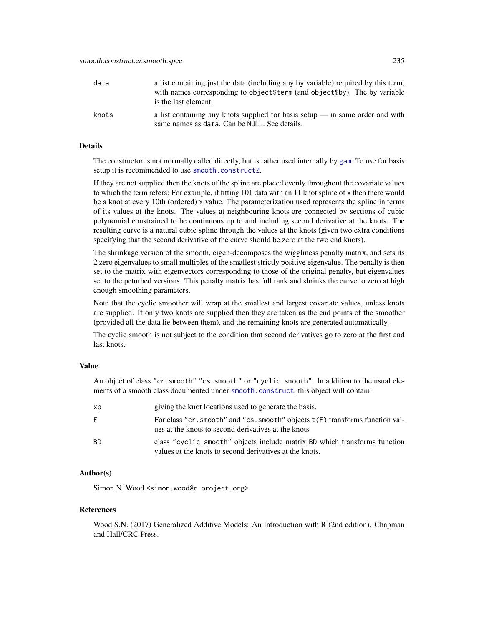| data  | a list containing just the data (including any by variable) required by this term,<br>with names corresponding to object \$term (and object \$by). The by variable<br>is the last element. |
|-------|--------------------------------------------------------------------------------------------------------------------------------------------------------------------------------------------|
| knots | a list containing any knots supplied for basis setup $\frac{1}{1}$ in same order and with<br>same names as data. Can be NULL. See details.                                                 |

## Details

The constructor is not normally called directly, but is rather used internally by [gam](#page-47-0). To use for basis setup it is recommended to use [smooth.construct2](#page-222-0).

If they are not supplied then the knots of the spline are placed evenly throughout the covariate values to which the term refers: For example, if fitting 101 data with an 11 knot spline of x then there would be a knot at every 10th (ordered) x value. The parameterization used represents the spline in terms of its values at the knots. The values at neighbouring knots are connected by sections of cubic polynomial constrained to be continuous up to and including second derivative at the knots. The resulting curve is a natural cubic spline through the values at the knots (given two extra conditions specifying that the second derivative of the curve should be zero at the two end knots).

The shrinkage version of the smooth, eigen-decomposes the wiggliness penalty matrix, and sets its 2 zero eigenvalues to small multiples of the smallest strictly positive eigenvalue. The penalty is then set to the matrix with eigenvectors corresponding to those of the original penalty, but eigenvalues set to the peturbed versions. This penalty matrix has full rank and shrinks the curve to zero at high enough smoothing parameters.

Note that the cyclic smoother will wrap at the smallest and largest covariate values, unless knots are supplied. If only two knots are supplied then they are taken as the end points of the smoother (provided all the data lie between them), and the remaining knots are generated automatically.

The cyclic smooth is not subject to the condition that second derivatives go to zero at the first and last knots.

### Value

An object of class "cr.smooth" "cs.smooth" or "cyclic.smooth". In addition to the usual elements of a smooth class documented under [smooth.construct](#page-222-1), this object will contain:

| xp        | giving the knot locations used to generate the basis.                                                                                   |
|-----------|-----------------------------------------------------------------------------------------------------------------------------------------|
| F.        | For class "cr. smooth" and "cs. smooth" objects $t(F)$ transforms function val-<br>ues at the knots to second derivatives at the knots. |
| <b>BD</b> | class "cyclic.smooth" objects include matrix BD which transforms function<br>values at the knots to second derivatives at the knots.    |

# Author(s)

Simon N. Wood <simon.wood@r-project.org>

#### References

Wood S.N. (2017) Generalized Additive Models: An Introduction with R (2nd edition). Chapman and Hall/CRC Press.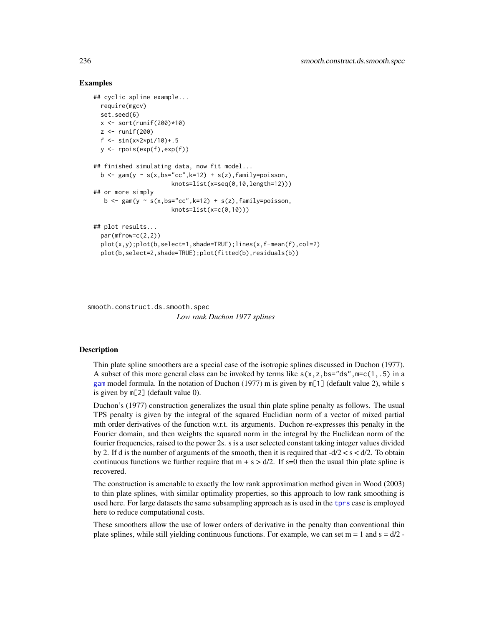## Examples

```
## cyclic spline example...
 require(mgcv)
 set.seed(6)
 x <- sort(runif(200)*10)
 z \leftarrow runif(200)f <- sin(x*2*pi/10)+.5
 y <- rpois(exp(f),exp(f))
## finished simulating data, now fit model...
 b \leq gam(y \sim s(x,bs="cc",k=12) + s(z),family=poisson,
                      knots=list(x=seq(0,10,length=12)))
## or more simply
  b \leq gam(y \sim s(x,bs="cc",k=12) + s(z),family=poisson,
                      knot = list(x=c(0,10))## plot results...
 par(mfrow=c(2,2))
 plot(x,y);plot(b,select=1,shade=TRUE);lines(x,f-mean(f),col=2)
 plot(b,select=2,shade=TRUE);plot(fitted(b),residuals(b))
```
smooth.construct.ds.smooth.spec

*Low rank Duchon 1977 splines*

#### **Description**

Thin plate spline smoothers are a special case of the isotropic splines discussed in Duchon (1977). A subset of this more general class can be invoked by terms like  $s(x, z, bs = "ds", m=c(1, .5)$  in a [gam](#page-47-0) model formula. In the notation of Duchon (1977) m is given by m[1] (default value 2), while s is given by m[2] (default value 0).

Duchon's (1977) construction generalizes the usual thin plate spline penalty as follows. The usual TPS penalty is given by the integral of the squared Euclidian norm of a vector of mixed partial mth order derivatives of the function w.r.t. its arguments. Duchon re-expresses this penalty in the Fourier domain, and then weights the squared norm in the integral by the Euclidean norm of the fourier frequencies, raised to the power 2s. s is a user selected constant taking integer values divided by 2. If d is the number of arguments of the smooth, then it is required that  $-d/2 < s < d/2$ . To obtain continuous functions we further require that  $m + s > d/2$ . If s=0 then the usual thin plate spline is recovered.

The construction is amenable to exactly the low rank approximation method given in Wood (2003) to thin plate splines, with similar optimality properties, so this approach to low rank smoothing is used here. For large datasets the same subsampling approach as is used in the [tprs](#page-262-0) case is employed here to reduce computational costs.

These smoothers allow the use of lower orders of derivative in the penalty than conventional thin plate splines, while still yielding continuous functions. For example, we can set  $m = 1$  and  $s = d/2$ .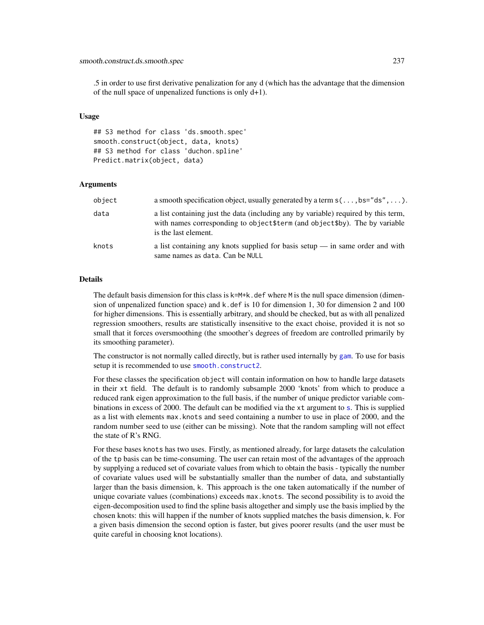.5 in order to use first derivative penalization for any d (which has the advantage that the dimension of the null space of unpenalized functions is only d+1).

#### Usage

## S3 method for class 'ds.smooth.spec' smooth.construct(object, data, knots) ## S3 method for class 'duchon.spline' Predict.matrix(object, data)

#### Arguments

| object | a smooth specification object, usually generated by a term $s(\ldots, bs="ds'', \ldots)$ .                                                                                                 |
|--------|--------------------------------------------------------------------------------------------------------------------------------------------------------------------------------------------|
| data   | a list containing just the data (including any by variable) required by this term,<br>with names corresponding to object \$term (and object \$by). The by variable<br>is the last element. |
| knots  | a list containing any knots supplied for basis setup $\frac{1}{1}$ in same order and with<br>same names as data. Can be NULL                                                               |

### Details

The default basis dimension for this class is  $k=M+k$ . def where M is the null space dimension (dimension of unpenalized function space) and k.def is 10 for dimension 1, 30 for dimension 2 and 100 for higher dimensions. This is essentially arbitrary, and should be checked, but as with all penalized regression smoothers, results are statistically insensitive to the exact choise, provided it is not so small that it forces oversmoothing (the smoother's degrees of freedom are controlled primarily by its smoothing parameter).

The constructor is not normally called directly, but is rather used internally by [gam](#page-47-0). To use for basis setup it is recommended to use [smooth.construct2](#page-222-0).

For these classes the specification object will contain information on how to handle large datasets in their xt field. The default is to randomly subsample 2000 'knots' from which to produce a reduced rank eigen approximation to the full basis, if the number of unique predictor variable combinations in excess of 2000. The default can be modified via the xt argument to [s](#page-208-0). This is supplied as a list with elements max.knots and seed containing a number to use in place of 2000, and the random number seed to use (either can be missing). Note that the random sampling will not effect the state of R's RNG.

For these bases knots has two uses. Firstly, as mentioned already, for large datasets the calculation of the tp basis can be time-consuming. The user can retain most of the advantages of the approach by supplying a reduced set of covariate values from which to obtain the basis - typically the number of covariate values used will be substantially smaller than the number of data, and substantially larger than the basis dimension, k. This approach is the one taken automatically if the number of unique covariate values (combinations) exceeds max.knots. The second possibility is to avoid the eigen-decomposition used to find the spline basis altogether and simply use the basis implied by the chosen knots: this will happen if the number of knots supplied matches the basis dimension, k. For a given basis dimension the second option is faster, but gives poorer results (and the user must be quite careful in choosing knot locations).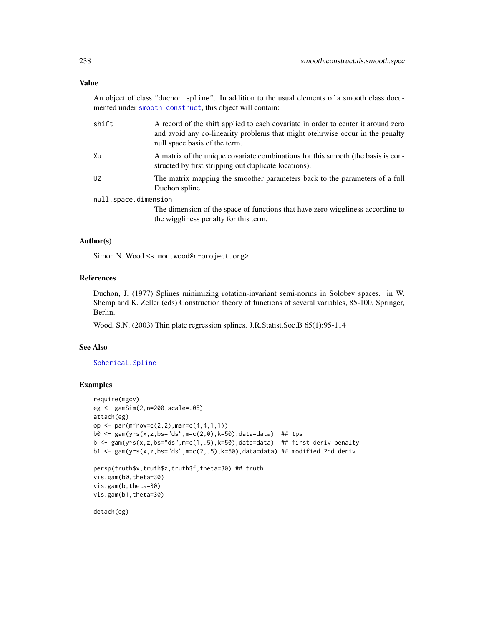## Value

An object of class "duchon.spline". In addition to the usual elements of a smooth class documented under [smooth.construct](#page-222-1), this object will contain:

| shift                | A record of the shift applied to each covariate in order to center it around zero<br>and avoid any co-linearity problems that might otehrwise occur in the penalty<br>null space basis of the term. |
|----------------------|-----------------------------------------------------------------------------------------------------------------------------------------------------------------------------------------------------|
| Хu                   | A matrix of the unique covariate combinations for this smooth (the basis is con-<br>structed by first stripping out duplicate locations).                                                           |
| UZ                   | The matrix mapping the smoother parameters back to the parameters of a full<br>Duchon spline.                                                                                                       |
| null.space.dimension |                                                                                                                                                                                                     |
|                      | The dimension of the space of functions that have zero wiggliness according to                                                                                                                      |
|                      | the wiggliness penalty for this term.                                                                                                                                                               |

## Author(s)

Simon N. Wood <simon.wood@r-project.org>

# References

Duchon, J. (1977) Splines minimizing rotation-invariant semi-norms in Solobev spaces. in W. Shemp and K. Zeller (eds) Construction theory of functions of several variables, 85-100, Springer, Berlin.

Wood, S.N. (2003) Thin plate regression splines. J.R.Statist.Soc.B 65(1):95-114

## See Also

[Spherical.Spline](#page-257-0)

```
require(mgcv)
eg <- gamSim(2,n=200,scale=.05)
attach(eg)
op <- par(mfrow=c(2,2),mar=c(4,4,1,1))
b0 <- gam(y~s(x,z,bs="ds",m=c(2,0),k=50),data=data) ## tps
b <- gam(y~s(x,z,bs="ds",m=c(1,.5),k=50),data=data) ## first deriv penalty
b1 <- gam(y~s(x,z,bs="ds",m=c(2,.5),k=50),data=data) ## modified 2nd deriv
persp(truth$x,truth$z,truth$f,theta=30) ## truth
vis.gam(b0,theta=30)
vis.gam(b,theta=30)
vis.gam(b1,theta=30)
detach(eg)
```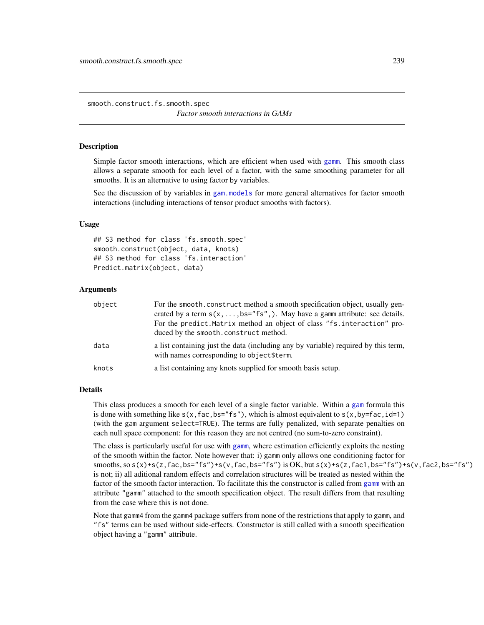smooth.construct.fs.smooth.spec *Factor smooth interactions in GAMs*

## **Description**

Simple factor smooth interactions, which are efficient when used with [gamm](#page-91-0). This smooth class allows a separate smooth for each level of a factor, with the same smoothing parameter for all smooths. It is an alternative to using factor by variables.

See the discussion of by variables in [gam.models](#page-71-0) for more general alternatives for factor smooth interactions (including interactions of tensor product smooths with factors).

## Usage

```
## S3 method for class 'fs.smooth.spec'
smooth.construct(object, data, knots)
## S3 method for class 'fs.interaction'
Predict.matrix(object, data)
```
### Arguments

| object | For the smooth, construct method a smooth specification object, usually gen-<br>erated by a term $s(x, \ldots, bs = "fs", \ldots)$ . May have a gamm attribute: see details.<br>For the predict. Matrix method an object of class "fs. interaction" pro-<br>duced by the smooth.construct method. |
|--------|---------------------------------------------------------------------------------------------------------------------------------------------------------------------------------------------------------------------------------------------------------------------------------------------------|
| data   | a list containing just the data (including any by variable) required by this term,<br>with names corresponding to object\$term.                                                                                                                                                                   |
| knots  | a list containing any knots supplied for smooth basis setup.                                                                                                                                                                                                                                      |

## Details

This class produces a smooth for each level of a single factor variable. Within a [gam](#page-47-0) formula this is done with something like  $s(x, fac, bs="fs")$ , which is almost equivalent to  $s(x, by=fac, id=1)$ (with the gam argument select=TRUE). The terms are fully penalized, with separate penalties on each null space component: for this reason they are not centred (no sum-to-zero constraint).

The class is particularly useful for use with [gamm](#page-91-0), where estimation efficiently exploits the nesting of the smooth within the factor. Note however that: i) gamm only allows one conditioning factor for smooths, so  $s(x)+s(z, fac, bs="fs")+s(v, fac, bs="fs")$  is OK, but  $s(x)+s(z, fac1, bs="fs")+s(v, fac2, bs="fs")$ is not; ii) all aditional random effects and correlation structures will be treated as nested within the factor of the smooth factor interaction. To facilitate this the constructor is called from [gamm](#page-91-0) with an attribute "gamm" attached to the smooth specification object. The result differs from that resulting from the case where this is not done.

Note that gamm4 from the gamm4 package suffers from none of the restrictions that apply to gamm, and "fs" terms can be used without side-effects. Constructor is still called with a smooth specification object having a "gamm" attribute.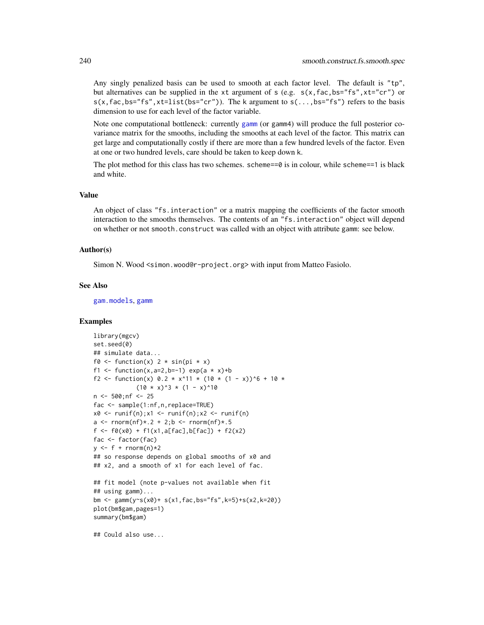Any singly penalized basis can be used to smooth at each factor level. The default is "tp", but alternatives can be supplied in the xt argument of s (e.g.  $s(x,fac,bs="fs",xt="cr")$  or  $s(x, fac, bs="fs", xt=list(bs="cr")$ ). The k argument to  $s(...,bs='fs")$  refers to the basis dimension to use for each level of the factor variable.

Note one computational bottleneck: currently [gamm](#page-91-0) (or gamm4) will produce the full posterior covariance matrix for the smooths, including the smooths at each level of the factor. This matrix can get large and computationally costly if there are more than a few hundred levels of the factor. Even at one or two hundred levels, care should be taken to keep down k.

The plot method for this class has two schemes. scheme== $\theta$  is in colour, while scheme== $1$  is black and white.

#### Value

An object of class "fs.interaction" or a matrix mapping the coefficients of the factor smooth interaction to the smooths themselves. The contents of an "fs.interaction" object will depend on whether or not smooth.construct was called with an object with attribute gamm: see below.

#### Author(s)

Simon N. Wood <simon.wood@r-project.org> with input from Matteo Fasiolo.

### See Also

[gam.models](#page-71-0), [gamm](#page-91-0)

## Examples

```
library(mgcv)
set.seed(0)
## simulate data...
f0 \leftarrow function(x) 2 * sin(pi * x)f1 <- function(x,a=2,b=-1) exp(a * x)+b
f2 <- function(x) 0.2 * x^11 * (10 * (1 - x))^6 + 10 *
             (10 \times x)^3 * (1 - x)^10n <- 500;nf <- 25
fac <- sample(1:nf,n,replace=TRUE)
x0 \leq -\text{runif}(n); x1 \leq -\text{runif}(n); x2 \leq -\text{runif}(n)a \leq rnorm(nf) * 0.2 + 2; b \leq rnorm(nf) * 0.5f <- f0(x0) + f1(x1,a[fac],b[fac]) + f2(x2)
fac <- factor(fac)
y \leq-f + \text{rnorm}(n) \times 2## so response depends on global smooths of x0 and
## x2, and a smooth of x1 for each level of fac.
## fit model (note p-values not available when fit
## using gamm)...
bm <- gamm(y~s(x0)+ s(x1,fac,bs="fs",k=5)+s(x2,k=20))
plot(bm$gam,pages=1)
summary(bm$gam)
```
## Could also use...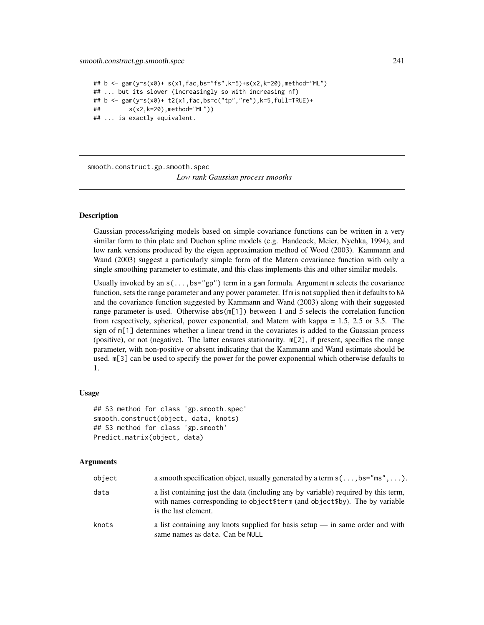#### smooth.construct.gp.smooth.spec 241

```
## b <- gam(y~s(x0)+ s(x1,fac,bs="fs",k=5)+s(x2,k=20),method="ML")
## ... but its slower (increasingly so with increasing nf)
## b <- gam(y~s(x0)+ t2(x1,fac,bs=c("tp","re"),k=5,full=TRUE)+
## s(x2,k=20),method="ML"))
## ... is exactly equivalent.
```
smooth.construct.gp.smooth.spec

*Low rank Gaussian process smooths*

## Description

Gaussian process/kriging models based on simple covariance functions can be written in a very similar form to thin plate and Duchon spline models (e.g. Handcock, Meier, Nychka, 1994), and low rank versions produced by the eigen approximation method of Wood (2003). Kammann and Wand (2003) suggest a particularly simple form of the Matern covariance function with only a single smoothing parameter to estimate, and this class implements this and other similar models.

Usually invoked by an  $s(\ldots,bs="gp")$  term in a gam formula. Argument m selects the covariance function, sets the range parameter and any power parameter. If m is not supplied then it defaults to NA and the covariance function suggested by Kammann and Wand (2003) along with their suggested range parameter is used. Otherwise abs(m[1]) between 1 and 5 selects the correlation function from respectively, spherical, power exponential, and Matern with kappa = 1.5, 2.5 or 3.5. The sign of m[1] determines whether a linear trend in the covariates is added to the Guassian process (positive), or not (negative). The latter ensures stationarity. m[2], if present, specifies the range parameter, with non-positive or absent indicating that the Kammann and Wand estimate should be used. m[3] can be used to specify the power for the power exponential which otherwise defaults to 1.

#### Usage

```
## S3 method for class 'gp.smooth.spec'
smooth.construct(object, data, knots)
## S3 method for class 'gp.smooth'
Predict.matrix(object, data)
```
#### Arguments

| object | a smooth specification object, usually generated by a term $s(\ldots, bs="ms'', \ldots)$ .                                                                                                 |
|--------|--------------------------------------------------------------------------------------------------------------------------------------------------------------------------------------------|
| data   | a list containing just the data (including any by variable) required by this term,<br>with names corresponding to object \$term (and object \$by). The by variable<br>is the last element. |
| knots  | a list containing any knots supplied for basis setup $-$ in same order and with<br>same names as data. Can be NULL                                                                         |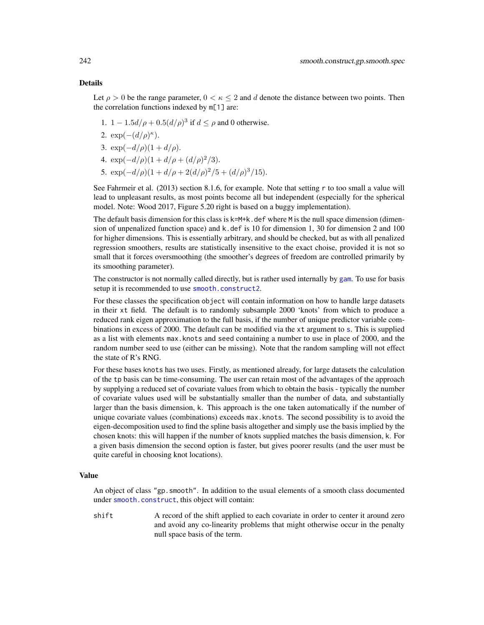## Details

Let  $\rho > 0$  be the range parameter,  $0 < \kappa < 2$  and d denote the distance between two points. Then the correlation functions indexed by m[1] are:

- 1. 1 − 1.5 $d/\rho$  + 0.5 $(d/\rho)^3$  if  $d \leq \rho$  and 0 otherwise.
- 2.  $\exp(-(d/\rho)^{\kappa}).$
- 3.  $\exp(-d/\rho)(1+d/\rho)$ .
- 4.  $\exp(-d/\rho)(1+d/\rho+(d/\rho)^2/3)$ .
- 5.  $\exp(-d/\rho)(1+d/\rho+2(d/\rho)^2/5+(d/\rho)^3/15)$ .

See Fahrmeir et al. (2013) section 8.1.6, for example. Note that setting r to too small a value will lead to unpleasant results, as most points become all but independent (especially for the spherical model. Note: Wood 2017, Figure 5.20 right is based on a buggy implementation).

The default basis dimension for this class is  $k=M+k$ . def where M is the null space dimension (dimension of unpenalized function space) and k.def is 10 for dimension 1, 30 for dimension 2 and 100 for higher dimensions. This is essentially arbitrary, and should be checked, but as with all penalized regression smoothers, results are statistically insensitive to the exact choise, provided it is not so small that it forces oversmoothing (the smoother's degrees of freedom are controlled primarily by its smoothing parameter).

The constructor is not normally called directly, but is rather used internally by [gam](#page-47-0). To use for basis setup it is recommended to use [smooth.construct2](#page-222-0).

For these classes the specification object will contain information on how to handle large datasets in their xt field. The default is to randomly subsample 2000 'knots' from which to produce a reduced rank eigen approximation to the full basis, if the number of unique predictor variable combinations in excess of 2000. The default can be modified via the xt argument to [s](#page-208-0). This is supplied as a list with elements max.knots and seed containing a number to use in place of 2000, and the random number seed to use (either can be missing). Note that the random sampling will not effect the state of R's RNG.

For these bases knots has two uses. Firstly, as mentioned already, for large datasets the calculation of the tp basis can be time-consuming. The user can retain most of the advantages of the approach by supplying a reduced set of covariate values from which to obtain the basis - typically the number of covariate values used will be substantially smaller than the number of data, and substantially larger than the basis dimension, k. This approach is the one taken automatically if the number of unique covariate values (combinations) exceeds max.knots. The second possibility is to avoid the eigen-decomposition used to find the spline basis altogether and simply use the basis implied by the chosen knots: this will happen if the number of knots supplied matches the basis dimension, k. For a given basis dimension the second option is faster, but gives poorer results (and the user must be quite careful in choosing knot locations).

### Value

An object of class "gp.smooth". In addition to the usual elements of a smooth class documented under [smooth.construct](#page-222-1), this object will contain:

shift A record of the shift applied to each covariate in order to center it around zero and avoid any co-linearity problems that might otherwise occur in the penalty null space basis of the term.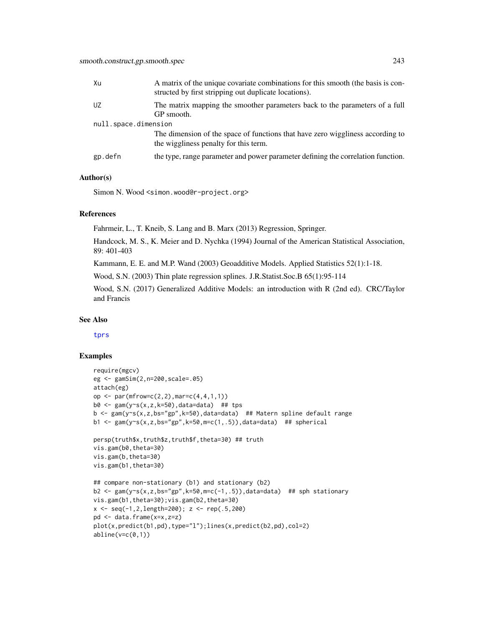| Xu                   | A matrix of the unique covariate combinations for this smooth (the basis is con-<br>structed by first stripping out duplicate locations). |
|----------------------|-------------------------------------------------------------------------------------------------------------------------------------------|
| UZ                   | The matrix mapping the smoother parameters back to the parameters of a full<br>GP smooth.                                                 |
| null.space.dimension |                                                                                                                                           |
|                      | The dimension of the space of functions that have zero wiggliness according to<br>the wiggliness penalty for this term.                   |
| gp.defn              | the type, range parameter and power parameter defining the correlation function.                                                          |

# Author(s)

Simon N. Wood <simon.wood@r-project.org>

# References

Fahrmeir, L., T. Kneib, S. Lang and B. Marx (2013) Regression, Springer.

Handcock, M. S., K. Meier and D. Nychka (1994) Journal of the American Statistical Association, 89: 401-403

Kammann, E. E. and M.P. Wand (2003) Geoadditive Models. Applied Statistics 52(1):1-18.

Wood, S.N. (2003) Thin plate regression splines. J.R.Statist.Soc.B 65(1):95-114

Wood, S.N. (2017) Generalized Additive Models: an introduction with R (2nd ed). CRC/Taylor and Francis

### See Also

[tprs](#page-262-0)

```
require(mgcv)
eg <- gamSim(2,n=200,scale=.05)
attach(eg)
op <- par(mfrow=c(2,2),mar=c(4,4,1,1))
b0 \leq gam(y~s(x,z,k=50),data=data) ## tps
b \leq gam(y\leq(x,z,bs="gp",k=50),data=data) ## Matern spline default range
b1 <- gam(y \sim s(x, z, bs = "gp", k=50, m=c(1, .5)), data=data) ## spherical
persp(truth$x,truth$z,truth$f,theta=30) ## truth
vis.gam(b0,theta=30)
vis.gam(b,theta=30)
vis.gam(b1,theta=30)
## compare non-stationary (b1) and stationary (b2)
b2 <- gam(y~s(x,z,bs="gp",k=50,m=c(-1,.5)),data=data) ## sph stationary
vis.gam(b1,theta=30);vis.gam(b2,theta=30)
x \leq -\text{seq}(-1, 2, \text{length}=200); \ z \leq -\text{rep}(.5, 200)pd <- data.frame(x=x,z=z)
plot(x,predict(b1,pd),type="l");lines(x,predict(b2,pd),col=2)
abline(v=c(0,1))
```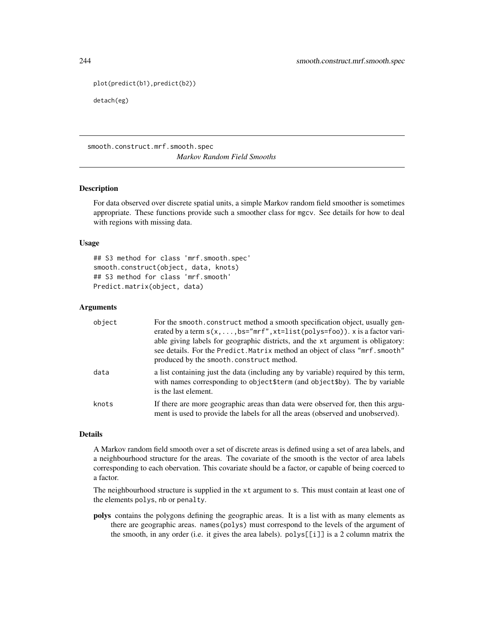```
plot(predict(b1),predict(b2))
```
detach(eg)

smooth.construct.mrf.smooth.spec *Markov Random Field Smooths*

# Description

For data observed over discrete spatial units, a simple Markov random field smoother is sometimes appropriate. These functions provide such a smoother class for mgcv. See details for how to deal with regions with missing data.

### Usage

## S3 method for class 'mrf.smooth.spec' smooth.construct(object, data, knots) ## S3 method for class 'mrf.smooth' Predict.matrix(object, data)

### **Arguments**

| object | For the smooth.construct method a smooth specification object, usually gen-<br>erated by a term $s(x, \ldots, bs="mrf'',xt=list(polys=foo))$ . x is a factor vari-<br>able giving labels for geographic districts, and the xt argument is obligatory:<br>see details. For the Predict. Matrix method an object of class "mrf. smooth"<br>produced by the smooth.construct method. |
|--------|-----------------------------------------------------------------------------------------------------------------------------------------------------------------------------------------------------------------------------------------------------------------------------------------------------------------------------------------------------------------------------------|
| data   | a list containing just the data (including any by variable) required by this term,<br>with names corresponding to object\$term (and object\$by). The by variable<br>is the last element.                                                                                                                                                                                          |
| knots  | If there are more geographic areas than data were observed for, then this argu-<br>ment is used to provide the labels for all the areas (observed and unobserved).                                                                                                                                                                                                                |

## Details

A Markov random field smooth over a set of discrete areas is defined using a set of area labels, and a neighbourhood structure for the areas. The covariate of the smooth is the vector of area labels corresponding to each obervation. This covariate should be a factor, or capable of being coerced to a factor.

The neighbourhood structure is supplied in the xt argument to s. This must contain at least one of the elements polys, nb or penalty.

polys contains the polygons defining the geographic areas. It is a list with as many elements as there are geographic areas. names(polys) must correspond to the levels of the argument of the smooth, in any order (i.e. it gives the area labels). polys[[i]] is a 2 column matrix the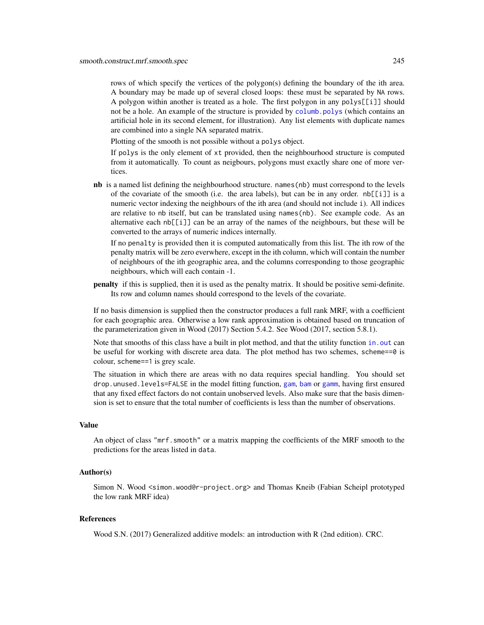rows of which specify the vertices of the polygon(s) defining the boundary of the ith area. A boundary may be made up of several closed loops: these must be separated by NA rows. A polygon within another is treated as a hole. The first polygon in any  $polys[[i]]$  should not be a hole. An example of the structure is provided by [columb.polys](#page-23-0) (which contains an artificial hole in its second element, for illustration). Any list elements with duplicate names are combined into a single NA separated matrix.

Plotting of the smooth is not possible without a polys object.

If polys is the only element of xt provided, then the neighbourhood structure is computed from it automatically. To count as neigbours, polygons must exactly share one of more vertices.

nb is a named list defining the neighbourhood structure. names (nb) must correspond to the levels of the covariate of the smooth (i.e. the area labels), but can be in any order.  $nb[[i]]$  is a numeric vector indexing the neighbours of the ith area (and should not include i). All indices are relative to nb itself, but can be translated using names(nb). See example code. As an alternative each nb[[i]] can be an array of the names of the neighbours, but these will be converted to the arrays of numeric indices internally.

If no penalty is provided then it is computed automatically from this list. The ith row of the penalty matrix will be zero everwhere, except in the ith column, which will contain the number of neighbours of the ith geographic area, and the columns corresponding to those geographic neighbours, which will each contain -1.

penalty if this is supplied, then it is used as the penalty matrix. It should be positive semi-definite. Its row and column names should correspond to the levels of the covariate.

If no basis dimension is supplied then the constructor produces a full rank MRF, with a coefficient for each geographic area. Otherwise a low rank approximation is obtained based on truncation of the parameterization given in Wood (2017) Section 5.4.2. See Wood (2017, section 5.8.1).

Note that smooths of this class have a built in plot method, and that the utility function in. out can be useful for working with discrete area data. The plot method has two schemes, scheme==0 is colour, scheme==1 is grey scale.

The situation in which there are areas with no data requires special handling. You should set drop.unused.levels=FALSE in the model fitting function, [gam](#page-47-0), [bam](#page-6-0) or [gamm](#page-91-0), having first ensured that any fixed effect factors do not contain unobserved levels. Also make sure that the basis dimension is set to ensure that the total number of coefficients is less than the number of observations.

# Value

An object of class "mrf.smooth" or a matrix mapping the coefficients of the MRF smooth to the predictions for the areas listed in data.

## Author(s)

Simon N. Wood <simon.wood@r-project.org> and Thomas Kneib (Fabian Scheipl prototyped the low rank MRF idea)

## References

Wood S.N. (2017) Generalized additive models: an introduction with R (2nd edition). CRC.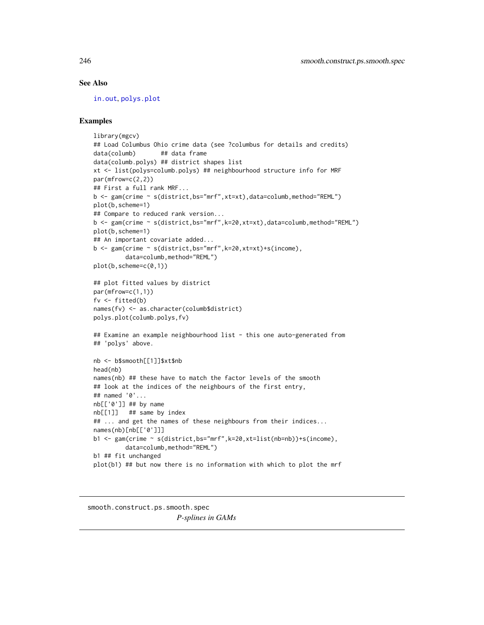## See Also

[in.out](#page-114-0), [polys.plot](#page-180-0)

# Examples

```
library(mgcv)
## Load Columbus Ohio crime data (see ?columbus for details and credits)
data(columb) ## data frame
data(columb.polys) ## district shapes list
xt <- list(polys=columb.polys) ## neighbourhood structure info for MRF
par(mfrow=c(2,2))
## First a full rank MRF...
b <- gam(crime ~ s(district,bs="mrf",xt=xt),data=columb,method="REML")
plot(b,scheme=1)
## Compare to reduced rank version...
b <- gam(crime ~ s(district,bs="mrf",k=20,xt=xt),data=columb,method="REML")
plot(b,scheme=1)
## An important covariate added...
b <- gam(crime ~ s(district,bs="mrf",k=20,xt=xt)+s(income),
         data=columb,method="REML")
plot(b,scheme=c(0,1))
## plot fitted values by district
par(mfrow=c(1,1))
fv <- fitted(b)
names(fv) <- as.character(columb$district)
polys.plot(columb.polys,fv)
## Examine an example neighbourhood list - this one auto-generated from
## 'polys' above.
nb <- b$smooth[[1]]$xt$nb
head(nb)
names(nb) ## these have to match the factor levels of the smooth
## look at the indices of the neighbours of the first entry,
## named '0'...
nb[['0']] ## by name
nb[[1]] ## same by index
## ... and get the names of these neighbours from their indices...
names(nb)[nb[['0']]]
b1 <- gam(crime ~ s(district,bs="mrf",k=20,xt=list(nb=nb))+s(income),
         data=columb,method="REML")
b1 ## fit unchanged
plot(b1) ## but now there is no information with which to plot the mrf
```
<span id="page-245-0"></span>smooth.construct.ps.smooth.spec *P-splines in GAMs*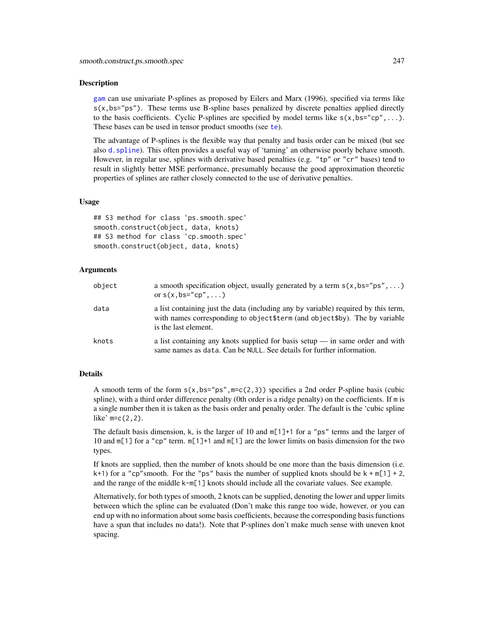### Description

[gam](#page-47-0) can use univariate P-splines as proposed by Eilers and Marx (1996), specified via terms like  $s(x,bs="ps")$ . These terms use B-spline bases penalized by discrete penalties applied directly to the basis coefficients. Cyclic P-splines are specified by model terms like  $s(x,bs="cp",...)$ . These bases can be used in [te](#page-287-0)nsor product smooths (see te).

The advantage of P-splines is the flexible way that penalty and basis order can be mixed (but see also [d.spline](#page-230-0)). This often provides a useful way of 'taming' an otherwise poorly behave smooth. However, in regular use, splines with derivative based penalties (e.g. "tp" or "cr" bases) tend to result in slightly better MSE performance, presumably because the good approximation theoretic properties of splines are rather closely connected to the use of derivative penalties.

### Usage

## S3 method for class 'ps.smooth.spec' smooth.construct(object, data, knots) ## S3 method for class 'cp.smooth.spec' smooth.construct(object, data, knots)

## Arguments

| object | a smooth specification object, usually generated by a term $s(x, bs="ps", )$<br>or $s(x,bs="cp", \ldots)$                                                                                  |
|--------|--------------------------------------------------------------------------------------------------------------------------------------------------------------------------------------------|
| data   | a list containing just the data (including any by variable) required by this term,<br>with names corresponding to object \$term (and object \$by). The by variable<br>is the last element. |
| knots  | a list containing any knots supplied for basis setup $-$ in same order and with<br>same names as data. Can be NULL. See details for further information.                                   |

# Details

A smooth term of the form  $s(x,bs="ps",m=c(2,3))$  specifies a 2nd order P-spline basis (cubic spline), with a third order difference penalty (0th order is a ridge penalty) on the coefficients. If m is a single number then it is taken as the basis order and penalty order. The default is the 'cubic spline like'  $m=c(2,2)$ .

The default basis dimension, k, is the larger of 10 and  $m[1]+1$  for a "ps" terms and the larger of 10 and m[1] for a "cp" term. m[1]+1 and m[1] are the lower limits on basis dimension for the two types.

If knots are supplied, then the number of knots should be one more than the basis dimension (i.e.  $k+1$ ) for a "cp"smooth. For the "ps" basis the number of supplied knots should be  $k+m[1]+2$ , and the range of the middle k-m[1] knots should include all the covariate values. See example.

Alternatively, for both types of smooth, 2 knots can be supplied, denoting the lower and upper limits between which the spline can be evaluated (Don't make this range too wide, however, or you can end up with no information about some basis coefficients, because the corresponding basis functions have a span that includes no data!). Note that P-splines don't make much sense with uneven knot spacing.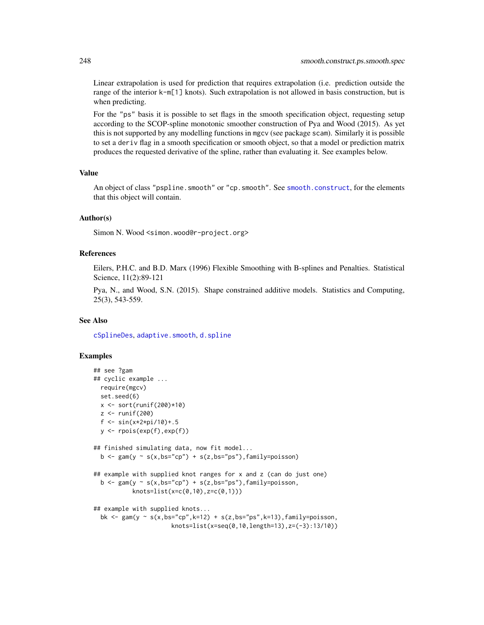Linear extrapolation is used for prediction that requires extrapolation (i.e. prediction outside the range of the interior k-m[1] knots). Such extrapolation is not allowed in basis construction, but is when predicting.

For the "ps" basis it is possible to set flags in the smooth specification object, requesting setup according to the SCOP-spline monotonic smoother construction of Pya and Wood (2015). As yet this is not supported by any modelling functions in mgcv (see package scam). Similarly it is possible to set a deriv flag in a smooth specification or smooth object, so that a model or prediction matrix produces the requested derivative of the spline, rather than evaluating it. See examples below.

### Value

An object of class "pspline. smooth" or "cp. smooth". See smooth. construct, for the elements that this object will contain.

### Author(s)

Simon N. Wood <simon.wood@r-project.org>

#### References

Eilers, P.H.C. and B.D. Marx (1996) Flexible Smoothing with B-splines and Penalties. Statistical Science, 11(2):89-121

Pya, N., and Wood, S.N. (2015). Shape constrained additive models. Statistics and Computing, 25(3), 543-559.

### See Also

[cSplineDes](#page-32-0), [adaptive.smooth](#page-227-0), [d.spline](#page-230-0)

```
## see ?gam
## cyclic example ...
 require(mgcv)
 set.seed(6)
 x \le - sort(runif(200)*10)
 z <- runif(200)
 f <- sin(x*2*pi/10)+.5
 y <- rpois(exp(f),exp(f))
## finished simulating data, now fit model...
 b \leq gam(y \sim s(x,bs="cp") + s(z,bs="ps"),family=poisson)
## example with supplied knot ranges for x and z (can do just one)
 b \leq gam(y \sim s(x,bs="cp") + s(z,bs="ps"),family=poisson,
           knots=list(x=c(0,10),z=c(0,1)))
## example with supplied knots...
 bk \leq gam(y \leq s(x,bs="cp",k=12) + s(z,bs="ps",k=13),family=poisson,
                      knots=list(x=seq(0,10,length=13),z=(-3):13/10))
```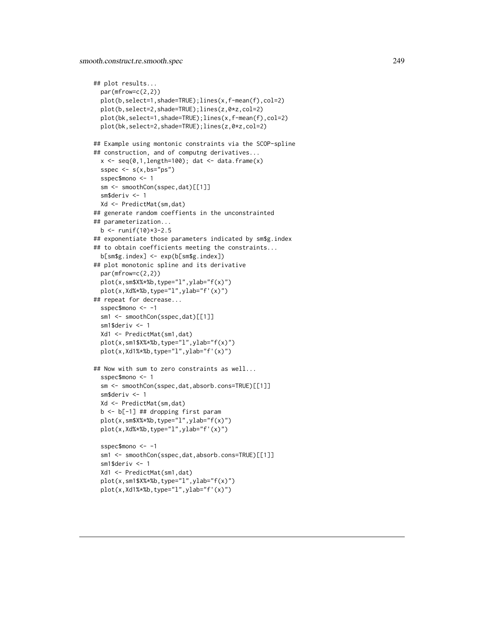```
## plot results...
 par(mfrow=c(2,2))
 plot(b,select=1,shade=TRUE);lines(x,f-mean(f),col=2)
 plot(b,select=2,shade=TRUE);lines(z,0*z,col=2)
 plot(bk,select=1,shade=TRUE);lines(x,f-mean(f),col=2)
 plot(bk,select=2,shade=TRUE);lines(z,0*z,col=2)
## Example using montonic constraints via the SCOP-spline
## construction, and of computng derivatives...
 x \leq -\text{seq}(0,1,\text{length}=100); dat \leq -\text{data-frame}(x)sspec \leq s(x,bs="ps")
 sspec$mono <- 1
  sm <- smoothCon(sspec,dat)[[1]]
  sm$deriv <- 1
 Xd <- PredictMat(sm,dat)
## generate random coeffients in the unconstrainted
## parameterization...
 b \le runif(10) *3 - 2.5## exponentiate those parameters indicated by sm$g.index
## to obtain coefficients meeting the constraints...
 b[sm$g.index] <- exp(b[sm$g.index])
## plot monotonic spline and its derivative
 par(mfrow=c(2,2))
 plot(x,sm$X%*%b,type="l",ylab="f(x)")
 plot(x,Xd%*%b,type="l",ylab="f'(x)")
## repeat for decrease...
 sspec$mono <- -1
 sm1 <- smoothCon(sspec,dat)[[1]]
 sm1$deriv \leq -1Xd1 <- PredictMat(sm1,dat)
 plot(x,sm1$X%*%b,type="l",ylab="f(x)")
 plot(x,Xd1%*%b,type="l",ylab="f'(x)")
## Now with sum to zero constraints as well...
 sspec$mono <- 1
 sm <- smoothCon(sspec,dat,absorb.cons=TRUE)[[1]]
 sm$deriv <- 1
 Xd <- PredictMat(sm,dat)
 b <- b[-1] ## dropping first param
 plot(x,sm$X%*%b,type="l",ylab="f(x)")
 plot(x,Xd%*%b,type="l",ylab="f'(x)")
 sspec$mono <- -1
 sm1 <- smoothCon(sspec,dat,absorb.cons=TRUE)[[1]]
 sm1$deriv <- 1
 Xd1 <- PredictMat(sm1,dat)
 plot(x,sm1$X%*%b,type="l",ylab="f(x)")
 plot(x,Xd1%*%b,type="l",ylab="f'(x)")
```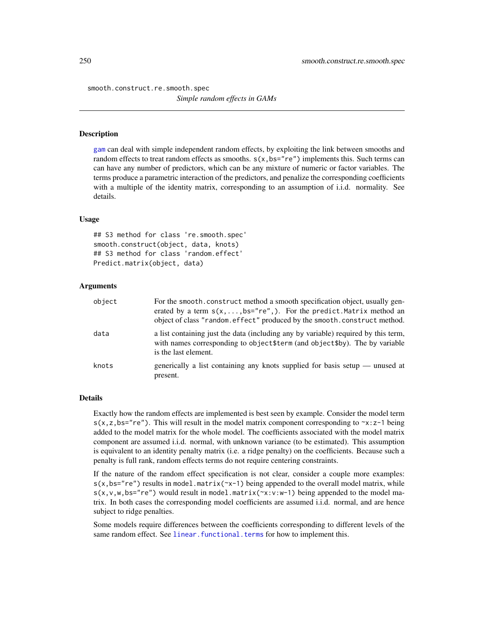smooth.construct.re.smooth.spec

*Simple random effects in GAMs*

## Description

[gam](#page-47-0) can deal with simple independent random effects, by exploiting the link between smooths and random effects to treat random effects as smooths.  $s(x,bs="re")$  implements this. Such terms can can have any number of predictors, which can be any mixture of numeric or factor variables. The terms produce a parametric interaction of the predictors, and penalize the corresponding coefficients with a multiple of the identity matrix, corresponding to an assumption of i.i.d. normality. See details.

### Usage

## S3 method for class 're.smooth.spec' smooth.construct(object, data, knots) ## S3 method for class 'random.effect' Predict.matrix(object, data)

## Arguments

| object | For the smooth, construct method a smooth specification object, usually gen-<br>erated by a term $s(x, \ldots, bs="re",).$ For the predict Matrix method an<br>object of class "random.effect" produced by the smooth.construct method. |
|--------|-----------------------------------------------------------------------------------------------------------------------------------------------------------------------------------------------------------------------------------------|
| data   | a list containing just the data (including any by variable) required by this term,<br>with names corresponding to object\$term (and object\$by). The by variable<br>is the last element.                                                |
| knots  | generically a list containing any knots supplied for basis setup — unused at<br>present.                                                                                                                                                |

### Details

Exactly how the random effects are implemented is best seen by example. Consider the model term  $s(x, z, bs="re")$ . This will result in the model matrix component corresponding to  $\sim x:z-1$  being added to the model matrix for the whole model. The coefficients associated with the model matrix component are assumed i.i.d. normal, with unknown variance (to be estimated). This assumption is equivalent to an identity penalty matrix (i.e. a ridge penalty) on the coefficients. Because such a penalty is full rank, random effects terms do not require centering constraints.

If the nature of the random effect specification is not clear, consider a couple more examples:  $s(x,bs="re")$  results in model.matrix( $rx-1$ ) being appended to the overall model matrix, while  $s(x,v,w,bs="re")$  would result in model.matrix( $\sim x:v:w-1$ ) being appended to the model matrix. In both cases the corresponding model coefficients are assumed i.i.d. normal, and are hence subject to ridge penalties.

Some models require differences between the coefficients corresponding to different levels of the same random effect. See linear. functional. terms for how to implement this.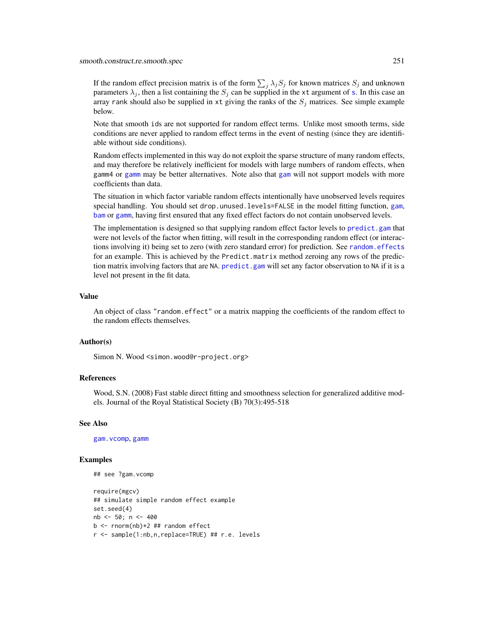If the random effect precision matrix is of the form  $\sum_j \lambda_j S_j$  for known matrices  $S_j$  and unknown parameter[s](#page-208-0)  $\lambda_j$ , then a list containing the  $S_j$  can be supplied in the xt argument of s. In this case an array rank should also be supplied in xt giving the ranks of the  $S_i$  matrices. See simple example below.

Note that smooth ids are not supported for random effect terms. Unlike most smooth terms, side conditions are never applied to random effect terms in the event of nesting (since they are identifiable without side conditions).

Random effects implemented in this way do not exploit the sparse structure of many random effects, and may therefore be relatively inefficient for models with large numbers of random effects, when gamm4 or [gamm](#page-91-0) may be better alternatives. Note also that [gam](#page-47-0) will not support models with more coefficients than data.

The situation in which factor variable random effects intentionally have unobserved levels requires special handling. You should set drop.unused.levels=FALSE in the model fitting function, [gam](#page-47-0), [bam](#page-6-0) or [gamm](#page-91-0), having first ensured that any fixed effect factors do not contain unobserved levels.

The implementation is designed so that supplying random effect factor levels to [predict.gam](#page-184-0) that were not levels of the factor when fitting, will result in the corresponding random effect (or interactions involving it) being set to zero (with zero standard error) for prediction. See [random.effects](#page-200-0) for an example. This is achieved by the Predict.matrix method zeroing any rows of the prediction matrix involving factors that are NA. [predict.gam](#page-184-0) will set any factor observation to NA if it is a level not present in the fit data.

### Value

An object of class "random.effect" or a matrix mapping the coefficients of the random effect to the random effects themselves.

### Author(s)

Simon N. Wood <simon.wood@r-project.org>

## References

Wood, S.N. (2008) Fast stable direct fitting and smoothness selection for generalized additive models. Journal of the Royal Statistical Society (B) 70(3):495-518

### See Also

[gam.vcomp](#page-85-0), [gamm](#page-91-0)

```
## see ?gam.vcomp
```

```
require(mgcv)
## simulate simple random effect example
set.seed(4)
nb <- 50; n <- 400
b \le - rnorm(nb) *2 ## random effect
r <- sample(1:nb,n,replace=TRUE) ## r.e. levels
```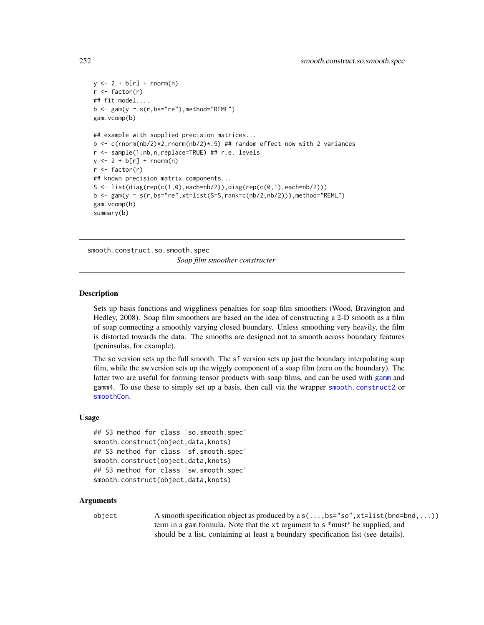```
y \leftarrow 2 + b[r] + \text{norm}(n)r <- factor(r)
## fit model....
b \leq -\text{gam}(y \sim s(r, bs='re''), method="REML")
gam.vcomp(b)
## example with supplied precision matrices...
b \leq c(rnorm(nb/2)*2, rnorm(nb/2)*.5) ## random effect now with 2 variances
r <- sample(1:nb,n,replace=TRUE) ## r.e. levels
y \leftarrow 2 + b[r] + \text{norm}(n)r <- factor(r)
## known precision matrix components...
S <- list(diag(rep(c(1,0),each=nb/2)),diag(rep(c(0,1),each=nb/2)))
b \leq gam(y \sim s(r,bs="re",xt=list(S=S,rank=c(nb/2,nb/2))),method="REML")
gam.vcomp(b)
summary(b)
```
smooth.construct.so.smooth.spec *Soap film smoother constructer*

#### Description

Sets up basis functions and wiggliness penalties for soap film smoothers (Wood, Bravington and Hedley, 2008). Soap film smoothers are based on the idea of constructing a 2-D smooth as a film of soap connecting a smoothly varying closed boundary. Unless smoothing very heavily, the film is distorted towards the data. The smooths are designed not to smooth across boundary features (peninsulas, for example).

The so version sets up the full smooth. The sf version sets up just the boundary interpolating soap film, while the sw version sets up the wiggly component of a soap film (zero on the boundary). The latter two are useful for forming tensor products with soap films, and can be used with [gamm](#page-91-0) and gamm4. To use these to simply set up a basis, then call via the wrapper [smooth.construct2](#page-222-0) or [smoothCon](#page-272-0).

## Usage

```
## S3 method for class 'so.smooth.spec'
smooth.construct(object,data,knots)
## S3 method for class 'sf.smooth.spec'
smooth.construct(object,data,knots)
## S3 method for class 'sw.smooth.spec'
smooth.construct(object,data,knots)
```
## Arguments

object A smooth specification object as produced by a s(...,bs="so",xt=list(bnd=bnd,...)) term in a gam formula. Note that the xt argument to s \*must\* be supplied, and should be a list, containing at least a boundary specification list (see details).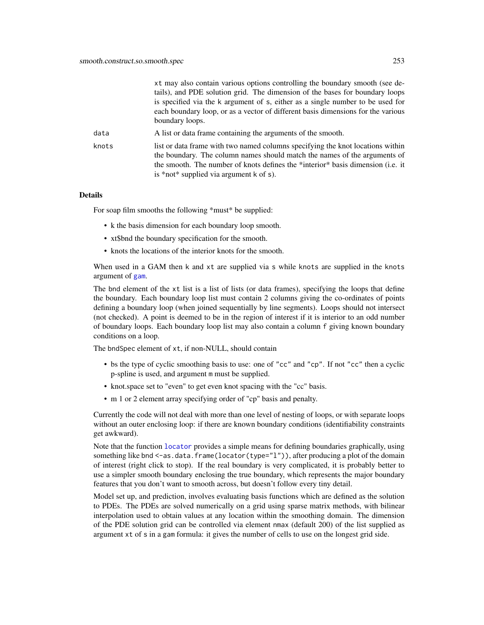|       | xt may also contain various options controlling the boundary smooth (see de-<br>tails), and PDE solution grid. The dimension of the bases for boundary loops<br>is specified via the k argument of s, either as a single number to be used for<br>each boundary loop, or as a vector of different basis dimensions for the various<br>boundary loops. |
|-------|-------------------------------------------------------------------------------------------------------------------------------------------------------------------------------------------------------------------------------------------------------------------------------------------------------------------------------------------------------|
| data  | A list or data frame containing the arguments of the smooth.                                                                                                                                                                                                                                                                                          |
| knots | list or data frame with two named columns specifying the knot locations within<br>the boundary. The column names should match the names of the arguments of<br>the smooth. The number of knots defines the *interior* basis dimension (i.e. it<br>is *not* supplied via argument $k$ of $s$ ).                                                        |

#### Details

For soap film smooths the following \*must\* be supplied:

- k the basis dimension for each boundary loop smooth.
- xt\$bnd the boundary specification for the smooth.
- knots the locations of the interior knots for the smooth.

When used in a GAM then k and xt are supplied via s while knots are supplied in the knots argument of [gam](#page-47-0).

The bnd element of the xt list is a list of lists (or data frames), specifying the loops that define the boundary. Each boundary loop list must contain 2 columns giving the co-ordinates of points defining a boundary loop (when joined sequentially by line segments). Loops should not intersect (not checked). A point is deemed to be in the region of interest if it is interior to an odd number of boundary loops. Each boundary loop list may also contain a column f giving known boundary conditions on a loop.

The bndSpec element of xt, if non-NULL, should contain

- bs the type of cyclic smoothing basis to use: one of "cc" and "cp". If not "cc" then a cyclic p-spline is used, and argument m must be supplied.
- knot.space set to "even" to get even knot spacing with the "cc" basis.
- m 1 or 2 element array specifying order of "cp" basis and penalty.

Currently the code will not deal with more than one level of nesting of loops, or with separate loops without an outer enclosing loop: if there are known boundary conditions (identifiability constraints get awkward).

Note that the function [locator](#page-0-0) provides a simple means for defining boundaries graphically, using something like bnd <-as.data.frame(locator(type="l")), after producing a plot of the domain of interest (right click to stop). If the real boundary is very complicated, it is probably better to use a simpler smooth boundary enclosing the true boundary, which represents the major boundary features that you don't want to smooth across, but doesn't follow every tiny detail.

Model set up, and prediction, involves evaluating basis functions which are defined as the solution to PDEs. The PDEs are solved numerically on a grid using sparse matrix methods, with bilinear interpolation used to obtain values at any location within the smoothing domain. The dimension of the PDE solution grid can be controlled via element nmax (default 200) of the list supplied as argument xt of s in a gam formula: it gives the number of cells to use on the longest grid side.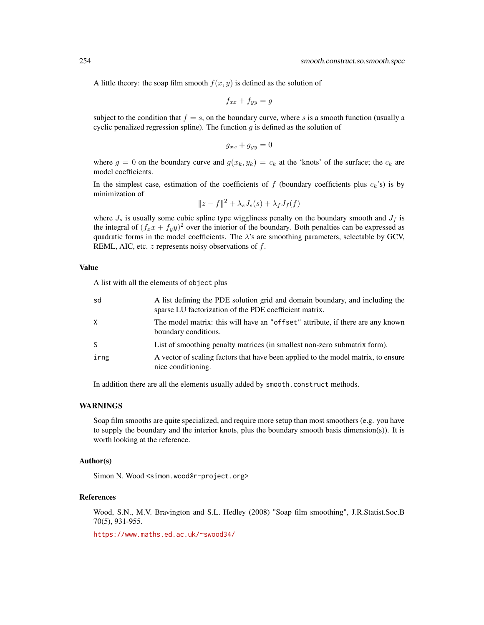A little theory: the soap film smooth  $f(x, y)$  is defined as the solution of

$$
f_{xx} + f_{yy} = g
$$

subject to the condition that  $f = s$ , on the boundary curve, where s is a smooth function (usually a cyclic penalized regression spline). The function  $q$  is defined as the solution of

$$
g_{xx} + g_{yy} = 0
$$

where  $g = 0$  on the boundary curve and  $g(x_k, y_k) = c_k$  at the 'knots' of the surface; the  $c_k$  are model coefficients.

In the simplest case, estimation of the coefficients of f (boundary coefficients plus  $c_k$ 's) is by minimization of

$$
||z - f||^2 + \lambda_s J_s(s) + \lambda_f J_f(f)
$$

where  $J_s$  is usually some cubic spline type wiggliness penalty on the boundary smooth and  $J_f$  is the integral of  $(f_x x + f_y y)^2$  over the interior of the boundary. Both penalties can be expressed as quadratic forms in the model coefficients. The  $\lambda$ 's are smoothing parameters, selectable by GCV, REML, AIC, etc.  $z$  represents noisy observations of  $f$ .

## Value

A list with all the elements of object plus

| sd           | A list defining the PDE solution grid and domain boundary, and including the<br>sparse LU factorization of the PDE coefficient matrix. |
|--------------|----------------------------------------------------------------------------------------------------------------------------------------|
| X            | The model matrix: this will have an "offset" attribute, if there are any known<br>boundary conditions.                                 |
| <sub>S</sub> | List of smoothing penalty matrices (in smallest non-zero submatrix form).                                                              |
| irng         | A vector of scaling factors that have been applied to the model matrix, to ensure<br>nice conditioning.                                |

In addition there are all the elements usually added by smooth.construct methods.

#### WARNINGS

Soap film smooths are quite specialized, and require more setup than most smoothers (e.g. you have to supply the boundary and the interior knots, plus the boundary smooth basis dimension(s)). It is worth looking at the reference.

## Author(s)

Simon N. Wood <simon.wood@r-project.org>

#### References

Wood, S.N., M.V. Bravington and S.L. Hedley (2008) "Soap film smoothing", J.R.Statist.Soc.B 70(5), 931-955.

<https://www.maths.ed.ac.uk/~swood34/>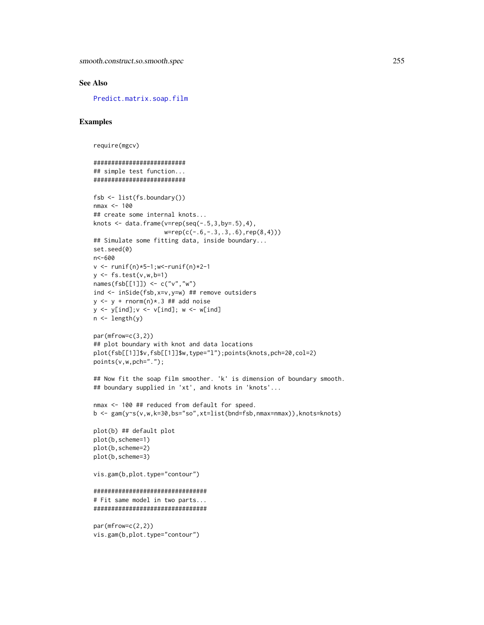# See Also

[Predict.matrix.soap.film](#page-192-0)

# Examples

```
require(mgcv)
```

```
##########################
## simple test function...
##########################
fsb <- list(fs.boundary())
nmax <- 100
## create some internal knots...
knots \leq data.frame(v=rep(seq(-.5,3,by=.5),4),
                    w=rep(c(-.6,-.3,.3,.6),rep(8,4)))
## Simulate some fitting data, inside boundary...
set.seed(0)
n<-600
v <- runif(n)*5-1;w<-runif(n)*2-1
y \leftarrow fs.test(v,w,b=1)names(fsb[[1]]) <- c("v","w")
ind <- inSide(fsb,x=v,y=w) ## remove outsiders
y \le y + \text{norm}(n) \times 3 ## add noise
y \le y [ind];v \le y [ind]; w \le -\sqrt{1}n \leftarrow length(y)
par(mfrow=c(3,2))
## plot boundary with knot and data locations
plot(fsb[[1]]$v,fsb[[1]]$w,type="l");points(knots,pch=20,col=2)
points(v,w,pch=".");
## Now fit the soap film smoother. 'k' is dimension of boundary smooth.
## boundary supplied in 'xt', and knots in 'knots'...
nmax <- 100 ## reduced from default for speed.
b <- gam(y~s(v,w,k=30,bs="so",xt=list(bnd=fsb,nmax=nmax)),knots=knots)
plot(b) ## default plot
plot(b,scheme=1)
plot(b,scheme=2)
plot(b,scheme=3)
vis.gam(b,plot.type="contour")
################################
# Fit same model in two parts...
################################
par(mfrow=c(2,2))
```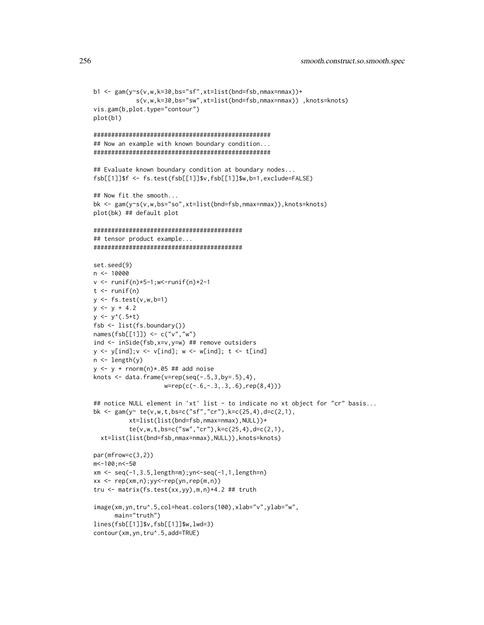```
s(v,w,k=30,bs="sw",xt=list(bnd=fsb,nmax=nmax)) ,knots=knots)
vis.gam(b,plot.type="contour")
plot(b1)
##################################################
## Now an example with known boundary condition...
##################################################
## Evaluate known boundary condition at boundary nodes...
fsb[[1]]$f <- fs.test(fsb[[1]]$v,fsb[[1]]$w,b=1,exclude=FALSE)
## Now fit the smooth...
bk <- gam(y~s(v,w,bs="so",xt=list(bnd=fsb,nmax=nmax)),knots=knots)
plot(bk) ## default plot
##########################################
## tensor product example...
##########################################
set.seed(9)
n < -10000v \le runif(n)*5-1;w\le-runif(n)*2-1
t \le runif(n)
y \leftarrow fs.test(v,w,b=1)y \le y + 4.2y \leftarrow y'(.5 + t)fsb <- list(fs.boundary())
names(fsb[[1]]) <- c("v","w")
ind <- inSide(fsb,x=v,y=w) ## remove outsiders
y \le y [ind]; v \le y [ind]; w \le -y [ind]; t \le -t [ind]
n <- length(y)
y \leftarrow y + \text{rnorm}(n) \times .05 \# \text{#} add noise
knots \leq data.frame(v=rep(seq(-.5,3,by=.5),4),
                     w=rep(c(-.6,-.3,.3,.6),rep(8,4)))
## notice NULL element in 'xt' list - to indicate no xt object for "cr" basis...
bk <- gam(y ~ te(v,w,t,bs=c("sf","cr"),k=c(25,4),d=c(2,1),
          xt=list(list(bnd=fsb,nmax=nmax),NULL))+
          te(v,w,t,bs=c("sw","cr"),k=c(25,4),d=c(2,1),
  xt=list(list(bnd=fsb,nmax=nmax),NULL)),knots=knots)
par(mfrow=c(3,2))
m<-100;n<-50
xm <- seq(-1,3.5,length=m);yn<-seq(-1,1,length=n)
xx \leq -\text{rep}(xm,n);yy\leq-\text{rep}(yn,rep(m,n))tru <- matrix(fs.test(xx,yy),m,n)+4.2 ## truth
image(xm,yn,tru^.5,col=heat.colors(100),xlab="v",ylab="w",
      main="truth")
lines(fsb[[1]]$v,fsb[[1]]$w,lwd=3)
contour(xm,yn,tru^.5,add=TRUE)
```
b1 <- gam(y~s(v,w,k=30,bs="sf",xt=list(bnd=fsb,nmax=nmax))+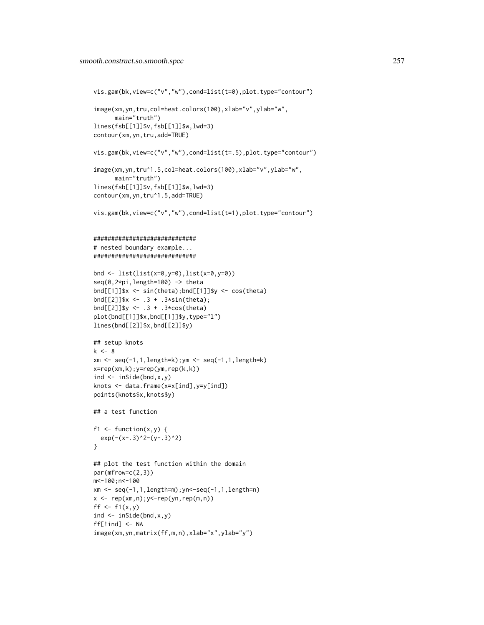```
vis.gam(bk,view=c("v","w"),cond=list(t=0),plot.type="contour")
image(xm,yn,tru,col=heat.colors(100),xlab="v",ylab="w",
      main="truth")
lines(fsb[[1]]$v,fsb[[1]]$w,lwd=3)
contour(xm,yn,tru,add=TRUE)
vis.gam(bk,view=c("v","w"),cond=list(t=.5),plot.type="contour")
image(xm,yn,tru^1.5,col=heat.colors(100),xlab="v",ylab="w",
      main="truth")
lines(fsb[[1]]$v,fsb[[1]]$w,lwd=3)
contour(xm,yn,tru^1.5,add=TRUE)
vis.gam(bk,view=c("v","w"),cond=list(t=1),plot.type="contour")
#############################
# nested boundary example...
#############################
bnd <- list(list(x=0,y=0),list(x=0,y=0))
seq(0,2*pi,length=100) -> theta
bnd[[1]]$x <- sin(theta);bnd[[1]]$y <- cos(theta)
bnd[[2]]$x <- .3 + .3*sin(theta);
bnd[[2]]$y <- .3 + .3*cos(theta)
plot(bnd[[1]]$x,bnd[[1]]$y,type="l")
lines(bnd[[2]]$x,bnd[[2]]$y)
## setup knots
k < - 8xm <- seq(-1,1,length=k);ym <- seq(-1,1,length=k)
x=rep(xm,k);y=rep(ym,rep(k,k))
ind \leq inSide(bnd, x, y)
knots <- data.frame(x=x[ind],y=y[ind])
points(knots$x,knots$y)
## a test function
f1 \le function(x,y) {
 exp(-(x-.3)^2-(y-.3)^2)}
## plot the test function within the domain
par(mfrow=c(2,3))
m<-100;n<-100
xm <- seq(-1,1,length=m);yn<-seq(-1,1,length=n)
x \leftarrow rep(xm,n); y \leftarrow rep(yn, rep(m,n))ff \leftarrow f1(x,y)
ind \leq inSide(bnd, x, y)
ff[!ind] <- NA
image(xm,yn,matrix(ff,m,n),xlab="x",ylab="y")
```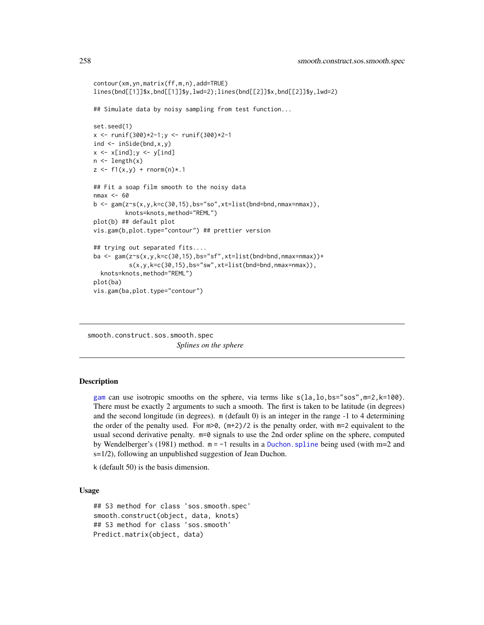```
contour(xm,yn,matrix(ff,m,n),add=TRUE)
lines(bnd[[1]]$x,bnd[[1]]$y,lwd=2);lines(bnd[[2]]$x,bnd[[2]]$y,lwd=2)
## Simulate data by noisy sampling from test function...
set.seed(1)
x \le runif(300)*2-1;y \le runif(300)*2-1
ind \leq inSide(bnd, x, y)
x \leftarrow x[ind]; y \leftarrow y[ind]
n \leftarrow length(x)z \leq f1(x,y) + \text{norm}(n) * .1## Fit a soap film smooth to the noisy data
nmax <- 60
b \leq gam(z~s(x,y,k=c(30,15),bs="so",xt=list(bnd=bnd,nmax=nmax)),
         knots=knots,method="REML")
plot(b) ## default plot
vis.gam(b,plot.type="contour") ## prettier version
## trying out separated fits....
ba <- gam(z~s(x,y,k=c(30,15),bs="sf",xt=list(bnd=bnd,nmax=nmax))+
          s(x,y,k=c(30,15),bs="sw",xt=list(bnd=bnd,nmax=nnax)),knots=knots,method="REML")
plot(ba)
vis.gam(ba,plot.type="contour")
```
smooth.construct.sos.smooth.spec *Splines on the sphere*

# <span id="page-257-0"></span>**Description**

[gam](#page-47-0) can use isotropic smooths on the sphere, via terms like  $s(la, lo, bs="sos", m=2, k=100)$ . There must be exactly 2 arguments to such a smooth. The first is taken to be latitude (in degrees) and the second longitude (in degrees). m (default 0) is an integer in the range -1 to 4 determining the order of the penalty used. For  $m > 0$ ,  $(m+2)/2$  is the penalty order, with  $m=2$  equivalent to the usual second derivative penalty. m=0 signals to use the 2nd order spline on the sphere, computed by Wendelberger's (1981) method.  $m = -1$  results in a Duchon. spline being used (with  $m=2$  and s=1/2), following an unpublished suggestion of Jean Duchon.

k (default 50) is the basis dimension.

# Usage

```
## S3 method for class 'sos.smooth.spec'
smooth.construct(object, data, knots)
## S3 method for class 'sos.smooth'
Predict.matrix(object, data)
```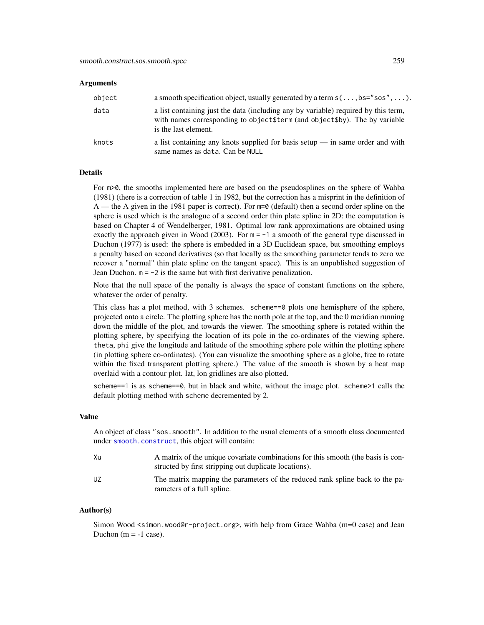#### **Arguments**

| object | a smooth specification object, usually generated by a term $s(\ldots, bs="s\alpha'', \ldots)$ .                                                                                            |
|--------|--------------------------------------------------------------------------------------------------------------------------------------------------------------------------------------------|
| data   | a list containing just the data (including any by variable) required by this term,<br>with names corresponding to object \$term (and object \$by). The by variable<br>is the last element. |
| knots  | a list containing any knots supplied for basis setup $-$ in same order and with<br>same names as data. Can be NULL                                                                         |

# Details

For  $m > 0$ , the smooths implemented here are based on the pseudosplines on the sphere of Wahba (1981) (there is a correction of table 1 in 1982, but the correction has a misprint in the definition of A — the A given in the 1981 paper is correct). For  $m=0$  (default) then a second order spline on the sphere is used which is the analogue of a second order thin plate spline in 2D: the computation is based on Chapter 4 of Wendelberger, 1981. Optimal low rank approximations are obtained using exactly the approach given in Wood (2003). For  $m = -1$  a smooth of the general type discussed in Duchon (1977) is used: the sphere is embedded in a 3D Euclidean space, but smoothing employs a penalty based on second derivatives (so that locally as the smoothing parameter tends to zero we recover a "normal" thin plate spline on the tangent space). This is an unpublished suggestion of Jean Duchon.  $m = -2$  is the same but with first derivative penalization.

Note that the null space of the penalty is always the space of constant functions on the sphere, whatever the order of penalty.

This class has a plot method, with 3 schemes. scheme==0 plots one hemisphere of the sphere, projected onto a circle. The plotting sphere has the north pole at the top, and the 0 meridian running down the middle of the plot, and towards the viewer. The smoothing sphere is rotated within the plotting sphere, by specifying the location of its pole in the co-ordinates of the viewing sphere. theta, phi give the longitude and latitude of the smoothing sphere pole within the plotting sphere (in plotting sphere co-ordinates). (You can visualize the smoothing sphere as a globe, free to rotate within the fixed transparent plotting sphere.) The value of the smooth is shown by a heat map overlaid with a contour plot. lat, lon gridlines are also plotted.

scheme==1 is as scheme==0, but in black and white, without the image plot. scheme>1 calls the default plotting method with scheme decremented by 2.

# Value

An object of class "sos.smooth". In addition to the usual elements of a smooth class documented under [smooth.construct](#page-222-0), this object will contain:

| Xu | A matrix of the unique covariate combinations for this smooth (the basis is con-<br>structed by first stripping out duplicate locations). |
|----|-------------------------------------------------------------------------------------------------------------------------------------------|
| UZ | The matrix mapping the parameters of the reduced rank spline back to the pa-<br>rameters of a full spline.                                |

#### Author(s)

Simon Wood <simon.wood@r-project.org>, with help from Grace Wahba (m=0 case) and Jean Duchon  $(m = -1$  case).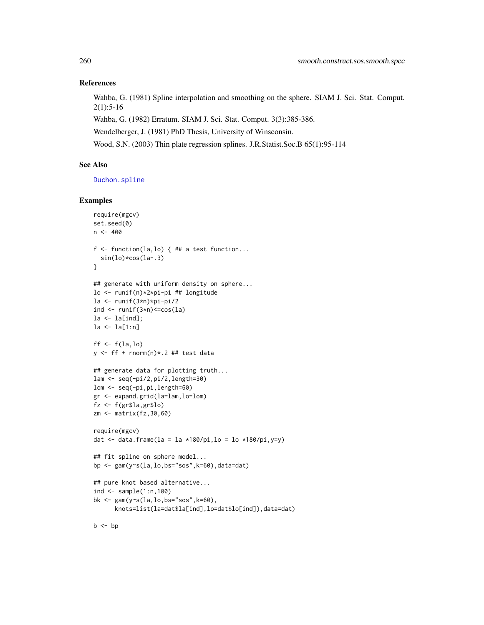## References

Wahba, G. (1981) Spline interpolation and smoothing on the sphere. SIAM J. Sci. Stat. Comput. 2(1):5-16

Wahba, G. (1982) Erratum. SIAM J. Sci. Stat. Comput. 3(3):385-386.

Wendelberger, J. (1981) PhD Thesis, University of Winsconsin.

Wood, S.N. (2003) Thin plate regression splines. J.R.Statist.Soc.B 65(1):95-114

# See Also

[Duchon.spline](#page-235-0)

## Examples

```
require(mgcv)
set.seed(0)
n < -400f \leq function(la,lo) { ## a test function...
  sin(lo)*cos(la-.3)
}
## generate with uniform density on sphere...
lo <- runif(n)*2*pi-pi ## longitude
la <- runif(3*n)*pi-pi/2
ind \le runif(3*n)\lecos(la)
1a \leftarrow la[ind];la <- la[1:n]
ff <- f(la,lo)
y \leftarrow ff + rnorm(n) * .2 # # test data## generate data for plotting truth...
lam <- seq(-pi/2,pi/2,length=30)
lom <- seq(-pi,pi,length=60)
gr <- expand.grid(la=lam,lo=lom)
fz <- f(gr$la,gr$lo)
zm <- matrix(fz,30,60)
require(mgcv)
dat \le data.frame(la = la *180/pi,lo = lo *180/pi,y=y)
## fit spline on sphere model...
bp <- gam(y~s(la,lo,bs="sos",k=60),data=dat)
## pure knot based alternative...
ind \leq sample(1:n,100)bk <- gam(y~s(la,lo,bs="sos",k=60),
      knots=list(la=dat$la[ind],lo=dat$lo[ind]),data=dat)
```
 $b \leq -bp$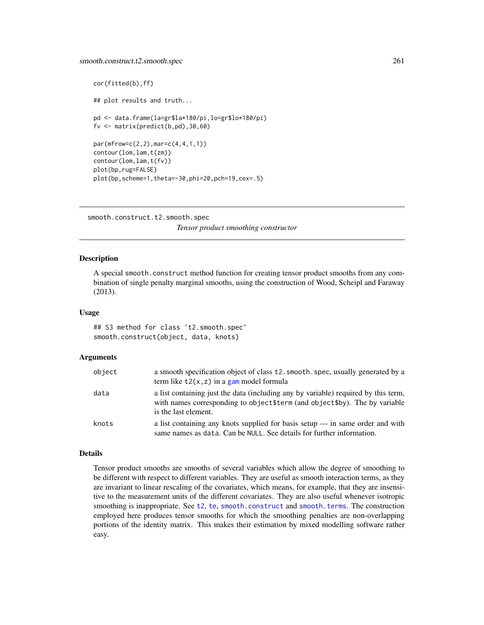```
cor(fitted(b),ff)
## plot results and truth...
pd <- data.frame(la=gr$la*180/pi,lo=gr$lo*180/pi)
fv <- matrix(predict(b,pd),30,60)
par(mfrow=c(2,2),mar=c(4,4,1,1))
contour(lom,lam,t(zm))
contour(lom,lam,t(fv))
plot(bp,rug=FALSE)
plot(bp,scheme=1,theta=-30,phi=20,pch=19,cex=.5)
```
smooth.construct.t2.smooth.spec *Tensor product smoothing constructor*

## Description

A special smooth.construct method function for creating tensor product smooths from any combination of single penalty marginal smooths, using the construction of Wood, Scheipl and Faraway (2013).

## Usage

## S3 method for class 't2.smooth.spec' smooth.construct(object, data, knots)

#### Arguments

| object | a smooth specification object of class t2. smooth. spec, usually generated by a<br>term like $t2(x, z)$ in a gam model formula                                                             |
|--------|--------------------------------------------------------------------------------------------------------------------------------------------------------------------------------------------|
| data   | a list containing just the data (including any by variable) required by this term,<br>with names corresponding to object \$term (and object \$by). The by variable<br>is the last element. |
| knots  | a list containing any knots supplied for basis setup $\frac{1}{2}$ in same order and with<br>same names as data. Can be NULL. See details for further information.                         |

#### Details

Tensor product smooths are smooths of several variables which allow the degree of smoothing to be different with respect to different variables. They are useful as smooth interaction terms, as they are invariant to linear rescaling of the covariates, which means, for example, that they are insensitive to the measurement units of the different covariates. They are also useful whenever isotropic smoothing is inappropriate. See [t2](#page-282-0), [te](#page-287-0), [smooth.construct](#page-222-0) and [smooth.terms](#page-266-0). The construction employed here produces tensor smooths for which the smoothing penalties are non-overlapping portions of the identity matrix. This makes their estimation by mixed modelling software rather easy.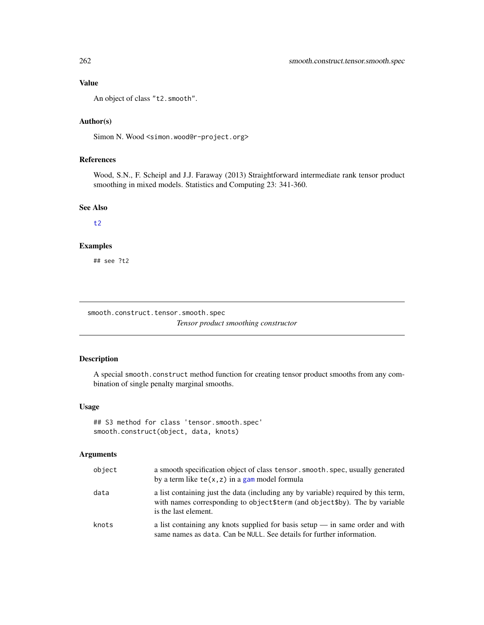# Value

An object of class "t2.smooth".

# Author(s)

Simon N. Wood <simon.wood@r-project.org>

# References

Wood, S.N., F. Scheipl and J.J. Faraway (2013) Straightforward intermediate rank tensor product smoothing in mixed models. Statistics and Computing 23: 341-360.

# See Also

[t2](#page-282-0)

## Examples

## see ?t2

smooth.construct.tensor.smooth.spec

*Tensor product smoothing constructor*

# Description

A special smooth.construct method function for creating tensor product smooths from any combination of single penalty marginal smooths.

#### Usage

```
## S3 method for class 'tensor.smooth.spec'
smooth.construct(object, data, knots)
```
# Arguments

| object | a smooth specification object of class tensor. smooth. spec, usually generated<br>by a term like $te(x, z)$ in a gam model formula                                                         |
|--------|--------------------------------------------------------------------------------------------------------------------------------------------------------------------------------------------|
| data   | a list containing just the data (including any by variable) required by this term,<br>with names corresponding to object \$term (and object \$by). The by variable<br>is the last element. |
| knots  | a list containing any knots supplied for basis setup $\frac{1}{2}$ in same order and with<br>same names as data. Can be NULL. See details for further information.                         |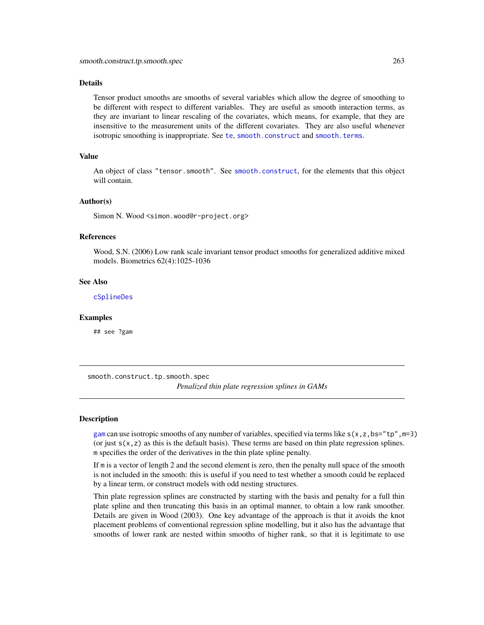#### Details

Tensor product smooths are smooths of several variables which allow the degree of smoothing to be different with respect to different variables. They are useful as smooth interaction terms, as they are invariant to linear rescaling of the covariates, which means, for example, that they are insensitive to the measurement units of the different covariates. They are also useful whenever isotropic smoothing is inappropriate. See [te](#page-287-0), [smooth.construct](#page-222-0) and [smooth.terms](#page-266-0).

## Value

An object of class "tensor.smooth". See [smooth.construct](#page-222-0), for the elements that this object will contain.

## Author(s)

Simon N. Wood <simon.wood@r-project.org>

#### References

Wood, S.N. (2006) Low rank scale invariant tensor product smooths for generalized additive mixed models. Biometrics 62(4):1025-1036

## See Also

[cSplineDes](#page-32-0)

#### Examples

## see ?gam

smooth.construct.tp.smooth.spec *Penalized thin plate regression splines in GAMs*

## <span id="page-262-0"></span>Description

[gam](#page-47-0) can use isotropic smooths of any number of variables, specified via terms like  $s(x, z, bs="tp", m=3)$ (or just  $s(x, z)$  as this is the default basis). These terms are based on thin plate regression splines. m specifies the order of the derivatives in the thin plate spline penalty.

If m is a vector of length 2 and the second element is zero, then the penalty null space of the smooth is not included in the smooth: this is useful if you need to test whether a smooth could be replaced by a linear term, or construct models with odd nesting structures.

Thin plate regression splines are constructed by starting with the basis and penalty for a full thin plate spline and then truncating this basis in an optimal manner, to obtain a low rank smoother. Details are given in Wood (2003). One key advantage of the approach is that it avoids the knot placement problems of conventional regression spline modelling, but it also has the advantage that smooths of lower rank are nested within smooths of higher rank, so that it is legitimate to use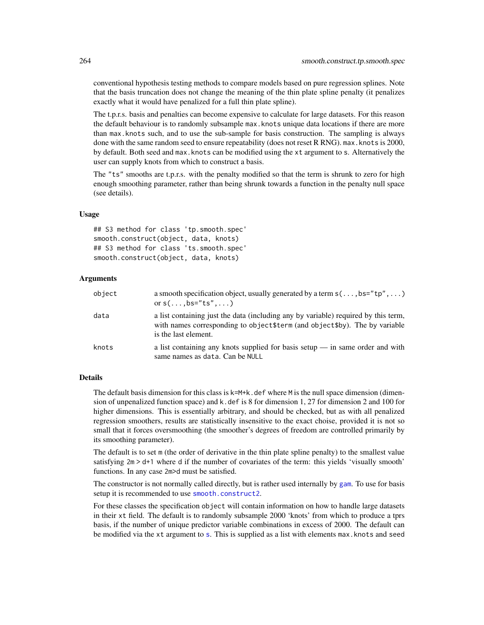conventional hypothesis testing methods to compare models based on pure regression splines. Note that the basis truncation does not change the meaning of the thin plate spline penalty (it penalizes exactly what it would have penalized for a full thin plate spline).

The t.p.r.s. basis and penalties can become expensive to calculate for large datasets. For this reason the default behaviour is to randomly subsample max.knots unique data locations if there are more than max.knots such, and to use the sub-sample for basis construction. The sampling is always done with the same random seed to ensure repeatability (does not reset R RNG). max.knots is 2000, by default. Both seed and max.knots can be modified using the xt argument to s. Alternatively the user can supply knots from which to construct a basis.

The "ts" smooths are t.p.r.s. with the penalty modified so that the term is shrunk to zero for high enough smoothing parameter, rather than being shrunk towards a function in the penalty null space (see details).

## Usage

## S3 method for class 'tp.smooth.spec' smooth.construct(object, data, knots) ## S3 method for class 'ts.smooth.spec' smooth.construct(object, data, knots)

#### Arguments

| object | a smooth specification object, usually generated by a term $s(\ldots,bs="tp", \ldots)$<br>or $s(\ldots,bs="ts",\ldots)$                                                                    |
|--------|--------------------------------------------------------------------------------------------------------------------------------------------------------------------------------------------|
| data   | a list containing just the data (including any by variable) required by this term,<br>with names corresponding to object \$term (and object \$by). The by variable<br>is the last element. |
| knots  | a list containing any knots supplied for basis setup $-$ in same order and with<br>same names as data. Can be NULL                                                                         |

# Details

The default basis dimension for this class is  $k=M+k$ . def where M is the null space dimension (dimension of unpenalized function space) and k.def is 8 for dimension 1, 27 for dimension 2 and 100 for higher dimensions. This is essentially arbitrary, and should be checked, but as with all penalized regression smoothers, results are statistically insensitive to the exact choise, provided it is not so small that it forces oversmoothing (the smoother's degrees of freedom are controlled primarily by its smoothing parameter).

The default is to set m (the order of derivative in the thin plate spline penalty) to the smallest value satisfying 2m > d+1 where d if the number of covariates of the term: this yields 'visually smooth' functions. In any case 2m>d must be satisfied.

The constructor is not normally called directly, but is rather used internally by [gam](#page-47-0). To use for basis setup it is recommended to use [smooth.construct2](#page-222-1).

For these classes the specification object will contain information on how to handle large datasets in their xt field. The default is to randomly subsample 2000 'knots' from which to produce a tprs basis, if the number of unique predictor variable combinations in excess of 2000. The default can be modified via the xt argument to [s](#page-208-0). This is supplied as a list with elements max.knots and seed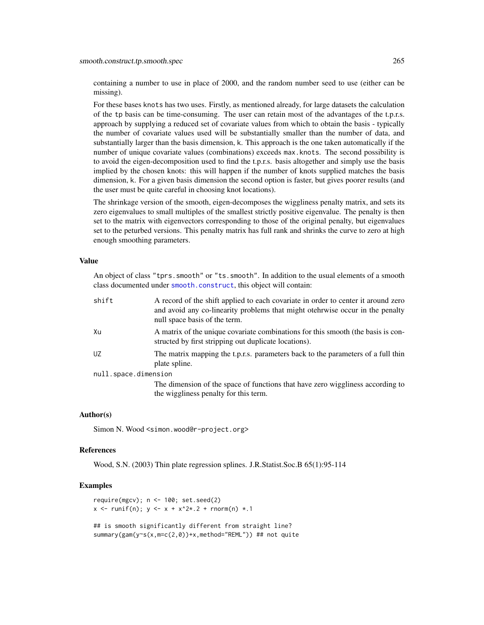containing a number to use in place of 2000, and the random number seed to use (either can be missing).

For these bases knots has two uses. Firstly, as mentioned already, for large datasets the calculation of the tp basis can be time-consuming. The user can retain most of the advantages of the t.p.r.s. approach by supplying a reduced set of covariate values from which to obtain the basis - typically the number of covariate values used will be substantially smaller than the number of data, and substantially larger than the basis dimension, k. This approach is the one taken automatically if the number of unique covariate values (combinations) exceeds max.knots. The second possibility is to avoid the eigen-decomposition used to find the t.p.r.s. basis altogether and simply use the basis implied by the chosen knots: this will happen if the number of knots supplied matches the basis dimension, k. For a given basis dimension the second option is faster, but gives poorer results (and the user must be quite careful in choosing knot locations).

The shrinkage version of the smooth, eigen-decomposes the wiggliness penalty matrix, and sets its zero eigenvalues to small multiples of the smallest strictly positive eigenvalue. The penalty is then set to the matrix with eigenvectors corresponding to those of the original penalty, but eigenvalues set to the peturbed versions. This penalty matrix has full rank and shrinks the curve to zero at high enough smoothing parameters.

# Value

An object of class "tprs.smooth" or "ts.smooth". In addition to the usual elements of a smooth class documented under [smooth.construct](#page-222-0), this object will contain:

| shift                | A record of the shift applied to each covariate in order to center it around zero<br>and avoid any co-linearity problems that might otehrwise occur in the penalty<br>null space basis of the term. |
|----------------------|-----------------------------------------------------------------------------------------------------------------------------------------------------------------------------------------------------|
| Xu                   | A matrix of the unique covariate combinations for this smooth (the basis is con-<br>structed by first stripping out duplicate locations).                                                           |
| UZ                   | The matrix mapping the t.p.r.s. parameters back to the parameters of a full thin<br>plate spline.                                                                                                   |
| null.space.dimension |                                                                                                                                                                                                     |
|                      | The dimension of the space of functions that have zero wiggliness according to                                                                                                                      |
|                      | the wiggliness penalty for this term.                                                                                                                                                               |

#### Author(s)

Simon N. Wood <simon.wood@r-project.org>

#### References

Wood, S.N. (2003) Thin plate regression splines. J.R.Statist.Soc.B 65(1):95-114

# Examples

```
require(mgcv); n <- 100; set.seed(2)
x \le - runif(n); y \le -x + x^2 + 2 + rnorm(n) *1## is smooth significantly different from straight line?
summary(gam(y~s(x,m=c(2,0))+x,method="REML")) ## not quite
```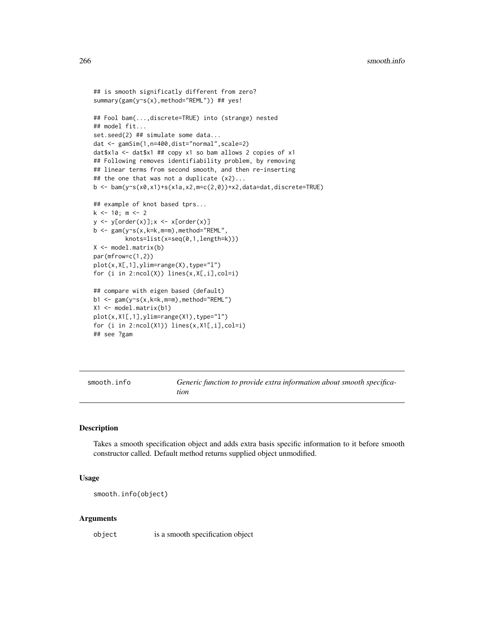```
## is smooth significatly different from zero?
summary(gam(y~s(x),method="REML")) ## yes!
## Fool bam(...,discrete=TRUE) into (strange) nested
## model fit...
set.seed(2) ## simulate some data...
dat <- gamSim(1,n=400,dist="normal",scale=2)
dat$x1a <- dat$x1 ## copy x1 so bam allows 2 copies of x1
## Following removes identifiability problem, by removing
## linear terms from second smooth, and then re-inserting
## the one that was not a duplicate (x2)...
b \le bam(y~s(x0,x1)+s(x1a,x2,m=c(2,0))+x2,data=dat,discrete=TRUE)
## example of knot based tprs...
k <- 10; m <- 2
y \leftarrow y[order(x)]; x \leftarrow x[order(x)]b \leq gam(y~s(x,k=k,m=m),method="REML",
         knots=list(x=seq(0,1,length=k)))
X <- model.matrix(b)
par(mfrow=c(1,2))
plot(x,X[,1],ylim=range(X),type="l")
for (i in 2:ncol(X)) lines(x,X[,i],col=i)
## compare with eigen based (default)
b1 \leq -\text{gam}(y\text{~s}(x,k=k,m=m),\text{method="REML")}X1 <- model.matrix(b1)
plot(x,X1[,1],ylim=range(X1),type="l")
for (i in 2:ncol(X1)) lines(x,X1[,i],col=i)
## see ?gam
```
smooth.info *Generic function to provide extra information about smooth specification*

## Description

Takes a smooth specification object and adds extra basis specific information to it before smooth constructor called. Default method returns supplied object unmodified.

## Usage

smooth.info(object)

#### Arguments

object is a smooth specification object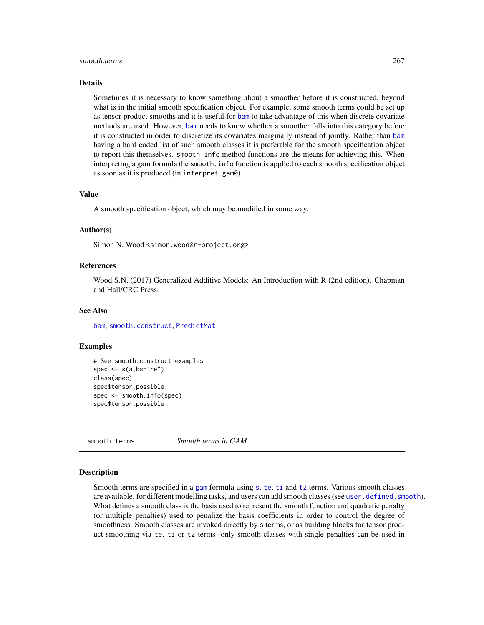#### smooth.terms 267

#### Details

Sometimes it is necessary to know something about a smoother before it is constructed, beyond what is in the initial smooth specification object. For example, some smooth terms could be set up as tensor product smooths and it is useful for [bam](#page-6-0) to take advantage of this when discrete covariate methods are used. However, [bam](#page-6-0) needs to know whether a smoother falls into this category before it is constructed in order to discretize its covariates marginally instead of jointly. Rather than [bam](#page-6-0) having a hard coded list of such smooth classes it is preferable for the smooth specification object to report this themselves. smooth.info method functions are the means for achieving this. When interpreting a gam formula the smooth.info function is applied to each smooth specification object as soon as it is produced (in interpret.gam0).

#### Value

A smooth specification object, which may be modified in some way.

## Author(s)

Simon N. Wood <simon.wood@r-project.org>

## References

Wood S.N. (2017) Generalized Additive Models: An Introduction with R (2nd edition). Chapman and Hall/CRC Press.

## See Also

[bam](#page-6-0), [smooth.construct](#page-222-0), [PredictMat](#page-272-0)

#### Examples

```
# See smooth.construct examples
spec \leq s(a,bs="re")
class(spec)
spec$tensor.possible
spec <- smooth.info(spec)
spec$tensor.possible
```
<span id="page-266-0"></span>smooth.terms *Smooth terms in GAM*

#### Description

Smooth terms are specified in a [gam](#page-47-0) formula using [s](#page-208-0), [te](#page-287-0), [ti](#page-287-1) and [t2](#page-282-0) terms. Various smooth classes are available, for different modelling tasks, and users can add smooth classes (see [user.defined.smooth](#page-222-1)). What defines a smooth class is the basis used to represent the smooth function and quadratic penalty (or multiple penalties) used to penalize the basis coefficients in order to control the degree of smoothness. Smooth classes are invoked directly by s terms, or as building blocks for tensor product smoothing via te, ti or t2 terms (only smooth classes with single penalties can be used in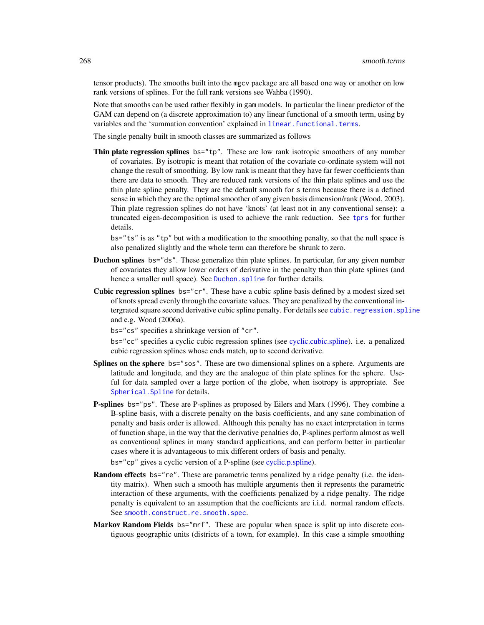tensor products). The smooths built into the mgcv package are all based one way or another on low rank versions of splines. For the full rank versions see Wahba (1990).

Note that smooths can be used rather flexibly in gam models. In particular the linear predictor of the GAM can depend on (a discrete approximation to) any linear functional of a smooth term, using by variables and the 'summation convention' explained in [linear.functional.terms](#page-128-0).

The single penalty built in smooth classes are summarized as follows

Thin plate regression splines bs="tp". These are low rank isotropic smoothers of any number of covariates. By isotropic is meant that rotation of the covariate co-ordinate system will not change the result of smoothing. By low rank is meant that they have far fewer coefficients than there are data to smooth. They are reduced rank versions of the thin plate splines and use the thin plate spline penalty. They are the default smooth for s terms because there is a defined sense in which they are the optimal smoother of any given basis dimension/rank (Wood, 2003). Thin plate regression splines do not have 'knots' (at least not in any conventional sense): a truncated eigen-decomposition is used to achieve the rank reduction. See [tprs](#page-262-0) for further details.

bs="ts" is as "tp" but with a modification to the smoothing penalty, so that the null space is also penalized slightly and the whole term can therefore be shrunk to zero.

- Duchon splines bs="ds". These generalize thin plate splines. In particular, for any given number of covariates they allow lower orders of derivative in the penalty than thin plate splines (and hence a smaller null space). See Duchon. spline for further details.
- Cubic regression splines bs="cr". These have a cubic spline basis defined by a modest sized set of knots spread evenly through the covariate values. They are penalized by the conventional intergrated square second derivative cubic spline penalty. For details see [cubic.regression.spline](#page-233-0) and e.g. Wood (2006a).

bs="cs" specifies a shrinkage version of "cr".

bs="cc" specifies a cyclic cubic regression splines (see [cyclic.cubic.spline\)](#page-233-0). i.e. a penalized cubic regression splines whose ends match, up to second derivative.

- Splines on the sphere bs="sos". These are two dimensional splines on a sphere. Arguments are latitude and longitude, and they are the analogue of thin plate splines for the sphere. Useful for data sampled over a large portion of the globe, when isotropy is appropriate. See Spherical. Spline for details.
- P-splines bs="ps". These are P-splines as proposed by Eilers and Marx (1996). They combine a B-spline basis, with a discrete penalty on the basis coefficients, and any sane combination of penalty and basis order is allowed. Although this penalty has no exact interpretation in terms of function shape, in the way that the derivative penalties do, P-splines perform almost as well as conventional splines in many standard applications, and can perform better in particular cases where it is advantageous to mix different orders of basis and penalty.

bs="cp" gives a cyclic version of a P-spline (see [cyclic.p.spline\)](#page-245-0).

- **Random effects** bs="re". These are parametric terms penalized by a ridge penalty (i.e. the identity matrix). When such a smooth has multiple arguments then it represents the parametric interaction of these arguments, with the coefficients penalized by a ridge penalty. The ridge penalty is equivalent to an assumption that the coefficients are i.i.d. normal random effects. See [smooth.construct.re.smooth.spec](#page-248-0).
- Markov Random Fields bs="mrf". These are popular when space is split up into discrete contiguous geographic units (districts of a town, for example). In this case a simple smoothing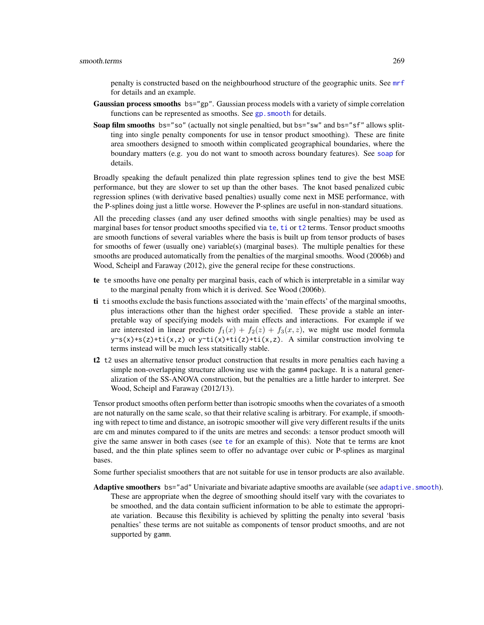penalty is constructed based on the neighbourhood structure of the geographic units. See [mrf](#page-243-0) for details and an example.

- Gaussian process smooths bs="gp". Gaussian process models with a variety of simple correlation functions can be represented as smooths. See gp. smooth for details.
- Soap film smooths bs="so" (actually not single penaltied, but bs="sw" and bs="sf" allows splitting into single penalty components for use in tensor product smoothing). These are finite area smoothers designed to smooth within complicated geographical boundaries, where the boundary matters (e.g. you do not want to smooth across boundary features). See [soap](#page-251-0) for details.

Broadly speaking the default penalized thin plate regression splines tend to give the best MSE performance, but they are slower to set up than the other bases. The knot based penalized cubic regression splines (with derivative based penalties) usually come next in MSE performance, with the P-splines doing just a little worse. However the P-splines are useful in non-standard situations.

All the preceding classes (and any user defined smooths with single penalties) may be used as marginal bases for tensor product smooths specified via [te](#page-287-0), [ti](#page-287-1) or [t2](#page-282-0) terms. Tensor product smooths are smooth functions of several variables where the basis is built up from tensor products of bases for smooths of fewer (usually one) variable(s) (marginal bases). The multiple penalties for these smooths are produced automatically from the penalties of the marginal smooths. Wood (2006b) and Wood, Scheipl and Faraway (2012), give the general recipe for these constructions.

- te te smooths have one penalty per marginal basis, each of which is interpretable in a similar way to the marginal penalty from which it is derived. See Wood (2006b).
- ti ti smooths exclude the basis functions associated with the 'main effects' of the marginal smooths, plus interactions other than the highest order specified. These provide a stable an interpretable way of specifying models with main effects and interactions. For example if we are interested in linear predicto  $f_1(x) + f_2(z) + f_3(x, z)$ , we might use model formula  $y \sim s(x) + s(z) + t i(x, z)$  or  $y \sim t i(x) + t i(z) + t i(x, z)$ . A similar construction involving te terms instead will be much less statsitically stable.
- t2 t2 uses an alternative tensor product construction that results in more penalties each having a simple non-overlapping structure allowing use with the gamm4 package. It is a natural generalization of the SS-ANOVA construction, but the penalties are a little harder to interpret. See Wood, Scheipl and Faraway (2012/13).

Tensor product smooths often perform better than isotropic smooths when the covariates of a smooth are not naturally on the same scale, so that their relative scaling is arbitrary. For example, if smoothing with repect to time and distance, an isotropic smoother will give very different results if the units are cm and minutes compared to if the units are metres and seconds: a tensor product smooth will give the same answer in both cases (see [te](#page-287-0) for an example of this). Note that te terms are knot based, and the thin plate splines seem to offer no advantage over cubic or P-splines as marginal bases.

Some further specialist smoothers that are not suitable for use in tensor products are also available.

Adaptive smoothers bs="ad" Univariate and bivariate adaptive smooths are available (see adaptive. smooth). These are appropriate when the degree of smoothing should itself vary with the covariates to be smoothed, and the data contain sufficient information to be able to estimate the appropriate variation. Because this flexibility is achieved by splitting the penalty into several 'basis penalties' these terms are not suitable as components of tensor product smooths, and are not supported by gamm.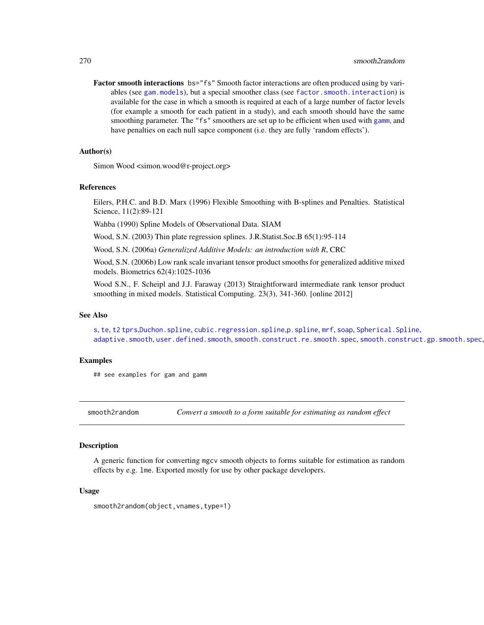Factor smooth interactions bs="fs" Smooth factor interactions are often produced using by variables (see [gam.models](#page-71-0)), but a special smoother class (see [factor.smooth.interaction](#page-238-0)) is available for the case in which a smooth is required at each of a large number of factor levels (for example a smooth for each patient in a study), and each smooth should have the same smoothing parameter. The "fs" smoothers are set up to be efficient when used with [gamm](#page-91-0), and have penalties on each null sapce component (i.e. they are fully 'random effects').

## Author(s)

Simon Wood <simon.wood@r-project.org>

#### References

Eilers, P.H.C. and B.D. Marx (1996) Flexible Smoothing with B-splines and Penalties. Statistical Science, 11(2):89-121

Wahba (1990) Spline Models of Observational Data. SIAM

Wood, S.N. (2003) Thin plate regression splines. J.R.Statist.Soc.B 65(1):95-114

Wood, S.N. (2006a) *Generalized Additive Models: an introduction with R*, CRC

Wood, S.N. (2006b) Low rank scale invariant tensor product smooths for generalized additive mixed models. Biometrics 62(4):1025-1036

Wood S.N., F. Scheipl and J.J. Faraway (2013) Straightforward intermediate rank tensor product smoothing in mixed models. Statistical Computing. 23(3), 341-360. [online 2012]

#### See Also

[s](#page-208-0), [te](#page-287-0), [t2](#page-282-0) [tprs](#page-262-0),[Duchon.spline](#page-235-0), [cubic.regression.spline](#page-233-0),[p.spline](#page-245-0), [mrf](#page-243-0), [soap](#page-251-0), [Spherical.Spline](#page-257-0), [adaptive.smooth](#page-227-0), [user.defined.smooth](#page-222-1), [smooth.construct.re.smooth.spec](#page-248-0),[smooth.construct.gp.smooth.spec](#page-240-1),

## Examples

## see examples for gam and gamm

smooth2random *Convert a smooth to a form suitable for estimating as random effect*

#### Description

A generic function for converting mgcv smooth objects to forms suitable for estimation as random effects by e.g. lme. Exported mostly for use by other package developers.

#### Usage

```
smooth2random(object, vnames, type=1)
```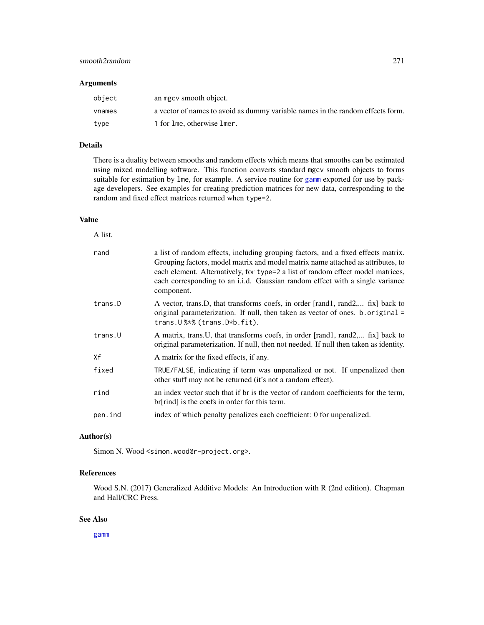# smooth2random 271

## Arguments

| object | an mgcy smooth object.                                                         |
|--------|--------------------------------------------------------------------------------|
| vnames | a vector of names to avoid as dummy variable names in the random effects form. |
| type   | 1 for 1 me, otherwise 1 mer.                                                   |

## Details

There is a duality between smooths and random effects which means that smooths can be estimated using mixed modelling software. This function converts standard mgcv smooth objects to forms suitable for estimation by lme, for example. A service routine for [gamm](#page-91-0) exported for use by package developers. See examples for creating prediction matrices for new data, corresponding to the random and fixed effect matrices returned when type=2.

# Value

A list.

| rand    | a list of random effects, including grouping factors, and a fixed effects matrix.<br>Grouping factors, model matrix and model matrix name attached as attributes, to<br>each element. Alternatively, for type=2 a list of random effect model matrices,<br>each corresponding to an i.i.d. Gaussian random effect with a single variance<br>component. |
|---------|--------------------------------------------------------------------------------------------------------------------------------------------------------------------------------------------------------------------------------------------------------------------------------------------------------------------------------------------------------|
| trans.D | A vector, trans. D, that transforms coefs, in order [rand1, rand2, fix] back to<br>original parameterization. If null, then taken as vector of ones. b.original =<br>trans. U %*% (trans. D*b. fit).                                                                                                                                                   |
| trans.U | A matrix, trans. U, that transforms coefs, in order [rand1, rand2, fix] back to<br>original parameterization. If null, then not needed. If null then taken as identity.                                                                                                                                                                                |
| Χf      | A matrix for the fixed effects, if any.                                                                                                                                                                                                                                                                                                                |
| fixed   | TRUE/FALSE, indicating if term was unpenalized or not. If unpenalized then<br>other stuff may not be returned (it's not a random effect).                                                                                                                                                                                                              |
| rind    | an index vector such that if br is the vector of random coefficients for the term,<br>$\rm{br}  \rm{rind} $ is the coefs in order for this term.                                                                                                                                                                                                       |
| pen.ind | index of which penalty penalizes each coefficient: 0 for unpenalized.                                                                                                                                                                                                                                                                                  |

# Author(s)

Simon N. Wood <simon.wood@r-project.org>.

# References

Wood S.N. (2017) Generalized Additive Models: An Introduction with R (2nd edition). Chapman and Hall/CRC Press.

# See Also

[gamm](#page-91-0)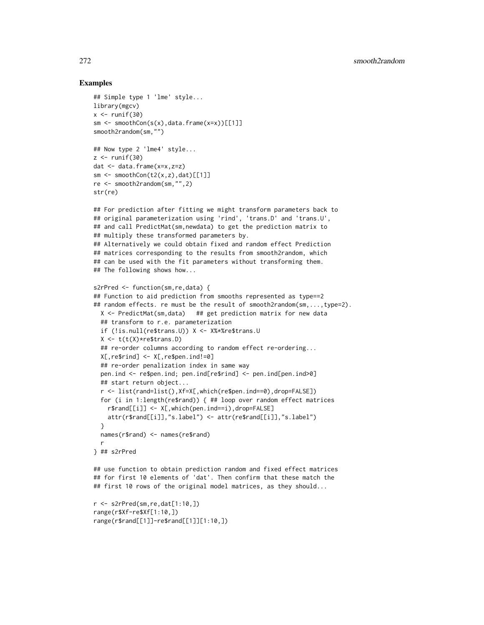# Examples

```
## Simple type 1 'lme' style...
library(mgcv)
x \leftarrow runif(30)sm \leftarrow smoothCon(s(x),data-frame(x=x))[[1]]smooth2random(sm,"")
## Now type 2 'lme4' style...
z \le- runif(30)
dat <- data.frame(x=x,z=z)
sm \leftarrow smoothCon(t2(x,z),dat)[[1]]re <- smooth2random(sm,"",2)
str(re)
## For prediction after fitting we might transform parameters back to
## original parameterization using 'rind', 'trans.D' and 'trans.U',
## and call PredictMat(sm,newdata) to get the prediction matrix to
## multiply these transformed parameters by.
## Alternatively we could obtain fixed and random effect Prediction
## matrices corresponding to the results from smooth2random, which
## can be used with the fit parameters without transforming them.
## The following shows how...
s2rPred <- function(sm,re,data) {
## Function to aid prediction from smooths represented as type==2
## random effects. re must be the result of smooth2random(sm,...,type=2).
  X <- PredictMat(sm,data) ## get prediction matrix for new data
  ## transform to r.e. parameterization
  if (!is.null(re$trans.U)) X <- X%*%re$trans.U
  X <- t(t(X)*re$trans.D)
  ## re-order columns according to random effect re-ordering...
  X[,re$rind] <- X[,re$pen.ind!=0]
  ## re-order penalization index in same way
  pen.ind <- re$pen.ind; pen.ind[re$rind] <- pen.ind[pen.ind>0]
  ## start return object...
  r <- list(rand=list(),Xf=X[,which(re$pen.ind==0),drop=FALSE])
  for (i in 1:length(re$rand)) { ## loop over random effect matrices
    r$rand[[i]] <- X[,which(pen.ind==i),drop=FALSE]
   attr(r$rand[[i]],"s.label") <- attr(re$rand[[i]],"s.label")
  }
  names(r$rand) <- names(re$rand)
  r
} ## s2rPred
## use function to obtain prediction random and fixed effect matrices
## for first 10 elements of 'dat'. Then confirm that these match the
## first 10 rows of the original model matrices, as they should...
```

```
r <- s2rPred(sm,re,dat[1:10,])
range(r$Xf-re$Xf[1:10,])
range(r$rand[[1]]-re$rand[[1]][1:10,])
```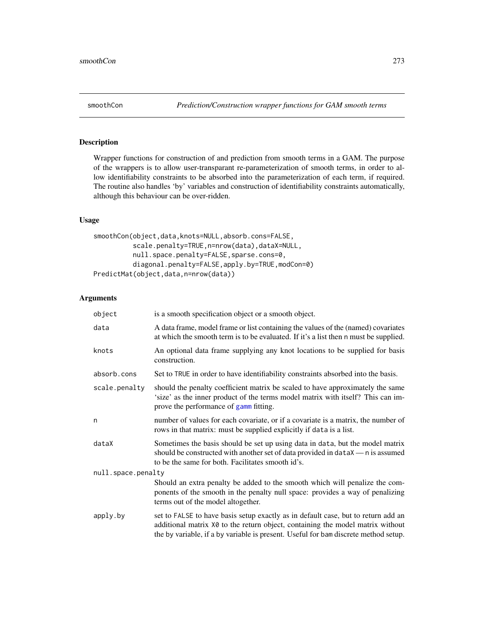# <span id="page-272-0"></span>Description

Wrapper functions for construction of and prediction from smooth terms in a GAM. The purpose of the wrappers is to allow user-transparant re-parameterization of smooth terms, in order to allow identifiability constraints to be absorbed into the parameterization of each term, if required. The routine also handles 'by' variables and construction of identifiability constraints automatically, although this behaviour can be over-ridden.

## Usage

```
smoothCon(object,data,knots=NULL,absorb.cons=FALSE,
          scale.penalty=TRUE,n=nrow(data),dataX=NULL,
         null.space.penalty=FALSE,sparse.cons=0,
          diagonal.penalty=FALSE,apply.by=TRUE,modCon=0)
PredictMat(object,data,n=nrow(data))
```
## Arguments

| object             | is a smooth specification object or a smooth object.                                                                                                                                                                                                       |  |
|--------------------|------------------------------------------------------------------------------------------------------------------------------------------------------------------------------------------------------------------------------------------------------------|--|
| data               | A data frame, model frame or list containing the values of the (named) covariates<br>at which the smooth term is to be evaluated. If it's a list then n must be supplied.                                                                                  |  |
| knots              | An optional data frame supplying any knot locations to be supplied for basis<br>construction.                                                                                                                                                              |  |
| absorb.cons        | Set to TRUE in order to have identifiability constraints absorbed into the basis.                                                                                                                                                                          |  |
| scale.penalty      | should the penalty coefficient matrix be scaled to have approximately the same<br>'size' as the inner product of the terms model matrix with itself? This can im-<br>prove the performance of gamm fitting.                                                |  |
| n                  | number of values for each covariate, or if a covariate is a matrix, the number of<br>rows in that matrix: must be supplied explicitly if data is a list.                                                                                                   |  |
| dataX              | Sometimes the basis should be set up using data in data, but the model matrix<br>should be constructed with another set of data provided in dataX — n is assumed<br>to be the same for both. Facilitates smooth id's.                                      |  |
| null.space.penalty |                                                                                                                                                                                                                                                            |  |
|                    | Should an extra penalty be added to the smooth which will penalize the com-<br>ponents of the smooth in the penalty null space: provides a way of penalizing<br>terms out of the model altogether.                                                         |  |
| apply.by           | set to FALSE to have basis setup exactly as in default case, but to return add an<br>additional matrix X0 to the return object, containing the model matrix without<br>the by variable, if a by variable is present. Useful for bam discrete method setup. |  |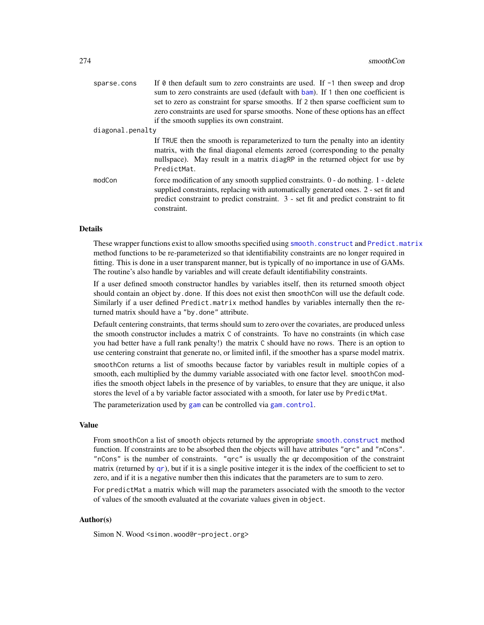| sparse.cons      | If $\theta$ then default sum to zero constraints are used. If $\neg$ then sweep and drop                                                                                                                                                                                      |
|------------------|-------------------------------------------------------------------------------------------------------------------------------------------------------------------------------------------------------------------------------------------------------------------------------|
|                  | sum to zero constraints are used (default with bam). If 1 then one coefficient is                                                                                                                                                                                             |
|                  | set to zero as constraint for sparse smooths. If 2 then sparse coefficient sum to                                                                                                                                                                                             |
|                  | zero constraints are used for sparse smooths. None of these options has an effect                                                                                                                                                                                             |
|                  | if the smooth supplies its own constraint.                                                                                                                                                                                                                                    |
| diagonal.penalty |                                                                                                                                                                                                                                                                               |
|                  | If TRUE then the smooth is reparameterized to turn the penalty into an identity<br>matrix, with the final diagonal elements zeroed (corresponding to the penalty<br>nullspace). May result in a matrix diagraphe in the returned object for use by<br>PredictMat.             |
| modCon           | force modification of any smooth supplied constraints. 0 - do nothing. 1 - delete<br>supplied constraints, replacing with automatically generated ones. 2 - set fit and<br>predict constraint to predict constraint. 3 - set fit and predict constraint to fit<br>constraint. |
|                  |                                                                                                                                                                                                                                                                               |

# Details

These wrapper functions exist to allow smooths specified using [smooth.construct](#page-222-0) and [Predict.matrix](#page-190-0) method functions to be re-parameterized so that identifiability constraints are no longer required in fitting. This is done in a user transparent manner, but is typically of no importance in use of GAMs. The routine's also handle by variables and will create default identifiability constraints.

If a user defined smooth constructor handles by variables itself, then its returned smooth object should contain an object by.done. If this does not exist then smoothCon will use the default code. Similarly if a user defined Predict.matrix method handles by variables internally then the returned matrix should have a "by.done" attribute.

Default centering constraints, that terms should sum to zero over the covariates, are produced unless the smooth constructor includes a matrix C of constraints. To have no constraints (in which case you had better have a full rank penalty!) the matrix C should have no rows. There is an option to use centering constraint that generate no, or limited infil, if the smoother has a sparse model matrix.

smoothCon returns a list of smooths because factor by variables result in multiple copies of a smooth, each multiplied by the dummy variable associated with one factor level. smoothCon modifies the smooth object labels in the presence of by variables, to ensure that they are unique, it also stores the level of a by variable factor associated with a smooth, for later use by PredictMat.

The parameterization used by [gam](#page-47-0) can be controlled via [gam.control](#page-59-0).

# Value

From smoothCon a list of smooth objects returned by the appropriate [smooth.construct](#page-222-0) method function. If constraints are to be absorbed then the objects will have attributes "qrc" and "nCons". "nCons" is the number of constraints. "qrc" is usually the qr decomposition of the constraint matrix (returned by [qr](#page-0-0)), but if it is a single positive integer it is the index of the coefficient to set to zero, and if it is a negative number then this indicates that the parameters are to sum to zero.

For predictMat a matrix which will map the parameters associated with the smooth to the vector of values of the smooth evaluated at the covariate values given in object.

# Author(s)

Simon N. Wood <simon.wood@r-project.org>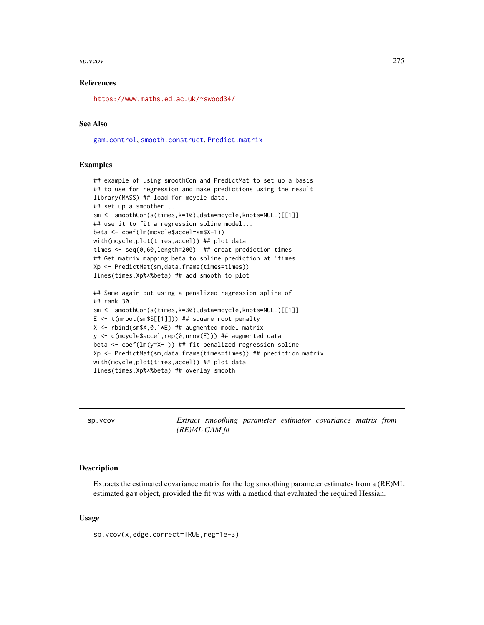#### sp.vcov 275

# References

<https://www.maths.ed.ac.uk/~swood34/>

# See Also

[gam.control](#page-59-0), [smooth.construct](#page-222-0), [Predict.matrix](#page-190-0)

# Examples

```
## example of using smoothCon and PredictMat to set up a basis
## to use for regression and make predictions using the result
library(MASS) ## load for mcycle data.
## set up a smoother...
sm <- smoothCon(s(times,k=10),data=mcycle,knots=NULL)[[1]]
## use it to fit a regression spline model...
beta <- coef(lm(mcycle$accel~sm$X-1))
with(mcycle,plot(times,accel)) ## plot data
times <- seq(0,60,length=200) ## creat prediction times
## Get matrix mapping beta to spline prediction at 'times'
Xp <- PredictMat(sm,data.frame(times=times))
lines(times,Xp%*%beta) ## add smooth to plot
## Same again but using a penalized regression spline of
## rank 30....
sm <- smoothCon(s(times,k=30),data=mcycle,knots=NULL)[[1]]
E \leq t(mroot(sm$S[[1]])) ## square root penalty
X \le - rbind(sm$X,0.1*E) ## augmented model matrix
y <- c(mcycle$accel,rep(0,nrow(E))) ## augmented data
beta <- coef(lm(y~X-1)) ## fit penalized regression spline
Xp <- PredictMat(sm,data.frame(times=times)) ## prediction matrix
with(mcycle,plot(times,accel)) ## plot data
lines(times,Xp%*%beta) ## overlay smooth
```
<span id="page-274-0"></span>

| SD. VCOV |                  |  | Extract smoothing parameter estimator covariance matrix from |  |
|----------|------------------|--|--------------------------------------------------------------|--|
|          | $(RE)ML GAM$ fit |  |                                                              |  |

# Description

Extracts the estimated covariance matrix for the log smoothing parameter estimates from a (RE)ML estimated gam object, provided the fit was with a method that evaluated the required Hessian.

#### Usage

sp.vcov(x,edge.correct=TRUE,reg=1e-3)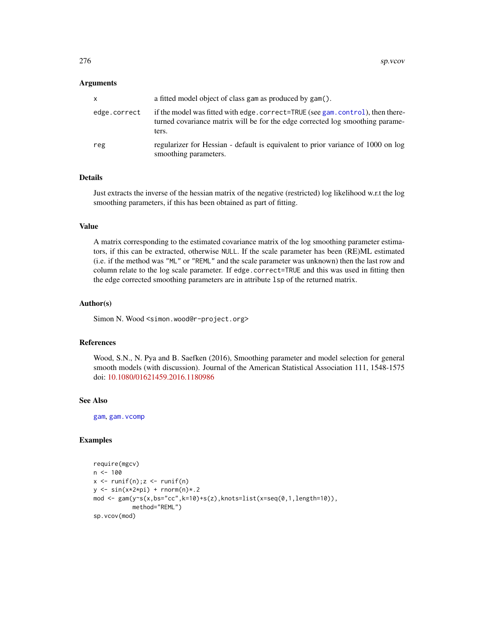## Arguments

| X            | a fitted model object of class gam as produced by gam().                                                                                                                |
|--------------|-------------------------------------------------------------------------------------------------------------------------------------------------------------------------|
| edge.correct | if the model was fitted with edge.correct=TRUE (see gam.control), then there-<br>turned covariance matrix will be for the edge corrected log smoothing parame-<br>ters. |
| reg          | regularizer for Hessian - default is equivalent to prior variance of 1000 on log<br>smoothing parameters.                                                               |

# Details

Just extracts the inverse of the hessian matrix of the negative (restricted) log likelihood w.r.t the log smoothing parameters, if this has been obtained as part of fitting.

## Value

A matrix corresponding to the estimated covariance matrix of the log smoothing parameter estimators, if this can be extracted, otherwise NULL. If the scale parameter has been (RE)ML estimated (i.e. if the method was "ML" or "REML" and the scale parameter was unknown) then the last row and column relate to the log scale parameter. If edge.correct=TRUE and this was used in fitting then the edge corrected smoothing parameters are in attribute lsp of the returned matrix.

#### Author(s)

Simon N. Wood <simon.wood@r-project.org>

# References

Wood, S.N., N. Pya and B. Saefken (2016), Smoothing parameter and model selection for general smooth models (with discussion). Journal of the American Statistical Association 111, 1548-1575 doi: [10.1080/01621459.2016.1180986](https://doi.org/10.1080/01621459.2016.1180986)

## See Also

[gam](#page-47-0), [gam.vcomp](#page-85-0)

#### Examples

```
require(mgcv)
n < - 100x \leftarrow runif(n); z \leftarrow runif(n)y \leftarrow \sin(x \times 2 \times pi) + \text{rnorm}(n) \times .2mod <- gam(y~s(x,bs="cc",k=10)+s(z),knots=list(x=seq(0,1,length=10)),
              method="REML")
sp.vcov(mod)
```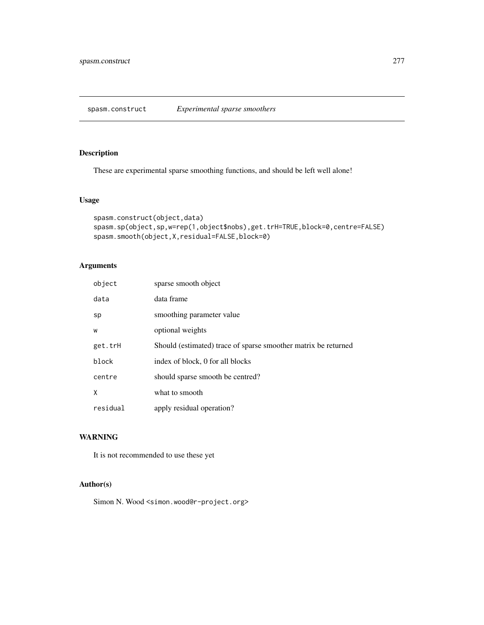# Description

These are experimental sparse smoothing functions, and should be left well alone!

# Usage

```
spasm.construct(object,data)
spasm.sp(object,sp,w=rep(1,object$nobs),get.trH=TRUE,block=0,centre=FALSE)
spasm.smooth(object,X,residual=FALSE,block=0)
```
# Arguments

| object   | sparse smooth object                                           |
|----------|----------------------------------------------------------------|
| data     | data frame                                                     |
| sp       | smoothing parameter value                                      |
| W        | optional weights                                               |
| get.trH  | Should (estimated) trace of sparse smoother matrix be returned |
| block    | index of block, 0 for all blocks                               |
| centre   | should sparse smooth be centred?                               |
| X        | what to smooth                                                 |
| residual | apply residual operation?                                      |

# WARNING

It is not recommended to use these yet

# Author(s)

Simon N. Wood <simon.wood@r-project.org>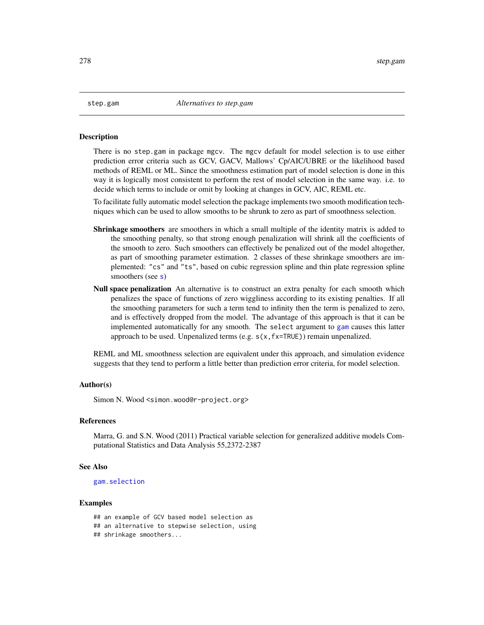#### Description

There is no step.gam in package mgcv. The mgcv default for model selection is to use either prediction error criteria such as GCV, GACV, Mallows' Cp/AIC/UBRE or the likelihood based methods of REML or ML. Since the smoothness estimation part of model selection is done in this way it is logically most consistent to perform the rest of model selection in the same way. i.e. to decide which terms to include or omit by looking at changes in GCV, AIC, REML etc.

To facilitate fully automatic model selection the package implements two smooth modification techniques which can be used to allow smooths to be shrunk to zero as part of smoothness selection.

- **Shrinkage smoothers** are smoothers in which a small multiple of the identity matrix is added to the smoothing penalty, so that strong enough penalization will shrink all the coefficients of the smooth to zero. Such smoothers can effectively be penalized out of the model altogether, as part of smoothing parameter estimation. 2 classes of these shrinkage smoothers are implemented: "cs" and "ts", based on cubic regression spline and thin plate regression spline [s](#page-208-0)moothers (see s)
- Null space penalization An alternative is to construct an extra penalty for each smooth which penalizes the space of functions of zero wiggliness according to its existing penalties. If all the smoothing parameters for such a term tend to infinity then the term is penalized to zero, and is effectively dropped from the model. The advantage of this approach is that it can be implemented automatically for any smooth. The select argument to [gam](#page-47-0) causes this latter approach to be used. Unpenalized terms (e.g.  $s(x, f(x=TRUE))$ ) remain unpenalized.

REML and ML smoothness selection are equivalent under this approach, and simulation evidence suggests that they tend to perform a little better than prediction error criteria, for model selection.

#### Author(s)

Simon N. Wood <simon.wood@r-project.org>

# References

Marra, G. and S.N. Wood (2011) Practical variable selection for generalized additive models Computational Statistics and Data Analysis 55,2372-2387

## See Also

# [gam.selection](#page-80-0)

## Examples

## an example of GCV based model selection as ## an alternative to stepwise selection, using ## shrinkage smoothers...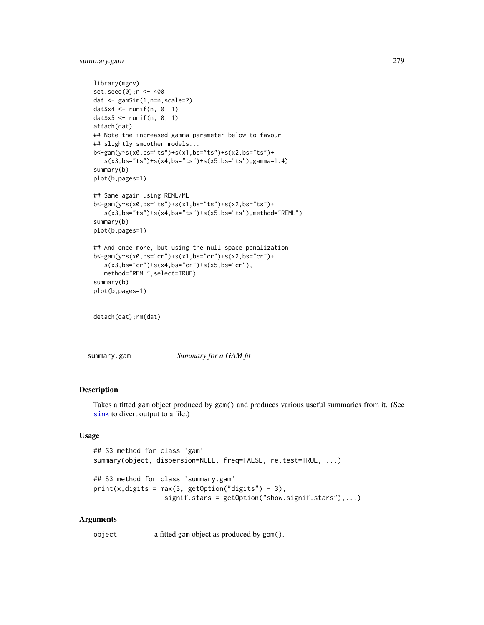# summary.gam 279

```
library(mgcv)
set.seed(0);n <- 400
dat <- gamSim(1,n=n,scale=2)
datx4 \le- runif(n, 0, 1)
datx5 \le- runif(n, 0, 1)
attach(dat)
## Note the increased gamma parameter below to favour
## slightly smoother models...
b<-gam(y~s(x0,bs="ts")+s(x1,bs="ts")+s(x2,bs="ts")+
   s(x3,bs="ts")+s(x4,bs="ts")+s(x5,bs="ts"),gamma=1.4)
summary(b)
plot(b,pages=1)
## Same again using REML/ML
b<-gam(y~s(x0,bs="ts")+s(x1,bs="ts")+s(x2,bs="ts")+
   s(x3,bs="ts")+s(x4,bs="ts")+s(x5,bs="ts"), method="REML")
summary(b)
plot(b,pages=1)
## And once more, but using the null space penalization
b<-gam(y~s(x0,bs="cr")+s(x1,bs="cr")+s(x2,bs="cr")+
   s(x3,bs="cr")+s(x4,bs="cr")+s(x5,bs="cr"),
   method="REML",select=TRUE)
summary(b)
plot(b,pages=1)
```
detach(dat);rm(dat)

summary.gam *Summary for a GAM fit*

# Description

Takes a fitted gam object produced by gam() and produces various useful summaries from it. (See [sink](#page-0-0) to divert output to a file.)

# Usage

```
## S3 method for class 'gam'
summary(object, dispersion=NULL, freq=FALSE, re.test=TRUE, ...)
## S3 method for class 'summary.gam'
print(x, digits = max(3, getOption("digits") - 3),signif.stars = getOption("show.signif.stars"),...)
```
#### Arguments

object a fitted gam object as produced by gam().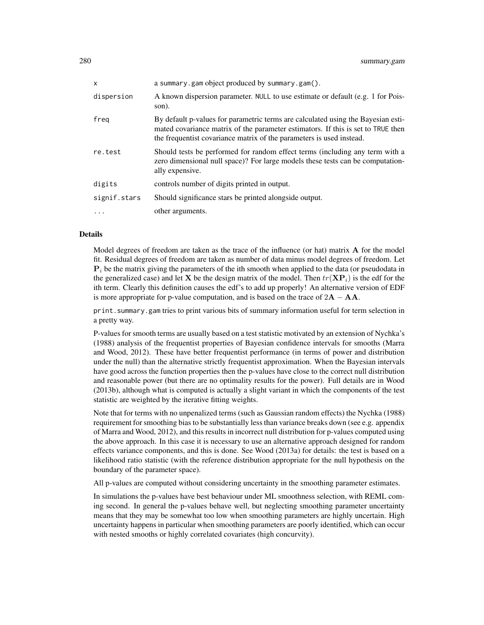| a summary.gam object produced by summary.gam().                                                                                                                                                                                              |
|----------------------------------------------------------------------------------------------------------------------------------------------------------------------------------------------------------------------------------------------|
| A known dispersion parameter. NULL to use estimate or default (e.g. 1 for Pois-<br>son).                                                                                                                                                     |
| By default p-values for parametric terms are calculated using the Bayesian esti-<br>mated covariance matrix of the parameter estimators. If this is set to TRUE then<br>the frequentist covariance matrix of the parameters is used instead. |
| Should tests be performed for random effect terms (including any term with a<br>zero dimensional null space)? For large models these tests can be computation-<br>ally expensive.                                                            |
| controls number of digits printed in output.                                                                                                                                                                                                 |
| Should significance stars be printed alongside output.                                                                                                                                                                                       |
| other arguments.                                                                                                                                                                                                                             |
|                                                                                                                                                                                                                                              |

# Details

Model degrees of freedom are taken as the trace of the influence (or hat) matrix **A** for the model fit. Residual degrees of freedom are taken as number of data minus model degrees of freedom. Let  $\mathbf{P}_i$  be the matrix giving the parameters of the ith smooth when applied to the data (or pseudodata in the generalized case) and let **X** be the design matrix of the model. Then  $tr(\mathbf{XP}_i)$  is the edf for the ith term. Clearly this definition causes the edf's to add up properly! An alternative version of EDF is more appropriate for p-value computation, and is based on the trace of  $2\mathbf{A} - \mathbf{A}\mathbf{A}$ .

print.summary.gam tries to print various bits of summary information useful for term selection in a pretty way.

P-values for smooth terms are usually based on a test statistic motivated by an extension of Nychka's (1988) analysis of the frequentist properties of Bayesian confidence intervals for smooths (Marra and Wood, 2012). These have better frequentist performance (in terms of power and distribution under the null) than the alternative strictly frequentist approximation. When the Bayesian intervals have good across the function properties then the p-values have close to the correct null distribution and reasonable power (but there are no optimality results for the power). Full details are in Wood (2013b), although what is computed is actually a slight variant in which the components of the test statistic are weighted by the iterative fitting weights.

Note that for terms with no unpenalized terms (such as Gaussian random effects) the Nychka (1988) requirement for smoothing bias to be substantially less than variance breaks down (see e.g. appendix of Marra and Wood, 2012), and this results in incorrect null distribution for p-values computed using the above approach. In this case it is necessary to use an alternative approach designed for random effects variance components, and this is done. See Wood (2013a) for details: the test is based on a likelihood ratio statistic (with the reference distribution appropriate for the null hypothesis on the boundary of the parameter space).

All p-values are computed without considering uncertainty in the smoothing parameter estimates.

In simulations the p-values have best behaviour under ML smoothness selection, with REML coming second. In general the p-values behave well, but neglecting smoothing parameter uncertainty means that they may be somewhat too low when smoothing parameters are highly uncertain. High uncertainty happens in particular when smoothing parameters are poorly identified, which can occur with nested smooths or highly correlated covariates (high concurvity).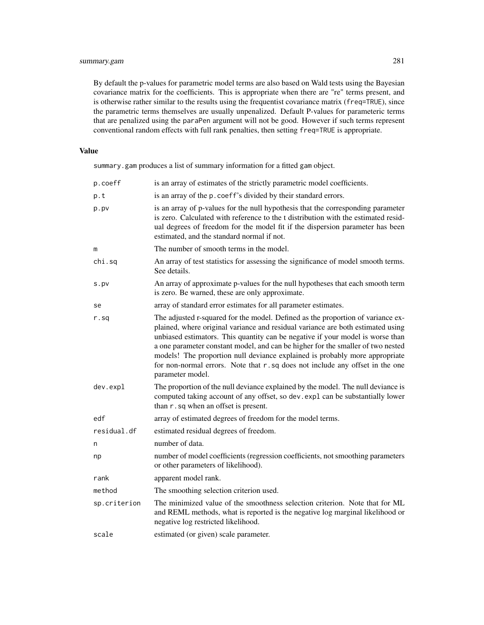By default the p-values for parametric model terms are also based on Wald tests using the Bayesian covariance matrix for the coefficients. This is appropriate when there are "re" terms present, and is otherwise rather similar to the results using the frequentist covariance matrix (freq=TRUE), since the parametric terms themselves are usually unpenalized. Default P-values for parameteric terms that are penalized using the paraPen argument will not be good. However if such terms represent conventional random effects with full rank penalties, then setting freq=TRUE is appropriate.

# Value

summary.gam produces a list of summary information for a fitted gam object.

| p.coeff      | is an array of estimates of the strictly parametric model coefficients.                                                                                                                                                                                                                                                                                                                                                                                                                                                    |
|--------------|----------------------------------------------------------------------------------------------------------------------------------------------------------------------------------------------------------------------------------------------------------------------------------------------------------------------------------------------------------------------------------------------------------------------------------------------------------------------------------------------------------------------------|
| p.t          | is an array of the p. coeff's divided by their standard errors.                                                                                                                                                                                                                                                                                                                                                                                                                                                            |
| p.pv         | is an array of p-values for the null hypothesis that the corresponding parameter<br>is zero. Calculated with reference to the t distribution with the estimated resid-<br>ual degrees of freedom for the model fit if the dispersion parameter has been<br>estimated, and the standard normal if not.                                                                                                                                                                                                                      |
| m            | The number of smooth terms in the model.                                                                                                                                                                                                                                                                                                                                                                                                                                                                                   |
| chi.sq       | An array of test statistics for assessing the significance of model smooth terms.<br>See details.                                                                                                                                                                                                                                                                                                                                                                                                                          |
| s.py         | An array of approximate p-values for the null hypotheses that each smooth term<br>is zero. Be warned, these are only approximate.                                                                                                                                                                                                                                                                                                                                                                                          |
| se           | array of standard error estimates for all parameter estimates.                                                                                                                                                                                                                                                                                                                                                                                                                                                             |
| r.sq         | The adjusted r-squared for the model. Defined as the proportion of variance ex-<br>plained, where original variance and residual variance are both estimated using<br>unbiased estimators. This quantity can be negative if your model is worse than<br>a one parameter constant model, and can be higher for the smaller of two nested<br>models! The proportion null deviance explained is probably more appropriate<br>for non-normal errors. Note that r.sq does not include any offset in the one<br>parameter model. |
| dev.expl     | The proportion of the null deviance explained by the model. The null deviance is<br>computed taking account of any offset, so dev. expl can be substantially lower<br>than r. sq when an offset is present.                                                                                                                                                                                                                                                                                                                |
| edf          | array of estimated degrees of freedom for the model terms.                                                                                                                                                                                                                                                                                                                                                                                                                                                                 |
| residual.df  | estimated residual degrees of freedom.                                                                                                                                                                                                                                                                                                                                                                                                                                                                                     |
| n            | number of data.                                                                                                                                                                                                                                                                                                                                                                                                                                                                                                            |
| np           | number of model coefficients (regression coefficients, not smoothing parameters<br>or other parameters of likelihood).                                                                                                                                                                                                                                                                                                                                                                                                     |
| rank         | apparent model rank.                                                                                                                                                                                                                                                                                                                                                                                                                                                                                                       |
| method       | The smoothing selection criterion used.                                                                                                                                                                                                                                                                                                                                                                                                                                                                                    |
| sp.criterion | The minimized value of the smoothness selection criterion. Note that for ML<br>and REML methods, what is reported is the negative log marginal likelihood or<br>negative log restricted likelihood.                                                                                                                                                                                                                                                                                                                        |
| scale        | estimated (or given) scale parameter.                                                                                                                                                                                                                                                                                                                                                                                                                                                                                      |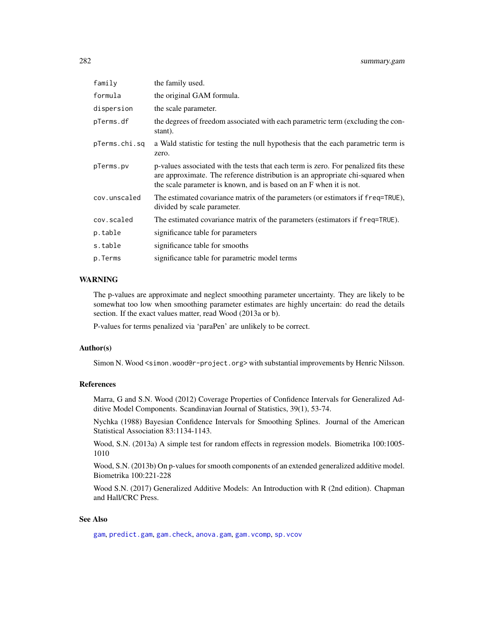| family        | the family used.                                                                                                                                                                                                                            |
|---------------|---------------------------------------------------------------------------------------------------------------------------------------------------------------------------------------------------------------------------------------------|
| formula       | the original GAM formula.                                                                                                                                                                                                                   |
| dispersion    | the scale parameter.                                                                                                                                                                                                                        |
| pTerms.df     | the degrees of freedom associated with each parametric term (excluding the con-<br>stant).                                                                                                                                                  |
| pTerms.chi.sq | a Wald statistic for testing the null hypothesis that the each parametric term is<br>zero.                                                                                                                                                  |
| pTerms.pv     | p-values associated with the tests that each term is zero. For penalized fits these<br>are approximate. The reference distribution is an appropriate chi-squared when<br>the scale parameter is known, and is based on an F when it is not. |
| cov.unscaled  | The estimated covariance matrix of the parameters (or estimators if f req=TRUE),<br>divided by scale parameter.                                                                                                                             |
| cov.scaled    | The estimated covariance matrix of the parameters (estimators if freq=TRUE).                                                                                                                                                                |
| p.table       | significance table for parameters                                                                                                                                                                                                           |
| s.table       | significance table for smooths                                                                                                                                                                                                              |
| p.Terms       | significance table for parametric model terms                                                                                                                                                                                               |
|               |                                                                                                                                                                                                                                             |

# WARNING

The p-values are approximate and neglect smoothing parameter uncertainty. They are likely to be somewhat too low when smoothing parameter estimates are highly uncertain: do read the details section. If the exact values matter, read Wood (2013a or b).

P-values for terms penalized via 'paraPen' are unlikely to be correct.

#### Author(s)

Simon N. Wood <simon.wood@r-project.org> with substantial improvements by Henric Nilsson.

## References

Marra, G and S.N. Wood (2012) Coverage Properties of Confidence Intervals for Generalized Additive Model Components. Scandinavian Journal of Statistics, 39(1), 53-74.

Nychka (1988) Bayesian Confidence Intervals for Smoothing Splines. Journal of the American Statistical Association 83:1134-1143.

Wood, S.N. (2013a) A simple test for random effects in regression models. Biometrika 100:1005- 1010

Wood, S.N. (2013b) On p-values for smooth components of an extended generalized additive model. Biometrika 100:221-228

Wood S.N. (2017) Generalized Additive Models: An Introduction with R (2nd edition). Chapman and Hall/CRC Press.

# See Also

[gam](#page-47-0), [predict.gam](#page-184-0), [gam.check](#page-57-0), [anova.gam](#page-4-0), [gam.vcomp](#page-85-0), [sp.vcov](#page-274-0)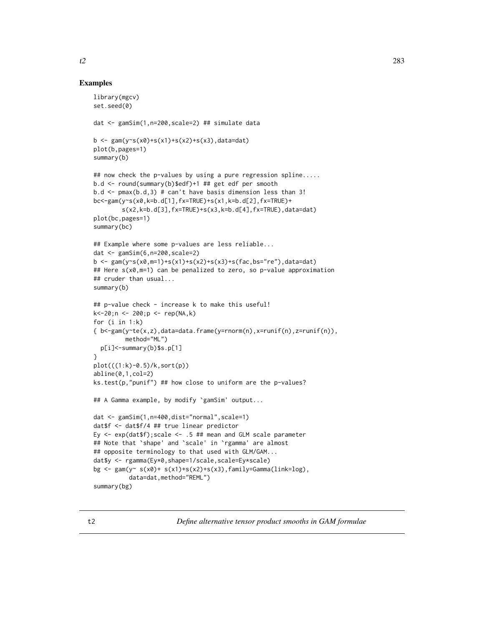## Examples

```
library(mgcv)
set.seed(0)
dat <- gamSim(1,n=200,scale=2) ## simulate data
b <- gam(y~s(x0)+s(x1)+s(x2)+s(x3),data=dat)
plot(b,pages=1)
summary(b)
## now check the p-values by using a pure regression spline.....
b.d <- round(summary(b)$edf)+1 ## get edf per smooth
b.d \le pmax(b.d,3) # can't have basis dimension less than 3!
bc<-gam(y~s(x0,k=b.d[1],fx=TRUE)+s(x1,k=b.d[2],fx=TRUE)+
        s(x2,k=b.d[3],fx=TRUE)+s(x3,k=b.d[4],fx=TRUE),data=dat)
plot(bc,pages=1)
summary(bc)
## Example where some p-values are less reliable...
dat <- gamSim(6,n=200,scale=2)
b <- gam(y~s(x0,m=1)+s(x1)+s(x2)+s(x3)+s(fac,bs="re"),data=dat)
## Here s(x0,m=1) can be penalized to zero, so p-value approximation
## cruder than usual...
summary(b)
## p-value check - increase k to make this useful!
k<-20;n <- 200;p <- rep(NA,k)
for (i in 1:k)
\{ b < -\text{gamma}(y \text{ and } y \text{)}\}, data=data.frame(y=rnorm(n), x=runif(n), z=runif(n)),
         method="ML")
  p[i]<-summary(b)$s.p[1]
}
plot(((1:k)-0.5)/k,sort(p))
abline(0,1,col=2)
ks.test(p,"punif") ## how close to uniform are the p-values?
## A Gamma example, by modify `gamSim' output...
dat <- gamSim(1,n=400,dist="normal",scale=1)
dat$f <- dat$f/4 ## true linear predictor
Ey \leq exp(dat$f); scale \leq .5 ## mean and GLM scale parameter
## Note that `shape' and `scale' in `rgamma' are almost
## opposite terminology to that used with GLM/GAM...
dat$y <- rgamma(Ey*0,shape=1/scale,scale=Ey*scale)
bg \leq gam(y\leq s(x0)+ s(x1)+s(x2)+s(x3),family=Gamma(link=log),
          data=dat,method="REML")
summary(bg)
```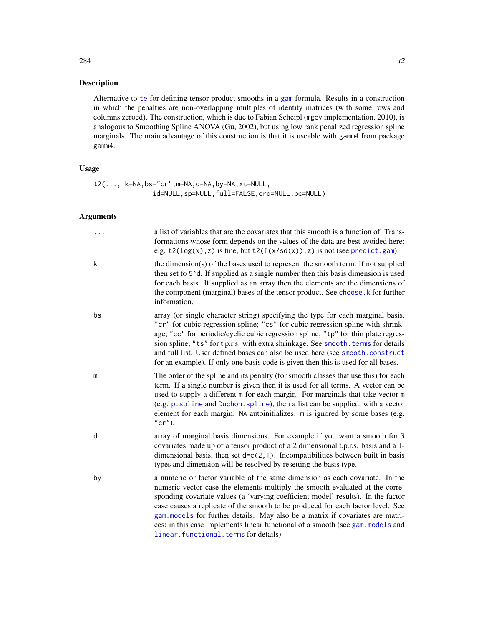## Description

Alternative to [te](#page-287-0) for defining tensor product smooths in a [gam](#page-47-0) formula. Results in a construction in which the penalties are non-overlapping multiples of identity matrices (with some rows and columns zeroed). The construction, which is due to Fabian Scheipl (mgcv implementation, 2010), is analogous to Smoothing Spline ANOVA (Gu, 2002), but using low rank penalized regression spline marginals. The main advantage of this construction is that it is useable with gamm4 from package gamm4.

## Usage

```
t2(..., k=NA,bs="cr",m=NA,d=NA,by=NA,xt=NULL,
               id=NULL,sp=NULL,full=FALSE,ord=NULL,pc=NULL)
```
# Arguments

| .  | a list of variables that are the covariates that this smooth is a function of. Trans-<br>formations whose form depends on the values of the data are best avoided here:<br>e.g. $t2(\log(x), z)$ is fine, but $t2(I(x/sd(x)), z)$ is not (see predict.gam).                                                                                                                                                                                                                                                                                       |
|----|---------------------------------------------------------------------------------------------------------------------------------------------------------------------------------------------------------------------------------------------------------------------------------------------------------------------------------------------------------------------------------------------------------------------------------------------------------------------------------------------------------------------------------------------------|
| k  | the dimension(s) of the bases used to represent the smooth term. If not supplied<br>then set to 5 <sup><math>\lambda</math></sup> d. If supplied as a single number then this basis dimension is used<br>for each basis. If supplied as an array then the elements are the dimensions of<br>the component (marginal) bases of the tensor product. See choose. k for further<br>information.                                                                                                                                                       |
| bs | array (or single character string) specifying the type for each marginal basis.<br>"cr" for cubic regression spline; "cs" for cubic regression spline with shrink-<br>age; "cc" for periodic/cyclic cubic regression spline; "tp" for thin plate regres-<br>sion spline; "ts" for t.p.r.s. with extra shrinkage. See smooth. terms for details<br>and full list. User defined bases can also be used here (see smooth.construct<br>for an example). If only one basis code is given then this is used for all bases.                              |
| m  | The order of the spline and its penalty (for smooth classes that use this) for each<br>term. If a single number is given then it is used for all terms. A vector can be<br>used to supply a different m for each margin. For marginals that take vector m<br>(e.g. p. spline and Duchon. spline), then a list can be supplied, with a vector<br>element for each margin. NA autoinitializes. m is ignored by some bases (e.g.<br>$"cr"$ ).                                                                                                        |
| d  | array of marginal basis dimensions. For example if you want a smooth for 3<br>covariates made up of a tensor product of a 2 dimensional t.p.r.s. basis and a 1-<br>dimensional basis, then set $d=c(2,1)$ . Incompatibilities between built in basis<br>types and dimension will be resolved by resetting the basis type.                                                                                                                                                                                                                         |
| by | a numeric or factor variable of the same dimension as each covariate. In the<br>numeric vector case the elements multiply the smooth evaluated at the corre-<br>sponding covariate values (a 'varying coefficient model' results). In the factor<br>case causes a replicate of the smooth to be produced for each factor level. See<br>gam. models for further details. May also be a matrix if covariates are matri-<br>ces: in this case implements linear functional of a smooth (see gam. models and<br>linear.functional.terms for details). |

284 t2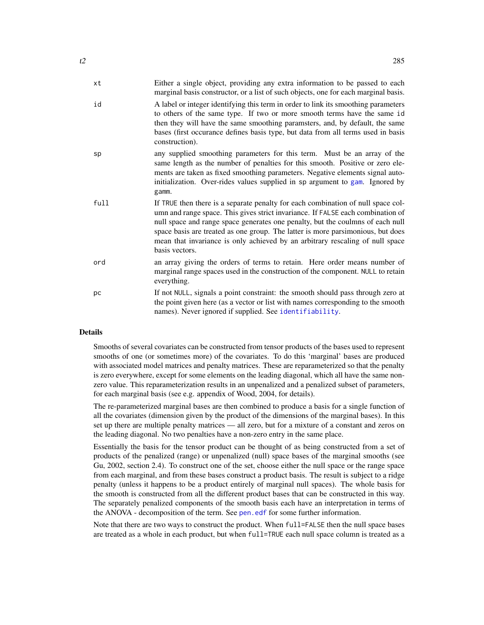| xt   | Either a single object, providing any extra information to be passed to each<br>marginal basis constructor, or a list of such objects, one for each marginal basis.                                                                                                                                                                                                                                                                         |
|------|---------------------------------------------------------------------------------------------------------------------------------------------------------------------------------------------------------------------------------------------------------------------------------------------------------------------------------------------------------------------------------------------------------------------------------------------|
| id   | A label or integer identifying this term in order to link its smoothing parameters<br>to others of the same type. If two or more smooth terms have the same id<br>then they will have the same smoothing paramsters, and, by default, the same<br>bases (first occurance defines basis type, but data from all terms used in basis<br>construction).                                                                                        |
| sp   | any supplied smoothing parameters for this term. Must be an array of the<br>same length as the number of penalties for this smooth. Positive or zero ele-<br>ments are taken as fixed smoothing parameters. Negative elements signal auto-<br>initialization. Over-rides values supplied in sp argument to gam. Ignored by<br>gamm.                                                                                                         |
| full | If TRUE then there is a separate penalty for each combination of null space col-<br>umn and range space. This gives strict invariance. If FALSE each combination of<br>null space and range space generates one penalty, but the coulmns of each null<br>space basis are treated as one group. The latter is more parsimonious, but does<br>mean that invariance is only achieved by an arbitrary rescaling of null space<br>basis vectors. |
| ord  | an array giving the orders of terms to retain. Here order means number of<br>marginal range spaces used in the construction of the component. NULL to retain<br>everything.                                                                                                                                                                                                                                                                 |
| рc   | If not NULL, signals a point constraint: the smooth should pass through zero at<br>the point given here (as a vector or list with names corresponding to the smooth<br>names). Never ignored if supplied. See identifiability.                                                                                                                                                                                                              |

# **Details**

Smooths of several covariates can be constructed from tensor products of the bases used to represent smooths of one (or sometimes more) of the covariates. To do this 'marginal' bases are produced with associated model matrices and penalty matrices. These are reparameterized so that the penalty is zero everywhere, except for some elements on the leading diagonal, which all have the same nonzero value. This reparameterization results in an unpenalized and a penalized subset of parameters, for each marginal basis (see e.g. appendix of Wood, 2004, for details).

The re-parameterized marginal bases are then combined to produce a basis for a single function of all the covariates (dimension given by the product of the dimensions of the marginal bases). In this set up there are multiple penalty matrices — all zero, but for a mixture of a constant and zeros on the leading diagonal. No two penalties have a non-zero entry in the same place.

Essentially the basis for the tensor product can be thought of as being constructed from a set of products of the penalized (range) or unpenalized (null) space bases of the marginal smooths (see Gu, 2002, section 2.4). To construct one of the set, choose either the null space or the range space from each marginal, and from these bases construct a product basis. The result is subject to a ridge penalty (unless it happens to be a product entirely of marginal null spaces). The whole basis for the smooth is constructed from all the different product bases that can be constructed in this way. The separately penalized components of the smooth basis each have an interpretation in terms of the ANOVA - decomposition of the term. See [pen.edf](#page-172-0) for some further information.

Note that there are two ways to construct the product. When full=FALSE then the null space bases are treated as a whole in each product, but when full=TRUE each null space column is treated as a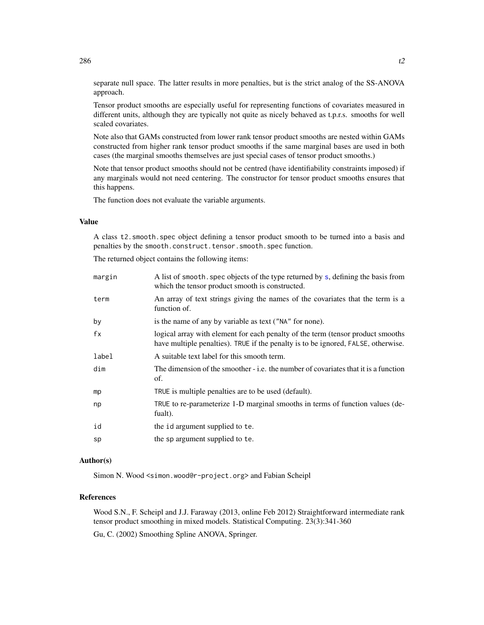separate null space. The latter results in more penalties, but is the strict analog of the SS-ANOVA approach.

Tensor product smooths are especially useful for representing functions of covariates measured in different units, although they are typically not quite as nicely behaved as t.p.r.s. smooths for well scaled covariates.

Note also that GAMs constructed from lower rank tensor product smooths are nested within GAMs constructed from higher rank tensor product smooths if the same marginal bases are used in both cases (the marginal smooths themselves are just special cases of tensor product smooths.)

Note that tensor product smooths should not be centred (have identifiability constraints imposed) if any marginals would not need centering. The constructor for tensor product smooths ensures that this happens.

The function does not evaluate the variable arguments.

# Value

A class t2.smooth.spec object defining a tensor product smooth to be turned into a basis and penalties by the smooth.construct.tensor.smooth.spec function.

The returned object contains the following items:

| margin | A list of smooth. spec objects of the type returned by s, defining the basis from<br>which the tensor product smooth is constructed.                                  |
|--------|-----------------------------------------------------------------------------------------------------------------------------------------------------------------------|
| term   | An array of text strings giving the names of the covariates that the term is a<br>function of.                                                                        |
| by     | is the name of any by variable as text ("NA" for none).                                                                                                               |
| fx     | logical array with element for each penalty of the term (tensor product smooths)<br>have multiple penalties). TRUE if the penalty is to be ignored, FALSE, otherwise. |
| label  | A suitable text label for this smooth term.                                                                                                                           |
| dim    | The dimension of the smoother - i.e. the number of covariates that it is a function<br>of.                                                                            |
| mp     | TRUE is multiple penalties are to be used (default).                                                                                                                  |
| np     | TRUE to re-parameterize 1-D marginal smooths in terms of function values (de-<br>fualt).                                                                              |
| id     | the id argument supplied to te.                                                                                                                                       |
| sp     | the sp argument supplied to te.                                                                                                                                       |

# Author(s)

Simon N. Wood <simon.wood@r-project.org> and Fabian Scheipl

## References

Wood S.N., F. Scheipl and J.J. Faraway (2013, online Feb 2012) Straightforward intermediate rank tensor product smoothing in mixed models. Statistical Computing. 23(3):341-360 Gu, C. (2002) Smoothing Spline ANOVA, Springer.

286 t2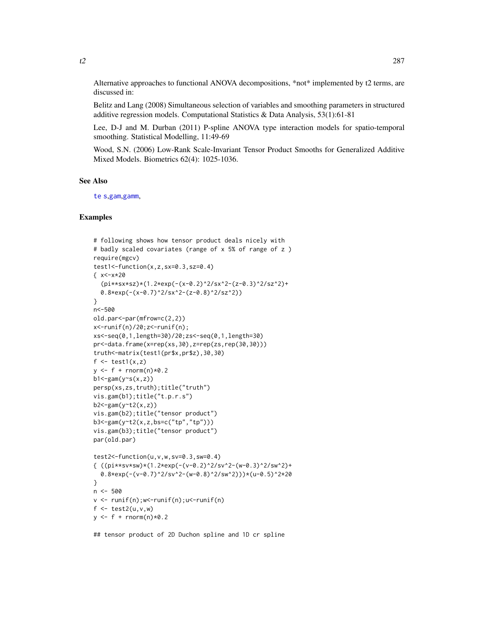Alternative approaches to functional ANOVA decompositions, \*not\* implemented by t2 terms, are discussed in:

Belitz and Lang (2008) Simultaneous selection of variables and smoothing parameters in structured additive regression models. Computational Statistics & Data Analysis, 53(1):61-81

Lee, D-J and M. Durban (2011) P-spline ANOVA type interaction models for spatio-temporal smoothing. Statistical Modelling, 11:49-69

Wood, S.N. (2006) Low-Rank Scale-Invariant Tensor Product Smooths for Generalized Additive Mixed Models. Biometrics 62(4): 1025-1036.

#### See Also

[te](#page-287-0) [s](#page-208-0),[gam](#page-47-0),[gamm](#page-91-0),

## Examples

```
# following shows how tensor product deals nicely with
# badly scaled covariates (range of x 5% of range of z )
require(mgcv)
test1<-function(x,z,sx=0.3,sz=0.4)
\{ x<-x*20(pi***sx*sz)*(1.2*exp(-(x-0.2)^2/sx^2-(z-0.3)^2/sz^2)+0.8*exp(-(x-0.7)^2/sx^2-(z-0.8)^2/sz^2))
}
n<-500
old.par<-par(mfrow=c(2,2))
x <-runif(n)/20; z <-runif(n);
xs<-seq(0,1,length=30)/20;zs<-seq(0,1,length=30)
pr<-data.frame(x=rep(xs,30),z=rep(zs,rep(30,30)))
truth<-matrix(test1(pr$x,pr$z),30,30)
f \leftarrow \text{test1}(x, z)y \leq-f + \text{rnorm}(n) \times 0.2b1 < -gam(y ~ s(x, z))
persp(xs,zs,truth);title("truth")
vis.gam(b1);title("t.p.r.s")
b2 < -gamma(y \text{ or } t2(x, z))vis.gam(b2);title("tensor product")
b3<-gam(y~t2(x,z,bs=c("tp","tp")))
vis.gam(b3);title("tensor product")
par(old.par)
test2<-function(u,v,w,sv=0.3,sw=0.4)
{ ((pi**sv*sw)*(1.2*exp(-(v-0.2)^2/sv^2-(w-0.3)^2/sw^2)+0.8*exp(-(v-0.7)^2/sv^2-(w-0.8)^2/sw^2)))*(u-0.5)^2*20
}
n <- 500
v \le runif(n);w\le-runif(n);u\le-runif(n)
f \leftarrow \text{test2}(u, v, w)y \leftarrow f + \text{rnorm}(n) \times 0.2
```
## tensor product of 2D Duchon spline and 1D cr spline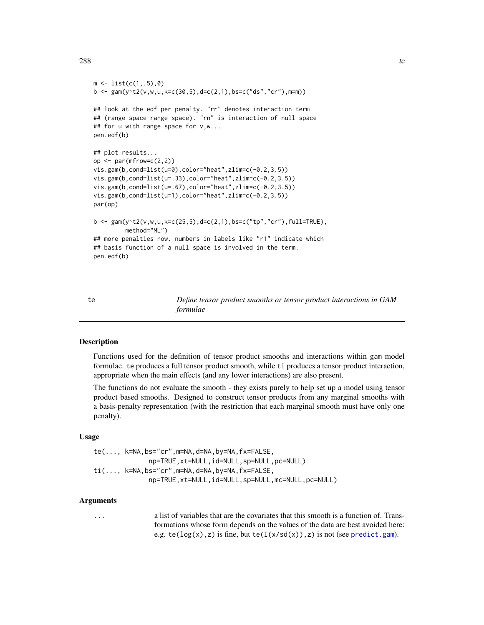```
m \leftarrow \text{list}(c(1,.5), 0)b \leq -\text{gam}(y \sim t2(v, w, u, k=c(30, 5), d=c(2, 1), bs=c("ds", "cr"), m=m))## look at the edf per penalty. "rr" denotes interaction term
## (range space range space). "rn" is interaction of null space
## for u with range space for v,w...
pen.edf(b)
## plot results...
op \leq par(mfrow=c(2,2))
vis.gam(b,cond=list(u=0),color="heat",zlim=c(-0.2,3.5))
vis.gam(b,cond=list(u=.33),color="heat",zlim=c(-0.2,3.5))
vis.gam(b,cond=list(u=.67),color="heat",zlim=c(-0.2,3.5))
vis.gam(b,cond=list(u=1),color="heat",zlim=c(-0.2,3.5))
par(op)
b <- gam(y~t2(v,w,u,k=c(25,5),d=c(2,1),bs=c("tp","cr"),full=TRUE),
         method="ML")
## more penalties now. numbers in labels like "r1" indicate which
## basis function of a null space is involved in the term.
pen.edf(b)
```
<span id="page-287-0"></span>te *Define tensor product smooths or tensor product interactions in GAM formulae*

## <span id="page-287-1"></span>Description

Functions used for the definition of tensor product smooths and interactions within gam model formulae. te produces a full tensor product smooth, while ti produces a tensor product interaction, appropriate when the main effects (and any lower interactions) are also present.

The functions do not evaluate the smooth - they exists purely to help set up a model using tensor product based smooths. Designed to construct tensor products from any marginal smooths with a basis-penalty representation (with the restriction that each marginal smooth must have only one penalty).

#### Usage

te(..., k=NA,bs="cr",m=NA,d=NA,by=NA,fx=FALSE, np=TRUE,xt=NULL,id=NULL,sp=NULL,pc=NULL) ti(..., k=NA,bs="cr",m=NA,d=NA,by=NA,fx=FALSE, np=TRUE,xt=NULL,id=NULL,sp=NULL,mc=NULL,pc=NULL)

# Arguments

... a list of variables that are the covariates that this smooth is a function of. Transformations whose form depends on the values of the data are best avoided here: e.g.  $te(log(x), z)$  is fine, but  $te(I(x/sd(x)), z)$  is not (see [predict.gam](#page-184-0)).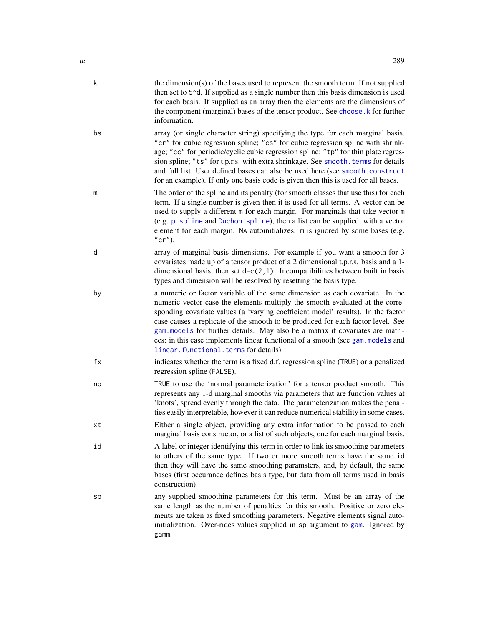<span id="page-288-0"></span>

| te |    | 289                                                                                                                                                                                                                                                                                                                                                                                                                                                                                                                                               |
|----|----|---------------------------------------------------------------------------------------------------------------------------------------------------------------------------------------------------------------------------------------------------------------------------------------------------------------------------------------------------------------------------------------------------------------------------------------------------------------------------------------------------------------------------------------------------|
|    | k  | the dimension(s) of the bases used to represent the smooth term. If not supplied<br>then set to 5 <sup><math>\lambda</math></sup> d. If supplied as a single number then this basis dimension is used<br>for each basis. If supplied as an array then the elements are the dimensions of<br>the component (marginal) bases of the tensor product. See choose. k for further<br>information.                                                                                                                                                       |
|    | bs | array (or single character string) specifying the type for each marginal basis.<br>"cr" for cubic regression spline; "cs" for cubic regression spline with shrink-<br>age; "cc" for periodic/cyclic cubic regression spline; "tp" for thin plate regres-<br>sion spline; "ts" for t.p.r.s. with extra shrinkage. See smooth. terms for details<br>and full list. User defined bases can also be used here (see smooth.construct<br>for an example). If only one basis code is given then this is used for all bases.                              |
|    | m  | The order of the spline and its penalty (for smooth classes that use this) for each<br>term. If a single number is given then it is used for all terms. A vector can be<br>used to supply a different m for each margin. For marginals that take vector m<br>(e.g. p. spline and Duchon. spline), then a list can be supplied, with a vector<br>element for each margin. NA autoinitializes. m is ignored by some bases (e.g.<br>$"cr"$ ).                                                                                                        |
|    | d  | array of marginal basis dimensions. For example if you want a smooth for 3<br>covariates made up of a tensor product of a 2 dimensional t.p.r.s. basis and a 1-<br>dimensional basis, then set $d=c(2,1)$ . Incompatibilities between built in basis<br>types and dimension will be resolved by resetting the basis type.                                                                                                                                                                                                                         |
|    | by | a numeric or factor variable of the same dimension as each covariate. In the<br>numeric vector case the elements multiply the smooth evaluated at the corre-<br>sponding covariate values (a 'varying coefficient model' results). In the factor<br>case causes a replicate of the smooth to be produced for each factor level. See<br>gam. models for further details. May also be a matrix if covariates are matri-<br>ces: in this case implements linear functional of a smooth (see gam. models and<br>linear.functional.terms for details). |
|    | fx | indicates whether the term is a fixed d.f. regression spline (TRUE) or a penalized<br>regression spline (FALSE).                                                                                                                                                                                                                                                                                                                                                                                                                                  |
|    | np | TRUE to use the 'normal parameterization' for a tensor product smooth. This<br>represents any 1-d marginal smooths via parameters that are function values at<br>'knots', spread evenly through the data. The parameterization makes the penal-<br>ties easily interpretable, however it can reduce numerical stability in some cases.                                                                                                                                                                                                            |
|    | хt | Either a single object, providing any extra information to be passed to each<br>marginal basis constructor, or a list of such objects, one for each marginal basis.                                                                                                                                                                                                                                                                                                                                                                               |
|    | id | A label or integer identifying this term in order to link its smoothing parameters<br>to others of the same type. If two or more smooth terms have the same id<br>then they will have the same smoothing paramsters, and, by default, the same<br>bases (first occurance defines basis type, but data from all terms used in basis<br>construction).                                                                                                                                                                                              |
|    | sp | any supplied smoothing parameters for this term. Must be an array of the<br>same length as the number of penalties for this smooth. Positive or zero ele-<br>ments are taken as fixed smoothing parameters. Negative elements signal auto-<br>initialization. Over-rides values supplied in sp argument to gam. Ignored by<br>gamm.                                                                                                                                                                                                               |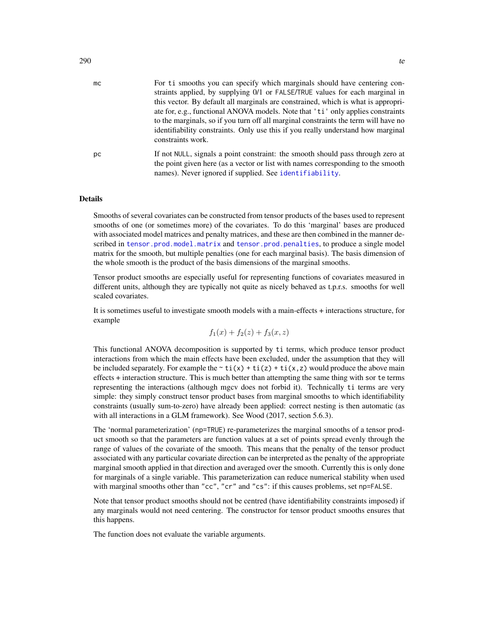<span id="page-289-0"></span>

| mc | For ti smooths you can specify which marginals should have centering con-<br>straints applied, by supplying 0/1 or FALSE/TRUE values for each marginal in           |
|----|---------------------------------------------------------------------------------------------------------------------------------------------------------------------|
|    | this vector. By default all marginals are constrained, which is what is appropri-                                                                                   |
|    | ate for, e.g., functional ANOVA models. Note that 'ti' only applies constraints                                                                                     |
|    | to the marginals, so if you turn off all marginal constraints the term will have no                                                                                 |
|    | identifiability constraints. Only use this if you really understand how marginal<br>constraints work.                                                               |
| рc | If not NULL, signals a point constraint: the smooth should pass through zero at<br>the point given here (as a vector or list with names corresponding to the smooth |
|    | names). Never ignored if supplied. See identifiability.                                                                                                             |
|    |                                                                                                                                                                     |

#### Details

Smooths of several covariates can be constructed from tensor products of the bases used to represent smooths of one (or sometimes more) of the covariates. To do this 'marginal' bases are produced with associated model matrices and penalty matrices, and these are then combined in the manner described in [tensor.prod.model.matrix](#page-292-0) and [tensor.prod.penalties](#page-292-1), to produce a single model matrix for the smooth, but multiple penalties (one for each marginal basis). The basis dimension of the whole smooth is the product of the basis dimensions of the marginal smooths.

Tensor product smooths are especially useful for representing functions of covariates measured in different units, although they are typically not quite as nicely behaved as t.p.r.s. smooths for well scaled covariates.

It is sometimes useful to investigate smooth models with a main-effects + interactions structure, for example

$$
f_1(x) + f_2(z) + f_3(x, z)
$$

This functional ANOVA decomposition is supported by ti terms, which produce tensor product interactions from which the main effects have been excluded, under the assumption that they will be included separately. For example the  $\sim \text{ti}(x) + \text{ti}(z) + \text{ti}(x, z)$  would produce the above main effects + interaction structure. This is much better than attempting the same thing with sor te terms representing the interactions (although mgcv does not forbid it). Technically ti terms are very simple: they simply construct tensor product bases from marginal smooths to which identifiability constraints (usually sum-to-zero) have already been applied: correct nesting is then automatic (as with all interactions in a GLM framework). See Wood (2017, section 5.6.3).

The 'normal parameterization' (np=TRUE) re-parameterizes the marginal smooths of a tensor product smooth so that the parameters are function values at a set of points spread evenly through the range of values of the covariate of the smooth. This means that the penalty of the tensor product associated with any particular covariate direction can be interpreted as the penalty of the appropriate marginal smooth applied in that direction and averaged over the smooth. Currently this is only done for marginals of a single variable. This parameterization can reduce numerical stability when used with marginal smooths other than "cc", "cr" and "cs": if this causes problems, set np=FALSE.

Note that tensor product smooths should not be centred (have identifiability constraints imposed) if any marginals would not need centering. The constructor for tensor product smooths ensures that this happens.

The function does not evaluate the variable arguments.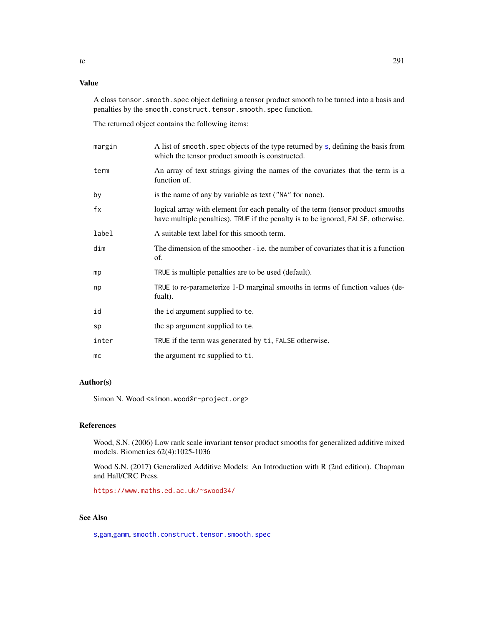# <span id="page-290-0"></span>Value

A class tensor.smooth.spec object defining a tensor product smooth to be turned into a basis and penalties by the smooth.construct.tensor.smooth.spec function.

The returned object contains the following items:

| margin | A list of smooth. spec objects of the type returned by s, defining the basis from<br>which the tensor product smooth is constructed.                                 |
|--------|----------------------------------------------------------------------------------------------------------------------------------------------------------------------|
| term   | An array of text strings giving the names of the covariates that the term is a<br>function of.                                                                       |
| by     | is the name of any by variable as text ("NA" for none).                                                                                                              |
| fx     | logical array with element for each penalty of the term (tensor product smooths<br>have multiple penalties). TRUE if the penalty is to be ignored, FALSE, otherwise. |
| label  | A suitable text label for this smooth term.                                                                                                                          |
| dim    | The dimension of the smoother - i.e. the number of covariates that it is a function<br>of.                                                                           |
| mp     | TRUE is multiple penalties are to be used (default).                                                                                                                 |
| np     | TRUE to re-parameterize 1-D marginal smooths in terms of function values (de-<br>fualt).                                                                             |
| id     | the id argument supplied to te.                                                                                                                                      |
| sp     | the sp argument supplied to te.                                                                                                                                      |
| inter  | TRUE if the term was generated by ti, FALSE otherwise.                                                                                                               |
| mc     | the argument mc supplied to ti.                                                                                                                                      |

# Author(s)

Simon N. Wood <simon.wood@r-project.org>

# References

Wood, S.N. (2006) Low rank scale invariant tensor product smooths for generalized additive mixed models. Biometrics 62(4):1025-1036

Wood S.N. (2017) Generalized Additive Models: An Introduction with R (2nd edition). Chapman and Hall/CRC Press.

<https://www.maths.ed.ac.uk/~swood34/>

# See Also

[s](#page-208-0),[gam](#page-47-0),[gamm](#page-91-0), [smooth.construct.tensor.smooth.spec](#page-261-0)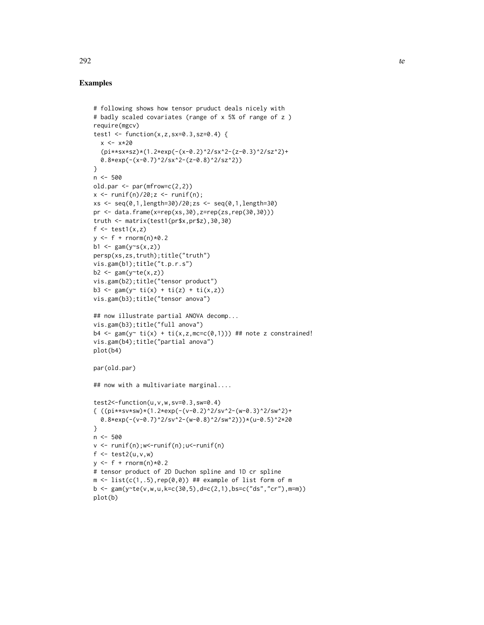#### Examples

```
# following shows how tensor pruduct deals nicely with
# badly scaled covariates (range of x 5% of range of z )
require(mgcv)
test1 <- function(x,z,sx=0.3,sz=0.4) {
  x < -x * 20(pi**sx*sz)*(1.2*exp(-(x-0.2)^2/sx^2-(z-0.3)^2/sz^2)+
  0.8*exp(-(x-0.7)^2/sx^2-(z-0.8)^2/sz^2))
}
n < -500old.par <- par(mfrow=c(2,2))
x \leftarrow runif(n)/20; z \leftarrow runif(n);xs <- seq(0,1,length=30)/20;zs <- seq(0,1,length=30)
pr <- data.frame(x=rep(xs,30),z=rep(zs,rep(30,30)))
truth <- matrix(test1(pr$x,pr$z),30,30)
f \leftarrow \text{test1}(x, z)y \leftarrow f + \text{rnorm}(n) \times 0.2b1 <- gam(y \sim s(x, z))persp(xs,zs,truth);title("truth")
vis.gam(b1);title("t.p.r.s")
b2 \leq gam(y te(x, z))
vis.gam(b2);title("tensor product")
b3 <- gam(y ~ ti(x) + ti(z) + ti(x,z))
vis.gam(b3);title("tensor anova")
## now illustrate partial ANOVA decomp...
vis.gam(b3);title("full anova")
b4 \leq gam(y\sim ti(x) + ti(x,z,mc=c(0,1))) ## note z constrained!
vis.gam(b4);title("partial anova")
plot(b4)
par(old.par)
## now with a multivariate marginal....
test2<-function(u,v,w,sv=0.3,sw=0.4)
{ ((pi**sv*sw)*(1.2*exp(-(v-0.2)^2/sv^2-(w-0.3)^2/sw^2)+0.8*exp(-(v-0.7)^2/sv^2-(w-0.8)^2/sw^2)))*(u-0.5)^2*20
}
n <- 500
v <- runif(n);w<-runif(n);u<-runif(n)
f \leftarrow \text{test2}(u, v, w)y \leftarrow f + \text{rnorm}(n) \times 0.2# tensor product of 2D Duchon spline and 1D cr spline
m \leftarrow \text{list}(c(1,.5), \text{rep}(\emptyset, \emptyset)) ## example of list form of m
b \leq gam(y te(v, w, u, k = c(30, 5), d = c(2, 1), bs = c("ds", "cr"), m = m))plot(b)
```
 $292$  text of  $\sim$  100  $\mu$   $\sim$  100  $\mu$   $\sim$  100  $\mu$   $\sim$  100  $\mu$   $\sim$  100  $\mu$   $\sim$  100  $\mu$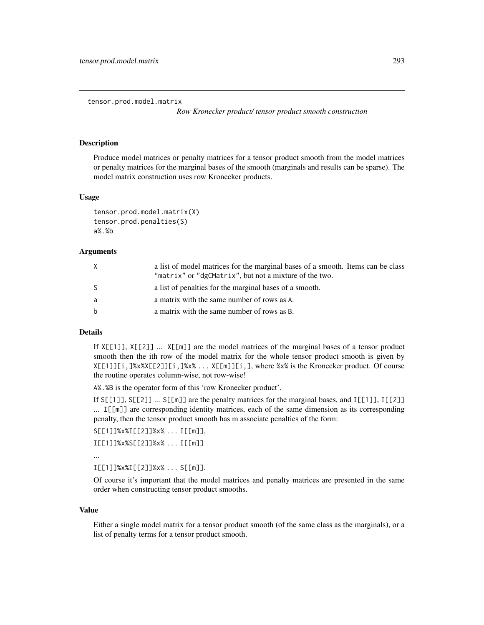<span id="page-292-2"></span><span id="page-292-0"></span>tensor.prod.model.matrix

*Row Kronecker product/ tensor product smooth construction*

# <span id="page-292-1"></span>Description

Produce model matrices or penalty matrices for a tensor product smooth from the model matrices or penalty matrices for the marginal bases of the smooth (marginals and results can be sparse). The model matrix construction uses row Kronecker products.

#### Usage

```
tensor.prod.model.matrix(X)
tensor.prod.penalties(S)
a%.%b
```
#### Arguments

| X  | a list of model matrices for the marginal bases of a smooth. Items can be class<br>"matrix" or "dgCMatrix", but not a mixture of the two. |
|----|-------------------------------------------------------------------------------------------------------------------------------------------|
| S. | a list of penalties for the marginal bases of a smooth.                                                                                   |
| a  | a matrix with the same number of rows as A.                                                                                               |
| b  | a matrix with the same number of rows as B.                                                                                               |

#### Details

If X[[1]], X[[2]] ... X[[m]] are the model matrices of the marginal bases of a tensor product smooth then the ith row of the model matrix for the whole tensor product smooth is given by X[[1]][i,]%x%X[[2]][i,]%x% ... X[[m]][i,], where %x% is the Kronecker product. Of course the routine operates column-wise, not row-wise!

A%.%B is the operator form of this 'row Kronecker product'.

If  $S[[1]]$ ,  $S[[2]]$  ...  $S[[m]]$  are the penalty matrices for the marginal bases, and  $I[[1]]$ ,  $I[[2]]$ ... I[[m]] are corresponding identity matrices, each of the same dimension as its corresponding penalty, then the tensor product smooth has m associate penalties of the form:

```
S[[1]]%x%I[[2]]%x% ... I[[m]],
```

```
I[[1]]%x%S[[2]]%x% ... I[[m]]
```
...

I[[1]]%x%I[[2]]%x% ... S[[m]].

Of course it's important that the model matrices and penalty matrices are presented in the same order when constructing tensor product smooths.

#### Value

Either a single model matrix for a tensor product smooth (of the same class as the marginals), or a list of penalty terms for a tensor product smooth.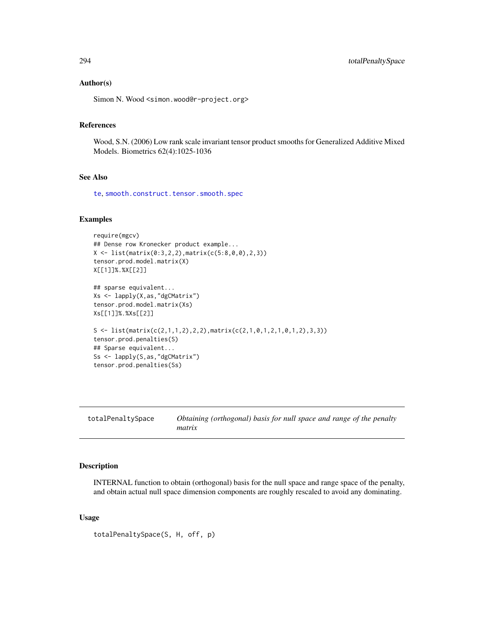#### <span id="page-293-0"></span>Author(s)

Simon N. Wood <simon.wood@r-project.org>

# References

Wood, S.N. (2006) Low rank scale invariant tensor product smooths for Generalized Additive Mixed Models. Biometrics 62(4):1025-1036

# See Also

[te](#page-287-0), [smooth.construct.tensor.smooth.spec](#page-261-0)

# Examples

```
require(mgcv)
## Dense row Kronecker product example...
X \leftarrow \text{list}(\text{matrix}(0:3,2,2), \text{matrix}(c(5:8,0,0),2,3))tensor.prod.model.matrix(X)
X[[1]]%.%X[[2]]
## sparse equivalent...
Xs <- lapply(X,as,"dgCMatrix")
tensor.prod.model.matrix(Xs)
Xs[[1]]%.%Xs[[2]]
S <- list(matrix(c(2,1,1,2),2,2),matrix(c(2,1,0,1,2,1,0,1,2),3,3))
tensor.prod.penalties(S)
## Sparse equivalent...
Ss <- lapply(S,as,"dgCMatrix")
tensor.prod.penalties(Ss)
```
totalPenaltySpace *Obtaining (orthogonal) basis for null space and range of the penalty matrix*

#### Description

INTERNAL function to obtain (orthogonal) basis for the null space and range space of the penalty, and obtain actual null space dimension components are roughly rescaled to avoid any dominating.

#### Usage

totalPenaltySpace(S, H, off, p)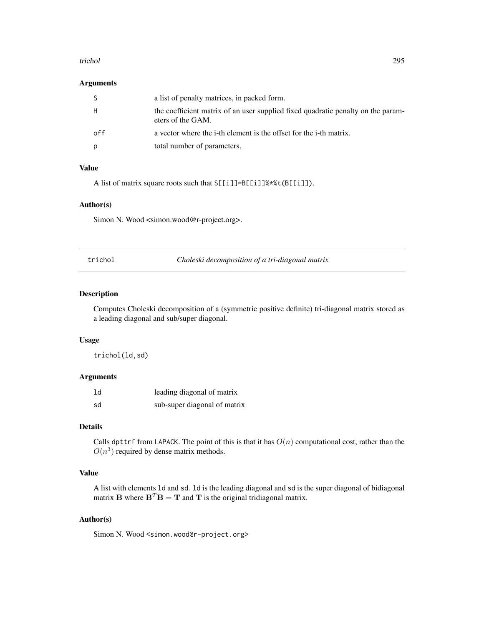#### <span id="page-294-0"></span>trichol 295

# Arguments

| S.  | a list of penalty matrices, in packed form.                                                           |
|-----|-------------------------------------------------------------------------------------------------------|
| H   | the coefficient matrix of an user supplied fixed quadratic penalty on the param-<br>eters of the GAM. |
| ດff | a vector where the <i>i</i> -th element is the offset for the <i>i</i> -th matrix.                    |
| p   | total number of parameters.                                                                           |

# Value

A list of matrix square roots such that S[[i]]=B[[i]]%\*%t(B[[i]]).

# Author(s)

Simon N. Wood <simon.wood@r-project.org>.

trichol *Choleski decomposition of a tri-diagonal matrix*

#### Description

Computes Choleski decomposition of a (symmetric positive definite) tri-diagonal matrix stored as a leading diagonal and sub/super diagonal.

# Usage

trichol(ld,sd)

# Arguments

| 1d | leading diagonal of matrix   |
|----|------------------------------|
| sd | sub-super diagonal of matrix |

# Details

Calls dpttrf from LAPACK. The point of this is that it has  $O(n)$  computational cost, rather than the  $O(n^3)$  required by dense matrix methods.

# Value

A list with elements ld and sd. ld is the leading diagonal and sd is the super diagonal of bidiagonal matrix **B** where  $\mathbf{B}^T \mathbf{B} = \mathbf{T}$  and **T** is the original tridiagonal matrix.

# Author(s)

Simon N. Wood <simon.wood@r-project.org>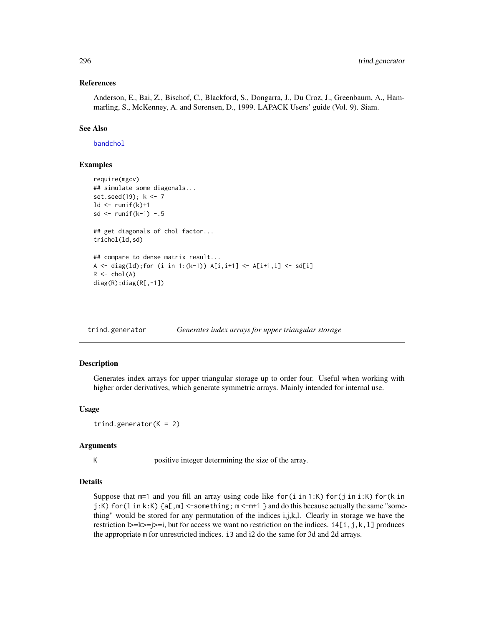#### References

Anderson, E., Bai, Z., Bischof, C., Blackford, S., Dongarra, J., Du Croz, J., Greenbaum, A., Hammarling, S., McKenney, A. and Sorensen, D., 1999. LAPACK Users' guide (Vol. 9). Siam.

#### See Also

[bandchol](#page-14-0)

# Examples

```
require(mgcv)
## simulate some diagonals...
set.seed(19); k <- 7
ld \leftarrow runif(k)+1sd \le runif(k-1) -.5
## get diagonals of chol factor...
trichol(ld,sd)
## compare to dense matrix result...
A <- diag(ld); for (i in 1:(k-1)) A[i,i+1] <- A[i+1,i] <- sd[i]
R \leftarrow \text{chol}(A)diag(R);diag(R[,-1])
```
trind.generator *Generates index arrays for upper triangular storage*

#### Description

Generates index arrays for upper triangular storage up to order four. Useful when working with higher order derivatives, which generate symmetric arrays. Mainly intended for internal use.

#### Usage

```
trind.generator(K = 2)
```
#### Arguments

K positive integer determining the size of the array.

# Details

Suppose that  $m=1$  and you fill an array using code like for(i in 1:K) for(j in i:K) for(k in  $j:K$ ) for (1 in k:K)  $\{a[, m\}$  <-something;  $m < m+1$  } and do this because actually the same "something" would be stored for any permutation of the indices i,j,k,l. Clearly in storage we have the restriction  $|>=k>=j>=i$ , but for access we want no restriction on the indices.  $i[1,j,k,l]$  produces the appropriate m for unrestricted indices. i3 and i2 do the same for 3d and 2d arrays.

<span id="page-295-0"></span>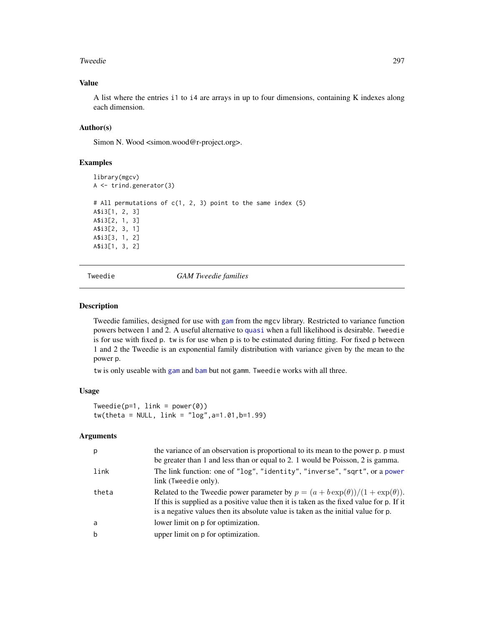#### <span id="page-296-1"></span>Tweedie 297

# Value

A list where the entries i1 to i4 are arrays in up to four dimensions, containing K indexes along each dimension.

# Author(s)

Simon N. Wood <simon.wood@r-project.org>.

#### Examples

```
library(mgcv)
A <- trind.generator(3)
# All permutations of c(1, 2, 3) point to the same index (5)
A$i3[1, 2, 3]
A$i3[2, 1, 3]
A$i3[2, 3, 1]
A$i3[3, 1, 2]
A$i3[1, 3, 2]
```
<span id="page-296-0"></span>Tweedie *GAM Tweedie families*

#### Description

Tweedie families, designed for use with [gam](#page-47-0) from the mgcv library. Restricted to variance function powers between 1 and 2. A useful alternative to [quasi](#page-0-0) when a full likelihood is desirable. Tweedie is for use with fixed p. tw is for use when p is to be estimated during fitting. For fixed p between 1 and 2 the Tweedie is an exponential family distribution with variance given by the mean to the power p.

tw is only useable with [gam](#page-47-0) and [bam](#page-6-0) but not gamm. Tweedie works with all three.

# Usage

```
Tweedie(p=1, link = power(0))
tw(theta = NULL, link = "log", a=1.01, b=1.99)
```
#### Arguments

| p           | the variance of an observation is proportional to its mean to the power p. p must<br>be greater than 1 and less than or equal to 2. 1 would be Poisson, 2 is gamma.                                                                                                       |
|-------------|---------------------------------------------------------------------------------------------------------------------------------------------------------------------------------------------------------------------------------------------------------------------------|
| link        | The link function: one of "log", "identity", "inverse", "sqrt", or a power<br>link (Tweedie only).                                                                                                                                                                        |
| theta       | Related to the Tweedie power parameter by $p = (a + b \exp(\theta))/(1 + \exp(\theta)).$<br>If this is supplied as a positive value then it is taken as the fixed value for p. If it<br>is a negative values then its absolute value is taken as the initial value for p. |
| a           | lower limit on p for optimization.                                                                                                                                                                                                                                        |
| $\mathbf b$ | upper limit on p for optimization.                                                                                                                                                                                                                                        |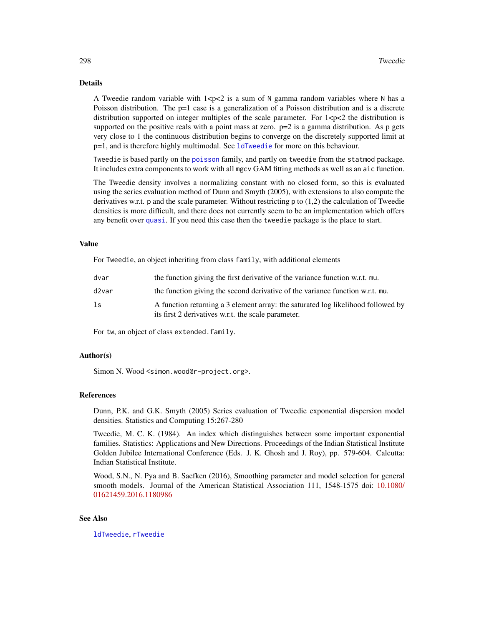#### <span id="page-297-0"></span>Details

A Tweedie random variable with  $1 < p < 2$  is a sum of N gamma random variables where N has a Poisson distribution. The  $p=1$  case is a generalization of a Poisson distribution and is a discrete distribution supported on integer multiples of the scale parameter. For  $1 < p < 2$  the distribution is supported on the positive reals with a point mass at zero.  $p=2$  is a gamma distribution. As p gets very close to 1 the continuous distribution begins to converge on the discretely supported limit at p=1, and is therefore highly multimodal. See [ldTweedie](#page-126-0) for more on this behaviour.

Tweedie is based partly on the [poisson](#page-0-0) family, and partly on tweedie from the statmod package. It includes extra components to work with all mgcv GAM fitting methods as well as an aic function.

The Tweedie density involves a normalizing constant with no closed form, so this is evaluated using the series evaluation method of Dunn and Smyth (2005), with extensions to also compute the derivatives w.r.t. p and the scale parameter. Without restricting p to (1,2) the calculation of Tweedie densities is more difficult, and there does not currently seem to be an implementation which offers any benefit over [quasi](#page-0-0). If you need this case then the tweedie package is the place to start.

#### Value

For Tweedie, an object inheriting from class family, with additional elements

| dvar  | the function giving the first derivative of the variance function w.r.t. mu.                                                            |
|-------|-----------------------------------------------------------------------------------------------------------------------------------------|
| d2var | the function giving the second derivative of the variance function w.r.t. mu.                                                           |
| ls    | A function returning a 3 element array: the saturated log likelihood followed by<br>its first 2 derivatives w.r.t. the scale parameter. |

For tw, an object of class extended.family.

#### Author(s)

Simon N. Wood <simon.wood@r-project.org>.

#### References

Dunn, P.K. and G.K. Smyth (2005) Series evaluation of Tweedie exponential dispersion model densities. Statistics and Computing 15:267-280

Tweedie, M. C. K. (1984). An index which distinguishes between some important exponential families. Statistics: Applications and New Directions. Proceedings of the Indian Statistical Institute Golden Jubilee International Conference (Eds. J. K. Ghosh and J. Roy), pp. 579-604. Calcutta: Indian Statistical Institute.

Wood, S.N., N. Pya and B. Saefken (2016), Smoothing parameter and model selection for general smooth models. Journal of the American Statistical Association 111, 1548-1575 doi: [10.1080/](https://doi.org/10.1080/01621459.2016.1180986) [01621459.2016.1180986](https://doi.org/10.1080/01621459.2016.1180986)

# See Also

[ldTweedie](#page-126-0), [rTweedie](#page-207-0)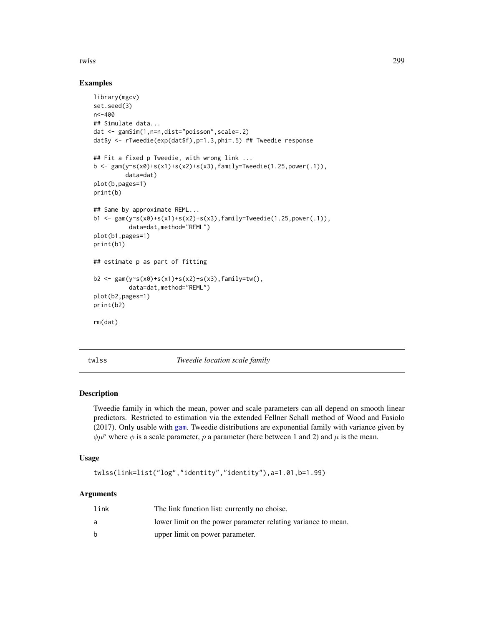<span id="page-298-0"></span>twlss 299

# Examples

```
library(mgcv)
set.seed(3)
n<-400
## Simulate data...
dat <- gamSim(1,n=n,dist="poisson",scale=.2)
dat$y <- rTweedie(exp(dat$f),p=1.3,phi=.5) ## Tweedie response
## Fit a fixed p Tweedie, with wrong link ...
b \leq gam(y\text{~s}(x0) + s(x1) + s(x2) + s(x3), family=Tweedie(1.25, power(.1)),
         data=dat)
plot(b,pages=1)
print(b)
## Same by approximate REML...
b1 <- gam(y~s(x0)+s(x1)+s(x2)+s(x3),family=Tweedie(1.25,power(.1)),
          data=dat,method="REML")
plot(b1,pages=1)
print(b1)
## estimate p as part of fitting
b2 \leq \text{gam}(y \sim s(x0) + s(x1) + s(x2) + s(x3), family=tw(),
          data=dat,method="REML")
plot(b2,pages=1)
print(b2)
rm(dat)
```
twlss *Tweedie location scale family*

# Description

Tweedie family in which the mean, power and scale parameters can all depend on smooth linear predictors. Restricted to estimation via the extended Fellner Schall method of Wood and Fasiolo (2017). Only usable with [gam](#page-47-0). Tweedie distributions are exponential family with variance given by  $\phi\mu^p$  where  $\phi$  is a scale parameter, p a parameter (here between 1 and 2) and  $\mu$  is the mean.

# Usage

```
twlss(link=list("log","identity","identity"),a=1.01,b=1.99)
```
# Arguments

| link | The link function list: currently no choise.                  |
|------|---------------------------------------------------------------|
| a    | lower limit on the power parameter relating variance to mean. |
| h    | upper limit on power parameter.                               |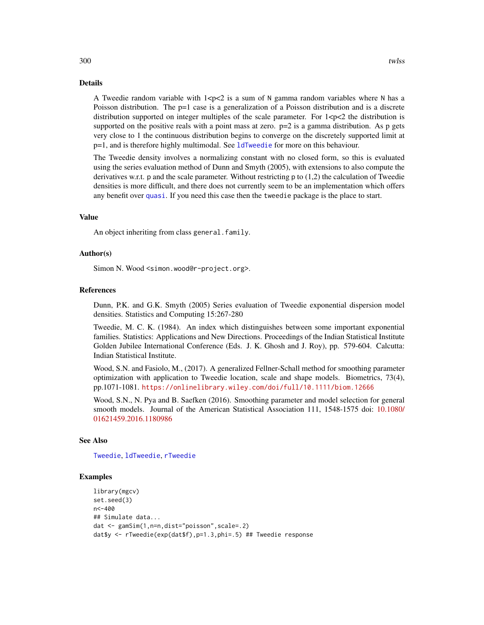#### Details

A Tweedie random variable with  $1 < p < 2$  is a sum of N gamma random variables where N has a Poisson distribution. The p=1 case is a generalization of a Poisson distribution and is a discrete distribution supported on integer multiples of the scale parameter. For  $1 < p < 2$  the distribution is supported on the positive reals with a point mass at zero.  $p=2$  is a gamma distribution. As p gets very close to 1 the continuous distribution begins to converge on the discretely supported limit at p=1, and is therefore highly multimodal. See [ldTweedie](#page-126-0) for more on this behaviour.

The Tweedie density involves a normalizing constant with no closed form, so this is evaluated using the series evaluation method of Dunn and Smyth (2005), with extensions to also compute the derivatives w.r.t. p and the scale parameter. Without restricting p to (1,2) the calculation of Tweedie densities is more difficult, and there does not currently seem to be an implementation which offers any benefit over [quasi](#page-0-0). If you need this case then the tweedie package is the place to start.

# Value

An object inheriting from class general.family.

#### Author(s)

Simon N. Wood <simon.wood@r-project.org>.

#### References

Dunn, P.K. and G.K. Smyth (2005) Series evaluation of Tweedie exponential dispersion model densities. Statistics and Computing 15:267-280

Tweedie, M. C. K. (1984). An index which distinguishes between some important exponential families. Statistics: Applications and New Directions. Proceedings of the Indian Statistical Institute Golden Jubilee International Conference (Eds. J. K. Ghosh and J. Roy), pp. 579-604. Calcutta: Indian Statistical Institute.

Wood, S.N. and Fasiolo, M., (2017). A generalized Fellner-Schall method for smoothing parameter optimization with application to Tweedie location, scale and shape models. Biometrics, 73(4), pp.1071-1081. <https://onlinelibrary.wiley.com/doi/full/10.1111/biom.12666>

Wood, S.N., N. Pya and B. Saefken (2016). Smoothing parameter and model selection for general smooth models. Journal of the American Statistical Association 111, 1548-1575 doi: [10.1080/](https://doi.org/10.1080/01621459.2016.1180986) [01621459.2016.1180986](https://doi.org/10.1080/01621459.2016.1180986)

# See Also

[Tweedie](#page-296-0), [ldTweedie](#page-126-0), [rTweedie](#page-207-0)

#### Examples

```
library(mgcv)
set.seed(3)
n < -400## Simulate data...
dat <- gamSim(1,n=n,dist="poisson",scale=.2)
dat$y <- rTweedie(exp(dat$f),p=1.3,phi=.5) ## Tweedie response
```
<span id="page-299-0"></span>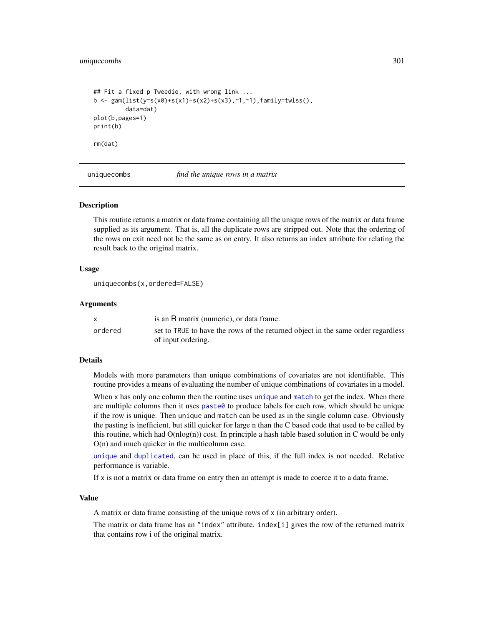# <span id="page-300-0"></span>uniquecombs 301

```
## Fit a fixed p Tweedie, with wrong link ...
b <- gam(list(y~s(x0)+s(x1)+s(x2)+s(x3),~1,~1),family=twlss(),
         data=dat)
plot(b,pages=1)
print(b)
rm(dat)
```
uniquecombs *find the unique rows in a matrix*

#### Description

This routine returns a matrix or data frame containing all the unique rows of the matrix or data frame supplied as its argument. That is, all the duplicate rows are stripped out. Note that the ordering of the rows on exit need not be the same as on entry. It also returns an index attribute for relating the result back to the original matrix.

#### Usage

```
uniquecombs(x,ordered=FALSE)
```
#### Arguments

|         | is an R matrix (numeric), or data frame.                                         |
|---------|----------------------------------------------------------------------------------|
| ordered | set to TRUE to have the rows of the returned object in the same order regardless |
|         | of input ordering.                                                               |

#### Details

Models with more parameters than unique combinations of covariates are not identifiable. This routine provides a means of evaluating the number of unique combinations of covariates in a model.

When x has only one column then the routine uses [unique](#page-0-0) and [match](#page-0-0) to get the index. When there are multiple columns then it uses paste $\theta$  to produce labels for each row, which should be unique if the row is unique. Then unique and match can be used as in the single column case. Obviously the pasting is inefficient, but still quicker for large n than the C based code that used to be called by this routine, which had  $O(n \log(n))$  cost. In principle a hash table based solution in C would be only O(n) and much quicker in the multicolumn case.

[unique](#page-0-0) and [duplicated](#page-0-0), can be used in place of this, if the full index is not needed. Relative performance is variable.

If x is not a matrix or data frame on entry then an attempt is made to coerce it to a data frame.

#### Value

A matrix or data frame consisting of the unique rows of x (in arbitrary order).

The matrix or data frame has an "index" attribute. index $[i]$  gives the row of the returned matrix that contains row i of the original matrix.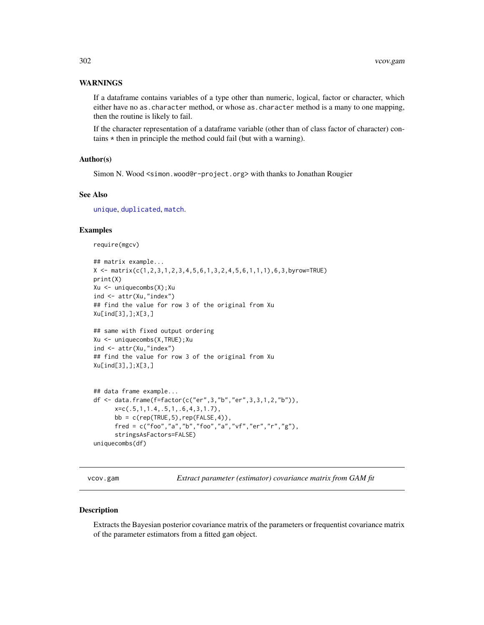# <span id="page-301-0"></span>WARNINGS

If a dataframe contains variables of a type other than numeric, logical, factor or character, which either have no as.character method, or whose as.character method is a many to one mapping, then the routine is likely to fail.

If the character representation of a dataframe variable (other than of class factor of character) contains  $*$  then in principle the method could fail (but with a warning).

### Author(s)

Simon N. Wood <simon.wood@r-project.org> with thanks to Jonathan Rougier

# See Also

[unique](#page-0-0), [duplicated](#page-0-0), [match](#page-0-0).

# Examples

```
require(mgcv)
```

```
## matrix example...
X \leq - matrix(c(1,2,3,1,2,3,4,5,6,1,3,2,4,5,6,1,1,1),6,3,byrow=TRUE)
print(X)
Xu <- uniquecombs(X);Xu
ind <- attr(Xu,"index")
## find the value for row 3 of the original from Xu
Xu[ind[3],];X[3,]
```

```
## same with fixed output ordering
Xu <- uniquecombs(X,TRUE);Xu
ind <- attr(Xu,"index")
## find the value for row 3 of the original from Xu
Xu[ind[3],];X[3,]
```

```
## data frame example...
df <- data.frame(f=factor(c("er",3,"b","er",3,3,1,2,"b")),
     x=c(.5,1,1.4,.5,1,.6,4,3,1.7),
     bb = c(rep(TRUE,5),rep(FALSE,4)),fred = c("foo","a","b","foo","a","vf","er","r","g"),
     stringsAsFactors=FALSE)
uniquecombs(df)
```
vcov.gam *Extract parameter (estimator) covariance matrix from GAM fit*

#### Description

Extracts the Bayesian posterior covariance matrix of the parameters or frequentist covariance matrix of the parameter estimators from a fitted gam object.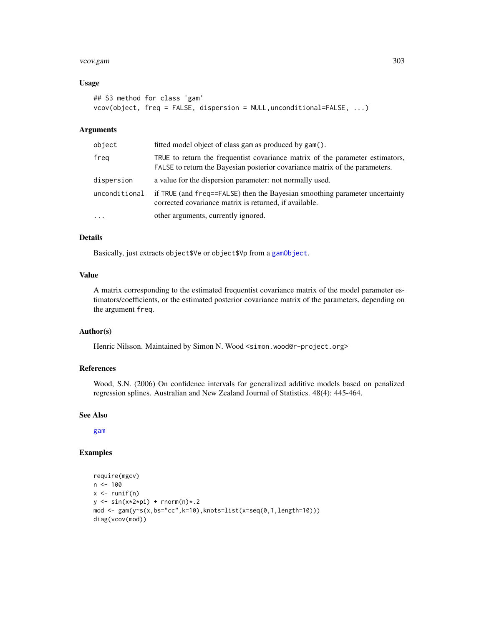#### <span id="page-302-0"></span>vcov.gam 303

#### Usage

```
## S3 method for class 'gam'
vcov(object, freq = FALSE, dispersion = NULL,unconditional=FALSE, ...)
```
# Arguments

| object        | fitted model object of class gam as produced by gam().                                                                                                       |
|---------------|--------------------------------------------------------------------------------------------------------------------------------------------------------------|
| freg          | TRUE to return the frequentist covariance matrix of the parameter estimators,<br>FALSE to return the Bayesian posterior covariance matrix of the parameters. |
| dispersion    | a value for the dispersion parameter: not normally used.                                                                                                     |
| unconditional | if TRUE (and freq==FALSE) then the Bayesian smoothing parameter uncertainty<br>corrected covariance matrix is returned, if available.                        |
| $\cdots$      | other arguments, currently ignored.                                                                                                                          |

#### Details

Basically, just extracts object\$Ve or object\$Vp from a [gamObject](#page-99-0).

# Value

A matrix corresponding to the estimated frequentist covariance matrix of the model parameter estimators/coefficients, or the estimated posterior covariance matrix of the parameters, depending on the argument freq.

# Author(s)

Henric Nilsson. Maintained by Simon N. Wood <simon.wood@r-project.org>

# References

Wood, S.N. (2006) On confidence intervals for generalized additive models based on penalized regression splines. Australian and New Zealand Journal of Statistics. 48(4): 445-464.

#### See Also

[gam](#page-47-0)

# Examples

```
require(mgcv)
n < -100x \leftarrow runif(n)y \le -\sin(x \times 2 \times pi) + \text{norm}(n) \times .2mod \leq gam(y\leq(x,bs="cc",k=10),knots=list(x=seq(0,1,length=10)))
diag(vcov(mod))
```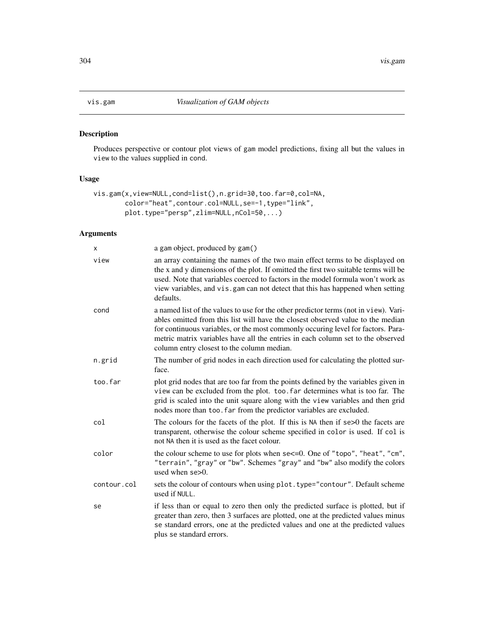# <span id="page-303-0"></span>Description

Produces perspective or contour plot views of gam model predictions, fixing all but the values in view to the values supplied in cond.

# Usage

```
vis.gam(x,view=NULL,cond=list(),n.grid=30,too.far=0,col=NA,
       color="heat",contour.col=NULL,se=-1,type="link",
       plot.type="persp",zlim=NULL,nCol=50,...)
```
# Arguments

| x           | a gam object, produced by gam()                                                                                                                                                                                                                                                                                                                                                              |
|-------------|----------------------------------------------------------------------------------------------------------------------------------------------------------------------------------------------------------------------------------------------------------------------------------------------------------------------------------------------------------------------------------------------|
| view        | an array containing the names of the two main effect terms to be displayed on<br>the x and y dimensions of the plot. If omitted the first two suitable terms will be<br>used. Note that variables coerced to factors in the model formula won't work as<br>view variables, and vis.gam can not detect that this has happened when setting<br>defaults.                                       |
| cond        | a named list of the values to use for the other predictor terms (not in view). Vari-<br>ables omitted from this list will have the closest observed value to the median<br>for continuous variables, or the most commonly occuring level for factors. Para-<br>metric matrix variables have all the entries in each column set to the observed<br>column entry closest to the column median. |
| n.grid      | The number of grid nodes in each direction used for calculating the plotted sur-<br>face.                                                                                                                                                                                                                                                                                                    |
| too.far     | plot grid nodes that are too far from the points defined by the variables given in<br>view can be excluded from the plot. too. far determines what is too far. The<br>grid is scaled into the unit square along with the view variables and then grid<br>nodes more than too. far from the predictor variables are excluded.                                                                 |
| col         | The colours for the facets of the plot. If this is NA then if $se>0$ the facets are<br>transparent, otherwise the colour scheme specified in color is used. If col is<br>not NA then it is used as the facet colour.                                                                                                                                                                         |
| color       | the colour scheme to use for plots when se<=0. One of "topo", "heat", "cm",<br>"terrain", "gray" or "bw". Schemes "gray" and "bw" also modify the colors<br>used when $se>0$ .                                                                                                                                                                                                               |
| contour.col | sets the colour of contours when using plot. type="contour". Default scheme<br>used if NULL.                                                                                                                                                                                                                                                                                                 |
| se          | if less than or equal to zero then only the predicted surface is plotted, but if<br>greater than zero, then 3 surfaces are plotted, one at the predicted values minus<br>se standard errors, one at the predicted values and one at the predicted values<br>plus se standard errors.                                                                                                         |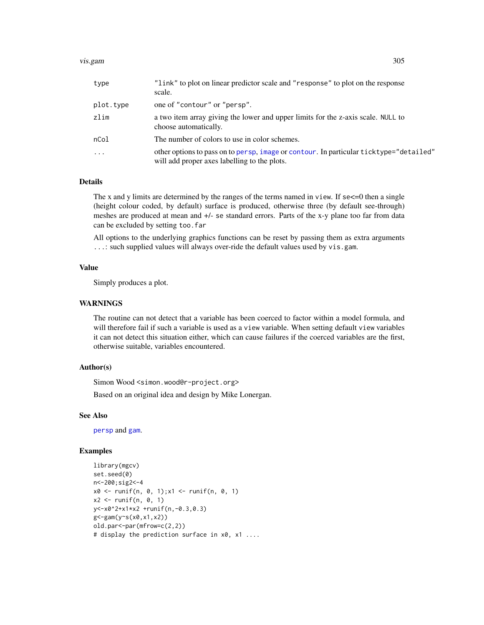#### <span id="page-304-0"></span>vis.gam 305

| type      | "link" to plot on linear predictor scale and "response" to plot on the response<br>scale.                                              |
|-----------|----------------------------------------------------------------------------------------------------------------------------------------|
| plot.type | one of "contour" or "persp".                                                                                                           |
| zlim      | a two item array giving the lower and upper limits for the z-axis scale. NULL to<br>choose automatically.                              |
| nCol      | The number of colors to use in color schemes.                                                                                          |
| $\cdots$  | other options to pass on to persp, image or contour. In particular ticktype="detailed"<br>will add proper axes labelling to the plots. |

# Details

The x and y limits are determined by the ranges of the terms named in view. If se $\leq$ =0 then a single (height colour coded, by default) surface is produced, otherwise three (by default see-through) meshes are produced at mean and +/- se standard errors. Parts of the x-y plane too far from data can be excluded by setting too.far

All options to the underlying graphics functions can be reset by passing them as extra arguments ...: such supplied values will always over-ride the default values used by vis.gam.

#### Value

Simply produces a plot.

# WARNINGS

The routine can not detect that a variable has been coerced to factor within a model formula, and will therefore fail if such a variable is used as a view variable. When setting default view variables it can not detect this situation either, which can cause failures if the coerced variables are the first, otherwise suitable, variables encountered.

# Author(s)

Simon Wood <simon.wood@r-project.org>

Based on an original idea and design by Mike Lonergan.

#### See Also

[persp](#page-0-0) and [gam](#page-47-0).

#### Examples

```
library(mgcv)
set.seed(0)
n<-200;sig2<-4
x0 \le runif(n, 0, 1);x1 \le runif(n, 0, 1)
x2 \le- runif(n, 0, 1)
y<-x0^2+x1*x2 +runif(n,-0.3,0.3)
g<-gam(y~s(x0,x1,x2))
old.par<-par(mfrow=c(2,2))
# display the prediction surface in x0, x1 ....
```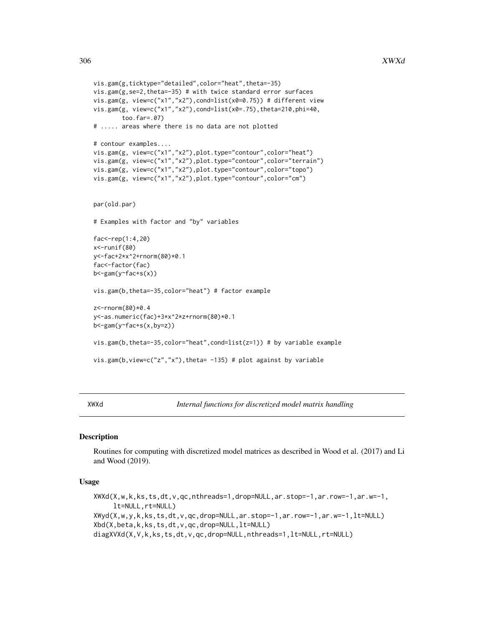```
vis.gam(g,ticktype="detailed",color="heat",theta=-35)
vis.gam(g,se=2,theta=-35) # with twice standard error surfaces
vis.gam(g, view=c("x1","x2"),cond=list(x0=0.75)) # different view
vis.gam(g, view=c("x1","x2"),cond=list(x0=.75),theta=210,phi=40,
       too.far=.07)
# ..... areas where there is no data are not plotted
# contour examples....
vis.gam(g, view=c("x1","x2"),plot.type="contour",color="heat")
vis.gam(g, view=c("x1","x2"),plot.type="contour",color="terrain")
vis.gam(g, view=c("x1","x2"),plot.type="contour",color="topo")
vis.gam(g, view=c("x1","x2"),plot.type="contour",color="cm")
par(old.par)
# Examples with factor and "by" variables
fac<-rep(1:4,20)
x<-runif(80)
y<-fac+2*x^2+rnorm(80)*0.1
fac<-factor(fac)
b<-gam(y~fac+s(x))
vis.gam(b,theta=-35,color="heat") # factor example
z<-rnorm(80)*0.4
y<-as.numeric(fac)+3*x^2*z+rnorm(80)*0.1
b<-gam(y~fac+s(x,by=z))
vis.gam(b,theta=-35,color="heat",cond=list(z=1)) # by variable example
vis.gam(b, view=c("z","x"), theta= -135) # plot against by variable
```
XWXd *Internal functions for discretized model matrix handling*

# Description

Routines for computing with discretized model matrices as described in Wood et al. (2017) and Li and Wood (2019).

#### Usage

```
XWXd(X,w,k,ks,ts,dt,v,qc,nthreads=1,drop=NULL,ar.stop=-1,ar.row=-1,ar.w=-1,
     lt=NULL,rt=NULL)
XWyd(X,w,y,k,ks,ts,dt,v,qc,drop=NULL,ar.stop=-1,ar.row=-1,ar.w=-1,lt=NULL)
Xbd(X,beta,k,ks,ts,dt,v,qc,drop=NULL,lt=NULL)
diagXVXd(X,V,k,ks,ts,dt,v,qc,drop=NULL,nthreads=1,lt=NULL,rt=NULL)
```
<span id="page-305-0"></span>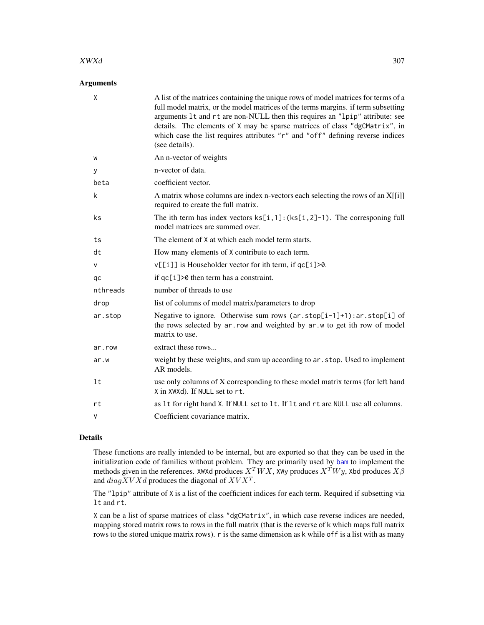#### <span id="page-306-0"></span> $XWXd$  307

# Arguments

| $\mathsf{X}$ | A list of the matrices containing the unique rows of model matrices for terms of a<br>full model matrix, or the model matrices of the terms margins. if term subsetting<br>arguments 1t and rt are non-NULL then this requires an "1pip" attribute: see<br>details. The elements of X may be sparse matrices of class "dgCMatrix", in<br>which case the list requires attributes "r" and "off" defining reverse indices<br>(see details). |
|--------------|-------------------------------------------------------------------------------------------------------------------------------------------------------------------------------------------------------------------------------------------------------------------------------------------------------------------------------------------------------------------------------------------------------------------------------------------|
| W            | An n-vector of weights                                                                                                                                                                                                                                                                                                                                                                                                                    |
| у            | n-vector of data.                                                                                                                                                                                                                                                                                                                                                                                                                         |
| beta         | coefficient vector.                                                                                                                                                                                                                                                                                                                                                                                                                       |
| k            | A matrix whose columns are index n-vectors each selecting the rows of an X[[i]]<br>required to create the full matrix.                                                                                                                                                                                                                                                                                                                    |
| ks.          | The ith term has index vectors $ks[i, 1]$ : $(ks[i, 2]-1)$ . The corresponing full<br>model matrices are summed over.                                                                                                                                                                                                                                                                                                                     |
| ts           | The element of X at which each model term starts.                                                                                                                                                                                                                                                                                                                                                                                         |
| dt           | How many elements of X contribute to each term.                                                                                                                                                                                                                                                                                                                                                                                           |
| v            | v[[i]] is Householder vector for ith term, if qc[i]>0.                                                                                                                                                                                                                                                                                                                                                                                    |
| qc           | if qc[i]>0 then term has a constraint.                                                                                                                                                                                                                                                                                                                                                                                                    |
| nthreads     | number of threads to use                                                                                                                                                                                                                                                                                                                                                                                                                  |
| drop         | list of columns of model matrix/parameters to drop                                                                                                                                                                                                                                                                                                                                                                                        |
| ar.stop      | Negative to ignore. Otherwise sum rows $(ar.stop[i-1]+1):ar.stop[i]$ of<br>the rows selected by ar.row and weighted by ar.w to get ith row of model<br>matrix to use.                                                                                                                                                                                                                                                                     |
| ar.row       | extract these rows                                                                                                                                                                                                                                                                                                                                                                                                                        |
| ar.w         | weight by these weights, and sum up according to ar. stop. Used to implement<br>AR models.                                                                                                                                                                                                                                                                                                                                                |
| lt           | use only columns of X corresponding to these model matrix terms (for left hand<br>X in XWXd). If NULL set to rt.                                                                                                                                                                                                                                                                                                                          |
| rt           | as 1t for right hand X. If NULL set to 1t. If 1t and rt are NULL use all columns.                                                                                                                                                                                                                                                                                                                                                         |
| V            | Coefficient covariance matrix.                                                                                                                                                                                                                                                                                                                                                                                                            |

# Details

These functions are really intended to be internal, but are exported so that they can be used in the initialization code of families without problem. They are primarily used by [bam](#page-6-0) to implement the methods given in the references. XWXd produces  $X^TWX$ , XWy produces  $X^TW$ , Xbd produces  $X\beta$ and  $diagXVXd$  produces the diagonal of  $XVX<sup>T</sup>$ .

The "lpip" attribute of X is a list of the coefficient indices for each term. Required if subsetting via lt and rt.

X can be a list of sparse matrices of class "dgCMatrix", in which case reverse indices are needed, mapping stored matrix rows to rows in the full matrix (that is the reverse of k which maps full matrix rows to the stored unique matrix rows). r is the same dimension as k while off is a list with as many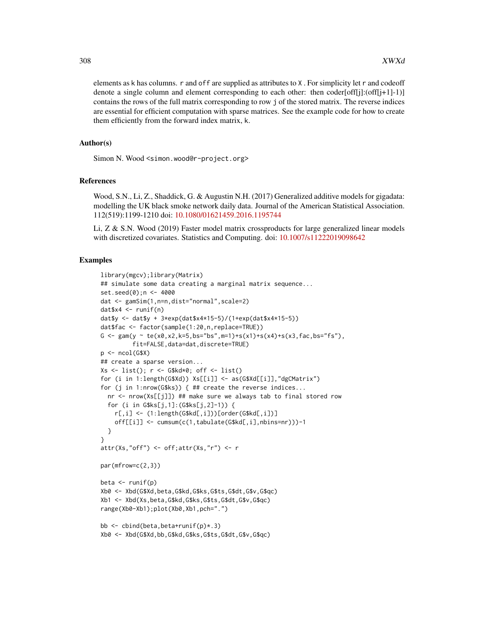elements as k has columns. r and off are supplied as attributes to X . For simplicity let r and codeoff denote a single column and element corresponding to each other: then  $\text{codef}[j]$ : $\text{(off}[j+1]-1)$ ] contains the rows of the full matrix corresponding to row j of the stored matrix. The reverse indices are essential for efficient computation with sparse matrices. See the example code for how to create them efficiently from the forward index matrix, k.

#### Author(s)

Simon N. Wood <simon.wood@r-project.org>

#### References

Wood, S.N., Li, Z., Shaddick, G. & Augustin N.H. (2017) Generalized additive models for gigadata: modelling the UK black smoke network daily data. Journal of the American Statistical Association. 112(519):1199-1210 doi: [10.1080/01621459.2016.1195744](https://doi.org/10.1080/01621459.2016.1195744)

Li, Z & S.N. Wood (2019) Faster model matrix crossproducts for large generalized linear models with discretized covariates. Statistics and Computing. doi: [10.1007/s11222019098642](https://doi.org/10.1007/s11222-019-09864-2)

#### Examples

```
library(mgcv);library(Matrix)
## simulate some data creating a marginal matrix sequence...
set.seed(0);n <- 4000
dat <- gamSim(1,n=n,dist="normal",scale=2)
datx4 < - runif(n)
dat$y <- dat$y + 3*exp(dat$x4*15-5)/(1+exp(dat$x4*15-5))
dat$fac <- factor(sample(1:20,n,replace=TRUE))
G <- gam(y ~ te(x0,x2,k=5,bs="bs",m=1)+s(x1)+s(x4)+s(x3,fac,bs="fs"),
         fit=FALSE,data=dat,discrete=TRUE)
p \leftarrow \text{ncol}(G$X)## create a sparse version...
Xs \leftarrow list(); r \leftarrow G$kd*0; off \leftarrow list()for (i in 1:length(G$Xd)) Xs[[i]] <- as(G$Xd[[i]],"dgCMatrix")
for (j in 1:nrow(G$ks)) { ## create the reverse indices...
  nr <- nrow(Xs[[j]]) ## make sure we always tab to final stored row
  for (i in G$ks[j,1]:(G$ks[j,2]-1)) {
    r[,i] <- (1:length(G$kd[,i]))[order(G$kd[,i])]off[[i]] \leftarrow cumsum(c(1,tabulate(G$kd[, i], nbins=nr))) - 1}
}
attr(Xs,"off") <- off;attr(Xs,"r") <- r
par(mfrow=c(2,3))
beta \leftarrow runif(p)
Xb0 <- Xbd(G$Xd,beta,G$kd,G$ks,G$ts,G$dt,G$v,G$qc)
Xb1 <- Xbd(Xs,beta,G$kd,G$ks,G$ts,G$dt,G$v,G$qc)
range(Xb0-Xb1);plot(Xb0,Xb1,pch=".")
bb \le cbind(beta, beta+runif(p) \star.3)
Xb0 <- Xbd(G$Xd,bb,G$kd,G$ks,G$ts,G$dt,G$v,G$qc)
```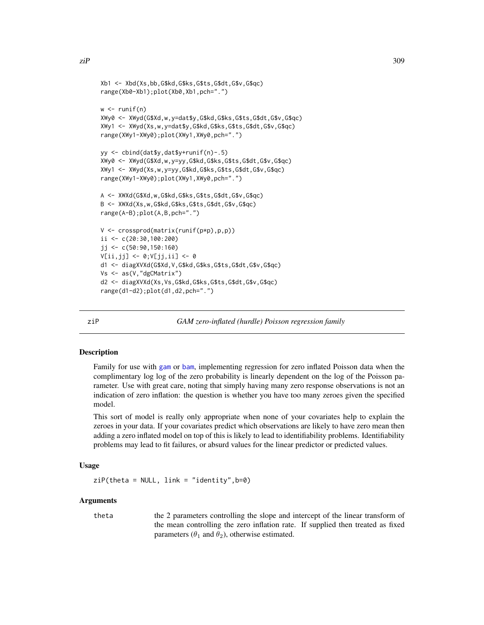```
Xb1 <- Xbd(Xs,bb,G$kd,G$ks,G$ts,G$dt,G$v,G$qc)
range(Xb0-Xb1);plot(Xb0,Xb1,pch=".")
w \leftarrow runif(n)XWy0 <- XWyd(G$Xd,w,y=dat$y,G$kd,G$ks,G$ts,G$dt,G$v,G$qc)
XWy1 <- XWyd(Xs,w,y=dat$y,G$kd,G$ks,G$ts,G$dt,G$v,G$qc)
range(XWy1-XWy0);plot(XWy1,XWy0,pch=".")
yy <- cbind(dat$y,dat$y+runif(n)-.5)
XWy0 <- XWyd(G$Xd,w,y=yy,G$kd,G$ks,G$ts,G$dt,G$v,G$qc)
XWy1 <- XWyd(Xs,w,y=yy,G$kd,G$ks,G$ts,G$dt,G$v,G$qc)
range(XWy1-XWy0);plot(XWy1,XWy0,pch=".")
A <- XWXd(G$Xd,w,G$kd,G$ks,G$ts,G$dt,G$v,G$qc)
B <- XWXd(Xs,w,G$kd,G$ks,G$ts,G$dt,G$v,G$qc)
range(A-B);plot(A,B,pch=".")
V <- crossprod(matrix(runif(p*p),p,p))
ii <- c(20:30,100:200)
jj <- c(50:90,150:160)
V[ii,jj] <- 0;V[jj,ii] <- 0
d1 <- diagXVXd(G$Xd,V,G$kd,G$ks,G$ts,G$dt,G$v,G$qc)
Vs <- as(V,"dgCMatrix")
d2 <- diagXVXd(Xs,Vs,G$kd,G$ks,G$ts,G$dt,G$v,G$qc)
range(d1-d2);plot(d1,d2,pch=".")
```
ziP *GAM zero-inflated (hurdle) Poisson regression family*

#### Description

Family for use with [gam](#page-47-0) or [bam](#page-6-0), implementing regression for zero inflated Poisson data when the complimentary log log of the zero probability is linearly dependent on the log of the Poisson parameter. Use with great care, noting that simply having many zero response observations is not an indication of zero inflation: the question is whether you have too many zeroes given the specified model.

This sort of model is really only appropriate when none of your covariates help to explain the zeroes in your data. If your covariates predict which observations are likely to have zero mean then adding a zero inflated model on top of this is likely to lead to identifiability problems. Identifiability problems may lead to fit failures, or absurd values for the linear predictor or predicted values.

#### Usage

```
zip(theta = NULL, link = "identity", b=0)
```
#### Arguments

theta the 2 parameters controlling the slope and intercept of the linear transform of the mean controlling the zero inflation rate. If supplied then treated as fixed parameters ( $\theta_1$  and  $\theta_2$ ), otherwise estimated.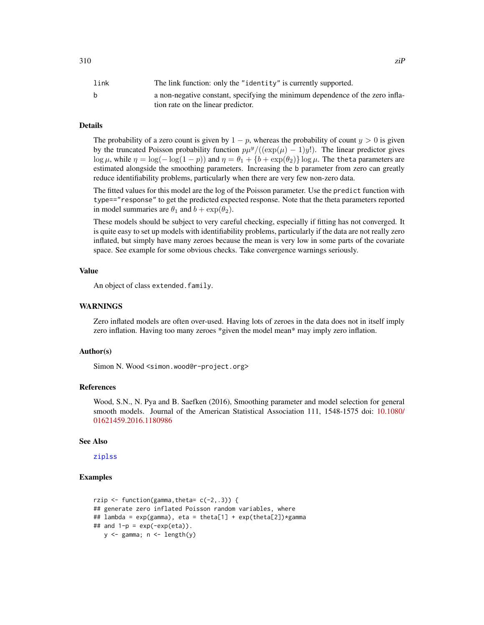# <span id="page-309-0"></span>Details

The probability of a zero count is given by  $1 - p$ , whereas the probability of count  $y > 0$  is given by the truncated Poisson probability function  $p\mu^{y}/((\exp(\mu)-1)y!)$ . The linear predictor gives log  $\mu$ , while  $\eta = \log(-\log(1 - p))$  and  $\eta = \theta_1 + \{b + \exp(\theta_2)\}\log \mu$ . The theta parameters are estimated alongside the smoothing parameters. Increasing the b parameter from zero can greatly reduce identifiability problems, particularly when there are very few non-zero data.

The fitted values for this model are the log of the Poisson parameter. Use the predict function with type=="response" to get the predicted expected response. Note that the theta parameters reported in model summaries are  $\theta_1$  and  $b + \exp(\theta_2)$ .

These models should be subject to very careful checking, especially if fitting has not converged. It is quite easy to set up models with identifiability problems, particularly if the data are not really zero inflated, but simply have many zeroes because the mean is very low in some parts of the covariate space. See example for some obvious checks. Take convergence warnings seriously.

#### Value

An object of class extended.family.

#### WARNINGS

Zero inflated models are often over-used. Having lots of zeroes in the data does not in itself imply zero inflation. Having too many zeroes \*given the model mean\* may imply zero inflation.

# Author(s)

Simon N. Wood <simon.wood@r-project.org>

#### References

Wood, S.N., N. Pya and B. Saefken (2016), Smoothing parameter and model selection for general smooth models. Journal of the American Statistical Association 111, 1548-1575 doi: [10.1080/](https://doi.org/10.1080/01621459.2016.1180986) [01621459.2016.1180986](https://doi.org/10.1080/01621459.2016.1180986)

#### See Also

[ziplss](#page-310-0)

#### Examples

```
rzip \le function(gamma, theta= c(-2, .3)) {
## generate zero inflated Poisson random variables, where
## lambda = exp(gamma), eta = theta[1] + exp(theta[2])*gamma
## and 1-p = \exp(-\exp(\epsilon t a)).
   y \leftarrow gamma; n \leftarrow length(y)
```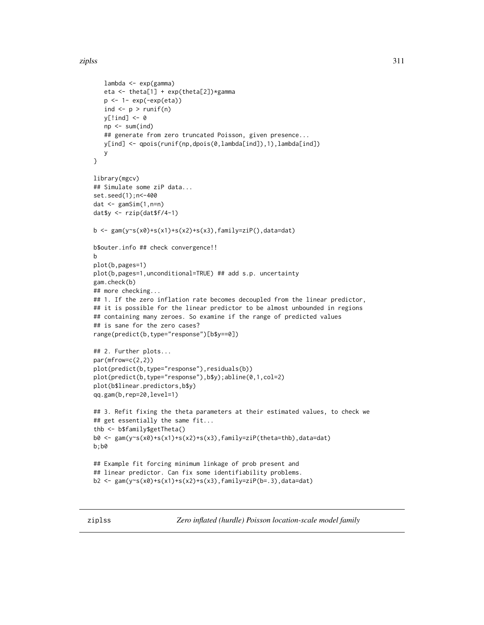#### <span id="page-310-1"></span>ziplss 311

```
lambda <- exp(gamma)
   eta <- theta[1] + exp(theta[2])*gamma
   p <- 1- exp(-exp(eta))
   ind \langle - p \rangle runif(n)
   y[!ind] <- 0
   np \leq -sum(ind)## generate from zero truncated Poisson, given presence...
   y[ind] <- qpois(runif(np,dpois(0,lambda[ind]),1),lambda[ind])
  y
}
library(mgcv)
## Simulate some ziP data...
set.seed(1);n<-400
dat <- gamSim(1,n=n)
dat$y <- rzip(dat$f/4-1)
b <- gam(y~s(x0)+s(x1)+s(x2)+s(x3),family=ziP(),data=dat)
b$outer.info ## check convergence!!
b
plot(b,pages=1)
plot(b,pages=1,unconditional=TRUE) ## add s.p. uncertainty
gam.check(b)
## more checking...
## 1. If the zero inflation rate becomes decoupled from the linear predictor,
## it is possible for the linear predictor to be almost unbounded in regions
## containing many zeroes. So examine if the range of predicted values
## is sane for the zero cases?
range(predict(b,type="response")[b$y==0])
## 2. Further plots...
par(mfrow=c(2,2))
plot(predict(b,type="response"),residuals(b))
plot(predict(b,type="response"),b$y);abline(0,1,col=2)
plot(b$linear.predictors,b$y)
qq.gam(b,rep=20,level=1)
## 3. Refit fixing the theta parameters at their estimated values, to check we
## get essentially the same fit...
thb <- b$family$getTheta()
b0 <- gam(y~s(x0)+s(x1)+s(x2)+s(x3),family=ziP(theta=thb),data=dat)
b;b0
## Example fit forcing minimum linkage of prob present and
## linear predictor. Can fix some identifiability problems.
b2 <- gam(y~s(x0)+s(x1)+s(x2)+s(x3),family=ziP(b=.3),data=dat)
```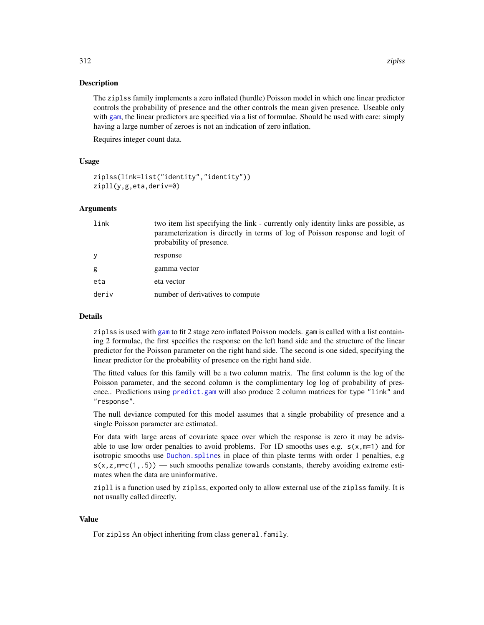#### Description

The ziplss family implements a zero inflated (hurdle) Poisson model in which one linear predictor controls the probability of presence and the other controls the mean given presence. Useable only with [gam](#page-47-0), the linear predictors are specified via a list of formulae. Should be used with care: simply having a large number of zeroes is not an indication of zero inflation.

Requires integer count data.

#### Usage

```
ziplss(link=list("identity","identity"))
zipll(y,g,eta,deriv=0)
```
## Arguments

| link  | two item list specifying the link - currently only identity links are possible, as<br>parameterization is directly in terms of log of Poisson response and logit of<br>probability of presence. |
|-------|-------------------------------------------------------------------------------------------------------------------------------------------------------------------------------------------------|
| y     | response                                                                                                                                                                                        |
| g     | gamma vector                                                                                                                                                                                    |
| eta   | eta vector                                                                                                                                                                                      |
| deriv | number of derivatives to compute                                                                                                                                                                |

#### Details

ziplss is used with [gam](#page-47-0) to fit 2 stage zero inflated Poisson models. gam is called with a list containing 2 formulae, the first specifies the response on the left hand side and the structure of the linear predictor for the Poisson parameter on the right hand side. The second is one sided, specifying the linear predictor for the probability of presence on the right hand side.

The fitted values for this family will be a two column matrix. The first column is the log of the Poisson parameter, and the second column is the complimentary log log of probability of presence.. Predictions using [predict.gam](#page-184-0) will also produce 2 column matrices for type "link" and "response".

The null deviance computed for this model assumes that a single probability of presence and a single Poisson parameter are estimated.

For data with large areas of covariate space over which the response is zero it may be advisable to use low order penalties to avoid problems. For 1D smooths uses e.g.  $s(x,m=1)$  and for isotropic smooths use [Duchon.spline](#page-235-0)s in place of thin plaste terms with order 1 penalties, e.g  $s(x, z, m=c(1,.5))$  — such smooths penalize towards constants, thereby avoiding extreme estimates when the data are uninformative.

zipll is a function used by ziplss, exported only to allow external use of the ziplss family. It is not usually called directly.

#### Value

For ziplss An object inheriting from class general.family.

<span id="page-311-0"></span>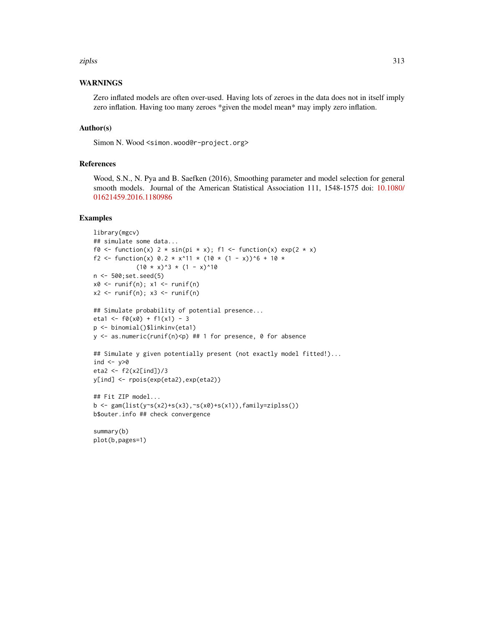#### ziplss 313

# WARNINGS

Zero inflated models are often over-used. Having lots of zeroes in the data does not in itself imply zero inflation. Having too many zeroes \*given the model mean\* may imply zero inflation.

#### Author(s)

Simon N. Wood <simon.wood@r-project.org>

### References

Wood, S.N., N. Pya and B. Saefken (2016), Smoothing parameter and model selection for general smooth models. Journal of the American Statistical Association 111, 1548-1575 doi: [10.1080/](https://doi.org/10.1080/01621459.2016.1180986) [01621459.2016.1180986](https://doi.org/10.1080/01621459.2016.1180986)

#### Examples

```
library(mgcv)
## simulate some data...
f0 <- function(x) 2 * sin(pi * x); f1 <- function(x) exp(2 \times x)f2 <- function(x) 0.2 * x^11 * (10 * (1 - x))^6 + 10 *
            (10 \times x)^3 * (1 - x)^10n <- 500;set.seed(5)
x0 \leftarrow runif(n); x1 \leftarrow runif(n)x2 \le runif(n); x3 \le runif(n)
## Simulate probability of potential presence...
eta1 <- f\theta(x\theta) + f1(x1) - 3p <- binomial()$linkinv(eta1)
y <- as.numeric(runif(n)<p) ## 1 for presence, 0 for absence
## Simulate y given potentially present (not exactly model fitted!)...
ind <- y>0eta2 <- f2(x2[ind])/3
y[ind] <- rpois(exp(eta2),exp(eta2))
## Fit ZIP model...
b \leq gam(list(y~s(x2)+s(x3),~s(x0)+s(x1)),family=ziplss())
b$outer.info ## check convergence
summary(b)
plot(b,pages=1)
```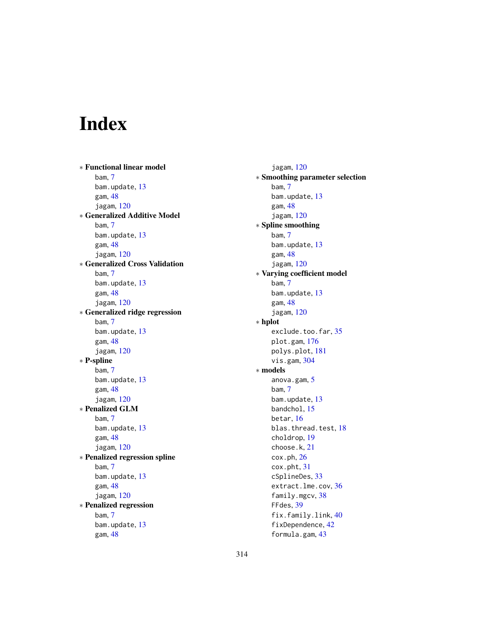# Index

∗ Functional linear model bam, [7](#page-6-1) bam.update, [13](#page-12-0) gam, [48](#page-47-1) jagam, [120](#page-119-0) ∗ Generalized Additive Model bam, [7](#page-6-1) bam.update, [13](#page-12-0) gam, [48](#page-47-1) jagam, [120](#page-119-0) ∗ Generalized Cross Validation bam, [7](#page-6-1) bam.update, [13](#page-12-0) gam, [48](#page-47-1) jagam, [120](#page-119-0) ∗ Generalized ridge regression bam, [7](#page-6-1) bam.update, [13](#page-12-0) gam, [48](#page-47-1) jagam, [120](#page-119-0) ∗ P-spline bam, [7](#page-6-1) bam.update, [13](#page-12-0) gam, [48](#page-47-1) jagam, [120](#page-119-0) ∗ Penalized GLM bam, [7](#page-6-1) bam.update, [13](#page-12-0) gam, [48](#page-47-1) jagam, [120](#page-119-0) ∗ Penalized regression spline bam, [7](#page-6-1) bam.update, [13](#page-12-0) gam, [48](#page-47-1) jagam, [120](#page-119-0) ∗ Penalized regression bam, [7](#page-6-1) bam.update, [13](#page-12-0) gam, [48](#page-47-1)

jagam, [120](#page-119-0) ∗ Smoothing parameter selection bam, [7](#page-6-1) bam.update, [13](#page-12-0) gam, [48](#page-47-1) jagam, [120](#page-119-0) ∗ Spline smoothing bam, [7](#page-6-1) bam.update, [13](#page-12-0) gam, [48](#page-47-1) jagam, [120](#page-119-0) ∗ Varying coefficient model bam, [7](#page-6-1) bam.update, [13](#page-12-0) gam, [48](#page-47-1) jagam, [120](#page-119-0) ∗ hplot exclude.too.far, [35](#page-34-0) plot.gam, [176](#page-175-0) polys.plot, [181](#page-180-0) vis.gam, [304](#page-303-0) ∗ models anova.gam, [5](#page-4-0) bam, [7](#page-6-1) bam.update, [13](#page-12-0) bandchol, [15](#page-14-1) betar, [16](#page-15-0) blas.thread.test, [18](#page-17-0) choldrop, [19](#page-18-0) choose.k, [21](#page-20-1) cox.ph, [26](#page-25-0) cox.pht, [31](#page-30-0) cSplineDes, [33](#page-32-0) extract.lme.cov, [36](#page-35-0) family.mgcv, [38](#page-37-0) FFdes, [39](#page-38-0) fix.family.link, [40](#page-39-0) fixDependence, [42](#page-41-0) formula.gam, [43](#page-42-0)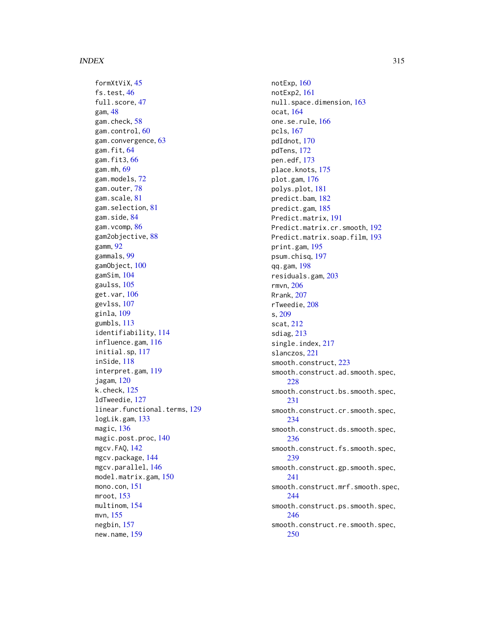formXtViX, [45](#page-44-0) fs.test, [46](#page-45-0) full.score, [47](#page-46-0) gam, [48](#page-47-1) gam.check, [58](#page-57-0) gam.control, [60](#page-59-0) gam.convergence, [63](#page-62-0) gam.fit, [64](#page-63-0) gam.fit3, [66](#page-65-0) gam.mh, [69](#page-68-0) gam.models, [72](#page-71-1) gam.outer, [78](#page-77-0) gam.scale, [81](#page-80-0) gam.selection, [81](#page-80-0) gam.side, [84](#page-83-0) gam.vcomp, [86](#page-85-0) gam2objective, [88](#page-87-0) gamm, [92](#page-91-1) gammals, [99](#page-98-0) gamObject, [100](#page-99-1) gamSim, [104](#page-103-0) gaulss, [105](#page-104-0) get.var, [106](#page-105-0) gevlss, [107](#page-106-0) ginla, [109](#page-108-0) gumbls, [113](#page-112-0) identifiability, [114](#page-113-1) influence.gam, [116](#page-115-0) initial.sp, [117](#page-116-0) inSide, [118](#page-117-0) interpret.gam, [119](#page-118-0) jagam, [120](#page-119-0) k.check, [125](#page-124-0) ldTweedie, [127](#page-126-1) linear.functional.terms, [129](#page-128-1) logLik.gam, [133](#page-132-0) magic, [136](#page-135-0) magic.post.proc, [140](#page-139-0) mgcv.FAQ, [142](#page-141-0) mgcv.package, [144](#page-143-0) mgcv.parallel, [146](#page-145-0) model.matrix.gam, [150](#page-149-0) mono.con, [151](#page-150-0) mroot, [153](#page-152-0) multinom, [154](#page-153-0) mvn, [155](#page-154-0) negbin, [157](#page-156-0) new.name, [159](#page-158-0)

notExp, [160](#page-159-0) notExp2, [161](#page-160-0) null.space.dimension, [163](#page-162-0) ocat, [164](#page-163-0) one.se.rule, [166](#page-165-0) pcls, [167](#page-166-0) pdIdnot, [170](#page-169-0) pdTens, [172](#page-171-0) pen.edf, [173](#page-172-0) place.knots, [175](#page-174-0) plot.gam, [176](#page-175-0) polys.plot, [181](#page-180-0) predict.bam, [182](#page-181-0) predict.gam, [185](#page-184-1) Predict.matrix, [191](#page-190-0) Predict.matrix.cr.smooth, [192](#page-191-0) Predict.matrix.soap.film, [193](#page-192-0) print.gam, [195](#page-194-0) psum.chisq, [197](#page-196-0) qq.gam, [198](#page-197-0) residuals.gam, [203](#page-202-0) rmvn, [206](#page-205-0) Rrank, [207](#page-206-0) rTweedie, [208](#page-207-1) s, [209](#page-208-1) scat, [212](#page-211-0) sdiag, [213](#page-212-0) single.index, [217](#page-216-0) slanczos, [221](#page-220-0) smooth.construct, [223](#page-222-1) smooth.construct.ad.smooth.spec, [228](#page-227-0) smooth.construct.bs.smooth.spec, [231](#page-230-0) smooth.construct.cr.smooth.spec, [234](#page-233-0) smooth.construct.ds.smooth.spec, [236](#page-235-1) smooth.construct.fs.smooth.spec, [239](#page-238-0) smooth.construct.gp.smooth.spec, [241](#page-240-0) smooth.construct.mrf.smooth.spec, [244](#page-243-0) smooth.construct.ps.smooth.spec, [246](#page-245-1) smooth.construct.re.smooth.spec, [250](#page-249-0)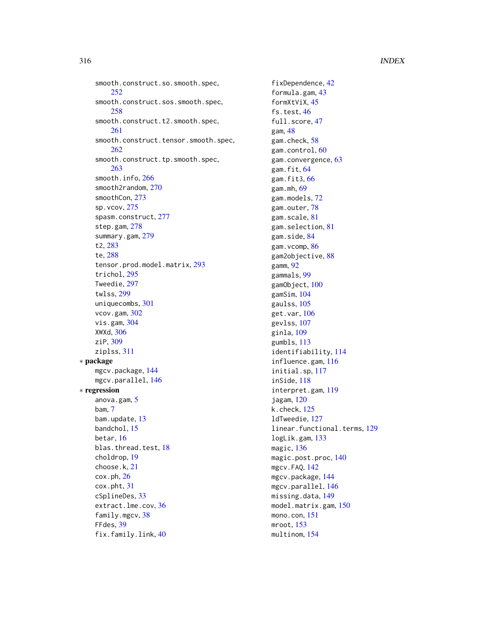smooth.construct.so.smooth.spec, [252](#page-251-0) smooth.construct.sos.smooth.spec, [258](#page-257-0) smooth.construct.t2.smooth.spec, [261](#page-260-0) smooth.construct.tensor.smooth.spec, [262](#page-261-1) smooth.construct.tp.smooth.spec, [263](#page-262-0) smooth.info, [266](#page-265-0) smooth2random, [270](#page-269-0) smoothCon, [273](#page-272-0) sp.vcov, [275](#page-274-0) spasm.construct, [277](#page-276-0) step.gam, [278](#page-277-0) summary.gam, [279](#page-278-0) t2, [283](#page-282-0) te, [288](#page-287-1) tensor.prod.model.matrix, [293](#page-292-2) trichol, [295](#page-294-0) Tweedie, [297](#page-296-1) twlss, [299](#page-298-0) uniquecombs, [301](#page-300-0) vcov.gam, [302](#page-301-0) vis.gam, [304](#page-303-0) XWXd, [306](#page-305-0) ziP, [309](#page-308-0) ziplss, [311](#page-310-1) ∗ package mgcv.package, [144](#page-143-0) mgcv.parallel, [146](#page-145-0) ∗ regression anova.gam, [5](#page-4-0) bam, [7](#page-6-1) bam.update, [13](#page-12-0) bandchol, [15](#page-14-1) betar, [16](#page-15-0) blas.thread.test, [18](#page-17-0) choldrop, [19](#page-18-0) choose.k, [21](#page-20-1)  $\cos$ .ph,  $26$ cox.pht, [31](#page-30-0) cSplineDes, [33](#page-32-0) extract.lme.cov, [36](#page-35-0) family.mgcv, [38](#page-37-0) FFdes, [39](#page-38-0) fix.family.link, [40](#page-39-0)

fixDependence, [42](#page-41-0) formula.gam, [43](#page-42-0) formXtViX, [45](#page-44-0) fs.test, [46](#page-45-0) full.score, [47](#page-46-0) gam, [48](#page-47-1) gam.check, [58](#page-57-0) gam.control, [60](#page-59-0) gam.convergence, [63](#page-62-0) gam.fit, [64](#page-63-0) gam.fit3, [66](#page-65-0) gam.mh, [69](#page-68-0) gam.models, [72](#page-71-1) gam.outer, [78](#page-77-0) gam.scale, [81](#page-80-0) gam.selection, [81](#page-80-0) gam.side, [84](#page-83-0) gam.vcomp, [86](#page-85-0) gam2objective, [88](#page-87-0) gamm, [92](#page-91-1) gammals, [99](#page-98-0) gamObject, [100](#page-99-1) gamSim, [104](#page-103-0) gaulss, [105](#page-104-0) get.var, [106](#page-105-0) gevlss, [107](#page-106-0) ginla, [109](#page-108-0) gumbls, [113](#page-112-0) identifiability, [114](#page-113-1) influence.gam, [116](#page-115-0) initial.sp, [117](#page-116-0) inSide, [118](#page-117-0) interpret.gam, [119](#page-118-0) jagam, [120](#page-119-0) k.check, [125](#page-124-0) ldTweedie, [127](#page-126-1) linear.functional.terms, [129](#page-128-1) logLik.gam, [133](#page-132-0) magic, [136](#page-135-0) magic.post.proc, [140](#page-139-0) mgcv.FAQ, [142](#page-141-0) mgcv.package, [144](#page-143-0) mgcv.parallel, [146](#page-145-0) missing.data, [149](#page-148-0) model.matrix.gam, [150](#page-149-0) mono.con, [151](#page-150-0) mroot, [153](#page-152-0) multinom, [154](#page-153-0)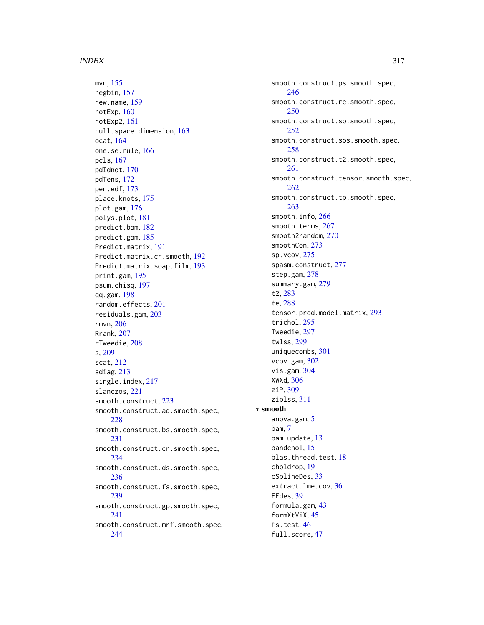mvn, [155](#page-154-0) negbin, [157](#page-156-0) new.name, [159](#page-158-0) notExp, [160](#page-159-0) notExp2, [161](#page-160-0) null.space.dimension, [163](#page-162-0) ocat, [164](#page-163-0) one.se.rule, [166](#page-165-0) pcls, [167](#page-166-0) pdIdnot, [170](#page-169-0) pdTens, [172](#page-171-0) pen.edf, [173](#page-172-0) place.knots, [175](#page-174-0) plot.gam, [176](#page-175-0) polys.plot, [181](#page-180-0) predict.bam, [182](#page-181-0) predict.gam, [185](#page-184-1) Predict.matrix, [191](#page-190-0) Predict.matrix.cr.smooth, [192](#page-191-0) Predict.matrix.soap.film, [193](#page-192-0) print.gam, [195](#page-194-0) psum.chisq, [197](#page-196-0) qq.gam, [198](#page-197-0) random.effects, [201](#page-200-0) residuals.gam, [203](#page-202-0) rmvn, [206](#page-205-0) Rrank, [207](#page-206-0) rTweedie, [208](#page-207-1) s, [209](#page-208-1) scat, [212](#page-211-0) sdiag, [213](#page-212-0) single.index, [217](#page-216-0) slanczos, [221](#page-220-0) smooth.construct, [223](#page-222-1) smooth.construct.ad.smooth.spec, [228](#page-227-0) smooth.construct.bs.smooth.spec, [231](#page-230-0) smooth.construct.cr.smooth.spec, [234](#page-233-0) smooth.construct.ds.smooth.spec, [236](#page-235-1) smooth.construct.fs.smooth.spec, [239](#page-238-0) smooth.construct.gp.smooth.spec, [241](#page-240-0) smooth.construct.mrf.smooth.spec, [244](#page-243-0)

smooth.construct.ps.smooth.spec, [246](#page-245-1) smooth.construct.re.smooth.spec, [250](#page-249-0) smooth.construct.so.smooth.spec, [252](#page-251-0) smooth.construct.sos.smooth.spec, [258](#page-257-0) smooth.construct.t2.smooth.spec, [261](#page-260-0) smooth.construct.tensor.smooth.spec, [262](#page-261-1) smooth.construct.tp.smooth.spec, [263](#page-262-0) smooth.info, [266](#page-265-0) smooth.terms, [267](#page-266-1) smooth2random, [270](#page-269-0) smoothCon, [273](#page-272-0) sp.vcov, [275](#page-274-0) spasm.construct, [277](#page-276-0) step.gam, [278](#page-277-0) summary.gam, [279](#page-278-0) t2, [283](#page-282-0) te, [288](#page-287-1) tensor.prod.model.matrix, [293](#page-292-2) trichol, [295](#page-294-0) Tweedie, [297](#page-296-1) twlss, [299](#page-298-0) uniquecombs, [301](#page-300-0) vcov.gam, [302](#page-301-0) vis.gam, [304](#page-303-0) XWXd, [306](#page-305-0) ziP, [309](#page-308-0) ziplss, [311](#page-310-1) ∗ smooth anova.gam, [5](#page-4-0) bam, [7](#page-6-1) bam.update, [13](#page-12-0) bandchol, [15](#page-14-1) blas.thread.test, [18](#page-17-0) choldrop, [19](#page-18-0) cSplineDes, [33](#page-32-0) extract.lme.cov, [36](#page-35-0) FFdes, [39](#page-38-0) formula.gam, [43](#page-42-0) formXtViX, [45](#page-44-0) fs.test, [46](#page-45-0) full.score, [47](#page-46-0)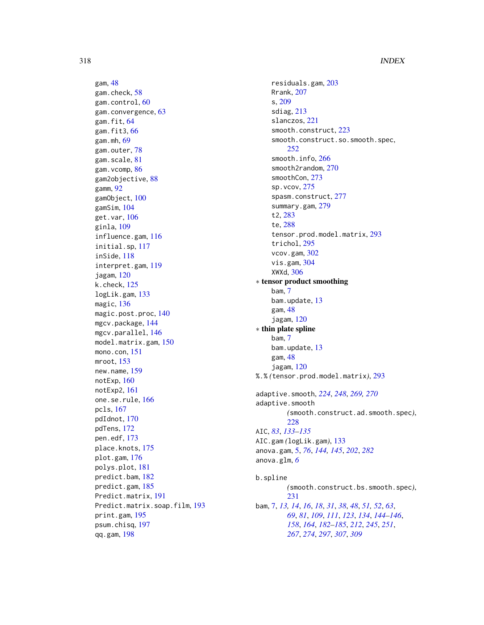gam, [48](#page-47-1) gam.check, [58](#page-57-0) gam.control, [60](#page-59-0) gam.convergence, [63](#page-62-0) gam.fit, [64](#page-63-0) gam.fit3, [66](#page-65-0) gam.mh, [69](#page-68-0) gam.outer, [78](#page-77-0) gam.scale, [81](#page-80-0) gam.vcomp, [86](#page-85-0) gam2objective, [88](#page-87-0) gamm, [92](#page-91-1) gamObject, [100](#page-99-1) gamSim, [104](#page-103-0) get.var, [106](#page-105-0) ginla, [109](#page-108-0) influence.gam, [116](#page-115-0) initial.sp, [117](#page-116-0) inSide, [118](#page-117-0) interpret.gam, [119](#page-118-0) jagam, [120](#page-119-0) k.check, [125](#page-124-0) logLik.gam, [133](#page-132-0) magic, [136](#page-135-0) magic.post.proc, [140](#page-139-0) mgcv.package, [144](#page-143-0) mgcv.parallel, [146](#page-145-0) model.matrix.gam, [150](#page-149-0) mono.con, [151](#page-150-0) mroot, [153](#page-152-0) new.name, [159](#page-158-0) notExp, [160](#page-159-0) notExp2, [161](#page-160-0) one.se.rule, [166](#page-165-0) pcls, [167](#page-166-0) pdIdnot, [170](#page-169-0) pdTens, [172](#page-171-0) pen.edf, [173](#page-172-0) place.knots, [175](#page-174-0) plot.gam, [176](#page-175-0) polys.plot, [181](#page-180-0) predict.bam, [182](#page-181-0) predict.gam, [185](#page-184-1) Predict.matrix, [191](#page-190-0) Predict.matrix.soap.film, [193](#page-192-0) print.gam, [195](#page-194-0) psum.chisq, [197](#page-196-0) qq.gam, [198](#page-197-0)

residuals.gam, [203](#page-202-0) Rrank, [207](#page-206-0) s, [209](#page-208-1) sdiag, [213](#page-212-0) slanczos, [221](#page-220-0) smooth.construct, [223](#page-222-1) smooth.construct.so.smooth.spec, [252](#page-251-0) smooth.info, [266](#page-265-0) smooth2random, [270](#page-269-0) smoothCon, [273](#page-272-0) sp.vcov, [275](#page-274-0) spasm.construct, [277](#page-276-0) summary.gam, [279](#page-278-0) t2, [283](#page-282-0) te, [288](#page-287-1) tensor.prod.model.matrix, [293](#page-292-2) trichol, [295](#page-294-0) vcov.gam, [302](#page-301-0) vis.gam, [304](#page-303-0) XWXd, [306](#page-305-0) ∗ tensor product smoothing bam, [7](#page-6-1) bam.update, [13](#page-12-0) gam, [48](#page-47-1) jagam, [120](#page-119-0) ∗ thin plate spline bam, [7](#page-6-1) bam.update, [13](#page-12-0) gam, [48](#page-47-1) jagam, [120](#page-119-0) %.% *(*tensor.prod.model.matrix*)*, [293](#page-292-2) adaptive.smooth, *[224](#page-223-0)*, *[248](#page-247-0)*, *[269,](#page-268-0) [270](#page-269-0)* adaptive.smooth *(*smooth.construct.ad.smooth.spec*)*, [228](#page-227-0) AIC, *[83](#page-82-0)*, *[133](#page-132-0)[–135](#page-134-0)* AIC.gam *(*logLik.gam*)*, [133](#page-132-0) anova.gam, [5,](#page-4-0) *[76](#page-75-0)*, *[144,](#page-143-0) [145](#page-144-0)*, *[202](#page-201-0)*, *[282](#page-281-0)* anova.glm, *[6](#page-5-0)* b.spline *(*smooth.construct.bs.smooth.spec*)*, [231](#page-230-0) bam, [7,](#page-6-1) *[13,](#page-12-0) [14](#page-13-0)*, *[16](#page-15-0)*, *[18](#page-17-0)*, *[31](#page-30-0)*, *[38](#page-37-0)*, *[48](#page-47-1)*, *[51,](#page-50-0) [52](#page-51-0)*, *[63](#page-62-0)*, *[69](#page-68-0)*, *[81](#page-80-0)*, *[109](#page-108-0)*, *[111](#page-110-0)*, *[123](#page-122-0)*, *[134](#page-133-0)*, *[144](#page-143-0)[–146](#page-145-0)*, *[158](#page-157-0)*, *[164](#page-163-0)*, *[182](#page-181-0)[–185](#page-184-1)*, *[212](#page-211-0)*, *[245](#page-244-0)*, *[251](#page-250-0)*,

*[267](#page-266-1)*, *[274](#page-273-0)*, *[297](#page-296-1)*, *[307](#page-306-0)*, *[309](#page-308-0)*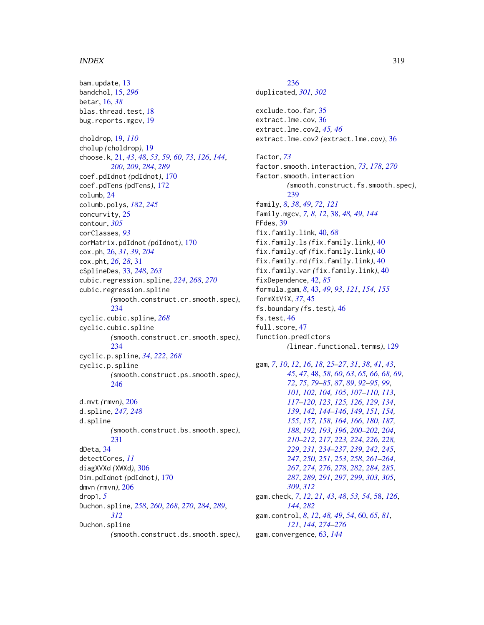bam.update, [13](#page-12-0) bandchol, [15,](#page-14-1) *[296](#page-295-0)* betar, [16,](#page-15-0) *[38](#page-37-0)* blas.thread.test, [18](#page-17-0) bug.reports.mgcv, [19](#page-18-0) choldrop, [19,](#page-18-0) *[110](#page-109-0)* cholup *(*choldrop*)*, [19](#page-18-0) choose.k, [21,](#page-20-1) *[43](#page-42-0)*, *[48](#page-47-1)*, *[53](#page-52-0)*, *[59,](#page-58-0) [60](#page-59-0)*, *[73](#page-72-0)*, *[126](#page-125-0)*, *[144](#page-143-0)*, *[200](#page-199-0)*, *[209](#page-208-1)*, *[284](#page-283-0)*, *[289](#page-288-0)* coef.pdIdnot *(*pdIdnot*)*, [170](#page-169-0) coef.pdTens *(*pdTens*)*, [172](#page-171-0) columb, [24](#page-23-0) columb.polys, *[182](#page-181-0)*, *[245](#page-244-0)* concurvity, [25](#page-24-0) contour, *[305](#page-304-0)* corClasses, *[93](#page-92-0)* corMatrix.pdIdnot *(*pdIdnot*)*, [170](#page-169-0) cox.ph, [26,](#page-25-0) *[31](#page-30-0)*, *[39](#page-38-0)*, *[204](#page-203-0)* cox.pht, *[26](#page-25-0)*, *[28](#page-27-0)*, [31](#page-30-0) cSplineDes, [33,](#page-32-0) *[248](#page-247-0)*, *[263](#page-262-0)* cubic.regression.spline, *[224](#page-223-0)*, *[268](#page-267-0)*, *[270](#page-269-0)* cubic.regression.spline *(*smooth.construct.cr.smooth.spec*)*, [234](#page-233-0) cyclic.cubic.spline, *[268](#page-267-0)* cyclic.cubic.spline *(*smooth.construct.cr.smooth.spec*)*, [234](#page-233-0) cyclic.p.spline, *[34](#page-33-0)*, *[222](#page-221-0)*, *[268](#page-267-0)* cyclic.p.spline *(*smooth.construct.ps.smooth.spec*)*, [246](#page-245-1) d.mvt *(*rmvn*)*, [206](#page-205-0) d.spline, *[247,](#page-246-0) [248](#page-247-0)* d.spline *(*smooth.construct.bs.smooth.spec*)*, [231](#page-230-0) dDeta, [34](#page-33-0) detectCores, *[11](#page-10-0)* diagXVXd *(*XWXd*)*, [306](#page-305-0) Dim.pdIdnot *(*pdIdnot*)*, [170](#page-169-0) dmvn *(*rmvn*)*, [206](#page-205-0) drop1, *[5](#page-4-0)* Duchon.spline, *[258](#page-257-0)*, *[260](#page-259-0)*, *[268](#page-267-0)*, *[270](#page-269-0)*, *[284](#page-283-0)*, *[289](#page-288-0)*, *[312](#page-311-0)* Duchon.spline *(*smooth.construct.ds.smooth.spec*)*,

[236](#page-235-1) duplicated, *[301,](#page-300-0) [302](#page-301-0)* exclude.too.far, [35](#page-34-0) extract.lme.cov, [36](#page-35-0) extract.lme.cov2, *[45,](#page-44-0) [46](#page-45-0)* extract.lme.cov2 *(*extract.lme.cov*)*, [36](#page-35-0) factor, *[73](#page-72-0)* factor.smooth.interaction, *[73](#page-72-0)*, *[178](#page-177-0)*, *[270](#page-269-0)* factor.smooth.interaction *(*smooth.construct.fs.smooth.spec*)*, [239](#page-238-0) family, *[8](#page-7-0)*, *[38](#page-37-0)*, *[49](#page-48-0)*, *[72](#page-71-1)*, *[121](#page-120-0)* family.mgcv, *[7,](#page-6-1) [8](#page-7-0)*, *[12](#page-11-0)*, [38,](#page-37-0) *[48,](#page-47-1) [49](#page-48-0)*, *[144](#page-143-0)* FFdes, [39](#page-38-0) fix.family.link, [40,](#page-39-0) *[68](#page-67-0)* fix.family.ls *(*fix.family.link*)*, [40](#page-39-0) fix.family.qf *(*fix.family.link*)*, [40](#page-39-0) fix.family.rd *(*fix.family.link*)*, [40](#page-39-0) fix.family.var *(*fix.family.link*)*, [40](#page-39-0) fixDependence, [42,](#page-41-0) *[85](#page-84-0)* formula.gam, *[8](#page-7-0)*, [43,](#page-42-0) *[49](#page-48-0)*, *[93](#page-92-0)*, *[121](#page-120-0)*, *[154,](#page-153-0) [155](#page-154-0)* formXtViX, *[37](#page-36-0)*, [45](#page-44-0) fs.boundary *(*fs.test*)*, [46](#page-45-0) fs.test, [46](#page-45-0) full.score, [47](#page-46-0) function.predictors *(*linear.functional.terms*)*, [129](#page-128-1) gam, *[7](#page-6-1)*, *[10](#page-9-0)*, *[12](#page-11-0)*, *[16](#page-15-0)*, *[18](#page-17-0)*, *[25](#page-24-0)[–27](#page-26-0)*, *[31](#page-30-0)*, *[38](#page-37-0)*, *[41](#page-40-0)*, *[43](#page-42-0)*, *[45](#page-44-0)*, *[47](#page-46-0)*, [48,](#page-47-1) *[58](#page-57-0)*, *[60](#page-59-0)*, *[63](#page-62-0)*, *[65,](#page-64-0) [66](#page-65-0)*, *[68,](#page-67-0) [69](#page-68-0)*, *[72](#page-71-1)*, *[75](#page-74-0)*, *[79](#page-78-0)[–85](#page-84-0)*, *[87](#page-86-0)*, *[89](#page-88-0)*, *[92](#page-91-1)[–95](#page-94-0)*, *[99](#page-98-0)*, *[101,](#page-100-0) [102](#page-101-0)*, *[104,](#page-103-0) [105](#page-104-0)*, *[107](#page-106-0)[–110](#page-109-0)*, *[113](#page-112-0)*, *[117](#page-116-0)[–120](#page-119-0)*, *[123](#page-122-0)*, *[125,](#page-124-0) [126](#page-125-0)*, *[129](#page-128-1)*, *[134](#page-133-0)*, *[139](#page-138-0)*, *[142](#page-141-0)*, *[144](#page-143-0)[–146](#page-145-0)*, *[149](#page-148-0)*, *[151](#page-150-0)*, *[154,](#page-153-0) [155](#page-154-0)*, *[157,](#page-156-0) [158](#page-157-0)*, *[164](#page-163-0)*, *[166](#page-165-0)*, *[180](#page-179-0)*, *[187,](#page-186-0) [188](#page-187-0)*, *[192,](#page-191-0) [193](#page-192-0)*, *[196](#page-195-0)*, *[200](#page-199-0)[–202](#page-201-0)*, *[204](#page-203-0)*, *[210](#page-209-0)[–212](#page-211-0)*, *[217](#page-216-0)*, *[223,](#page-222-1) [224](#page-223-0)*, *[226](#page-225-0)*, *[228,](#page-227-0) [229](#page-228-0)*, *[231](#page-230-0)*, *[234](#page-233-0)[–237](#page-236-0)*, *[239](#page-238-0)*, *[242](#page-241-0)*, *[245](#page-244-0)*, *[247](#page-246-0)*, *[250,](#page-249-0) [251](#page-250-0)*, *[253](#page-252-0)*, *[258](#page-257-0)*, *[261](#page-260-0)[–264](#page-263-0)*, *[267](#page-266-1)*, *[274](#page-273-0)*, *[276](#page-275-0)*, *[278](#page-277-0)*, *[282](#page-281-0)*, *[284,](#page-283-0) [285](#page-284-0)*, *[287](#page-286-0)*, *[289](#page-288-0)*, *[291](#page-290-0)*, *[297](#page-296-1)*, *[299](#page-298-0)*, *[303](#page-302-0)*, *[305](#page-304-0)*, *[309](#page-308-0)*, *[312](#page-311-0)* gam.check, *[7](#page-6-1)*, *[12](#page-11-0)*, *[21](#page-20-1)*, *[43](#page-42-0)*, *[48](#page-47-1)*, *[53,](#page-52-0) [54](#page-53-0)*, [58,](#page-57-0) *[126](#page-125-0)*, *[144](#page-143-0)*, *[282](#page-281-0)* gam.control, *[8](#page-7-0)*, *[12](#page-11-0)*, *[48,](#page-47-1) [49](#page-48-0)*, *[54](#page-53-0)*, [60,](#page-59-0) *[65](#page-64-0)*, *[81](#page-80-0)*, *[121](#page-120-0)*, *[144](#page-143-0)*, *[274](#page-273-0)[–276](#page-275-0)*

gam.convergence, [63,](#page-62-0) *[144](#page-143-0)*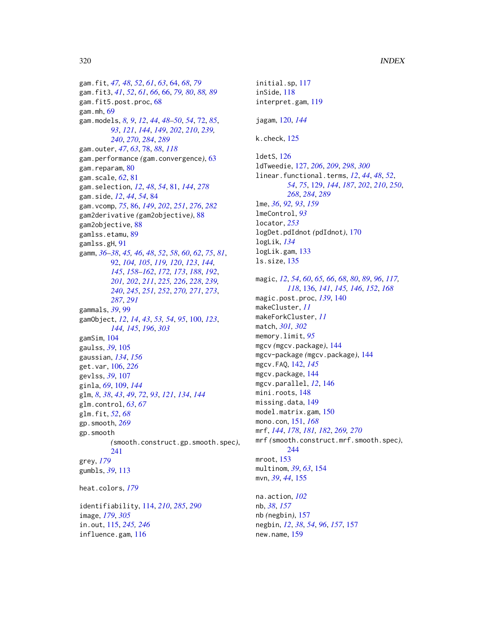gam.fit, *[47,](#page-46-0) [48](#page-47-1)*, *[52](#page-51-0)*, *[61](#page-60-0)*, *[63](#page-62-0)*, [64,](#page-63-0) *[68](#page-67-0)*, *[79](#page-78-0)* gam.fit3, *[41](#page-40-0)*, *[52](#page-51-0)*, *[61](#page-60-0)*, *[66](#page-65-0)*, [66,](#page-65-0) *[79,](#page-78-0) [80](#page-79-0)*, *[88,](#page-87-0) [89](#page-88-0)* gam.fit5.post.proc, [68](#page-67-0) gam.mh, [69](#page-68-0) gam.models, *[8,](#page-7-0) [9](#page-8-0)*, *[12](#page-11-0)*, *[44](#page-43-0)*, *[48–](#page-47-1)[50](#page-49-0)*, *[54](#page-53-0)*, [72,](#page-71-1) *[85](#page-84-0)*, *[93](#page-92-0)*, *[121](#page-120-0)*, *[144](#page-143-0)*, *[149](#page-148-0)*, *[202](#page-201-0)*, *[210](#page-209-0)*, *[239,](#page-238-0) [240](#page-239-0)*, *[270](#page-269-0)*, *[284](#page-283-0)*, *[289](#page-288-0)* gam.outer, *[47](#page-46-0)*, *[63](#page-62-0)*, [78,](#page-77-0) *[88](#page-87-0)*, *[118](#page-117-0)* gam.performance *(*gam.convergence*)*, [63](#page-62-0) gam.reparam, [80](#page-79-0) gam.scale, *[62](#page-61-0)*, [81](#page-80-0) gam.selection, *[12](#page-11-0)*, *[48](#page-47-1)*, *[54](#page-53-0)*, [81,](#page-80-0) *[144](#page-143-0)*, *[278](#page-277-0)* gam.side, *[12](#page-11-0)*, *[44](#page-43-0)*, *[54](#page-53-0)*, [84](#page-83-0) gam.vcomp, *[75](#page-74-0)*, [86,](#page-85-0) *[149](#page-148-0)*, *[202](#page-201-0)*, *[251](#page-250-0)*, *[276](#page-275-0)*, *[282](#page-281-0)* gam2derivative *(*gam2objective*)*, [88](#page-87-0) gam2objective, [88](#page-87-0) gamlss.etamu, [89](#page-88-0) gamlss.gH, [91](#page-90-0) gamm, *[36](#page-35-0)[–38](#page-37-0)*, *[45,](#page-44-0) [46](#page-45-0)*, *[48](#page-47-1)*, *[52](#page-51-0)*, *[58](#page-57-0)*, *[60](#page-59-0)*, *[62](#page-61-0)*, *[75](#page-74-0)*, *[81](#page-80-0)*, [92,](#page-91-1) *[104,](#page-103-0) [105](#page-104-0)*, *[119,](#page-118-0) [120](#page-119-0)*, *[123](#page-122-0)*, *[144,](#page-143-0) [145](#page-144-0)*, *[158](#page-157-0)[–162](#page-161-0)*, *[172,](#page-171-0) [173](#page-172-0)*, *[188](#page-187-0)*, *[192](#page-191-0)*, *[201,](#page-200-0) [202](#page-201-0)*, *[211](#page-210-0)*, *[225,](#page-224-0) [226](#page-225-0)*, *[228](#page-227-0)*, *[239,](#page-238-0) [240](#page-239-0)*, *[245](#page-244-0)*, *[251,](#page-250-0) [252](#page-251-0)*, *[270,](#page-269-0) [271](#page-270-0)*, *[273](#page-272-0)*, *[287](#page-286-0)*, *[291](#page-290-0)* gammals, *[39](#page-38-0)*, [99](#page-98-0) gamObject, *[12](#page-11-0)*, *[14](#page-13-0)*, *[43](#page-42-0)*, *[53,](#page-52-0) [54](#page-53-0)*, *[95](#page-94-0)*, [100,](#page-99-1) *[123](#page-122-0)*, *[144,](#page-143-0) [145](#page-144-0)*, *[196](#page-195-0)*, *[303](#page-302-0)* gamSim, [104](#page-103-0) gaulss, *[39](#page-38-0)*, [105](#page-104-0) gaussian, *[134](#page-133-0)*, *[156](#page-155-0)* get.var, [106,](#page-105-0) *[226](#page-225-0)* gevlss, *[39](#page-38-0)*, [107](#page-106-0) ginla, *[69](#page-68-0)*, [109,](#page-108-0) *[144](#page-143-0)* glm, *[8](#page-7-0)*, *[38](#page-37-0)*, *[43](#page-42-0)*, *[49](#page-48-0)*, *[72](#page-71-1)*, *[93](#page-92-0)*, *[121](#page-120-0)*, *[134](#page-133-0)*, *[144](#page-143-0)* glm.control, *[63](#page-62-0)*, *[67](#page-66-0)* glm.fit, *[52](#page-51-0)*, *[68](#page-67-0)* gp.smooth, *[269](#page-268-0)* gp.smooth *(*smooth.construct.gp.smooth.spec*)*, [241](#page-240-0) grey, *[179](#page-178-0)* gumbls, *[39](#page-38-0)*, [113](#page-112-0) heat.colors, *[179](#page-178-0)* identifiability, [114,](#page-113-1) *[210](#page-209-0)*, *[285](#page-284-0)*, *[290](#page-289-0)* image, *[179](#page-178-0)*, *[305](#page-304-0)* in.out, [115,](#page-114-0) *[245,](#page-244-0) [246](#page-245-1)*

influence.gam, [116](#page-115-0)

initial.sp, [117](#page-116-0) inSide, [118](#page-117-0) interpret.gam, [119](#page-118-0) jagam, [120,](#page-119-0) *[144](#page-143-0)* k.check, [125](#page-124-0) ldetS, [126](#page-125-0) ldTweedie, [127,](#page-126-1) *[206](#page-205-0)*, *[209](#page-208-1)*, *[298](#page-297-0)*, *[300](#page-299-0)* linear.functional.terms, *[12](#page-11-0)*, *[44](#page-43-0)*, *[48](#page-47-1)*, *[52](#page-51-0)*, *[54](#page-53-0)*, *[75](#page-74-0)*, [129,](#page-128-1) *[144](#page-143-0)*, *[187](#page-186-0)*, *[202](#page-201-0)*, *[210](#page-209-0)*, *[250](#page-249-0)*, *[268](#page-267-0)*, *[284](#page-283-0)*, *[289](#page-288-0)* lme, *[36](#page-35-0)*, *[92,](#page-91-1) [93](#page-92-0)*, *[159](#page-158-0)* lmeControl, *[93](#page-92-0)* locator, *[253](#page-252-0)* logDet.pdIdnot *(*pdIdnot*)*, [170](#page-169-0) logLik, *[134](#page-133-0)* logLik.gam, [133](#page-132-0) ls.size, [135](#page-134-0) magic, *[12](#page-11-0)*, *[54](#page-53-0)*, *[60](#page-59-0)*, *[65,](#page-64-0) [66](#page-65-0)*, *[68](#page-67-0)*, *[80](#page-79-0)*, *[89](#page-88-0)*, *[96](#page-95-0)*, *[117,](#page-116-0) [118](#page-117-0)*, [136,](#page-135-0) *[141](#page-140-0)*, *[145,](#page-144-0) [146](#page-145-0)*, *[152](#page-151-0)*, *[168](#page-167-0)* magic.post.proc, *[139](#page-138-0)*, [140](#page-139-0) makeCluster, *[11](#page-10-0)* makeForkCluster, *[11](#page-10-0)* match, *[301,](#page-300-0) [302](#page-301-0)* memory.limit, *[95](#page-94-0)* mgcv *(*mgcv.package*)*, [144](#page-143-0) mgcv-package *(*mgcv.package*)*, [144](#page-143-0) mgcv.FAQ, [142,](#page-141-0) *[145](#page-144-0)* mgcv.package, [144](#page-143-0) mgcv.parallel, *[12](#page-11-0)*, [146](#page-145-0) mini.roots, [148](#page-147-0) missing.data, [149](#page-148-0) model.matrix.gam, [150](#page-149-0) mono.con, [151,](#page-150-0) *[168](#page-167-0)* mrf, *[144](#page-143-0)*, *[178](#page-177-0)*, *[181,](#page-180-0) [182](#page-181-0)*, *[269,](#page-268-0) [270](#page-269-0)* mrf *(*smooth.construct.mrf.smooth.spec*)*, [244](#page-243-0) mroot, [153](#page-152-0) multinom, *[39](#page-38-0)*, *[63](#page-62-0)*, [154](#page-153-0) mvn, *[39](#page-38-0)*, *[44](#page-43-0)*, [155](#page-154-0) na.action, *[102](#page-101-0)* nb, *[38](#page-37-0)*, *[157](#page-156-0)* nb *(*negbin*)*, [157](#page-156-0) negbin, *[12](#page-11-0)*, *[38](#page-37-0)*, *[54](#page-53-0)*, *[96](#page-95-0)*, *[157](#page-156-0)*, [157](#page-156-0) new.name, [159](#page-158-0)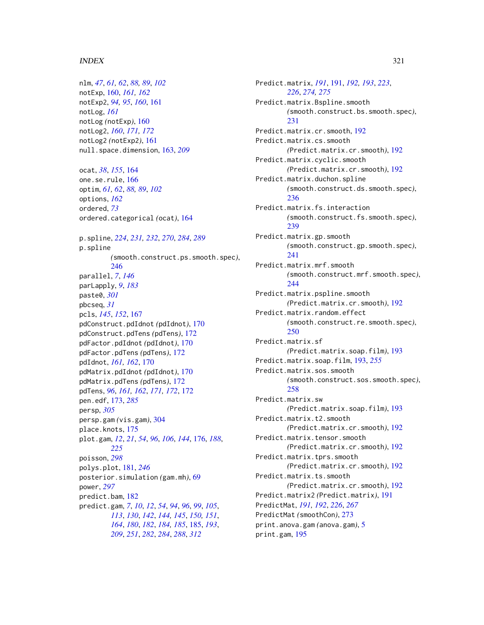nlm, *[47](#page-46-0)*, *[61,](#page-60-0) [62](#page-61-0)*, *[88,](#page-87-0) [89](#page-88-0)*, *[102](#page-101-0)* notExp, [160,](#page-159-0) *[161,](#page-160-0) [162](#page-161-0)* notExp2, *[94,](#page-93-0) [95](#page-94-0)*, *[160](#page-159-0)*, [161](#page-160-0) notLog, *[161](#page-160-0)* notLog *(*notExp*)*, [160](#page-159-0) notLog2, *[160](#page-159-0)*, *[171,](#page-170-0) [172](#page-171-0)* notLog2 *(*notExp2*)*, [161](#page-160-0) null.space.dimension, [163,](#page-162-0) *[209](#page-208-1)* ocat, *[38](#page-37-0)*, *[155](#page-154-0)*, [164](#page-163-0) one.se.rule, [166](#page-165-0) optim, *[61,](#page-60-0) [62](#page-61-0)*, *[88,](#page-87-0) [89](#page-88-0)*, *[102](#page-101-0)* options, *[162](#page-161-0)* ordered, *[73](#page-72-0)* ordered.categorical *(*ocat*)*, [164](#page-163-0) p.spline, *[224](#page-223-0)*, *[231,](#page-230-0) [232](#page-231-0)*, *[270](#page-269-0)*, *[284](#page-283-0)*, *[289](#page-288-0)* p.spline *(*smooth.construct.ps.smooth.spec*)*, [246](#page-245-1) parallel, *[7](#page-6-1)*, *[146](#page-145-0)* parLapply, *[9](#page-8-0)*, *[183](#page-182-0)* paste0, *[301](#page-300-0)* pbcseq, *[31](#page-30-0)* pcls, *[145](#page-144-0)*, *[152](#page-151-0)*, [167](#page-166-0) pdConstruct.pdIdnot *(*pdIdnot*)*, [170](#page-169-0) pdConstruct.pdTens *(*pdTens*)*, [172](#page-171-0) pdFactor.pdIdnot *(*pdIdnot*)*, [170](#page-169-0) pdFactor.pdTens *(*pdTens*)*, [172](#page-171-0) pdIdnot, *[161,](#page-160-0) [162](#page-161-0)*, [170](#page-169-0) pdMatrix.pdIdnot *(*pdIdnot*)*, [170](#page-169-0) pdMatrix.pdTens *(*pdTens*)*, [172](#page-171-0) pdTens, *[96](#page-95-0)*, *[161,](#page-160-0) [162](#page-161-0)*, *[171,](#page-170-0) [172](#page-171-0)*, [172](#page-171-0) pen.edf, [173,](#page-172-0) *[285](#page-284-0)* persp, *[305](#page-304-0)* persp.gam *(*vis.gam*)*, [304](#page-303-0) place.knots, [175](#page-174-0) plot.gam, *[12](#page-11-0)*, *[21](#page-20-1)*, *[54](#page-53-0)*, *[96](#page-95-0)*, *[106](#page-105-0)*, *[144](#page-143-0)*, [176,](#page-175-0) *[188](#page-187-0)*, *[225](#page-224-0)* poisson, *[298](#page-297-0)* polys.plot, [181,](#page-180-0) *[246](#page-245-1)* posterior.simulation *(*gam.mh*)*, [69](#page-68-0) power, *[297](#page-296-1)* predict.bam, [182](#page-181-0) predict.gam, *[7](#page-6-1)*, *[10](#page-9-0)*, *[12](#page-11-0)*, *[54](#page-53-0)*, *[94](#page-93-0)*, *[96](#page-95-0)*, *[99](#page-98-0)*, *[105](#page-104-0)*, *[113](#page-112-0)*, *[130](#page-129-0)*, *[142](#page-141-0)*, *[144,](#page-143-0) [145](#page-144-0)*, *[150,](#page-149-0) [151](#page-150-0)*, *[164](#page-163-0)*, *[180](#page-179-0)*, *[182](#page-181-0)*, *[184,](#page-183-0) [185](#page-184-1)*, [185,](#page-184-1) *[193](#page-192-0)*, *[209](#page-208-1)*, *[251](#page-250-0)*, *[282](#page-281-0)*, *[284](#page-283-0)*, *[288](#page-287-1)*, *[312](#page-311-0)*

Predict.matrix, *[191](#page-190-0)*, [191,](#page-190-0) *[192,](#page-191-0) [193](#page-192-0)*, *[223](#page-222-1)*, *[226](#page-225-0)*, *[274,](#page-273-0) [275](#page-274-0)* Predict.matrix.Bspline.smooth *(*smooth.construct.bs.smooth.spec*)*, [231](#page-230-0) Predict.matrix.cr.smooth, [192](#page-191-0) Predict.matrix.cs.smooth *(*Predict.matrix.cr.smooth*)*, [192](#page-191-0) Predict.matrix.cyclic.smooth *(*Predict.matrix.cr.smooth*)*, [192](#page-191-0) Predict.matrix.duchon.spline *(*smooth.construct.ds.smooth.spec*)*, [236](#page-235-1) Predict.matrix.fs.interaction *(*smooth.construct.fs.smooth.spec*)*, [239](#page-238-0) Predict.matrix.gp.smooth *(*smooth.construct.gp.smooth.spec*)*, [241](#page-240-0) Predict.matrix.mrf.smooth *(*smooth.construct.mrf.smooth.spec*)*, [244](#page-243-0) Predict.matrix.pspline.smooth *(*Predict.matrix.cr.smooth*)*, [192](#page-191-0) Predict.matrix.random.effect *(*smooth.construct.re.smooth.spec*)*, [250](#page-249-0) Predict.matrix.sf *(*Predict.matrix.soap.film*)*, [193](#page-192-0) Predict.matrix.soap.film, [193,](#page-192-0) *[255](#page-254-0)* Predict.matrix.sos.smooth *(*smooth.construct.sos.smooth.spec*)*, [258](#page-257-0) Predict.matrix.sw *(*Predict.matrix.soap.film*)*, [193](#page-192-0) Predict.matrix.t2.smooth *(*Predict.matrix.cr.smooth*)*, [192](#page-191-0) Predict.matrix.tensor.smooth *(*Predict.matrix.cr.smooth*)*, [192](#page-191-0) Predict.matrix.tprs.smooth *(*Predict.matrix.cr.smooth*)*, [192](#page-191-0) Predict.matrix.ts.smooth *(*Predict.matrix.cr.smooth*)*, [192](#page-191-0) Predict.matrix2 *(*Predict.matrix*)*, [191](#page-190-0) PredictMat, *[191,](#page-190-0) [192](#page-191-0)*, *[226](#page-225-0)*, *[267](#page-266-1)* PredictMat *(*smoothCon*)*, [273](#page-272-0) print.anova.gam *(*anova.gam*)*, [5](#page-4-0) print.gam, [195](#page-194-0)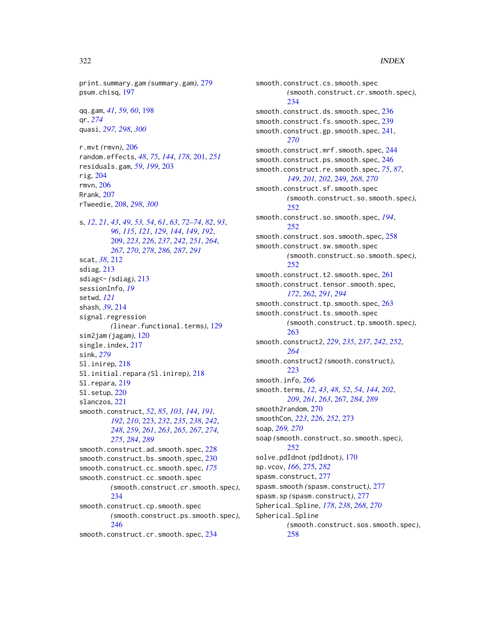print.summary.gam *(*summary.gam*)*, [279](#page-278-0) psum.chisq, [197](#page-196-0)

qq.gam, *[41](#page-40-0)*, *[59,](#page-58-0) [60](#page-59-0)*, [198](#page-197-0) qr, *[274](#page-273-0)* quasi, *[297,](#page-296-1) [298](#page-297-0)*, *[300](#page-299-0)*

r.mvt *(*rmvn*)*, [206](#page-205-0) random.effects, *[48](#page-47-1)*, *[75](#page-74-0)*, *[144](#page-143-0)*, *[178](#page-177-0)*, [201,](#page-200-0) *[251](#page-250-0)* residuals.gam, *[59](#page-58-0)*, *[199](#page-198-0)*, [203](#page-202-0) rig, [204](#page-203-0) rmvn, [206](#page-205-0) Rrank, [207](#page-206-0) rTweedie, [208,](#page-207-1) *[298](#page-297-0)*, *[300](#page-299-0)*

s, *[12](#page-11-0)*, *[21](#page-20-1)*, *[43](#page-42-0)*, *[49](#page-48-0)*, *[53,](#page-52-0) [54](#page-53-0)*, *[61](#page-60-0)*, *[63](#page-62-0)*, *[72–](#page-71-1)[74](#page-73-0)*, *[82](#page-81-0)*, *[93](#page-92-0)*, *[96](#page-95-0)*, *[115](#page-114-0)*, *[121](#page-120-0)*, *[129](#page-128-1)*, *[144](#page-143-0)*, *[149](#page-148-0)*, *[192](#page-191-0)*, [209,](#page-208-1) *[223](#page-222-1)*, *[226](#page-225-0)*, *[237](#page-236-0)*, *[242](#page-241-0)*, *[251](#page-250-0)*, *[264](#page-263-0)*, *[267](#page-266-1)*, *[270](#page-269-0)*, *[278](#page-277-0)*, *[286,](#page-285-0) [287](#page-286-0)*, *[291](#page-290-0)* scat, *[38](#page-37-0)*, [212](#page-211-0) sdiag, [213](#page-212-0) sdiag<- *(*sdiag*)*, [213](#page-212-0) sessionInfo, *[19](#page-18-0)* setwd, *[121](#page-120-0)* shash, *[39](#page-38-0)*, [214](#page-213-0) signal.regression *(*linear.functional.terms*)*, [129](#page-128-1) sim2jam *(*jagam*)*, [120](#page-119-0) single.index, [217](#page-216-0) sink, *[279](#page-278-0)* Sl.inirep, [218](#page-217-0) Sl.initial.repara *(*Sl.inirep*)*, [218](#page-217-0) Sl.repara, [219](#page-218-0) Sl.setup, [220](#page-219-0) slanczos, [221](#page-220-0) smooth.construct, *[52](#page-51-0)*, *[85](#page-84-0)*, *[103](#page-102-0)*, *[144](#page-143-0)*, *[191,](#page-190-0) [192](#page-191-0)*, *[210](#page-209-0)*, [223,](#page-222-1) *[232](#page-231-0)*, *[235](#page-234-0)*, *[238](#page-237-0)*, *[242](#page-241-0)*, *[248](#page-247-0)*, *[259](#page-258-0)*, *[261](#page-260-0)*, *[263](#page-262-0)*, *[265](#page-264-0)*, *[267](#page-266-1)*, *[274,](#page-273-0) [275](#page-274-0)*, *[284](#page-283-0)*, *[289](#page-288-0)* smooth.construct.ad.smooth.spec, [228](#page-227-0) smooth.construct.bs.smooth.spec, [230](#page-229-0) smooth.construct.cc.smooth.spec, *[175](#page-174-0)* smooth.construct.cc.smooth.spec *(*smooth.construct.cr.smooth.spec*)*, [234](#page-233-0) smooth.construct.cp.smooth.spec *(*smooth.construct.ps.smooth.spec*)*, [246](#page-245-1) smooth.construct.cr.smooth.spec, [234](#page-233-0)

smooth.construct.cs.smooth.spec *(*smooth.construct.cr.smooth.spec*)*, [234](#page-233-0) smooth.construct.ds.smooth.spec, [236](#page-235-1) smooth.construct.fs.smooth.spec, [239](#page-238-0) smooth.construct.gp.smooth.spec, [241,](#page-240-0) *[270](#page-269-0)* smooth.construct.mrf.smooth.spec, [244](#page-243-0) smooth.construct.ps.smooth.spec, [246](#page-245-1) smooth.construct.re.smooth.spec, *[75](#page-74-0)*, *[87](#page-86-0)*, *[149](#page-148-0)*, *[201,](#page-200-0) [202](#page-201-0)*, [249,](#page-248-0) *[268](#page-267-0)*, *[270](#page-269-0)* smooth.construct.sf.smooth.spec *(*smooth.construct.so.smooth.spec*)*, [252](#page-251-0) smooth.construct.so.smooth.spec, *[194](#page-193-0)*, [252](#page-251-0) smooth.construct.sos.smooth.spec, [258](#page-257-0) smooth.construct.sw.smooth.spec *(*smooth.construct.so.smooth.spec*)*, [252](#page-251-0) smooth.construct.t2.smooth.spec, [261](#page-260-0) smooth.construct.tensor.smooth.spec, *[172](#page-171-0)*, [262,](#page-261-1) *[291](#page-290-0)*, *[294](#page-293-0)* smooth.construct.tp.smooth.spec, [263](#page-262-0) smooth.construct.ts.smooth.spec *(*smooth.construct.tp.smooth.spec*)*, [263](#page-262-0) smooth.construct2, *[229](#page-228-0)*, *[235](#page-234-0)*, *[237](#page-236-0)*, *[242](#page-241-0)*, *[252](#page-251-0)*, *[264](#page-263-0)* smooth.construct2 *(*smooth.construct*)*, [223](#page-222-1) smooth.info, [266](#page-265-0) smooth.terms, *[12](#page-11-0)*, *[43](#page-42-0)*, *[48](#page-47-1)*, *[52](#page-51-0)*, *[54](#page-53-0)*, *[144](#page-143-0)*, *[202](#page-201-0)*, *[209](#page-208-1)*, *[261](#page-260-0)*, *[263](#page-262-0)*, [267,](#page-266-1) *[284](#page-283-0)*, *[289](#page-288-0)* smooth2random, [270](#page-269-0) smoothCon, *[223](#page-222-1)*, *[226](#page-225-0)*, *[252](#page-251-0)*, [273](#page-272-0) soap, *[269,](#page-268-0) [270](#page-269-0)* soap *(*smooth.construct.so.smooth.spec*)*, [252](#page-251-0) solve.pdIdnot *(*pdIdnot*)*, [170](#page-169-0) sp.vcov, *[166](#page-165-0)*, [275,](#page-274-0) *[282](#page-281-0)* spasm.construct, [277](#page-276-0) spasm.smooth *(*spasm.construct*)*, [277](#page-276-0) spasm.sp *(*spasm.construct*)*, [277](#page-276-0) Spherical.Spline, *[178](#page-177-0)*, *[238](#page-237-0)*, *[268](#page-267-0)*, *[270](#page-269-0)* Spherical.Spline *(*smooth.construct.sos.smooth.spec*)*, [258](#page-257-0)